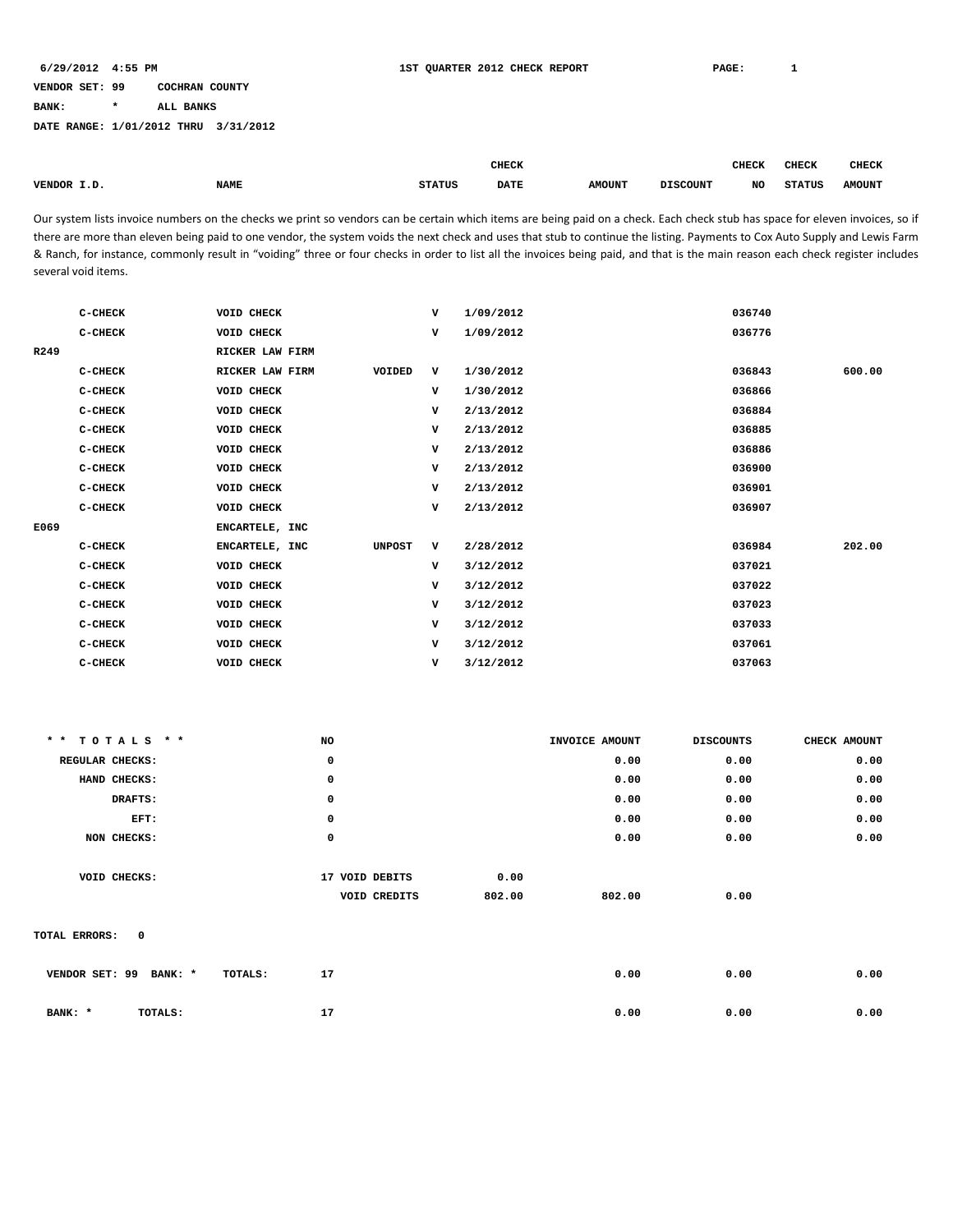**BANK: \* ALL BANKS**

**DATE RANGE: 1/01/2012 THRU 3/31/2012**

|               |             |               | CHECK<br>_____ |                    |                      | CHECK | <b>CHECK</b>  | CHECK              |
|---------------|-------------|---------------|----------------|--------------------|----------------------|-------|---------------|--------------------|
| <b>VENDOR</b> | <b>NAME</b> | <b>STATUS</b> | <b>DATE</b>    | <b>AMOUNT</b><br>. | <b>DISCOUNT</b><br>. | NO    | <b>STATUS</b> | <b>AMOUNT</b><br>. |

Our system lists invoice numbers on the checks we print so vendors can be certain which items are being paid on a check. Each check stub has space for eleven invoices, so if there are more than eleven being paid to one vendor, the system voids the next check and uses that stub to continue the listing. Payments to Cox Auto Supply and Lewis Farm & Ranch, for instance, commonly result in "voiding" three or four checks in order to list all the invoices being paid, and that is the main reason each check register includes several void items.

|      | $C-CHECK$ | <b>VOID CHECK</b> |               | v           | 1/09/2012 | 036740 |        |
|------|-----------|-------------------|---------------|-------------|-----------|--------|--------|
|      | $C-CHECK$ | VOID CHECK        |               | $\mathbf v$ | 1/09/2012 | 036776 |        |
| R249 |           | RICKER LAW FIRM   |               |             |           |        |        |
|      | $C-CHECK$ | RICKER LAW FIRM   | VOIDED        | v           | 1/30/2012 | 036843 | 600.00 |
|      | $C-CHECK$ | <b>VOID CHECK</b> |               | v           | 1/30/2012 | 036866 |        |
|      | $C-CHECK$ | <b>VOID CHECK</b> |               | v           | 2/13/2012 | 036884 |        |
|      | $C-CHECK$ | <b>VOID CHECK</b> |               | $\mathbf v$ | 2/13/2012 | 036885 |        |
|      | $C-CHECK$ | <b>VOID CHECK</b> |               | v           | 2/13/2012 | 036886 |        |
|      | $C-CHECK$ | <b>VOID CHECK</b> |               | v           | 2/13/2012 | 036900 |        |
|      | $C-CHECK$ | <b>VOID CHECK</b> |               | v           | 2/13/2012 | 036901 |        |
|      | $C-CHECK$ | <b>VOID CHECK</b> |               | v           | 2/13/2012 | 036907 |        |
| E069 |           | ENCARTELE, INC    |               |             |           |        |        |
|      | $C-CHECK$ | ENCARTELE, INC    | <b>UNPOST</b> | v           | 2/28/2012 | 036984 | 202.00 |
|      | $C-CHECK$ | <b>VOID CHECK</b> |               | v           | 3/12/2012 | 037021 |        |
|      | $C-CHECK$ | <b>VOID CHECK</b> |               | v           | 3/12/2012 | 037022 |        |
|      | $C-CHECK$ | <b>VOID CHECK</b> |               | v           | 3/12/2012 | 037023 |        |
|      | $C-CHECK$ | <b>VOID CHECK</b> |               | v           | 3/12/2012 | 037033 |        |
|      | $C-CHECK$ | <b>VOID CHECK</b> |               | v           | 3/12/2012 | 037061 |        |
|      | $C-CHECK$ | <b>VOID CHECK</b> |               | v           | 3/12/2012 | 037063 |        |

| CHECK AMOUNT | <b>DISCOUNTS</b> | INVOICE AMOUNT |        | NO             | * * TOTALS * *  |
|--------------|------------------|----------------|--------|----------------|-----------------|
| 0.00         | 0.00             | 0.00           |        | 0              | REGULAR CHECKS: |
| 0.00         | 0.00             | 0.00           |        | 0              | HAND CHECKS:    |
| 0.00         | 0.00             | 0.00           |        | 0              | DRAFTS:         |
| 0.00         | 0.00             | 0.00           |        | 0              | EFT:            |
| 0.00         | 0.00             | 0.00           |        | 0              | NON CHECKS:     |
|              |                  |                |        |                |                 |
|              |                  |                | 0.00   | 17 VOID DEBITS | VOID CHECKS:    |
|              | 0.00             | 802.00         | 802.00 | VOID CREDITS   |                 |
|              |                  |                |        |                |                 |
|              |                  |                |        |                |                 |

**TOTAL ERRORS: 0**

| VENDOR SET: 99 | BANK: *<br>TOTALS: | 17<br>. . | 0.00 | 0.00 | 0.00 |
|----------------|--------------------|-----------|------|------|------|
| BANK: *        | TOTALS:            | 17<br>. . | 0.00 | 0.00 | 0.00 |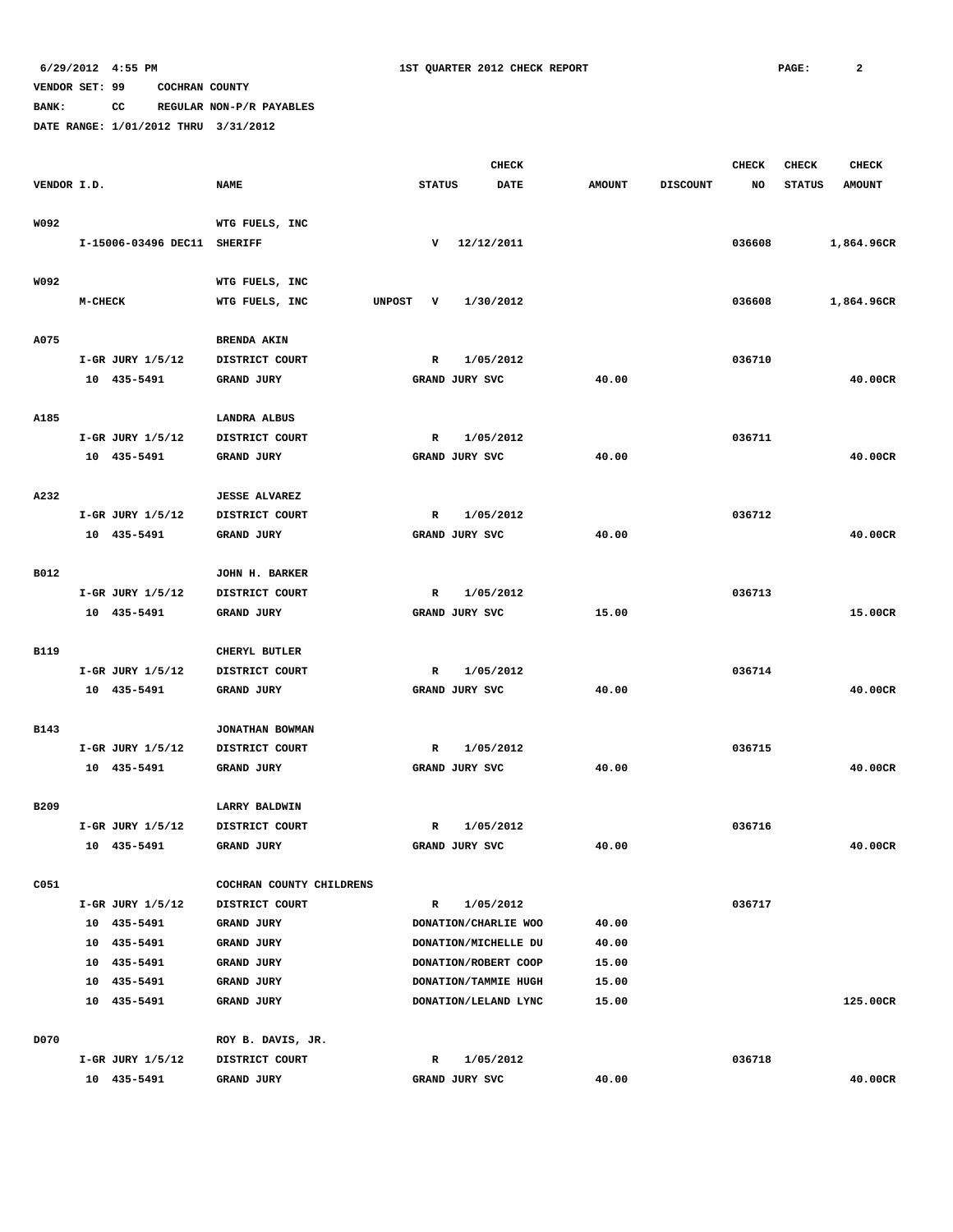**BANK: CC REGULAR NON-P/R PAYABLES**

|             |                      |                                 |                | <b>CHECK</b>         |               |                 | <b>CHECK</b> | <b>CHECK</b>  | <b>CHECK</b>  |
|-------------|----------------------|---------------------------------|----------------|----------------------|---------------|-----------------|--------------|---------------|---------------|
| VENDOR I.D. |                      | <b>NAME</b>                     | <b>STATUS</b>  | <b>DATE</b>          | <b>AMOUNT</b> | <b>DISCOUNT</b> | NO           | <b>STATUS</b> | <b>AMOUNT</b> |
|             |                      |                                 |                |                      |               |                 |              |               |               |
| W092        |                      | WTG FUELS, INC                  |                |                      |               |                 |              |               |               |
|             | I-15006-03496 DEC11  | <b>SHERIFF</b>                  | v              | 12/12/2011           |               |                 | 036608       |               | 1,864.96CR    |
|             |                      |                                 |                |                      |               |                 |              |               |               |
| W092        |                      | WTG FUELS, INC                  |                |                      |               |                 |              |               |               |
|             | M-CHECK              | WTG FUELS, INC<br><b>UNPOST</b> | v              | 1/30/2012            |               |                 | 036608       |               | 1,864.96CR    |
| A075        |                      | <b>BRENDA AKIN</b>              |                |                      |               |                 |              |               |               |
|             | I-GR JURY 1/5/12     | DISTRICT COURT                  | R              | 1/05/2012            |               |                 | 036710       |               |               |
|             | 10 435-5491          | GRAND JURY                      | GRAND JURY SVC |                      | 40.00         |                 |              |               | 40.00CR       |
|             |                      |                                 |                |                      |               |                 |              |               |               |
| A185        |                      | LANDRA ALBUS                    |                |                      |               |                 |              |               |               |
|             | I-GR JURY 1/5/12     | DISTRICT COURT                  | $\mathbb{R}$   | 1/05/2012            |               |                 | 036711       |               |               |
|             | 10 435-5491          | GRAND JURY                      | GRAND JURY SVC |                      | 40.00         |                 |              |               | 40.00CR       |
|             |                      |                                 |                |                      |               |                 |              |               |               |
| A232        |                      | <b>JESSE ALVAREZ</b>            |                |                      |               |                 |              |               |               |
|             | $I-GR$ JURY $1/5/12$ | DISTRICT COURT                  | R              | 1/05/2012            |               |                 | 036712       |               |               |
|             | 10 435-5491          | GRAND JURY                      | GRAND JURY SVC |                      | 40.00         |                 |              |               | 40.00CR       |
|             |                      |                                 |                |                      |               |                 |              |               |               |
| B012        |                      | JOHN H. BARKER                  |                |                      |               |                 |              |               |               |
|             | $I-GR$ JURY $1/5/12$ | DISTRICT COURT                  | R              | 1/05/2012            |               |                 | 036713       |               |               |
|             | 10 435-5491          | GRAND JURY                      | GRAND JURY SVC |                      | 15.00         |                 |              |               | 15.00CR       |
| B119        |                      | CHERYL BUTLER                   |                |                      |               |                 |              |               |               |
|             | $I-GR$ JURY $1/5/12$ | DISTRICT COURT                  | $\mathbb{R}$   | 1/05/2012            |               |                 | 036714       |               |               |
|             | 10 435-5491          | GRAND JURY                      | GRAND JURY SVC |                      | 40.00         |                 |              |               | 40.00CR       |
|             |                      |                                 |                |                      |               |                 |              |               |               |
| B143        |                      | JONATHAN BOWMAN                 |                |                      |               |                 |              |               |               |
|             | I-GR JURY 1/5/12     | DISTRICT COURT                  | R              | 1/05/2012            |               |                 | 036715       |               |               |
|             | 10 435-5491          | GRAND JURY                      | GRAND JURY SVC |                      | 40.00         |                 |              |               | 40.00CR       |
|             |                      |                                 |                |                      |               |                 |              |               |               |
| B209        |                      | <b>LARRY BALDWIN</b>            |                |                      |               |                 |              |               |               |
|             | I-GR JURY 1/5/12     | DISTRICT COURT                  | R              | 1/05/2012            |               |                 | 036716       |               |               |
|             | 10 435-5491          | GRAND JURY                      | GRAND JURY SVC |                      | 40.00         |                 |              |               | 40.00CR       |
|             |                      |                                 |                |                      |               |                 |              |               |               |
| C051        |                      | COCHRAN COUNTY CHILDRENS        |                |                      |               |                 |              |               |               |
|             | $I-GR$ JURY $1/5/12$ | DISTRICT COURT                  | $\mathbb{R}$   | 1/05/2012            |               |                 | 036717       |               |               |
|             | 10 435-5491          | GRAND JURY                      |                | DONATION/CHARLIE WOO | 40.00         |                 |              |               |               |
|             | 10 435-5491          | GRAND JURY                      |                | DONATION/MICHELLE DU | 40.00         |                 |              |               |               |
|             | 10 435-5491          | GRAND JURY                      |                | DONATION/ROBERT COOP | 15.00         |                 |              |               |               |
|             | 10 435-5491          | GRAND JURY                      |                | DONATION/TAMMIE HUGH | 15.00         |                 |              |               |               |
|             | 10 435-5491          | GRAND JURY                      |                | DONATION/LELAND LYNC | 15.00         |                 |              |               | 125.00CR      |
| D070        |                      | ROY B. DAVIS, JR.               |                |                      |               |                 |              |               |               |
|             | $I-GR$ JURY $1/5/12$ | DISTRICT COURT                  | R              | 1/05/2012            |               |                 | 036718       |               |               |
|             | 10 435-5491          | GRAND JURY                      | GRAND JURY SVC |                      | 40.00         |                 |              |               | 40.00CR       |
|             |                      |                                 |                |                      |               |                 |              |               |               |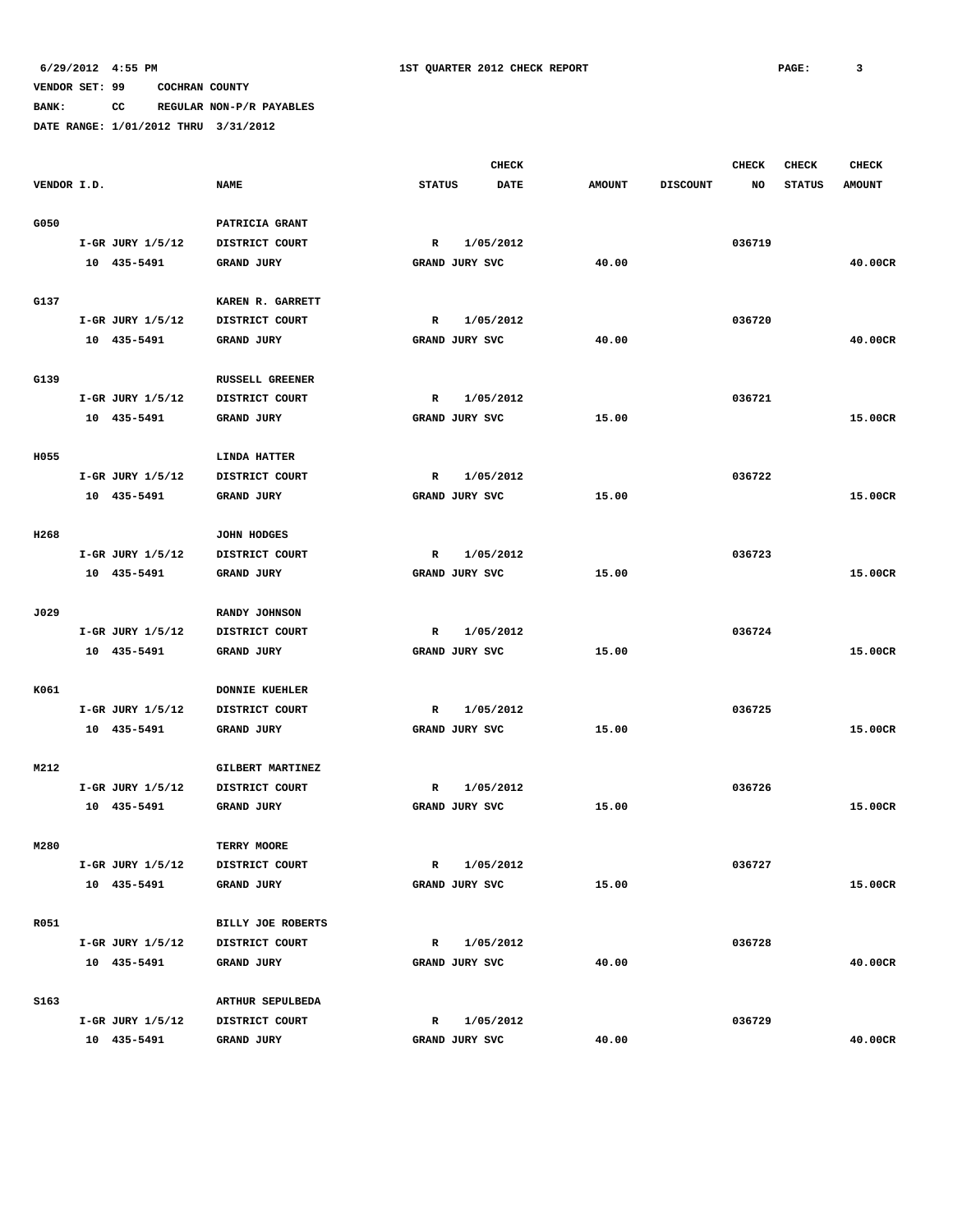**BANK: CC REGULAR NON-P/R PAYABLES**

|             |                      |                        |               |                | <b>CHECK</b> |               |                 | CHECK  | <b>CHECK</b>  | CHECK         |
|-------------|----------------------|------------------------|---------------|----------------|--------------|---------------|-----------------|--------|---------------|---------------|
| VENDOR I.D. |                      | <b>NAME</b>            | <b>STATUS</b> |                | <b>DATE</b>  | <b>AMOUNT</b> | <b>DISCOUNT</b> | NO     | <b>STATUS</b> | <b>AMOUNT</b> |
| G050        |                      | PATRICIA GRANT         |               |                |              |               |                 |        |               |               |
|             | $I-GR$ JURY $1/5/12$ | DISTRICT COURT         | $\mathbb{R}$  | 1/05/2012      |              |               |                 | 036719 |               |               |
|             | 10 435-5491          | GRAND JURY             |               | GRAND JURY SVC |              | 40.00         |                 |        |               | 40.00CR       |
| G137        |                      | KAREN R. GARRETT       |               |                |              |               |                 |        |               |               |
|             | $I-GR$ JURY $1/5/12$ | DISTRICT COURT         | R             | 1/05/2012      |              |               |                 | 036720 |               |               |
|             | 10 435-5491          | GRAND JURY             |               | GRAND JURY SVC |              | 40.00         |                 |        |               | 40.00CR       |
| G139        |                      | <b>RUSSELL GREENER</b> |               |                |              |               |                 |        |               |               |
|             | $I-GR$ JURY $1/5/12$ | DISTRICT COURT         | R             | 1/05/2012      |              |               |                 | 036721 |               |               |
|             | 10 435-5491          | GRAND JURY             |               | GRAND JURY SVC |              | 15.00         |                 |        |               | 15.00CR       |
| H055        |                      | LINDA HATTER           |               |                |              |               |                 |        |               |               |
|             | $I-GR$ JURY $1/5/12$ | DISTRICT COURT         | R             | 1/05/2012      |              |               |                 | 036722 |               |               |
|             | 10 435-5491          | <b>GRAND JURY</b>      |               | GRAND JURY SVC |              | 15.00         |                 |        |               | 15.00CR       |
| H268        |                      | JOHN HODGES            |               |                |              |               |                 |        |               |               |
|             | $I-GR$ JURY $1/5/12$ | DISTRICT COURT         | R             | 1/05/2012      |              |               |                 | 036723 |               |               |
|             | 10 435-5491          | <b>GRAND JURY</b>      |               | GRAND JURY SVC |              | 15.00         |                 |        |               | 15.00CR       |
|             |                      |                        |               |                |              |               |                 |        |               |               |
| J029        |                      | RANDY JOHNSON          |               |                |              |               |                 |        |               |               |
|             | $I-GR$ JURY $1/5/12$ | DISTRICT COURT         | $\mathbb{R}$  | 1/05/2012      |              |               |                 | 036724 |               |               |
|             | 10 435-5491          | GRAND JURY             |               | GRAND JURY SVC |              | 15.00         |                 |        |               | 15.00CR       |
| K061        |                      | <b>DONNIE KUEHLER</b>  |               |                |              |               |                 |        |               |               |
|             | $I-GR$ JURY $1/5/12$ | DISTRICT COURT         | R             | 1/05/2012      |              |               |                 | 036725 |               |               |
|             | 10 435-5491          | GRAND JURY             |               | GRAND JURY SVC |              | 15.00         |                 |        |               | 15.00CR       |
| M212        |                      | GILBERT MARTINEZ       |               |                |              |               |                 |        |               |               |
|             | $I-GR$ JURY $1/5/12$ | DISTRICT COURT         | R             | 1/05/2012      |              |               |                 | 036726 |               |               |
|             | 10 435-5491          | <b>GRAND JURY</b>      |               | GRAND JURY SVC |              | 15.00         |                 |        |               | 15.00CR       |
|             |                      |                        |               |                |              |               |                 |        |               |               |
| M280        |                      | TERRY MOORE            |               |                |              |               |                 |        |               |               |
|             | I-GR JURY 1/5/12     | DISTRICT COURT         | R             | 1/05/2012      |              |               |                 | 036727 |               |               |
|             | 10 435-5491          | GRAND JURY             |               | GRAND JURY SVC |              | 15.00         |                 |        |               | 15.00CR       |
| R051        |                      | BILLY JOE ROBERTS      |               |                |              |               |                 |        |               |               |
|             | $I-GR$ JURY $1/5/12$ | DISTRICT COURT         | R             | 1/05/2012      |              |               |                 | 036728 |               |               |
|             | 10 435-5491          | GRAND JURY             |               | GRAND JURY SVC |              | 40.00         |                 |        |               | 40.00CR       |
| S163        |                      | ARTHUR SEPULBEDA       |               |                |              |               |                 |        |               |               |
|             | $I-GR$ JURY $1/5/12$ | DISTRICT COURT         | R             | 1/05/2012      |              |               |                 | 036729 |               |               |
|             | 10 435-5491          | GRAND JURY             |               | GRAND JURY SVC |              | 40.00         |                 |        |               | 40.00CR       |
|             |                      |                        |               |                |              |               |                 |        |               |               |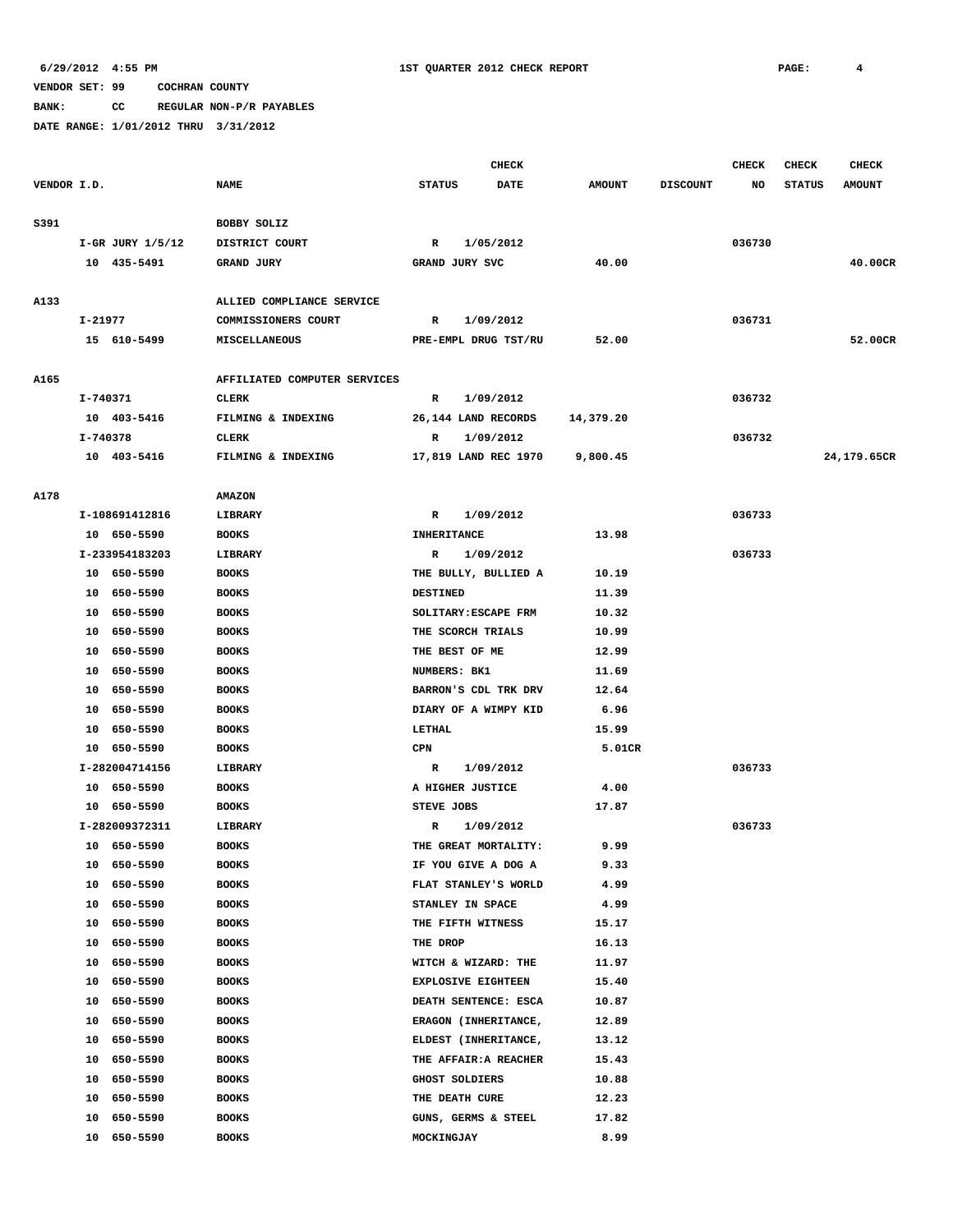**BANK: CC REGULAR NON-P/R PAYABLES**

|             |          |                      |                              | <b>CHECK</b>       |                           |               |                 | <b>CHECK</b> | <b>CHECK</b>  | <b>CHECK</b>  |
|-------------|----------|----------------------|------------------------------|--------------------|---------------------------|---------------|-----------------|--------------|---------------|---------------|
| VENDOR I.D. |          |                      | <b>NAME</b>                  | <b>STATUS</b>      | DATE                      | <b>AMOUNT</b> | <b>DISCOUNT</b> | NO           | <b>STATUS</b> | <b>AMOUNT</b> |
|             |          |                      |                              |                    |                           |               |                 |              |               |               |
| S391        |          |                      | BOBBY SOLIZ                  |                    |                           |               |                 |              |               |               |
|             |          | $I-GR$ JURY $1/5/12$ | DISTRICT COURT               | R                  | 1/05/2012                 |               |                 | 036730       |               |               |
|             |          | 10 435-5491          | GRAND JURY                   |                    | GRAND JURY SVC            | 40.00         |                 |              |               | 40.00CR       |
|             |          |                      |                              |                    |                           |               |                 |              |               |               |
| A133        |          |                      | ALLIED COMPLIANCE SERVICE    |                    |                           |               |                 |              |               |               |
|             | I-21977  |                      | COMMISSIONERS COURT          | R                  | 1/09/2012                 |               |                 | 036731       |               |               |
|             |          | 15 610-5499          | MISCELLANEOUS                |                    | PRE-EMPL DRUG TST/RU      | 52.00         |                 |              |               | 52.00CR       |
|             |          |                      |                              |                    |                           |               |                 |              |               |               |
| A165        |          |                      | AFFILIATED COMPUTER SERVICES |                    |                           |               |                 |              |               |               |
|             | I-740371 |                      | CLERK                        | R                  | 1/09/2012                 |               |                 | 036732       |               |               |
|             |          | 10 403-5416          | FILMING & INDEXING           |                    | 26,144 LAND RECORDS       | 14,379.20     |                 |              |               |               |
|             | I-740378 |                      | CLERK                        | R                  | 1/09/2012                 |               |                 | 036732       |               |               |
|             |          | 10 403-5416          | FILMING & INDEXING           |                    | 17,819 LAND REC 1970      | 9,800.45      |                 |              |               | 24,179.65CR   |
|             |          |                      |                              |                    |                           |               |                 |              |               |               |
| A178        |          |                      | <b>AMAZON</b>                |                    |                           |               |                 |              |               |               |
|             |          | I-108691412816       | LIBRARY                      | R                  | 1/09/2012                 |               |                 | 036733       |               |               |
|             |          | 10 650-5590          | <b>BOOKS</b>                 | <b>INHERITANCE</b> |                           | 13.98         |                 |              |               |               |
|             |          | I-233954183203       | LIBRARY                      | R                  | 1/09/2012                 |               |                 | 036733       |               |               |
|             |          | 10 650-5590          | <b>BOOKS</b>                 |                    | THE BULLY, BULLIED A      | 10.19         |                 |              |               |               |
|             |          | 10 650-5590          | <b>BOOKS</b>                 | <b>DESTINED</b>    |                           | 11.39         |                 |              |               |               |
|             |          | 10 650-5590          | <b>BOOKS</b>                 |                    | SOLITARY: ESCAPE FRM      | 10.32         |                 |              |               |               |
|             |          | 10 650-5590          | <b>BOOKS</b>                 |                    | THE SCORCH TRIALS         | 10.99         |                 |              |               |               |
|             |          | 10 650-5590          | <b>BOOKS</b>                 |                    | THE BEST OF ME            | 12.99         |                 |              |               |               |
|             |          | 10 650-5590          | <b>BOOKS</b>                 | NUMBERS: BK1       |                           | 11.69         |                 |              |               |               |
|             |          | 10 650-5590          | <b>BOOKS</b>                 |                    | BARRON'S CDL TRK DRV      | 12.64         |                 |              |               |               |
|             |          | 10 650-5590          | <b>BOOKS</b>                 |                    | DIARY OF A WIMPY KID      | 6.96          |                 |              |               |               |
|             |          | 10 650-5590          | <b>BOOKS</b>                 | LETHAL             |                           | 15.99         |                 |              |               |               |
|             |          | 10 650-5590          | <b>BOOKS</b>                 | CPN                |                           | 5.01CR        |                 |              |               |               |
|             |          | I-282004714156       | LIBRARY                      | $\mathbb{R}$       | 1/09/2012                 |               |                 | 036733       |               |               |
|             |          | 10 650-5590          | <b>BOOKS</b>                 |                    | A HIGHER JUSTICE          | 4.00          |                 |              |               |               |
|             |          | 10 650-5590          | <b>BOOKS</b>                 | STEVE JOBS         |                           | 17.87         |                 |              |               |               |
|             |          | I-282009372311       | LIBRARY                      | R                  | 1/09/2012                 |               |                 | 036733       |               |               |
|             |          | 10 650-5590          | <b>BOOKS</b>                 |                    | THE GREAT MORTALITY:      | 9.99          |                 |              |               |               |
|             |          | 10 650-5590          | <b>BOOKS</b>                 |                    | IF YOU GIVE A DOG A       | 9.33          |                 |              |               |               |
|             |          | 10 650-5590          | <b>BOOKS</b>                 |                    | FLAT STANLEY'S WORLD      | 4.99          |                 |              |               |               |
|             |          | 10 650-5590          | <b>BOOKS</b>                 |                    | STANLEY IN SPACE          | 4.99          |                 |              |               |               |
|             |          | 10 650-5590          | <b>BOOKS</b>                 |                    | THE FIFTH WITNESS         | 15.17         |                 |              |               |               |
|             |          | 10 650-5590          | <b>BOOKS</b>                 | THE DROP           |                           | 16.13         |                 |              |               |               |
|             |          | 10 650-5590          | <b>BOOKS</b>                 |                    | WITCH & WIZARD: THE       | 11.97         |                 |              |               |               |
|             |          | 10 650-5590          | <b>BOOKS</b>                 |                    | <b>EXPLOSIVE EIGHTEEN</b> | 15.40         |                 |              |               |               |
|             |          | 10 650-5590          | <b>BOOKS</b>                 |                    | DEATH SENTENCE: ESCA      | 10.87         |                 |              |               |               |
|             |          | 10 650-5590          | <b>BOOKS</b>                 |                    | ERAGON (INHERITANCE,      | 12.89         |                 |              |               |               |
|             |          | 10 650-5590          | <b>BOOKS</b>                 |                    | ELDEST (INHERITANCE,      | 13.12         |                 |              |               |               |
|             |          | 10 650-5590          | <b>BOOKS</b>                 |                    | THE AFFAIR: A REACHER     | 15.43         |                 |              |               |               |
|             |          | 10 650-5590          | <b>BOOKS</b>                 |                    | GHOST SOLDIERS            | 10.88         |                 |              |               |               |
|             |          | 10 650-5590          | <b>BOOKS</b>                 |                    | THE DEATH CURE            | 12.23         |                 |              |               |               |
|             |          | 10 650-5590          | <b>BOOKS</b>                 |                    | GUNS, GERMS & STEEL       | 17.82         |                 |              |               |               |
|             |          | 10 650-5590          | <b>BOOKS</b>                 | <b>MOCKINGJAY</b>  |                           | 8.99          |                 |              |               |               |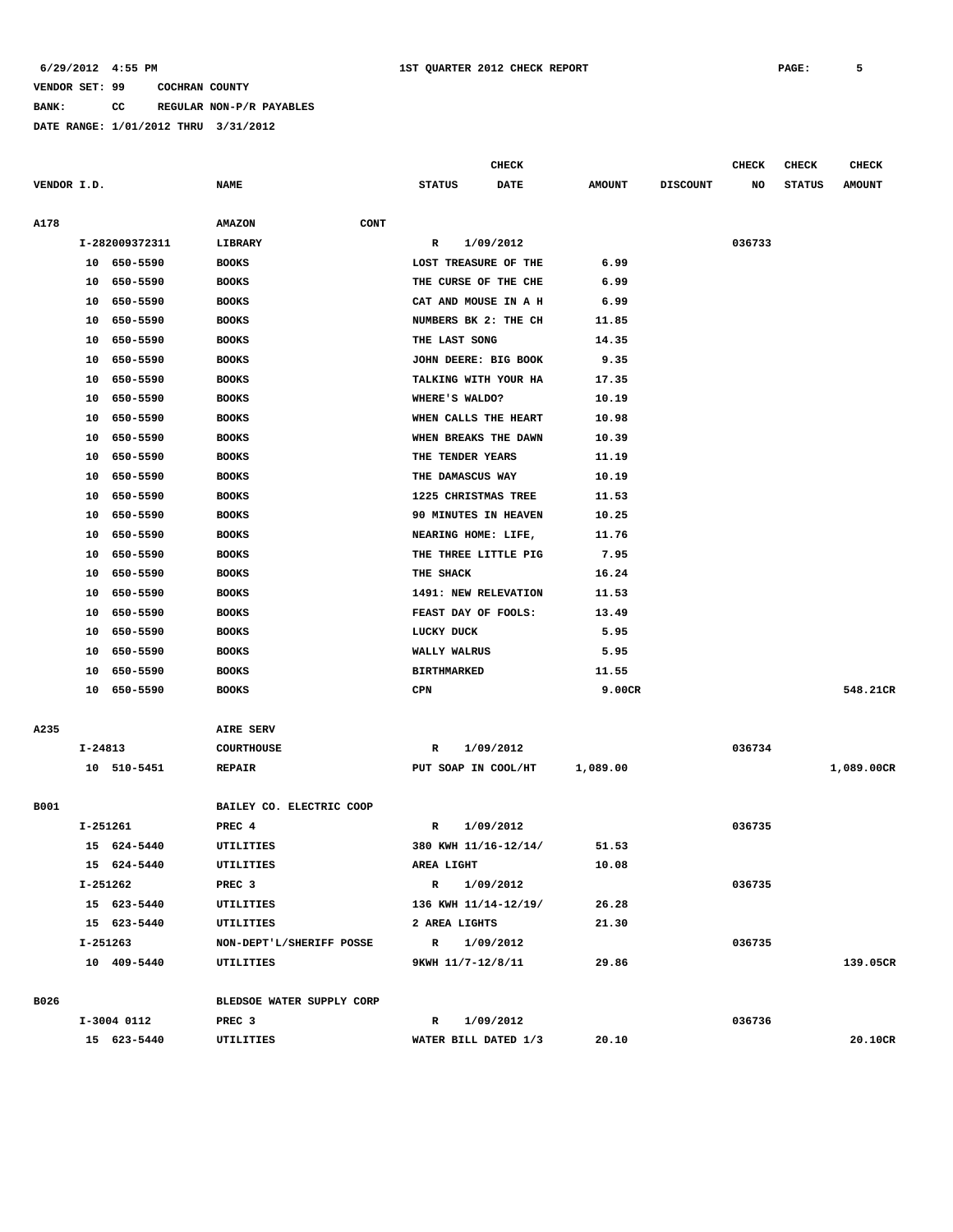## **BANK: CC REGULAR NON-P/R PAYABLES**

|             |                |                           | <b>CHECK</b>                 |               | CHECK                 | <b>CHECK</b><br><b>CHECK</b>   |
|-------------|----------------|---------------------------|------------------------------|---------------|-----------------------|--------------------------------|
| VENDOR I.D. |                | <b>NAME</b>               | <b>STATUS</b><br><b>DATE</b> | <b>AMOUNT</b> | <b>DISCOUNT</b><br>NO | <b>STATUS</b><br><b>AMOUNT</b> |
|             |                |                           |                              |               |                       |                                |
| A178        |                | <b>AMAZON</b><br>CONT     |                              |               |                       |                                |
|             | I-282009372311 | LIBRARY                   | 1/09/2012<br>R               |               | 036733                |                                |
|             | 10 650-5590    | <b>BOOKS</b>              | LOST TREASURE OF THE         | 6.99          |                       |                                |
|             | 10 650-5590    | <b>BOOKS</b>              | THE CURSE OF THE CHE         | 6.99          |                       |                                |
|             | 650-5590<br>10 | <b>BOOKS</b>              | CAT AND MOUSE IN A H         | 6.99          |                       |                                |
|             | 650-5590<br>10 | <b>BOOKS</b>              | NUMBERS BK 2: THE CH         | 11.85         |                       |                                |
|             | 650-5590<br>10 | <b>BOOKS</b>              | THE LAST SONG                | 14.35         |                       |                                |
|             | 10<br>650-5590 | <b>BOOKS</b>              | JOHN DEERE: BIG BOOK         | 9.35          |                       |                                |
|             | 650-5590<br>10 | <b>BOOKS</b>              | TALKING WITH YOUR HA         | 17.35         |                       |                                |
|             | 10<br>650-5590 | <b>BOOKS</b>              | WHERE'S WALDO?               | 10.19         |                       |                                |
|             | 10<br>650-5590 | <b>BOOKS</b>              | WHEN CALLS THE HEART         | 10.98         |                       |                                |
|             | 650-5590<br>10 | <b>BOOKS</b>              | WHEN BREAKS THE DAWN         | 10.39         |                       |                                |
|             | 650-5590<br>10 | <b>BOOKS</b>              | THE TENDER YEARS             | 11.19         |                       |                                |
|             | 10<br>650-5590 | <b>BOOKS</b>              | THE DAMASCUS WAY             | 10.19         |                       |                                |
|             | 650-5590<br>10 | <b>BOOKS</b>              | 1225 CHRISTMAS TREE          | 11.53         |                       |                                |
|             | 650-5590<br>10 | <b>BOOKS</b>              | 90 MINUTES IN HEAVEN         | 10.25         |                       |                                |
|             | 10<br>650-5590 | <b>BOOKS</b>              | NEARING HOME: LIFE,          | 11.76         |                       |                                |
|             | 650-5590<br>10 | <b>BOOKS</b>              | THE THREE LITTLE PIG         | 7.95          |                       |                                |
|             | 650-5590<br>10 | <b>BOOKS</b>              | THE SHACK                    | 16.24         |                       |                                |
|             | 10<br>650-5590 | <b>BOOKS</b>              | 1491: NEW RELEVATION         | 11.53         |                       |                                |
|             | 650-5590<br>10 | <b>BOOKS</b>              | FEAST DAY OF FOOLS:          | 13.49         |                       |                                |
|             | 10<br>650-5590 | <b>BOOKS</b>              | LUCKY DUCK                   | 5.95          |                       |                                |
|             | 10<br>650-5590 | <b>BOOKS</b>              | WALLY WALRUS                 | 5.95          |                       |                                |
|             | 650-5590<br>10 | <b>BOOKS</b>              | <b>BIRTHMARKED</b>           | 11.55         |                       |                                |
|             | 10 650-5590    | <b>BOOKS</b>              | CPN                          | 9.00CR        |                       | 548.21CR                       |
|             |                |                           |                              |               |                       |                                |
| A235        |                | AIRE SERV                 |                              |               |                       |                                |
|             | I-24813        | <b>COURTHOUSE</b>         | 1/09/2012<br>R               |               | 036734                |                                |
|             | 10 510-5451    | <b>REPAIR</b>             | PUT SOAP IN COOL/HT          | 1,089.00      |                       | 1,089.00CR                     |
| B001        |                | BAILEY CO. ELECTRIC COOP  |                              |               |                       |                                |
|             | I-251261       | PREC 4                    | R<br>1/09/2012               |               | 036735                |                                |
|             | 15 624-5440    | UTILITIES                 | 380 KWH 11/16-12/14/         | 51.53         |                       |                                |
|             | 15 624-5440    | UTILITIES                 | AREA LIGHT                   | 10.08         |                       |                                |
|             | I-251262       | PREC 3                    | $\mathbb{R}$<br>1/09/2012    |               | 036735                |                                |
|             | 15 623-5440    | UTILITIES                 | 136 KWH 11/14-12/19/         | 26.28         |                       |                                |
|             | 15 623-5440    | <b>UTILITIES</b>          | 2 AREA LIGHTS                | 21.30         |                       |                                |
|             | I-251263       | NON-DEPT'L/SHERIFF POSSE  | R 1/09/2012                  |               | 036735                |                                |
|             | 10 409-5440    | UTILITIES                 | 9KWH 11/7-12/8/11            | 29.86         |                       | 139.05CR                       |
|             |                |                           |                              |               |                       |                                |
| B026        |                | BLEDSOE WATER SUPPLY CORP |                              |               |                       |                                |
|             | I-3004 0112    | PREC 3                    | 1/09/2012<br>$\mathbb{R}$    |               | 036736                |                                |
|             | 15 623-5440    | UTILITIES                 | WATER BILL DATED 1/3         | 20.10         |                       | 20.10CR                        |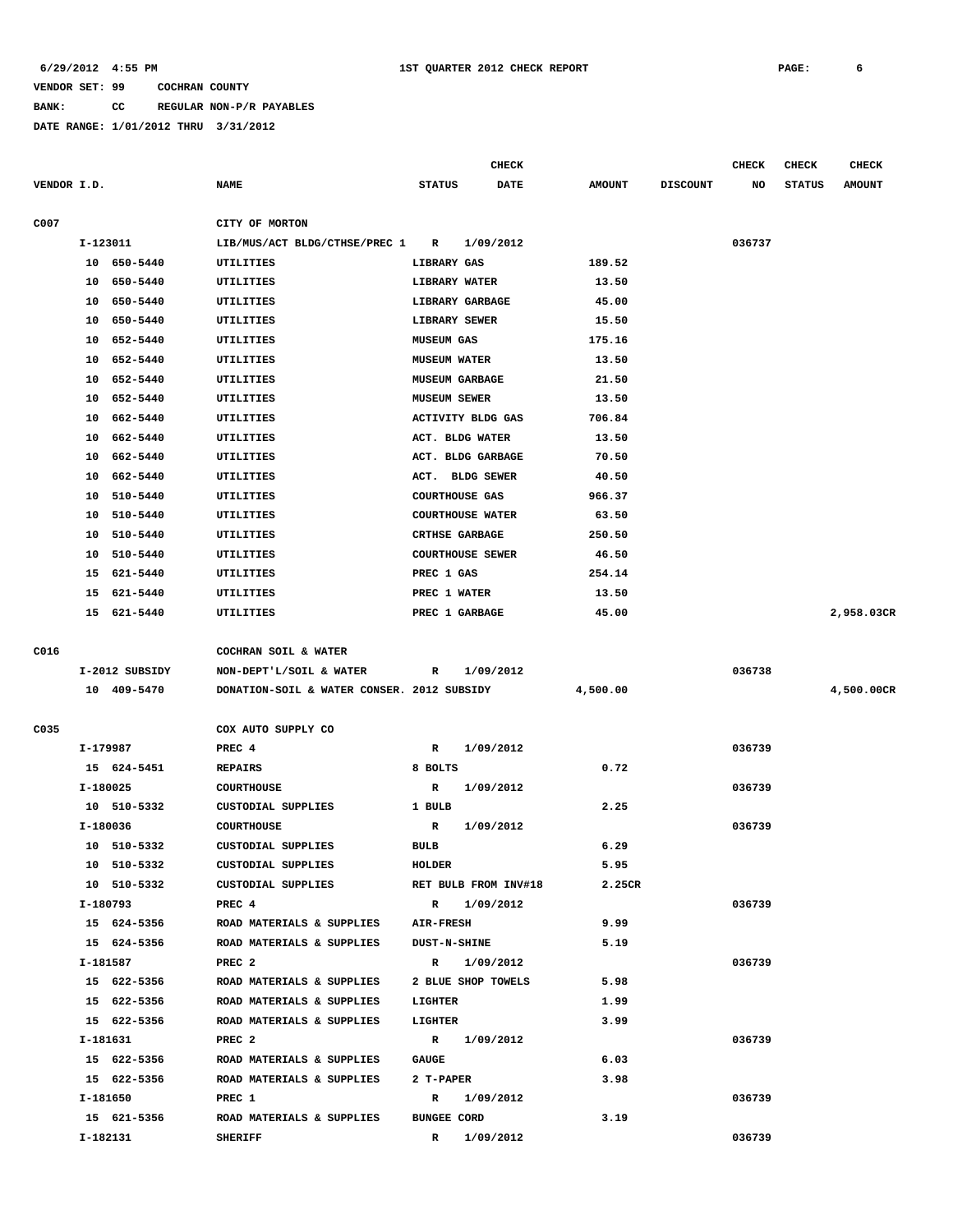**BANK: CC REGULAR NON-P/R PAYABLES**

|             |                |                                            | <b>CHECK</b>                 |               |                 | <b>CHECK</b> | <b>CHECK</b>  | <b>CHECK</b>  |
|-------------|----------------|--------------------------------------------|------------------------------|---------------|-----------------|--------------|---------------|---------------|
| VENDOR I.D. |                | <b>NAME</b>                                | <b>STATUS</b><br><b>DATE</b> | <b>AMOUNT</b> | <b>DISCOUNT</b> | NO           | <b>STATUS</b> | <b>AMOUNT</b> |
| C007        |                | CITY OF MORTON                             |                              |               |                 |              |               |               |
|             | I-123011       | LIB/MUS/ACT BLDG/CTHSE/PREC 1              | 1/09/2012<br>R               |               |                 | 036737       |               |               |
|             | 10 650-5440    | UTILITIES                                  | LIBRARY GAS                  | 189.52        |                 |              |               |               |
|             | 10<br>650-5440 | UTILITIES                                  | LIBRARY WATER                | 13.50         |                 |              |               |               |
|             | 650-5440<br>10 | UTILITIES                                  | LIBRARY GARBAGE              | 45.00         |                 |              |               |               |
|             | 650-5440<br>10 | UTILITIES                                  | <b>LIBRARY SEWER</b>         | 15.50         |                 |              |               |               |
|             | 652-5440<br>10 | UTILITIES                                  | <b>MUSEUM GAS</b>            | 175.16        |                 |              |               |               |
|             | 652-5440<br>10 | UTILITIES                                  | <b>MUSEUM WATER</b>          | 13.50         |                 |              |               |               |
|             | 652-5440<br>10 | <b>UTILITIES</b>                           | <b>MUSEUM GARBAGE</b>        | 21.50         |                 |              |               |               |
|             | 652-5440<br>10 | UTILITIES                                  | <b>MUSEUM SEWER</b>          | 13.50         |                 |              |               |               |
|             | 662-5440<br>10 | UTILITIES                                  | ACTIVITY BLDG GAS            | 706.84        |                 |              |               |               |
|             | 662-5440<br>10 | UTILITIES                                  | ACT. BLDG WATER              | 13.50         |                 |              |               |               |
|             | 662-5440<br>10 | UTILITIES                                  | ACT. BLDG GARBAGE            | 70.50         |                 |              |               |               |
|             | 662-5440<br>10 | UTILITIES                                  | ACT. BLDG SEWER              | 40.50         |                 |              |               |               |
|             | 510-5440<br>10 | UTILITIES                                  | <b>COURTHOUSE GAS</b>        | 966.37        |                 |              |               |               |
|             | 510-5440<br>10 | UTILITIES                                  | <b>COURTHOUSE WATER</b>      | 63.50         |                 |              |               |               |
|             | 510-5440<br>10 | UTILITIES                                  | <b>CRTHSE GARBAGE</b>        | 250.50        |                 |              |               |               |
|             | 510-5440<br>10 | UTILITIES                                  | <b>COURTHOUSE SEWER</b>      | 46.50         |                 |              |               |               |
|             | 621-5440<br>15 | UTILITIES                                  | PREC 1 GAS                   | 254.14        |                 |              |               |               |
|             | 621-5440<br>15 | <b>UTILITIES</b>                           | PREC 1 WATER                 | 13.50         |                 |              |               |               |
|             | 15 621-5440    | UTILITIES                                  | PREC 1 GARBAGE               | 45.00         |                 |              |               | 2,958.03CR    |
|             |                |                                            |                              |               |                 |              |               |               |
| C016        |                | COCHRAN SOIL & WATER                       |                              |               |                 |              |               |               |
|             | I-2012 SUBSIDY | NON-DEPT'L/SOIL & WATER                    | 1/09/2012<br>R               |               |                 | 036738       |               |               |
|             | 10 409-5470    | DONATION-SOIL & WATER CONSER. 2012 SUBSIDY |                              | 4,500.00      |                 |              |               | 4,500.00CR    |
|             |                |                                            |                              |               |                 |              |               |               |
| C035        |                | COX AUTO SUPPLY CO                         |                              |               |                 |              |               |               |
|             | I-179987       | PREC 4                                     | R<br>1/09/2012               |               |                 | 036739       |               |               |
|             | 15 624-5451    | <b>REPAIRS</b>                             | 8 BOLTS                      | 0.72          |                 |              |               |               |
|             | I-180025       | <b>COURTHOUSE</b>                          | 1/09/2012<br>R               |               |                 | 036739       |               |               |
|             | 10 510-5332    | CUSTODIAL SUPPLIES                         | 1 BULB                       | 2.25          |                 |              |               |               |
|             | I-180036       | <b>COURTHOUSE</b>                          | 1/09/2012<br>R               |               |                 | 036739       |               |               |
|             | 10 510-5332    | CUSTODIAL SUPPLIES                         | <b>BULB</b>                  | 6.29          |                 |              |               |               |
|             | 10 510-5332    | CUSTODIAL SUPPLIES                         | <b>HOLDER</b>                | 5.95          |                 |              |               |               |
|             | 10 510-5332    | CUSTODIAL SUPPLIES                         | RET BULB FROM INV#18         | 2.25CR        |                 |              |               |               |
|             | I-180793       | PREC 4                                     | R 1/09/2012                  |               |                 | 036739       |               |               |
|             | 15 624-5356    | ROAD MATERIALS & SUPPLIES                  | <b>AIR-FRESH</b>             | 9.99          |                 |              |               |               |
|             | 15 624-5356    | ROAD MATERIALS & SUPPLIES                  | <b>DUST-N-SHINE</b>          | 5.19          |                 |              |               |               |
|             | I-181587       | PREC <sub>2</sub>                          | R 1/09/2012                  |               |                 | 036739       |               |               |
|             | 15 622-5356    | ROAD MATERIALS & SUPPLIES                  | 2 BLUE SHOP TOWELS           | 5.98          |                 |              |               |               |
|             | 15 622-5356    | ROAD MATERIALS & SUPPLIES                  | LIGHTER                      | 1.99          |                 |              |               |               |
|             | 15 622-5356    | ROAD MATERIALS & SUPPLIES                  | LIGHTER                      | 3.99          |                 |              |               |               |
|             | I-181631       | PREC <sub>2</sub>                          | R 1/09/2012                  |               |                 | 036739       |               |               |
|             | 15 622-5356    | ROAD MATERIALS & SUPPLIES                  | <b>GAUGE</b>                 | 6.03          |                 |              |               |               |
|             | 15 622-5356    | ROAD MATERIALS & SUPPLIES                  | 2 T-PAPER                    | 3.98          |                 |              |               |               |
|             | I-181650       | PREC 1                                     | 1/09/2012<br>$\mathbf{R}$    |               |                 | 036739       |               |               |
|             | 15 621-5356    | ROAD MATERIALS & SUPPLIES                  | <b>BUNGEE CORD</b>           | 3.19          |                 |              |               |               |
|             | I-182131       | <b>SHERIFF</b>                             | R 1/09/2012                  |               |                 | 036739       |               |               |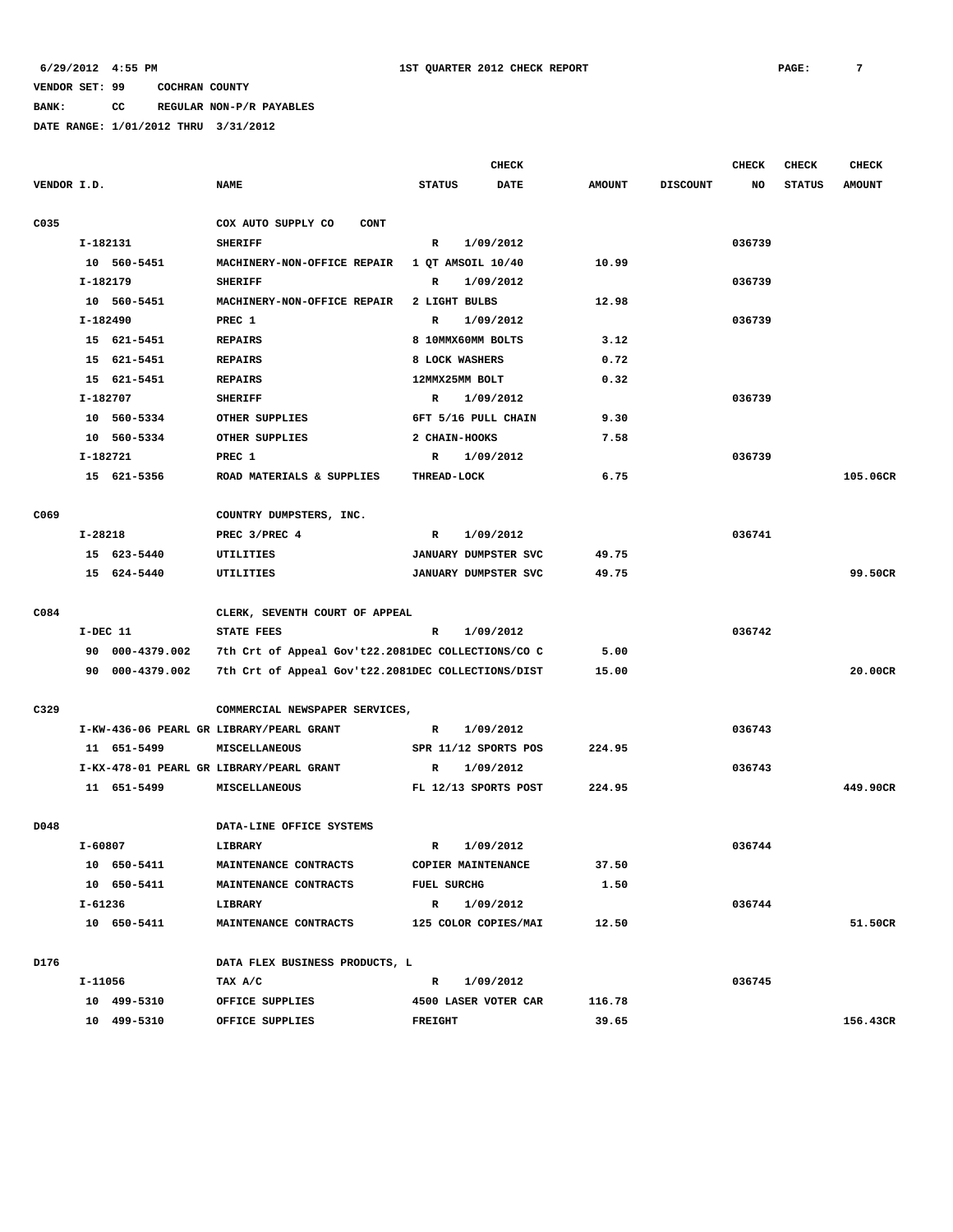**BANK: CC REGULAR NON-P/R PAYABLES**

|             |          |                 |                                                    |                    | <b>CHECK</b>         |               |                 | <b>CHECK</b> | <b>CHECK</b>  | <b>CHECK</b>  |
|-------------|----------|-----------------|----------------------------------------------------|--------------------|----------------------|---------------|-----------------|--------------|---------------|---------------|
| VENDOR I.D. |          |                 | <b>NAME</b>                                        | <b>STATUS</b>      | <b>DATE</b>          | <b>AMOUNT</b> | <b>DISCOUNT</b> | NO           | <b>STATUS</b> | <b>AMOUNT</b> |
| C035        |          |                 | COX AUTO SUPPLY CO<br><b>CONT</b>                  |                    |                      |               |                 |              |               |               |
|             | I-182131 |                 | <b>SHERIFF</b>                                     | $\mathbb{R}$       | 1/09/2012            |               |                 | 036739       |               |               |
|             |          | 10 560-5451     | MACHINERY-NON-OFFICE REPAIR                        |                    | 1 QT AMSOIL 10/40    | 10.99         |                 |              |               |               |
|             | I-182179 |                 | <b>SHERIFF</b>                                     | R                  | 1/09/2012            |               |                 | 036739       |               |               |
|             |          | 10 560-5451     | MACHINERY-NON-OFFICE REPAIR                        |                    | 2 LIGHT BULBS        | 12.98         |                 |              |               |               |
|             | I-182490 |                 | PREC 1                                             | $\mathbb{R}$       | 1/09/2012            |               |                 | 036739       |               |               |
|             |          | 15 621-5451     | <b>REPAIRS</b>                                     |                    | 8 10MMX60MM BOLTS    | 3.12          |                 |              |               |               |
|             |          | 15 621-5451     | <b>REPAIRS</b>                                     |                    | 8 LOCK WASHERS       | 0.72          |                 |              |               |               |
|             |          | 15 621-5451     | <b>REPAIRS</b>                                     |                    | 12MMX25MM BOLT       | 0.32          |                 |              |               |               |
|             | I-182707 |                 | <b>SHERIFF</b>                                     | R                  | 1/09/2012            |               |                 | 036739       |               |               |
|             |          | 10 560-5334     | OTHER SUPPLIES                                     |                    | 6FT 5/16 PULL CHAIN  | 9.30          |                 |              |               |               |
|             |          | 10 560-5334     | OTHER SUPPLIES                                     |                    | 2 CHAIN-HOOKS        | 7.58          |                 |              |               |               |
|             | I-182721 |                 | PREC 1                                             | R                  | 1/09/2012            |               |                 | 036739       |               |               |
|             |          | 15 621-5356     | ROAD MATERIALS & SUPPLIES                          | <b>THREAD-LOCK</b> |                      | 6.75          |                 |              |               | 105.06CR      |
| C069        |          |                 | COUNTRY DUMPSTERS, INC.                            |                    |                      |               |                 |              |               |               |
|             | I-28218  |                 | PREC 3/PREC 4                                      | R                  | 1/09/2012            |               |                 | 036741       |               |               |
|             |          | 15 623-5440     | UTILITIES                                          |                    | JANUARY DUMPSTER SVC | 49.75         |                 |              |               |               |
|             |          | 15 624-5440     | UTILITIES                                          |                    | JANUARY DUMPSTER SVC | 49.75         |                 |              |               | 99.50CR       |
| C084        |          |                 | CLERK, SEVENTH COURT OF APPEAL                     |                    |                      |               |                 |              |               |               |
|             | I-DEC 11 |                 | <b>STATE FEES</b>                                  | $\mathbb{R}$       | 1/09/2012            |               |                 | 036742       |               |               |
|             |          | 90 000-4379.002 | 7th Crt of Appeal Gov't22.2081DEC COLLECTIONS/CO C |                    |                      | 5.00          |                 |              |               |               |
|             |          | 90 000-4379.002 | 7th Crt of Appeal Gov't22.2081DEC COLLECTIONS/DIST |                    |                      | 15.00         |                 |              |               | 20.00CR       |
| C329        |          |                 | COMMERCIAL NEWSPAPER SERVICES,                     |                    |                      |               |                 |              |               |               |
|             |          |                 | I-KW-436-06 PEARL GR LIBRARY/PEARL GRANT           | $\mathbb{R}$       | 1/09/2012            |               |                 | 036743       |               |               |
|             |          | 11 651-5499     | MISCELLANEOUS                                      |                    | SPR 11/12 SPORTS POS | 224.95        |                 |              |               |               |
|             |          |                 | I-KX-478-01 PEARL GR LIBRARY/PEARL GRANT           | R                  | 1/09/2012            |               |                 | 036743       |               |               |
|             |          | 11 651-5499     | MISCELLANEOUS                                      |                    | FL 12/13 SPORTS POST | 224.95        |                 |              |               | 449.90CR      |
| D048        |          |                 | DATA-LINE OFFICE SYSTEMS                           |                    |                      |               |                 |              |               |               |
|             | I-60807  |                 | LIBRARY                                            | $\mathbb{R}$       | 1/09/2012            |               |                 | 036744       |               |               |
|             |          | 10 650-5411     | MAINTENANCE CONTRACTS                              |                    | COPIER MAINTENANCE   | 37.50         |                 |              |               |               |
|             |          | 10 650-5411     | MAINTENANCE CONTRACTS                              | <b>FUEL SURCHG</b> |                      | 1.50          |                 |              |               |               |
|             |          | I-61236         | <b>LIBRARY</b>                                     | $\mathbb{R}$       | 1/09/2012            |               |                 | 036744       |               |               |
|             |          | 10 650-5411     | MAINTENANCE CONTRACTS                              |                    | 125 COLOR COPIES/MAI | 12.50         |                 |              |               | 51.50CR       |
| D176        |          |                 | DATA FLEX BUSINESS PRODUCTS, L                     |                    |                      |               |                 |              |               |               |
|             | I-11056  |                 | TAX A/C                                            | $\mathbb{R}$       | 1/09/2012            |               |                 | 036745       |               |               |
|             |          | 10 499-5310     | OFFICE SUPPLIES                                    |                    | 4500 LASER VOTER CAR | 116.78        |                 |              |               |               |
|             |          | 10 499-5310     | OFFICE SUPPLIES                                    | <b>FREIGHT</b>     |                      | 39.65         |                 |              |               | 156.43CR      |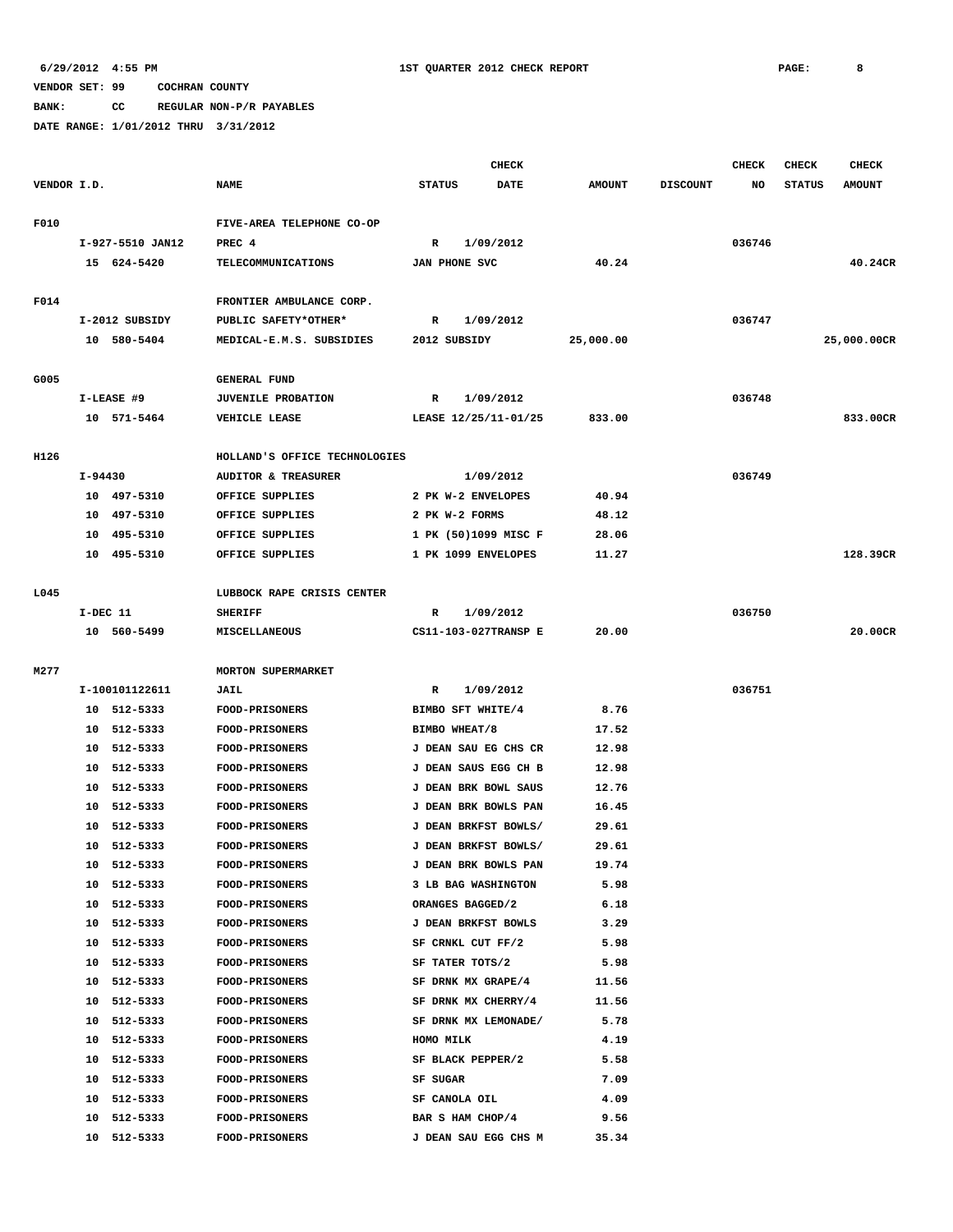**BANK: CC REGULAR NON-P/R PAYABLES**

|             |                            |                                            | <b>CHECK</b>              |             |               |                 | CHECK  | <b>CHECK</b>  | <b>CHECK</b>  |
|-------------|----------------------------|--------------------------------------------|---------------------------|-------------|---------------|-----------------|--------|---------------|---------------|
| VENDOR I.D. |                            | <b>NAME</b>                                | <b>STATUS</b>             | <b>DATE</b> | <b>AMOUNT</b> | <b>DISCOUNT</b> | NO     | <b>STATUS</b> | <b>AMOUNT</b> |
|             |                            |                                            |                           |             |               |                 |        |               |               |
| F010        |                            | FIVE-AREA TELEPHONE CO-OP                  |                           |             |               |                 |        |               |               |
|             | I-927-5510 JAN12           | PREC 4                                     | R                         | 1/09/2012   |               |                 | 036746 |               |               |
|             | 15 624-5420                | TELECOMMUNICATIONS                         | JAN PHONE SVC             |             | 40.24         |                 |        |               | 40.24CR       |
|             |                            |                                            |                           |             |               |                 |        |               |               |
| F014        |                            | FRONTIER AMBULANCE CORP.                   |                           |             |               |                 |        |               |               |
|             | I-2012 SUBSIDY             | PUBLIC SAFETY*OTHER*                       | R                         | 1/09/2012   |               |                 | 036747 |               |               |
|             | 10 580-5404                | MEDICAL-E.M.S. SUBSIDIES                   | 2012 SUBSIDY              |             | 25,000.00     |                 |        |               | 25,000.00CR   |
|             |                            |                                            |                           |             |               |                 |        |               |               |
| G005        |                            | <b>GENERAL FUND</b>                        |                           |             |               |                 |        |               |               |
|             | I-LEASE #9<br>10 571-5464  | <b>JUVENILE PROBATION</b><br>VEHICLE LEASE | R<br>LEASE 12/25/11-01/25 | 1/09/2012   | 833.00        |                 | 036748 |               | 833.00CR      |
|             |                            |                                            |                           |             |               |                 |        |               |               |
| H126        |                            | HOLLAND'S OFFICE TECHNOLOGIES              |                           |             |               |                 |        |               |               |
|             | I-94430                    | <b>AUDITOR &amp; TREASURER</b>             |                           | 1/09/2012   |               |                 | 036749 |               |               |
|             | 10 497-5310                | OFFICE SUPPLIES                            | 2 PK W-2 ENVELOPES        |             | 40.94         |                 |        |               |               |
|             | 10 497-5310                | OFFICE SUPPLIES                            | 2 PK W-2 FORMS            |             | 48.12         |                 |        |               |               |
|             | 10 495-5310                | OFFICE SUPPLIES                            | 1 PK (50)1099 MISC F      |             | 28.06         |                 |        |               |               |
|             | 10 495-5310                | OFFICE SUPPLIES                            | 1 PK 1099 ENVELOPES       |             | 11.27         |                 |        |               | 128.39CR      |
|             |                            |                                            |                           |             |               |                 |        |               |               |
| L045        |                            | LUBBOCK RAPE CRISIS CENTER                 |                           |             |               |                 |        |               |               |
|             | I-DEC 11                   | <b>SHERIFF</b>                             | R                         | 1/09/2012   |               |                 | 036750 |               |               |
|             | 10 560-5499                | MISCELLANEOUS                              | CS11-103-027TRANSP E      |             | 20.00         |                 |        |               | 20.00CR       |
|             |                            |                                            |                           |             |               |                 |        |               |               |
| M277        |                            | <b>MORTON SUPERMARKET</b>                  |                           |             |               |                 |        |               |               |
|             | I-100101122611             | JAIL                                       | R                         | 1/09/2012   |               |                 | 036751 |               |               |
|             | 10 512-5333                | <b>FOOD-PRISONERS</b>                      | BIMBO SFT WHITE/4         |             | 8.76          |                 |        |               |               |
|             | 10 512-5333                | <b>FOOD-PRISONERS</b>                      | BIMBO WHEAT/8             |             | 17.52         |                 |        |               |               |
|             | 10 512-5333                | <b>FOOD-PRISONERS</b>                      | J DEAN SAU EG CHS CR      |             | 12.98         |                 |        |               |               |
|             | 10 512-5333                | FOOD-PRISONERS                             | J DEAN SAUS EGG CH B      |             | 12.98         |                 |        |               |               |
|             | 10 512-5333                | <b>FOOD-PRISONERS</b>                      | J DEAN BRK BOWL SAUS      |             | 12.76         |                 |        |               |               |
|             | 10 512-5333                | <b>FOOD-PRISONERS</b>                      | J DEAN BRK BOWLS PAN      |             | 16.45         |                 |        |               |               |
|             | 512-5333<br>10             | FOOD-PRISONERS                             | J DEAN BRKFST BOWLS/      |             | 29.61         |                 |        |               |               |
|             | 10 512-5333                | FOOD-PRISONERS                             | J DEAN BRKFST BOWLS/      |             | 29.61         |                 |        |               |               |
|             | 10 512-5333                | FOOD-PRISONERS                             | J DEAN BRK BOWLS PAN      |             | 19.74         |                 |        |               |               |
|             | 512-5333<br>10             | FOOD-PRISONERS                             | 3 LB BAG WASHINGTON       |             | 5.98          |                 |        |               |               |
|             | 512-5333<br>10             | <b>FOOD-PRISONERS</b>                      | ORANGES BAGGED/2          |             | 6.18          |                 |        |               |               |
|             | 10<br>512-5333             | <b>FOOD-PRISONERS</b>                      | J DEAN BRKFST BOWLS       |             | 3.29          |                 |        |               |               |
|             | 10 512-5333                | FOOD-PRISONERS                             | SF CRNKL CUT FF/2         |             | 5.98          |                 |        |               |               |
|             | 10 512-5333                | <b>FOOD-PRISONERS</b>                      | SF TATER TOTS/2           |             | 5.98          |                 |        |               |               |
|             | 10 512-5333                | <b>FOOD-PRISONERS</b>                      | SF DRNK MX GRAPE/4        |             | 11.56         |                 |        |               |               |
|             | 10 512-5333                | FOOD-PRISONERS                             | SF DRNK MX CHERRY/4       |             | 11.56         |                 |        |               |               |
|             | 512-5333<br>10             | FOOD-PRISONERS                             | SF DRNK MX LEMONADE/      |             | 5.78          |                 |        |               |               |
|             | 10<br>512-5333             | <b>FOOD-PRISONERS</b>                      | HOMO MILK                 |             | 4.19          |                 |        |               |               |
|             | 10 512-5333                | FOOD-PRISONERS                             | SF BLACK PEPPER/2         |             | 5.58<br>7.09  |                 |        |               |               |
|             | 10 512-5333<br>10 512-5333 | <b>FOOD-PRISONERS</b>                      | SF SUGAR<br>SF CANOLA OIL |             | 4.09          |                 |        |               |               |
|             | 512-5333<br>10             | <b>FOOD-PRISONERS</b><br>FOOD-PRISONERS    | BAR S HAM CHOP/4          |             | 9.56          |                 |        |               |               |
|             | 10 512-5333                | <b>FOOD-PRISONERS</b>                      | J DEAN SAU EGG CHS M      |             | 35.34         |                 |        |               |               |
|             |                            |                                            |                           |             |               |                 |        |               |               |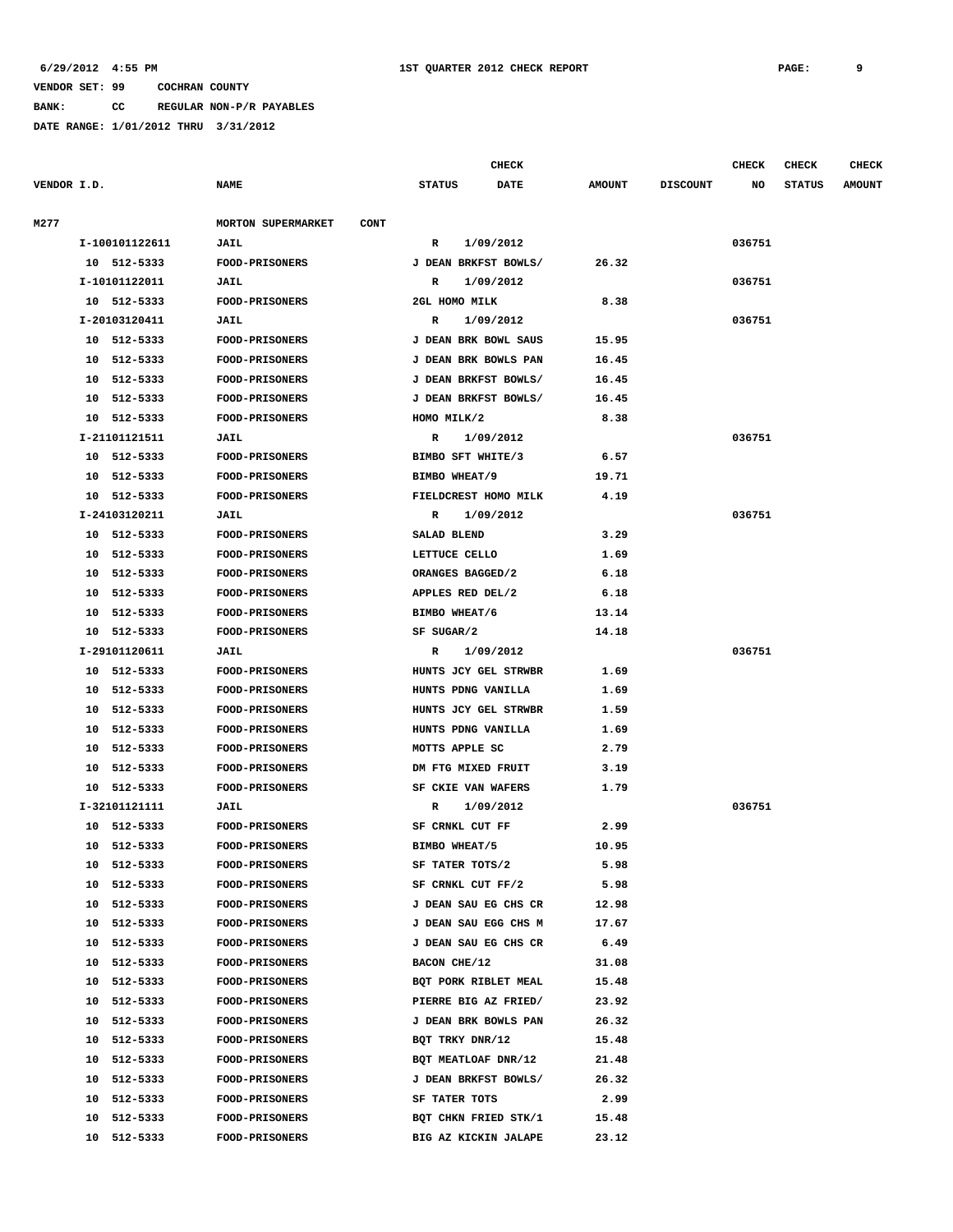**BANK: CC REGULAR NON-P/R PAYABLES**

|             |                |                                                |                    | <b>CHECK</b>         |                |                 | <b>CHECK</b> | <b>CHECK</b>  | <b>CHECK</b>  |
|-------------|----------------|------------------------------------------------|--------------------|----------------------|----------------|-----------------|--------------|---------------|---------------|
| VENDOR I.D. |                | <b>NAME</b>                                    | <b>STATUS</b>      | <b>DATE</b>          | <b>AMOUNT</b>  | <b>DISCOUNT</b> | NO           | <b>STATUS</b> | <b>AMOUNT</b> |
| M277        |                | <b>MORTON SUPERMARKET</b><br><b>CONT</b>       |                    |                      |                |                 |              |               |               |
|             | I-100101122611 | JAIL                                           | R                  | 1/09/2012            |                |                 | 036751       |               |               |
|             | 10 512-5333    | <b>FOOD-PRISONERS</b>                          |                    | J DEAN BRKFST BOWLS/ | 26.32          |                 |              |               |               |
|             | I-10101122011  | JAIL                                           | R                  | 1/09/2012            |                |                 | 036751       |               |               |
|             | 10 512-5333    | <b>FOOD-PRISONERS</b>                          | 2GL HOMO MILK      |                      | 8.38           |                 |              |               |               |
|             | I-20103120411  | JAIL                                           | R                  | 1/09/2012            |                |                 | 036751       |               |               |
|             | 10 512-5333    | <b>FOOD-PRISONERS</b>                          |                    | J DEAN BRK BOWL SAUS | 15.95          |                 |              |               |               |
|             | 10 512-5333    | <b>FOOD-PRISONERS</b>                          |                    | J DEAN BRK BOWLS PAN | 16.45          |                 |              |               |               |
|             | 10 512-5333    | <b>FOOD-PRISONERS</b>                          |                    | J DEAN BRKFST BOWLS/ | 16.45          |                 |              |               |               |
|             | 10 512-5333    | <b>FOOD-PRISONERS</b>                          |                    | J DEAN BRKFST BOWLS/ | 16.45          |                 |              |               |               |
|             | 10 512-5333    | <b>FOOD-PRISONERS</b>                          | HOMO MILK/2        |                      | 8.38           |                 |              |               |               |
|             | I-21101121511  | JAIL                                           | R                  | 1/09/2012            |                |                 | 036751       |               |               |
|             | 10 512-5333    | FOOD-PRISONERS                                 | BIMBO SFT WHITE/3  |                      | 6.57           |                 |              |               |               |
|             | 10 512-5333    | FOOD-PRISONERS                                 | BIMBO WHEAT/9      |                      | 19.71          |                 |              |               |               |
|             | 10 512-5333    | <b>FOOD-PRISONERS</b>                          |                    | FIELDCREST HOMO MILK | 4.19           |                 |              |               |               |
|             | I-24103120211  | JAIL                                           | R                  | 1/09/2012            |                |                 | 036751       |               |               |
|             | 10 512-5333    | <b>FOOD-PRISONERS</b>                          | SALAD BLEND        |                      | 3.29           |                 |              |               |               |
|             | 10 512-5333    | <b>FOOD-PRISONERS</b>                          | LETTUCE CELLO      |                      | 1.69           |                 |              |               |               |
|             | 10 512-5333    | <b>FOOD-PRISONERS</b>                          | ORANGES BAGGED/2   |                      | 6.18           |                 |              |               |               |
|             | 10 512-5333    | <b>FOOD-PRISONERS</b>                          | APPLES RED DEL/2   |                      | 6.18           |                 |              |               |               |
|             | 512-5333<br>10 | <b>FOOD-PRISONERS</b>                          | BIMBO WHEAT/6      |                      | 13.14          |                 |              |               |               |
|             | 10 512-5333    | <b>FOOD-PRISONERS</b>                          | SF SUGAR/2         |                      | 14.18          |                 |              |               |               |
|             | I-29101120611  | <b>JAIL</b>                                    | R                  | 1/09/2012            |                |                 | 036751       |               |               |
|             | 10 512-5333    | <b>FOOD-PRISONERS</b>                          |                    | HUNTS JCY GEL STRWBR | 1.69           |                 |              |               |               |
|             | 10 512-5333    | <b>FOOD-PRISONERS</b>                          | HUNTS PDNG VANILLA |                      | 1.69           |                 |              |               |               |
|             | 10 512-5333    | <b>FOOD-PRISONERS</b>                          |                    | HUNTS JCY GEL STRWBR | 1.59           |                 |              |               |               |
|             | 10 512-5333    | <b>FOOD-PRISONERS</b>                          | HUNTS PDNG VANILLA |                      | 1.69           |                 |              |               |               |
|             | 10 512-5333    | <b>FOOD-PRISONERS</b>                          | MOTTS APPLE SC     |                      | 2.79           |                 |              |               |               |
|             | 10<br>512-5333 | <b>FOOD-PRISONERS</b>                          | DM FTG MIXED FRUIT |                      | 3.19           |                 |              |               |               |
|             | 10 512-5333    | <b>FOOD-PRISONERS</b>                          | SF CKIE VAN WAFERS |                      | 1.79           |                 |              |               |               |
|             | I-32101121111  | <b>JAIL</b>                                    | R                  | 1/09/2012            |                |                 | 036751       |               |               |
|             | 10 512-5333    | <b>FOOD-PRISONERS</b>                          | SF CRNKL CUT FF    |                      | 2.99           |                 |              |               |               |
|             | 10 512-5333    | <b>FOOD-PRISONERS</b>                          | BIMBO WHEAT/5      |                      | 10.95          |                 |              |               |               |
|             | 10 512-5333    | <b>FOOD-PRISONERS</b>                          | SF TATER TOTS/2    |                      | 5.98           |                 |              |               |               |
|             | 10 512-5333    | <b>FOOD-PRISONERS</b>                          | SF CRNKL CUT FF/2  |                      | 5.98           |                 |              |               |               |
|             | 10 512-5333    | <b>FOOD-PRISONERS</b>                          |                    | J DEAN SAU EG CHS CR | 12.98          |                 |              |               |               |
|             | 10 512-5333    |                                                |                    | J DEAN SAU EGG CHS M | 17.67          |                 |              |               |               |
|             | 10 512-5333    | <b>FOOD-PRISONERS</b><br><b>FOOD-PRISONERS</b> |                    | J DEAN SAU EG CHS CR | 6.49           |                 |              |               |               |
|             |                |                                                | BACON CHE/12       |                      | 31.08          |                 |              |               |               |
|             | 10 512-5333    | <b>FOOD-PRISONERS</b>                          |                    |                      | 15.48          |                 |              |               |               |
|             | 10 512-5333    | <b>FOOD-PRISONERS</b>                          |                    | BQT PORK RIBLET MEAL |                |                 |              |               |               |
|             | 10 512-5333    | <b>FOOD-PRISONERS</b>                          |                    | PIERRE BIG AZ FRIED/ | 23.92          |                 |              |               |               |
|             | 10 512-5333    | <b>FOOD-PRISONERS</b>                          |                    | J DEAN BRK BOWLS PAN | 26.32<br>15.48 |                 |              |               |               |
|             | 10 512-5333    | <b>FOOD-PRISONERS</b>                          | BQT TRKY DNR/12    |                      |                |                 |              |               |               |
|             | 10 512-5333    | <b>FOOD-PRISONERS</b>                          |                    | BQT MEATLOAF DNR/12  | 21.48          |                 |              |               |               |
|             | 10 512-5333    | <b>FOOD-PRISONERS</b>                          |                    | J DEAN BRKFST BOWLS/ | 26.32          |                 |              |               |               |
|             | 10 512-5333    | <b>FOOD-PRISONERS</b>                          | SF TATER TOTS      |                      | 2.99           |                 |              |               |               |
|             | 512-5333<br>10 | <b>FOOD-PRISONERS</b>                          |                    | BQT CHKN FRIED STK/1 | 15.48          |                 |              |               |               |
|             | 10 512-5333    | <b>FOOD-PRISONERS</b>                          |                    | BIG AZ KICKIN JALAPE | 23.12          |                 |              |               |               |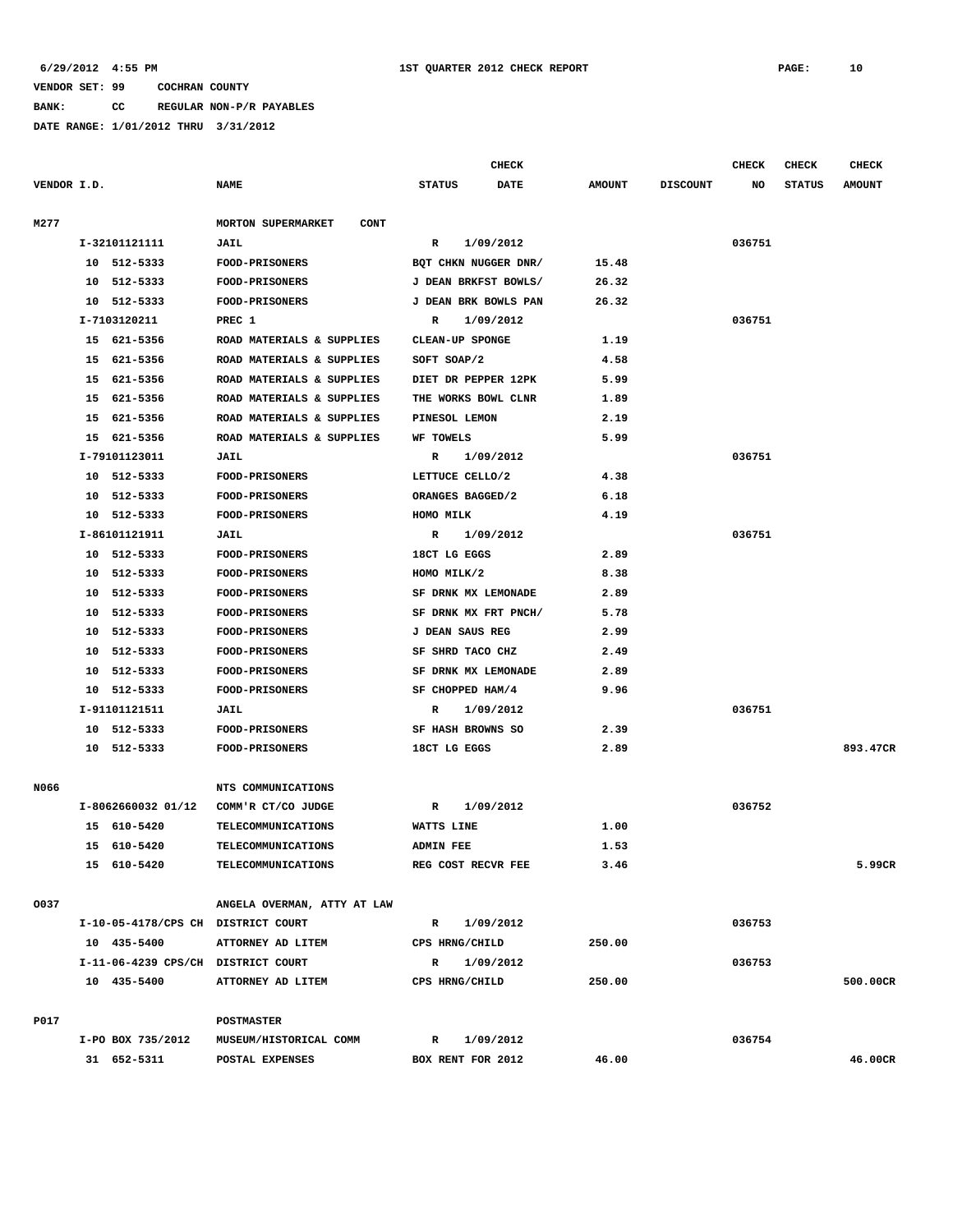**BANK: CC REGULAR NON-P/R PAYABLES**

|             |    |                                    |                                          |                      | <b>CHECK</b> |               |                 | CHECK  | <b>CHECK</b>  | <b>CHECK</b>  |
|-------------|----|------------------------------------|------------------------------------------|----------------------|--------------|---------------|-----------------|--------|---------------|---------------|
| VENDOR I.D. |    |                                    | <b>NAME</b>                              | <b>STATUS</b>        | <b>DATE</b>  | <b>AMOUNT</b> | <b>DISCOUNT</b> | NO     | <b>STATUS</b> | <b>AMOUNT</b> |
| M277        |    |                                    | MORTON SUPERMARKET<br><b>CONT</b>        |                      |              |               |                 |        |               |               |
|             |    | I-32101121111                      | JAIL                                     | R                    | 1/09/2012    |               |                 | 036751 |               |               |
|             |    | 10 512-5333                        | FOOD-PRISONERS                           | BQT CHKN NUGGER DNR/ |              | 15.48         |                 |        |               |               |
|             |    | 10 512-5333                        | FOOD-PRISONERS                           | J DEAN BRKFST BOWLS/ |              | 26.32         |                 |        |               |               |
|             |    | 10 512-5333                        | <b>FOOD-PRISONERS</b>                    | J DEAN BRK BOWLS PAN |              | 26.32         |                 |        |               |               |
|             |    | I-7103120211                       | PREC 1                                   | R                    | 1/09/2012    |               |                 | 036751 |               |               |
|             |    | 15 621-5356                        | ROAD MATERIALS & SUPPLIES                | CLEAN-UP SPONGE      |              | 1.19          |                 |        |               |               |
|             | 15 | 621-5356                           | ROAD MATERIALS & SUPPLIES                | SOFT SOAP/2          |              | 4.58          |                 |        |               |               |
|             | 15 | 621-5356                           | ROAD MATERIALS & SUPPLIES                | DIET DR PEPPER 12PK  |              | 5.99          |                 |        |               |               |
|             | 15 | 621-5356                           | ROAD MATERIALS & SUPPLIES                | THE WORKS BOWL CLNR  |              | 1.89          |                 |        |               |               |
|             | 15 | 621-5356                           | ROAD MATERIALS & SUPPLIES                | PINESOL LEMON        |              | 2.19          |                 |        |               |               |
|             |    | 15 621-5356                        | ROAD MATERIALS & SUPPLIES                | WF TOWELS            |              | 5.99          |                 |        |               |               |
|             |    | I-79101123011                      | JAIL                                     | R                    | 1/09/2012    |               |                 | 036751 |               |               |
|             |    | 10 512-5333                        | FOOD-PRISONERS                           | LETTUCE CELLO/2      |              | 4.38          |                 |        |               |               |
|             | 10 | 512-5333                           | <b>FOOD-PRISONERS</b>                    | ORANGES BAGGED/2     |              | 6.18          |                 |        |               |               |
|             | 10 | 512-5333                           | FOOD-PRISONERS                           | HOMO MILK            |              | 4.19          |                 |        |               |               |
|             |    | I-86101121911                      | JAIL                                     | R                    | 1/09/2012    |               |                 | 036751 |               |               |
|             |    | 10 512-5333                        | <b>FOOD-PRISONERS</b>                    | 18CT LG EGGS         |              | 2.89          |                 |        |               |               |
|             | 10 | 512-5333                           | FOOD-PRISONERS                           | HOMO MILK/2          |              | 8.38          |                 |        |               |               |
|             | 10 | 512-5333                           | FOOD-PRISONERS                           | SF DRNK MX LEMONADE  |              | 2.89          |                 |        |               |               |
|             | 10 | 512-5333                           | FOOD-PRISONERS                           | SF DRNK MX FRT PNCH/ |              | 5.78          |                 |        |               |               |
|             | 10 | 512-5333                           | FOOD-PRISONERS                           | J DEAN SAUS REG      |              | 2.99          |                 |        |               |               |
|             | 10 | 512-5333                           | <b>FOOD-PRISONERS</b>                    | SF SHRD TACO CHZ     |              | 2.49          |                 |        |               |               |
|             | 10 | 512-5333                           | <b>FOOD-PRISONERS</b>                    | SF DRNK MX LEMONADE  |              | 2.89          |                 |        |               |               |
|             |    | 10 512-5333                        | <b>FOOD-PRISONERS</b>                    | SF CHOPPED HAM/4     |              | 9.96          |                 |        |               |               |
|             |    | I-91101121511                      | JAIL                                     | R                    | 1/09/2012    |               |                 | 036751 |               |               |
|             |    | 10 512-5333                        | <b>FOOD-PRISONERS</b>                    | SF HASH BROWNS SO    |              | 2.39          |                 |        |               |               |
|             |    | 10 512-5333                        | <b>FOOD-PRISONERS</b>                    | 18CT LG EGGS         |              | 2.89          |                 |        |               | 893.47CR      |
|             |    |                                    |                                          |                      |              |               |                 |        |               |               |
| N066        |    | I-8062660032 01/12                 | NTS COMMUNICATIONS<br>COMM'R CT/CO JUDGE | R                    | 1/09/2012    |               |                 | 036752 |               |               |
|             | 15 | 610-5420                           | <b>TELECOMMUNICATIONS</b>                | WATTS LINE           |              | 1.00          |                 |        |               |               |
|             |    | 15 610-5420                        | <b>TELECOMMUNICATIONS</b>                | <b>ADMIN FEE</b>     |              | 1.53          |                 |        |               |               |
|             |    | 15 610-5420                        | TELECOMMUNICATIONS                       | REG COST RECVR FEE   |              | 3.46          |                 |        |               | 5.99CR        |
|             |    |                                    |                                          |                      |              |               |                 |        |               |               |
| 0037        |    |                                    | ANGELA OVERMAN, ATTY AT LAW              |                      |              |               |                 |        |               |               |
|             |    | I-10-05-4178/CPS CH DISTRICT COURT |                                          | R 1/09/2012          |              |               |                 | 036753 |               |               |
|             |    | 10 435-5400                        | ATTORNEY AD LITEM                        | CPS HRNG/CHILD       |              | 250.00        |                 |        |               |               |
|             |    |                                    | I-11-06-4239 CPS/CH DISTRICT COURT       | R 1/09/2012          |              |               |                 | 036753 |               |               |
|             |    | 10 435-5400                        | ATTORNEY AD LITEM                        | CPS HRNG/CHILD       |              | 250.00        |                 |        |               | 500.00CR      |
|             |    |                                    |                                          |                      |              |               |                 |        |               |               |
| P017        |    |                                    | POSTMASTER                               |                      |              |               |                 |        |               |               |
|             |    |                                    | I-PO BOX 735/2012 MUSEUM/HISTORICAL COMM | R 1/09/2012          |              |               |                 | 036754 |               |               |
|             |    | 31 652-5311                        | POSTAL EXPENSES                          | BOX RENT FOR 2012    |              | 46.00         |                 |        |               | 46.00CR       |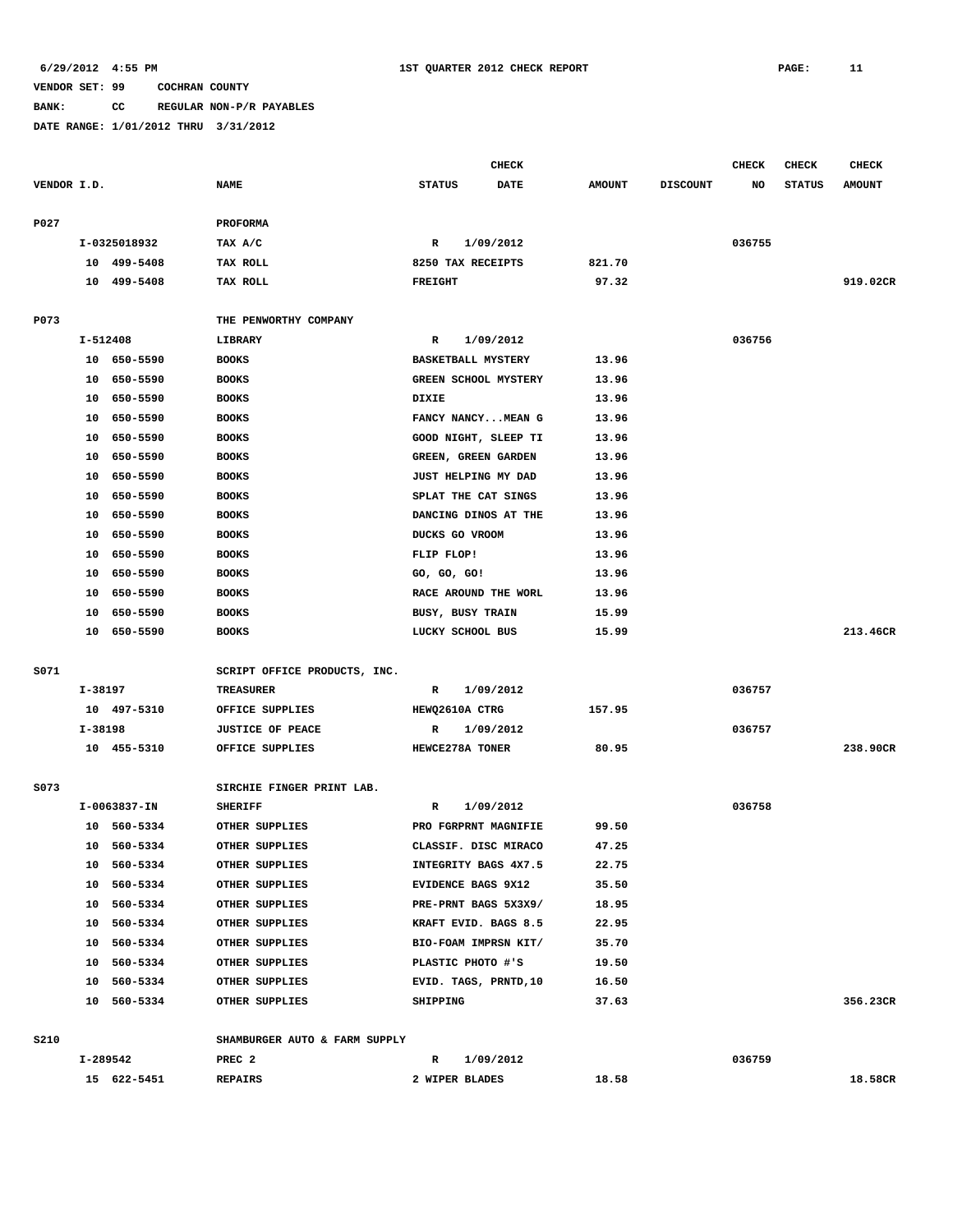**BANK: CC REGULAR NON-P/R PAYABLES**

|             |          |              |                               |                           | <b>CHECK</b>          |               |                 | CHECK  | CHECK         | <b>CHECK</b>  |
|-------------|----------|--------------|-------------------------------|---------------------------|-----------------------|---------------|-----------------|--------|---------------|---------------|
| VENDOR I.D. |          |              | <b>NAME</b>                   | <b>STATUS</b>             | <b>DATE</b>           | <b>AMOUNT</b> | <b>DISCOUNT</b> | NO     | <b>STATUS</b> | <b>AMOUNT</b> |
| P027        |          |              | <b>PROFORMA</b>               |                           |                       |               |                 |        |               |               |
|             |          | I-0325018932 | TAX A/C                       | R                         | 1/09/2012             |               |                 | 036755 |               |               |
|             |          | 10 499-5408  | TAX ROLL                      | 8250 TAX RECEIPTS         |                       | 821.70        |                 |        |               |               |
|             |          | 10 499-5408  | TAX ROLL                      | <b>FREIGHT</b>            |                       | 97.32         |                 |        |               | 919.02CR      |
|             |          |              |                               |                           |                       |               |                 |        |               |               |
| P073        |          |              | THE PENWORTHY COMPANY         |                           |                       |               |                 |        |               |               |
|             | I-512408 |              | LIBRARY                       | R                         | 1/09/2012             |               |                 | 036756 |               |               |
|             |          | 10 650-5590  | <b>BOOKS</b>                  | <b>BASKETBALL MYSTERY</b> |                       | 13.96         |                 |        |               |               |
|             | 10       | 650-5590     | <b>BOOKS</b>                  |                           | GREEN SCHOOL MYSTERY  | 13.96         |                 |        |               |               |
|             | 10       | 650-5590     | <b>BOOKS</b>                  | DIXIE                     |                       | 13.96         |                 |        |               |               |
|             | 10       | 650-5590     | <b>BOOKS</b>                  |                           | FANCY NANCYMEAN G     | 13.96         |                 |        |               |               |
|             | 10       | 650-5590     | <b>BOOKS</b>                  |                           | GOOD NIGHT, SLEEP TI  | 13.96         |                 |        |               |               |
|             | 10       | 650-5590     | <b>BOOKS</b>                  | GREEN, GREEN GARDEN       |                       | 13.96         |                 |        |               |               |
|             | 10       | 650-5590     | <b>BOOKS</b>                  | JUST HELPING MY DAD       |                       | 13.96         |                 |        |               |               |
|             | 10       | 650-5590     | <b>BOOKS</b>                  | SPLAT THE CAT SINGS       |                       | 13.96         |                 |        |               |               |
|             | 10       | 650-5590     | <b>BOOKS</b>                  |                           | DANCING DINOS AT THE  | 13.96         |                 |        |               |               |
|             | 10       | 650-5590     | <b>BOOKS</b>                  | DUCKS GO VROOM            |                       | 13.96         |                 |        |               |               |
|             | 10       | 650-5590     | <b>BOOKS</b>                  | FLIP FLOP!                |                       | 13.96         |                 |        |               |               |
|             | 10       | 650-5590     | <b>BOOKS</b>                  | GO, GO, GO!               |                       | 13.96         |                 |        |               |               |
|             | 10       | 650-5590     | <b>BOOKS</b>                  |                           | RACE AROUND THE WORL  | 13.96         |                 |        |               |               |
|             | 10       | 650-5590     | <b>BOOKS</b>                  | BUSY, BUSY TRAIN          |                       | 15.99         |                 |        |               |               |
|             |          | 10 650-5590  | <b>BOOKS</b>                  | LUCKY SCHOOL BUS          |                       | 15.99         |                 |        |               | 213.46CR      |
| S071        |          |              | SCRIPT OFFICE PRODUCTS, INC.  |                           |                       |               |                 |        |               |               |
|             | I-38197  |              | <b>TREASURER</b>              | R                         | 1/09/2012             |               |                 | 036757 |               |               |
|             |          | 10 497-5310  | OFFICE SUPPLIES               | HEWQ2610A CTRG            |                       | 157.95        |                 |        |               |               |
|             | I-38198  |              | <b>JUSTICE OF PEACE</b>       | R                         | 1/09/2012             |               |                 | 036757 |               |               |
|             |          | 10 455-5310  | OFFICE SUPPLIES               | HEWCE278A TONER           |                       | 80.95         |                 |        |               | 238.90CR      |
|             |          |              |                               |                           |                       |               |                 |        |               |               |
| S073        |          |              | SIRCHIE FINGER PRINT LAB.     |                           |                       |               |                 |        |               |               |
|             |          | I-0063837-IN | <b>SHERIFF</b>                | R                         | 1/09/2012             |               |                 | 036758 |               |               |
|             |          | 10 560-5334  | OTHER SUPPLIES                |                           | PRO FGRPRNT MAGNIFIE  | 99.50         |                 |        |               |               |
|             |          | 10 560-5334  | OTHER SUPPLIES                |                           | CLASSIF. DISC MIRACO  | 47.25         |                 |        |               |               |
|             |          | 10 560-5334  | OTHER SUPPLIES                |                           | INTEGRITY BAGS 4X7.5  | 22.75         |                 |        |               |               |
|             |          | 10 560-5334  | OTHER SUPPLIES                | <b>EVIDENCE BAGS 9X12</b> |                       | 35.50         |                 |        |               |               |
|             |          | 10 560-5334  | OTHER SUPPLIES                |                           | PRE-PRNT BAGS 5X3X9/  | 18.95         |                 |        |               |               |
|             |          | 10 560-5334  | OTHER SUPPLIES                |                           | KRAFT EVID. BAGS 8.5  | 22.95         |                 |        |               |               |
|             |          | 10 560-5334  | OTHER SUPPLIES                |                           | BIO-FOAM IMPRSN KIT/  | 35.70         |                 |        |               |               |
|             |          | 10 560-5334  | OTHER SUPPLIES                | PLASTIC PHOTO #'S         |                       | 19.50         |                 |        |               |               |
|             |          | 10 560-5334  | OTHER SUPPLIES                |                           | EVID. TAGS, PRNTD, 10 | 16.50         |                 |        |               |               |
|             |          | 10 560-5334  | OTHER SUPPLIES                | SHIPPING                  |                       | 37.63         |                 |        |               | 356.23CR      |
| <b>S210</b> |          |              | SHAMBURGER AUTO & FARM SUPPLY |                           |                       |               |                 |        |               |               |
|             | I-289542 |              | PREC <sub>2</sub>             | R                         | 1/09/2012             |               |                 | 036759 |               |               |
|             |          | 15 622-5451  | <b>REPAIRS</b>                | 2 WIPER BLADES            |                       | 18.58         |                 |        |               | 18.58CR       |
|             |          |              |                               |                           |                       |               |                 |        |               |               |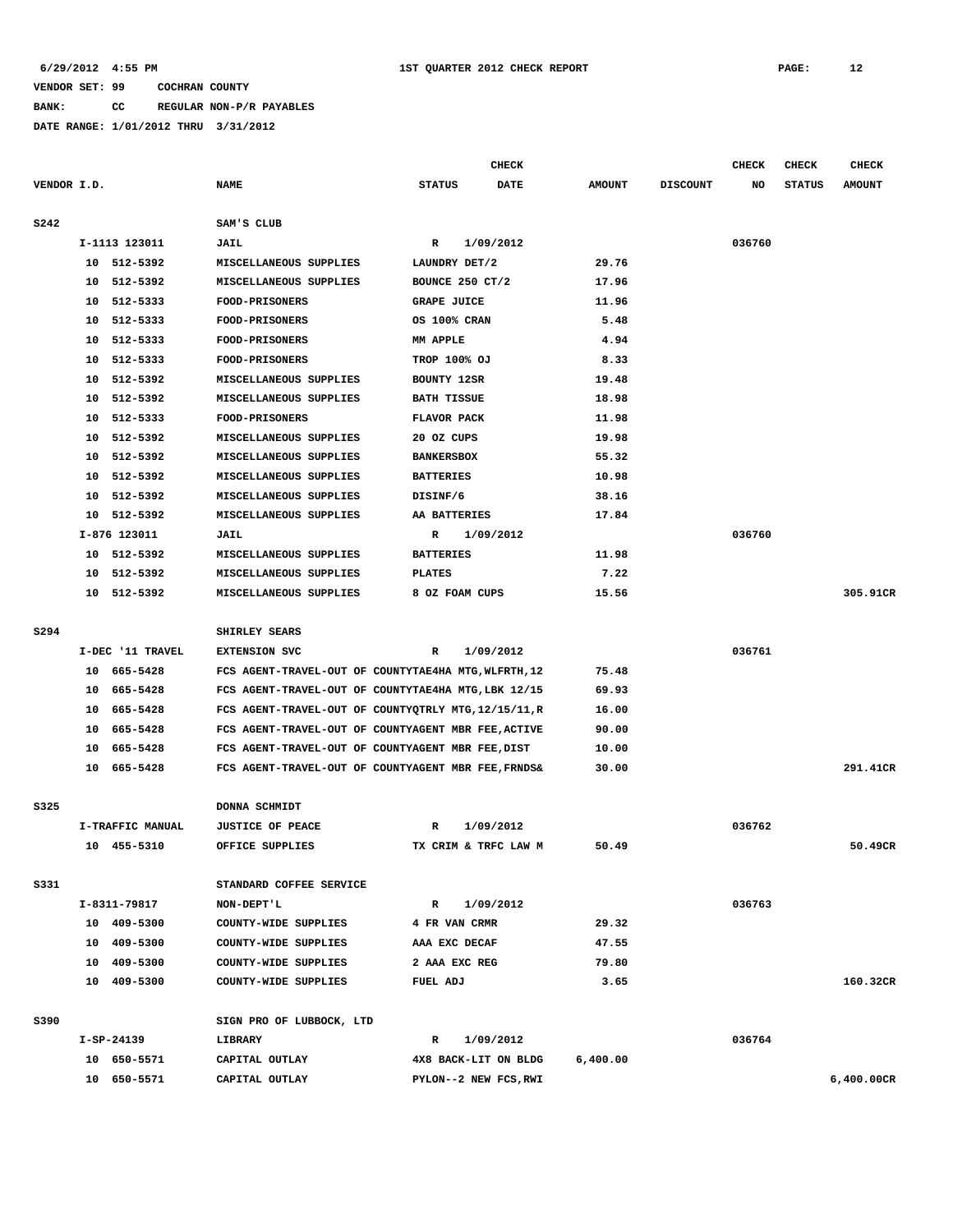# **BANK: CC REGULAR NON-P/R PAYABLES**

|             |    |                  |                                                      | CHECK                        |               |                 | CHECK  | CHECK         | <b>CHECK</b>  |
|-------------|----|------------------|------------------------------------------------------|------------------------------|---------------|-----------------|--------|---------------|---------------|
| VENDOR I.D. |    |                  | <b>NAME</b>                                          | <b>STATUS</b><br><b>DATE</b> | <b>AMOUNT</b> | <b>DISCOUNT</b> | NO     | <b>STATUS</b> | <b>AMOUNT</b> |
| <b>S242</b> |    |                  | SAM'S CLUB                                           |                              |               |                 |        |               |               |
|             |    | I-1113 123011    | JAIL                                                 | 1/09/2012<br>R               |               |                 | 036760 |               |               |
|             |    | 10 512-5392      | MISCELLANEOUS SUPPLIES                               | LAUNDRY DET/2                | 29.76         |                 |        |               |               |
|             | 10 | 512-5392         | MISCELLANEOUS SUPPLIES                               | BOUNCE 250 CT/2              | 17.96         |                 |        |               |               |
|             | 10 | 512-5333         | <b>FOOD-PRISONERS</b>                                | <b>GRAPE JUICE</b>           | 11.96         |                 |        |               |               |
|             | 10 | 512-5333         | FOOD-PRISONERS                                       | OS 100% CRAN                 | 5.48          |                 |        |               |               |
|             | 10 | 512-5333         | <b>FOOD-PRISONERS</b>                                | MM APPLE                     | 4.94          |                 |        |               |               |
|             | 10 | 512-5333         | <b>FOOD-PRISONERS</b>                                | <b>TROP 100% OJ</b>          | 8.33          |                 |        |               |               |
|             | 10 | 512-5392         | MISCELLANEOUS SUPPLIES                               | BOUNTY 12SR                  | 19.48         |                 |        |               |               |
|             | 10 | 512-5392         | MISCELLANEOUS SUPPLIES                               | <b>BATH TISSUE</b>           | 18.98         |                 |        |               |               |
|             | 10 | 512-5333         | <b>FOOD-PRISONERS</b>                                | FLAVOR PACK                  | 11.98         |                 |        |               |               |
|             |    | 10 512-5392      | MISCELLANEOUS SUPPLIES                               | 20 OZ CUPS                   | 19.98         |                 |        |               |               |
|             |    | 10 512-5392      | MISCELLANEOUS SUPPLIES                               | <b>BANKERSBOX</b>            | 55.32         |                 |        |               |               |
|             | 10 | 512-5392         | MISCELLANEOUS SUPPLIES                               | <b>BATTERIES</b>             | 10.98         |                 |        |               |               |
|             | 10 | 512-5392         | MISCELLANEOUS SUPPLIES                               | DISINF/6                     | 38.16         |                 |        |               |               |
|             | 10 | 512-5392         | MISCELLANEOUS SUPPLIES                               | AA BATTERIES                 | 17.84         |                 |        |               |               |
|             |    | I-876 123011     | JAIL                                                 | 1/09/2012<br>R               |               |                 | 036760 |               |               |
|             | 10 | 512-5392         | MISCELLANEOUS SUPPLIES                               | <b>BATTERIES</b>             | 11.98         |                 |        |               |               |
|             | 10 | 512-5392         | MISCELLANEOUS SUPPLIES                               | <b>PLATES</b>                | 7.22          |                 |        |               |               |
|             | 10 | 512-5392         | MISCELLANEOUS SUPPLIES                               | 8 OZ FOAM CUPS               | 15.56         |                 |        |               | 305.91CR      |
| S294        |    |                  | SHIRLEY SEARS                                        |                              |               |                 |        |               |               |
|             |    | I-DEC '11 TRAVEL | <b>EXTENSION SVC</b>                                 | 1/09/2012<br>R               |               |                 | 036761 |               |               |
|             |    | 10 665-5428      | FCS AGENT-TRAVEL-OUT OF COUNTYTAE4HA MTG, WLFRTH, 12 |                              | 75.48         |                 |        |               |               |
|             |    | 10 665-5428      | FCS AGENT-TRAVEL-OUT OF COUNTYTAE4HA MTG, LBK 12/15  |                              | 69.93         |                 |        |               |               |
|             | 10 | 665-5428         | FCS AGENT-TRAVEL-OUT OF COUNTYQTRLY MTG, 12/15/11, R |                              | 16.00         |                 |        |               |               |
|             | 10 | 665-5428         | FCS AGENT-TRAVEL-OUT OF COUNTYAGENT MBR FEE, ACTIVE  |                              | 90.00         |                 |        |               |               |
|             | 10 | 665–5428         | FCS AGENT-TRAVEL-OUT OF COUNTYAGENT MBR FEE, DIST    |                              | 10.00         |                 |        |               |               |
|             | 10 | 665-5428         | FCS AGENT-TRAVEL-OUT OF COUNTYAGENT MBR FEE, FRNDS&  |                              | 30.00         |                 |        |               | 291.41CR      |
| S325        |    |                  | DONNA SCHMIDT                                        |                              |               |                 |        |               |               |
|             |    | I-TRAFFIC MANUAL | <b>JUSTICE OF PEACE</b>                              | 1/09/2012<br>R               |               |                 | 036762 |               |               |
|             |    | 10 455-5310      | OFFICE SUPPLIES                                      | TX CRIM & TRFC LAW M         | 50.49         |                 |        |               | 50.49CR       |
|             |    |                  |                                                      |                              |               |                 |        |               |               |
| S331        |    |                  | STANDARD COFFEE SERVICE                              |                              |               |                 |        |               |               |
|             |    | I-8311-79817     | NON-DEPT'L                                           | $\mathbf{R}$<br>1/09/2012    |               |                 | 036763 |               |               |
|             |    | 10 409-5300      | COUNTY-WIDE SUPPLIES                                 | 4 FR VAN CRMR                | 29.32         |                 |        |               |               |
|             |    | 10 409-5300      | COUNTY-WIDE SUPPLIES                                 | AAA EXC DECAF                | 47.55         |                 |        |               |               |
|             |    | 10 409-5300      | COUNTY-WIDE SUPPLIES                                 | 2 AAA EXC REG                | 79.80         |                 |        |               |               |
|             |    | 10 409-5300      | COUNTY-WIDE SUPPLIES                                 | FUEL ADJ                     | 3.65          |                 |        |               | 160.32CR      |
| S390        |    |                  | SIGN PRO OF LUBBOCK, LTD                             |                              |               |                 |        |               |               |
|             |    | I-SP-24139       | LIBRARY                                              | 1/09/2012<br>R               |               |                 | 036764 |               |               |
|             |    | 10 650-5571      | CAPITAL OUTLAY                                       | 4X8 BACK-LIT ON BLDG         | 6,400.00      |                 |        |               |               |
|             |    | 10 650-5571      | CAPITAL OUTLAY                                       | PYLON--2 NEW FCS, RWI        |               |                 |        |               | 6,400.00CR    |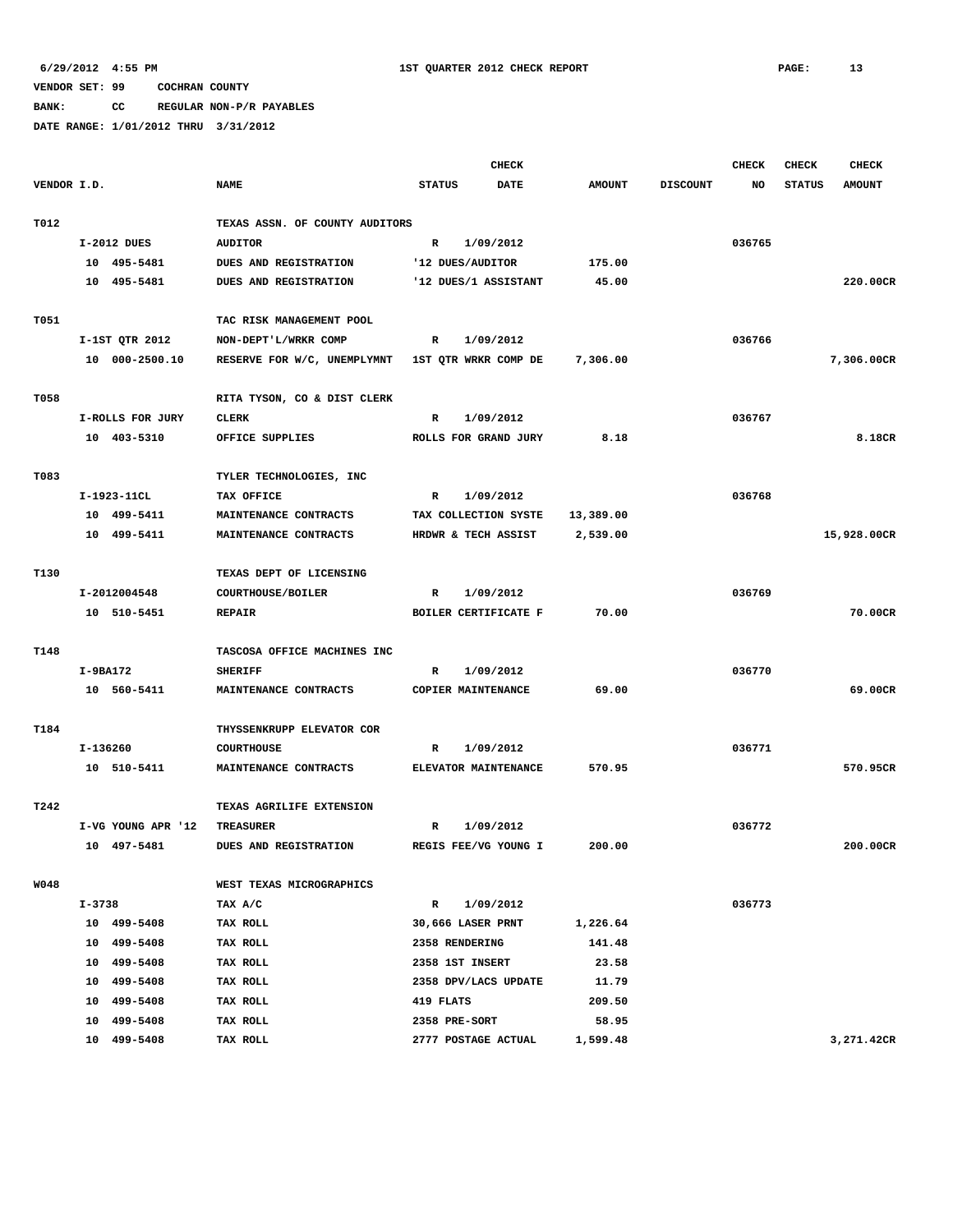**BANK: CC REGULAR NON-P/R PAYABLES**

|             |                            |                                | <b>CHECK</b>                 |               |                 | <b>CHECK</b> | <b>CHECK</b>  | <b>CHECK</b>  |
|-------------|----------------------------|--------------------------------|------------------------------|---------------|-----------------|--------------|---------------|---------------|
| VENDOR I.D. |                            | <b>NAME</b>                    | <b>STATUS</b><br><b>DATE</b> | <b>AMOUNT</b> | <b>DISCOUNT</b> | NO           | <b>STATUS</b> | <b>AMOUNT</b> |
|             |                            |                                |                              |               |                 |              |               |               |
| T012        |                            | TEXAS ASSN. OF COUNTY AUDITORS |                              |               |                 |              |               |               |
|             | $I-2012$ DUES              | <b>AUDITOR</b>                 | 1/09/2012<br>R               |               |                 | 036765       |               |               |
|             | 10 495-5481                | DUES AND REGISTRATION          | '12 DUES/AUDITOR             | 175.00        |                 |              |               |               |
|             | 10 495-5481                | DUES AND REGISTRATION          | '12 DUES/1 ASSISTANT         | 45.00         |                 |              |               | 220.00CR      |
|             |                            |                                |                              |               |                 |              |               |               |
| T051        |                            | TAC RISK MANAGEMENT POOL       |                              |               |                 |              |               |               |
|             | I-1ST QTR 2012             | NON-DEPT'L/WRKR COMP           | 1/09/2012<br>R               |               |                 | 036766       |               |               |
|             | 10 000-2500.10             | RESERVE FOR W/C, UNEMPLYMNT    | 1ST QTR WRKR COMP DE         | 7,306.00      |                 |              |               | 7,306.00CR    |
|             |                            |                                |                              |               |                 |              |               |               |
| T058        |                            | RITA TYSON, CO & DIST CLERK    |                              |               |                 |              |               |               |
|             | I-ROLLS FOR JURY           | <b>CLERK</b>                   | 1/09/2012<br>R               |               |                 | 036767       |               |               |
|             | 10 403-5310                | OFFICE SUPPLIES                | ROLLS FOR GRAND JURY         | 8.18          |                 |              |               | 8.18CR        |
|             |                            |                                |                              |               |                 |              |               |               |
| T083        |                            | TYLER TECHNOLOGIES, INC        |                              |               |                 |              |               |               |
|             | I-1923-11CL                | TAX OFFICE                     | 1/09/2012<br>R               |               |                 | 036768       |               |               |
|             | 10 499-5411<br>10 499-5411 | MAINTENANCE CONTRACTS          | TAX COLLECTION SYSTE         | 13,389.00     |                 |              |               |               |
|             |                            | MAINTENANCE CONTRACTS          | HRDWR & TECH ASSIST          | 2,539.00      |                 |              |               | 15,928.00CR   |
| T130        |                            | TEXAS DEPT OF LICENSING        |                              |               |                 |              |               |               |
|             | I-2012004548               | COURTHOUSE/BOILER              | 1/09/2012<br>R               |               |                 | 036769       |               |               |
|             | 10 510-5451                | <b>REPAIR</b>                  | BOILER CERTIFICATE F         | 70.00         |                 |              |               | 70.00CR       |
|             |                            |                                |                              |               |                 |              |               |               |
| T148        |                            | TASCOSA OFFICE MACHINES INC    |                              |               |                 |              |               |               |
|             | I-9BA172                   | <b>SHERIFF</b>                 | 1/09/2012<br>R               |               |                 | 036770       |               |               |
|             | 10 560-5411                | MAINTENANCE CONTRACTS          | COPIER MAINTENANCE           | 69.00         |                 |              |               | 69.00CR       |
|             |                            |                                |                              |               |                 |              |               |               |
| T184        |                            | THYSSENKRUPP ELEVATOR COR      |                              |               |                 |              |               |               |
|             | I-136260                   | <b>COURTHOUSE</b>              | 1/09/2012<br>R               |               |                 | 036771       |               |               |
|             | 10 510-5411                | MAINTENANCE CONTRACTS          | ELEVATOR MAINTENANCE         | 570.95        |                 |              |               | 570.95CR      |
|             |                            |                                |                              |               |                 |              |               |               |
| T242        |                            | TEXAS AGRILIFE EXTENSION       |                              |               |                 |              |               |               |
|             | I-VG YOUNG APR '12         | <b>TREASURER</b>               | 1/09/2012<br>R               |               |                 | 036772       |               |               |
|             | 10 497-5481                | DUES AND REGISTRATION          | REGIS FEE/VG YOUNG I         | 200.00        |                 |              |               | 200.00CR      |
|             |                            |                                |                              |               |                 |              |               |               |
| <b>W048</b> |                            | WEST TEXAS MICROGRAPHICS       |                              |               |                 |              |               |               |
|             | I-3738                     | TAX A/C                        | $\mathbb{R}$<br>1/09/2012    |               |                 | 036773       |               |               |
|             | 10 499-5408                | TAX ROLL                       | 30,666 LASER PRNT            | 1,226.64      |                 |              |               |               |
|             | 499-5408<br>10             | TAX ROLL                       | 2358 RENDERING               | 141.48        |                 |              |               |               |
|             | 10 499-5408                | TAX ROLL                       | 2358 1ST INSERT              | 23.58         |                 |              |               |               |
|             | 10 499-5408                | TAX ROLL                       | 2358 DPV/LACS UPDATE         | 11.79         |                 |              |               |               |
|             | 499-5408<br>10             | TAX ROLL                       | 419 FLATS                    | 209.50        |                 |              |               |               |
|             | 499-5408<br>10             | TAX ROLL                       | 2358 PRE-SORT                | 58.95         |                 |              |               |               |
|             | 10 499-5408                | TAX ROLL                       | 2777 POSTAGE ACTUAL          | 1,599.48      |                 |              |               | 3,271.42CR    |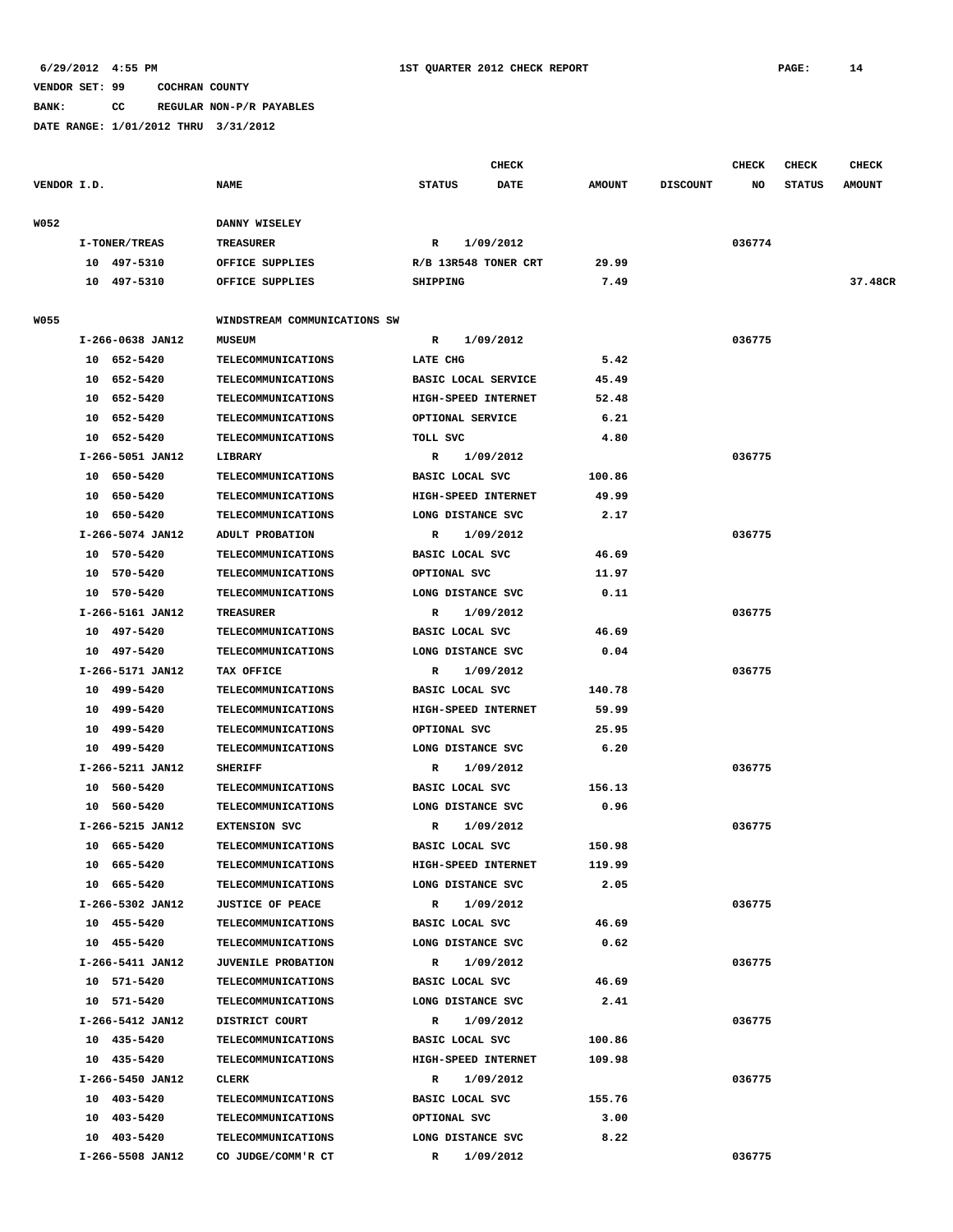**BANK: CC REGULAR NON-P/R PAYABLES**

|             |                              |                              |                           | <b>CHECK</b> |               |                 | CHECK  | <b>CHECK</b>  | <b>CHECK</b>  |
|-------------|------------------------------|------------------------------|---------------------------|--------------|---------------|-----------------|--------|---------------|---------------|
| VENDOR I.D. |                              | <b>NAME</b>                  | <b>STATUS</b>             | DATE         | <b>AMOUNT</b> | <b>DISCOUNT</b> | NO     | <b>STATUS</b> | <b>AMOUNT</b> |
|             |                              |                              |                           |              |               |                 |        |               |               |
| W052        |                              | DANNY WISELEY                |                           |              |               |                 |        |               |               |
|             | I-TONER/TREAS<br>10 497-5310 | TREASURER<br>OFFICE SUPPLIES | R<br>R/B 13R548 TONER CRT | 1/09/2012    | 29.99         |                 | 036774 |               |               |
|             | 10 497-5310                  |                              |                           |              | 7.49          |                 |        |               | 37.48CR       |
|             |                              | OFFICE SUPPLIES              | SHIPPING                  |              |               |                 |        |               |               |
| <b>W055</b> |                              | WINDSTREAM COMMUNICATIONS SW |                           |              |               |                 |        |               |               |
|             | I-266-0638 JAN12             | <b>MUSEUM</b>                | R                         | 1/09/2012    |               |                 | 036775 |               |               |
|             | 10 652-5420                  | <b>TELECOMMUNICATIONS</b>    | LATE CHG                  |              | 5.42          |                 |        |               |               |
|             | 10 652-5420                  | <b>TELECOMMUNICATIONS</b>    | BASIC LOCAL SERVICE       |              | 45.49         |                 |        |               |               |
|             | 10 652-5420                  | <b>TELECOMMUNICATIONS</b>    | HIGH-SPEED INTERNET       |              | 52.48         |                 |        |               |               |
|             | 10 652-5420                  | <b>TELECOMMUNICATIONS</b>    | OPTIONAL SERVICE          |              | 6.21          |                 |        |               |               |
|             | 10 652-5420                  | <b>TELECOMMUNICATIONS</b>    | TOLL SVC                  |              | 4.80          |                 |        |               |               |
|             | I-266-5051 JAN12             | LIBRARY                      | R                         | 1/09/2012    |               |                 | 036775 |               |               |
|             | 10 650-5420                  | <b>TELECOMMUNICATIONS</b>    | BASIC LOCAL SVC           |              | 100.86        |                 |        |               |               |
|             | 10 650-5420                  | <b>TELECOMMUNICATIONS</b>    | HIGH-SPEED INTERNET       |              | 49.99         |                 |        |               |               |
|             | 10 650-5420                  | <b>TELECOMMUNICATIONS</b>    | LONG DISTANCE SVC         |              | 2.17          |                 |        |               |               |
|             | I-266-5074 JAN12             | ADULT PROBATION              | R                         | 1/09/2012    |               |                 | 036775 |               |               |
|             | 10 570-5420                  | <b>TELECOMMUNICATIONS</b>    | BASIC LOCAL SVC           |              | 46.69         |                 |        |               |               |
|             | 10 570-5420                  | <b>TELECOMMUNICATIONS</b>    | OPTIONAL SVC              |              | 11.97         |                 |        |               |               |
|             | 10 570-5420                  | <b>TELECOMMUNICATIONS</b>    | LONG DISTANCE SVC         |              | 0.11          |                 |        |               |               |
|             | I-266-5161 JAN12             | <b>TREASURER</b>             | R                         | 1/09/2012    |               |                 | 036775 |               |               |
|             | 10 497-5420                  | <b>TELECOMMUNICATIONS</b>    | BASIC LOCAL SVC           |              | 46.69         |                 |        |               |               |
|             | 10 497-5420                  | <b>TELECOMMUNICATIONS</b>    | LONG DISTANCE SVC         |              | 0.04          |                 |        |               |               |
|             | I-266-5171 JAN12             | TAX OFFICE                   | R                         | 1/09/2012    |               |                 | 036775 |               |               |
|             | 10 499-5420                  | TELECOMMUNICATIONS           | BASIC LOCAL SVC           |              | 140.78        |                 |        |               |               |
|             | 10 499-5420                  | <b>TELECOMMUNICATIONS</b>    | HIGH-SPEED INTERNET       |              | 59.99         |                 |        |               |               |
|             | 10 499-5420                  | <b>TELECOMMUNICATIONS</b>    | OPTIONAL SVC              |              | 25.95         |                 |        |               |               |
|             | 10 499-5420                  | <b>TELECOMMUNICATIONS</b>    | LONG DISTANCE SVC         |              | 6.20          |                 |        |               |               |
|             | I-266-5211 JAN12             | <b>SHERIFF</b>               | R                         | 1/09/2012    |               |                 | 036775 |               |               |
|             | 10 560-5420                  | <b>TELECOMMUNICATIONS</b>    | BASIC LOCAL SVC           |              | 156.13        |                 |        |               |               |
|             | 10 560-5420                  | <b>TELECOMMUNICATIONS</b>    | LONG DISTANCE SVC         |              | 0.96          |                 |        |               |               |
|             | I-266-5215 JAN12             | <b>EXTENSION SVC</b>         | $\mathbb{R}$              | 1/09/2012    |               |                 | 036775 |               |               |
|             | 10 665-5420                  | <b>TELECOMMUNICATIONS</b>    | BASIC LOCAL SVC           |              | 150.98        |                 |        |               |               |
|             | 10 665-5420                  | <b>TELECOMMUNICATIONS</b>    | HIGH-SPEED INTERNET       |              | 119.99        |                 |        |               |               |
|             | 10 665-5420                  | <b>TELECOMMUNICATIONS</b>    | LONG DISTANCE SVC         |              | 2.05          |                 |        |               |               |
|             | I-266-5302 JAN12             | <b>JUSTICE OF PEACE</b>      | $\mathbf{R}$              | 1/09/2012    |               |                 | 036775 |               |               |
|             | 10 455-5420                  | TELECOMMUNICATIONS           | BASIC LOCAL SVC           |              | 46.69         |                 |        |               |               |
|             | 10 455-5420                  | <b>TELECOMMUNICATIONS</b>    | LONG DISTANCE SVC         |              | 0.62          |                 |        |               |               |
|             | I-266-5411 JAN12             | <b>JUVENILE PROBATION</b>    | $\mathbb{R}$              | 1/09/2012    |               |                 | 036775 |               |               |
|             | 10 571-5420                  | <b>TELECOMMUNICATIONS</b>    | BASIC LOCAL SVC           |              | 46.69         |                 |        |               |               |
|             | 10 571-5420                  | <b>TELECOMMUNICATIONS</b>    | LONG DISTANCE SVC         |              | 2.41          |                 |        |               |               |
|             | I-266-5412 JAN12             | DISTRICT COURT               | $\mathbf{R}$              | 1/09/2012    |               |                 | 036775 |               |               |
|             | 10 435-5420                  | <b>TELECOMMUNICATIONS</b>    | BASIC LOCAL SVC           |              | 100.86        |                 |        |               |               |
|             | 10 435-5420                  | <b>TELECOMMUNICATIONS</b>    | HIGH-SPEED INTERNET       |              | 109.98        |                 |        |               |               |
|             | I-266-5450 JAN12             | CLERK                        | R 1/09/2012               |              |               |                 | 036775 |               |               |
|             | 10 403-5420                  | <b>TELECOMMUNICATIONS</b>    | BASIC LOCAL SVC           |              | 155.76        |                 |        |               |               |
|             | 10 403-5420                  | <b>TELECOMMUNICATIONS</b>    | OPTIONAL SVC              |              | 3.00          |                 |        |               |               |
|             | 10 403-5420                  | <b>TELECOMMUNICATIONS</b>    | LONG DISTANCE SVC         |              | 8.22          |                 |        |               |               |
|             | I-266-5508 JAN12             | CO JUDGE/COMM'R CT           | $\mathbf{R}$              | 1/09/2012    |               |                 | 036775 |               |               |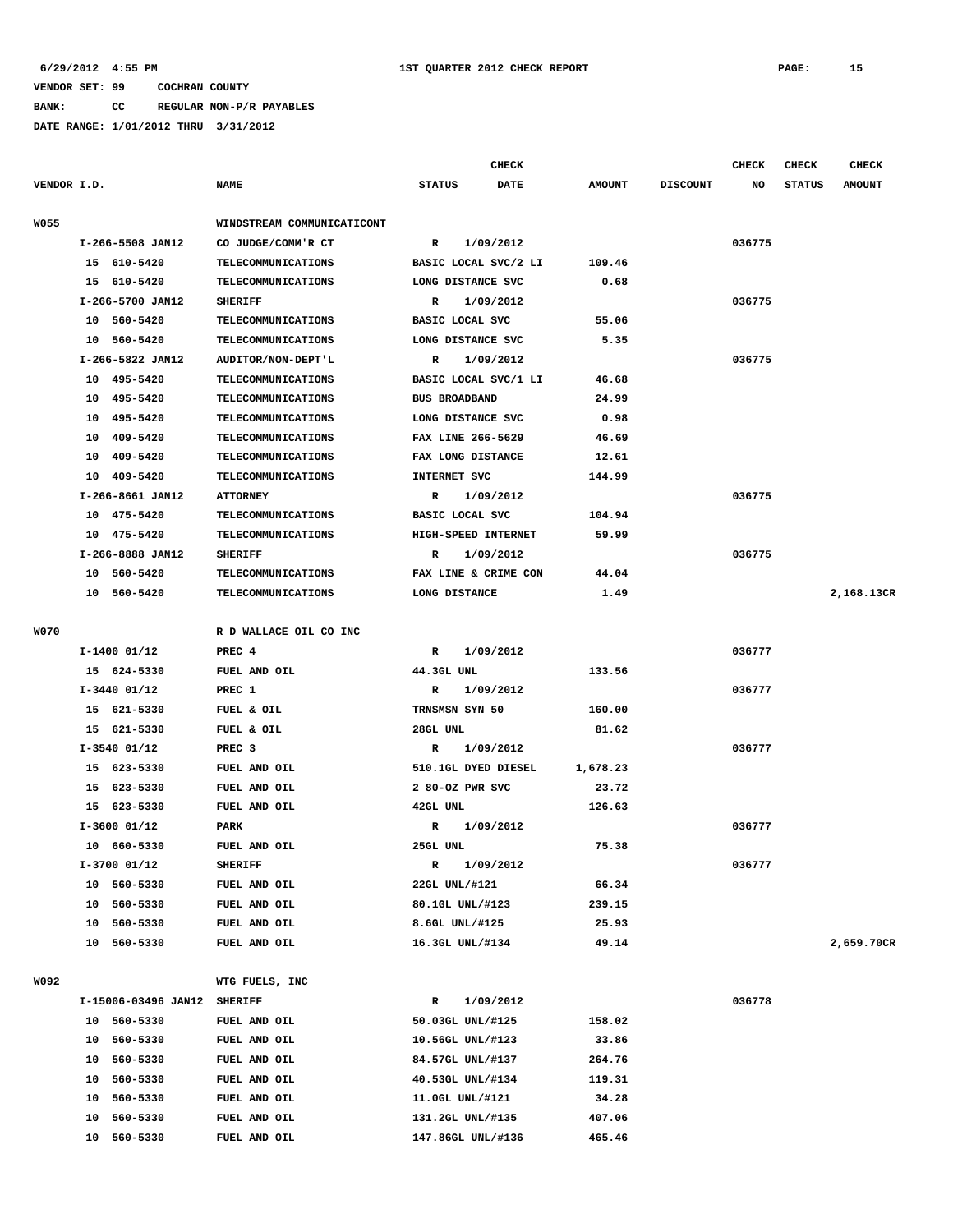**BANK: CC REGULAR NON-P/R PAYABLES**

|             |                                 |                            |               | <b>CHECK</b>         |      |               |                 | <b>CHECK</b> | <b>CHECK</b>  | CHECK         |
|-------------|---------------------------------|----------------------------|---------------|----------------------|------|---------------|-----------------|--------------|---------------|---------------|
| VENDOR I.D. |                                 | <b>NAME</b>                | <b>STATUS</b> |                      | DATE | <b>AMOUNT</b> | <b>DISCOUNT</b> | NO           | <b>STATUS</b> | <b>AMOUNT</b> |
| <b>W055</b> |                                 | WINDSTREAM COMMUNICATICONT |               |                      |      |               |                 |              |               |               |
|             | I-266-5508 JAN12                | CO JUDGE/COMM'R CT         | $\mathbb{R}$  | 1/09/2012            |      |               |                 | 036775       |               |               |
|             | 15 610-5420                     | <b>TELECOMMUNICATIONS</b>  |               | BASIC LOCAL SVC/2 LI |      | 109.46        |                 |              |               |               |
|             | 15 610-5420                     | <b>TELECOMMUNICATIONS</b>  |               | LONG DISTANCE SVC    |      | 0.68          |                 |              |               |               |
|             | I-266-5700 JAN12                | <b>SHERIFF</b>             | R             | 1/09/2012            |      |               |                 | 036775       |               |               |
|             | 10 560-5420                     | <b>TELECOMMUNICATIONS</b>  |               | BASIC LOCAL SVC      |      | 55.06         |                 |              |               |               |
|             | 10 560-5420                     | <b>TELECOMMUNICATIONS</b>  |               | LONG DISTANCE SVC    |      | 5.35          |                 |              |               |               |
|             | I-266-5822 JAN12                | AUDITOR/NON-DEPT'L         | R             | 1/09/2012            |      |               |                 | 036775       |               |               |
|             | 10 495-5420                     | <b>TELECOMMUNICATIONS</b>  |               | BASIC LOCAL SVC/1 LI |      | 46.68         |                 |              |               |               |
|             | 10 495-5420                     | TELECOMMUNICATIONS         |               | <b>BUS BROADBAND</b> |      | 24.99         |                 |              |               |               |
|             | 10 495-5420                     | <b>TELECOMMUNICATIONS</b>  |               | LONG DISTANCE SVC    |      | 0.98          |                 |              |               |               |
|             | 10 409-5420                     | <b>TELECOMMUNICATIONS</b>  |               | FAX LINE 266-5629    |      | 46.69         |                 |              |               |               |
|             | 10 409-5420                     | <b>TELECOMMUNICATIONS</b>  |               | FAX LONG DISTANCE    |      | 12.61         |                 |              |               |               |
|             | 10 409-5420                     |                            |               | INTERNET SVC         |      | 144.99        |                 |              |               |               |
|             | I-266-8661 JAN12                | <b>TELECOMMUNICATIONS</b>  | R             | 1/09/2012            |      |               |                 | 036775       |               |               |
|             |                                 | <b>ATTORNEY</b>            |               |                      |      |               |                 |              |               |               |
|             | 10 475-5420                     | <b>TELECOMMUNICATIONS</b>  |               | BASIC LOCAL SVC      |      | 104.94        |                 |              |               |               |
|             | 10 475-5420                     | <b>TELECOMMUNICATIONS</b>  |               | HIGH-SPEED INTERNET  |      | 59.99         |                 |              |               |               |
|             | I-266-8888 JAN12<br>10 560-5420 | <b>SHERIFF</b>             | $\mathbb{R}$  | 1/09/2012            |      |               |                 | 036775       |               |               |
|             |                                 | TELECOMMUNICATIONS         |               | FAX LINE & CRIME CON |      | 44.04         |                 |              |               |               |
|             | 10 560-5420                     | <b>TELECOMMUNICATIONS</b>  |               | LONG DISTANCE        |      | 1.49          |                 |              |               | 2,168.13CR    |
| <b>W070</b> |                                 | R D WALLACE OIL CO INC     |               |                      |      |               |                 |              |               |               |
|             | $I-1400$ 01/12                  | PREC 4                     | R             | 1/09/2012            |      |               |                 | 036777       |               |               |
|             | 15 624-5330                     | FUEL AND OIL               | 44.3GL UNL    |                      |      | 133.56        |                 |              |               |               |
|             | $I-3440$ 01/12                  | PREC 1                     | $\mathbb{R}$  | 1/09/2012            |      |               |                 | 036777       |               |               |
|             | 15 621-5330                     | FUEL & OIL                 |               | TRNSMSN SYN 50       |      | 160.00        |                 |              |               |               |
|             | 15 621-5330                     | FUEL & OIL                 | 28GL UNL      |                      |      | 81.62         |                 |              |               |               |
|             | $I-3540$ 01/12                  | PREC <sub>3</sub>          | R             | 1/09/2012            |      |               |                 | 036777       |               |               |
|             | 15 623-5330                     | FUEL AND OIL               |               | 510.1GL DYED DIESEL  |      | 1,678.23      |                 |              |               |               |
|             | 15 623-5330                     | FUEL AND OIL               |               | 2 80-OZ PWR SVC      |      | 23.72         |                 |              |               |               |
|             | 15 623-5330                     | FUEL AND OIL               | 42GL UNL      |                      |      | 126.63        |                 |              |               |               |
|             | I-3600 01/12                    | PARK                       | R             | 1/09/2012            |      |               |                 | 036777       |               |               |
|             | 10 660-5330                     | FUEL AND OIL               | 25GL UNL      |                      |      | 75.38         |                 |              |               |               |
|             | I-3700 01/12                    | <b>SHERIFF</b>             | R             | 1/09/2012            |      |               |                 | 036777       |               |               |
|             | 10 560-5330                     | FUEL AND OIL               |               | 22GL UNL/#121        |      | 66.34         |                 |              |               |               |
|             | 10 560-5330                     | FUEL AND OIL               |               | 80.1GL UNL/#123      |      | 239.15        |                 |              |               |               |
|             | 10 560-5330                     | FUEL AND OIL               |               | 8.6GL UNL/#125       |      | 25.93         |                 |              |               |               |
|             | 10 560-5330                     | FUEL AND OIL               |               | 16.3GL UNL/#134      |      | 49.14         |                 |              |               | 2,659.70CR    |
|             |                                 |                            |               |                      |      |               |                 |              |               |               |
| W092        |                                 | WTG FUELS, INC             |               |                      |      |               |                 |              |               |               |
|             | I-15006-03496 JAN12             | <b>SHERIFF</b>             | R             | 1/09/2012            |      |               |                 | 036778       |               |               |
|             | 10 560-5330                     | FUEL AND OIL               |               | 50.03GL UNL/#125     |      | 158.02        |                 |              |               |               |
|             | 10 560-5330                     | FUEL AND OIL               |               | 10.56GL UNL/#123     |      | 33.86         |                 |              |               |               |
|             | 10 560-5330                     | FUEL AND OIL               |               | 84.57GL UNL/#137     |      | 264.76        |                 |              |               |               |
|             | 10 560-5330                     | FUEL AND OIL               |               | 40.53GL UNL/#134     |      | 119.31        |                 |              |               |               |
|             | 560-5330<br>10                  | FUEL AND OIL               |               | 11.0GL UNL/#121      |      | 34.28         |                 |              |               |               |
|             | 560-5330<br>10                  | FUEL AND OIL               |               | 131.2GL UNL/#135     |      | 407.06        |                 |              |               |               |
|             | 10<br>560-5330                  | FUEL AND OIL               |               | 147.86GL UNL/#136    |      | 465.46        |                 |              |               |               |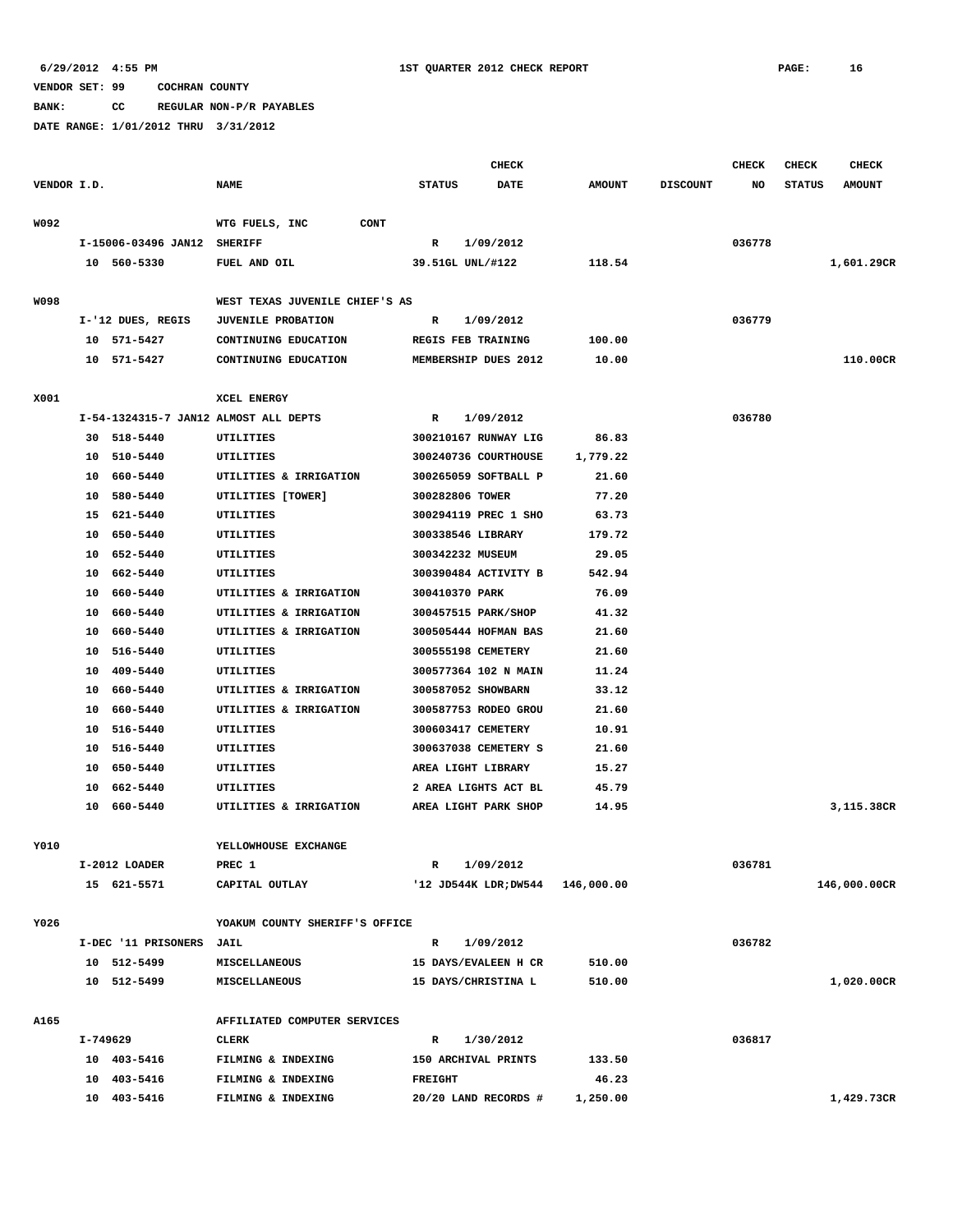**BANK: CC REGULAR NON-P/R PAYABLES**

|             |          |                     |                                       |                | <b>CHECK</b>                    |               |                 | <b>CHECK</b> | <b>CHECK</b>  | <b>CHECK</b>  |
|-------------|----------|---------------------|---------------------------------------|----------------|---------------------------------|---------------|-----------------|--------------|---------------|---------------|
| VENDOR I.D. |          |                     | <b>NAME</b>                           | <b>STATUS</b>  | <b>DATE</b>                     | <b>AMOUNT</b> | <b>DISCOUNT</b> | NO           | <b>STATUS</b> | <b>AMOUNT</b> |
|             |          |                     |                                       |                |                                 |               |                 |              |               |               |
| W092        |          |                     | WTG FUELS, INC<br>CONT                |                |                                 |               |                 |              |               |               |
|             |          | I-15006-03496 JAN12 | <b>SHERIFF</b>                        | R              | 1/09/2012                       |               |                 | 036778       |               |               |
|             |          | 10 560-5330         | FUEL AND OIL                          |                | 39.51GL UNL/#122                | 118.54        |                 |              |               | 1,601.29CR    |
| W098        |          |                     | WEST TEXAS JUVENILE CHIEF'S AS        |                |                                 |               |                 |              |               |               |
|             |          | I-'12 DUES, REGIS   | <b>JUVENILE PROBATION</b>             | $\mathbb{R}$   | 1/09/2012                       |               |                 | 036779       |               |               |
|             |          | 10 571-5427         | CONTINUING EDUCATION                  |                | REGIS FEB TRAINING              | 100.00        |                 |              |               |               |
|             |          | 10 571-5427         | CONTINUING EDUCATION                  |                | MEMBERSHIP DUES 2012            | 10.00         |                 |              |               | 110.00CR      |
|             |          |                     |                                       |                |                                 |               |                 |              |               |               |
| X001        |          |                     | XCEL ENERGY                           |                |                                 |               |                 |              |               |               |
|             |          |                     | I-54-1324315-7 JAN12 ALMOST ALL DEPTS | R              | 1/09/2012                       |               |                 | 036780       |               |               |
|             |          | 30 518-5440         | UTILITIES                             |                | 300210167 RUNWAY LIG            | 86.83         |                 |              |               |               |
|             |          | 10 510-5440         | UTILITIES                             |                | 300240736 COURTHOUSE            | 1,779.22      |                 |              |               |               |
|             | 10       | 660-5440            | UTILITIES & IRRIGATION                |                | 300265059 SOFTBALL P            | 21.60         |                 |              |               |               |
|             |          | 10 580-5440         | UTILITIES [TOWER]                     |                | 300282806 TOWER                 | 77.20         |                 |              |               |               |
|             |          | 15 621-5440         | UTILITIES                             |                | 300294119 PREC 1 SHO            | 63.73         |                 |              |               |               |
|             |          | 10 650-5440         | UTILITIES                             |                | 300338546 LIBRARY               | 179.72        |                 |              |               |               |
|             |          | 10 652-5440         | UTILITIES                             |                | 300342232 MUSEUM                | 29.05         |                 |              |               |               |
|             |          | 10 662-5440         | UTILITIES                             |                | 300390484 ACTIVITY B            | 542.94        |                 |              |               |               |
|             |          | 10 660-5440         | UTILITIES & IRRIGATION                |                | 300410370 PARK                  | 76.09         |                 |              |               |               |
|             |          | 10 660-5440         | UTILITIES & IRRIGATION                |                | 300457515 PARK/SHOP             | 41.32         |                 |              |               |               |
|             |          | 10 660-5440         | UTILITIES & IRRIGATION                |                | 300505444 HOFMAN BAS            | 21.60         |                 |              |               |               |
|             | 10       | 516-5440            | UTILITIES                             |                | 300555198 CEMETERY              | 21.60         |                 |              |               |               |
|             | 10       | 409-5440            | UTILITIES                             |                | 300577364 102 N MAIN            | 11.24         |                 |              |               |               |
|             |          | 10 660-5440         | UTILITIES & IRRIGATION                |                | 300587052 SHOWBARN              | 33.12         |                 |              |               |               |
|             | 10       | 660-5440            | UTILITIES & IRRIGATION                |                | 300587753 RODEO GROU            | 21.60         |                 |              |               |               |
|             |          | 10 516-5440         | UTILITIES                             |                | 300603417 CEMETERY              | 10.91         |                 |              |               |               |
|             |          | 10 516-5440         | UTILITIES                             |                | 300637038 CEMETERY S            | 21.60         |                 |              |               |               |
|             |          | 10 650-5440         | UTILITIES                             |                | AREA LIGHT LIBRARY              | 15.27         |                 |              |               |               |
|             | 10       | 662-5440            | UTILITIES                             |                | 2 AREA LIGHTS ACT BL            | 45.79         |                 |              |               |               |
|             |          | 10 660-5440         | UTILITIES & IRRIGATION                |                | AREA LIGHT PARK SHOP            | 14.95         |                 |              |               | 3,115.38CR    |
|             |          |                     |                                       |                |                                 |               |                 |              |               |               |
| Y010        |          |                     | YELLOWHOUSE EXCHANGE                  |                |                                 |               |                 |              |               |               |
|             |          | I-2012 LOADER       | PREC 1                                | R              | 1/09/2012                       |               |                 | 036781       |               |               |
|             |          | 15 621-5571         | CAPITAL OUTLAY                        |                | '12 JD544K LDR;DW544 146,000.00 |               |                 |              |               | 146,000.00CR  |
| Y026        |          |                     | YOAKUM COUNTY SHERIFF'S OFFICE        |                |                                 |               |                 |              |               |               |
|             |          | I-DEC '11 PRISONERS | <b>JAIL</b>                           | R              | 1/09/2012                       |               |                 | 036782       |               |               |
|             |          | 10 512-5499         | MISCELLANEOUS                         |                | 15 DAYS/EVALEEN H CR            | 510.00        |                 |              |               |               |
|             |          | 10 512-5499         | MISCELLANEOUS                         |                | 15 DAYS/CHRISTINA L             | 510.00        |                 |              |               | 1,020.00CR    |
|             |          |                     |                                       |                |                                 |               |                 |              |               |               |
| A165        |          |                     | AFFILIATED COMPUTER SERVICES          |                |                                 |               |                 |              |               |               |
|             | I-749629 |                     | CLERK                                 | R              | 1/30/2012                       |               |                 | 036817       |               |               |
|             |          | 10 403-5416         | FILMING & INDEXING                    |                | 150 ARCHIVAL PRINTS             | 133.50        |                 |              |               |               |
|             |          | 10 403-5416         | FILMING & INDEXING                    | <b>FREIGHT</b> |                                 | 46.23         |                 |              |               |               |
|             |          | 10 403-5416         | FILMING & INDEXING                    |                | 20/20 LAND RECORDS #            | 1,250.00      |                 |              |               | 1,429.73CR    |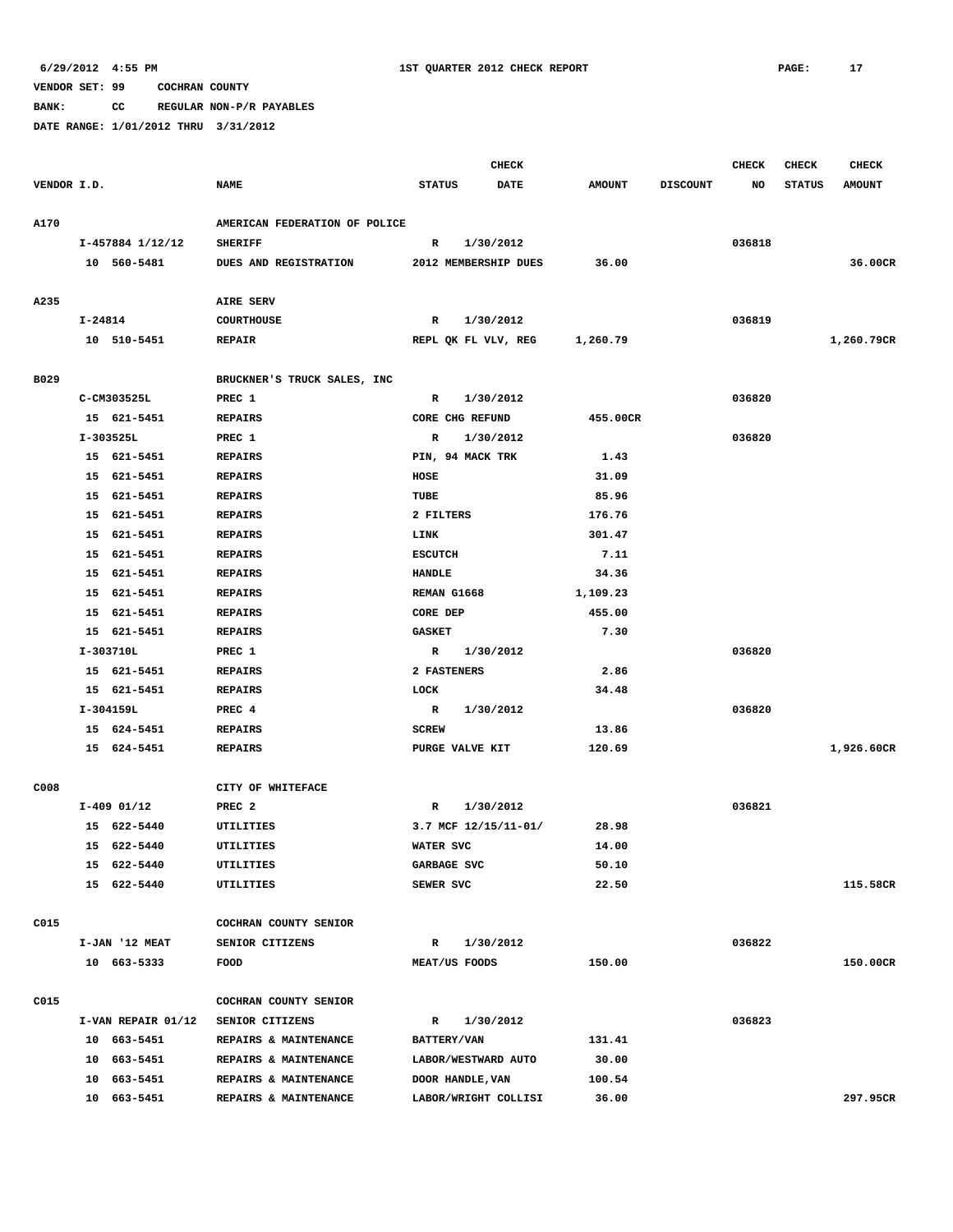**BANK: CC REGULAR NON-P/R PAYABLES**

|             |                            |                                  | <b>CHECK</b>                       |                  |                 | <b>CHECK</b> | <b>CHECK</b>  | <b>CHECK</b>  |
|-------------|----------------------------|----------------------------------|------------------------------------|------------------|-----------------|--------------|---------------|---------------|
| VENDOR I.D. |                            | <b>NAME</b>                      | <b>STATUS</b><br><b>DATE</b>       | <b>AMOUNT</b>    | <b>DISCOUNT</b> | NO           | <b>STATUS</b> | <b>AMOUNT</b> |
|             |                            |                                  |                                    |                  |                 |              |               |               |
| A170        |                            | AMERICAN FEDERATION OF POLICE    |                                    |                  |                 |              |               |               |
|             | I-457884 1/12/12           | <b>SHERIFF</b>                   | 1/30/2012<br>R                     |                  |                 | 036818       |               |               |
|             | 10 560-5481                | DUES AND REGISTRATION            | 2012 MEMBERSHIP DUES               | 36.00            |                 |              |               | 36.00CR       |
|             |                            |                                  |                                    |                  |                 |              |               |               |
| A235        |                            | AIRE SERV                        |                                    |                  |                 |              |               |               |
|             | I-24814                    | <b>COURTHOUSE</b>                | 1/30/2012<br>R                     |                  |                 | 036819       |               |               |
|             | 10 510-5451                | <b>REPAIR</b>                    | REPL OK FL VLV, REG                | 1,260.79         |                 |              |               | 1,260.79CR    |
|             |                            |                                  |                                    |                  |                 |              |               |               |
| B029        |                            | BRUCKNER'S TRUCK SALES, INC      |                                    |                  |                 |              |               |               |
|             | C-CM303525L                | PREC 1                           | 1/30/2012<br>R                     |                  |                 | 036820       |               |               |
|             | 15 621-5451                | <b>REPAIRS</b>                   | CORE CHG REFUND                    | 455.00CR         |                 |              |               |               |
|             | I-303525L                  | PREC 1<br><b>REPAIRS</b>         | 1/30/2012<br>R<br>PIN, 94 MACK TRK |                  |                 | 036820       |               |               |
|             | 15 621-5451                |                                  |                                    | 1.43             |                 |              |               |               |
|             | 15 621-5451                | <b>REPAIRS</b>                   | HOSE                               | 31.09            |                 |              |               |               |
|             | 15 621-5451                | <b>REPAIRS</b>                   | TUBE                               | 85.96            |                 |              |               |               |
|             | 15 621-5451<br>15 621-5451 | <b>REPAIRS</b><br><b>REPAIRS</b> | 2 FILTERS<br>LINK                  | 176.76<br>301.47 |                 |              |               |               |
|             | 15 621-5451                | <b>REPAIRS</b>                   | <b>ESCUTCH</b>                     | 7.11             |                 |              |               |               |
|             | 15 621-5451                | <b>REPAIRS</b>                   | HANDLE                             | 34.36            |                 |              |               |               |
|             | 15 621-5451                | <b>REPAIRS</b>                   | REMAN G1668                        | 1,109.23         |                 |              |               |               |
|             | 15 621-5451                | <b>REPAIRS</b>                   | CORE DEP                           | 455.00           |                 |              |               |               |
|             | 15 621-5451                | <b>REPAIRS</b>                   | <b>GASKET</b>                      | 7.30             |                 |              |               |               |
|             | I-303710L                  | PREC 1                           | $\mathbb{R}$<br>1/30/2012          |                  |                 | 036820       |               |               |
|             | 15 621-5451                | <b>REPAIRS</b>                   | 2 FASTENERS                        | 2.86             |                 |              |               |               |
|             | 15 621-5451                | <b>REPAIRS</b>                   | LOCK                               | 34.48            |                 |              |               |               |
|             | I-304159L                  | PREC 4                           | 1/30/2012<br>R                     |                  |                 | 036820       |               |               |
|             | 15 624-5451                | <b>REPAIRS</b>                   | <b>SCREW</b>                       | 13.86            |                 |              |               |               |
|             | 15 624-5451                | <b>REPAIRS</b>                   | PURGE VALVE KIT                    | 120.69           |                 |              |               | 1,926.60CR    |
|             |                            |                                  |                                    |                  |                 |              |               |               |
| C008        |                            | CITY OF WHITEFACE                |                                    |                  |                 |              |               |               |
|             | $I-409$ 01/12              | PREC <sub>2</sub>                | R<br>1/30/2012                     |                  |                 | 036821       |               |               |
|             | 15 622-5440                | UTILITIES                        | 3.7 MCF 12/15/11-01/               | 28.98            |                 |              |               |               |
|             | 15 622-5440                | UTILITIES                        | WATER SVC                          | 14.00            |                 |              |               |               |
|             | 15 622-5440                | UTILITIES                        | GARBAGE SVC                        | 50.10            |                 |              |               |               |
|             | 15 622-5440                | UTILITIES                        | SEWER SVC                          | 22.50            |                 |              |               | 115.58CR      |
|             |                            |                                  |                                    |                  |                 |              |               |               |
| C015        |                            | COCHRAN COUNTY SENIOR            |                                    |                  |                 |              |               |               |
|             | I-JAN '12 MEAT             | SENIOR CITIZENS                  | 1/30/2012<br>$\mathbb{R}$          |                  |                 | 036822       |               |               |
|             | 10 663-5333                | FOOD                             | MEAT/US FOODS                      | 150.00           |                 |              |               | 150.00CR      |
|             |                            |                                  |                                    |                  |                 |              |               |               |
| C015        |                            | COCHRAN COUNTY SENIOR            |                                    |                  |                 |              |               |               |
|             | I-VAN REPAIR 01/12         | SENIOR CITIZENS                  | 1/30/2012<br>$\mathbb{R}$          |                  |                 | 036823       |               |               |
|             | 10 663-5451                | REPAIRS & MAINTENANCE            | BATTERY/VAN                        | 131.41           |                 |              |               |               |
|             | 10 663-5451                | REPAIRS & MAINTENANCE            | LABOR/WESTWARD AUTO                | 30.00            |                 |              |               |               |
|             | 10 663-5451                | REPAIRS & MAINTENANCE            | DOOR HANDLE, VAN                   | 100.54           |                 |              |               |               |
|             | 10 663-5451                | REPAIRS & MAINTENANCE            | LABOR/WRIGHT COLLISI               | 36.00            |                 |              |               | 297.95CR      |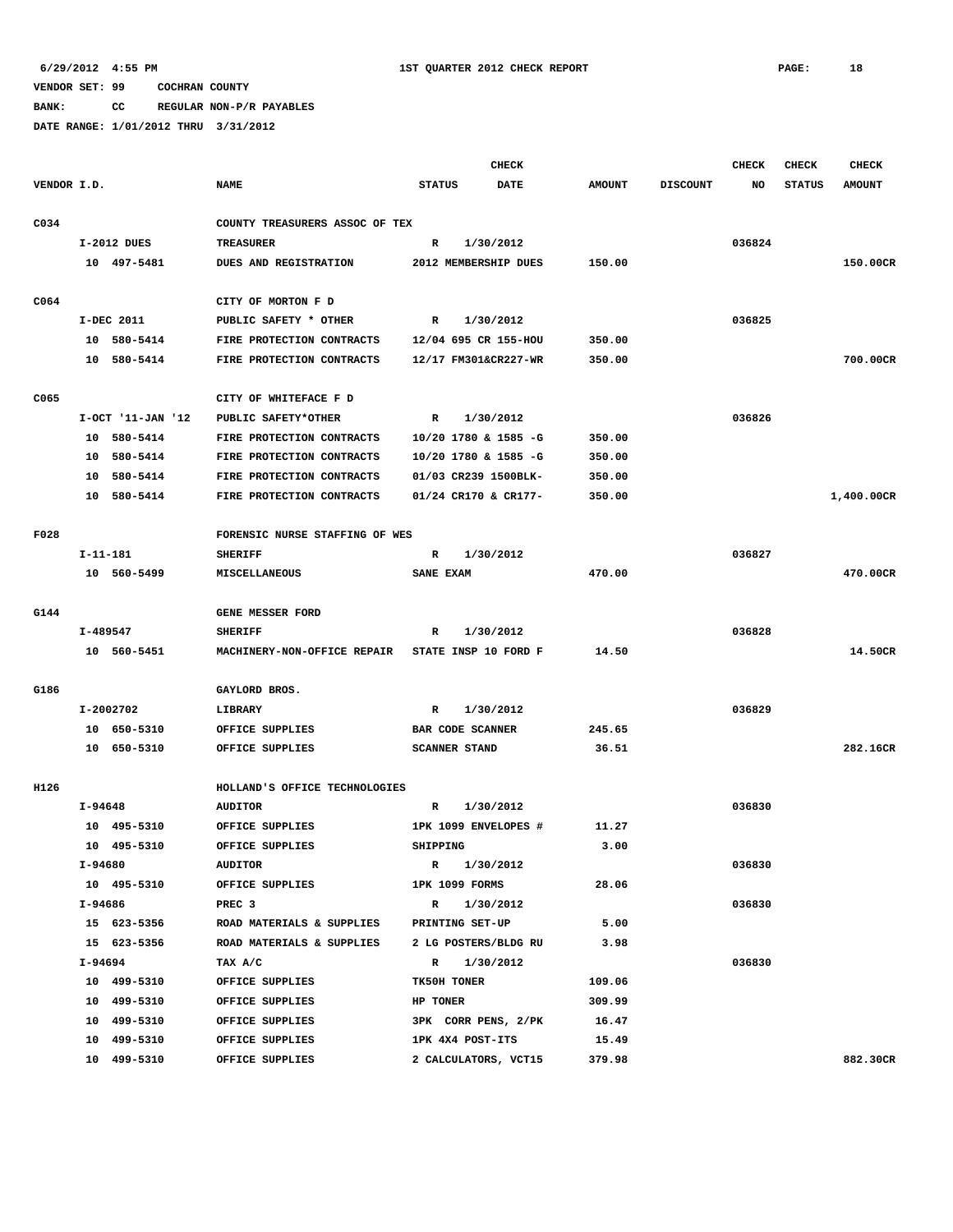**BANK: CC REGULAR NON-P/R PAYABLES**

|             |                   |                                              | <b>CHECK</b>         |             |               |                 | CHECK  | <b>CHECK</b>  | <b>CHECK</b>  |
|-------------|-------------------|----------------------------------------------|----------------------|-------------|---------------|-----------------|--------|---------------|---------------|
| VENDOR I.D. |                   | <b>NAME</b>                                  | <b>STATUS</b>        | <b>DATE</b> | <b>AMOUNT</b> | <b>DISCOUNT</b> | NO     | <b>STATUS</b> | <b>AMOUNT</b> |
|             |                   |                                              |                      |             |               |                 |        |               |               |
| C034        |                   | COUNTY TREASURERS ASSOC OF TEX               |                      |             |               |                 |        |               |               |
|             | $I-2012$ DUES     | <b>TREASURER</b>                             | R                    | 1/30/2012   |               |                 | 036824 |               |               |
|             | 10 497-5481       | DUES AND REGISTRATION                        | 2012 MEMBERSHIP DUES |             | 150.00        |                 |        |               | 150.00CR      |
|             |                   |                                              |                      |             |               |                 |        |               |               |
| C064        |                   | CITY OF MORTON F D                           |                      |             |               |                 |        |               |               |
|             | I-DEC 2011        | PUBLIC SAFETY * OTHER                        | R                    | 1/30/2012   |               |                 | 036825 |               |               |
|             | 10 580-5414       | FIRE PROTECTION CONTRACTS                    | 12/04 695 CR 155-HOU |             | 350.00        |                 |        |               |               |
|             | 10 580-5414       | FIRE PROTECTION CONTRACTS                    | 12/17 FM301&CR227-WR |             | 350.00        |                 |        |               | 700.00CR      |
| C065        |                   |                                              |                      |             |               |                 |        |               |               |
|             | I-OCT '11-JAN '12 | CITY OF WHITEFACE F D<br>PUBLIC SAFETY*OTHER | R                    | 1/30/2012   |               |                 | 036826 |               |               |
|             | 10 580-5414       | FIRE PROTECTION CONTRACTS                    | 10/20 1780 & 1585 -G |             | 350.00        |                 |        |               |               |
|             | 10 580-5414       | FIRE PROTECTION CONTRACTS                    | 10/20 1780 & 1585 -G |             | 350.00        |                 |        |               |               |
|             | 580-5414<br>10    | FIRE PROTECTION CONTRACTS                    | 01/03 CR239 1500BLK- |             | 350.00        |                 |        |               |               |
|             | 10 580-5414       | FIRE PROTECTION CONTRACTS                    | 01/24 CR170 & CR177- |             | 350.00        |                 |        |               | 1,400.00CR    |
|             |                   |                                              |                      |             |               |                 |        |               |               |
| F028        |                   | FORENSIC NURSE STAFFING OF WES               |                      |             |               |                 |        |               |               |
|             | I-11-181          | <b>SHERIFF</b>                               | R                    | 1/30/2012   |               |                 | 036827 |               |               |
|             | 10 560-5499       | MISCELLANEOUS                                | SANE EXAM            |             | 470.00        |                 |        |               | 470.00CR      |
|             |                   |                                              |                      |             |               |                 |        |               |               |
| G144        |                   | GENE MESSER FORD                             |                      |             |               |                 |        |               |               |
|             | I-489547          | <b>SHERIFF</b>                               | R                    | 1/30/2012   |               |                 | 036828 |               |               |
|             | 10 560-5451       | MACHINERY-NON-OFFICE REPAIR                  | STATE INSP 10 FORD F |             | 14.50         |                 |        |               | 14.50CR       |
|             |                   |                                              |                      |             |               |                 |        |               |               |
| G186        |                   | GAYLORD BROS.                                |                      |             |               |                 |        |               |               |
|             | I-2002702         | LIBRARY                                      | R                    | 1/30/2012   |               |                 | 036829 |               |               |
|             | 10 650-5310       | OFFICE SUPPLIES                              | BAR CODE SCANNER     |             | 245.65        |                 |        |               |               |
|             | 10 650-5310       | OFFICE SUPPLIES                              | <b>SCANNER STAND</b> |             | 36.51         |                 |        |               | 282.16CR      |
|             |                   |                                              |                      |             |               |                 |        |               |               |
| H126        |                   | HOLLAND'S OFFICE TECHNOLOGIES                |                      |             |               |                 |        |               |               |
|             | $I-94648$         | <b>AUDITOR</b>                               | R                    | 1/30/2012   |               |                 | 036830 |               |               |
|             | 10 495-5310       | OFFICE SUPPLIES                              | 1PK 1099 ENVELOPES # |             | 11.27         |                 |        |               |               |
|             | 10 495-5310       | OFFICE SUPPLIES                              | SHIPPING             |             | 3.00          |                 |        |               |               |
|             | I-94680           | <b>AUDITOR</b>                               | R                    | 1/30/2012   |               |                 | 036830 |               |               |
|             | 10 495-5310       | OFFICE SUPPLIES                              | 1PK 1099 FORMS       |             | 28.06         |                 |        |               |               |
|             | I-94686           | PREC <sub>3</sub>                            | R 1/30/2012          |             |               |                 | 036830 |               |               |
|             | 15 623-5356       | ROAD MATERIALS & SUPPLIES                    | PRINTING SET-UP      |             | 5.00          |                 |        |               |               |
|             | 15 623-5356       | ROAD MATERIALS & SUPPLIES                    | 2 LG POSTERS/BLDG RU |             | 3.98          |                 |        |               |               |
|             | I-94694           | TAX A/C                                      | R 1/30/2012          |             |               |                 | 036830 |               |               |
|             | 10 499-5310       | OFFICE SUPPLIES                              | TK50H TONER          |             | 109.06        |                 |        |               |               |
|             | 10 499-5310       | OFFICE SUPPLIES                              | HP TONER             |             | 309.99        |                 |        |               |               |
|             | 10 499-5310       | OFFICE SUPPLIES                              | 3PK CORR PENS, 2/PK  |             | 16.47         |                 |        |               |               |
|             | 10 499-5310       | OFFICE SUPPLIES                              | 1PK 4X4 POST-ITS     |             | 15.49         |                 |        |               |               |
|             | 10 499-5310       | OFFICE SUPPLIES                              | 2 CALCULATORS, VCT15 |             | 379.98        |                 |        |               | 882.30CR      |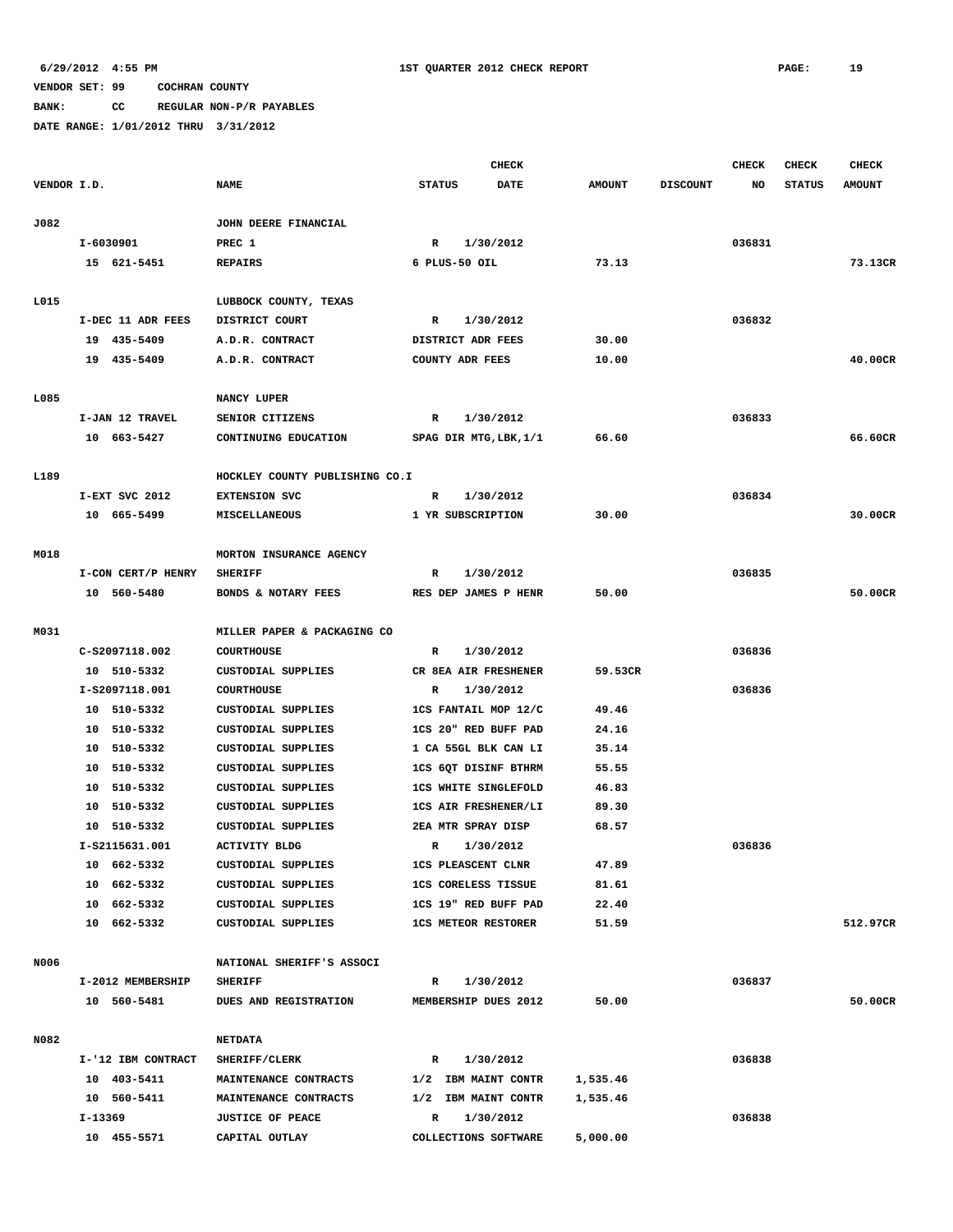**BANK: CC REGULAR NON-P/R PAYABLES**

|             |                            |                                          | <b>CHECK</b>                                            |                |                 | <b>CHECK</b> | <b>CHECK</b>  | <b>CHECK</b>  |
|-------------|----------------------------|------------------------------------------|---------------------------------------------------------|----------------|-----------------|--------------|---------------|---------------|
| VENDOR I.D. |                            | <b>NAME</b>                              | <b>STATUS</b><br>DATE                                   | <b>AMOUNT</b>  | <b>DISCOUNT</b> | NO           | <b>STATUS</b> | <b>AMOUNT</b> |
|             |                            |                                          |                                                         |                |                 |              |               |               |
| J082        |                            | JOHN DEERE FINANCIAL                     |                                                         |                |                 |              |               |               |
|             | I-6030901                  | PREC 1                                   | $\mathbb{R}$<br>1/30/2012                               |                |                 | 036831       |               |               |
|             | 15 621-5451                | <b>REPAIRS</b>                           | 6 PLUS-50 OIL                                           | 73.13          |                 |              |               | 73.13CR       |
|             |                            |                                          |                                                         |                |                 |              |               |               |
| L015        | I-DEC 11 ADR FEES          | LUBBOCK COUNTY, TEXAS                    |                                                         |                |                 | 036832       |               |               |
|             | 19 435-5409                | DISTRICT COURT<br>A.D.R. CONTRACT        | 1/30/2012<br>R<br>DISTRICT ADR FEES                     | 30.00          |                 |              |               |               |
|             | 19 435-5409                | A.D.R. CONTRACT                          | COUNTY ADR FEES                                         | 10.00          |                 |              |               | 40.00CR       |
|             |                            |                                          |                                                         |                |                 |              |               |               |
| L085        |                            | NANCY LUPER                              |                                                         |                |                 |              |               |               |
|             | I-JAN 12 TRAVEL            | SENIOR CITIZENS                          | 1/30/2012<br>R                                          |                |                 | 036833       |               |               |
|             | 10 663-5427                | CONTINUING EDUCATION                     | SPAG DIR MTG, LBK, 1/1                                  | 66.60          |                 |              |               | 66.60CR       |
|             |                            |                                          |                                                         |                |                 |              |               |               |
| L189        |                            | HOCKLEY COUNTY PUBLISHING CO.I           |                                                         |                |                 |              |               |               |
|             | I-EXT SVC 2012             | <b>EXTENSION SVC</b>                     | 1/30/2012<br>R                                          |                |                 | 036834       |               |               |
|             | 10 665-5499                | MISCELLANEOUS                            | 1 YR SUBSCRIPTION                                       | 30.00          |                 |              |               | 30.00CR       |
|             |                            |                                          |                                                         |                |                 |              |               |               |
| M018        |                            | MORTON INSURANCE AGENCY                  |                                                         |                |                 |              |               |               |
|             | I-CON CERT/P HENRY         | <b>SHERIFF</b>                           | 1/30/2012<br>R                                          |                |                 | 036835       |               |               |
|             | 10 560-5480                | BONDS & NOTARY FEES                      | RES DEP JAMES P HENR                                    | 50.00          |                 |              |               | 50.00CR       |
|             |                            |                                          |                                                         |                |                 |              |               |               |
| M031        |                            | MILLER PAPER & PACKAGING CO              |                                                         |                |                 |              |               |               |
|             | C-S2097118.002             | COURTHOUSE                               | $\mathbb{R}$<br>1/30/2012                               |                |                 | 036836       |               |               |
|             | 10 510-5332                | CUSTODIAL SUPPLIES                       | CR 8EA AIR FRESHENER                                    | 59.53CR        |                 |              |               |               |
|             | I-S2097118.001             | <b>COURTHOUSE</b>                        | R<br>1/30/2012                                          |                |                 | 036836       |               |               |
|             | 10 510-5332                | <b>CUSTODIAL SUPPLIES</b>                | 1CS FANTAIL MOP 12/C                                    | 49.46          |                 |              |               |               |
|             | 510-5332<br>10             | CUSTODIAL SUPPLIES                       | 1CS 20" RED BUFF PAD                                    | 24.16          |                 |              |               |               |
|             | 510-5332<br>10             | <b>CUSTODIAL SUPPLIES</b>                | 1 CA 55GL BLK CAN LI                                    | 35.14          |                 |              |               |               |
|             | 510-5332<br>10             | CUSTODIAL SUPPLIES                       | 1CS 6QT DISINF BTHRM                                    | 55.55          |                 |              |               |               |
|             | 510-5332<br>10             | CUSTODIAL SUPPLIES                       | <b>1CS WHITE SINGLEFOLD</b>                             | 46.83          |                 |              |               |               |
|             | 510-5332<br>10             | CUSTODIAL SUPPLIES                       | 1CS AIR FRESHENER/LI                                    | 89.30          |                 |              |               |               |
|             | 10 510-5332                | <b>CUSTODIAL SUPPLIES</b>                | 2EA MTR SPRAY DISP                                      | 68.57          |                 |              |               |               |
|             | I-S2115631.001             | <b>ACTIVITY BLDG</b>                     | 1/30/2012<br>R                                          |                |                 | 036836       |               |               |
|             | 10 662-5332<br>10 662-5332 | CUSTODIAL SUPPLIES<br>CUSTODIAL SUPPLIES | <b>1CS PLEASCENT CLNR</b><br><b>1CS CORELESS TISSUE</b> | 47.89<br>81.61 |                 |              |               |               |
|             | 10 662-5332                | CUSTODIAL SUPPLIES                       | 1CS 19" RED BUFF PAD                                    | 22.40          |                 |              |               |               |
|             | 10 662-5332                | CUSTODIAL SUPPLIES                       | <b>1CS METEOR RESTORER</b>                              | 51.59          |                 |              |               | 512.97CR      |
|             |                            |                                          |                                                         |                |                 |              |               |               |
| N006        |                            | NATIONAL SHERIFF'S ASSOCI                |                                                         |                |                 |              |               |               |
|             | I-2012 MEMBERSHIP          | <b>SHERIFF</b>                           | R<br>1/30/2012                                          |                |                 | 036837       |               |               |
|             | 10 560-5481                | DUES AND REGISTRATION                    | MEMBERSHIP DUES 2012                                    | 50.00          |                 |              |               | 50.00CR       |
|             |                            |                                          |                                                         |                |                 |              |               |               |
| N082        |                            | <b>NETDATA</b>                           |                                                         |                |                 |              |               |               |
|             | I-'12 IBM CONTRACT         | <b>SHERIFF/CLERK</b>                     | 1/30/2012<br>R                                          |                |                 | 036838       |               |               |
|             | 10 403-5411                | MAINTENANCE CONTRACTS                    | 1/2 IBM MAINT CONTR                                     | 1,535.46       |                 |              |               |               |
|             | 10 560-5411                | MAINTENANCE CONTRACTS                    | 1/2 IBM MAINT CONTR                                     | 1,535.46       |                 |              |               |               |
|             | I-13369                    | <b>JUSTICE OF PEACE</b>                  | 1/30/2012<br>R                                          |                |                 | 036838       |               |               |
|             | 10 455-5571                | CAPITAL OUTLAY                           | COLLECTIONS SOFTWARE                                    | 5,000.00       |                 |              |               |               |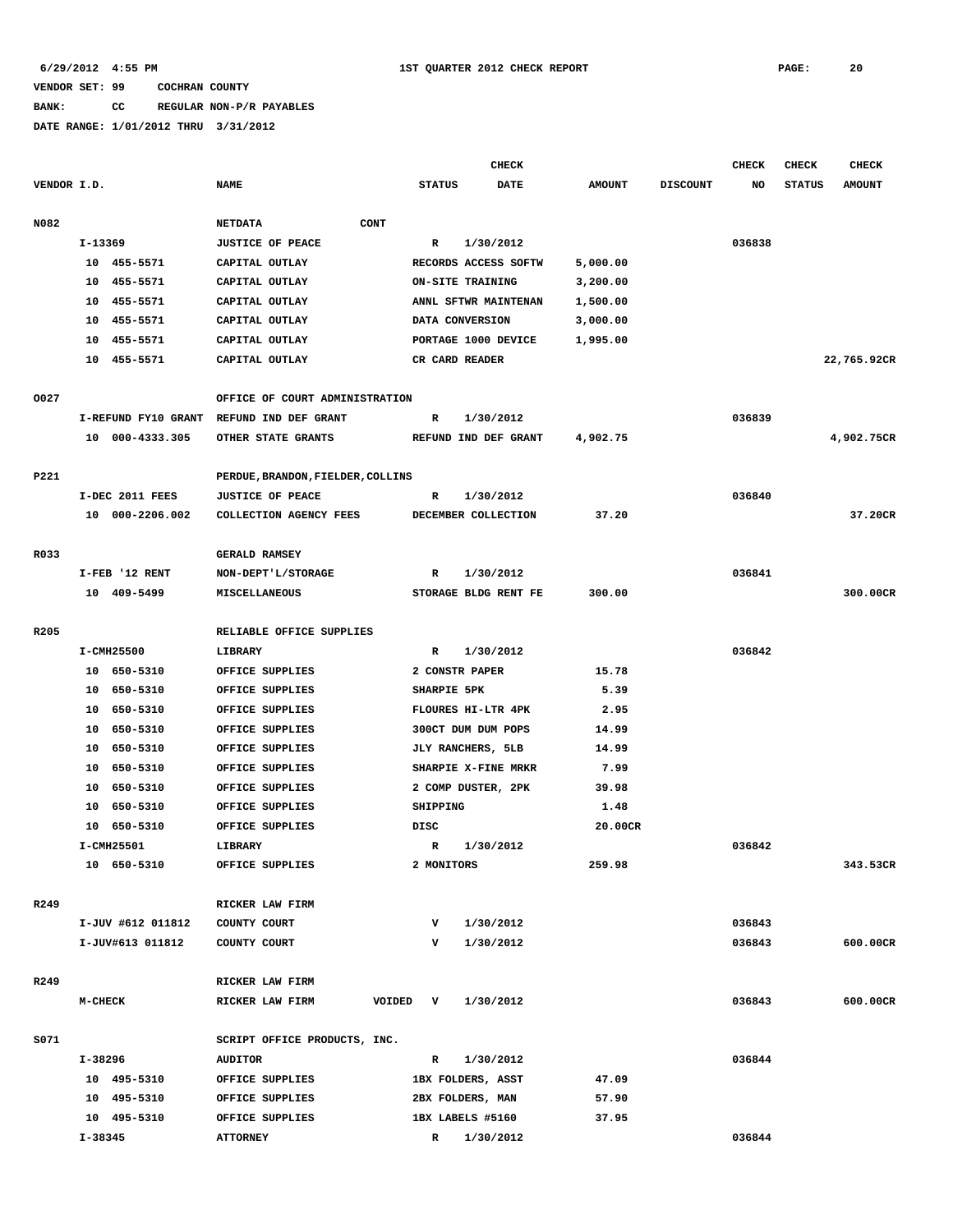# **BANK: CC REGULAR NON-P/R PAYABLES**

|             |                     |                         |                                   | <b>CHECK</b>                 |               |                 | <b>CHECK</b> | <b>CHECK</b>  | CHECK         |
|-------------|---------------------|-------------------------|-----------------------------------|------------------------------|---------------|-----------------|--------------|---------------|---------------|
| VENDOR I.D. |                     | <b>NAME</b>             |                                   | <b>DATE</b><br><b>STATUS</b> | <b>AMOUNT</b> | <b>DISCOUNT</b> | NO           | <b>STATUS</b> | <b>AMOUNT</b> |
| N082        |                     | <b>NETDATA</b>          | <b>CONT</b>                       |                              |               |                 |              |               |               |
|             | I-13369             | <b>JUSTICE OF PEACE</b> |                                   | $\mathbb{R}$<br>1/30/2012    |               |                 | 036838       |               |               |
|             | 10 455-5571         | CAPITAL OUTLAY          |                                   | RECORDS ACCESS SOFTW         | 5,000.00      |                 |              |               |               |
|             | 10<br>455-5571      | CAPITAL OUTLAY          |                                   | ON-SITE TRAINING             | 3,200.00      |                 |              |               |               |
|             | 455-5571<br>10      | CAPITAL OUTLAY          |                                   | ANNL SFTWR MAINTENAN         | 1,500.00      |                 |              |               |               |
|             | 10<br>455-5571      | CAPITAL OUTLAY          |                                   | DATA CONVERSION              | 3,000.00      |                 |              |               |               |
|             | 455-5571<br>10      | CAPITAL OUTLAY          |                                   | PORTAGE 1000 DEVICE          | 1,995.00      |                 |              |               |               |
|             | 10 455-5571         | CAPITAL OUTLAY          |                                   | CR CARD READER               |               |                 |              |               | 22,765.92CR   |
| 0027        |                     |                         | OFFICE OF COURT ADMINISTRATION    |                              |               |                 |              |               |               |
|             | I-REFUND FY10 GRANT | REFUND IND DEF GRANT    |                                   | R<br>1/30/2012               |               |                 | 036839       |               |               |
|             | 10 000-4333.305     | OTHER STATE GRANTS      |                                   | REFUND IND DEF GRANT         | 4,902.75      |                 |              |               | 4,902.75CR    |
| P221        |                     |                         | PERDUE, BRANDON, FIELDER, COLLINS |                              |               |                 |              |               |               |
|             | I-DEC 2011 FEES     | <b>JUSTICE OF PEACE</b> |                                   | R<br>1/30/2012               |               |                 | 036840       |               |               |
|             | 10 000-2206.002     | COLLECTION AGENCY FEES  |                                   | DECEMBER COLLECTION          | 37.20         |                 |              |               | 37.20CR       |
|             |                     |                         |                                   |                              |               |                 |              |               |               |
| R033        |                     | <b>GERALD RAMSEY</b>    |                                   |                              |               |                 |              |               |               |
|             | I-FEB '12 RENT      | NON-DEPT'L/STORAGE      |                                   | 1/30/2012<br>R               |               |                 | 036841       |               |               |
|             | 10 409-5499         | MISCELLANEOUS           |                                   | STORAGE BLDG RENT FE         | 300.00        |                 |              |               | 300.00CR      |
| R205        |                     |                         | RELIABLE OFFICE SUPPLIES          |                              |               |                 |              |               |               |
|             | I-CMH25500          | LIBRARY                 |                                   | 1/30/2012<br>R               |               |                 | 036842       |               |               |
|             | 10 650-5310         | OFFICE SUPPLIES         |                                   | 2 CONSTR PAPER               | 15.78         |                 |              |               |               |
|             | 10 650-5310         | OFFICE SUPPLIES         |                                   | <b>SHARPIE 5PK</b>           | 5.39          |                 |              |               |               |
|             | 10 650-5310         | OFFICE SUPPLIES         |                                   | FLOURES HI-LTR 4PK           | 2.95          |                 |              |               |               |
|             | 10<br>650-5310      | OFFICE SUPPLIES         |                                   | 300CT DUM DUM POPS           | 14.99         |                 |              |               |               |
|             | 10<br>650-5310      | OFFICE SUPPLIES         |                                   | JLY RANCHERS, 5LB            | 14.99         |                 |              |               |               |
|             | 650-5310<br>10      | OFFICE SUPPLIES         |                                   | SHARPIE X-FINE MRKR          | 7.99          |                 |              |               |               |
|             | 650-5310<br>10      | OFFICE SUPPLIES         |                                   | 2 COMP DUSTER, 2PK           | 39.98         |                 |              |               |               |
|             | 650-5310<br>10      | OFFICE SUPPLIES         |                                   | SHIPPING                     | 1.48          |                 |              |               |               |
|             | 10 650-5310         | OFFICE SUPPLIES         | DISC                              |                              | 20.00CR       |                 |              |               |               |
|             | I-CMH25501          | LIBRARY                 |                                   | 1/30/2012<br>R               |               |                 | 036842       |               |               |
|             | 10 650-5310         | OFFICE SUPPLIES         |                                   | 2 MONITORS                   | 259.98        |                 |              |               | 343.53CR      |
| R249        |                     | RICKER LAW FIRM         |                                   |                              |               |                 |              |               |               |
|             | I-JUV #612 011812   | COUNTY COURT            |                                   | V<br>1/30/2012               |               |                 | 036843       |               |               |
|             | I-JUV#613 011812    | COUNTY COURT            |                                   | v<br>1/30/2012               |               |                 | 036843       |               | 600.00CR      |
| R249        |                     | RICKER LAW FIRM         |                                   |                              |               |                 |              |               |               |
|             | <b>M-CHECK</b>      | RICKER LAW FIRM         | VOIDED V                          | 1/30/2012                    |               |                 | 036843       |               | 600.00CR      |
| S071        |                     |                         | SCRIPT OFFICE PRODUCTS, INC.      |                              |               |                 |              |               |               |
|             | I-38296             | AUDITOR                 |                                   | 1/30/2012<br>$\mathbf R$     |               |                 | 036844       |               |               |
|             | 10 495-5310         | OFFICE SUPPLIES         |                                   | 1BX FOLDERS, ASST            | 47.09         |                 |              |               |               |
|             | 10 495-5310         | OFFICE SUPPLIES         |                                   | 2BX FOLDERS, MAN             | 57.90         |                 |              |               |               |
|             | 10 495-5310         | OFFICE SUPPLIES         |                                   | 1BX LABELS #5160             | 37.95         |                 |              |               |               |
|             | I-38345             | <b>ATTORNEY</b>         |                                   | 1/30/2012<br>R               |               |                 | 036844       |               |               |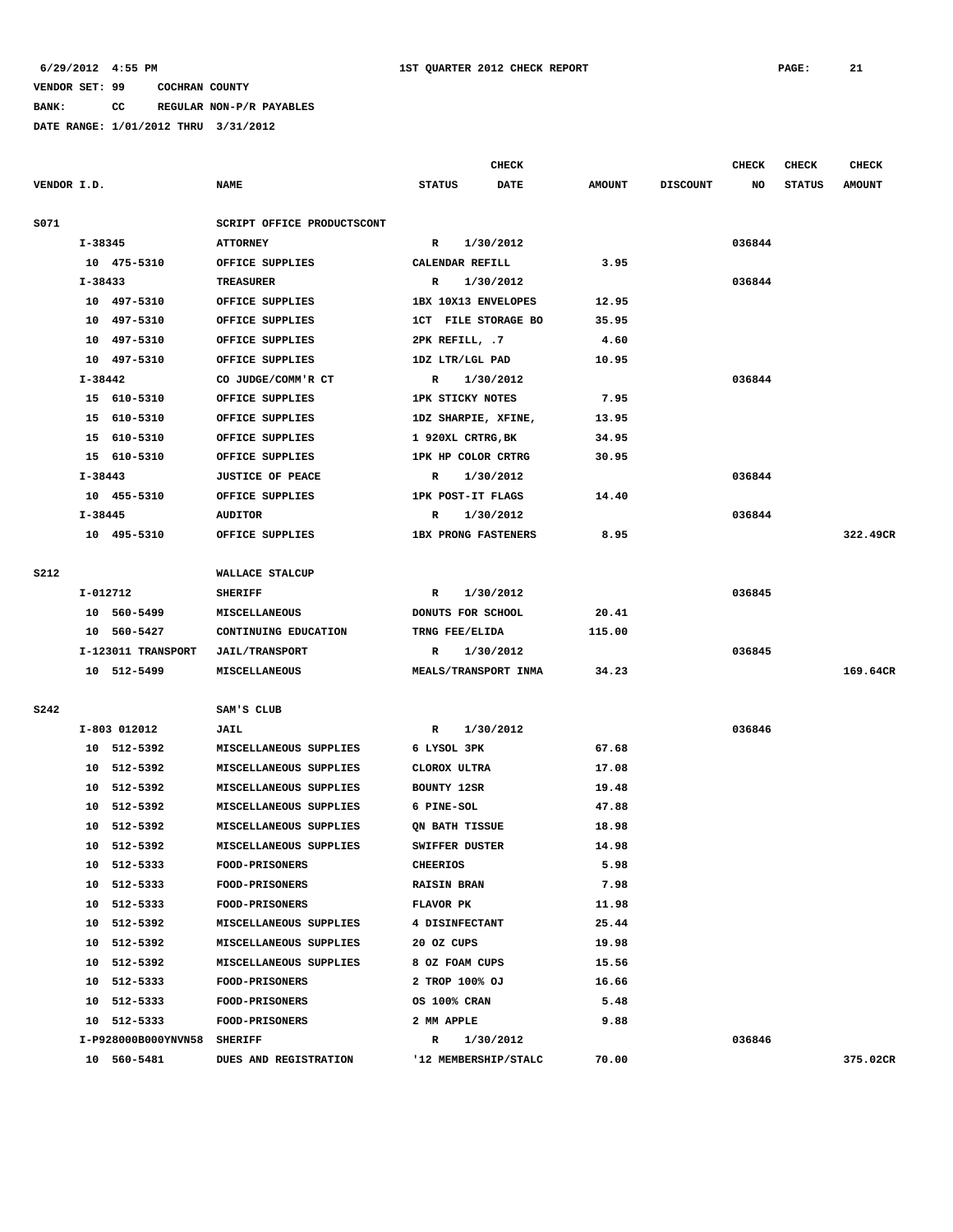**BANK: CC REGULAR NON-P/R PAYABLES**

|             |         |                             |                            |                 |                         | <b>CHECK</b>               |               |                 | CHECK  | <b>CHECK</b>  | <b>CHECK</b>  |
|-------------|---------|-----------------------------|----------------------------|-----------------|-------------------------|----------------------------|---------------|-----------------|--------|---------------|---------------|
| VENDOR I.D. |         |                             | <b>NAME</b>                | <b>STATUS</b>   |                         | <b>DATE</b>                | <b>AMOUNT</b> | <b>DISCOUNT</b> | NO     | <b>STATUS</b> | <b>AMOUNT</b> |
| S071        |         |                             | SCRIPT OFFICE PRODUCTSCONT |                 |                         |                            |               |                 |        |               |               |
|             | I-38345 |                             | <b>ATTORNEY</b>            | R               |                         | 1/30/2012                  |               |                 | 036844 |               |               |
|             |         | 10 475-5310                 | OFFICE SUPPLIES            |                 | CALENDAR REFILL         |                            | 3.95          |                 |        |               |               |
|             | I-38433 |                             | <b>TREASURER</b>           | R               |                         | 1/30/2012                  |               |                 | 036844 |               |               |
|             |         | 10 497-5310                 | OFFICE SUPPLIES            |                 |                         | 1BX 10X13 ENVELOPES        | 12.95         |                 |        |               |               |
|             |         | 10 497-5310                 | OFFICE SUPPLIES            |                 |                         | 1CT FILE STORAGE BO        | 35.95         |                 |        |               |               |
|             |         | 10 497-5310                 | OFFICE SUPPLIES            |                 | 2PK REFILL, .7          |                            | 4.60          |                 |        |               |               |
|             |         | 10 497-5310                 | OFFICE SUPPLIES            |                 | 1DZ LTR/LGL PAD         |                            | 10.95         |                 |        |               |               |
|             | I-38442 |                             | CO JUDGE/COMM'R CT         | R               |                         | 1/30/2012                  |               |                 | 036844 |               |               |
|             |         | 15 610-5310                 | OFFICE SUPPLIES            |                 | <b>1PK STICKY NOTES</b> |                            | 7.95          |                 |        |               |               |
|             |         | 15 610-5310                 | OFFICE SUPPLIES            |                 |                         | 1DZ SHARPIE, XFINE,        | 13.95         |                 |        |               |               |
|             |         | 15 610-5310                 | OFFICE SUPPLIES            |                 | 1 920XL CRTRG, BK       |                            | 34.95         |                 |        |               |               |
|             |         | 15 610-5310                 | OFFICE SUPPLIES            |                 |                         | 1PK HP COLOR CRTRG         | 30.95         |                 |        |               |               |
|             | I-38443 |                             | <b>JUSTICE OF PEACE</b>    | R               |                         | 1/30/2012                  |               |                 | 036844 |               |               |
|             |         | 10 455-5310                 | OFFICE SUPPLIES            |                 | 1PK POST-IT FLAGS       |                            | 14.40         |                 |        |               |               |
|             | I-38445 |                             | <b>AUDITOR</b>             | R               |                         | 1/30/2012                  |               |                 | 036844 |               |               |
|             |         | 10 495-5310                 | OFFICE SUPPLIES            |                 |                         | <b>1BX PRONG FASTENERS</b> | 8.95          |                 |        |               | 322.49CR      |
| <b>S212</b> |         |                             | WALLACE STALCUP            |                 |                         |                            |               |                 |        |               |               |
|             |         | I-012712                    | <b>SHERIFF</b>             | R               |                         | 1/30/2012                  |               |                 | 036845 |               |               |
|             |         | 10 560-5499                 | <b>MISCELLANEOUS</b>       |                 | DONUTS FOR SCHOOL       |                            | 20.41         |                 |        |               |               |
|             |         | 10 560-5427                 | CONTINUING EDUCATION       |                 | TRNG FEE/ELIDA          |                            | 115.00        |                 |        |               |               |
|             |         | I-123011 TRANSPORT          | <b>JAIL/TRANSPORT</b>      | R               |                         | 1/30/2012                  |               |                 | 036845 |               |               |
|             |         | 10 512-5499                 | <b>MISCELLANEOUS</b>       |                 |                         | MEALS/TRANSPORT INMA       | 34.23         |                 |        |               | 169.64CR      |
| <b>S242</b> |         |                             | SAM'S CLUB                 |                 |                         |                            |               |                 |        |               |               |
|             |         | I-803 012012                | <b>JAIL</b>                | R               |                         | 1/30/2012                  |               |                 | 036846 |               |               |
|             |         | 10 512-5392                 | MISCELLANEOUS SUPPLIES     |                 | 6 LYSOL 3PK             |                            | 67.68         |                 |        |               |               |
|             |         | 10 512-5392                 | MISCELLANEOUS SUPPLIES     |                 | CLOROX ULTRA            |                            | 17.08         |                 |        |               |               |
|             |         | 10 512-5392                 | MISCELLANEOUS SUPPLIES     |                 | BOUNTY 12SR             |                            | 19.48         |                 |        |               |               |
|             |         | 10 512-5392                 | MISCELLANEOUS SUPPLIES     |                 | 6 PINE-SOL              |                            | 47.88         |                 |        |               |               |
|             |         | 10 512-5392                 | MISCELLANEOUS SUPPLIES     |                 | ON BATH TISSUE          |                            | 18.98         |                 |        |               |               |
|             |         | 10 512-5392                 | MISCELLANEOUS SUPPLIES     |                 | SWIFFER DUSTER          |                            | 14.98         |                 |        |               |               |
|             |         | 10 512-5333                 | <b>FOOD-PRISONERS</b>      | <b>CHEERIOS</b> |                         |                            | 5.98          |                 |        |               |               |
|             |         | 10 512-5333                 | FOOD-PRISONERS             |                 | <b>RAISIN BRAN</b>      |                            | 7.98          |                 |        |               |               |
|             |         | 10 512-5333                 | <b>FOOD-PRISONERS</b>      | FLAVOR PK       |                         |                            | 11.98         |                 |        |               |               |
|             |         | 10 512-5392                 | MISCELLANEOUS SUPPLIES     |                 | 4 DISINFECTANT          |                            | 25.44         |                 |        |               |               |
|             |         | 10 512-5392                 | MISCELLANEOUS SUPPLIES     |                 | 20 OZ CUPS              |                            | 19.98         |                 |        |               |               |
|             |         | 10 512-5392                 | MISCELLANEOUS SUPPLIES     |                 | 8 OZ FOAM CUPS          |                            | 15.56         |                 |        |               |               |
|             |         | 10 512-5333                 | <b>FOOD-PRISONERS</b>      |                 | 2 TROP 100% OJ          |                            | 16.66         |                 |        |               |               |
|             |         | 10 512-5333                 | <b>FOOD-PRISONERS</b>      |                 | OS 100% CRAN            |                            | 5.48          |                 |        |               |               |
|             |         | 10 512-5333                 | <b>FOOD-PRISONERS</b>      |                 | 2 MM APPLE              |                            | 9.88          |                 |        |               |               |
|             |         | I-P928000B000YNVN58 SHERIFF |                            | R               |                         | 1/30/2012                  |               |                 | 036846 |               |               |
|             |         | 10 560-5481                 | DUES AND REGISTRATION      |                 |                         | '12 MEMBERSHIP/STALC       | 70.00         |                 |        |               | 375.02CR      |
|             |         |                             |                            |                 |                         |                            |               |                 |        |               |               |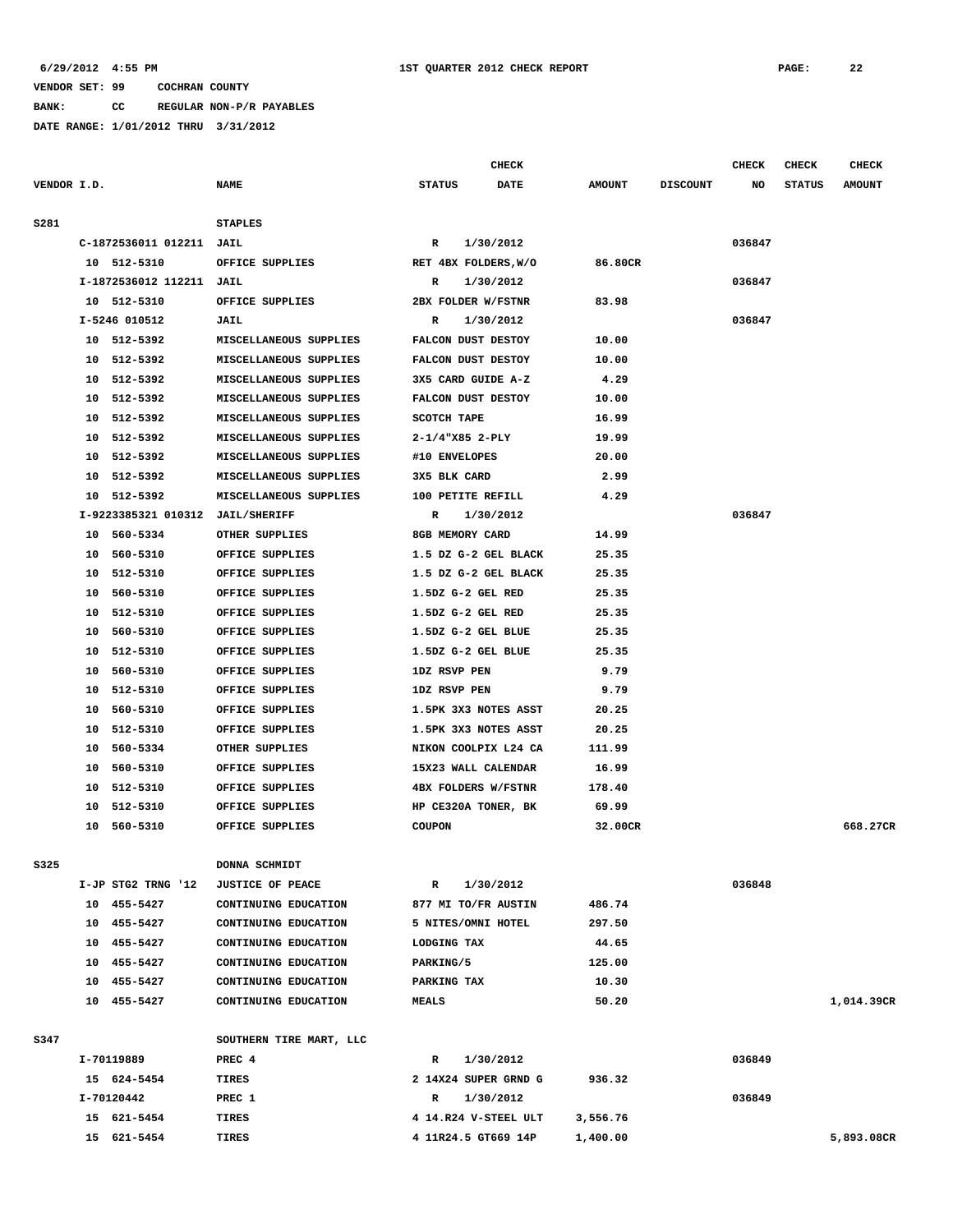**BANK: CC REGULAR NON-P/R PAYABLES**

|             |                                  |                         | <b>CHECK</b>                 |               |                 | <b>CHECK</b> | <b>CHECK</b>  | <b>CHECK</b>  |
|-------------|----------------------------------|-------------------------|------------------------------|---------------|-----------------|--------------|---------------|---------------|
| VENDOR I.D. |                                  | <b>NAME</b>             | <b>STATUS</b><br><b>DATE</b> | <b>AMOUNT</b> | <b>DISCOUNT</b> | NO           | <b>STATUS</b> | <b>AMOUNT</b> |
| S281        |                                  | <b>STAPLES</b>          |                              |               |                 |              |               |               |
|             | C-1872536011 012211              | <b>JAIL</b>             | 1/30/2012<br>R               |               |                 | 036847       |               |               |
|             | 10 512-5310                      | OFFICE SUPPLIES         | RET 4BX FOLDERS, W/O         | 86.80CR       |                 |              |               |               |
|             | I-1872536012 112211 JAIL         |                         | 1/30/2012<br>R               |               |                 | 036847       |               |               |
|             | 10 512-5310                      | OFFICE SUPPLIES         | 2BX FOLDER W/FSTNR           | 83.98         |                 |              |               |               |
|             | I-5246 010512                    | JAIL                    | 1/30/2012<br>R               |               |                 | 036847       |               |               |
|             | 10 512-5392                      | MISCELLANEOUS SUPPLIES  | FALCON DUST DESTOY           | 10.00         |                 |              |               |               |
|             | 10<br>512-5392                   | MISCELLANEOUS SUPPLIES  | FALCON DUST DESTOY           | 10.00         |                 |              |               |               |
|             | 512-5392<br>10                   | MISCELLANEOUS SUPPLIES  | 3X5 CARD GUIDE A-Z           | 4.29          |                 |              |               |               |
|             | 512-5392<br>10                   | MISCELLANEOUS SUPPLIES  | FALCON DUST DESTOY           | 10.00         |                 |              |               |               |
|             | 10<br>512-5392                   | MISCELLANEOUS SUPPLIES  | <b>SCOTCH TAPE</b>           | 16.99         |                 |              |               |               |
|             | 512-5392<br>10                   | MISCELLANEOUS SUPPLIES  | 2-1/4"X85 2-PLY              | 19.99         |                 |              |               |               |
|             | 512-5392<br>10                   | MISCELLANEOUS SUPPLIES  | #10 ENVELOPES                | 20.00         |                 |              |               |               |
|             | 10<br>512-5392                   | MISCELLANEOUS SUPPLIES  | 3X5 BLK CARD                 | 2.99          |                 |              |               |               |
|             | 10<br>512-5392                   | MISCELLANEOUS SUPPLIES  | 100 PETITE REFILL            | 4.29          |                 |              |               |               |
|             | I-9223385321 010312 JAIL/SHERIFF |                         | R<br>1/30/2012               |               |                 | 036847       |               |               |
|             | 10<br>560-5334                   | OTHER SUPPLIES          | 8GB MEMORY CARD              | 14.99         |                 |              |               |               |
|             | 560-5310<br>10                   | OFFICE SUPPLIES         | 1.5 DZ G-2 GEL BLACK         | 25.35         |                 |              |               |               |
|             | 10 512-5310                      | OFFICE SUPPLIES         | 1.5 DZ G-2 GEL BLACK         | 25.35         |                 |              |               |               |
|             | 10<br>560-5310                   | OFFICE SUPPLIES         | 1.5DZ G-2 GEL RED            | 25.35         |                 |              |               |               |
|             | 10<br>512-5310                   | OFFICE SUPPLIES         | 1.5DZ G-2 GEL RED            | 25.35         |                 |              |               |               |
|             | 10<br>560-5310                   | OFFICE SUPPLIES         | 1.5DZ G-2 GEL BLUE           | 25.35         |                 |              |               |               |
|             | 10<br>512-5310                   | OFFICE SUPPLIES         | 1.5DZ G-2 GEL BLUE           | 25.35         |                 |              |               |               |
|             | 10<br>560-5310                   | OFFICE SUPPLIES         | 1DZ RSVP PEN                 | 9.79          |                 |              |               |               |
|             | 10<br>512-5310                   | OFFICE SUPPLIES         | 1DZ RSVP PEN                 | 9.79          |                 |              |               |               |
|             | 10<br>560-5310                   | OFFICE SUPPLIES         | 1.5PK 3X3 NOTES ASST         | 20.25         |                 |              |               |               |
|             | 10<br>512-5310                   | OFFICE SUPPLIES         | 1.5PK 3X3 NOTES ASST         | 20.25         |                 |              |               |               |
|             | 560-5334<br>10                   | OTHER SUPPLIES          | NIKON COOLPIX L24 CA         | 111.99        |                 |              |               |               |
|             | 10<br>560-5310                   | OFFICE SUPPLIES         | 15X23 WALL CALENDAR          | 16.99         |                 |              |               |               |
|             | 512-5310<br>10                   | OFFICE SUPPLIES         | <b>4BX FOLDERS W/FSTNR</b>   | 178.40        |                 |              |               |               |
|             | 10<br>512-5310                   | OFFICE SUPPLIES         | HP CE320A TONER, BK          | 69.99         |                 |              |               |               |
|             | 560-5310<br>10                   | OFFICE SUPPLIES         | <b>COUPON</b>                | 32.00CR       |                 |              |               | 668.27CR      |
| S325        |                                  | DONNA SCHMIDT           |                              |               |                 |              |               |               |
|             | I-JP STG2 TRNG '12               | <b>JUSTICE OF PEACE</b> | 1/30/2012<br>R               |               |                 | 036848       |               |               |
|             | 10 455-5427                      | CONTINUING EDUCATION    | 877 MI TO/FR AUSTIN          | 486.74        |                 |              |               |               |
|             | 10 455-5427                      | CONTINUING EDUCATION    | 5 NITES/OMNI HOTEL           | 297.50        |                 |              |               |               |
|             | 10 455-5427                      | CONTINUING EDUCATION    | LODGING TAX                  | 44.65         |                 |              |               |               |
|             | 10 455-5427                      | CONTINUING EDUCATION    | PARKING/5                    | 125.00        |                 |              |               |               |
|             | 10 455-5427                      | CONTINUING EDUCATION    | PARKING TAX                  | 10.30         |                 |              |               |               |
|             | 10 455-5427                      | CONTINUING EDUCATION    | <b>MEALS</b>                 | 50.20         |                 |              |               | 1,014.39CR    |
| S347        |                                  | SOUTHERN TIRE MART, LLC |                              |               |                 |              |               |               |
|             | I-70119889                       | PREC 4                  | R<br>1/30/2012               |               |                 | 036849       |               |               |
|             | 15 624-5454                      | TIRES                   | 2 14X24 SUPER GRND G         | 936.32        |                 |              |               |               |
|             | I-70120442                       | PREC 1                  | 1/30/2012<br>R               |               |                 | 036849       |               |               |
|             | 15 621-5454                      | TIRES                   | 4 14.R24 V-STEEL ULT         | 3,556.76      |                 |              |               |               |
|             | 15 621-5454                      | TIRES                   | 4 11R24.5 GT669 14P          | 1,400.00      |                 |              |               | 5,893.08CR    |
|             |                                  |                         |                              |               |                 |              |               |               |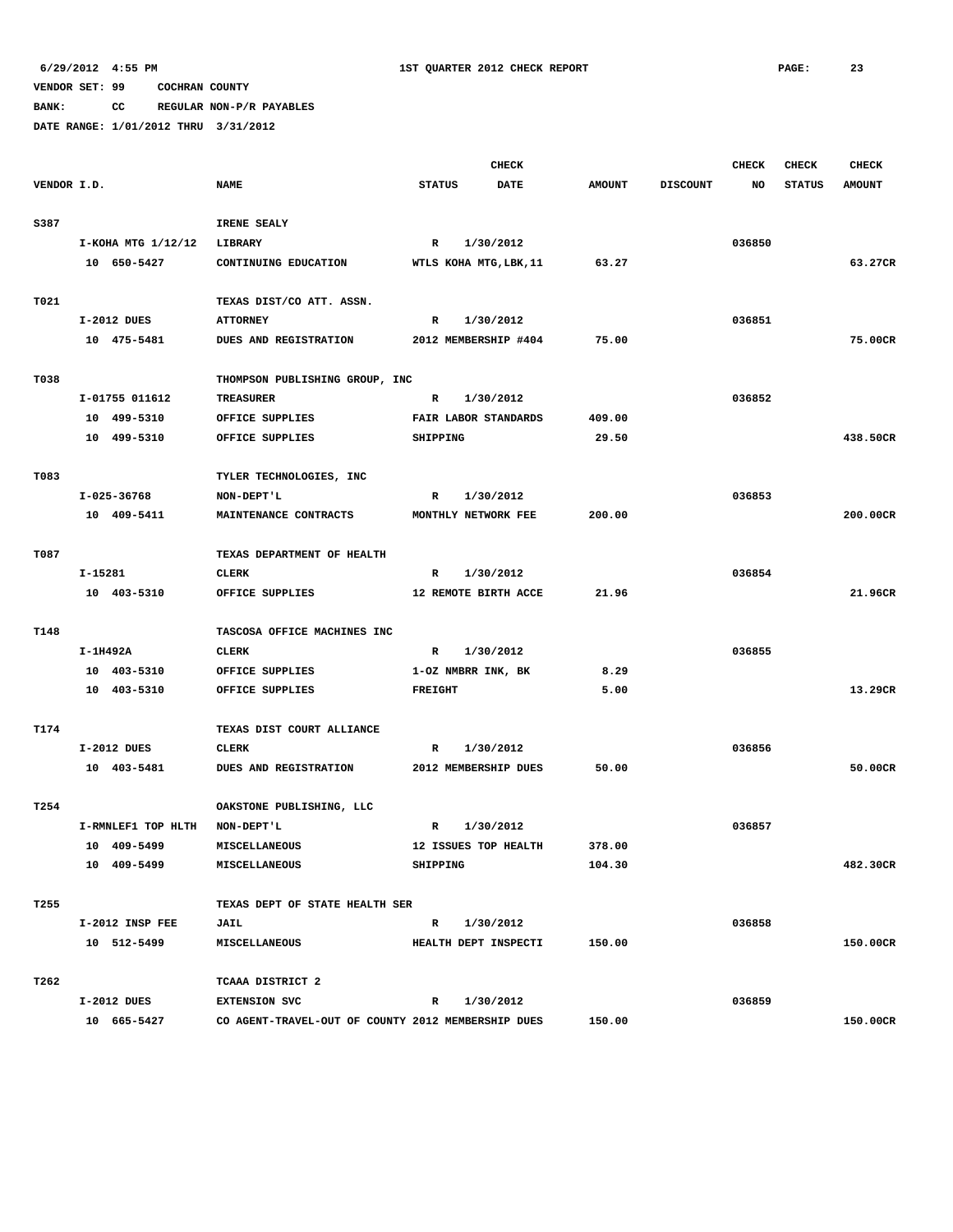**BANK: CC REGULAR NON-P/R PAYABLES**

|             |                    |                                                    | <b>CHECK</b>       |                        |               |                 | <b>CHECK</b> | <b>CHECK</b>  | <b>CHECK</b>  |
|-------------|--------------------|----------------------------------------------------|--------------------|------------------------|---------------|-----------------|--------------|---------------|---------------|
| VENDOR I.D. |                    | <b>NAME</b>                                        | <b>STATUS</b>      | DATE                   | <b>AMOUNT</b> | <b>DISCOUNT</b> | NO           | <b>STATUS</b> | <b>AMOUNT</b> |
| S387        |                    | IRENE SEALY                                        |                    |                        |               |                 |              |               |               |
|             | I-KOHA MTG 1/12/12 | <b>LIBRARY</b>                                     | R                  | 1/30/2012              |               |                 | 036850       |               |               |
|             | 10 650-5427        | CONTINUING EDUCATION                               |                    | WTLS KOHA MTG, LBK, 11 | 63.27         |                 |              |               | 63.27CR       |
| T021        |                    | TEXAS DIST/CO ATT. ASSN.                           |                    |                        |               |                 |              |               |               |
|             | I-2012 DUES        | <b>ATTORNEY</b>                                    | $\mathbb{R}$       | 1/30/2012              |               |                 | 036851       |               |               |
|             | 10 475-5481        | DUES AND REGISTRATION                              |                    | 2012 MEMBERSHIP #404   | 75.00         |                 |              |               | 75.00CR       |
| T038        |                    | THOMPSON PUBLISHING GROUP, INC                     |                    |                        |               |                 |              |               |               |
|             | I-01755 011612     | TREASURER                                          | R                  | 1/30/2012              |               |                 | 036852       |               |               |
|             | 10 499-5310        | OFFICE SUPPLIES                                    |                    | FAIR LABOR STANDARDS   | 409.00        |                 |              |               |               |
|             | 10 499-5310        | OFFICE SUPPLIES                                    | SHIPPING           |                        | 29.50         |                 |              |               | 438.50CR      |
| T083        |                    | TYLER TECHNOLOGIES, INC                            |                    |                        |               |                 |              |               |               |
|             | I-025-36768        | NON-DEPT'L                                         | R                  | 1/30/2012              |               |                 | 036853       |               |               |
|             | 10 409-5411        | MAINTENANCE CONTRACTS                              |                    | MONTHLY NETWORK FEE    | 200.00        |                 |              |               | 200.00CR      |
| T087        |                    | TEXAS DEPARTMENT OF HEALTH                         |                    |                        |               |                 |              |               |               |
|             | I-15281            | <b>CLERK</b>                                       | R                  | 1/30/2012              |               |                 | 036854       |               |               |
|             | 10 403-5310        | OFFICE SUPPLIES                                    |                    | 12 REMOTE BIRTH ACCE   | 21.96         |                 |              |               | 21.96CR       |
| T148        |                    | TASCOSA OFFICE MACHINES INC                        |                    |                        |               |                 |              |               |               |
|             | I-1H492A           | <b>CLERK</b>                                       | R                  | 1/30/2012              |               |                 | 036855       |               |               |
|             | 10 403-5310        | OFFICE SUPPLIES                                    | 1-0Z NMBRR INK, BK |                        | 8.29          |                 |              |               |               |
|             | 10 403-5310        | OFFICE SUPPLIES                                    | <b>FREIGHT</b>     |                        | 5.00          |                 |              |               | 13.29CR       |
| T174        |                    | TEXAS DIST COURT ALLIANCE                          |                    |                        |               |                 |              |               |               |
|             | I-2012 DUES        | <b>CLERK</b>                                       | R                  | 1/30/2012              |               |                 | 036856       |               |               |
|             | 10 403-5481        | DUES AND REGISTRATION                              |                    | 2012 MEMBERSHIP DUES   | 50.00         |                 |              |               | 50.00CR       |
| T254        |                    | OAKSTONE PUBLISHING, LLC                           |                    |                        |               |                 |              |               |               |
|             | I-RMNLEF1 TOP HLTH | NON-DEPT'L                                         | R                  | 1/30/2012              |               |                 | 036857       |               |               |
|             | 10 409-5499        | <b>MISCELLANEOUS</b>                               |                    | 12 ISSUES TOP HEALTH   | 378.00        |                 |              |               |               |
|             | 10 409-5499        | MISCELLANEOUS                                      | SHIPPING           |                        | 104.30        |                 |              |               | 482.30CR      |
| T255        |                    | TEXAS DEPT OF STATE HEALTH SER                     |                    |                        |               |                 |              |               |               |
|             | I-2012 INSP FEE    | JAIL                                               |                    | R 1/30/2012            |               |                 | 036858       |               |               |
|             | 10 512-5499        | <b>MISCELLANEOUS</b>                               |                    | HEALTH DEPT INSPECTI   | 150.00        |                 |              |               | 150.00CR      |
| T262        |                    | TCAAA DISTRICT 2                                   |                    |                        |               |                 |              |               |               |
|             | I-2012 DUES        | <b>EXTENSION SVC</b>                               |                    | R 1/30/2012            |               |                 | 036859       |               |               |
|             | 10 665-5427        | CO AGENT-TRAVEL-OUT OF COUNTY 2012 MEMBERSHIP DUES |                    |                        | 150.00        |                 |              |               | 150.00CR      |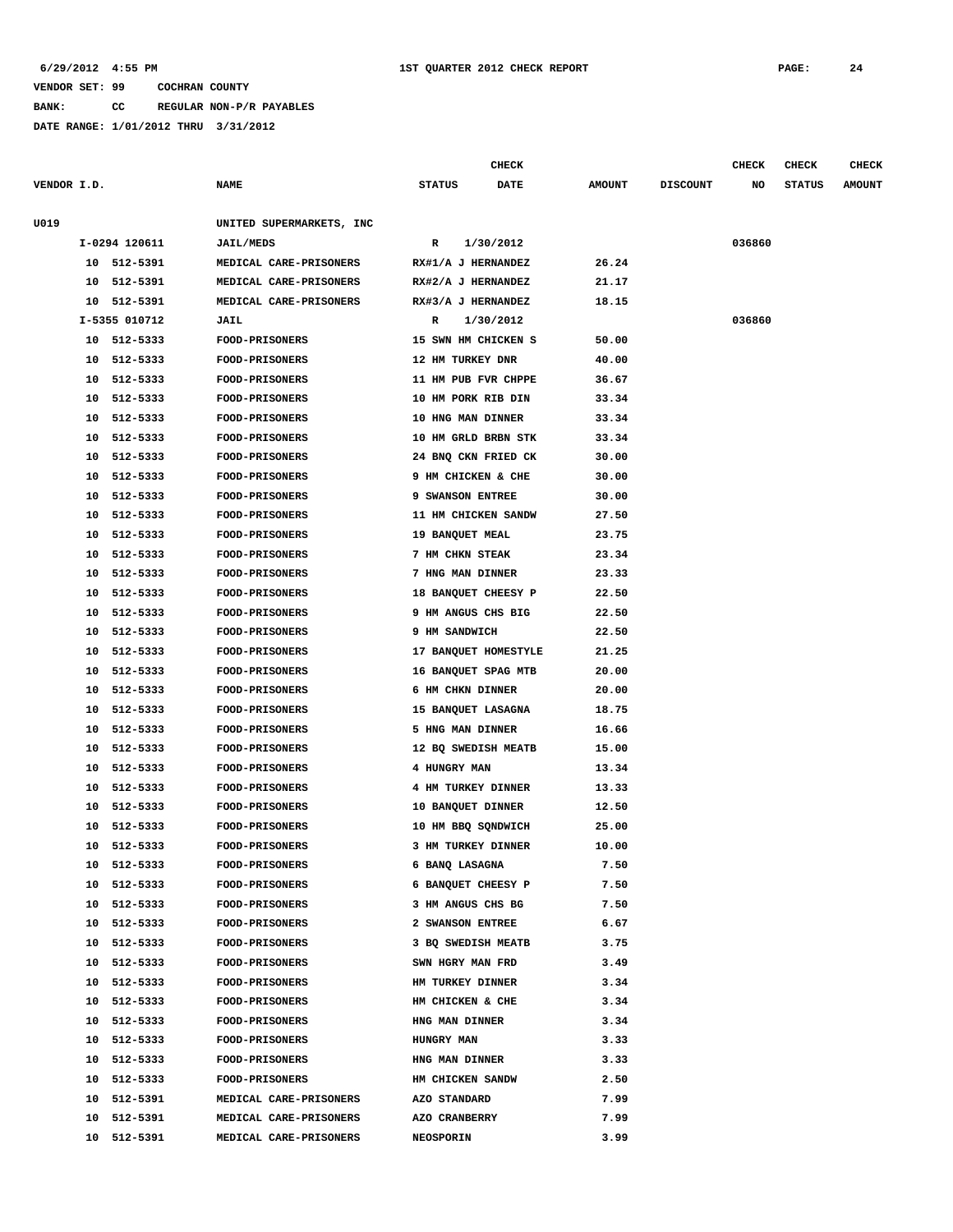### **6/29/2012 4:55 PM 1ST QUARTER 2012 CHECK REPORT PAGE: 24**

### **VENDOR SET: 99 COCHRAN COUNTY**

**BANK: CC REGULAR NON-P/R PAYABLES**

**DATE RANGE: 1/01/2012 THRU 3/31/2012**

**CHECK CHECK CHECK CHECK** 

| VENDOR I.D.                | <b>NAME</b>                             | <b>STATUS</b><br>DATE                   | <b>AMOUNT</b> | DISCOUNT | NO     | <b>STATUS</b> | <b>AMOUNT</b> |
|----------------------------|-----------------------------------------|-----------------------------------------|---------------|----------|--------|---------------|---------------|
| U019                       | UNITED SUPERMARKETS, INC                |                                         |               |          |        |               |               |
| I-0294 120611              | <b>JAIL/MEDS</b>                        | R<br>1/30/2012                          |               |          | 036860 |               |               |
| 10 512-5391                | MEDICAL CARE-PRISONERS                  | RX#1/A J HERNANDEZ                      | 26.24         |          |        |               |               |
| 10 512-5391                | MEDICAL CARE-PRISONERS                  | RX#2/A J HERNANDEZ                      | 21.17         |          |        |               |               |
| 10<br>512-5391             | MEDICAL CARE-PRISONERS                  | RX#3/A J HERNANDEZ                      | 18.15         |          |        |               |               |
| I-5355 010712              | JAIL                                    | 1/30/2012<br>R                          |               |          | 036860 |               |               |
| 10 512-5333                | FOOD-PRISONERS                          | 15 SWN HM CHICKEN S                     | 50.00         |          |        |               |               |
| 10<br>512-5333             | <b>FOOD-PRISONERS</b>                   | 12 HM TURKEY DNR                        | 40.00         |          |        |               |               |
| 512-5333<br>10             | <b>FOOD-PRISONERS</b>                   | 11 HM PUB FVR CHPPE                     | 36.67         |          |        |               |               |
| 512-5333<br>10             | FOOD-PRISONERS                          | 10 HM PORK RIB DIN                      | 33.34         |          |        |               |               |
| 512-5333<br>10             | <b>FOOD-PRISONERS</b>                   | 10 HNG MAN DINNER                       | 33.34         |          |        |               |               |
| 512-5333<br>10             | FOOD-PRISONERS                          | 10 HM GRLD BRBN STK                     | 33.34         |          |        |               |               |
| 512-5333<br>10             | FOOD-PRISONERS                          | 24 BNQ CKN FRIED CK                     | 30.00         |          |        |               |               |
| 10<br>512-5333             | <b>FOOD-PRISONERS</b>                   | 9 HM CHICKEN & CHE                      | 30.00         |          |        |               |               |
| 10 512-5333                | <b>FOOD-PRISONERS</b>                   | 9 SWANSON ENTREE                        | 30.00         |          |        |               |               |
| 10<br>512-5333             | <b>FOOD-PRISONERS</b>                   | 11 HM CHICKEN SANDW                     | 27.50         |          |        |               |               |
| 10<br>512-5333             | <b>FOOD-PRISONERS</b>                   | 19 BANQUET MEAL                         | 23.75         |          |        |               |               |
| 512-5333<br>10             | FOOD-PRISONERS                          | 7 HM CHKN STEAK                         | 23.34         |          |        |               |               |
| 10 512-5333                | FOOD-PRISONERS                          | 7 HNG MAN DINNER                        | 23.33         |          |        |               |               |
| 512-5333<br>10             | <b>FOOD-PRISONERS</b>                   | 18 BANQUET CHEESY P                     | 22.50         |          |        |               |               |
| 512-5333<br>10             | <b>FOOD-PRISONERS</b>                   | 9 HM ANGUS CHS BIG                      | 22.50         |          |        |               |               |
| 512-5333<br>10             | FOOD-PRISONERS                          | 9 HM SANDWICH                           | 22.50         |          |        |               |               |
| 512-5333<br>10             | <b>FOOD-PRISONERS</b>                   | 17 BANQUET HOMESTYLE                    | 21.25         |          |        |               |               |
| 512-5333<br>10             | <b>FOOD-PRISONERS</b>                   | 16 BANQUET SPAG MTB                     | 20.00         |          |        |               |               |
| 512-5333<br>10             | FOOD-PRISONERS                          | 6 HM CHKN DINNER                        | 20.00         |          |        |               |               |
| 10<br>512-5333             | <b>FOOD-PRISONERS</b>                   | 15 BANQUET LASAGNA                      | 18.75         |          |        |               |               |
| 512-5333<br>10             | <b>FOOD-PRISONERS</b>                   | 5 HNG MAN DINNER                        | 16.66         |          |        |               |               |
| 10<br>512-5333             | <b>FOOD-PRISONERS</b>                   | 12 BQ SWEDISH MEATB                     | 15.00         |          |        |               |               |
| 10<br>512-5333             | <b>FOOD-PRISONERS</b>                   | 4 HUNGRY MAN                            | 13.34         |          |        |               |               |
| 512-5333<br>10             | <b>FOOD-PRISONERS</b>                   | 4 HM TURKEY DINNER                      | 13.33         |          |        |               |               |
| 512-5333<br>10             | <b>FOOD-PRISONERS</b>                   | 10 BANQUET DINNER                       | 12.50         |          |        |               |               |
| 10<br>512-5333             | <b>FOOD-PRISONERS</b>                   | 10 HM BBQ SQNDWICH                      | 25.00         |          |        |               |               |
| 512-5333<br>10             | <b>FOOD-PRISONERS</b>                   | 3 HM TURKEY DINNER                      | 10.00         |          |        |               |               |
| 512-5333<br>10             | FOOD-PRISONERS                          | 6 BANQ LASAGNA                          | 7.50          |          |        |               |               |
| 512-5333<br>10             | <b>FOOD-PRISONERS</b><br>FOOD-PRISONERS | 6 BANQUET CHEESY P<br>3 HM ANGUS CHS BG | 7.50          |          |        |               |               |
| 512-5333<br>10<br>512-5333 | FOOD-PRISONERS                          | 2 SWANSON ENTREE                        | 7.50<br>6.67  |          |        |               |               |
| 10<br>512-5333             | <b>FOOD-PRISONERS</b>                   | 3 BQ SWEDISH MEATB                      | 3.75          |          |        |               |               |
| 10<br>512-5333<br>10       | <b>FOOD-PRISONERS</b>                   | SWN HGRY MAN FRD                        | 3.49          |          |        |               |               |
| 512-5333<br>10             | <b>FOOD-PRISONERS</b>                   | HM TURKEY DINNER                        | 3.34          |          |        |               |               |
| 512-5333<br>10             | FOOD-PRISONERS                          | HM CHICKEN & CHE                        | 3.34          |          |        |               |               |
| 512-5333<br>10             | <b>FOOD-PRISONERS</b>                   | HNG MAN DINNER                          | 3.34          |          |        |               |               |
| 512-5333<br>10             | <b>FOOD-PRISONERS</b>                   | HUNGRY MAN                              | 3.33          |          |        |               |               |
| 10<br>512-5333             | <b>FOOD-PRISONERS</b>                   | HNG MAN DINNER                          | 3.33          |          |        |               |               |
| 512-5333<br>10             | <b>FOOD-PRISONERS</b>                   | HM CHICKEN SANDW                        | 2.50          |          |        |               |               |
| 512-5391<br>10             | MEDICAL CARE-PRISONERS                  | AZO STANDARD                            | 7.99          |          |        |               |               |
| 512-5391<br>10             | MEDICAL CARE-PRISONERS                  | AZO CRANBERRY                           | 7.99          |          |        |               |               |
| 512-5391<br>10             | MEDICAL CARE-PRISONERS                  | <b>NEOSPORIN</b>                        | 3.99          |          |        |               |               |
|                            |                                         |                                         |               |          |        |               |               |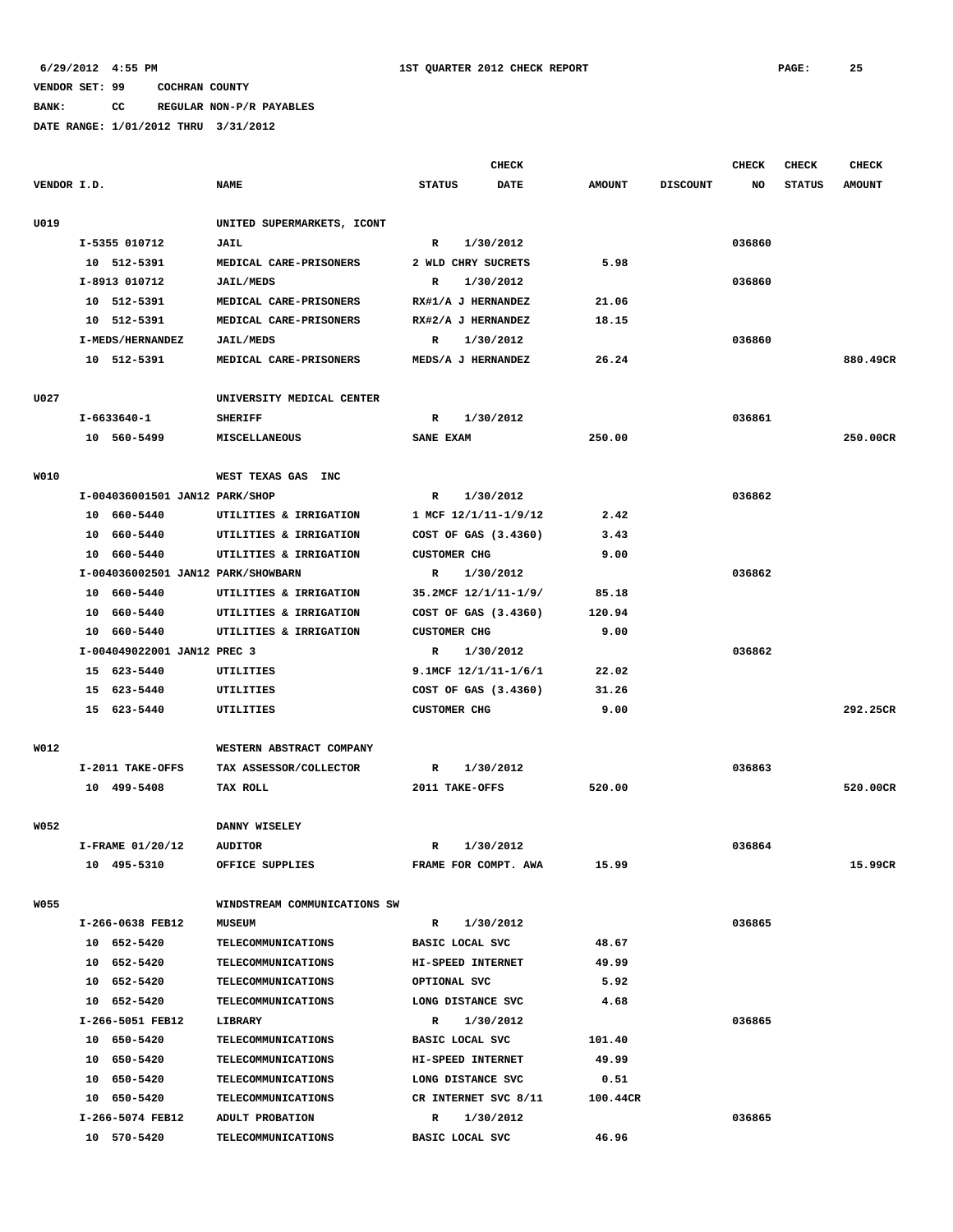# **BANK: CC REGULAR NON-P/R PAYABLES**

|             |                                    |                              | <b>CHECK</b>                 |               |                 | <b>CHECK</b> | <b>CHECK</b>  | <b>CHECK</b>  |
|-------------|------------------------------------|------------------------------|------------------------------|---------------|-----------------|--------------|---------------|---------------|
| VENDOR I.D. |                                    | <b>NAME</b>                  | <b>STATUS</b><br><b>DATE</b> | <b>AMOUNT</b> | <b>DISCOUNT</b> | NO           | <b>STATUS</b> | <b>AMOUNT</b> |
| U019        |                                    | UNITED SUPERMARKETS, ICONT   |                              |               |                 |              |               |               |
|             | I-5355 010712                      | JAIL                         | 1/30/2012<br>R               |               |                 | 036860       |               |               |
|             | 10 512-5391                        | MEDICAL CARE-PRISONERS       | 2 WLD CHRY SUCRETS           | 5.98          |                 |              |               |               |
|             | I-8913 010712                      | <b>JAIL/MEDS</b>             | $\mathbb{R}$<br>1/30/2012    |               |                 | 036860       |               |               |
|             | 10 512-5391                        | MEDICAL CARE-PRISONERS       | RX#1/A J HERNANDEZ           | 21.06         |                 |              |               |               |
|             | 10 512-5391                        | MEDICAL CARE-PRISONERS       | RX#2/A J HERNANDEZ           | 18.15         |                 |              |               |               |
|             | I-MEDS/HERNANDEZ                   | <b>JAIL/MEDS</b>             | 1/30/2012<br>R               |               |                 | 036860       |               |               |
|             | 10 512-5391                        | MEDICAL CARE-PRISONERS       | MEDS/A J HERNANDEZ           | 26.24         |                 |              |               | 880.49CR      |
| U027        |                                    | UNIVERSITY MEDICAL CENTER    |                              |               |                 |              |               |               |
|             | I-6633640-1                        | <b>SHERIFF</b>               | 1/30/2012<br>R               |               |                 | 036861       |               |               |
|             | 10 560-5499                        | MISCELLANEOUS                | <b>SANE EXAM</b>             | 250.00        |                 |              |               | 250.00CR      |
| W010        |                                    | WEST TEXAS GAS<br>INC        |                              |               |                 |              |               |               |
|             | I-004036001501 JAN12 PARK/SHOP     |                              | R<br>1/30/2012               |               |                 | 036862       |               |               |
|             | 10 660-5440                        | UTILITIES & IRRIGATION       | 1 MCF 12/1/11-1/9/12         | 2.42          |                 |              |               |               |
|             | 10 660-5440                        | UTILITIES & IRRIGATION       | COST OF GAS (3.4360)         | 3.43          |                 |              |               |               |
|             | 10<br>660-5440                     | UTILITIES & IRRIGATION       | <b>CUSTOMER CHG</b>          | 9.00          |                 |              |               |               |
|             | I-004036002501 JAN12 PARK/SHOWBARN |                              | 1/30/2012<br>R               |               |                 | 036862       |               |               |
|             | 10 660-5440                        | UTILITIES & IRRIGATION       | 35.2MCF 12/1/11-1/9/         | 85.18         |                 |              |               |               |
|             | 10 660-5440                        | UTILITIES & IRRIGATION       | COST OF GAS (3.4360)         | 120.94        |                 |              |               |               |
|             | 10 660-5440                        | UTILITIES & IRRIGATION       | <b>CUSTOMER CHG</b>          | 9.00          |                 |              |               |               |
|             | I-004049022001 JAN12 PREC 3        |                              | 1/30/2012<br>R               |               |                 | 036862       |               |               |
|             | 15 623-5440                        | UTILITIES                    | 9.1MCF 12/1/11-1/6/1         | 22.02         |                 |              |               |               |
|             | 15 623-5440                        | UTILITIES                    | COST OF GAS (3.4360)         | 31.26         |                 |              |               |               |
|             | 15 623-5440                        | UTILITIES                    | <b>CUSTOMER CHG</b>          | 9.00          |                 |              |               | 292.25CR      |
| W012        |                                    | WESTERN ABSTRACT COMPANY     |                              |               |                 |              |               |               |
|             | I-2011 TAKE-OFFS                   | TAX ASSESSOR/COLLECTOR       | R<br>1/30/2012               |               |                 | 036863       |               |               |
|             | 10 499-5408                        | TAX ROLL                     | 2011 TAKE-OFFS               | 520.00        |                 |              |               | 520.00CR      |
| W052        |                                    | DANNY WISELEY                |                              |               |                 |              |               |               |
|             | I-FRAME 01/20/12                   | <b>AUDITOR</b>               | 1/30/2012<br>R               |               |                 | 036864       |               |               |
|             | 10 495-5310                        | OFFICE SUPPLIES              | FRAME FOR COMPT. AWA         | 15.99         |                 |              |               | 15.99CR       |
| <b>W055</b> |                                    | WINDSTREAM COMMUNICATIONS SW |                              |               |                 |              |               |               |
|             | I-266-0638 FEB12                   | <b>MUSEUM</b>                | 1/30/2012<br>R               |               |                 | 036865       |               |               |
|             | 10 652-5420                        | <b>TELECOMMUNICATIONS</b>    | BASIC LOCAL SVC              | 48.67         |                 |              |               |               |
|             | 10 652-5420                        | <b>TELECOMMUNICATIONS</b>    | HI-SPEED INTERNET            | 49.99         |                 |              |               |               |
|             | 10 652-5420                        | <b>TELECOMMUNICATIONS</b>    | OPTIONAL SVC                 | 5.92          |                 |              |               |               |
|             | 10 652-5420                        | <b>TELECOMMUNICATIONS</b>    | LONG DISTANCE SVC            | 4.68          |                 |              |               |               |
|             | I-266-5051 FEB12                   | LIBRARY                      | R<br>1/30/2012               |               |                 | 036865       |               |               |
|             | 10 650-5420                        | <b>TELECOMMUNICATIONS</b>    | BASIC LOCAL SVC              | 101.40        |                 |              |               |               |
|             | 10 650-5420                        | <b>TELECOMMUNICATIONS</b>    | HI-SPEED INTERNET            | 49.99         |                 |              |               |               |
|             | 10 650-5420                        | <b>TELECOMMUNICATIONS</b>    | LONG DISTANCE SVC            | 0.51          |                 |              |               |               |
|             | 10 650-5420                        | <b>TELECOMMUNICATIONS</b>    | CR INTERNET SVC 8/11         | 100.44CR      |                 |              |               |               |
|             | I-266-5074 FEB12                   | ADULT PROBATION              | 1/30/2012<br>R               |               |                 | 036865       |               |               |
|             | 10 570-5420                        | <b>TELECOMMUNICATIONS</b>    | BASIC LOCAL SVC              | 46.96         |                 |              |               |               |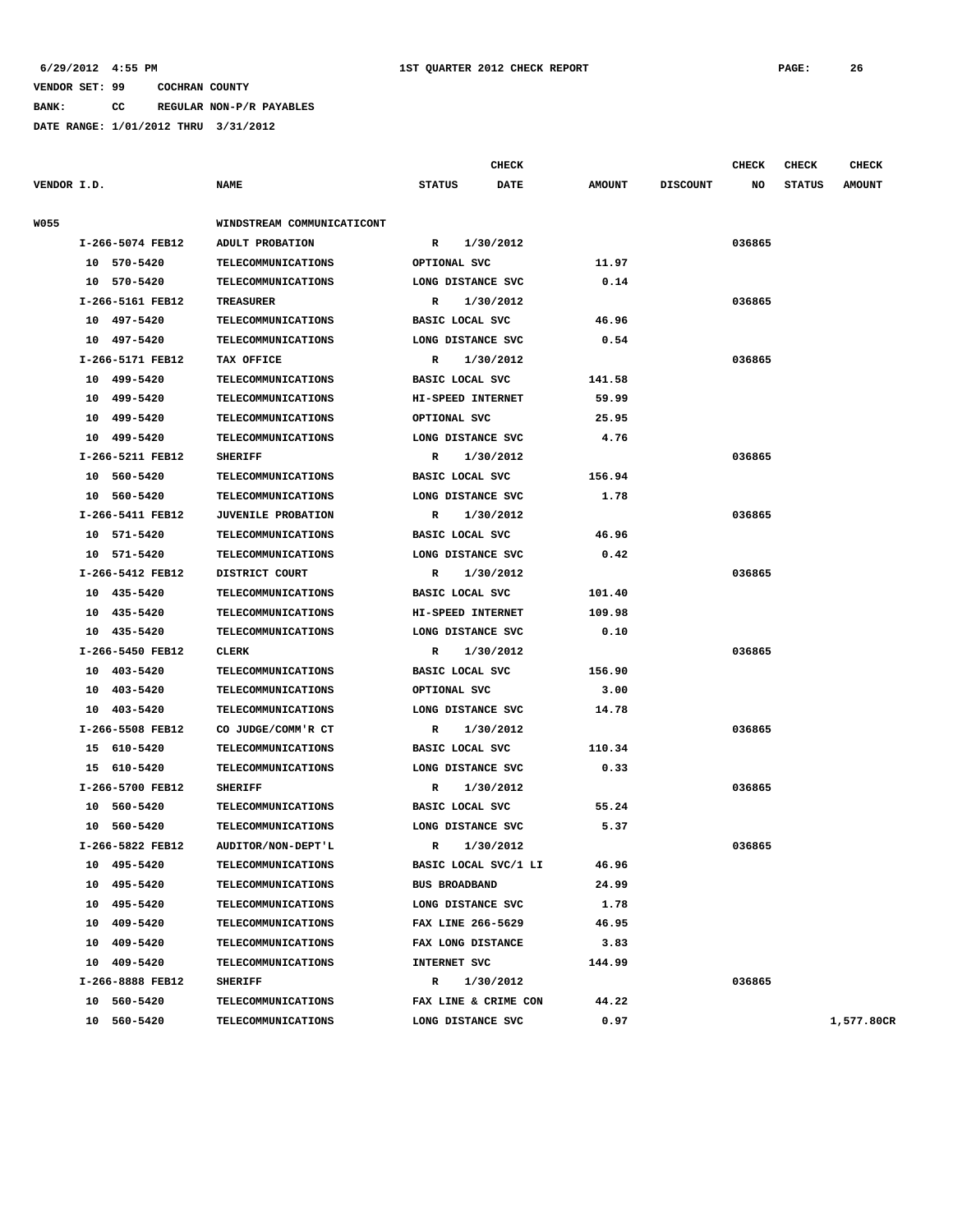**BANK: CC REGULAR NON-P/R PAYABLES**

|             |                  |                            |                      | <b>CHECK</b> |               |                 | <b>CHECK</b> | <b>CHECK</b>  | <b>CHECK</b>  |
|-------------|------------------|----------------------------|----------------------|--------------|---------------|-----------------|--------------|---------------|---------------|
| VENDOR I.D. |                  | <b>NAME</b>                | <b>STATUS</b>        | DATE         | <b>AMOUNT</b> | <b>DISCOUNT</b> | NO           | <b>STATUS</b> | <b>AMOUNT</b> |
| <b>W055</b> |                  | WINDSTREAM COMMUNICATICONT |                      |              |               |                 |              |               |               |
|             | I-266-5074 FEB12 | ADULT PROBATION            | $\mathbb{R}$         | 1/30/2012    |               |                 | 036865       |               |               |
|             | 10 570-5420      | <b>TELECOMMUNICATIONS</b>  | OPTIONAL SVC         |              | 11.97         |                 |              |               |               |
|             | 10 570-5420      | <b>TELECOMMUNICATIONS</b>  | LONG DISTANCE SVC    |              | 0.14          |                 |              |               |               |
|             | I-266-5161 FEB12 | TREASURER                  | $\mathbb{R}$         | 1/30/2012    |               |                 | 036865       |               |               |
|             | 10 497-5420      | <b>TELECOMMUNICATIONS</b>  | BASIC LOCAL SVC      |              | 46.96         |                 |              |               |               |
|             | 10 497-5420      | <b>TELECOMMUNICATIONS</b>  | LONG DISTANCE SVC    |              | 0.54          |                 |              |               |               |
|             | I-266-5171 FEB12 | TAX OFFICE                 | R                    | 1/30/2012    |               |                 | 036865       |               |               |
|             | 10 499-5420      | <b>TELECOMMUNICATIONS</b>  | BASIC LOCAL SVC      |              | 141.58        |                 |              |               |               |
|             | 10 499-5420      | <b>TELECOMMUNICATIONS</b>  | HI-SPEED INTERNET    |              | 59.99         |                 |              |               |               |
|             | 10 499-5420      | <b>TELECOMMUNICATIONS</b>  | OPTIONAL SVC         |              | 25.95         |                 |              |               |               |
|             | 10 499-5420      | <b>TELECOMMUNICATIONS</b>  | LONG DISTANCE SVC    |              | 4.76          |                 |              |               |               |
|             | I-266-5211 FEB12 | <b>SHERIFF</b>             | R                    | 1/30/2012    |               |                 | 036865       |               |               |
|             | 10 560-5420      | <b>TELECOMMUNICATIONS</b>  | BASIC LOCAL SVC      |              | 156.94        |                 |              |               |               |
|             | 10 560-5420      | <b>TELECOMMUNICATIONS</b>  | LONG DISTANCE SVC    |              | 1.78          |                 |              |               |               |
|             | I-266-5411 FEB12 | <b>JUVENILE PROBATION</b>  | R                    | 1/30/2012    |               |                 | 036865       |               |               |
|             | 10 571-5420      | <b>TELECOMMUNICATIONS</b>  | BASIC LOCAL SVC      |              | 46.96         |                 |              |               |               |
|             | 10 571-5420      | <b>TELECOMMUNICATIONS</b>  | LONG DISTANCE SVC    |              | 0.42          |                 |              |               |               |
|             | I-266-5412 FEB12 | DISTRICT COURT             | R                    | 1/30/2012    |               |                 | 036865       |               |               |
|             | 10 435-5420      | <b>TELECOMMUNICATIONS</b>  | BASIC LOCAL SVC      |              | 101.40        |                 |              |               |               |
|             | 10 435-5420      | <b>TELECOMMUNICATIONS</b>  | HI-SPEED INTERNET    |              | 109.98        |                 |              |               |               |
|             | 10 435-5420      | <b>TELECOMMUNICATIONS</b>  | LONG DISTANCE SVC    |              | 0.10          |                 |              |               |               |
|             | I-266-5450 FEB12 | CLERK                      | $\mathbb{R}$         | 1/30/2012    |               |                 | 036865       |               |               |
|             | 10 403-5420      | <b>TELECOMMUNICATIONS</b>  | BASIC LOCAL SVC      |              | 156.90        |                 |              |               |               |
|             | 10 403-5420      | TELECOMMUNICATIONS         | OPTIONAL SVC         |              | 3.00          |                 |              |               |               |
|             | 10 403-5420      | <b>TELECOMMUNICATIONS</b>  | LONG DISTANCE SVC    |              | 14.78         |                 |              |               |               |
|             | I-266-5508 FEB12 | CO JUDGE/COMM'R CT         | $\mathbb{R}$         | 1/30/2012    |               |                 | 036865       |               |               |
|             | 15 610-5420      | TELECOMMUNICATIONS         | BASIC LOCAL SVC      |              | 110.34        |                 |              |               |               |
|             | 15 610-5420      | <b>TELECOMMUNICATIONS</b>  | LONG DISTANCE SVC    |              | 0.33          |                 |              |               |               |
|             | I-266-5700 FEB12 | <b>SHERIFF</b>             | R                    | 1/30/2012    |               |                 | 036865       |               |               |
|             | 10 560-5420      | TELECOMMUNICATIONS         | BASIC LOCAL SVC      |              | 55.24         |                 |              |               |               |
|             | 10 560-5420      | <b>TELECOMMUNICATIONS</b>  | LONG DISTANCE SVC    |              | 5.37          |                 |              |               |               |
|             | I-266-5822 FEB12 | AUDITOR/NON-DEPT'L         | R                    | 1/30/2012    |               |                 | 036865       |               |               |
|             | 10 495-5420      | <b>TELECOMMUNICATIONS</b>  | BASIC LOCAL SVC/1 LI |              | 46.96         |                 |              |               |               |
|             | 10 495-5420      | <b>TELECOMMUNICATIONS</b>  | <b>BUS BROADBAND</b> |              | 24.99         |                 |              |               |               |
|             | 10 495-5420      | <b>TELECOMMUNICATIONS</b>  | LONG DISTANCE SVC    |              | 1.78          |                 |              |               |               |
|             | 10 409-5420      | <b>TELECOMMUNICATIONS</b>  | FAX LINE 266-5629    |              | 46.95         |                 |              |               |               |
|             | 10 409-5420      | <b>TELECOMMUNICATIONS</b>  | FAX LONG DISTANCE    |              | 3.83          |                 |              |               |               |
|             | 10 409-5420      | <b>TELECOMMUNICATIONS</b>  | <b>INTERNET SVC</b>  |              | 144.99        |                 |              |               |               |
|             | I-266-8888 FEB12 | SHERIFF                    | $\mathbb{R}$         | 1/30/2012    |               |                 | 036865       |               |               |
|             | 10 560-5420      | TELECOMMUNICATIONS         | FAX LINE & CRIME CON |              | 44.22         |                 |              |               |               |
|             | 10 560-5420      | <b>TELECOMMUNICATIONS</b>  | LONG DISTANCE SVC    |              | 0.97          |                 |              |               | 1,577.80CR    |
|             |                  |                            |                      |              |               |                 |              |               |               |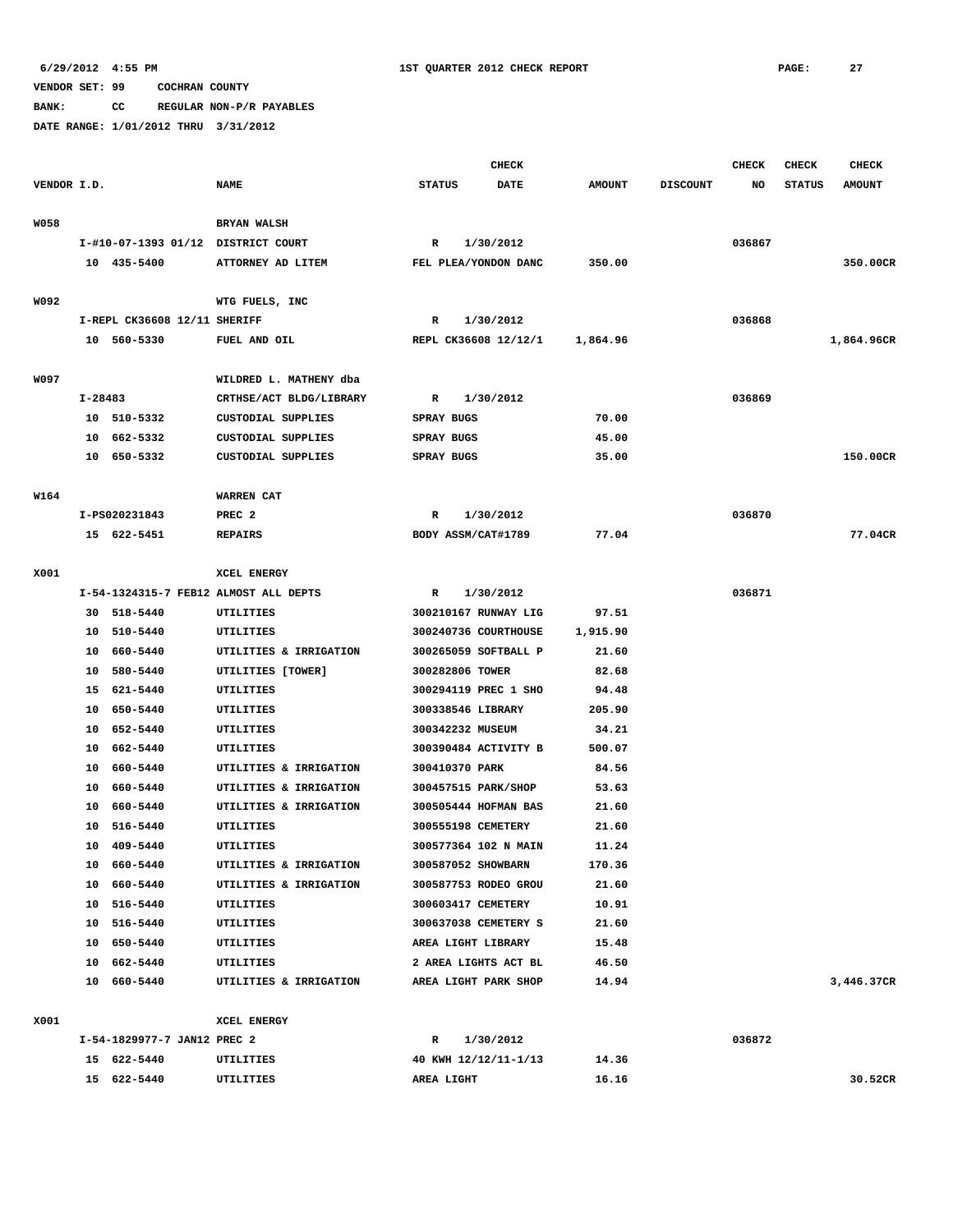**BANK: CC REGULAR NON-P/R PAYABLES**

|             |         |                                    |                                       | <b>CHECK</b>      |                      |               |                 | <b>CHECK</b> | <b>CHECK</b>  | <b>CHECK</b>  |
|-------------|---------|------------------------------------|---------------------------------------|-------------------|----------------------|---------------|-----------------|--------------|---------------|---------------|
| VENDOR I.D. |         |                                    | <b>NAME</b>                           | <b>STATUS</b>     | <b>DATE</b>          | <b>AMOUNT</b> | <b>DISCOUNT</b> | NO           | <b>STATUS</b> | <b>AMOUNT</b> |
|             |         |                                    |                                       |                   |                      |               |                 |              |               |               |
| <b>W058</b> |         |                                    | <b>BRYAN WALSH</b>                    |                   |                      |               |                 |              |               |               |
|             |         | I-#10-07-1393 01/12 DISTRICT COURT |                                       | R                 | 1/30/2012            |               |                 | 036867       |               |               |
|             |         | 10 435-5400                        | ATTORNEY AD LITEM                     |                   | FEL PLEA/YONDON DANC | 350.00        |                 |              |               | 350.00CR      |
|             |         |                                    |                                       |                   |                      |               |                 |              |               |               |
| W092        |         |                                    | WTG FUELS, INC                        |                   |                      |               |                 |              |               |               |
|             |         | I-REPL CK36608 12/11 SHERIFF       |                                       | R                 | 1/30/2012            |               |                 | 036868       |               |               |
|             |         | 10 560-5330                        | FUEL AND OIL                          |                   | REPL CK36608 12/12/1 | 1,864.96      |                 |              |               | 1,864.96CR    |
|             |         |                                    |                                       |                   |                      |               |                 |              |               |               |
| W097        |         |                                    | WILDRED L. MATHENY dba                |                   |                      |               |                 |              |               |               |
|             | I-28483 |                                    | CRTHSE/ACT BLDG/LIBRARY               | R                 | 1/30/2012            |               |                 | 036869       |               |               |
|             |         | 10 510-5332                        | CUSTODIAL SUPPLIES                    | <b>SPRAY BUGS</b> |                      | 70.00         |                 |              |               |               |
|             |         | 10 662-5332                        | CUSTODIAL SUPPLIES                    | <b>SPRAY BUGS</b> |                      | 45.00         |                 |              |               |               |
|             |         | 10 650-5332                        | CUSTODIAL SUPPLIES                    | SPRAY BUGS        |                      | 35.00         |                 |              |               | 150.00CR      |
|             |         |                                    |                                       |                   |                      |               |                 |              |               |               |
| W164        |         |                                    | WARREN CAT                            |                   |                      |               |                 |              |               |               |
|             |         | I-PS020231843<br>15 622-5451       | PREC <sub>2</sub><br><b>REPAIRS</b>   | R                 | 1/30/2012            | 77.04         |                 | 036870       |               | 77.04CR       |
|             |         |                                    |                                       |                   | BODY ASSM/CAT#1789   |               |                 |              |               |               |
| X001        |         |                                    | XCEL ENERGY                           |                   |                      |               |                 |              |               |               |
|             |         |                                    | I-54-1324315-7 FEB12 ALMOST ALL DEPTS | R                 | 1/30/2012            |               |                 | 036871       |               |               |
|             |         | 30 518-5440                        | UTILITIES                             |                   | 300210167 RUNWAY LIG | 97.51         |                 |              |               |               |
|             |         | 10 510-5440                        | UTILITIES                             |                   | 300240736 COURTHOUSE | 1,915.90      |                 |              |               |               |
|             |         | 10 660-5440                        | UTILITIES & IRRIGATION                |                   | 300265059 SOFTBALL P | 21.60         |                 |              |               |               |
|             |         | 10 580-5440                        | UTILITIES [TOWER]                     |                   | 300282806 TOWER      | 82.68         |                 |              |               |               |
|             |         | 15 621-5440                        | UTILITIES                             |                   | 300294119 PREC 1 SHO | 94.48         |                 |              |               |               |
|             | 10      | 650-5440                           | UTILITIES                             |                   | 300338546 LIBRARY    | 205.90        |                 |              |               |               |
|             |         | 10 652-5440                        | UTILITIES                             |                   | 300342232 MUSEUM     | 34.21         |                 |              |               |               |
|             |         | 10 662-5440                        | UTILITIES                             |                   | 300390484 ACTIVITY B | 500.07        |                 |              |               |               |
|             |         | 10 660-5440                        | UTILITIES & IRRIGATION                |                   | 300410370 PARK       | 84.56         |                 |              |               |               |
|             |         | 10 660-5440                        | UTILITIES & IRRIGATION                |                   | 300457515 PARK/SHOP  | 53.63         |                 |              |               |               |
|             |         | 10 660-5440                        | UTILITIES & IRRIGATION                |                   | 300505444 HOFMAN BAS | 21.60         |                 |              |               |               |
|             | 10      | 516-5440                           | UTILITIES                             |                   | 300555198 CEMETERY   | 21.60         |                 |              |               |               |
|             |         | 10 409-5440                        | UTILITIES                             |                   | 300577364 102 N MAIN | 11.24         |                 |              |               |               |
|             |         | 10 660-5440                        | UTILITIES & IRRIGATION                |                   | 300587052 SHOWBARN   | 170.36        |                 |              |               |               |
|             |         | 10 660-5440                        | UTILITIES & IRRIGATION                |                   | 300587753 RODEO GROU | 21.60         |                 |              |               |               |
|             |         | 10 516-5440                        | UTILITIES                             |                   | 300603417 CEMETERY   | 10.91         |                 |              |               |               |
|             |         | 10 516-5440                        | UTILITIES                             |                   | 300637038 CEMETERY S | 21.60         |                 |              |               |               |
|             |         | 10 650-5440                        | UTILITIES                             |                   | AREA LIGHT LIBRARY   | 15.48         |                 |              |               |               |
|             |         | 10 662-5440                        | UTILITIES                             |                   | 2 AREA LIGHTS ACT BL | 46.50         |                 |              |               |               |
|             |         | 10 660-5440                        | UTILITIES & IRRIGATION                |                   | AREA LIGHT PARK SHOP | 14.94         |                 |              |               | 3,446.37CR    |
|             |         |                                    |                                       |                   |                      |               |                 |              |               |               |
| X001        |         |                                    | XCEL ENERGY                           |                   |                      |               |                 |              |               |               |
|             |         | I-54-1829977-7 JAN12 PREC 2        |                                       | R                 | 1/30/2012            |               |                 | 036872       |               |               |
|             |         | 15 622-5440                        | UTILITIES                             |                   | 40 KWH 12/12/11-1/13 | 14.36         |                 |              |               |               |
|             |         | 15 622-5440                        | UTILITIES                             | AREA LIGHT        |                      | 16.16         |                 |              |               | 30.52CR       |
|             |         |                                    |                                       |                   |                      |               |                 |              |               |               |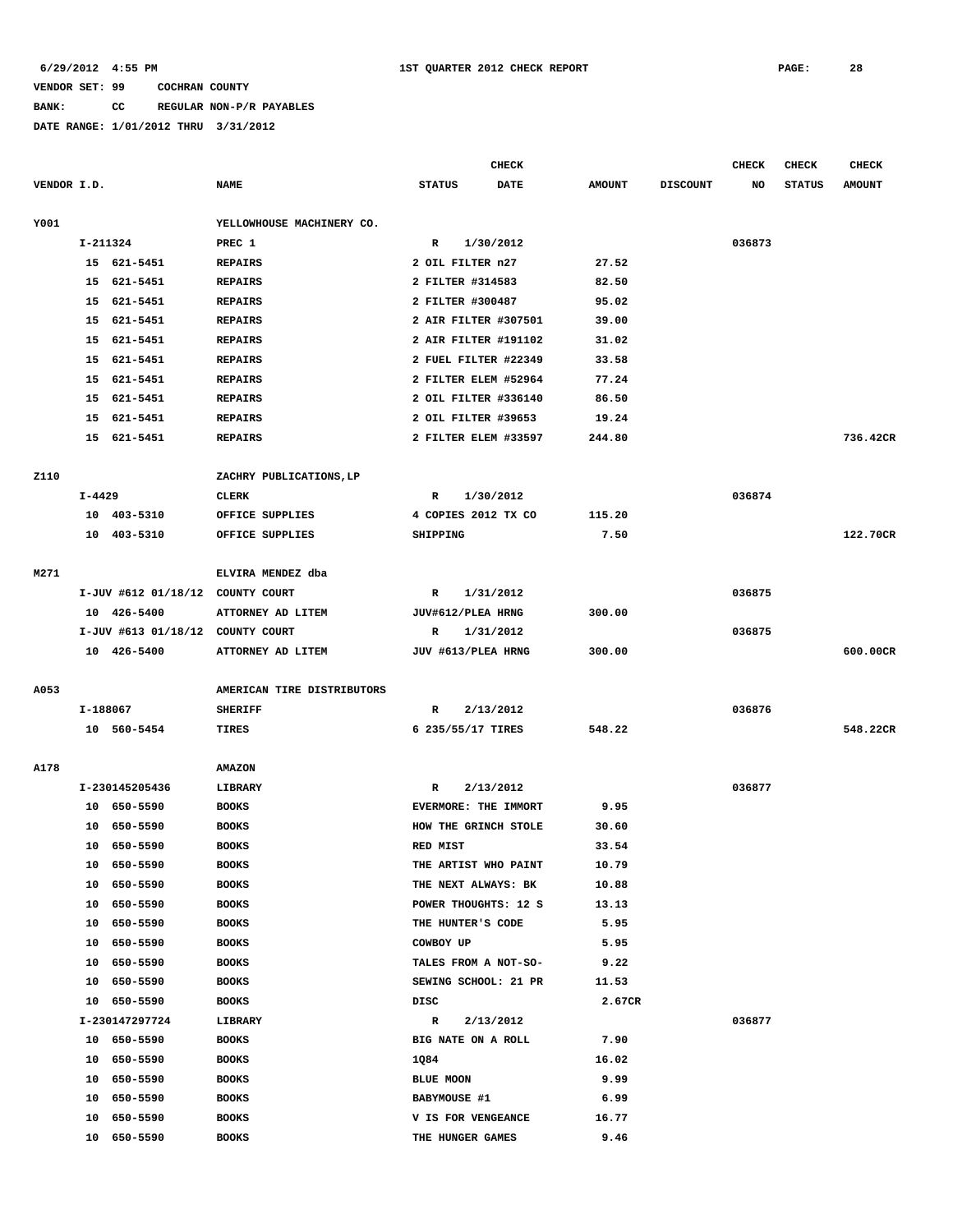# **BANK: CC REGULAR NON-P/R PAYABLES**

|             |            |                                  |                            |                      | <b>CHECK</b> |               |                 | <b>CHECK</b> | <b>CHECK</b>  | <b>CHECK</b>  |
|-------------|------------|----------------------------------|----------------------------|----------------------|--------------|---------------|-----------------|--------------|---------------|---------------|
| VENDOR I.D. |            |                                  | <b>NAME</b>                | <b>STATUS</b>        | DATE         | <b>AMOUNT</b> | <b>DISCOUNT</b> | NO           | <b>STATUS</b> | <b>AMOUNT</b> |
| Y001        |            |                                  | YELLOWHOUSE MACHINERY CO.  |                      |              |               |                 |              |               |               |
|             | I-211324   |                                  | PREC 1                     | R                    | 1/30/2012    |               |                 | 036873       |               |               |
|             |            | 15 621-5451                      | <b>REPAIRS</b>             | 2 OIL FILTER n27     |              | 27.52         |                 |              |               |               |
|             | 15         | 621-5451                         | <b>REPAIRS</b>             | 2 FILTER #314583     |              | 82.50         |                 |              |               |               |
|             | 15         | 621-5451                         | <b>REPAIRS</b>             | 2 FILTER #300487     |              | 95.02         |                 |              |               |               |
|             | 15         | 621-5451                         | <b>REPAIRS</b>             | 2 AIR FILTER #307501 |              | 39.00         |                 |              |               |               |
|             | 15         | 621-5451                         | <b>REPAIRS</b>             | 2 AIR FILTER #191102 |              | 31.02         |                 |              |               |               |
|             | 15         | 621-5451                         | <b>REPAIRS</b>             | 2 FUEL FILTER #22349 |              | 33.58         |                 |              |               |               |
|             | 15         | 621-5451                         | <b>REPAIRS</b>             | 2 FILTER ELEM #52964 |              | 77.24         |                 |              |               |               |
|             | 15         | 621-5451                         | <b>REPAIRS</b>             | 2 OIL FILTER #336140 |              | 86.50         |                 |              |               |               |
|             | 15         | 621-5451                         | <b>REPAIRS</b>             | 2 OIL FILTER #39653  |              | 19.24         |                 |              |               |               |
|             |            | 15 621-5451                      | <b>REPAIRS</b>             | 2 FILTER ELEM #33597 |              | 244.80        |                 |              |               | 736.42CR      |
|             |            |                                  |                            |                      |              |               |                 |              |               |               |
| Z110        |            |                                  | ZACHRY PUBLICATIONS, LP    |                      |              |               |                 |              |               |               |
|             | $I - 4429$ |                                  | CLERK                      | R                    | 1/30/2012    |               |                 | 036874       |               |               |
|             |            | 10 403-5310                      | OFFICE SUPPLIES            | 4 COPIES 2012 TX CO  |              | 115.20        |                 |              |               |               |
|             |            | 10 403-5310                      | OFFICE SUPPLIES            | SHIPPING             |              | 7.50          |                 |              |               | 122.70CR      |
|             |            |                                  |                            |                      |              |               |                 |              |               |               |
| M271        |            |                                  | ELVIRA MENDEZ dba          |                      |              |               |                 |              |               |               |
|             |            | I-JUV #612 01/18/12 COUNTY COURT |                            | R                    | 1/31/2012    |               |                 | 036875       |               |               |
|             |            | 10 426-5400                      | ATTORNEY AD LITEM          | JUV#612/PLEA HRNG    |              | 300.00        |                 |              |               |               |
|             |            | I-JUV #613 01/18/12 COUNTY COURT |                            | R                    | 1/31/2012    |               |                 | 036875       |               |               |
|             |            | 10 426-5400                      | ATTORNEY AD LITEM          | JUV #613/PLEA HRNG   |              | 300.00        |                 |              |               | 600.00CR      |
| A053        |            |                                  | AMERICAN TIRE DISTRIBUTORS |                      |              |               |                 |              |               |               |
|             | I-188067   |                                  | <b>SHERIFF</b>             | R                    | 2/13/2012    |               |                 | 036876       |               |               |
|             |            | 10 560-5454                      | TIRES                      | 6 235/55/17 TIRES    |              | 548.22        |                 |              |               | 548.22CR      |
|             |            |                                  |                            |                      |              |               |                 |              |               |               |
| A178        |            |                                  | <b>AMAZON</b>              |                      |              |               |                 |              |               |               |
|             |            | I-230145205436                   | LIBRARY                    | R                    | 2/13/2012    |               |                 | 036877       |               |               |
|             |            | 10 650-5590                      | <b>BOOKS</b>               | EVERMORE: THE IMMORT |              | 9.95          |                 |              |               |               |
|             | 10         | 650-5590                         | <b>BOOKS</b>               | HOW THE GRINCH STOLE |              | 30.60         |                 |              |               |               |
|             |            | 10 650-5590                      | <b>BOOKS</b>               | RED MIST             |              | 33.54         |                 |              |               |               |
|             | 10         | 650-5590                         | <b>BOOKS</b>               | THE ARTIST WHO PAINT |              | 10.79         |                 |              |               |               |
|             |            | 10 650-5590                      | <b>BOOKS</b>               | THE NEXT ALWAYS: BK  |              | 10.88         |                 |              |               |               |
|             |            | 10 650-5590                      | <b>BOOKS</b>               | POWER THOUGHTS: 12 S |              | 13.13         |                 |              |               |               |
|             |            | 10 650-5590                      | <b>BOOKS</b>               | THE HUNTER'S CODE    |              | 5.95          |                 |              |               |               |
|             |            | 10 650-5590                      | <b>BOOKS</b>               | COWBOY UP            |              | 5.95          |                 |              |               |               |
|             |            | 10 650-5590                      | <b>BOOKS</b>               | TALES FROM A NOT-SO- |              | 9.22          |                 |              |               |               |
|             |            | 10 650-5590                      | <b>BOOKS</b>               | SEWING SCHOOL: 21 PR |              | 11.53         |                 |              |               |               |
|             |            | 10 650-5590                      | <b>BOOKS</b>               | DISC                 |              | 2.67CR        |                 |              |               |               |
|             |            | I-230147297724                   | LIBRARY                    | $\mathbb{R}$         | 2/13/2012    |               |                 | 036877       |               |               |
|             |            | 10 650-5590                      | <b>BOOKS</b>               | BIG NATE ON A ROLL   |              | 7.90          |                 |              |               |               |
|             |            | 10 650-5590                      | <b>BOOKS</b>               | 1Q84                 |              | 16.02         |                 |              |               |               |
|             |            | 10 650-5590                      | <b>BOOKS</b>               | <b>BLUE MOON</b>     |              | 9.99          |                 |              |               |               |
|             |            | 10 650-5590                      | <b>BOOKS</b>               | <b>BABYMOUSE #1</b>  |              | 6.99          |                 |              |               |               |
|             | 10         | 650-5590                         | BOOKS                      | V IS FOR VENGEANCE   |              | 16.77         |                 |              |               |               |
|             |            | 10 650-5590                      | <b>BOOKS</b>               | THE HUNGER GAMES     |              | 9.46          |                 |              |               |               |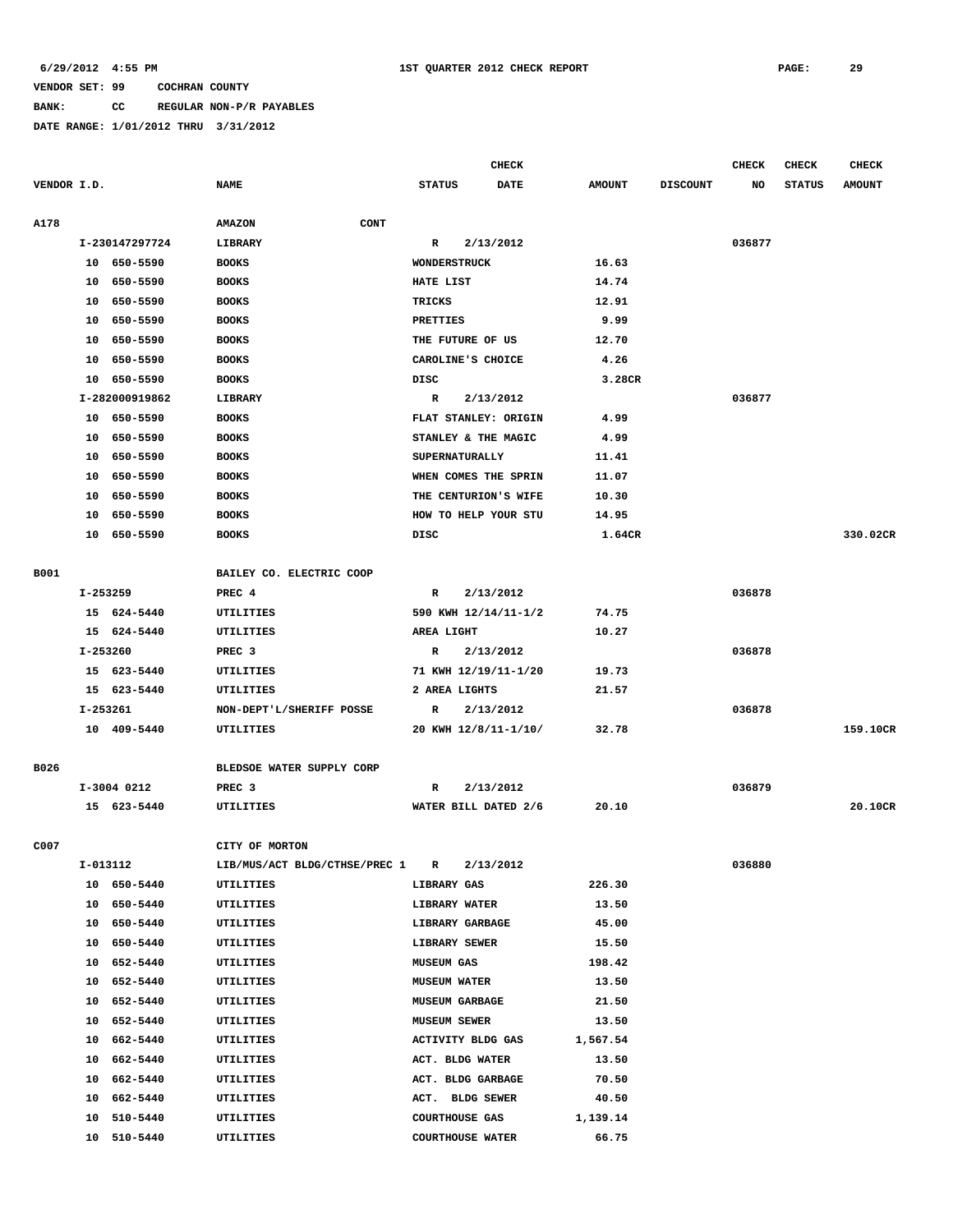### **BANK: CC REGULAR NON-P/R PAYABLES**

|             |    |                |                                                   | <b>CHECK</b>        |                         |                      |               |                 | CHECK  | <b>CHECK</b>  | <b>CHECK</b>  |
|-------------|----|----------------|---------------------------------------------------|---------------------|-------------------------|----------------------|---------------|-----------------|--------|---------------|---------------|
| VENDOR I.D. |    |                | <b>NAME</b>                                       | <b>STATUS</b>       |                         | <b>DATE</b>          | <b>AMOUNT</b> | <b>DISCOUNT</b> | NO     | <b>STATUS</b> | <b>AMOUNT</b> |
|             |    |                |                                                   |                     |                         |                      |               |                 |        |               |               |
| A178        |    |                | <b>CONT</b><br><b>AMAZON</b>                      |                     |                         |                      |               |                 |        |               |               |
|             |    | I-230147297724 | LIBRARY                                           | R                   | 2/13/2012               |                      |               |                 | 036877 |               |               |
|             |    | 10 650-5590    | <b>BOOKS</b>                                      | <b>WONDERSTRUCK</b> |                         |                      | 16.63         |                 |        |               |               |
|             |    | 10 650-5590    | <b>BOOKS</b>                                      | HATE LIST           |                         |                      | 14.74         |                 |        |               |               |
|             |    | 10 650-5590    | <b>BOOKS</b>                                      | <b>TRICKS</b>       |                         |                      | 12.91         |                 |        |               |               |
|             |    | 10 650-5590    | <b>BOOKS</b>                                      | <b>PRETTIES</b>     |                         |                      | 9.99          |                 |        |               |               |
|             |    | 10 650-5590    | <b>BOOKS</b>                                      |                     | THE FUTURE OF US        |                      | 12.70         |                 |        |               |               |
|             | 10 | 650-5590       | <b>BOOKS</b>                                      |                     | CAROLINE'S CHOICE       |                      | 4.26          |                 |        |               |               |
|             | 10 | 650-5590       | <b>BOOKS</b>                                      | DISC                |                         |                      | 3.28CR        |                 |        |               |               |
|             |    | I-282000919862 | LIBRARY                                           | R                   | 2/13/2012               |                      |               |                 | 036877 |               |               |
|             |    | 10 650-5590    | <b>BOOKS</b>                                      |                     | FLAT STANLEY: ORIGIN    |                      | 4.99          |                 |        |               |               |
|             |    | 10 650-5590    | <b>BOOKS</b>                                      |                     | STANLEY & THE MAGIC     |                      | 4.99          |                 |        |               |               |
|             | 10 | 650-5590       | <b>BOOKS</b>                                      |                     | <b>SUPERNATURALLY</b>   |                      | 11.41         |                 |        |               |               |
|             | 10 | 650-5590       | <b>BOOKS</b>                                      |                     | WHEN COMES THE SPRIN    |                      | 11.07         |                 |        |               |               |
|             | 10 | 650-5590       | <b>BOOKS</b>                                      |                     | THE CENTURION'S WIFE    |                      | 10.30         |                 |        |               |               |
|             | 10 | 650-5590       | <b>BOOKS</b>                                      |                     | HOW TO HELP YOUR STU    |                      | 14.95         |                 |        |               |               |
|             |    | 10 650-5590    | <b>BOOKS</b>                                      | DISC                |                         |                      | 1.64CR        |                 |        |               | 330.02CR      |
|             |    |                |                                                   |                     |                         |                      |               |                 |        |               |               |
| B001        |    |                | BAILEY CO. ELECTRIC COOP                          |                     |                         |                      |               |                 |        |               |               |
|             |    | $I - 253259$   | PREC 4                                            | R                   | 2/13/2012               |                      |               |                 | 036878 |               |               |
|             |    | 15 624-5440    | UTILITIES                                         |                     | 590 KWH 12/14/11-1/2    |                      | 74.75         |                 |        |               |               |
|             |    | 15 624-5440    | UTILITIES                                         | AREA LIGHT          |                         |                      | 10.27         |                 |        |               |               |
|             |    | I-253260       | PREC <sub>3</sub>                                 | R                   | 2/13/2012               |                      |               |                 | 036878 |               |               |
|             |    | 15 623-5440    | UTILITIES                                         |                     | 71 KWH 12/19/11-1/20    |                      | 19.73         |                 |        |               |               |
|             |    | 15 623-5440    | UTILITIES                                         |                     | 2 AREA LIGHTS           |                      | 21.57         |                 |        |               |               |
|             |    | I-253261       | NON-DEPT'L/SHERIFF POSSE                          | R                   | 2/13/2012               |                      |               |                 | 036878 |               |               |
|             |    | 10 409-5440    | UTILITIES                                         |                     | 20 KWH 12/8/11-1/10/    |                      | 32.78         |                 |        |               | 159.10CR      |
|             |    |                |                                                   |                     |                         |                      |               |                 |        |               |               |
| B026        |    |                | BLEDSOE WATER SUPPLY CORP                         |                     |                         |                      |               |                 |        |               |               |
|             |    | I-3004 0212    | PREC <sub>3</sub>                                 | R                   | 2/13/2012               |                      |               |                 | 036879 |               |               |
|             |    | 15 623-5440    | UTILITIES                                         |                     |                         | WATER BILL DATED 2/6 | 20.10         |                 |        |               | 20.10CR       |
|             |    |                |                                                   |                     |                         |                      |               |                 |        |               |               |
| C007        |    |                | CITY OF MORTON                                    |                     | 2/13/2012               |                      |               |                 | 036880 |               |               |
|             |    | I-013112       | LIB/MUS/ACT BLDG/CTHSE/PREC 1<br><b>UTILITIES</b> | R                   |                         |                      |               |                 |        |               |               |
|             |    | 10 650-5440    | <b>UTILITIES</b>                                  | <b>LIBRARY GAS</b>  | LIBRARY WATER           |                      | 226.30        |                 |        |               |               |
|             |    | 10 650-5440    |                                                   | LIBRARY GARBAGE     |                         |                      | 13.50         |                 |        |               |               |
|             |    | 10 650-5440    | UTILITIES                                         |                     |                         |                      | 45.00         |                 |        |               |               |
|             |    | 10 650-5440    | UTILITIES                                         |                     | LIBRARY SEWER           |                      | 15.50         |                 |        |               |               |
|             |    | 10 652-5440    | UTILITIES                                         | <b>MUSEUM GAS</b>   |                         |                      | 198.42        |                 |        |               |               |
|             |    | 10 652-5440    | UTILITIES                                         | <b>MUSEUM WATER</b> |                         |                      | 13.50         |                 |        |               |               |
|             |    | 10 652-5440    | UTILITIES                                         |                     | <b>MUSEUM GARBAGE</b>   |                      | 21.50         |                 |        |               |               |
|             |    | 10 652-5440    | UTILITIES                                         | <b>MUSEUM SEWER</b> |                         |                      | 13.50         |                 |        |               |               |
|             |    | 10 662-5440    | UTILITIES                                         |                     | ACTIVITY BLDG GAS       |                      | 1,567.54      |                 |        |               |               |
|             |    | 10 662-5440    | UTILITIES                                         |                     | ACT. BLDG WATER         |                      | 13.50         |                 |        |               |               |
|             |    | 10 662-5440    | UTILITIES                                         |                     | ACT. BLDG GARBAGE       |                      | 70.50         |                 |        |               |               |
|             |    | 10 662-5440    | UTILITIES                                         |                     | ACT. BLDG SEWER         |                      | 40.50         |                 |        |               |               |
|             |    | 10 510-5440    | UTILITIES                                         |                     | <b>COURTHOUSE GAS</b>   |                      | 1,139.14      |                 |        |               |               |
|             |    | 10 510-5440    | UTILITIES                                         |                     | <b>COURTHOUSE WATER</b> |                      | 66.75         |                 |        |               |               |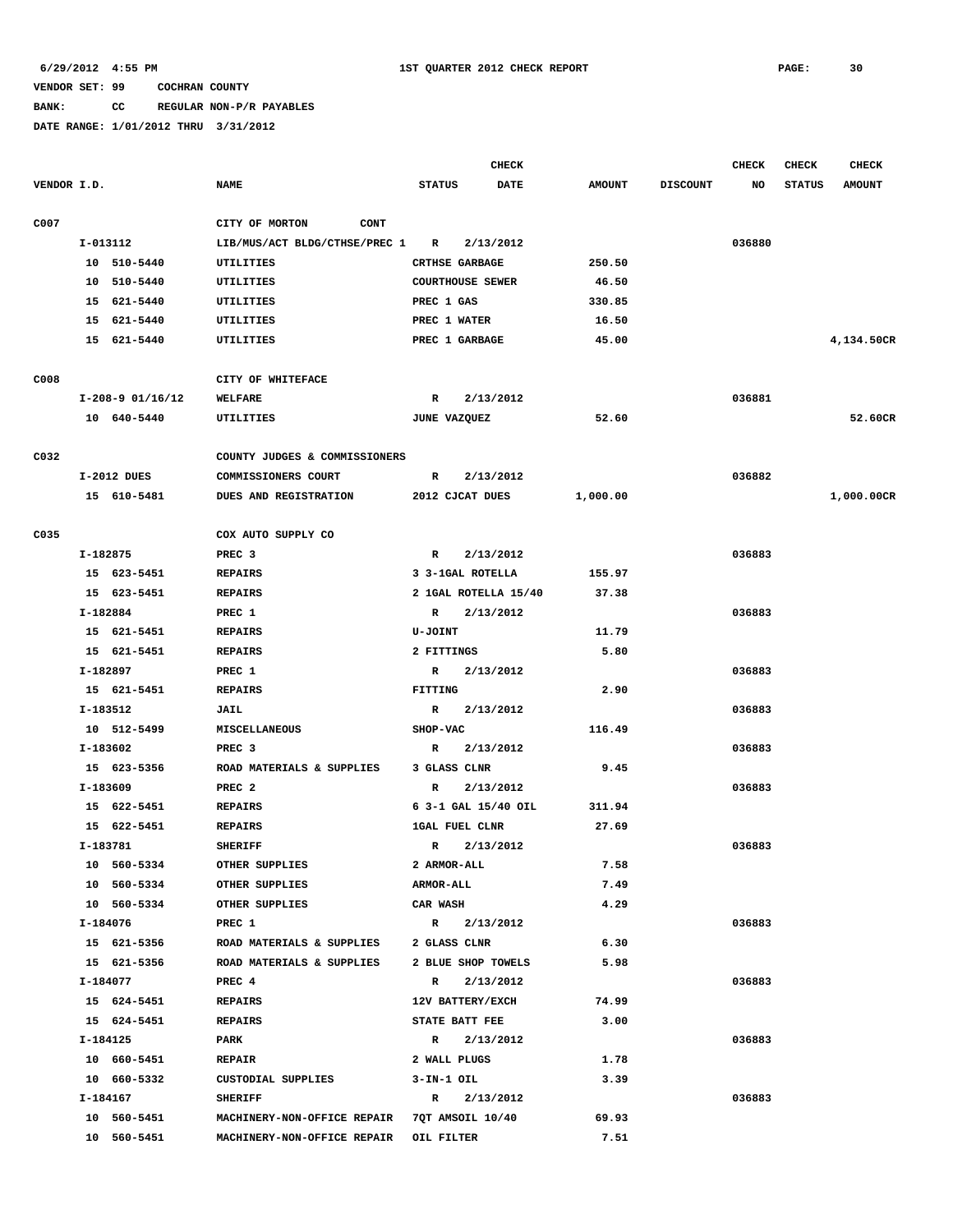# **BANK: CC REGULAR NON-P/R PAYABLES**

|             |                    |                                              | <b>CHECK</b>                 |               |                 |        | <b>CHECK</b>  | <b>CHECK</b>  |
|-------------|--------------------|----------------------------------------------|------------------------------|---------------|-----------------|--------|---------------|---------------|
| VENDOR I.D. |                    | <b>NAME</b>                                  | <b>STATUS</b><br><b>DATE</b> | <b>AMOUNT</b> | <b>DISCOUNT</b> | NO     | <b>STATUS</b> | <b>AMOUNT</b> |
| C007        |                    | CONT<br>CITY OF MORTON                       |                              |               |                 |        |               |               |
|             | I-013112           | LIB/MUS/ACT BLDG/CTHSE/PREC 1                | 2/13/2012<br>R               |               |                 | 036880 |               |               |
|             | 10 510-5440        | <b>UTILITIES</b>                             | <b>CRTHSE GARBAGE</b>        | 250.50        |                 |        |               |               |
|             | 10 510-5440        | UTILITIES                                    | <b>COURTHOUSE SEWER</b>      | 46.50         |                 |        |               |               |
|             | 15 621-5440        | UTILITIES                                    | PREC 1 GAS                   | 330.85        |                 |        |               |               |
|             | 15 621-5440        | UTILITIES                                    | PREC 1 WATER                 | 16.50         |                 |        |               |               |
|             | 15 621-5440        | UTILITIES                                    | PREC 1 GARBAGE               | 45.00         |                 |        |               | 4,134.50CR    |
| C008        |                    | CITY OF WHITEFACE                            |                              |               |                 |        |               |               |
|             | $I-208-9$ 01/16/12 | WELFARE                                      | 2/13/2012<br>R               |               |                 | 036881 |               |               |
|             | 10 640-5440        | UTILITIES                                    | JUNE VAZQUEZ                 | 52.60         |                 |        |               | 52.60CR       |
| C032        |                    | COUNTY JUDGES & COMMISSIONERS                |                              |               |                 |        |               |               |
|             | I-2012 DUES        | COMMISSIONERS COURT                          | 2/13/2012<br>R               |               |                 | 036882 |               |               |
|             | 15 610-5481        | DUES AND REGISTRATION                        | 2012 CJCAT DUES              | 1,000.00      |                 |        |               | 1,000.00CR    |
|             |                    |                                              |                              |               |                 |        |               |               |
| C035        |                    | COX AUTO SUPPLY CO                           |                              |               |                 |        |               |               |
|             | I-182875           | PREC 3                                       | $\mathbb{R}$<br>2/13/2012    |               |                 | 036883 |               |               |
|             | 15 623-5451        | <b>REPAIRS</b>                               | 3 3-1GAL ROTELLA             | 155.97        |                 |        |               |               |
|             | 15 623-5451        | <b>REPAIRS</b>                               | 2 1GAL ROTELLA 15/40         | 37.38         |                 |        |               |               |
|             | I-182884           | PREC 1                                       | 2/13/2012<br>R               |               |                 | 036883 |               |               |
|             | 15 621-5451        | <b>REPAIRS</b>                               | <b>U-JOINT</b>               | 11.79         |                 |        |               |               |
|             | 15 621-5451        | <b>REPAIRS</b>                               | 2 FITTINGS                   | 5.80          |                 |        |               |               |
|             | I-182897           | PREC 1                                       | 2/13/2012<br>$\mathbf{R}$    |               |                 | 036883 |               |               |
|             | 15 621-5451        | <b>REPAIRS</b>                               | FITTING                      | 2.90          |                 |        |               |               |
|             | I-183512           | JAIL                                         | 2/13/2012<br>$\mathbb{R}$    |               |                 | 036883 |               |               |
|             | 10 512-5499        | MISCELLANEOUS                                | <b>SHOP-VAC</b>              | 116.49        |                 |        |               |               |
|             | I-183602           | PREC <sub>3</sub>                            | 2/13/2012<br>R               |               |                 | 036883 |               |               |
|             | 15 623-5356        | ROAD MATERIALS & SUPPLIES                    | 3 GLASS CLNR                 | 9.45          |                 |        |               |               |
|             | I-183609           | PREC <sub>2</sub>                            | $\mathbb{R}$<br>2/13/2012    |               |                 | 036883 |               |               |
|             | 15 622-5451        | <b>REPAIRS</b>                               | 6 3-1 GAL 15/40 OIL          | 311.94        |                 |        |               |               |
|             | 15 622-5451        | <b>REPAIRS</b>                               | <b>1GAL FUEL CLNR</b>        | 27.69         |                 |        |               |               |
|             | I-183781           | <b>SHERIFF</b>                               | $\mathbb{R}$<br>2/13/2012    |               |                 | 036883 |               |               |
|             | 10 560-5334        | OTHER SUPPLIES                               | 2 ARMOR-ALL                  | 7.58          |                 |        |               |               |
|             | 10 560-5334        | OTHER SUPPLIES                               | <b>ARMOR-ALL</b>             | 7.49          |                 |        |               |               |
|             | 10 560-5334        | OTHER SUPPLIES                               | <b>CAR WASH</b>              | 4.29          |                 |        |               |               |
|             | I-184076           | PREC 1                                       | R 2/13/2012                  |               |                 | 036883 |               |               |
|             | 15 621-5356        | ROAD MATERIALS & SUPPLIES                    | 2 GLASS CLNR                 | 6.30          |                 |        |               |               |
|             | 15 621-5356        | ROAD MATERIALS & SUPPLIES                    | 2 BLUE SHOP TOWELS           | 5.98          |                 |        |               |               |
|             | I-184077           | PREC 4                                       | $\mathbf{R}$<br>2/13/2012    |               |                 | 036883 |               |               |
|             | 15 624-5451        | <b>REPAIRS</b>                               | 12V BATTERY/EXCH             | 74.99         |                 |        |               |               |
|             | 15 624-5451        | REPAIRS                                      | STATE BATT FEE               | 3.00          |                 |        |               |               |
|             | I-184125           | PARK                                         | R 2/13/2012                  |               |                 | 036883 |               |               |
|             | 10 660-5451        | <b>REPAIR</b>                                | 2 WALL PLUGS                 | 1.78          |                 |        |               |               |
|             | 10 660-5332        | CUSTODIAL SUPPLIES                           | 3-IN-1 OIL                   | 3.39          |                 |        |               |               |
|             | I-184167           | <b>SHERIFF</b>                               | R 2/13/2012                  |               |                 | 036883 |               |               |
|             | 10 560-5451        | MACHINERY-NON-OFFICE REPAIR 7QT AMSOIL 10/40 |                              | 69.93         |                 |        |               |               |
|             | 10 560-5451        | MACHINERY-NON-OFFICE REPAIR OIL FILTER       |                              | 7.51          |                 |        |               |               |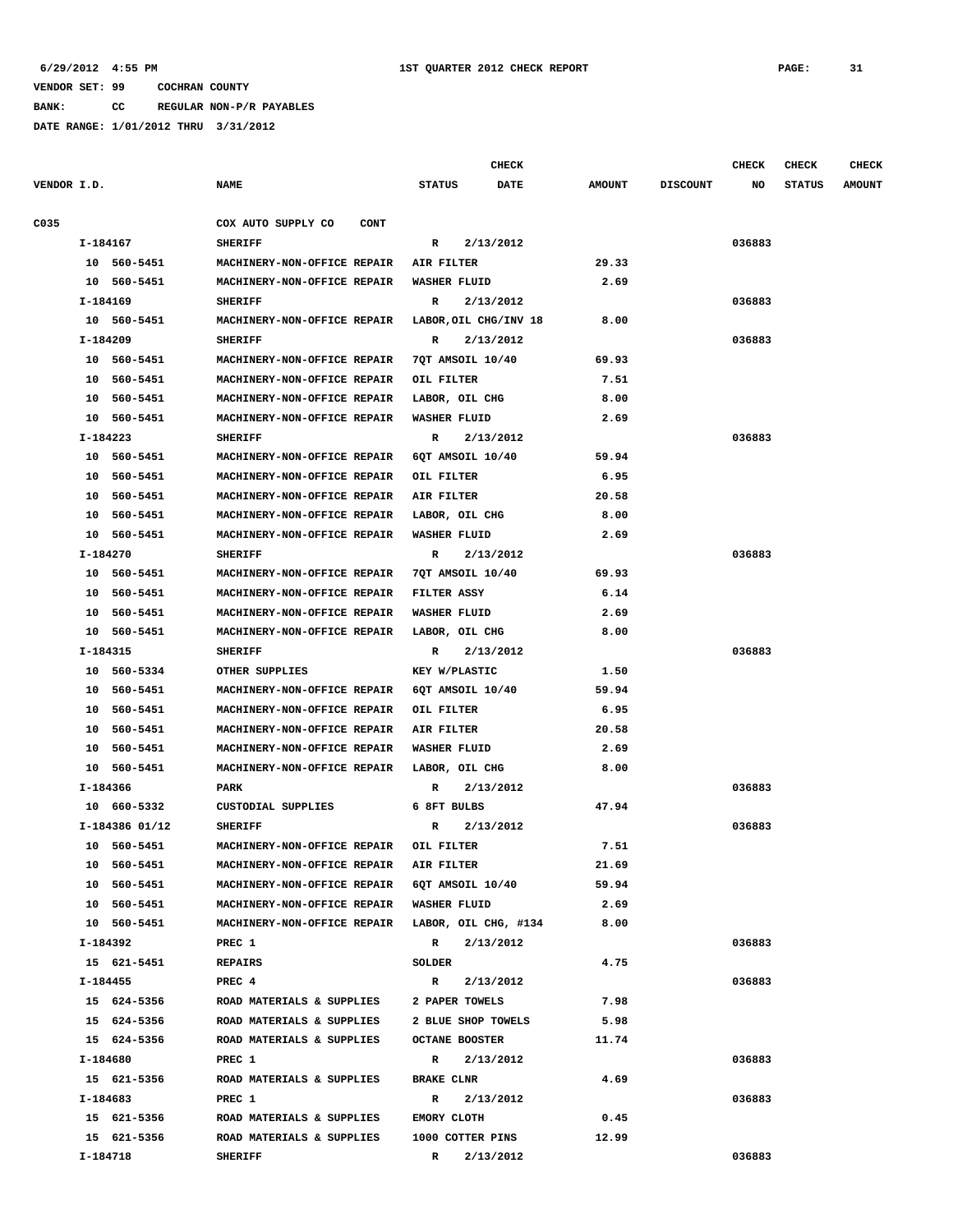**BANK: CC REGULAR NON-P/R PAYABLES**

|             |                         |                                     | <b>CHECK</b>                                   |               |                 | <b>CHECK</b> | <b>CHECK</b>  | CHECK         |
|-------------|-------------------------|-------------------------------------|------------------------------------------------|---------------|-----------------|--------------|---------------|---------------|
| VENDOR I.D. |                         | <b>NAME</b>                         | <b>STATUS</b><br><b>DATE</b>                   | <b>AMOUNT</b> | <b>DISCOUNT</b> | NO           | <b>STATUS</b> | <b>AMOUNT</b> |
| C035        |                         | COX AUTO SUPPLY CO<br><b>CONT</b>   |                                                |               |                 |              |               |               |
|             | I-184167                | <b>SHERIFF</b>                      | 2/13/2012<br>R                                 |               |                 | 036883       |               |               |
|             | 10 560-5451             | MACHINERY-NON-OFFICE REPAIR         | AIR FILTER                                     | 29.33         |                 |              |               |               |
|             | 10 560-5451             | MACHINERY-NON-OFFICE REPAIR         | WASHER FLUID                                   | 2.69          |                 |              |               |               |
|             | I-184169                | <b>SHERIFF</b>                      | R<br>2/13/2012                                 |               |                 | 036883       |               |               |
|             | 10 560-5451             | MACHINERY-NON-OFFICE REPAIR         | LABOR, OIL CHG/INV 18                          | 8.00          |                 |              |               |               |
|             | I-184209                | <b>SHERIFF</b>                      | 2/13/2012<br>R                                 |               |                 | 036883       |               |               |
|             | 10 560-5451             | MACHINERY-NON-OFFICE REPAIR         | 7QT AMSOIL 10/40                               | 69.93         |                 |              |               |               |
|             | 560-5451<br>10          | MACHINERY-NON-OFFICE REPAIR         | OIL FILTER                                     | 7.51          |                 |              |               |               |
|             | 560-5451<br>10          | MACHINERY-NON-OFFICE REPAIR         | LABOR, OIL CHG                                 | 8.00          |                 |              |               |               |
|             | 10 560-5451             | MACHINERY-NON-OFFICE REPAIR         | <b>WASHER FLUID</b>                            | 2.69          |                 |              |               |               |
|             | I-184223                | <b>SHERIFF</b>                      | R<br>2/13/2012                                 |               |                 | 036883       |               |               |
|             | 10 560-5451             | MACHINERY-NON-OFFICE REPAIR         | 6QT AMSOIL 10/40                               | 59.94         |                 |              |               |               |
|             | 10<br>560-5451          | MACHINERY-NON-OFFICE REPAIR         | OIL FILTER                                     | 6.95          |                 |              |               |               |
|             | 10 560-5451             | MACHINERY-NON-OFFICE REPAIR         | AIR FILTER                                     | 20.58         |                 |              |               |               |
|             | 10 560-5451             | MACHINERY-NON-OFFICE REPAIR         | LABOR, OIL CHG                                 | 8.00          |                 |              |               |               |
|             | 10 560-5451             | MACHINERY-NON-OFFICE REPAIR         | <b>WASHER FLUID</b>                            | 2.69          |                 |              |               |               |
|             | I-184270                | <b>SHERIFF</b>                      | R<br>2/13/2012                                 |               |                 | 036883       |               |               |
|             | 10 560-5451             | MACHINERY-NON-OFFICE REPAIR         | 7QT AMSOIL 10/40                               | 69.93         |                 |              |               |               |
|             | 10<br>560-5451          | MACHINERY-NON-OFFICE REPAIR         | <b>FILTER ASSY</b>                             | 6.14          |                 |              |               |               |
|             | 560-5451<br>10          | MACHINERY-NON-OFFICE REPAIR         | WASHER FLUID                                   | 2.69          |                 |              |               |               |
|             | 10 560-5451             | MACHINERY-NON-OFFICE REPAIR         | LABOR, OIL CHG                                 | 8.00          |                 |              |               |               |
|             | I-184315                | <b>SHERIFF</b>                      | R<br>2/13/2012                                 |               |                 | 036883       |               |               |
|             | 10 560-5334             | OTHER SUPPLIES                      | KEY W/PLASTIC                                  | 1.50          |                 |              |               |               |
|             | 10 560-5451             | MACHINERY-NON-OFFICE REPAIR         | 6QT AMSOIL 10/40                               | 59.94         |                 |              |               |               |
|             | 560-5451<br>10          | MACHINERY-NON-OFFICE REPAIR         | OIL FILTER                                     | 6.95          |                 |              |               |               |
|             | 10 560-5451             | MACHINERY-NON-OFFICE REPAIR         | AIR FILTER                                     | 20.58         |                 |              |               |               |
|             | 10<br>560-5451          | MACHINERY-NON-OFFICE REPAIR         | WASHER FLUID                                   | 2.69          |                 |              |               |               |
|             | 10 560-5451             | MACHINERY-NON-OFFICE REPAIR         | LABOR, OIL CHG                                 | 8.00          |                 |              |               |               |
|             | I-184366                | PARK                                | R<br>2/13/2012                                 |               |                 | 036883       |               |               |
|             | 10 660-5332             | CUSTODIAL SUPPLIES                  | 6 8FT BULBS                                    | 47.94         |                 |              |               |               |
|             | I-184386 01/12          | <b>SHERIFF</b>                      | R<br>2/13/2012                                 |               |                 | 036883       |               |               |
|             | 10 560-5451             | MACHINERY-NON-OFFICE REPAIR         | OIL FILTER                                     | 7.51          |                 |              |               |               |
|             | 10 560-5451             | MACHINERY-NON-OFFICE REPAIR         | AIR FILTER                                     | 21.69         |                 |              |               |               |
|             | 10 560-5451             | MACHINERY-NON-OFFICE REPAIR         | 6QT AMSOIL 10/40                               | 59.94         |                 |              |               |               |
|             | 10 560-5451             | MACHINERY-NON-OFFICE REPAIR         | <b>WASHER FLUID</b>                            | 2.69          |                 |              |               |               |
|             | 10 560-5451             | MACHINERY-NON-OFFICE REPAIR         | LABOR, OIL CHG, #134                           | 8.00          |                 |              |               |               |
|             | I-184392                | PREC 1                              | 2/13/2012<br>$\mathbb{R}$                      |               |                 | 036883       |               |               |
|             | 15 621-5451             | <b>REPAIRS</b>                      | SOLDER                                         | 4.75          |                 |              |               |               |
|             | I-184455                | PREC 4                              | 2/13/2012<br>$\mathbb{R}$                      |               |                 | 036883       |               |               |
|             | 15 624-5356             | ROAD MATERIALS & SUPPLIES           | 2 PAPER TOWELS                                 | 7.98          |                 |              |               |               |
|             | 15 624-5356             | ROAD MATERIALS & SUPPLIES           | 2 BLUE SHOP TOWELS                             | 5.98          |                 |              |               |               |
|             | 15 624-5356             | ROAD MATERIALS & SUPPLIES           | <b>OCTANE BOOSTER</b>                          | 11.74         |                 |              |               |               |
|             |                         |                                     |                                                |               |                 |              |               |               |
|             | I-184680<br>15 621-5356 | PREC 1<br>ROAD MATERIALS & SUPPLIES | $\mathbf{R}$<br>2/13/2012<br><b>BRAKE CLNR</b> | 4.69          |                 | 036883       |               |               |
|             |                         | PREC 1                              | $\mathbb{R}$                                   |               |                 |              |               |               |
|             | I-184683<br>15 621-5356 | ROAD MATERIALS & SUPPLIES           | 2/13/2012                                      | 0.45          |                 | 036883       |               |               |
|             |                         |                                     | <b>EMORY CLOTH</b>                             | 12.99         |                 |              |               |               |
|             | 15 621-5356             | ROAD MATERIALS & SUPPLIES           | 1000 COTTER PINS                               |               |                 | 036883       |               |               |
|             | I-184718                | <b>SHERIFF</b>                      | 2/13/2012<br>$\mathbf{R}$                      |               |                 |              |               |               |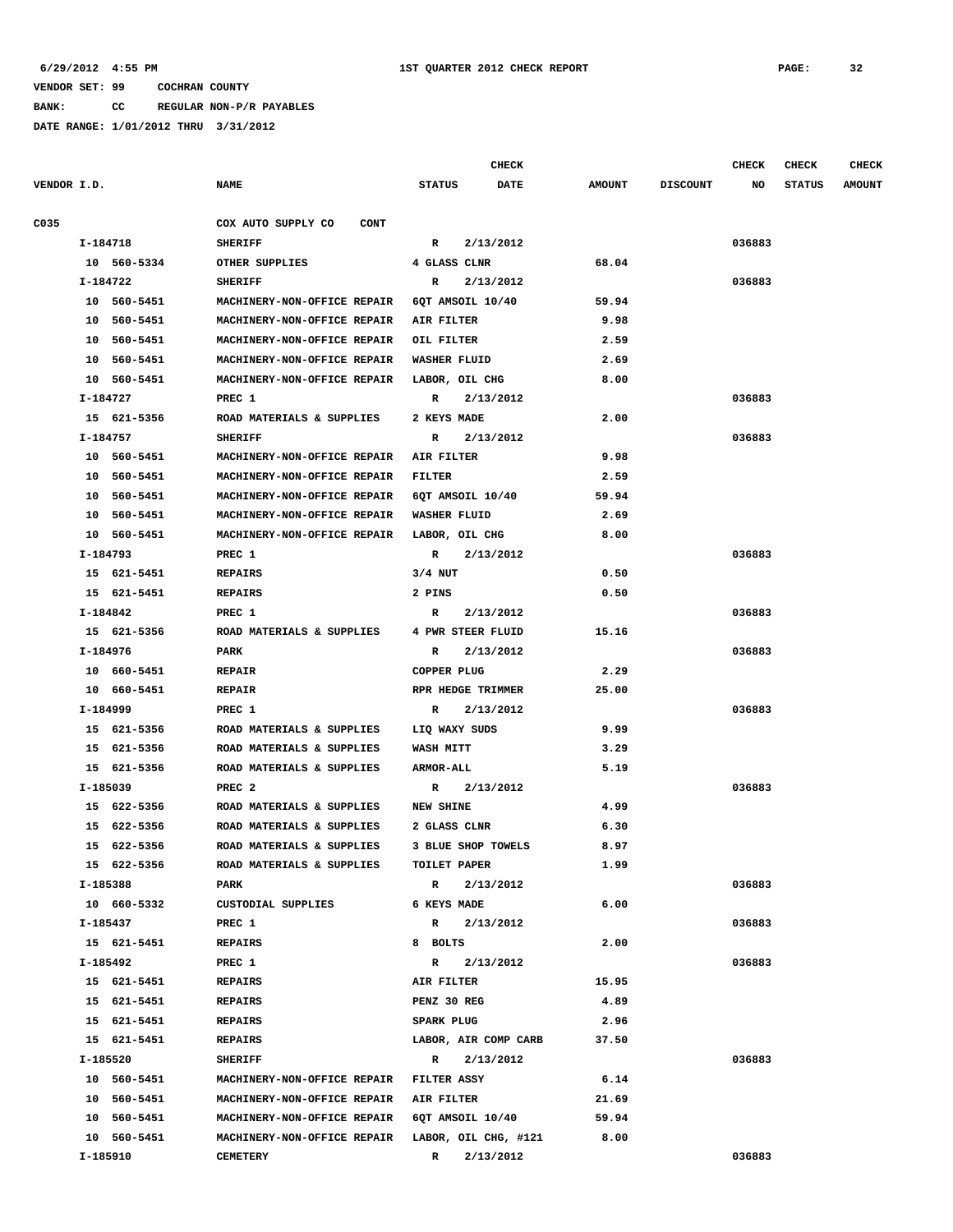**BANK: CC REGULAR NON-P/R PAYABLES**

|             |             |                                                  |                      | CHECK       |               |                 | <b>CHECK</b> | CHECK         | <b>CHECK</b>  |
|-------------|-------------|--------------------------------------------------|----------------------|-------------|---------------|-----------------|--------------|---------------|---------------|
| VENDOR I.D. |             | <b>NAME</b>                                      | <b>STATUS</b>        | <b>DATE</b> | <b>AMOUNT</b> | <b>DISCOUNT</b> | NO           | <b>STATUS</b> | <b>AMOUNT</b> |
| C035        |             | COX AUTO SUPPLY CO<br><b>CONT</b>                |                      |             |               |                 |              |               |               |
|             | I-184718    | <b>SHERIFF</b>                                   | $\mathbb{R}$         | 2/13/2012   |               |                 | 036883       |               |               |
|             | 10 560-5334 | OTHER SUPPLIES                                   | 4 GLASS CLNR         |             | 68.04         |                 |              |               |               |
|             | I-184722    | <b>SHERIFF</b>                                   | R                    | 2/13/2012   |               |                 | 036883       |               |               |
|             | 10 560-5451 | MACHINERY-NON-OFFICE REPAIR                      | 6QT AMSOIL 10/40     |             | 59.94         |                 |              |               |               |
|             | 10 560-5451 | MACHINERY-NON-OFFICE REPAIR                      | AIR FILTER           |             | 9.98          |                 |              |               |               |
|             | 10 560-5451 | MACHINERY-NON-OFFICE REPAIR                      | OIL FILTER           |             | 2.59          |                 |              |               |               |
|             | 10 560-5451 | MACHINERY-NON-OFFICE REPAIR                      | <b>WASHER FLUID</b>  |             | 2.69          |                 |              |               |               |
|             | 10 560-5451 | MACHINERY-NON-OFFICE REPAIR                      | LABOR, OIL CHG       |             | 8.00          |                 |              |               |               |
|             | I-184727    | PREC 1                                           | $\mathbb{R}$         | 2/13/2012   |               |                 | 036883       |               |               |
|             | 15 621-5356 | ROAD MATERIALS & SUPPLIES                        | 2 KEYS MADE          |             | 2.00          |                 |              |               |               |
|             | I-184757    | <b>SHERIFF</b>                                   | R                    | 2/13/2012   |               |                 | 036883       |               |               |
|             | 10 560-5451 | MACHINERY-NON-OFFICE REPAIR                      | AIR FILTER           |             | 9.98          |                 |              |               |               |
|             | 10 560-5451 | MACHINERY-NON-OFFICE REPAIR                      | FILTER               |             | 2.59          |                 |              |               |               |
|             | 10 560-5451 | MACHINERY-NON-OFFICE REPAIR                      | 6QT AMSOIL 10/40     |             | 59.94         |                 |              |               |               |
|             | 10 560-5451 | MACHINERY-NON-OFFICE REPAIR                      | WASHER FLUID         |             | 2.69          |                 |              |               |               |
|             | 10 560-5451 | MACHINERY-NON-OFFICE REPAIR                      | LABOR, OIL CHG       |             | 8.00          |                 |              |               |               |
|             | I-184793    | PREC 1                                           | $\mathbb{R}$         | 2/13/2012   |               |                 | 036883       |               |               |
|             | 15 621-5451 | <b>REPAIRS</b>                                   | $3/4$ NUT            |             | 0.50          |                 |              |               |               |
|             | 15 621-5451 | <b>REPAIRS</b>                                   | 2 PINS               |             | 0.50          |                 |              |               |               |
|             | I-184842    | PREC 1                                           | R                    | 2/13/2012   |               |                 | 036883       |               |               |
|             | 15 621-5356 | ROAD MATERIALS & SUPPLIES                        | 4 PWR STEER FLUID    |             | 15.16         |                 |              |               |               |
|             | I-184976    | PARK                                             | R                    | 2/13/2012   |               |                 | 036883       |               |               |
|             | 10 660-5451 | <b>REPAIR</b>                                    | COPPER PLUG          |             | 2.29          |                 |              |               |               |
|             | 10 660-5451 | <b>REPAIR</b>                                    | RPR HEDGE TRIMMER    |             | 25.00         |                 |              |               |               |
|             | I-184999    | PREC 1                                           | R                    | 2/13/2012   |               |                 | 036883       |               |               |
|             | 15 621-5356 | ROAD MATERIALS & SUPPLIES                        | LIQ WAXY SUDS        |             | 9.99          |                 |              |               |               |
|             | 15 621-5356 | ROAD MATERIALS & SUPPLIES                        | <b>WASH MITT</b>     |             | 3.29          |                 |              |               |               |
|             | 15 621-5356 | ROAD MATERIALS & SUPPLIES                        | <b>ARMOR-ALL</b>     |             | 5.19          |                 |              |               |               |
|             | I-185039    | PREC <sub>2</sub>                                | R                    | 2/13/2012   |               |                 | 036883       |               |               |
|             | 15 622-5356 | ROAD MATERIALS & SUPPLIES                        | <b>NEW SHINE</b>     |             | 4.99          |                 |              |               |               |
|             | 15 622-5356 | ROAD MATERIALS & SUPPLIES                        | 2 GLASS CLNR         |             | 6.30          |                 |              |               |               |
|             | 15 622-5356 | ROAD MATERIALS & SUPPLIES                        | 3 BLUE SHOP TOWELS   |             | 8.97          |                 |              |               |               |
|             | 15 622-5356 | ROAD MATERIALS & SUPPLIES                        | TOILET PAPER         |             | 1.99          |                 |              |               |               |
|             | I-185388    | PARK                                             | $\mathbb{R}$         | 2/13/2012   |               |                 | 036883       |               |               |
|             | 10 660-5332 | CUSTODIAL SUPPLIES                               | 6 KEYS MADE          |             | 6.00          |                 |              |               |               |
|             | I-185437    | PREC 1                                           | R                    | 2/13/2012   |               |                 | 036883       |               |               |
|             | 15 621-5451 | REPAIRS                                          | 8 BOLTS              |             | 2.00          |                 |              |               |               |
|             | I-185492    | PREC 1                                           | R                    | 2/13/2012   |               |                 | 036883       |               |               |
|             | 15 621-5451 | REPAIRS                                          | AIR FILTER           |             | 15.95         |                 |              |               |               |
|             | 15 621-5451 | REPAIRS                                          | PENZ 30 REG          |             | 4.89          |                 |              |               |               |
|             | 15 621-5451 | <b>REPAIRS</b>                                   | SPARK PLUG           |             | 2.96          |                 |              |               |               |
|             | 15 621-5451 | <b>REPAIRS</b>                                   | LABOR, AIR COMP CARB |             | 37.50         |                 |              |               |               |
|             | I-185520    | <b>SHERIFF</b>                                   | R 2/13/2012          |             |               |                 | 036883       |               |               |
|             | 10 560-5451 | MACHINERY-NON-OFFICE REPAIR                      | FILTER ASSY          |             | 6.14          |                 |              |               |               |
|             | 10 560-5451 | MACHINERY-NON-OFFICE REPAIR                      | AIR FILTER           |             | 21.69         |                 |              |               |               |
|             | 10 560-5451 | MACHINERY-NON-OFFICE REPAIR                      | 6QT AMSOIL 10/40     |             | 59.94         |                 |              |               |               |
|             | 10 560-5451 | MACHINERY-NON-OFFICE REPAIR LABOR, OIL CHG, #121 |                      |             | 8.00          |                 |              |               |               |
|             | I-185910    | <b>CEMETERY</b>                                  | R                    | 2/13/2012   |               |                 | 036883       |               |               |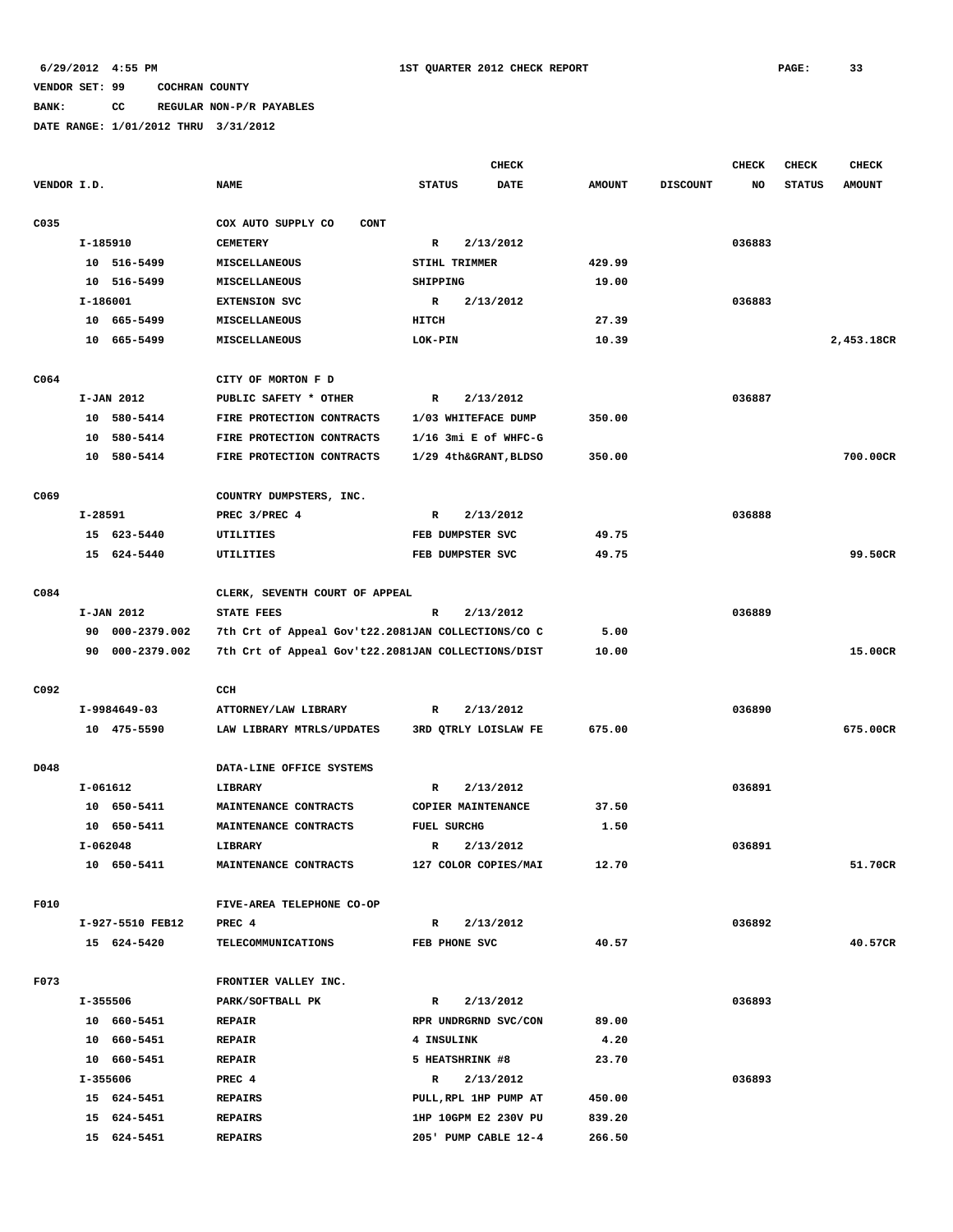# **BANK: CC REGULAR NON-P/R PAYABLES**

|             |             |                  |                                                    |                        | <b>CHECK</b> |               |                 | <b>CHECK</b> | <b>CHECK</b>  | CHECK         |
|-------------|-------------|------------------|----------------------------------------------------|------------------------|--------------|---------------|-----------------|--------------|---------------|---------------|
| VENDOR I.D. |             |                  | <b>NAME</b>                                        | <b>STATUS</b>          | <b>DATE</b>  | <b>AMOUNT</b> | <b>DISCOUNT</b> | NO           | <b>STATUS</b> | <b>AMOUNT</b> |
| C035        |             |                  | COX AUTO SUPPLY CO<br><b>CONT</b>                  |                        |              |               |                 |              |               |               |
|             | I-185910    |                  | <b>CEMETERY</b>                                    | R                      | 2/13/2012    |               |                 | 036883       |               |               |
|             |             | 10 516-5499      | MISCELLANEOUS                                      | STIHL TRIMMER          |              | 429.99        |                 |              |               |               |
|             |             | 10 516-5499      | MISCELLANEOUS                                      | SHIPPING               |              | 19.00         |                 |              |               |               |
|             | I-186001    |                  | <b>EXTENSION SVC</b>                               | $\mathbb{R}$           | 2/13/2012    |               |                 | 036883       |               |               |
|             |             | 10 665-5499      | MISCELLANEOUS                                      | HITCH                  |              | 27.39         |                 |              |               |               |
|             |             | 10 665-5499      | MISCELLANEOUS                                      | LOK-PIN                |              | 10.39         |                 |              |               | 2,453.18CR    |
|             |             |                  |                                                    |                        |              |               |                 |              |               |               |
| C064        |             |                  | CITY OF MORTON F D                                 |                        |              |               |                 |              |               |               |
|             |             | I-JAN 2012       | PUBLIC SAFETY * OTHER                              | R                      | 2/13/2012    |               |                 | 036887       |               |               |
|             |             | 10 580-5414      | FIRE PROTECTION CONTRACTS                          | 1/03 WHITEFACE DUMP    |              | 350.00        |                 |              |               |               |
|             |             | 10 580-5414      | FIRE PROTECTION CONTRACTS                          | $1/16$ 3mi E of WHFC-G |              |               |                 |              |               |               |
|             |             | 10 580-5414      | FIRE PROTECTION CONTRACTS                          | 1/29 4th&GRANT, BLDSO  |              | 350.00        |                 |              |               | 700.00CR      |
| C069        |             |                  | COUNTRY DUMPSTERS, INC.                            |                        |              |               |                 |              |               |               |
|             | $I - 28591$ |                  | PREC 3/PREC 4                                      | R                      | 2/13/2012    |               |                 | 036888       |               |               |
|             |             | 15 623-5440      | UTILITIES                                          | FEB DUMPSTER SVC       |              | 49.75         |                 |              |               |               |
|             |             | 15 624-5440      | <b>UTILITIES</b>                                   | FEB DUMPSTER SVC       |              | 49.75         |                 |              |               | 99.50CR       |
|             |             |                  |                                                    |                        |              |               |                 |              |               |               |
| C084        |             |                  | CLERK, SEVENTH COURT OF APPEAL                     |                        |              |               |                 |              |               |               |
|             |             | I-JAN 2012       | <b>STATE FEES</b>                                  | $\mathbf R$            | 2/13/2012    |               |                 | 036889       |               |               |
|             | 90          | 000-2379.002     | 7th Crt of Appeal Gov't22.2081JAN COLLECTIONS/CO C |                        |              | 5.00          |                 |              |               |               |
|             |             | 90 000-2379.002  | 7th Crt of Appeal Gov't22.2081JAN COLLECTIONS/DIST |                        |              | 10.00         |                 |              |               | 15.00CR       |
|             |             |                  |                                                    |                        |              |               |                 |              |               |               |
| C092        |             |                  | CCH                                                |                        |              |               |                 |              |               |               |
|             |             | I-9984649-03     | ATTORNEY/LAW LIBRARY                               | R                      | 2/13/2012    |               |                 | 036890       |               |               |
|             |             | 10 475-5590      | LAW LIBRARY MTRLS/UPDATES                          | 3RD QTRLY LOISLAW FE   |              | 675.00        |                 |              |               | 675.00CR      |
| D048        |             |                  | DATA-LINE OFFICE SYSTEMS                           |                        |              |               |                 |              |               |               |
|             |             | I-061612         | LIBRARY                                            | R                      | 2/13/2012    |               |                 | 036891       |               |               |
|             |             | 10 650-5411      | MAINTENANCE CONTRACTS                              | COPIER MAINTENANCE     |              | 37.50         |                 |              |               |               |
|             |             | 10 650-5411      | MAINTENANCE CONTRACTS                              | <b>FUEL SURCHG</b>     |              | 1.50          |                 |              |               |               |
|             | $I-062048$  |                  | LIBRARY                                            | $\mathbb{R}$           | 2/13/2012    |               |                 | 036891       |               |               |
|             |             | 10 650-5411      | MAINTENANCE CONTRACTS                              | 127 COLOR COPIES/MAI   |              | 12.70         |                 |              |               | 51.70CR       |
| F010        |             |                  | FIVE-AREA TELEPHONE CO-OP                          |                        |              |               |                 |              |               |               |
|             |             | I-927-5510 FEB12 | PREC 4                                             | $\mathbb{R}$           | 2/13/2012    |               |                 | 036892       |               |               |
|             |             | 15 624-5420      | TELECOMMUNICATIONS                                 | FEB PHONE SVC          |              | 40.57         |                 |              |               | 40.57CR       |
|             |             |                  |                                                    |                        |              |               |                 |              |               |               |
| F073        |             |                  | FRONTIER VALLEY INC.                               |                        |              |               |                 |              |               |               |
|             |             | I-355506         | PARK/SOFTBALL PK                                   | R 2/13/2012            |              |               |                 | 036893       |               |               |
|             |             | 10 660-5451      | <b>REPAIR</b>                                      | RPR UNDRGRND SVC/CON   |              | 89.00         |                 |              |               |               |
|             |             | 10 660-5451      | <b>REPAIR</b>                                      | 4 INSULINK             |              | 4.20          |                 |              |               |               |
|             |             | 10 660-5451      | <b>REPAIR</b>                                      | 5 HEATSHRINK #8        |              | 23.70         |                 |              |               |               |
|             |             | I-355606         | PREC 4                                             | R 2/13/2012            |              |               |                 | 036893       |               |               |
|             |             | 15 624-5451      | <b>REPAIRS</b>                                     | PULL, RPL 1HP PUMP AT  |              | 450.00        |                 |              |               |               |
|             |             | 15 624-5451      | <b>REPAIRS</b>                                     | 1HP 10GPM E2 230V PU   |              | 839.20        |                 |              |               |               |
|             |             | 15 624-5451      | <b>REPAIRS</b>                                     | 205' PUMP CABLE 12-4   |              | 266.50        |                 |              |               |               |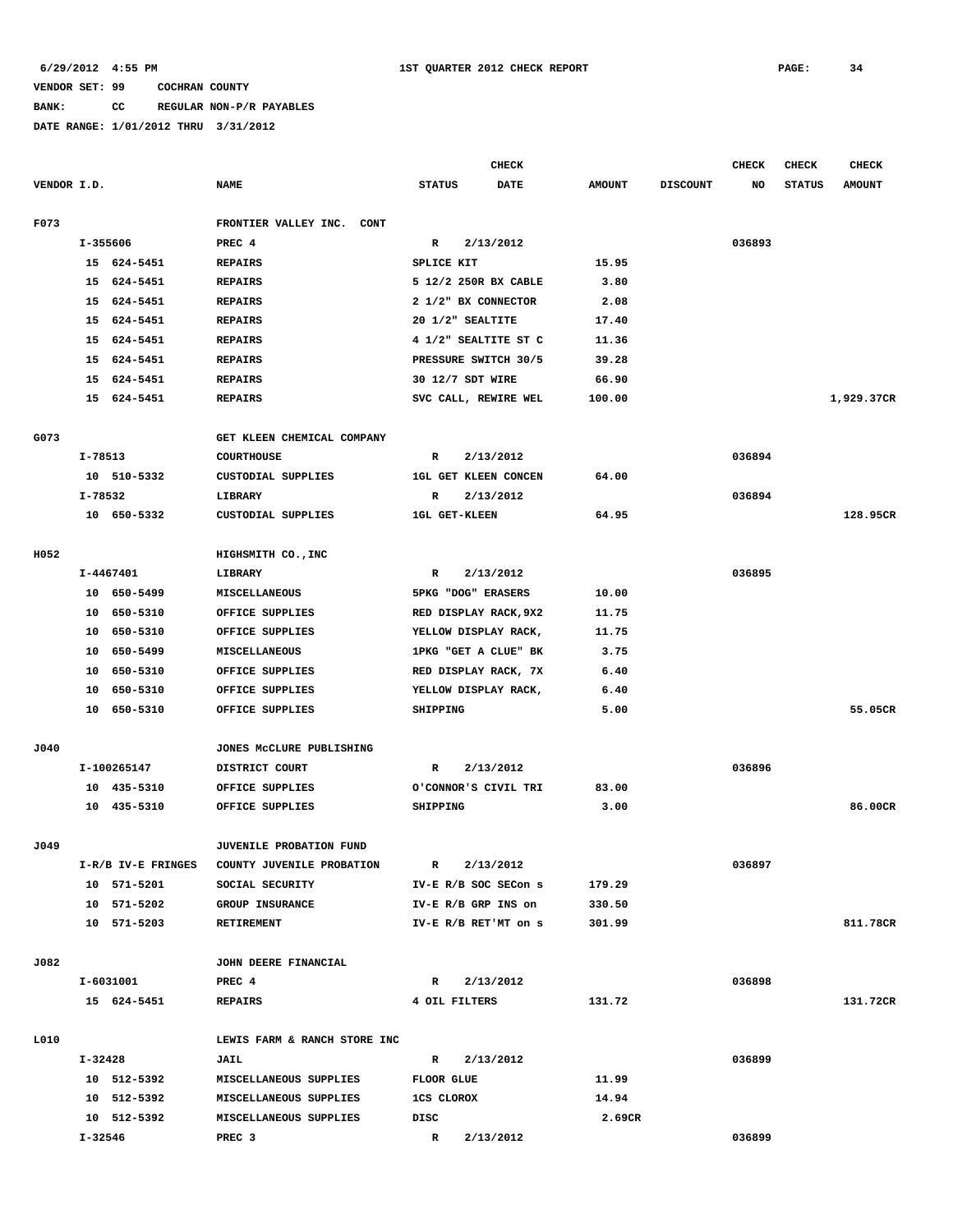# **BANK: CC REGULAR NON-P/R PAYABLES**

|             |                    |             |                                     |                       | <b>CHECK</b>                |               |                 | <b>CHECK</b> | <b>CHECK</b>  | <b>CHECK</b>  |
|-------------|--------------------|-------------|-------------------------------------|-----------------------|-----------------------------|---------------|-----------------|--------------|---------------|---------------|
| VENDOR I.D. |                    |             | <b>NAME</b>                         | <b>STATUS</b>         | DATE                        | <b>AMOUNT</b> | <b>DISCOUNT</b> | NO           | <b>STATUS</b> | <b>AMOUNT</b> |
| F073        |                    |             | FRONTIER VALLEY INC.<br><b>CONT</b> |                       |                             |               |                 |              |               |               |
|             | I-355606           |             | PREC 4                              | R                     | 2/13/2012                   |               |                 | 036893       |               |               |
|             |                    | 15 624-5451 | <b>REPAIRS</b>                      | SPLICE KIT            |                             | 15.95         |                 |              |               |               |
|             |                    | 15 624-5451 | <b>REPAIRS</b>                      | 5 12/2 250R BX CABLE  |                             | 3.80          |                 |              |               |               |
|             |                    | 15 624-5451 | <b>REPAIRS</b>                      | 2 1/2" BX CONNECTOR   |                             | 2.08          |                 |              |               |               |
|             |                    | 15 624-5451 | <b>REPAIRS</b>                      |                       | 20 1/2" SEALTITE            | 17.40         |                 |              |               |               |
|             |                    | 15 624-5451 | <b>REPAIRS</b>                      |                       | 4 1/2" SEALTITE ST C        | 11.36         |                 |              |               |               |
|             |                    | 15 624-5451 | <b>REPAIRS</b>                      |                       | PRESSURE SWITCH 30/5        | 39.28         |                 |              |               |               |
|             |                    | 15 624-5451 | <b>REPAIRS</b>                      |                       | 30 12/7 SDT WIRE            | 66.90         |                 |              |               |               |
|             |                    | 15 624-5451 | <b>REPAIRS</b>                      |                       | SVC CALL, REWIRE WEL        | 100.00        |                 |              |               | 1,929.37CR    |
|             |                    |             |                                     |                       |                             |               |                 |              |               |               |
| G073        |                    |             | GET KLEEN CHEMICAL COMPANY          |                       |                             |               |                 |              |               |               |
|             | I-78513            |             | <b>COURTHOUSE</b>                   | R                     | 2/13/2012                   |               |                 | 036894       |               |               |
|             |                    | 10 510-5332 | CUSTODIAL SUPPLIES                  |                       | <b>1GL GET KLEEN CONCEN</b> | 64.00         |                 |              |               |               |
|             | I-78532            |             | LIBRARY                             | R                     | 2/13/2012                   |               |                 | 036894       |               |               |
|             |                    | 10 650-5332 | CUSTODIAL SUPPLIES                  |                       | <b>1GL GET-KLEEN</b>        | 64.95         |                 |              |               | 128.95CR      |
| H052        |                    |             | HIGHSMITH CO., INC                  |                       |                             |               |                 |              |               |               |
|             |                    | I-4467401   | LIBRARY                             | R                     | 2/13/2012                   |               |                 | 036895       |               |               |
|             |                    | 10 650-5499 | <b>MISCELLANEOUS</b>                |                       | 5PKG "DOG" ERASERS          | 10.00         |                 |              |               |               |
|             | 10                 | 650-5310    | OFFICE SUPPLIES                     | RED DISPLAY RACK, 9X2 |                             | 11.75         |                 |              |               |               |
|             | 10                 | 650-5310    | OFFICE SUPPLIES                     | YELLOW DISPLAY RACK,  |                             | 11.75         |                 |              |               |               |
|             | 10                 | 650–5499    | <b>MISCELLANEOUS</b>                |                       | 1PKG "GET A CLUE" BK        | 3.75          |                 |              |               |               |
|             |                    | 10 650-5310 | OFFICE SUPPLIES                     |                       | RED DISPLAY RACK, 7X        | 6.40          |                 |              |               |               |
|             |                    | 10 650-5310 | OFFICE SUPPLIES                     |                       | YELLOW DISPLAY RACK,        | 6.40          |                 |              |               |               |
|             |                    | 10 650-5310 | OFFICE SUPPLIES                     | SHIPPING              |                             | 5.00          |                 |              |               | 55.05CR       |
|             |                    |             |                                     |                       |                             |               |                 |              |               |               |
| J040        |                    |             | JONES MCCLURE PUBLISHING            |                       |                             |               |                 |              |               |               |
|             |                    | I-100265147 | DISTRICT COURT                      | R                     | 2/13/2012                   |               |                 | 036896       |               |               |
|             |                    | 10 435-5310 | OFFICE SUPPLIES                     |                       | O'CONNOR'S CIVIL TRI        | 83.00         |                 |              |               |               |
|             |                    | 10 435-5310 | OFFICE SUPPLIES                     | SHIPPING              |                             | 3.00          |                 |              |               | 86.00CR       |
| J049        |                    |             | JUVENILE PROBATION FUND             |                       |                             |               |                 |              |               |               |
|             | I-R/B IV-E FRINGES |             | COUNTY JUVENILE PROBATION           | $\mathbb{R}$          | 2/13/2012                   |               |                 | 036897       |               |               |
|             |                    | 10 571-5201 | SOCIAL SECURITY                     |                       | IV-E R/B SOC SECON S        | 179.29        |                 |              |               |               |
|             |                    | 10 571-5202 | GROUP INSURANCE                     |                       | IV-E R/B GRP INS on         | 330.50        |                 |              |               |               |
|             |                    | 10 571-5203 | <b>RETIREMENT</b>                   |                       | IV-E R/B RET'MT on s        | 301.99        |                 |              |               | 811.78CR      |
| J082        |                    |             | JOHN DEERE FINANCIAL                |                       |                             |               |                 |              |               |               |
|             | I-6031001          |             | PREC 4                              | R                     | 2/13/2012                   |               |                 | 036898       |               |               |
|             |                    | 15 624-5451 | <b>REPAIRS</b>                      | 4 OIL FILTERS         |                             | 131.72        |                 |              |               | 131.72CR      |
|             |                    |             |                                     |                       |                             |               |                 |              |               |               |
| L010        |                    |             | LEWIS FARM & RANCH STORE INC        |                       |                             |               |                 |              |               |               |
|             | I-32428            |             | <b>JAIL</b>                         | $\mathbf{R}$          | 2/13/2012                   |               |                 | 036899       |               |               |
|             |                    | 10 512-5392 | MISCELLANEOUS SUPPLIES              | FLOOR GLUE            |                             | 11.99         |                 |              |               |               |
|             |                    | 10 512-5392 | MISCELLANEOUS SUPPLIES              | <b>1CS CLOROX</b>     |                             | 14.94         |                 |              |               |               |
|             |                    | 10 512-5392 | MISCELLANEOUS SUPPLIES              | DISC                  |                             | 2.69CR        |                 |              |               |               |
|             | I-32546            |             | PREC <sub>3</sub>                   | $\mathbb{R}$          | 2/13/2012                   |               |                 | 036899       |               |               |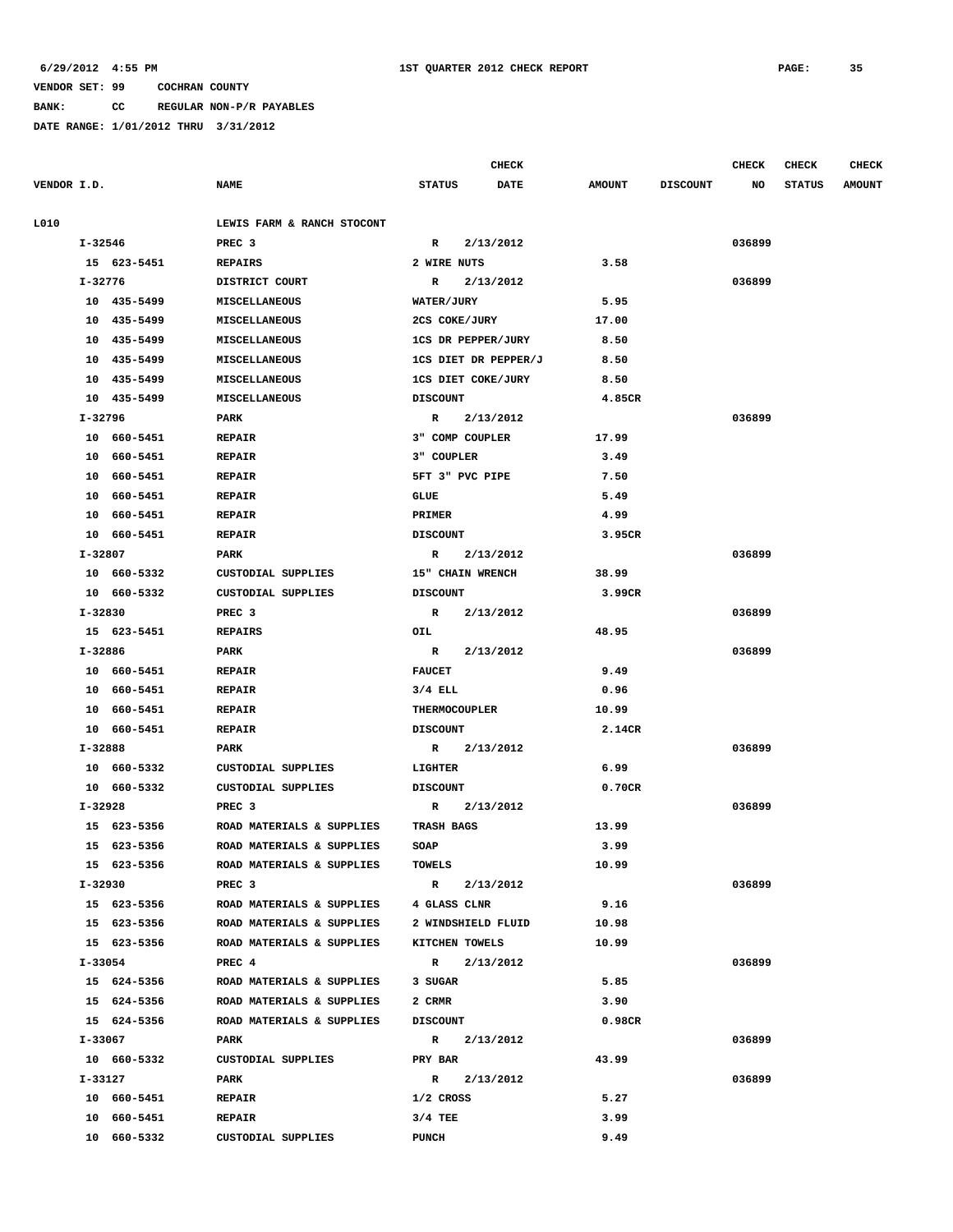**BANK: CC REGULAR NON-P/R PAYABLES**

|             |             |                                     |                            | <b>CHECK</b>      |                           |               |                 | <b>CHECK</b> | <b>CHECK</b>  | <b>CHECK</b>  |
|-------------|-------------|-------------------------------------|----------------------------|-------------------|---------------------------|---------------|-----------------|--------------|---------------|---------------|
| VENDOR I.D. |             |                                     | <b>NAME</b>                | <b>STATUS</b>     | <b>DATE</b>               | <b>AMOUNT</b> | <b>DISCOUNT</b> | NO           | <b>STATUS</b> | <b>AMOUNT</b> |
| L010        |             |                                     | LEWIS FARM & RANCH STOCONT |                   |                           |               |                 |              |               |               |
|             | I-32546     |                                     | PREC <sub>3</sub>          | $\mathbb{R}$      | 2/13/2012                 |               |                 | 036899       |               |               |
|             | 15 623-5451 |                                     | <b>REPAIRS</b>             | 2 WIRE NUTS       |                           | 3.58          |                 |              |               |               |
| I-32776     |             |                                     | DISTRICT COURT             | R                 | 2/13/2012                 |               |                 | 036899       |               |               |
|             |             | 10 435-5499<br><b>MISCELLANEOUS</b> |                            | <b>WATER/JURY</b> |                           | 5.95          |                 |              |               |               |
|             |             | 10 435-5499<br>MISCELLANEOUS        |                            | 2CS COKE/JURY     |                           | 17.00         |                 |              |               |               |
|             |             | 10 435-5499                         | MISCELLANEOUS              |                   | 1CS DR PEPPER/JURY        | 8.50          |                 |              |               |               |
|             |             | 10 435-5499                         | MISCELLANEOUS              |                   | 1CS DIET DR PEPPER/J      | 8.50          |                 |              |               |               |
|             |             | 10 435-5499                         | MISCELLANEOUS              |                   | <b>1CS DIET COKE/JURY</b> | 8.50          |                 |              |               |               |
|             |             | 10 435-5499                         | MISCELLANEOUS              | <b>DISCOUNT</b>   |                           | 4.85CR        |                 |              |               |               |
|             | I-32796     |                                     | PARK                       | R                 | 2/13/2012                 |               |                 | 036899       |               |               |
|             |             | 10 660-5451                         | <b>REPAIR</b>              |                   | 3" COMP COUPLER           | 17.99         |                 |              |               |               |
|             |             | 10 660-5451                         | <b>REPAIR</b>              | 3" COUPLER        |                           | 3.49          |                 |              |               |               |
|             |             | 10 660-5451                         | <b>REPAIR</b>              |                   | 5FT 3" PVC PIPE           | 7.50          |                 |              |               |               |
|             |             | 10 660-5451                         | <b>REPAIR</b>              | GLUE              |                           | 5.49          |                 |              |               |               |
|             |             | 10 660-5451                         | <b>REPAIR</b>              | PRIMER            |                           | 4.99          |                 |              |               |               |
|             |             | 10 660-5451                         | <b>REPAIR</b>              | <b>DISCOUNT</b>   |                           | 3.95CR        |                 |              |               |               |
|             | I-32807     |                                     | PARK                       | $\mathbf{R}$      | 2/13/2012                 |               |                 | 036899       |               |               |
|             |             | 10 660-5332                         | <b>CUSTODIAL SUPPLIES</b>  |                   | 15" CHAIN WRENCH          | 38.99         |                 |              |               |               |
|             |             | 10 660-5332                         | <b>CUSTODIAL SUPPLIES</b>  | <b>DISCOUNT</b>   |                           | 3.99CR        |                 |              |               |               |
|             | I-32830     |                                     | PREC <sub>3</sub>          | $\mathbb{R}$      | 2/13/2012                 |               |                 | 036899       |               |               |
|             |             | 15 623-5451                         | <b>REPAIRS</b>             | OIL               |                           | 48.95         |                 |              |               |               |
|             | I-32886     |                                     | PARK                       | $\mathbf{R}$      | 2/13/2012                 |               |                 | 036899       |               |               |
|             |             | 10 660-5451                         | <b>REPAIR</b>              | <b>FAUCET</b>     |                           | 9.49          |                 |              |               |               |
|             |             | 10 660-5451                         | <b>REPAIR</b>              | $3/4$ ELL         |                           | 0.96          |                 |              |               |               |
|             |             | 10 660-5451                         | <b>REPAIR</b>              | THERMOCOUPLER     |                           | 10.99         |                 |              |               |               |
|             |             | 10 660-5451                         | <b>REPAIR</b>              | <b>DISCOUNT</b>   |                           | 2.14CR        |                 |              |               |               |
|             | I-32888     |                                     | PARK                       | R                 | 2/13/2012                 |               |                 | 036899       |               |               |
|             |             | 10 660-5332                         | CUSTODIAL SUPPLIES         | LIGHTER           |                           | 6.99          |                 |              |               |               |
|             |             | 10 660-5332                         | <b>CUSTODIAL SUPPLIES</b>  | <b>DISCOUNT</b>   |                           | 0.70CR        |                 |              |               |               |
|             | $I - 32928$ |                                     | PREC <sub>3</sub>          | R                 | 2/13/2012                 |               |                 | 036899       |               |               |
|             |             | 15 623-5356                         | ROAD MATERIALS & SUPPLIES  | TRASH BAGS        |                           | 13.99         |                 |              |               |               |
|             |             | 15 623-5356                         | ROAD MATERIALS & SUPPLIES  | SOAP              |                           | 3.99          |                 |              |               |               |
|             |             | 15 623-5356                         | ROAD MATERIALS & SUPPLIES  | <b>TOWELS</b>     |                           | 10.99         |                 |              |               |               |
|             | I-32930     |                                     | PREC <sub>3</sub>          | $\mathbb{R}$      | 2/13/2012                 |               |                 | 036899       |               |               |
|             |             | 15 623-5356                         | ROAD MATERIALS & SUPPLIES  | 4 GLASS CLNR      |                           | 9.16          |                 |              |               |               |
|             |             | 15 623-5356                         | ROAD MATERIALS & SUPPLIES  |                   | 2 WINDSHIELD FLUID        | 10.98         |                 |              |               |               |
|             |             | 15 623-5356                         | ROAD MATERIALS & SUPPLIES  |                   | KITCHEN TOWELS            | 10.99         |                 |              |               |               |
|             |             | I-33054                             | PREC 4                     |                   | R 2/13/2012               |               |                 | 036899       |               |               |
|             |             | 15 624-5356                         | ROAD MATERIALS & SUPPLIES  | 3 SUGAR           |                           | 5.85          |                 |              |               |               |
|             |             | 15 624-5356                         | ROAD MATERIALS & SUPPLIES  | 2 CRMR            |                           | 3.90          |                 |              |               |               |
|             |             | 15 624-5356                         | ROAD MATERIALS & SUPPLIES  | <b>DISCOUNT</b>   |                           | 0.98CR        |                 |              |               |               |
|             | I-33067     |                                     | <b>PARK</b>                |                   | R 2/13/2012               |               |                 | 036899       |               |               |
|             |             | 10 660-5332                         | CUSTODIAL SUPPLIES         | PRY BAR           |                           | 43.99         |                 |              |               |               |
|             | I-33127     |                                     | PARK                       | $\mathbb{R}$      | 2/13/2012                 |               |                 | 036899       |               |               |
|             |             | 10 660-5451                         | <b>REPAIR</b>              | 1/2 CROSS         |                           | 5.27          |                 |              |               |               |
|             |             | 10 660-5451                         | <b>REPAIR</b>              | $3/4$ TEE         |                           | 3.99          |                 |              |               |               |
|             |             | 10 660-5332                         | CUSTODIAL SUPPLIES         | PUNCH             |                           | 9.49          |                 |              |               |               |
|             |             |                                     |                            |                   |                           |               |                 |              |               |               |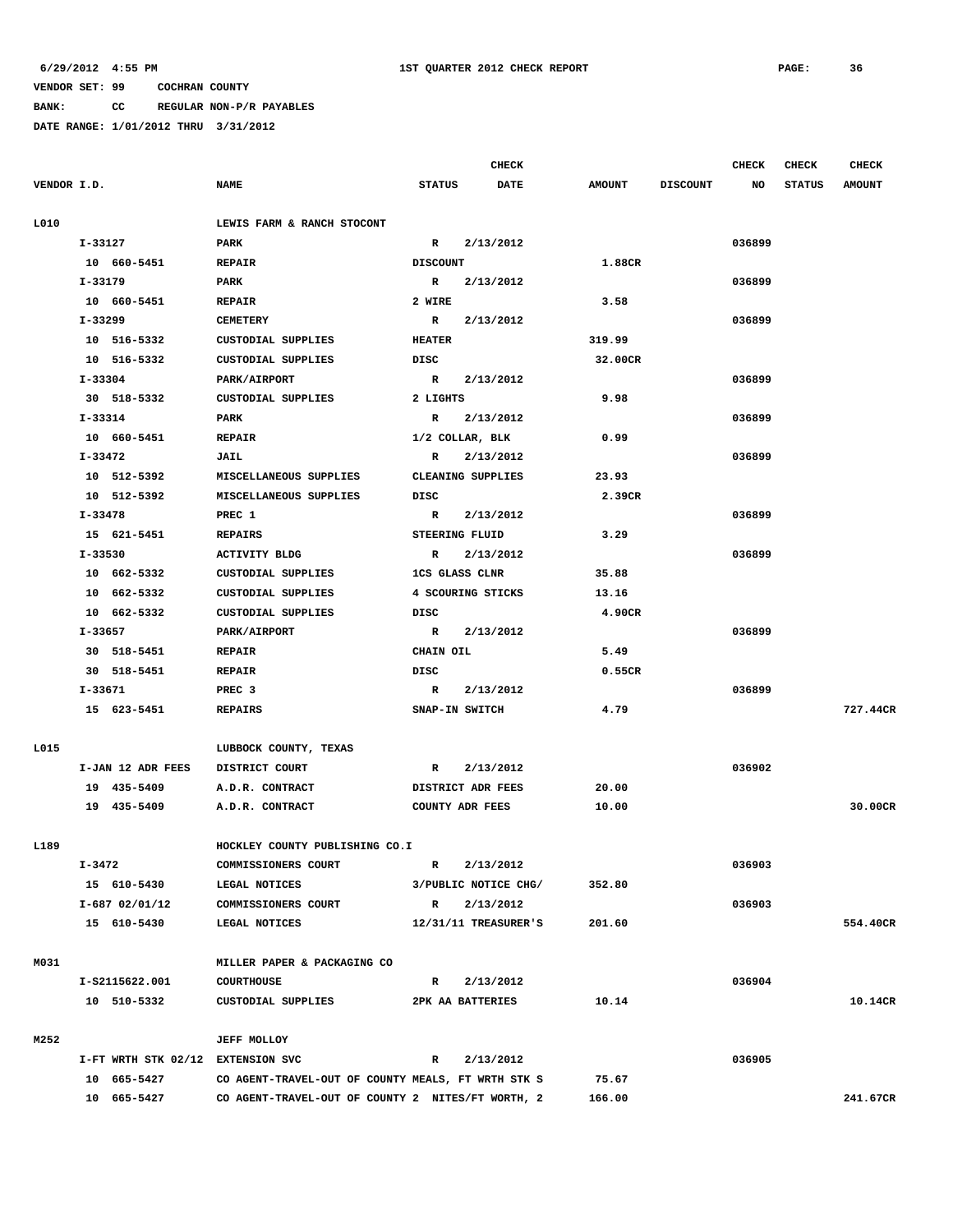**BANK: CC REGULAR NON-P/R PAYABLES**

|             |                   |             |                                                    |                 | <b>CHECK</b>           |               |                 | CHECK  | CHECK         | CHECK         |
|-------------|-------------------|-------------|----------------------------------------------------|-----------------|------------------------|---------------|-----------------|--------|---------------|---------------|
| VENDOR I.D. |                   |             | <b>NAME</b>                                        | <b>STATUS</b>   | DATE                   | <b>AMOUNT</b> | <b>DISCOUNT</b> | NO     | <b>STATUS</b> | <b>AMOUNT</b> |
| L010        |                   |             | LEWIS FARM & RANCH STOCONT                         |                 |                        |               |                 |        |               |               |
|             | I-33127           |             | PARK                                               | $\mathbb{R}$    | 2/13/2012              |               |                 | 036899 |               |               |
|             | 10 660-5451       |             | <b>REPAIR</b>                                      | <b>DISCOUNT</b> |                        | 1.88CR        |                 |        |               |               |
|             | I-33179           |             | PARK                                               | $\mathbb{R}$    | 2/13/2012              |               |                 | 036899 |               |               |
|             | 10 660-5451       |             | <b>REPAIR</b>                                      | 2 WIRE          |                        | 3.58          |                 |        |               |               |
|             | I-33299           |             | <b>CEMETERY</b>                                    | $\mathbf{R}$    | 2/13/2012              |               |                 | 036899 |               |               |
|             | 10 516-5332       |             | CUSTODIAL SUPPLIES                                 | <b>HEATER</b>   |                        | 319.99        |                 |        |               |               |
|             | 10 516-5332       |             | CUSTODIAL SUPPLIES                                 | DISC            |                        | 32.00CR       |                 |        |               |               |
|             | $I - 33304$       |             | PARK/AIRPORT                                       | $\mathbb{R}$    | 2/13/2012              |               |                 | 036899 |               |               |
|             | 30 518-5332       |             | CUSTODIAL SUPPLIES                                 | 2 LIGHTS        |                        | 9.98          |                 |        |               |               |
|             | I-33314           |             | PARK                                               | $\mathbb{R}$    | 2/13/2012              |               |                 | 036899 |               |               |
|             | 10 660-5451       |             | <b>REPAIR</b>                                      |                 | 1/2 COLLAR, BLK        | 0.99          |                 |        |               |               |
|             | I-33472           |             | <b>JAIL</b>                                        | R               | 2/13/2012              |               |                 | 036899 |               |               |
|             | 10 512-5392       |             | MISCELLANEOUS SUPPLIES                             |                 | CLEANING SUPPLIES      | 23.93         |                 |        |               |               |
|             | 10 512-5392       |             | MISCELLANEOUS SUPPLIES                             | DISC            |                        | 2.39CR        |                 |        |               |               |
|             | I-33478           |             | PREC 1                                             | $\mathbb{R}$    | 2/13/2012              |               |                 | 036899 |               |               |
|             | 15 621-5451       |             | <b>REPAIRS</b>                                     |                 | STEERING FLUID         | 3.29          |                 |        |               |               |
|             | I-33530           |             | <b>ACTIVITY BLDG</b>                               | R               | 2/13/2012              |               |                 | 036899 |               |               |
|             | 10 662-5332       |             | CUSTODIAL SUPPLIES                                 |                 | <b>1CS GLASS CLNR</b>  | 35.88         |                 |        |               |               |
|             | 10 662-5332       |             | CUSTODIAL SUPPLIES                                 |                 | 4 SCOURING STICKS      | 13.16         |                 |        |               |               |
|             | 10 662-5332       |             | CUSTODIAL SUPPLIES                                 | DISC            |                        | 4.90CR        |                 |        |               |               |
|             | I-33657           |             | PARK/AIRPORT                                       | $\mathbb{R}$    | 2/13/2012              |               |                 | 036899 |               |               |
|             | 30 518-5451       |             | <b>REPAIR</b>                                      | CHAIN OIL       |                        | 5.49          |                 |        |               |               |
|             | 30 518-5451       |             | <b>REPAIR</b>                                      | DISC            |                        | 0.55CR        |                 |        |               |               |
|             | I-33671           |             | PREC 3                                             | R               | 2/13/2012              |               |                 | 036899 |               |               |
|             | 15 623-5451       |             | <b>REPAIRS</b>                                     |                 | SNAP-IN SWITCH         | 4.79          |                 |        |               | 727.44CR      |
| L015        |                   |             | LUBBOCK COUNTY, TEXAS                              |                 |                        |               |                 |        |               |               |
|             | I-JAN 12 ADR FEES |             | DISTRICT COURT                                     | R               | 2/13/2012              |               |                 | 036902 |               |               |
|             | 19 435-5409       |             | A.D.R. CONTRACT                                    |                 | DISTRICT ADR FEES      | 20.00         |                 |        |               |               |
|             | 19 435-5409       |             | A.D.R. CONTRACT                                    |                 | COUNTY ADR FEES        | 10.00         |                 |        |               | 30.00CR       |
| L189        |                   |             | HOCKLEY COUNTY PUBLISHING CO.I                     |                 |                        |               |                 |        |               |               |
|             | I-3472            |             | COMMISSIONERS COURT                                | R               | 2/13/2012              |               |                 | 036903 |               |               |
|             | 15 610-5430       |             | LEGAL NOTICES                                      |                 | 3/PUBLIC NOTICE CHG/   | 352.80        |                 |        |               |               |
|             | $I-687$ 02/01/12  |             | COMMISSIONERS COURT                                | $\mathbb{R}$    | 2/13/2012              |               |                 | 036903 |               |               |
|             | 15 610-5430       |             | LEGAL NOTICES                                      |                 | $12/31/11$ TREASURER'S | 201.60        |                 |        |               | 554.40CR      |
| M031        |                   |             | MILLER PAPER & PACKAGING CO                        |                 |                        |               |                 |        |               |               |
|             | I-S2115622.001    |             | <b>COURTHOUSE</b>                                  | $\mathbb{R}$    | 2/13/2012              |               |                 | 036904 |               |               |
|             | 10 510-5332       |             | CUSTODIAL SUPPLIES                                 |                 | 2PK AA BATTERIES       | 10.14         |                 |        |               | 10.14CR       |
| M252        |                   |             | <b>JEFF MOLLOY</b>                                 |                 |                        |               |                 |        |               |               |
|             |                   |             | I-FT WRTH STK 02/12 EXTENSION SVC                  | $\mathbb{R}$    | 2/13/2012              |               |                 | 036905 |               |               |
|             | 10 665-5427       |             | CO AGENT-TRAVEL-OUT OF COUNTY MEALS, FT WRTH STK S |                 |                        | 75.67         |                 |        |               |               |
|             |                   | 10 665-5427 | CO AGENT-TRAVEL-OUT OF COUNTY 2 NITES/FT WORTH, 2  |                 |                        | 166.00        |                 |        |               | 241.67CR      |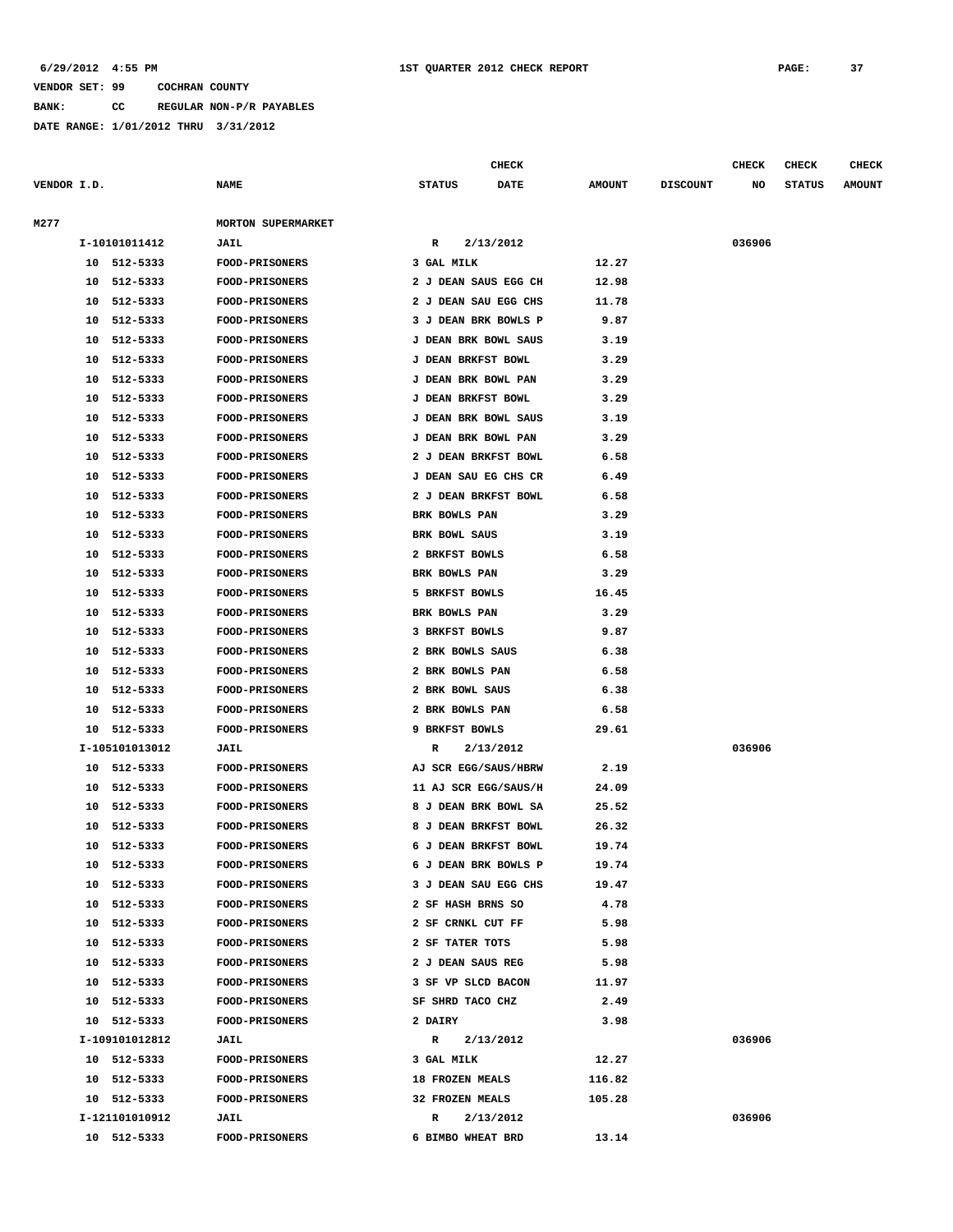**BANK: CC REGULAR NON-P/R PAYABLES**

**DATE RANGE: 1/01/2012 THRU 3/31/2012**

**CHECK CHECK CHECK CHECK** 

| VENDOR I.D. |    |                | <b>NAME</b>           | <b>STATUS</b>          | <b>DATE</b>          | <b>AMOUNT</b> | <b>DISCOUNT</b> | NO     | <b>STATUS</b> | <b>AMOUNT</b> |
|-------------|----|----------------|-----------------------|------------------------|----------------------|---------------|-----------------|--------|---------------|---------------|
| M277        |    |                | MORTON SUPERMARKET    |                        |                      |               |                 |        |               |               |
|             |    | I-10101011412  | JAIL                  | R                      | 2/13/2012            |               |                 | 036906 |               |               |
|             |    | 10 512-5333    | FOOD-PRISONERS        | 3 GAL MILK             |                      | 12.27         |                 |        |               |               |
|             |    | 10 512-5333    | <b>FOOD-PRISONERS</b> |                        | 2 J DEAN SAUS EGG CH | 12.98         |                 |        |               |               |
|             | 10 | 512-5333       | <b>FOOD-PRISONERS</b> |                        | 2 J DEAN SAU EGG CHS | 11.78         |                 |        |               |               |
|             | 10 | 512-5333       | <b>FOOD-PRISONERS</b> |                        | 3 J DEAN BRK BOWLS P | 9.87          |                 |        |               |               |
|             | 10 | 512-5333       | <b>FOOD-PRISONERS</b> |                        | J DEAN BRK BOWL SAUS | 3.19          |                 |        |               |               |
|             | 10 | 512-5333       | <b>FOOD-PRISONERS</b> | J DEAN BRKFST BOWL     |                      | 3.29          |                 |        |               |               |
|             | 10 | 512-5333       | FOOD-PRISONERS        |                        | J DEAN BRK BOWL PAN  | 3.29          |                 |        |               |               |
|             | 10 | 512-5333       | <b>FOOD-PRISONERS</b> | J DEAN BRKFST BOWL     |                      | 3.29          |                 |        |               |               |
|             | 10 | 512-5333       | FOOD-PRISONERS        |                        | J DEAN BRK BOWL SAUS | 3.19          |                 |        |               |               |
|             | 10 | 512-5333       | <b>FOOD-PRISONERS</b> |                        | J DEAN BRK BOWL PAN  | 3.29          |                 |        |               |               |
|             | 10 | 512-5333       | <b>FOOD-PRISONERS</b> |                        | 2 J DEAN BRKFST BOWL | 6.58          |                 |        |               |               |
|             | 10 | 512-5333       | <b>FOOD-PRISONERS</b> |                        | J DEAN SAU EG CHS CR | 6.49          |                 |        |               |               |
|             | 10 | 512-5333       | FOOD-PRISONERS        |                        | 2 J DEAN BRKFST BOWL | 6.58          |                 |        |               |               |
|             | 10 | 512-5333       | <b>FOOD-PRISONERS</b> | BRK BOWLS PAN          |                      | 3.29          |                 |        |               |               |
|             | 10 | 512-5333       | <b>FOOD-PRISONERS</b> | BRK BOWL SAUS          |                      | 3.19          |                 |        |               |               |
|             | 10 | 512-5333       | <b>FOOD-PRISONERS</b> | 2 BRKFST BOWLS         |                      | 6.58          |                 |        |               |               |
|             | 10 | 512-5333       | <b>FOOD-PRISONERS</b> | BRK BOWLS PAN          |                      | 3.29          |                 |        |               |               |
|             | 10 | 512-5333       | FOOD-PRISONERS        | 5 BRKFST BOWLS         |                      | 16.45         |                 |        |               |               |
|             | 10 | 512-5333       | FOOD-PRISONERS        | BRK BOWLS PAN          |                      | 3.29          |                 |        |               |               |
|             | 10 | 512-5333       | <b>FOOD-PRISONERS</b> | 3 BRKFST BOWLS         |                      | 9.87          |                 |        |               |               |
|             | 10 | 512-5333       | FOOD-PRISONERS        | 2 BRK BOWLS SAUS       |                      | 6.38          |                 |        |               |               |
|             | 10 | 512-5333       | <b>FOOD-PRISONERS</b> | 2 BRK BOWLS PAN        |                      | 6.58          |                 |        |               |               |
|             | 10 | 512-5333       | <b>FOOD-PRISONERS</b> | 2 BRK BOWL SAUS        |                      | 6.38          |                 |        |               |               |
|             | 10 | 512-5333       | <b>FOOD-PRISONERS</b> | 2 BRK BOWLS PAN        |                      | 6.58          |                 |        |               |               |
|             | 10 | 512-5333       | <b>FOOD-PRISONERS</b> | 9 BRKFST BOWLS         |                      | 29.61         |                 |        |               |               |
|             |    | I-105101013012 | JAIL                  | R                      | 2/13/2012            |               |                 | 036906 |               |               |
|             |    | 10 512-5333    | <b>FOOD-PRISONERS</b> |                        | AJ SCR EGG/SAUS/HBRW | 2.19          |                 |        |               |               |
|             |    |                |                       |                        |                      | 24.09         |                 |        |               |               |
|             |    | 10 512-5333    | <b>FOOD-PRISONERS</b> |                        | 11 AJ SCR EGG/SAUS/H |               |                 |        |               |               |
|             | 10 | 512-5333       | <b>FOOD-PRISONERS</b> |                        | 8 J DEAN BRK BOWL SA | 25.52         |                 |        |               |               |
|             | 10 | 512-5333       | <b>FOOD-PRISONERS</b> |                        | 8 J DEAN BRKFST BOWL | 26.32         |                 |        |               |               |
|             | 10 | 512-5333       | <b>FOOD-PRISONERS</b> |                        | 6 J DEAN BRKFST BOWL | 19.74         |                 |        |               |               |
|             |    | 10 512-5333    | <b>FOOD-PRISONERS</b> |                        | 6 J DEAN BRK BOWLS P | 19.74         |                 |        |               |               |
|             | 10 | 512-5333       | <b>FOOD-PRISONERS</b> |                        | 3 J DEAN SAU EGG CHS | 19.47         |                 |        |               |               |
|             |    | 10 512-5333    | <b>FOOD-PRISONERS</b> | 2 SF HASH BRNS SO      |                      | 4.78          |                 |        |               |               |
|             |    | 10 512-5333    | <b>FOOD-PRISONERS</b> | 2 SF CRNKL CUT FF      |                      | 5.98          |                 |        |               |               |
|             |    | 10 512-5333    | <b>FOOD-PRISONERS</b> | 2 SF TATER TOTS        |                      | 5.98          |                 |        |               |               |
|             |    | 10 512-5333    | FOOD-PRISONERS        | 2 J DEAN SAUS REG      |                      | 5.98          |                 |        |               |               |
|             |    | 10 512-5333    | <b>FOOD-PRISONERS</b> | 3 SF VP SLCD BACON     |                      | 11.97         |                 |        |               |               |
|             |    | 10 512-5333    | FOOD-PRISONERS        | SF SHRD TACO CHZ       |                      | 2.49          |                 |        |               |               |
|             |    | 10 512-5333    | FOOD-PRISONERS        | 2 DAIRY                |                      | 3.98          |                 |        |               |               |
|             |    | I-109101012812 | <b>JAIL</b>           | R                      | 2/13/2012            |               |                 | 036906 |               |               |
|             |    | 10 512-5333    | <b>FOOD-PRISONERS</b> | 3 GAL MILK             |                      | 12.27         |                 |        |               |               |
|             |    | 10 512-5333    | <b>FOOD-PRISONERS</b> | <b>18 FROZEN MEALS</b> |                      | 116.82        |                 |        |               |               |
|             |    | 10 512-5333    | <b>FOOD-PRISONERS</b> | 32 FROZEN MEALS        |                      | 105.28        |                 |        |               |               |
|             |    | I-121101010912 | <b>JAIL</b>           | R                      | 2/13/2012            |               |                 | 036906 |               |               |
|             |    | 10 512-5333    | <b>FOOD-PRISONERS</b> | 6 BIMBO WHEAT BRD      |                      | 13.14         |                 |        |               |               |
|             |    |                |                       |                        |                      |               |                 |        |               |               |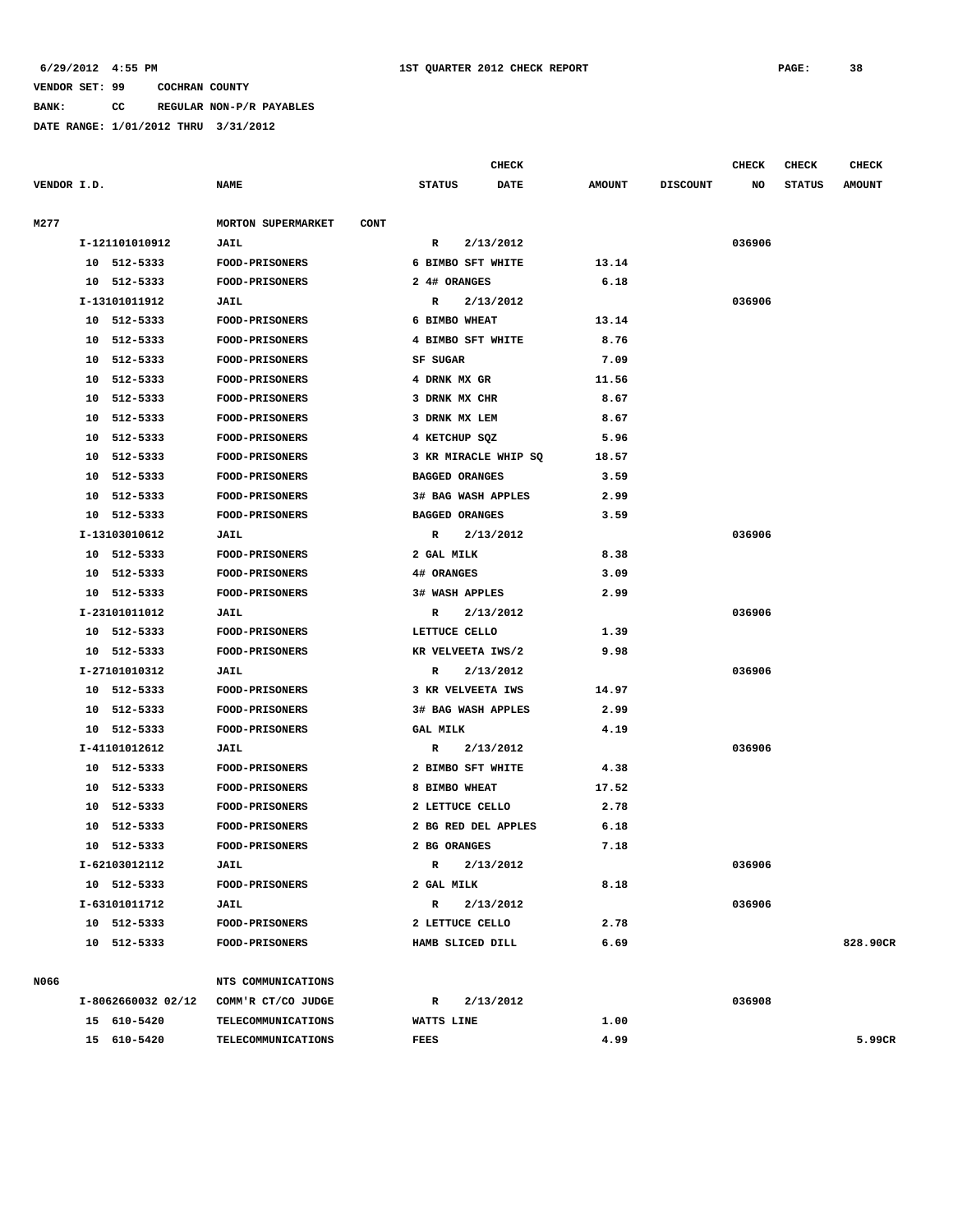**BANK: CC REGULAR NON-P/R PAYABLES**

|             | <b>CHECK</b>       |                            |                           |             |               |                 | <b>CHECK</b> | <b>CHECK</b>  | <b>CHECK</b>  |
|-------------|--------------------|----------------------------|---------------------------|-------------|---------------|-----------------|--------------|---------------|---------------|
| VENDOR I.D. |                    | <b>NAME</b>                | <b>STATUS</b>             | <b>DATE</b> | <b>AMOUNT</b> | <b>DISCOUNT</b> | NO           | <b>STATUS</b> | <b>AMOUNT</b> |
|             |                    |                            |                           |             |               |                 |              |               |               |
| M277        |                    | MORTON SUPERMARKET<br>CONT |                           |             |               |                 |              |               |               |
|             | I-121101010912     | <b>JAIL</b>                | R                         | 2/13/2012   |               |                 | 036906       |               |               |
|             | 10 512-5333        | FOOD-PRISONERS             | 6 BIMBO SFT WHITE         |             | 13.14         |                 |              |               |               |
|             | 10 512-5333        | FOOD-PRISONERS             | 2 4# ORANGES              |             | 6.18          |                 |              |               |               |
|             | I-13101011912      | <b>JAIL</b>                | R                         | 2/13/2012   |               |                 | 036906       |               |               |
|             | 10 512-5333        | FOOD-PRISONERS             | 6 BIMBO WHEAT             |             | 13.14         |                 |              |               |               |
|             | 512-5333<br>10     | FOOD-PRISONERS             | 4 BIMBO SFT WHITE         |             | 8.76          |                 |              |               |               |
|             | 512-5333<br>10     | <b>FOOD-PRISONERS</b>      | SF SUGAR                  |             | 7.09          |                 |              |               |               |
|             | 512-5333<br>10     | <b>FOOD-PRISONERS</b>      | 4 DRNK MX GR              |             | 11.56         |                 |              |               |               |
|             | 512-5333<br>10     | <b>FOOD-PRISONERS</b>      | 3 DRNK MX CHR             |             | 8.67          |                 |              |               |               |
|             | 10<br>512-5333     | <b>FOOD-PRISONERS</b>      | 3 DRNK MX LEM             |             | 8.67          |                 |              |               |               |
|             | 512-5333<br>10     | <b>FOOD-PRISONERS</b>      | 4 KETCHUP SQZ             |             | 5.96          |                 |              |               |               |
|             | 512-5333<br>10     | FOOD-PRISONERS             | 3 KR MIRACLE WHIP SQ      |             | 18.57         |                 |              |               |               |
|             | 512-5333<br>10     | <b>FOOD-PRISONERS</b>      | <b>BAGGED ORANGES</b>     |             | 3.59          |                 |              |               |               |
|             | 512-5333<br>10     | FOOD-PRISONERS             | <b>3# BAG WASH APPLES</b> |             | 2.99          |                 |              |               |               |
|             | 512-5333<br>10     | FOOD-PRISONERS             | BAGGED ORANGES            |             | 3.59          |                 |              |               |               |
|             | I-13103010612      | <b>JAIL</b>                | R                         | 2/13/2012   |               |                 | 036906       |               |               |
|             | 10 512-5333        | FOOD-PRISONERS             | 2 GAL MILK                |             | 8.38          |                 |              |               |               |
|             | 512-5333<br>10     | FOOD-PRISONERS             | 4# ORANGES                |             | 3.09          |                 |              |               |               |
|             | 512-5333<br>10     | FOOD-PRISONERS             | <b>3# WASH APPLES</b>     |             | 2.99          |                 |              |               |               |
|             | I-23101011012      | JAIL                       | R                         | 2/13/2012   |               |                 | 036906       |               |               |
|             | 512-5333<br>10     | <b>FOOD-PRISONERS</b>      | LETTUCE CELLO             |             | 1.39          |                 |              |               |               |
|             | 10<br>512-5333     | <b>FOOD-PRISONERS</b>      | KR VELVEETA IWS/2         |             | 9.98          |                 |              |               |               |
|             | I-27101010312      | <b>JAIL</b>                | R                         | 2/13/2012   |               |                 | 036906       |               |               |
|             | 10 512-5333        | FOOD-PRISONERS             | 3 KR VELVEETA IWS         |             | 14.97         |                 |              |               |               |
|             | 512-5333<br>10     | <b>FOOD-PRISONERS</b>      | 3# BAG WASH APPLES        |             | 2.99          |                 |              |               |               |
|             | 10 512-5333        | FOOD-PRISONERS             | <b>GAL MILK</b>           |             | 4.19          |                 |              |               |               |
|             | I-41101012612      | <b>JAIL</b>                | R                         | 2/13/2012   |               |                 | 036906       |               |               |
|             | 10 512-5333        | <b>FOOD-PRISONERS</b>      | 2 BIMBO SFT WHITE         |             | 4.38          |                 |              |               |               |
|             | 512-5333<br>10     | <b>FOOD-PRISONERS</b>      | 8 BIMBO WHEAT             |             | 17.52         |                 |              |               |               |
|             | 512-5333<br>10     | FOOD-PRISONERS             | 2 LETTUCE CELLO           |             | 2.78          |                 |              |               |               |
|             | 512-5333<br>10     | <b>FOOD-PRISONERS</b>      | 2 BG RED DEL APPLES       |             | 6.18          |                 |              |               |               |
|             | 10<br>512-5333     | FOOD-PRISONERS             | 2 BG ORANGES              |             | 7.18          |                 |              |               |               |
|             | I-62103012112      | <b>JAIL</b>                | R                         | 2/13/2012   |               |                 | 036906       |               |               |
|             | 10 512-5333        | FOOD-PRISONERS             | 2 GAL MILK                |             | 8.18          |                 |              |               |               |
|             | I-63101011712      | <b>JAIL</b>                | R                         | 2/13/2012   |               |                 | 036906       |               |               |
|             | 10 512-5333        | FOOD-PRISONERS             | 2 LETTUCE CELLO           |             | 2.78          |                 |              |               |               |
|             | 10 512-5333        | <b>FOOD-PRISONERS</b>      | HAMB SLICED DILL          |             | 6.69          |                 |              |               | 828.90CR      |
| N066        |                    | NTS COMMUNICATIONS         |                           |             |               |                 |              |               |               |
|             | I-8062660032 02/12 | COMM'R CT/CO JUDGE         | R                         | 2/13/2012   |               |                 | 036908       |               |               |
|             | 15 610-5420        | <b>TELECOMMUNICATIONS</b>  | WATTS LINE                |             | 1.00          |                 |              |               |               |
|             | 15 610-5420        | <b>TELECOMMUNICATIONS</b>  | FEES                      |             | 4.99          |                 |              |               | 5.99CR        |
|             |                    |                            |                           |             |               |                 |              |               |               |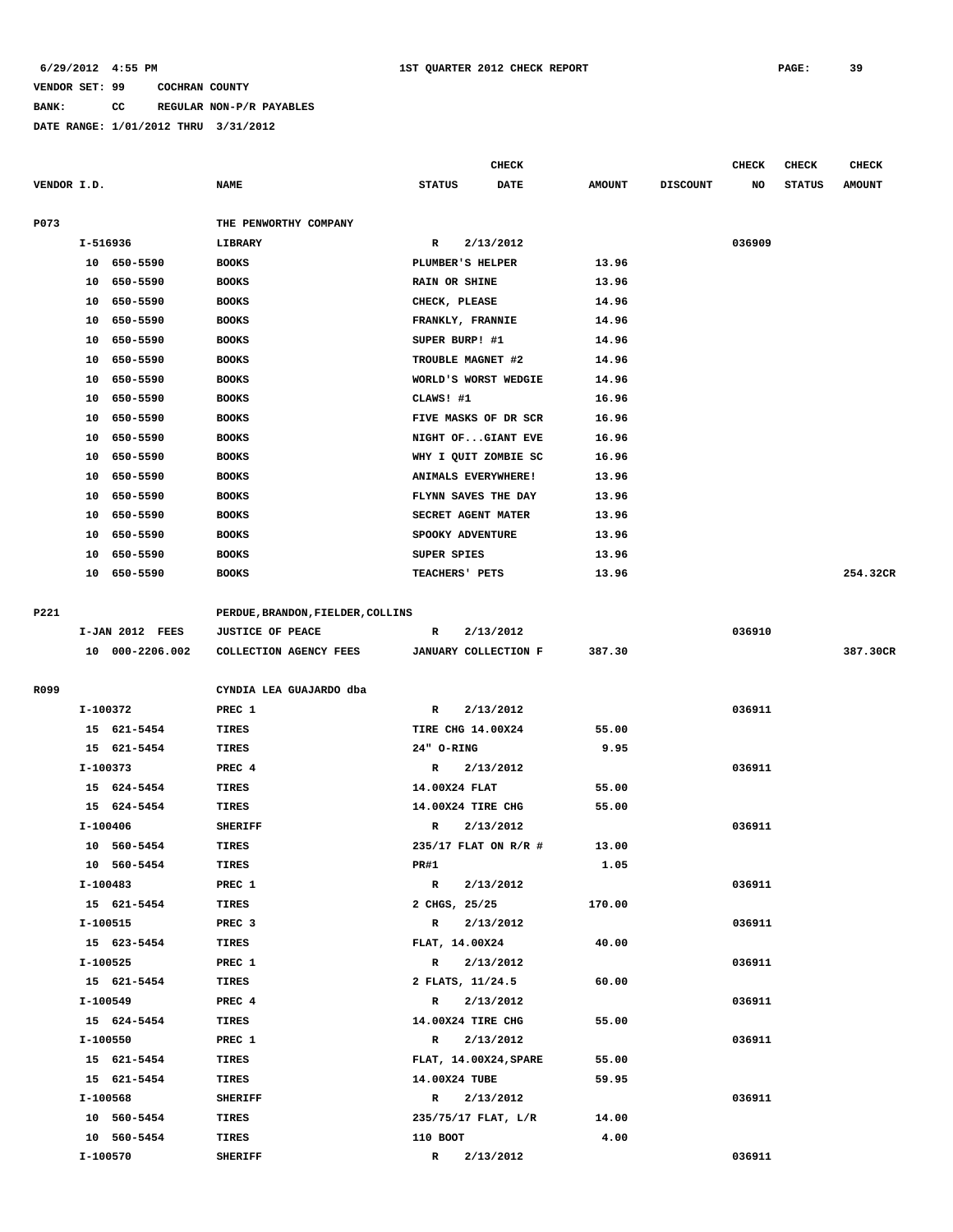### **BANK: CC REGULAR NON-P/R PAYABLES**

|             |                 |                                   | CHECK                        |               |                 | CHECK  | CHECK         | CHECK         |
|-------------|-----------------|-----------------------------------|------------------------------|---------------|-----------------|--------|---------------|---------------|
| VENDOR I.D. |                 | <b>NAME</b>                       | <b>STATUS</b><br><b>DATE</b> | <b>AMOUNT</b> | <b>DISCOUNT</b> | NO     | <b>STATUS</b> | <b>AMOUNT</b> |
| P073        |                 | THE PENWORTHY COMPANY             |                              |               |                 |        |               |               |
|             | I-516936        | LIBRARY                           | 2/13/2012<br>R               |               |                 | 036909 |               |               |
|             | 10 650-5590     | <b>BOOKS</b>                      | PLUMBER'S HELPER             | 13.96         |                 |        |               |               |
|             | 10 650-5590     | <b>BOOKS</b>                      | <b>RAIN OR SHINE</b>         | 13.96         |                 |        |               |               |
|             | 650-5590<br>10  | <b>BOOKS</b>                      | CHECK, PLEASE                | 14.96         |                 |        |               |               |
|             | 10 650-5590     | <b>BOOKS</b>                      | FRANKLY, FRANNIE             | 14.96         |                 |        |               |               |
|             | 650-5590<br>10  | <b>BOOKS</b>                      | SUPER BURP! #1               | 14.96         |                 |        |               |               |
|             | 650-5590<br>10  | <b>BOOKS</b>                      | TROUBLE MAGNET #2            | 14.96         |                 |        |               |               |
|             | 10<br>650-5590  | <b>BOOKS</b>                      | WORLD'S WORST WEDGIE         | 14.96         |                 |        |               |               |
|             | 650-5590<br>10  | <b>BOOKS</b>                      | CLAWS! #1                    | 16.96         |                 |        |               |               |
|             | 650-5590<br>10  | <b>BOOKS</b>                      | FIVE MASKS OF DR SCR         | 16.96         |                 |        |               |               |
|             | 650-5590<br>10  | <b>BOOKS</b>                      | NIGHT OFGIANT EVE            | 16.96         |                 |        |               |               |
|             | 650-5590<br>10  | <b>BOOKS</b>                      | WHY I QUIT ZOMBIE SC         | 16.96         |                 |        |               |               |
|             | 650-5590<br>10  | <b>BOOKS</b>                      | ANIMALS EVERYWHERE!          | 13.96         |                 |        |               |               |
|             | 10 650-5590     | <b>BOOKS</b>                      | FLYNN SAVES THE DAY          | 13.96         |                 |        |               |               |
|             | 650-5590<br>10  | <b>BOOKS</b>                      | SECRET AGENT MATER           | 13.96         |                 |        |               |               |
|             | 650-5590<br>10  | <b>BOOKS</b>                      | SPOOKY ADVENTURE             | 13.96         |                 |        |               |               |
|             | 650-5590<br>10  | <b>BOOKS</b>                      | SUPER SPIES                  | 13.96         |                 |        |               |               |
|             | 650-5590<br>10  | <b>BOOKS</b>                      | TEACHERS' PETS               | 13.96         |                 |        |               | 254.32CR      |
|             |                 |                                   |                              |               |                 |        |               |               |
| P221        |                 | PERDUE, BRANDON, FIELDER, COLLINS |                              |               |                 |        |               |               |
|             | I-JAN 2012 FEES | <b>JUSTICE OF PEACE</b>           | 2/13/2012<br>R               |               |                 | 036910 |               |               |
|             | 10 000-2206.002 | COLLECTION AGENCY FEES            | JANUARY COLLECTION F         | 387.30        |                 |        |               | 387.30CR      |
| R099        |                 | CYNDIA LEA GUAJARDO dba           |                              |               |                 |        |               |               |
|             | I-100372        | PREC 1                            | 2/13/2012<br>R               |               |                 | 036911 |               |               |
|             | 15 621-5454     | TIRES                             | TIRE CHG 14.00X24            | 55.00         |                 |        |               |               |
|             | 15 621-5454     | TIRES                             | 24" O-RING                   | 9.95          |                 |        |               |               |
|             | I-100373        | PREC 4                            | 2/13/2012<br>R               |               |                 | 036911 |               |               |
|             | 15 624-5454     | TIRES                             | 14.00X24 FLAT                | 55.00         |                 |        |               |               |
|             | 15 624-5454     | TIRES                             | 14.00X24 TIRE CHG            | 55.00         |                 |        |               |               |
|             | I-100406        | <b>SHERIFF</b>                    | 2/13/2012<br>R               |               |                 | 036911 |               |               |
|             | 10 560-5454     | <b>TIRES</b>                      | 235/17 FLAT ON R/R #         | 13.00         |                 |        |               |               |
|             | 10 560-5454     | TIRES                             | PR#1                         | 1.05          |                 |        |               |               |
|             | I-100483        | PREC 1                            | $\mathbb{R}$<br>2/13/2012    |               |                 | 036911 |               |               |
|             | 15 621-5454     | TIRES                             | 2 CHGS, 25/25                | 170.00        |                 |        |               |               |
|             | I-100515        | PREC 3                            | $\mathbb{R}$<br>2/13/2012    |               |                 | 036911 |               |               |
|             | 15 623-5454     | TIRES                             | FLAT, 14.00X24               | 40.00         |                 |        |               |               |
|             | I-100525        | PREC 1                            | $\mathbb{R}$<br>2/13/2012    |               |                 | 036911 |               |               |
|             | 15 621-5454     | TIRES                             | 2 FLATS, 11/24.5             | 60.00         |                 |        |               |               |
|             | I-100549        | PREC 4                            | R 2/13/2012                  |               |                 | 036911 |               |               |
|             | 15 624-5454     | TIRES                             | 14.00X24 TIRE CHG            | 55.00         |                 |        |               |               |
|             | I-100550        | PREC 1                            | R 2/13/2012                  |               |                 | 036911 |               |               |
|             | 15 621-5454     | TIRES                             | FLAT, 14.00X24, SPARE        | 55.00         |                 |        |               |               |
|             | 15 621-5454     | TIRES                             | 14.00X24 TUBE                | 59.95         |                 |        |               |               |
|             | I-100568        | <b>SHERIFF</b>                    | 2/13/2012<br>$\mathbb{R}$    |               |                 | 036911 |               |               |
|             | 10 560-5454     | TIRES                             | 235/75/17 FLAT, L/R          | 14.00         |                 |        |               |               |
|             | 10 560-5454     | TIRES                             | 110 BOOT                     | 4.00          |                 |        |               |               |
|             | I-100570        | <b>SHERIFF</b>                    | R 2/13/2012                  |               |                 | 036911 |               |               |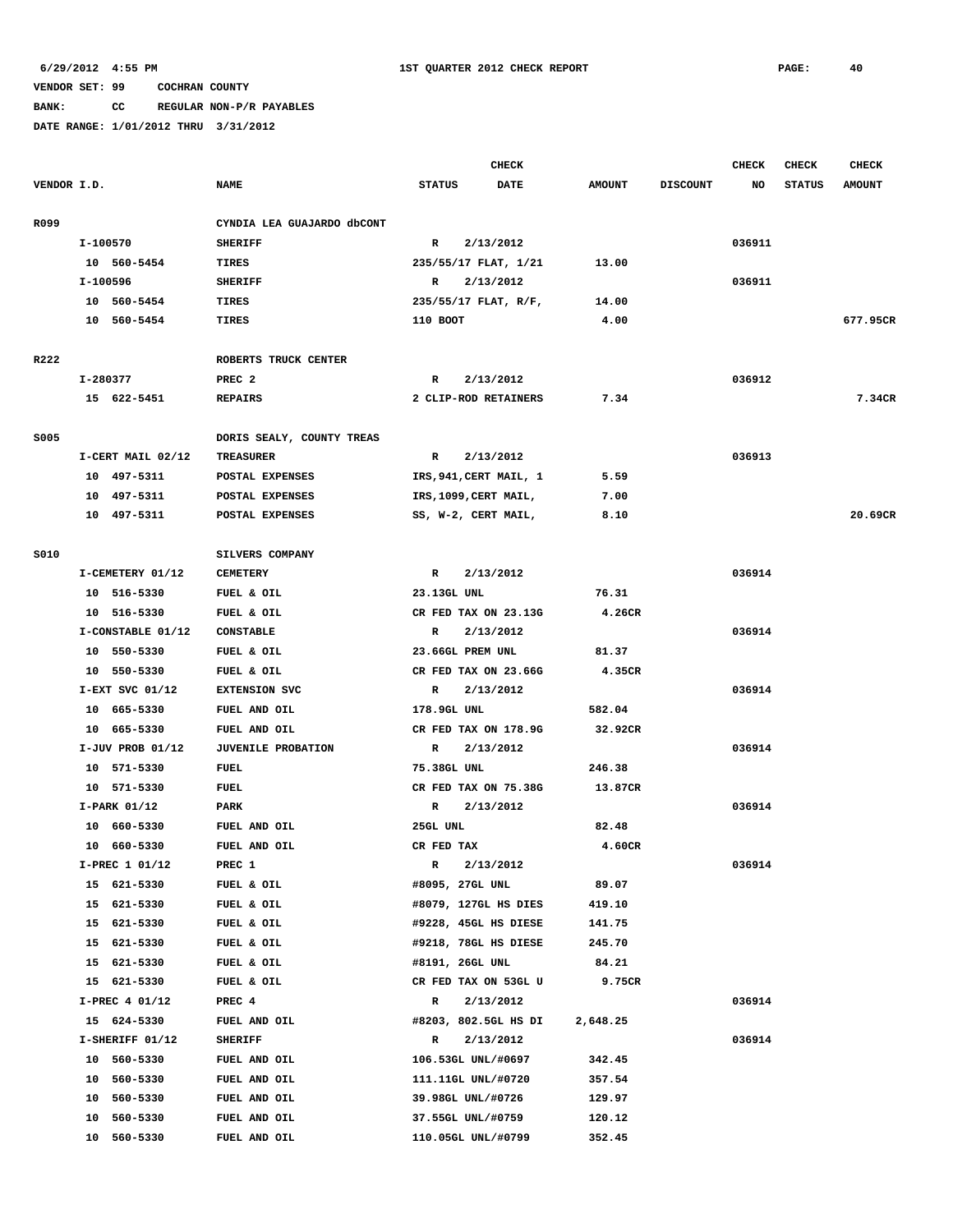### **BANK: CC REGULAR NON-P/R PAYABLES**

|             |                     |                            |                        | <b>CHECK</b> |               |                 | CHECK  | <b>CHECK</b>  | <b>CHECK</b>  |
|-------------|---------------------|----------------------------|------------------------|--------------|---------------|-----------------|--------|---------------|---------------|
| VENDOR I.D. |                     | <b>NAME</b>                | <b>STATUS</b>          | <b>DATE</b>  | <b>AMOUNT</b> | <b>DISCOUNT</b> | NO     | <b>STATUS</b> | <b>AMOUNT</b> |
|             |                     |                            |                        |              |               |                 |        |               |               |
| R099        |                     | CYNDIA LEA GUAJARDO dbCONT |                        |              |               |                 |        |               |               |
|             | I-100570            | <b>SHERIFF</b>             | R                      | 2/13/2012    |               |                 | 036911 |               |               |
|             | 10 560-5454         | TIRES                      | 235/55/17 FLAT, 1/21   |              | 13.00         |                 |        |               |               |
|             | I-100596            | <b>SHERIFF</b>             | R                      | 2/13/2012    |               |                 | 036911 |               |               |
|             | 10 560-5454         | TIRES                      | 235/55/17 FLAT, R/F,   |              | 14.00         |                 |        |               |               |
|             | 10 560-5454         | TIRES                      | 110 BOOT               |              | 4.00          |                 |        |               | 677.95CR      |
| R222        |                     | ROBERTS TRUCK CENTER       |                        |              |               |                 |        |               |               |
|             | I-280377            | PREC <sub>2</sub>          | R                      | 2/13/2012    |               |                 | 036912 |               |               |
|             | 15 622-5451         | <b>REPAIRS</b>             | 2 CLIP-ROD RETAINERS   |              | 7.34          |                 |        |               | 7.34CR        |
|             |                     |                            |                        |              |               |                 |        |               |               |
| S005        |                     | DORIS SEALY, COUNTY TREAS  |                        |              |               |                 |        |               |               |
|             | I-CERT MAIL 02/12   | <b>TREASURER</b>           | R                      | 2/13/2012    |               |                 | 036913 |               |               |
|             | 10 497-5311         | POSTAL EXPENSES            | IRS, 941, CERT MAIL, 1 |              | 5.59          |                 |        |               |               |
|             | 10 497-5311         | POSTAL EXPENSES            | IRS, 1099, CERT MAIL,  |              | 7.00          |                 |        |               |               |
|             | 10 497-5311         | POSTAL EXPENSES            | SS, W-2, CERT MAIL,    |              | 8.10          |                 |        |               | 20.69CR       |
| S010        |                     | SILVERS COMPANY            |                        |              |               |                 |        |               |               |
|             | I-CEMETERY 01/12    | <b>CEMETERY</b>            | $\mathbb{R}$           | 2/13/2012    |               |                 | 036914 |               |               |
|             | 10 516-5330         | FUEL & OIL                 | 23.13GL UNL            |              | 76.31         |                 |        |               |               |
|             | 10 516-5330         | FUEL & OIL                 | CR FED TAX ON 23.13G   |              | 4.26CR        |                 |        |               |               |
|             | I-CONSTABLE 01/12   | <b>CONSTABLE</b>           | $\mathbb{R}$           | 2/13/2012    |               |                 | 036914 |               |               |
|             | 10 550-5330         | FUEL & OIL                 | 23.66GL PREM UNL       |              | 81.37         |                 |        |               |               |
|             | 10 550-5330         | FUEL & OIL                 | CR FED TAX ON 23.66G   |              | 4.35CR        |                 |        |               |               |
|             | $I-EXT$ SVC $01/12$ | <b>EXTENSION SVC</b>       | R                      | 2/13/2012    |               |                 | 036914 |               |               |
|             | 10 665-5330         | FUEL AND OIL               | 178.9GL UNL            |              | 582.04        |                 |        |               |               |
|             | 10 665-5330         | FUEL AND OIL               | CR FED TAX ON 178.9G   |              | 32.92CR       |                 |        |               |               |
|             | I-JUV PROB 01/12    | JUVENILE PROBATION         | R                      | 2/13/2012    |               |                 | 036914 |               |               |
|             | 10 571-5330         | <b>FUEL</b>                | 75.38GL UNL            |              | 246.38        |                 |        |               |               |
|             | 10 571-5330         | FUEL                       | CR FED TAX ON 75.38G   |              | 13.87CR       |                 |        |               |               |
|             | I-PARK 01/12        | PARK                       | R                      | 2/13/2012    |               |                 | 036914 |               |               |
|             | 10 660-5330         | FUEL AND OIL               | 25GL UNL               |              | 82.48         |                 |        |               |               |
|             | 10 660-5330         | FUEL AND OIL               | CR FED TAX             |              | 4.60CR        |                 |        |               |               |
|             | I-PREC 1 01/12      | PREC 1                     | R                      | 2/13/2012    |               |                 | 036914 |               |               |
|             | 15 621-5330         | FUEL & OIL                 | #8095, 27GL UNL        |              | 89.07         |                 |        |               |               |
|             | 15 621-5330         | FUEL & OIL                 | #8079, 127GL HS DIES   |              | 419.10        |                 |        |               |               |
|             | 15 621-5330         | FUEL & OIL                 | #9228, 45GL HS DIESE   |              | 141.75        |                 |        |               |               |
|             | 15 621-5330         | FUEL & OIL                 | #9218, 78GL HS DIESE   |              | 245.70        |                 |        |               |               |
|             | 621-5330<br>15      | FUEL & OIL                 | #8191, 26GL UNL        |              | 84.21         |                 |        |               |               |
|             | 15 621-5330         | FUEL & OIL                 | CR FED TAX ON 53GL U   |              | 9.75CR        |                 |        |               |               |
|             | I-PREC 4 01/12      | PREC 4                     | $\mathbb{R}$           | 2/13/2012    |               |                 | 036914 |               |               |
|             | 15 624-5330         | FUEL AND OIL               | #8203, 802.5GL HS DI   |              | 2,648.25      |                 |        |               |               |
|             | I-SHERIFF 01/12     | <b>SHERIFF</b>             | $\mathbf{R}$           | 2/13/2012    |               |                 | 036914 |               |               |
|             | 10 560-5330         | FUEL AND OIL               | 106.53GL UNL/#0697     |              | 342.45        |                 |        |               |               |
|             | 10 560-5330         | FUEL AND OIL               | 111.11GL UNL/#0720     |              | 357.54        |                 |        |               |               |
|             | 10 560-5330         | FUEL AND OIL               | 39.98GL UNL/#0726      |              | 129.97        |                 |        |               |               |
|             | 560-5330<br>10      | FUEL AND OIL               | 37.55GL UNL/#0759      |              | 120.12        |                 |        |               |               |
|             | 10<br>560-5330      | FUEL AND OIL               | 110.05GL UNL/#0799     |              | 352.45        |                 |        |               |               |
|             |                     |                            |                        |              |               |                 |        |               |               |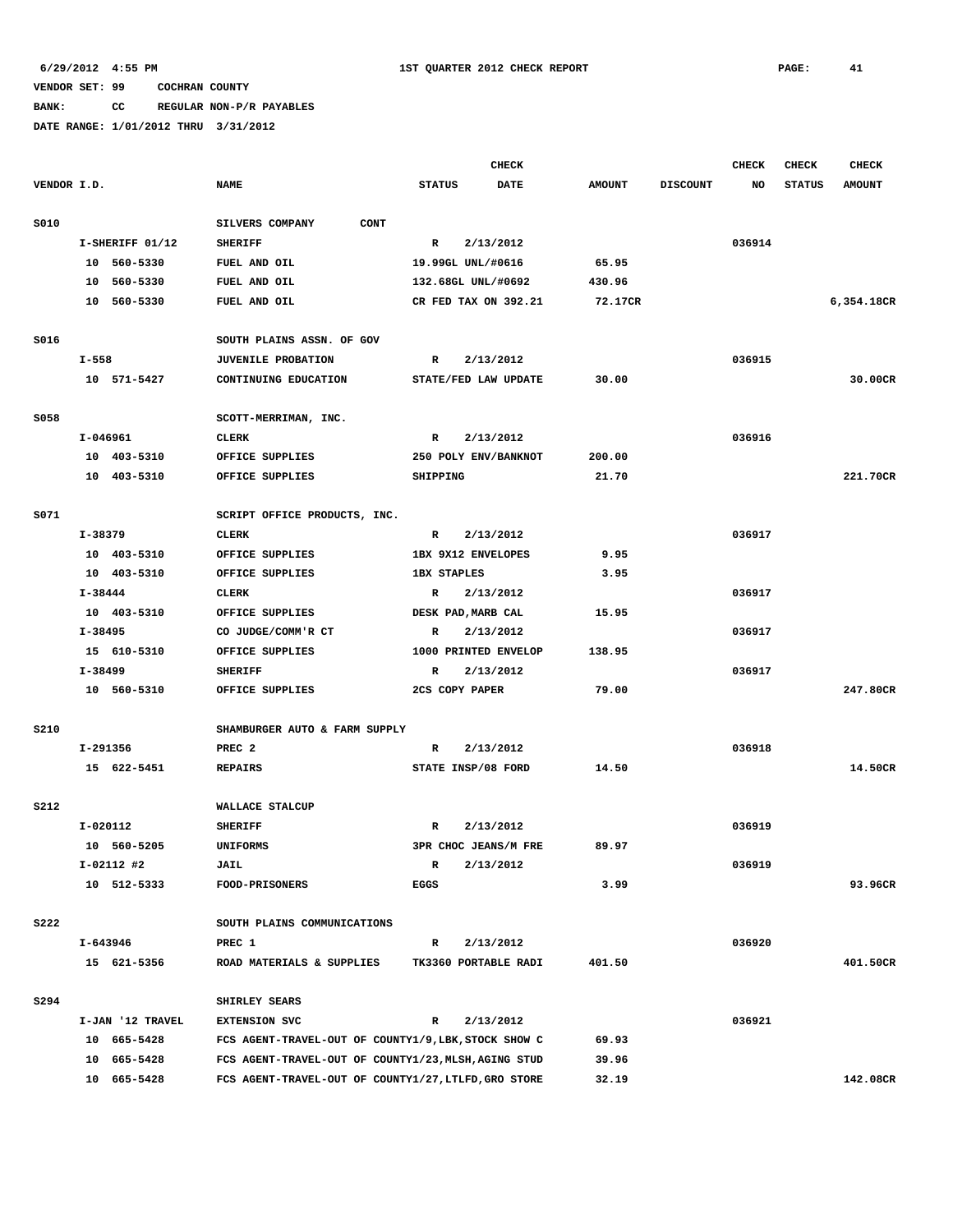# **BANK: CC REGULAR NON-P/R PAYABLES**

|             |                  |                                                      |                      | <b>CHECK</b> |               |                 | CHECK     | <b>CHECK</b>  | <b>CHECK</b>  |
|-------------|------------------|------------------------------------------------------|----------------------|--------------|---------------|-----------------|-----------|---------------|---------------|
| VENDOR I.D. |                  | <b>NAME</b>                                          | <b>STATUS</b>        | DATE         | <b>AMOUNT</b> | <b>DISCOUNT</b> | <b>NO</b> | <b>STATUS</b> | <b>AMOUNT</b> |
| S010        |                  | <b>CONT</b><br>SILVERS COMPANY                       |                      |              |               |                 |           |               |               |
|             | I-SHERIFF 01/12  | <b>SHERIFF</b>                                       | $\mathbb{R}$         | 2/13/2012    |               |                 | 036914    |               |               |
|             | 10 560-5330      | FUEL AND OIL                                         | 19.99GL UNL/#0616    |              | 65.95         |                 |           |               |               |
|             | 10 560-5330      | FUEL AND OIL                                         | 132.68GL UNL/#0692   |              | 430.96        |                 |           |               |               |
|             | 10 560-5330      | FUEL AND OIL                                         | CR FED TAX ON 392.21 |              | 72.17CR       |                 |           |               | 6,354.18CR    |
| S016        |                  | SOUTH PLAINS ASSN. OF GOV                            |                      |              |               |                 |           |               |               |
|             | $I - 558$        | <b>JUVENILE PROBATION</b>                            | $\mathbb{R}$         | 2/13/2012    |               |                 | 036915    |               |               |
|             | 10 571-5427      | CONTINUING EDUCATION                                 | STATE/FED LAW UPDATE |              | 30.00         |                 |           |               | 30.00CR       |
| S058        |                  | SCOTT-MERRIMAN, INC.                                 |                      |              |               |                 |           |               |               |
|             | $I-046961$       | <b>CLERK</b>                                         | R                    | 2/13/2012    |               |                 | 036916    |               |               |
|             | 10 403-5310      | OFFICE SUPPLIES                                      | 250 POLY ENV/BANKNOT |              | 200.00        |                 |           |               |               |
|             | 10 403-5310      | OFFICE SUPPLIES                                      | SHIPPING             |              | 21.70         |                 |           |               | 221.70CR      |
| S071        |                  | SCRIPT OFFICE PRODUCTS, INC.                         |                      |              |               |                 |           |               |               |
|             | I-38379          | <b>CLERK</b>                                         | R                    | 2/13/2012    |               |                 | 036917    |               |               |
|             | 10 403-5310      | OFFICE SUPPLIES                                      | 1BX 9X12 ENVELOPES   |              | 9.95          |                 |           |               |               |
|             | 10 403-5310      | OFFICE SUPPLIES                                      | <b>1BX STAPLES</b>   |              | 3.95          |                 |           |               |               |
|             | I-38444          | <b>CLERK</b>                                         | $\mathbf{R}$         | 2/13/2012    |               |                 | 036917    |               |               |
|             | 10 403-5310      | OFFICE SUPPLIES                                      | DESK PAD, MARB CAL   |              | 15.95         |                 |           |               |               |
|             | $I - 38495$      | CO JUDGE/COMM'R CT                                   | $\mathbb{R}$         | 2/13/2012    |               |                 | 036917    |               |               |
|             | 15 610-5310      | OFFICE SUPPLIES                                      | 1000 PRINTED ENVELOP |              | 138.95        |                 |           |               |               |
|             | I-38499          | <b>SHERIFF</b>                                       | R                    | 2/13/2012    |               |                 | 036917    |               |               |
|             | 10 560-5310      | OFFICE SUPPLIES                                      | 2CS COPY PAPER       |              | 79.00         |                 |           |               | 247.80CR      |
| S210        |                  | SHAMBURGER AUTO & FARM SUPPLY                        |                      |              |               |                 |           |               |               |
|             | I-291356         | PREC <sub>2</sub>                                    | R                    | 2/13/2012    |               |                 | 036918    |               |               |
|             | 15 622-5451      | <b>REPAIRS</b>                                       | STATE INSP/08 FORD   |              | 14.50         |                 |           |               | 14.50CR       |
| S212        |                  | WALLACE STALCUP                                      |                      |              |               |                 |           |               |               |
|             | $I-020112$       | <b>SHERIFF</b>                                       | R                    | 2/13/2012    |               |                 | 036919    |               |               |
|             | 10 560-5205      | <b>UNIFORMS</b>                                      | 3PR CHOC JEANS/M FRE |              | 89.97         |                 |           |               |               |
|             | I-02112 #2       | <b>JAIL</b>                                          | R                    | 2/13/2012    |               |                 | 036919    |               |               |
|             | 10 512-5333      | FOOD-PRISONERS                                       | EGGS                 |              | 3.99          |                 |           |               | 93.96CR       |
| <b>S222</b> |                  | SOUTH PLAINS COMMUNICATIONS                          |                      |              |               |                 |           |               |               |
|             | I-643946         | PREC 1                                               | $\mathbb{R}$         | 2/13/2012    |               |                 | 036920    |               |               |
|             | 15 621-5356      | ROAD MATERIALS & SUPPLIES                            | TK3360 PORTABLE RADI |              | 401.50        |                 |           |               | 401.50CR      |
| S294        |                  | SHIRLEY SEARS                                        |                      |              |               |                 |           |               |               |
|             | I-JAN '12 TRAVEL | <b>EXTENSION SVC</b>                                 | R                    | 2/13/2012    |               |                 | 036921    |               |               |
|             | 10 665-5428      | FCS AGENT-TRAVEL-OUT OF COUNTY1/9, LBK, STOCK SHOW C |                      |              | 69.93         |                 |           |               |               |
|             | 10 665-5428      | FCS AGENT-TRAVEL-OUT OF COUNTY1/23, MLSH, AGING STUD |                      |              | 39.96         |                 |           |               |               |
|             | 10 665-5428      | FCS AGENT-TRAVEL-OUT OF COUNTY1/27, LTLFD, GRO STORE |                      |              | 32.19         |                 |           |               | 142.08CR      |
|             |                  |                                                      |                      |              |               |                 |           |               |               |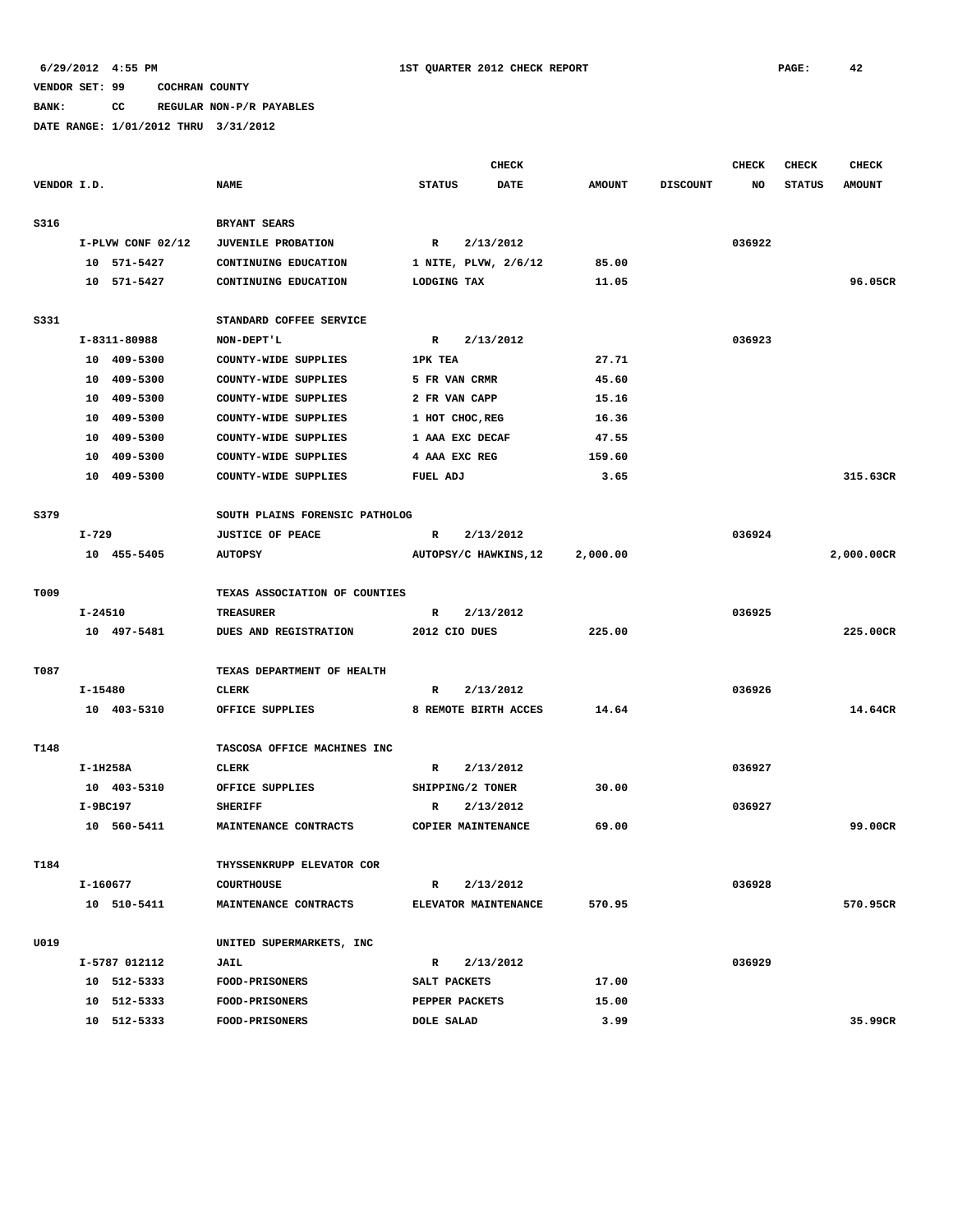# **BANK: CC REGULAR NON-P/R PAYABLES**

|             |             |                   |                                  |                   | <b>CHECK</b>          |               |                 | <b>CHECK</b> | <b>CHECK</b>  | <b>CHECK</b>  |
|-------------|-------------|-------------------|----------------------------------|-------------------|-----------------------|---------------|-----------------|--------------|---------------|---------------|
| VENDOR I.D. |             |                   | <b>NAME</b>                      | <b>STATUS</b>     | <b>DATE</b>           | <b>AMOUNT</b> | <b>DISCOUNT</b> | NO           | <b>STATUS</b> | <b>AMOUNT</b> |
| S316        |             |                   | BRYANT SEARS                     |                   |                       |               |                 |              |               |               |
|             |             | I-PLVW CONF 02/12 | <b>JUVENILE PROBATION</b>        | $\mathbf{R}$      | 2/13/2012             |               |                 | 036922       |               |               |
|             |             | 10 571-5427       | CONTINUING EDUCATION             |                   | 1 NITE, PLVW, 2/6/12  | 85.00         |                 |              |               |               |
|             |             | 10 571-5427       | CONTINUING EDUCATION             | LODGING TAX       |                       | 11.05         |                 |              |               | 96.05CR       |
| S331        |             |                   | STANDARD COFFEE SERVICE          |                   |                       |               |                 |              |               |               |
|             |             | I-8311-80988      | NON-DEPT'L                       | $\mathbb{R}$      | 2/13/2012             |               |                 | 036923       |               |               |
|             |             | 10 409-5300       | COUNTY-WIDE SUPPLIES             | 1PK TEA           |                       | 27.71         |                 |              |               |               |
|             |             | 10 409-5300       | COUNTY-WIDE SUPPLIES             | 5 FR VAN CRMR     |                       | 45.60         |                 |              |               |               |
|             |             | 10 409-5300       | COUNTY-WIDE SUPPLIES             | 2 FR VAN CAPP     |                       | 15.16         |                 |              |               |               |
|             |             | 10 409-5300       | COUNTY-WIDE SUPPLIES             | 1 HOT CHOC, REG   |                       | 16.36         |                 |              |               |               |
|             |             | 10 409-5300       | COUNTY-WIDE SUPPLIES             |                   | 1 AAA EXC DECAF       | 47.55         |                 |              |               |               |
|             |             | 10 409-5300       | COUNTY-WIDE SUPPLIES             | 4 AAA EXC REG     |                       | 159.60        |                 |              |               |               |
|             |             | 10 409-5300       | COUNTY-WIDE SUPPLIES             | FUEL ADJ          |                       | 3.65          |                 |              |               | 315.63CR      |
|             |             |                   |                                  |                   |                       |               |                 |              |               |               |
| S379        |             |                   | SOUTH PLAINS FORENSIC PATHOLOG   |                   |                       |               |                 |              |               |               |
|             | I-729       |                   | <b>JUSTICE OF PEACE</b>          | R                 | 2/13/2012             |               |                 | 036924       |               |               |
|             |             | 10 455-5405       | <b>AUTOPSY</b>                   |                   | AUTOPSY/C HAWKINS, 12 | 2,000.00      |                 |              |               | 2,000.00CR    |
| T009        |             |                   | TEXAS ASSOCIATION OF COUNTIES    |                   |                       |               |                 |              |               |               |
|             | $I - 24510$ |                   | <b>TREASURER</b>                 | R                 | 2/13/2012             |               |                 | 036925       |               |               |
|             |             | 10 497-5481       | DUES AND REGISTRATION            | 2012 CIO DUES     |                       | 225.00        |                 |              |               | 225.00CR      |
| T087        |             |                   | TEXAS DEPARTMENT OF HEALTH       |                   |                       |               |                 |              |               |               |
|             | I-15480     |                   | CLERK                            | $\mathbb{R}$      | 2/13/2012             |               |                 | 036926       |               |               |
|             |             | 10 403-5310       | OFFICE SUPPLIES                  |                   | 8 REMOTE BIRTH ACCES  | 14.64         |                 |              |               | 14.64CR       |
|             |             |                   |                                  |                   |                       |               |                 |              |               |               |
| T148        |             |                   | TASCOSA OFFICE MACHINES INC      |                   |                       |               |                 |              |               |               |
|             | I-1H258A    |                   | CLERK                            | R                 | 2/13/2012             |               |                 | 036927       |               |               |
|             |             | 10 403-5310       | OFFICE SUPPLIES                  |                   | SHIPPING/2 TONER      | 30.00         |                 |              |               |               |
|             | I-9BC197    |                   | <b>SHERIFF</b>                   | R                 | 2/13/2012             |               |                 | 036927       |               |               |
|             |             | 10 560-5411       | MAINTENANCE CONTRACTS            |                   | COPIER MAINTENANCE    | 69.00         |                 |              |               | 99.00CR       |
| T184        |             |                   | THYSSENKRUPP ELEVATOR COR        |                   |                       |               |                 |              |               |               |
|             | I-160677    |                   | <b>COURTHOUSE</b>                | R                 | 2/13/2012             |               |                 | 036928       |               |               |
|             |             | 10 510-5411       | MAINTENANCE CONTRACTS            |                   | ELEVATOR MAINTENANCE  | 570.95        |                 |              |               | 570.95CR      |
| U019        |             |                   |                                  |                   |                       |               |                 |              |               |               |
|             |             | I-5787 012112     | UNITED SUPERMARKETS, INC<br>JAIL | $\mathbb{R}$      | 2/13/2012             |               |                 | 036929       |               |               |
|             |             | 10 512-5333       | <b>FOOD-PRISONERS</b>            | SALT PACKETS      |                       | 17.00         |                 |              |               |               |
|             |             | 10 512-5333       | <b>FOOD-PRISONERS</b>            | PEPPER PACKETS    |                       | 15.00         |                 |              |               |               |
|             |             | 10 512-5333       | FOOD-PRISONERS                   | <b>DOLE SALAD</b> |                       | 3.99          |                 |              |               | 35.99CR       |
|             |             |                   |                                  |                   |                       |               |                 |              |               |               |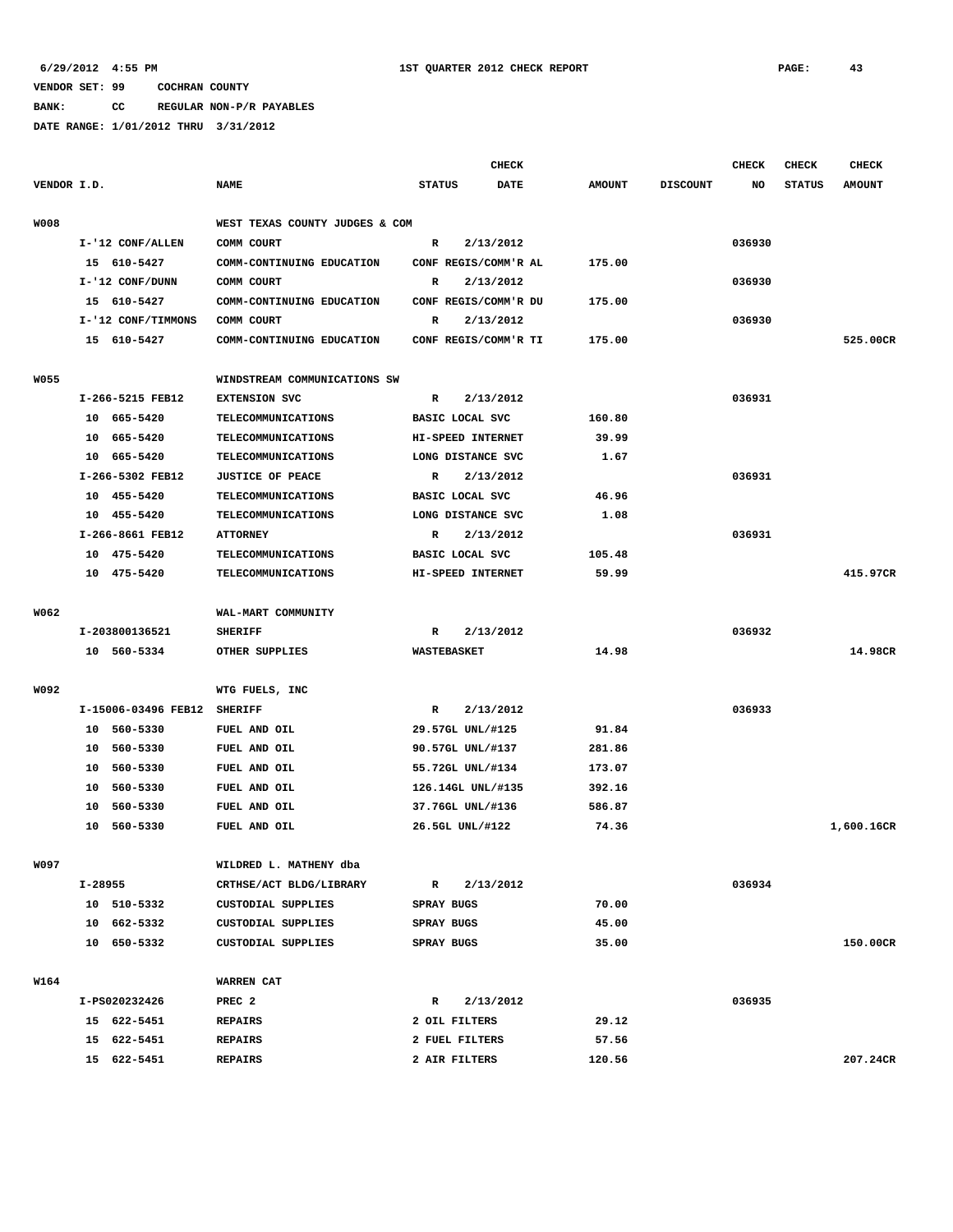### **BANK: CC REGULAR NON-P/R PAYABLES**

|             |         |                     |                                |                   | <b>CHECK</b>           |               |                 | <b>CHECK</b> | <b>CHECK</b>  | <b>CHECK</b>  |
|-------------|---------|---------------------|--------------------------------|-------------------|------------------------|---------------|-----------------|--------------|---------------|---------------|
| VENDOR I.D. |         |                     | <b>NAME</b>                    | <b>STATUS</b>     | <b>DATE</b>            | <b>AMOUNT</b> | <b>DISCOUNT</b> | NO           | <b>STATUS</b> | <b>AMOUNT</b> |
|             |         |                     |                                |                   |                        |               |                 |              |               |               |
| <b>W008</b> |         |                     | WEST TEXAS COUNTY JUDGES & COM |                   |                        |               |                 |              |               |               |
|             |         | I-'12 CONF/ALLEN    | COMM COURT                     | R                 | 2/13/2012              |               |                 | 036930       |               |               |
|             |         | 15 610-5427         | COMM-CONTINUING EDUCATION      |                   | CONF REGIS/COMM'R AL   | 175.00        |                 |              |               |               |
|             |         | I-'12 CONF/DUNN     | COMM COURT                     | R                 | 2/13/2012              |               |                 | 036930       |               |               |
|             |         | 15 610-5427         | COMM-CONTINUING EDUCATION      |                   | CONF REGIS/COMM'R DU   | 175.00        |                 |              |               |               |
|             |         | I-'12 CONF/TIMMONS  | COMM COURT                     | R                 | 2/13/2012              |               |                 | 036930       |               |               |
|             |         | 15 610-5427         | COMM-CONTINUING EDUCATION      |                   | CONF REGIS/COMM'R TI   | 175.00        |                 |              |               | 525.00CR      |
|             |         |                     |                                |                   |                        |               |                 |              |               |               |
| <b>W055</b> |         |                     | WINDSTREAM COMMUNICATIONS SW   |                   |                        |               |                 |              |               |               |
|             |         | I-266-5215 FEB12    | <b>EXTENSION SVC</b>           | R                 | 2/13/2012              |               |                 | 036931       |               |               |
|             |         | 10 665-5420         | <b>TELECOMMUNICATIONS</b>      |                   | BASIC LOCAL SVC        | 160.80        |                 |              |               |               |
|             |         | 10 665-5420         | <b>TELECOMMUNICATIONS</b>      |                   | HI-SPEED INTERNET      | 39.99         |                 |              |               |               |
|             |         | 10 665-5420         | <b>TELECOMMUNICATIONS</b>      |                   | LONG DISTANCE SVC      | 1.67          |                 |              |               |               |
|             |         | I-266-5302 FEB12    | <b>JUSTICE OF PEACE</b>        | R                 | 2/13/2012              |               |                 | 036931       |               |               |
|             |         | 10 455-5420         | TELECOMMUNICATIONS             |                   | BASIC LOCAL SVC        | 46.96         |                 |              |               |               |
|             |         | 10 455-5420         | <b>TELECOMMUNICATIONS</b>      |                   | LONG DISTANCE SVC      | 1.08          |                 |              |               |               |
|             |         | I-266-8661 FEB12    | <b>ATTORNEY</b>                | $\mathbb{R}$      | 2/13/2012              |               |                 | 036931       |               |               |
|             |         | 10 475-5420         | TELECOMMUNICATIONS             |                   | <b>BASIC LOCAL SVC</b> | 105.48        |                 |              |               |               |
|             |         | 10 475-5420         | TELECOMMUNICATIONS             |                   | HI-SPEED INTERNET      | 59.99         |                 |              |               | 415.97CR      |
|             |         |                     |                                |                   |                        |               |                 |              |               |               |
| W062        |         |                     | WAL-MART COMMUNITY             |                   |                        |               |                 |              |               |               |
|             |         | I-203800136521      | <b>SHERIFF</b>                 | R                 | 2/13/2012              |               |                 | 036932       |               |               |
|             |         | 10 560-5334         | OTHER SUPPLIES                 |                   | WASTEBASKET            | 14.98         |                 |              |               | 14.98CR       |
|             |         |                     |                                |                   |                        |               |                 |              |               |               |
| W092        |         |                     | WTG FUELS, INC                 |                   |                        |               |                 |              |               |               |
|             |         | I-15006-03496 FEB12 | <b>SHERIFF</b>                 | R                 | 2/13/2012              |               |                 | 036933       |               |               |
|             |         | 10 560-5330         | FUEL AND OIL                   |                   | 29.57GL UNL/#125       | 91.84         |                 |              |               |               |
|             |         | 10 560-5330         | FUEL AND OIL                   |                   | 90.57GL UNL/#137       | 281.86        |                 |              |               |               |
|             |         | 10 560-5330         | FUEL AND OIL                   |                   | 55.72GL UNL/#134       | 173.07        |                 |              |               |               |
|             |         | 10 560-5330         | FUEL AND OIL                   |                   | 126.14GL UNL/#135      | 392.16        |                 |              |               |               |
|             |         | 10 560-5330         | FUEL AND OIL                   |                   | 37.76GL UNL/#136       | 586.87        |                 |              |               |               |
|             |         | 10 560-5330         | FUEL AND OIL                   |                   | 26.5GL UNL/#122        | 74.36         |                 |              |               | 1,600.16CR    |
| W097        |         |                     |                                |                   |                        |               |                 |              |               |               |
|             |         |                     | WILDRED L. MATHENY dba         |                   | 2/13/2012              |               |                 |              |               |               |
|             | I-28955 |                     | CRTHSE/ACT BLDG/LIBRARY        | R                 |                        |               |                 | 036934       |               |               |
|             |         | 10 510-5332         | CUSTODIAL SUPPLIES             | SPRAY BUGS        |                        | 70.00         |                 |              |               |               |
|             |         | 10 662-5332         | CUSTODIAL SUPPLIES             | <b>SPRAY BUGS</b> |                        | 45.00         |                 |              |               |               |
|             |         | 10 650-5332         | CUSTODIAL SUPPLIES             | SPRAY BUGS        |                        | 35.00         |                 |              |               | 150.00CR      |
| W164        |         |                     | WARREN CAT                     |                   |                        |               |                 |              |               |               |
|             |         | I-PS020232426       | PREC <sub>2</sub>              | R                 | 2/13/2012              |               |                 | 036935       |               |               |
|             |         | 15 622-5451         | <b>REPAIRS</b>                 |                   | 2 OIL FILTERS          | 29.12         |                 |              |               |               |
|             |         | 15 622-5451         | <b>REPAIRS</b>                 |                   | 2 FUEL FILTERS         | 57.56         |                 |              |               |               |
|             |         | 15 622-5451         | <b>REPAIRS</b>                 |                   | 2 AIR FILTERS          | 120.56        |                 |              |               | 207.24CR      |
|             |         |                     |                                |                   |                        |               |                 |              |               |               |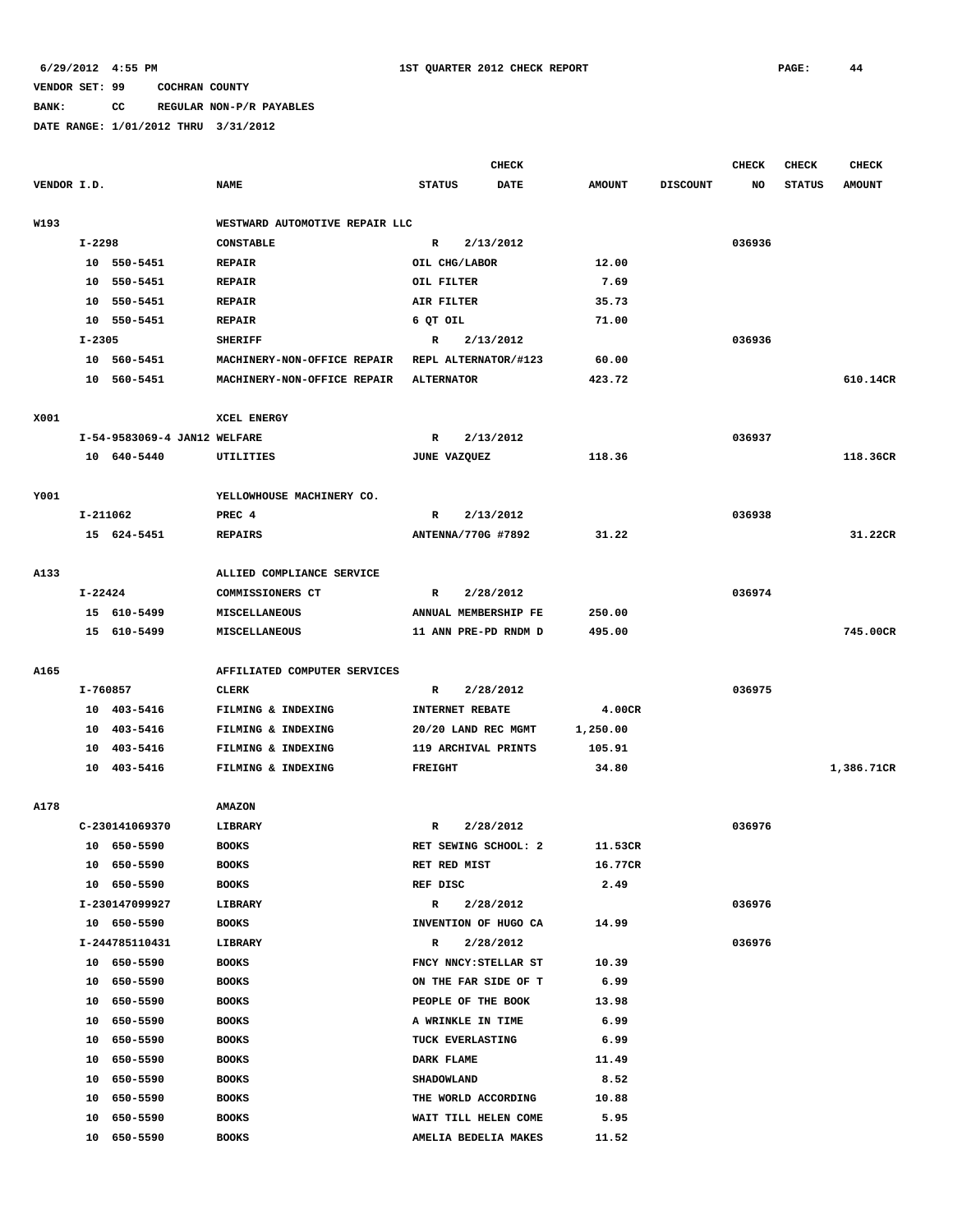## **BANK: CC REGULAR NON-P/R PAYABLES**

|             |            |                              |                                |                   | <b>CHECK</b>           |               |                 | <b>CHECK</b> | <b>CHECK</b>  | CHECK         |
|-------------|------------|------------------------------|--------------------------------|-------------------|------------------------|---------------|-----------------|--------------|---------------|---------------|
| VENDOR I.D. |            |                              | <b>NAME</b>                    | <b>STATUS</b>     | DATE                   | <b>AMOUNT</b> | <b>DISCOUNT</b> | NO           | <b>STATUS</b> | <b>AMOUNT</b> |
| W193        |            |                              | WESTWARD AUTOMOTIVE REPAIR LLC |                   |                        |               |                 |              |               |               |
|             | I-2298     |                              | <b>CONSTABLE</b>               | R                 | 2/13/2012              |               |                 | 036936       |               |               |
|             |            | 10 550-5451                  | <b>REPAIR</b>                  |                   | OIL CHG/LABOR          | 12.00         |                 |              |               |               |
|             |            | 10 550-5451                  | <b>REPAIR</b>                  | OIL FILTER        |                        | 7.69          |                 |              |               |               |
|             | 10         | 550-5451                     | <b>REPAIR</b>                  | AIR FILTER        |                        | 35.73         |                 |              |               |               |
|             |            | 10 550-5451                  | <b>REPAIR</b>                  | 6 QT OIL          |                        | 71.00         |                 |              |               |               |
|             | $I - 2305$ |                              | <b>SHERIFF</b>                 | R                 | 2/13/2012              |               |                 | 036936       |               |               |
|             |            | 10 560-5451                  | MACHINERY-NON-OFFICE REPAIR    |                   | REPL ALTERNATOR/#123   | 60.00         |                 |              |               |               |
|             |            | 10 560-5451                  | MACHINERY-NON-OFFICE REPAIR    | <b>ALTERNATOR</b> |                        | 423.72        |                 |              |               | 610.14CR      |
|             |            |                              |                                |                   |                        |               |                 |              |               |               |
| X001        |            |                              | XCEL ENERGY                    |                   |                        |               |                 |              |               |               |
|             |            | I-54-9583069-4 JAN12 WELFARE |                                | R                 | 2/13/2012              |               |                 | 036937       |               |               |
|             |            | 10 640-5440                  | UTILITIES                      | JUNE VAZQUEZ      |                        | 118.36        |                 |              |               | 118.36CR      |
| Y001        |            |                              | YELLOWHOUSE MACHINERY CO.      |                   |                        |               |                 |              |               |               |
|             | $I-211062$ |                              | PREC 4                         | R                 | 2/13/2012              |               |                 | 036938       |               |               |
|             |            | 15 624-5451                  | <b>REPAIRS</b>                 |                   | ANTENNA/770G #7892     | 31.22         |                 |              |               | 31.22CR       |
|             |            |                              |                                |                   |                        |               |                 |              |               |               |
| A133        |            |                              | ALLIED COMPLIANCE SERVICE      |                   |                        |               |                 |              |               |               |
|             | I-22424    |                              | COMMISSIONERS CT               | R                 | 2/28/2012              |               |                 | 036974       |               |               |
|             |            | 15 610-5499                  | MISCELLANEOUS                  |                   | ANNUAL MEMBERSHIP FE   | 250.00        |                 |              |               |               |
|             |            | 15 610-5499                  | MISCELLANEOUS                  |                   | 11 ANN PRE-PD RNDM D   | 495.00        |                 |              |               | 745.00CR      |
|             |            |                              |                                |                   |                        |               |                 |              |               |               |
| A165        |            |                              | AFFILIATED COMPUTER SERVICES   |                   |                        |               |                 |              |               |               |
|             | I-760857   |                              | <b>CLERK</b>                   | R                 | 2/28/2012              |               |                 | 036975       |               |               |
|             |            | 10 403-5416                  | FILMING & INDEXING             |                   | <b>INTERNET REBATE</b> | 4.00CR        |                 |              |               |               |
|             |            | 10 403-5416                  | FILMING & INDEXING             |                   | 20/20 LAND REC MGMT    | 1,250.00      |                 |              |               |               |
|             | 10         | 403-5416                     | FILMING & INDEXING             |                   | 119 ARCHIVAL PRINTS    | 105.91        |                 |              |               |               |
|             |            | 10 403-5416                  | FILMING & INDEXING             | <b>FREIGHT</b>    |                        | 34.80         |                 |              |               | 1,386.71CR    |
| A178        |            |                              | <b>AMAZON</b>                  |                   |                        |               |                 |              |               |               |
|             |            | C-230141069370               | LIBRARY                        | R                 | 2/28/2012              |               |                 | 036976       |               |               |
|             |            | 10 650-5590                  | <b>BOOKS</b>                   |                   | RET SEWING SCHOOL: 2   | 11.53CR       |                 |              |               |               |
|             |            | 10 650-5590                  | <b>BOOKS</b>                   | RET RED MIST      |                        | 16.77CR       |                 |              |               |               |
|             |            | 10 650-5590                  | <b>BOOKS</b>                   | REF DISC          |                        | 2.49          |                 |              |               |               |
|             |            | I-230147099927               | LIBRARY                        | R                 | 2/28/2012              |               |                 | 036976       |               |               |
|             |            | 10 650-5590                  | <b>BOOKS</b>                   |                   | INVENTION OF HUGO CA   | 14.99         |                 |              |               |               |
|             |            | I-244785110431               | LIBRARY                        | $\mathbb{R}$      | 2/28/2012              |               |                 | 036976       |               |               |
|             |            | 10 650-5590                  | <b>BOOKS</b>                   |                   | FNCY NNCY: STELLAR ST  | 10.39         |                 |              |               |               |
|             |            | 10 650-5590                  | <b>BOOKS</b>                   |                   | ON THE FAR SIDE OF T   | 6.99          |                 |              |               |               |
|             |            | 10 650-5590                  | <b>BOOKS</b>                   |                   | PEOPLE OF THE BOOK     | 13.98         |                 |              |               |               |
|             |            | 10 650-5590                  | <b>BOOKS</b>                   |                   | A WRINKLE IN TIME      | 6.99          |                 |              |               |               |
|             |            | 10 650-5590                  | <b>BOOKS</b>                   |                   | TUCK EVERLASTING       | 6.99          |                 |              |               |               |
|             |            | 10 650-5590                  | <b>BOOKS</b>                   | DARK FLAME        |                        | 11.49         |                 |              |               |               |
|             |            | 10 650-5590                  | <b>BOOKS</b>                   | SHADOWLAND        |                        | 8.52          |                 |              |               |               |
|             |            | 10 650-5590                  | <b>BOOKS</b>                   |                   | THE WORLD ACCORDING    | 10.88         |                 |              |               |               |
|             | 10         | 650-5590                     | <b>BOOKS</b>                   |                   | WAIT TILL HELEN COME   | 5.95          |                 |              |               |               |
|             |            | 10 650-5590                  | <b>BOOKS</b>                   |                   | AMELIA BEDELIA MAKES   | 11.52         |                 |              |               |               |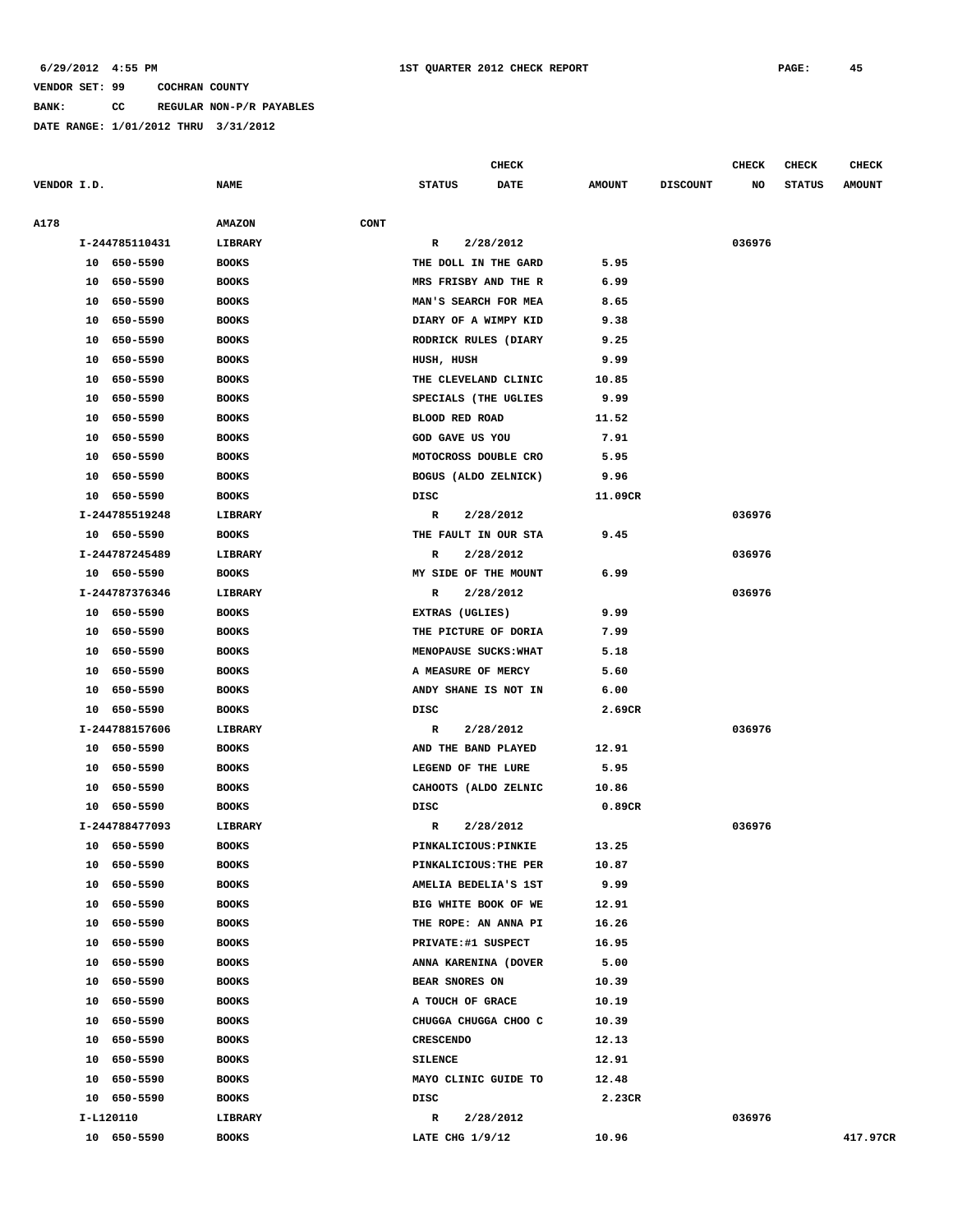**BANK: CC REGULAR NON-P/R PAYABLES**

|             |    |                |                       |      |                       | <b>CHECK</b> |               |                 | CHECK  | <b>CHECK</b>  | <b>CHECK</b>  |
|-------------|----|----------------|-----------------------|------|-----------------------|--------------|---------------|-----------------|--------|---------------|---------------|
| VENDOR I.D. |    |                | <b>NAME</b>           |      | <b>STATUS</b>         | <b>DATE</b>  | <b>AMOUNT</b> | <b>DISCOUNT</b> | NO     | <b>STATUS</b> | <b>AMOUNT</b> |
| A178        |    |                | CONT<br><b>AMAZON</b> |      |                       |              |               |                 |        |               |               |
|             |    | I-244785110431 | LIBRARY               |      | R                     | 2/28/2012    |               |                 | 036976 |               |               |
|             |    | 10 650-5590    | <b>BOOKS</b>          |      | THE DOLL IN THE GARD  |              | 5.95          |                 |        |               |               |
|             |    | 10 650-5590    | <b>BOOKS</b>          |      | MRS FRISBY AND THE R  |              | 6.99          |                 |        |               |               |
|             | 10 | 650-5590       | <b>BOOKS</b>          |      | MAN'S SEARCH FOR MEA  |              | 8.65          |                 |        |               |               |
|             | 10 | 650-5590       | <b>BOOKS</b>          |      | DIARY OF A WIMPY KID  |              | 9.38          |                 |        |               |               |
|             | 10 | 650-5590       | <b>BOOKS</b>          |      | RODRICK RULES (DIARY  |              | 9.25          |                 |        |               |               |
|             | 10 | 650-5590       | <b>BOOKS</b>          |      | HUSH, HUSH            |              | 9.99          |                 |        |               |               |
|             | 10 | 650-5590       | <b>BOOKS</b>          |      | THE CLEVELAND CLINIC  |              | 10.85         |                 |        |               |               |
|             | 10 | 650-5590       | <b>BOOKS</b>          |      | SPECIALS (THE UGLIES  |              | 9.99          |                 |        |               |               |
|             | 10 | 650-5590       | <b>BOOKS</b>          |      | BLOOD RED ROAD        |              | 11.52         |                 |        |               |               |
|             | 10 | 650-5590       | <b>BOOKS</b>          |      | GOD GAVE US YOU       |              | 7.91          |                 |        |               |               |
|             | 10 | 650-5590       | <b>BOOKS</b>          |      | MOTOCROSS DOUBLE CRO  |              | 5.95          |                 |        |               |               |
|             | 10 | 650-5590       | <b>BOOKS</b>          |      | BOGUS (ALDO ZELNICK)  |              | 9.96          |                 |        |               |               |
|             |    | 10 650-5590    | <b>BOOKS</b>          | DISC |                       |              | 11.09CR       |                 |        |               |               |
|             |    | I-244785519248 | LIBRARY               |      | R                     | 2/28/2012    |               |                 | 036976 |               |               |
|             |    | 10 650-5590    | <b>BOOKS</b>          |      | THE FAULT IN OUR STA  |              | 9.45          |                 |        |               |               |
|             |    | I-244787245489 | LIBRARY               |      | R                     | 2/28/2012    |               |                 | 036976 |               |               |
|             |    | 10 650-5590    | <b>BOOKS</b>          |      | MY SIDE OF THE MOUNT  |              | 6.99          |                 |        |               |               |
|             |    | I-244787376346 | LIBRARY               |      | $\mathbb{R}$          | 2/28/2012    |               |                 | 036976 |               |               |
|             |    | 10 650-5590    | <b>BOOKS</b>          |      | EXTRAS (UGLIES)       |              | 9.99          |                 |        |               |               |
|             |    | 10 650-5590    | <b>BOOKS</b>          |      | THE PICTURE OF DORIA  |              | 7.99          |                 |        |               |               |
|             | 10 | 650-5590       | <b>BOOKS</b>          |      | MENOPAUSE SUCKS: WHAT |              | 5.18          |                 |        |               |               |
|             | 10 | 650-5590       | <b>BOOKS</b>          |      | A MEASURE OF MERCY    |              | 5.60          |                 |        |               |               |
|             | 10 | 650-5590       | <b>BOOKS</b>          |      | ANDY SHANE IS NOT IN  |              | 6.00          |                 |        |               |               |
|             |    | 10 650-5590    | <b>BOOKS</b>          | DISC |                       |              | 2.69CR        |                 |        |               |               |
|             |    | I-244788157606 | LIBRARY               |      | R                     | 2/28/2012    |               |                 | 036976 |               |               |
|             |    | 10 650-5590    | <b>BOOKS</b>          |      | AND THE BAND PLAYED   |              | 12.91         |                 |        |               |               |
|             |    | 10 650-5590    | <b>BOOKS</b>          |      | LEGEND OF THE LURE    |              | 5.95          |                 |        |               |               |
|             | 10 | 650-5590       | <b>BOOKS</b>          |      | CAHOOTS (ALDO ZELNIC  |              | 10.86         |                 |        |               |               |
|             |    | 10 650-5590    | <b>BOOKS</b>          | DISC |                       |              | 0.89CR        |                 |        |               |               |
|             |    | I-244788477093 | LIBRARY               |      | R                     | 2/28/2012    |               |                 | 036976 |               |               |
|             |    | 10 650-5590    | <b>BOOKS</b>          |      | PINKALICIOUS: PINKIE  |              | 13.25         |                 |        |               |               |
|             |    | 10 650-5590    | <b>BOOKS</b>          |      | PINKALICIOUS: THE PER |              | 10.87         |                 |        |               |               |
|             |    | 10 650-5590    | <b>BOOKS</b>          |      | AMELIA BEDELIA'S 1ST  |              | 9.99          |                 |        |               |               |
|             |    | 10 650-5590    | <b>BOOKS</b>          |      | BIG WHITE BOOK OF WE  |              | 12.91         |                 |        |               |               |
|             | 10 | 650-5590       | <b>BOOKS</b>          |      | THE ROPE: AN ANNA PI  |              | 16.26         |                 |        |               |               |
|             |    | 10 650-5590    | <b>BOOKS</b>          |      | PRIVATE: #1 SUSPECT   |              | 16.95         |                 |        |               |               |
|             |    | 10 650-5590    | <b>BOOKS</b>          |      | ANNA KARENINA (DOVER  |              | 5.00          |                 |        |               |               |
|             |    | 10 650-5590    | <b>BOOKS</b>          |      | BEAR SNORES ON        |              | 10.39         |                 |        |               |               |
|             |    | 10 650-5590    | <b>BOOKS</b>          |      | A TOUCH OF GRACE      |              | 10.19         |                 |        |               |               |
|             |    | 10 650-5590    | <b>BOOKS</b>          |      | CHUGGA CHUGGA CHOO C  |              | 10.39         |                 |        |               |               |
|             |    | 10 650-5590    | <b>BOOKS</b>          |      | <b>CRESCENDO</b>      |              | 12.13         |                 |        |               |               |
|             |    | 10 650-5590    | <b>BOOKS</b>          |      | SILENCE               |              | 12.91         |                 |        |               |               |
|             |    | 10 650-5590    | <b>BOOKS</b>          |      | MAYO CLINIC GUIDE TO  |              | 12.48         |                 |        |               |               |
|             |    | 10 650-5590    | <b>BOOKS</b>          | DISC |                       |              | 2.23CR        |                 |        |               |               |
|             |    | I-L120110      | LIBRARY               |      | R                     | 2/28/2012    |               |                 | 036976 |               |               |
|             |    | 10 650-5590    | <b>BOOKS</b>          |      | LATE CHG 1/9/12       |              | 10.96         |                 |        |               | 417.97CR      |
|             |    |                |                       |      |                       |              |               |                 |        |               |               |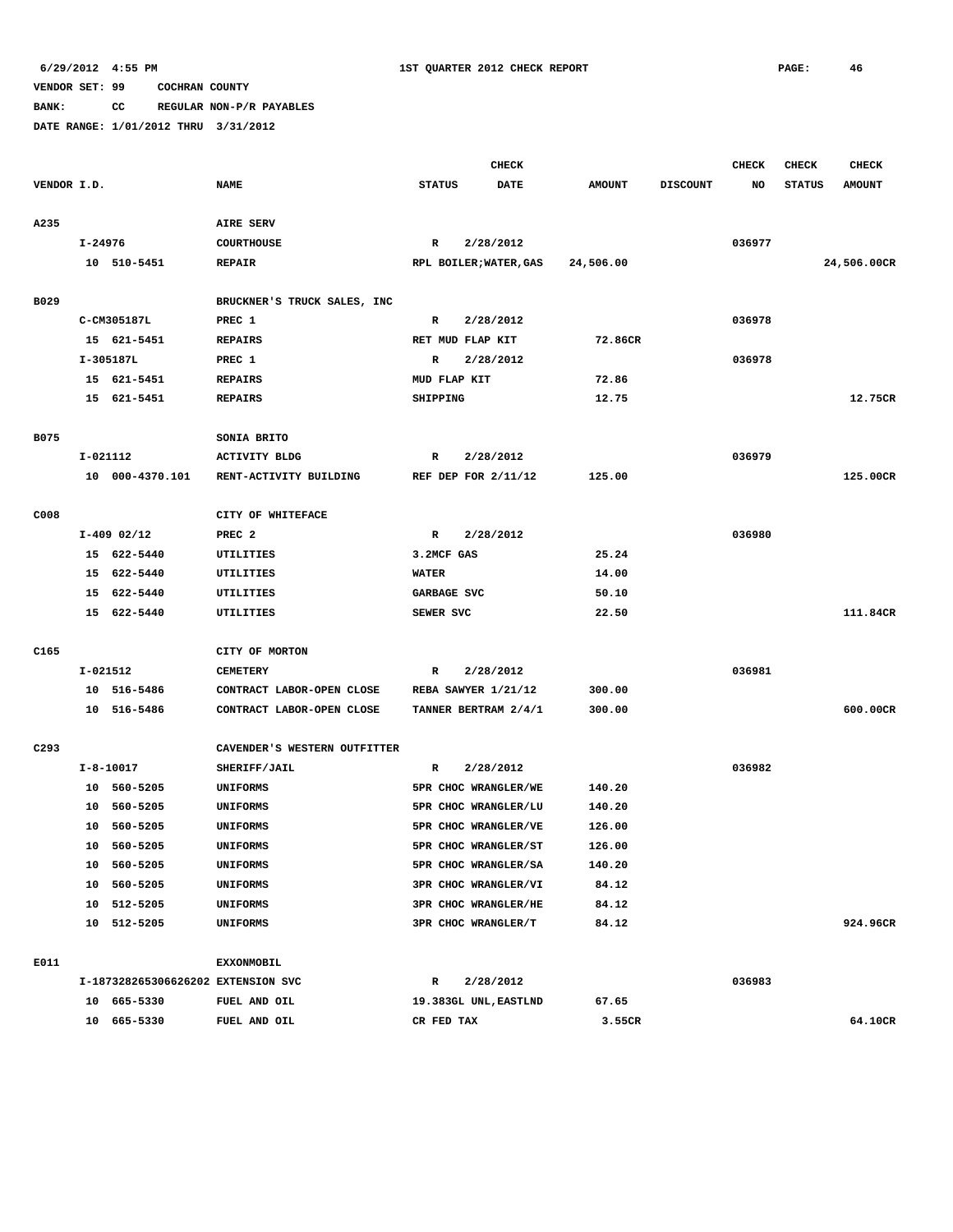**BANK: CC REGULAR NON-P/R PAYABLES**

|                  |          |                                    |                              | <b>CHECK</b>  |                        |               |                 | CHECK  | <b>CHECK</b>  | <b>CHECK</b>  |
|------------------|----------|------------------------------------|------------------------------|---------------|------------------------|---------------|-----------------|--------|---------------|---------------|
| VENDOR I.D.      |          |                                    | <b>NAME</b>                  | <b>STATUS</b> | <b>DATE</b>            | <b>AMOUNT</b> | <b>DISCOUNT</b> | NO     | <b>STATUS</b> | <b>AMOUNT</b> |
|                  |          |                                    |                              |               |                        |               |                 |        |               |               |
| A235             |          |                                    | AIRE SERV                    |               |                        |               |                 |        |               |               |
|                  | I-24976  |                                    | <b>COURTHOUSE</b>            | $\mathbb{R}$  | 2/28/2012              |               |                 | 036977 |               |               |
|                  |          | 10 510-5451                        | <b>REPAIR</b>                |               | RPL BOILER; WATER, GAS | 24,506.00     |                 |        |               | 24,506.00CR   |
|                  |          |                                    |                              |               |                        |               |                 |        |               |               |
| B029             |          |                                    | BRUCKNER'S TRUCK SALES, INC  |               |                        |               |                 |        |               |               |
|                  |          | C-CM305187L                        | PREC 1                       | R             | 2/28/2012              |               |                 | 036978 |               |               |
|                  |          | 15 621-5451                        | <b>REPAIRS</b>               |               | RET MUD FLAP KIT       | 72.86CR       |                 |        |               |               |
|                  |          | I-305187L                          | PREC 1                       | R             | 2/28/2012              |               |                 | 036978 |               |               |
|                  |          | 15 621-5451                        | <b>REPAIRS</b>               | MUD FLAP KIT  |                        | 72.86         |                 |        |               |               |
|                  |          | 15 621-5451                        | <b>REPAIRS</b>               | SHIPPING      |                        | 12.75         |                 |        |               | 12.75CR       |
|                  |          |                                    |                              |               |                        |               |                 |        |               |               |
| <b>B075</b>      |          |                                    | SONIA BRITO                  |               |                        |               |                 |        |               |               |
|                  | I-021112 |                                    | <b>ACTIVITY BLDG</b>         | R             | 2/28/2012              |               |                 | 036979 |               |               |
|                  |          | 10 000-4370.101                    | RENT-ACTIVITY BUILDING       |               | REF DEP FOR 2/11/12    | 125.00        |                 |        |               | 125.00CR      |
| C008             |          |                                    | CITY OF WHITEFACE            |               |                        |               |                 |        |               |               |
|                  |          | $I-409$ 02/12                      | PREC <sub>2</sub>            | $\mathbb{R}$  | 2/28/2012              |               |                 | 036980 |               |               |
|                  |          | 15 622-5440                        | UTILITIES                    | 3.2MCF GAS    |                        | 25.24         |                 |        |               |               |
|                  |          | 15 622-5440                        | UTILITIES                    | <b>WATER</b>  |                        | 14.00         |                 |        |               |               |
|                  |          | 15 622-5440                        |                              | GARBAGE SVC   |                        | 50.10         |                 |        |               |               |
|                  |          | 15 622-5440                        | UTILITIES                    |               |                        | 22.50         |                 |        |               | 111.84CR      |
|                  |          |                                    | UTILITIES                    | SEWER SVC     |                        |               |                 |        |               |               |
| C165             |          |                                    | CITY OF MORTON               |               |                        |               |                 |        |               |               |
|                  | I-021512 |                                    | <b>CEMETERY</b>              | R             | 2/28/2012              |               |                 | 036981 |               |               |
|                  |          | 10 516-5486                        | CONTRACT LABOR-OPEN CLOSE    |               | REBA SAWYER 1/21/12    | 300.00        |                 |        |               |               |
|                  |          | 10 516-5486                        | CONTRACT LABOR-OPEN CLOSE    |               | TANNER BERTRAM 2/4/1   | 300.00        |                 |        |               | 600.00CR      |
|                  |          |                                    |                              |               |                        |               |                 |        |               |               |
| C <sub>293</sub> |          |                                    | CAVENDER'S WESTERN OUTFITTER |               |                        |               |                 |        |               |               |
|                  |          | $I - 8 - 10017$                    | SHERIFF/JAIL                 | R             | 2/28/2012              |               |                 | 036982 |               |               |
|                  |          | 10 560-5205                        | UNIFORMS                     |               | 5PR CHOC WRANGLER/WE   | 140.20        |                 |        |               |               |
|                  |          | 10 560-5205                        | <b>UNIFORMS</b>              |               | 5PR CHOC WRANGLER/LU   | 140.20        |                 |        |               |               |
|                  |          | 10 560-5205                        | <b>UNIFORMS</b>              |               | 5PR CHOC WRANGLER/VE   | 126.00        |                 |        |               |               |
|                  |          | 10 560-5205                        | <b>UNIFORMS</b>              |               | 5PR CHOC WRANGLER/ST   | 126.00        |                 |        |               |               |
|                  |          | 10 560-5205                        | UNIFORMS                     |               | 5PR CHOC WRANGLER/SA   | 140.20        |                 |        |               |               |
|                  |          | 10 560-5205                        | <b>UNIFORMS</b>              |               | 3PR CHOC WRANGLER/VI   | 84.12         |                 |        |               |               |
|                  |          | 10 512-5205                        | <b>UNIFORMS</b>              |               | 3PR CHOC WRANGLER/HE   | 84.12         |                 |        |               |               |
|                  |          | 10 512-5205                        | <b>UNIFORMS</b>              |               | 3PR CHOC WRANGLER/T    | 84.12         |                 |        |               | 924.96CR      |
|                  |          |                                    |                              |               |                        |               |                 |        |               |               |
| E011             |          |                                    | EXXONMOBIL                   |               |                        |               |                 |        |               |               |
|                  |          | I-187328265306626202 EXTENSION SVC |                              | R             | 2/28/2012              |               |                 | 036983 |               |               |
|                  |          | 10 665-5330                        | FUEL AND OIL                 |               | 19.383GL UNL, EASTLND  | 67.65         |                 |        |               |               |
|                  |          | 10 665-5330                        | FUEL AND OIL                 | CR FED TAX    |                        | 3.55CR        |                 |        |               | 64.10CR       |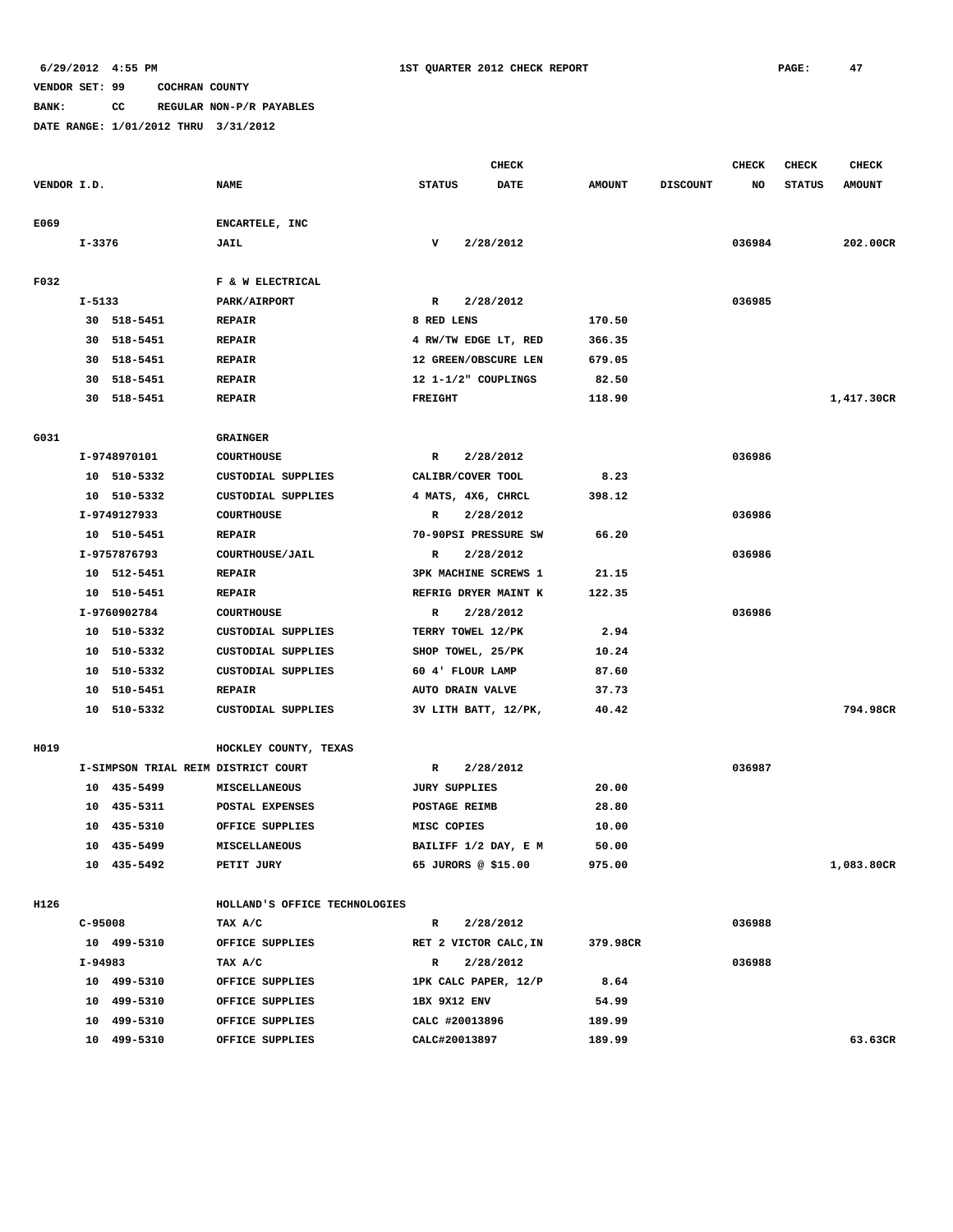**BANK: CC REGULAR NON-P/R PAYABLES**

|             |            |                                     | CHECK                         |                |                      |                                    |               |                 | CHECK  | <b>CHECK</b>  | <b>CHECK</b>  |
|-------------|------------|-------------------------------------|-------------------------------|----------------|----------------------|------------------------------------|---------------|-----------------|--------|---------------|---------------|
| VENDOR I.D. |            |                                     | <b>NAME</b>                   | <b>STATUS</b>  |                      | <b>DATE</b>                        | <b>AMOUNT</b> | <b>DISCOUNT</b> | NO     | <b>STATUS</b> | <b>AMOUNT</b> |
|             |            |                                     |                               |                |                      |                                    |               |                 |        |               |               |
| E069        |            |                                     | ENCARTELE, INC                |                |                      |                                    |               |                 |        |               |               |
|             | I-3376     |                                     | JAIL                          | v              |                      | 2/28/2012                          |               |                 | 036984 |               | 202.00CR      |
|             |            |                                     |                               |                |                      |                                    |               |                 |        |               |               |
| F032        |            |                                     | F & W ELECTRICAL              |                |                      |                                    |               |                 |        |               |               |
|             | $I - 5133$ |                                     | PARK/AIRPORT                  | R              |                      | 2/28/2012                          |               |                 | 036985 |               |               |
|             |            | 30 518-5451                         | <b>REPAIR</b>                 | 8 RED LENS     |                      |                                    | 170.50        |                 |        |               |               |
|             |            | 30 518-5451                         | <b>REPAIR</b>                 |                |                      | 4 RW/TW EDGE LT, RED               | 366.35        |                 |        |               |               |
|             |            | 30 518-5451                         | <b>REPAIR</b>                 |                |                      | 12 GREEN/OBSCURE LEN               | 679.05        |                 |        |               |               |
|             |            | 30 518-5451                         | <b>REPAIR</b>                 |                |                      | 12 1-1/2" COUPLINGS                | 82.50         |                 |        |               |               |
|             |            | 30 518-5451                         | <b>REPAIR</b>                 | <b>FREIGHT</b> |                      |                                    | 118.90        |                 |        |               | 1,417.30CR    |
|             |            |                                     |                               |                |                      |                                    |               |                 |        |               |               |
| G031        |            |                                     | GRAINGER                      |                |                      |                                    |               |                 |        |               |               |
|             |            | I-9748970101                        | <b>COURTHOUSE</b>             | R              |                      | 2/28/2012                          |               |                 | 036986 |               |               |
|             |            | 10 510-5332                         | CUSTODIAL SUPPLIES            |                | CALIBR/COVER TOOL    |                                    | 8.23          |                 |        |               |               |
|             |            | 10 510-5332                         | CUSTODIAL SUPPLIES            |                | 4 MATS, 4X6, CHRCL   |                                    | 398.12        |                 |        |               |               |
|             |            | I-9749127933                        | <b>COURTHOUSE</b>             | R              |                      | 2/28/2012                          |               |                 | 036986 |               |               |
|             |            | 10 510-5451                         | <b>REPAIR</b>                 |                |                      | 70-90PSI PRESSURE SW               | 66.20         |                 |        |               |               |
|             |            | I-9757876793                        | COURTHOUSE/JAIL               | R              |                      | 2/28/2012                          |               |                 | 036986 |               |               |
|             |            | 10 512-5451                         | <b>REPAIR</b>                 |                |                      | <b>3PK MACHINE SCREWS 1</b>        | 21.15         |                 |        |               |               |
|             |            | 10 510-5451                         | <b>REPAIR</b>                 |                |                      | REFRIG DRYER MAINT K               | 122.35        |                 |        |               |               |
|             |            | I-9760902784                        | <b>COURTHOUSE</b>             | R              |                      | 2/28/2012                          |               |                 | 036986 |               |               |
|             |            | 10 510-5332                         | CUSTODIAL SUPPLIES            |                | TERRY TOWEL 12/PK    |                                    | 2.94          |                 |        |               |               |
|             |            | 10 510-5332                         | CUSTODIAL SUPPLIES            |                | SHOP TOWEL, 25/PK    |                                    | 10.24         |                 |        |               |               |
|             |            | 10 510-5332                         | CUSTODIAL SUPPLIES            |                | 60 4' FLOUR LAMP     |                                    | 87.60         |                 |        |               |               |
|             |            | 10 510-5451                         | <b>REPAIR</b>                 |                | AUTO DRAIN VALVE     |                                    | 37.73         |                 |        |               |               |
|             |            | 10 510-5332                         | CUSTODIAL SUPPLIES            |                |                      | 3V LITH BATT, 12/PK,               | 40.42         |                 |        |               | 794.98CR      |
|             |            |                                     |                               |                |                      |                                    |               |                 |        |               |               |
| H019        |            |                                     | HOCKLEY COUNTY, TEXAS         |                |                      |                                    |               |                 |        |               |               |
|             |            | I-SIMPSON TRIAL REIM DISTRICT COURT |                               | R              |                      | 2/28/2012                          |               |                 | 036987 |               |               |
|             |            | 10 435-5499                         | MISCELLANEOUS                 |                | <b>JURY SUPPLIES</b> |                                    | 20.00         |                 |        |               |               |
|             |            | 10 435-5311                         | POSTAL EXPENSES               |                | POSTAGE REIMB        |                                    | 28.80         |                 |        |               |               |
|             |            | 10 435-5310                         | OFFICE SUPPLIES               | MISC COPIES    |                      |                                    | 10.00         |                 |        |               |               |
|             |            | 10 435-5499                         | MISCELLANEOUS                 |                |                      | BAILIFF 1/2 DAY, E M               | 50.00         |                 |        |               |               |
|             |            | 10 435-5492                         | PETIT JURY                    |                | 65 JURORS @ \$15.00  |                                    | 975.00        |                 |        |               | 1,083.80CR    |
|             |            |                                     |                               |                |                      |                                    |               |                 |        |               |               |
| H126        |            |                                     | HOLLAND'S OFFICE TECHNOLOGIES |                |                      |                                    |               |                 |        |               |               |
|             | C-95008    |                                     | TAX A/C                       | $\mathbf{R}$   |                      | 2/28/2012                          |               |                 | 036988 |               |               |
|             | I-94983    | 10 499-5310                         | OFFICE SUPPLIES<br>TAX A/C    | $\mathbb{R}$   |                      | RET 2 VICTOR CALC, IN<br>2/28/2012 | 379.98CR      |                 | 036988 |               |               |
|             |            | 10 499-5310                         | OFFICE SUPPLIES               |                |                      | 1PK CALC PAPER, 12/P               | 8.64          |                 |        |               |               |
|             |            | 10 499-5310                         | OFFICE SUPPLIES               |                | 1BX 9X12 ENV         |                                    | 54.99         |                 |        |               |               |
|             |            | 10 499-5310                         | OFFICE SUPPLIES               |                | CALC #20013896       |                                    | 189.99        |                 |        |               |               |
|             |            | 10 499-5310                         | OFFICE SUPPLIES               |                | CALC#20013897        |                                    | 189.99        |                 |        |               | 63.63CR       |
|             |            |                                     |                               |                |                      |                                    |               |                 |        |               |               |
|             |            |                                     |                               |                |                      |                                    |               |                 |        |               |               |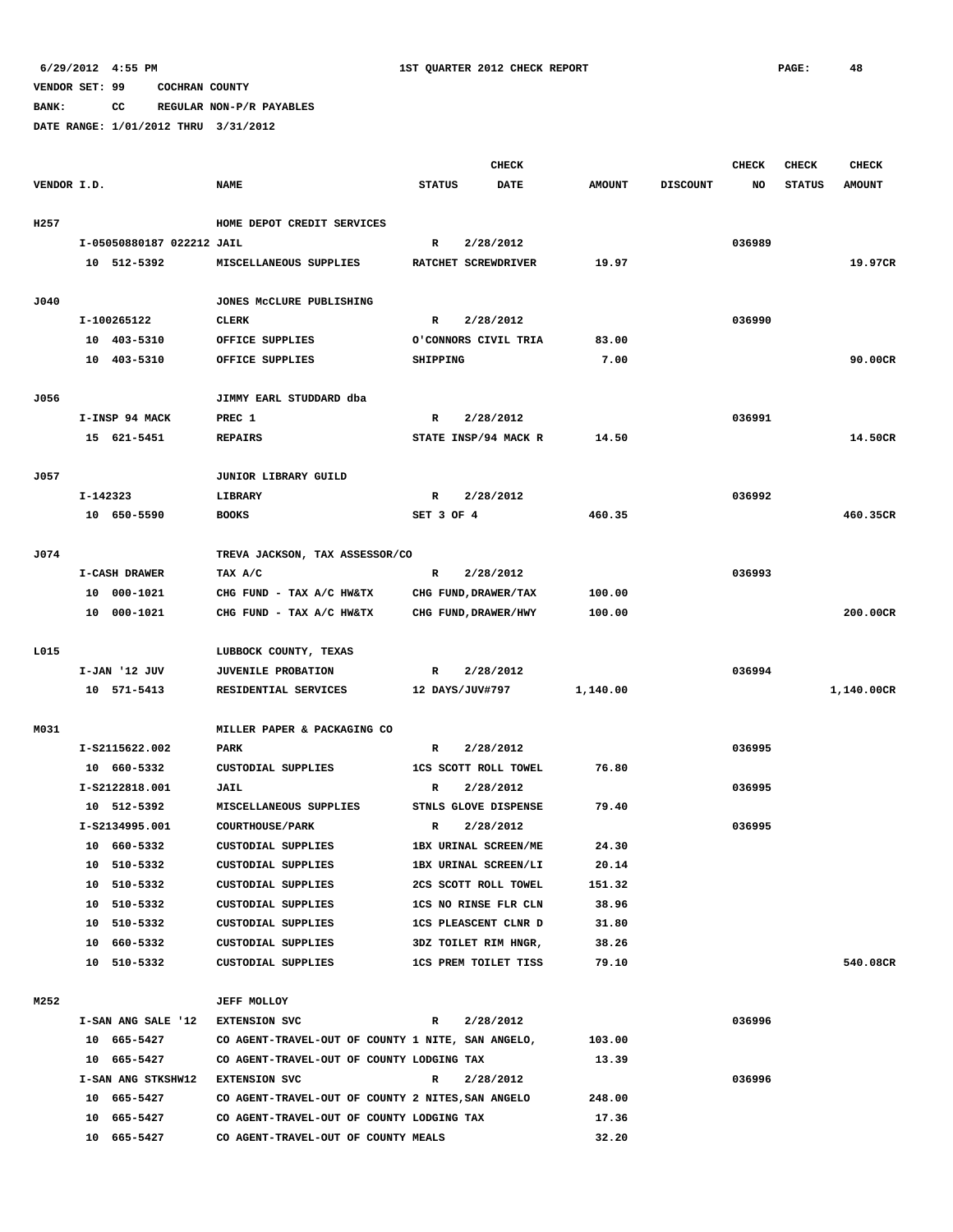**BANK: CC REGULAR NON-P/R PAYABLES**

|             |                                   |                                                                           | <b>CHECK</b>                |               |                 | <b>CHECK</b> | <b>CHECK</b>  | <b>CHECK</b>  |
|-------------|-----------------------------------|---------------------------------------------------------------------------|-----------------------------|---------------|-----------------|--------------|---------------|---------------|
| VENDOR I.D. |                                   | <b>NAME</b>                                                               | DATE<br><b>STATUS</b>       | <b>AMOUNT</b> | <b>DISCOUNT</b> | NO           | <b>STATUS</b> | <b>AMOUNT</b> |
|             |                                   |                                                                           |                             |               |                 |              |               |               |
| H257        |                                   | HOME DEPOT CREDIT SERVICES                                                |                             |               |                 |              |               |               |
|             | I-05050880187 022212 JAIL         |                                                                           | 2/28/2012<br>R              |               |                 | 036989       |               |               |
|             | 10 512-5392                       | MISCELLANEOUS SUPPLIES                                                    | RATCHET SCREWDRIVER         | 19.97         |                 |              |               | 19.97CR       |
|             |                                   |                                                                           |                             |               |                 |              |               |               |
| J040        |                                   | JONES MCCLURE PUBLISHING                                                  |                             |               |                 |              |               |               |
|             | I-100265122                       | <b>CLERK</b>                                                              | 2/28/2012<br>R              |               |                 | 036990       |               |               |
|             | 10 403-5310                       | OFFICE SUPPLIES                                                           | O'CONNORS CIVIL TRIA        | 83.00         |                 |              |               |               |
|             | 10 403-5310                       | OFFICE SUPPLIES                                                           | SHIPPING                    | 7.00          |                 |              |               | 90.00CR       |
|             |                                   |                                                                           |                             |               |                 |              |               |               |
| J056        |                                   | JIMMY EARL STUDDARD dba                                                   |                             |               |                 |              |               |               |
|             | I-INSP 94 MACK                    | PREC <sub>1</sub>                                                         | 2/28/2012<br>R              |               |                 | 036991       |               |               |
|             | 15 621-5451                       | <b>REPAIRS</b>                                                            | STATE INSP/94 MACK R        | 14.50         |                 |              |               | 14.50CR       |
|             |                                   |                                                                           |                             |               |                 |              |               |               |
| J057        |                                   | JUNIOR LIBRARY GUILD                                                      |                             |               |                 |              |               |               |
|             | I-142323                          | LIBRARY                                                                   | 2/28/2012<br>R              |               |                 | 036992       |               |               |
|             | 10 650-5590                       | <b>BOOKS</b>                                                              | SET 3 OF 4                  | 460.35        |                 |              |               | 460.35CR      |
|             |                                   |                                                                           |                             |               |                 |              |               |               |
| J074        |                                   | TREVA JACKSON, TAX ASSESSOR/CO                                            |                             |               |                 |              |               |               |
|             | I-CASH DRAWER                     | TAX A/C                                                                   | $\mathbb{R}$<br>2/28/2012   |               |                 | 036993       |               |               |
|             | 10 000-1021                       | CHG FUND - TAX A/C HW&TX                                                  | CHG FUND, DRAWER/TAX        | 100.00        |                 |              |               |               |
|             | 10 000-1021                       | CHG FUND - TAX A/C HW&TX                                                  | CHG FUND, DRAWER/HWY        | 100.00        |                 |              |               | 200.00CR      |
|             |                                   |                                                                           |                             |               |                 |              |               |               |
| L015        |                                   | LUBBOCK COUNTY, TEXAS                                                     |                             |               |                 |              |               |               |
|             | I-JAN '12 JUV                     | <b>JUVENILE PROBATION</b>                                                 | 2/28/2012<br>R              |               |                 | 036994       |               |               |
|             | 10 571-5413                       | RESIDENTIAL SERVICES                                                      | 12 DAYS/JUV#797             | 1,140.00      |                 |              |               | 1,140.00CR    |
|             |                                   |                                                                           |                             |               |                 |              |               |               |
| M031        |                                   | MILLER PAPER & PACKAGING CO                                               |                             |               |                 |              |               |               |
|             | I-S2115622.002                    | PARK                                                                      | 2/28/2012<br>R              |               |                 | 036995       |               |               |
|             | 10 660-5332                       | <b>CUSTODIAL SUPPLIES</b>                                                 | 1CS SCOTT ROLL TOWEL        | 76.80         |                 |              |               |               |
|             | I-S2122818.001                    | JAIL                                                                      | 2/28/2012<br>R              |               |                 | 036995       |               |               |
|             | 10 512-5392                       | MISCELLANEOUS SUPPLIES                                                    | STNLS GLOVE DISPENSE        | 79.40         |                 |              |               |               |
|             | I-S2134995.001                    | <b>COURTHOUSE/PARK</b>                                                    | 2/28/2012<br>R              |               |                 | 036995       |               |               |
|             | 10 660-5332                       | CUSTODIAL SUPPLIES                                                        | 1BX URINAL SCREEN/ME        | 24.30         |                 |              |               |               |
|             | 10 510-5332                       | CUSTODIAL SUPPLIES                                                        | 1BX URINAL SCREEN/LI        | 20.14         |                 |              |               |               |
|             | 10 510-5332                       | CUSTODIAL SUPPLIES                                                        | 2CS SCOTT ROLL TOWEL        | 151.32        |                 |              |               |               |
|             | 10 510-5332                       | CUSTODIAL SUPPLIES                                                        | 1CS NO RINSE FLR CLN        | 38.96         |                 |              |               |               |
|             | 10 510-5332                       | CUSTODIAL SUPPLIES                                                        | <b>1CS PLEASCENT CLNR D</b> | 31.80         |                 |              |               |               |
|             | 10 660-5332                       | CUSTODIAL SUPPLIES                                                        | 3DZ TOILET RIM HNGR,        | 38.26         |                 |              |               |               |
|             | 10 510-5332                       | CUSTODIAL SUPPLIES                                                        | <b>1CS PREM TOILET TISS</b> | 79.10         |                 |              |               | 540.08CR      |
|             |                                   |                                                                           |                             |               |                 |              |               |               |
| M252        |                                   | <b>JEFF MOLLOY</b>                                                        |                             |               |                 |              |               |               |
|             | I-SAN ANG SALE '12<br>10 665-5427 | EXTENSION SVC                                                             | 2/28/2012<br>$\mathbf{R}$   | 103.00        |                 | 036996       |               |               |
|             |                                   | CO AGENT-TRAVEL-OUT OF COUNTY 1 NITE, SAN ANGELO,                         |                             |               |                 |              |               |               |
|             | 10 665-5427<br>I-SAN ANG STKSHW12 | CO AGENT-TRAVEL-OUT OF COUNTY LODGING TAX                                 | $\mathbb{R}$                | 13.39         |                 | 036996       |               |               |
|             | 10 665-5427                       | <b>EXTENSION SVC</b><br>CO AGENT-TRAVEL-OUT OF COUNTY 2 NITES, SAN ANGELO | 2/28/2012                   | 248.00        |                 |              |               |               |
|             | 10 665-5427                       | CO AGENT-TRAVEL-OUT OF COUNTY LODGING TAX                                 |                             | 17.36         |                 |              |               |               |
|             | 10 665-5427                       | CO AGENT-TRAVEL-OUT OF COUNTY MEALS                                       |                             | 32.20         |                 |              |               |               |
|             |                                   |                                                                           |                             |               |                 |              |               |               |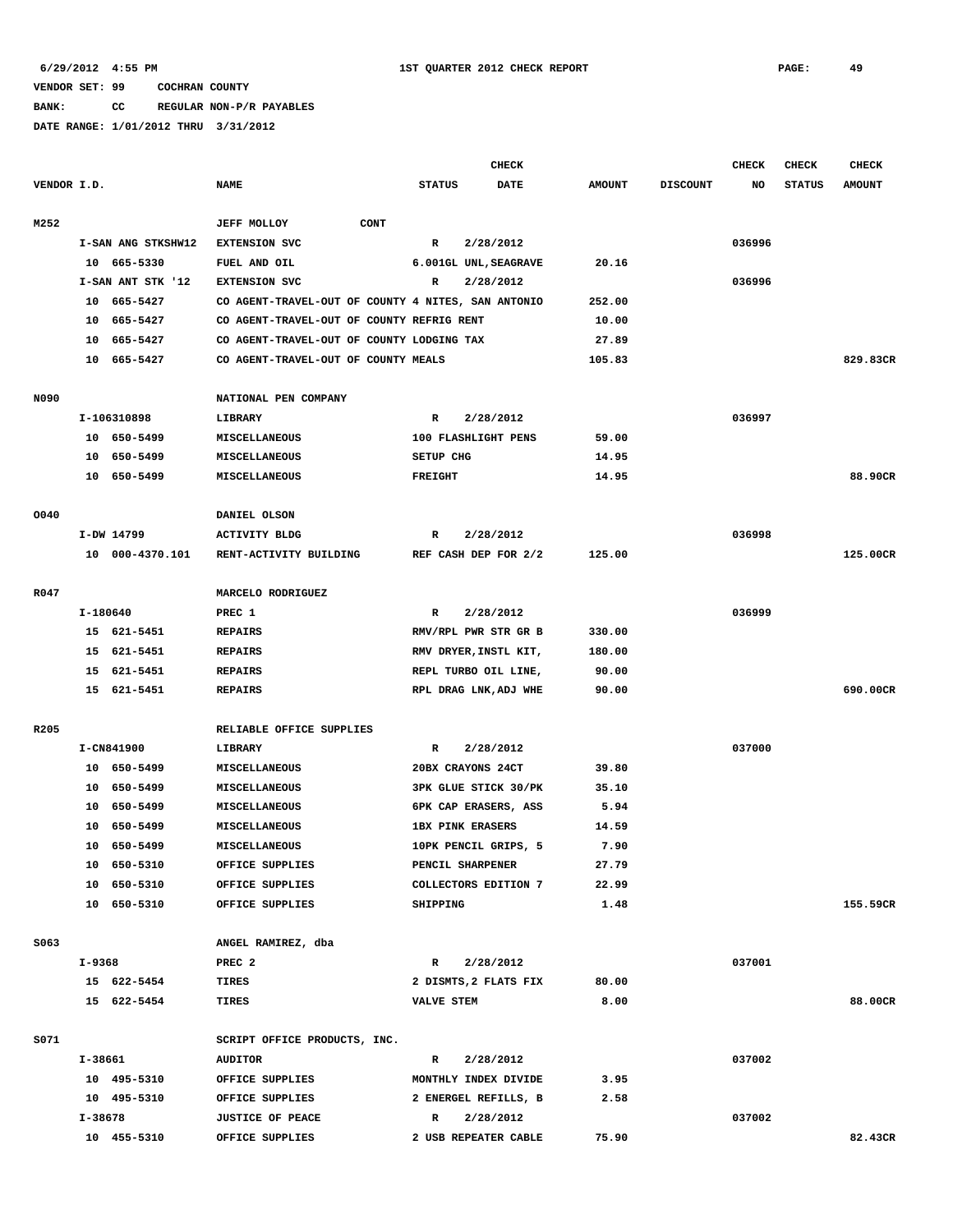**BANK: CC REGULAR NON-P/R PAYABLES**

|             |          |                    |                                                    |                | <b>CHECK</b>            |               |                 | <b>CHECK</b> | <b>CHECK</b>  | <b>CHECK</b>  |
|-------------|----------|--------------------|----------------------------------------------------|----------------|-------------------------|---------------|-----------------|--------------|---------------|---------------|
| VENDOR I.D. |          |                    | <b>NAME</b>                                        | <b>STATUS</b>  | <b>DATE</b>             | <b>AMOUNT</b> | <b>DISCOUNT</b> | NO           | <b>STATUS</b> | <b>AMOUNT</b> |
| M252        |          |                    | <b>CONT</b><br><b>JEFF MOLLOY</b>                  |                |                         |               |                 |              |               |               |
|             |          | I-SAN ANG STKSHW12 | <b>EXTENSION SVC</b>                               | $\mathbb{R}$   | 2/28/2012               |               |                 | 036996       |               |               |
|             |          | 10 665-5330        | FUEL AND OIL                                       |                | 6.001GL UNL, SEAGRAVE   | 20.16         |                 |              |               |               |
|             |          | I-SAN ANT STK '12  | <b>EXTENSION SVC</b>                               | R              | 2/28/2012               |               |                 | 036996       |               |               |
|             | 10       | 665-5427           | CO AGENT-TRAVEL-OUT OF COUNTY 4 NITES, SAN ANTONIO |                |                         | 252.00        |                 |              |               |               |
|             | 10       | 665-5427           | CO AGENT-TRAVEL-OUT OF COUNTY REFRIG RENT          |                |                         | 10.00         |                 |              |               |               |
|             | 10       | 665-5427           | CO AGENT-TRAVEL-OUT OF COUNTY LODGING TAX          |                |                         | 27.89         |                 |              |               |               |
|             | 10       | 665-5427           | CO AGENT-TRAVEL-OUT OF COUNTY MEALS                |                |                         | 105.83        |                 |              |               | 829.83CR      |
| <b>N090</b> |          |                    | NATIONAL PEN COMPANY                               |                |                         |               |                 |              |               |               |
|             |          | I-106310898        | LIBRARY                                            | R              | 2/28/2012               |               |                 | 036997       |               |               |
|             |          | 10 650-5499        | MISCELLANEOUS                                      |                | 100 FLASHLIGHT PENS     | 59.00         |                 |              |               |               |
|             | 10       | 650–5499           | MISCELLANEOUS                                      | SETUP CHG      |                         | 14.95         |                 |              |               |               |
|             | 10       | 650-5499           | MISCELLANEOUS                                      | <b>FREIGHT</b> |                         | 14.95         |                 |              |               | 88.90CR       |
|             |          |                    |                                                    |                |                         |               |                 |              |               |               |
| 0040        |          |                    | DANIEL OLSON                                       |                |                         |               |                 |              |               |               |
|             |          | I-DW 14799         | <b>ACTIVITY BLDG</b>                               | $\mathbf R$    | 2/28/2012               |               |                 | 036998       |               |               |
|             |          | 10 000-4370.101    | RENT-ACTIVITY BUILDING                             |                | REF CASH DEP FOR 2/2    | 125.00        |                 |              |               | 125.00CR      |
|             |          |                    |                                                    |                |                         |               |                 |              |               |               |
| R047        |          |                    | MARCELO RODRIGUEZ                                  |                |                         |               |                 |              |               |               |
|             | I-180640 |                    | PREC 1                                             | R              | 2/28/2012               |               |                 | 036999       |               |               |
|             |          | 15 621-5451        | <b>REPAIRS</b>                                     |                | RMV/RPL PWR STR GR B    | 330.00        |                 |              |               |               |
|             |          | 15 621-5451        | <b>REPAIRS</b>                                     |                | RMV DRYER, INSTL KIT,   | 180.00        |                 |              |               |               |
|             |          | 15 621-5451        | <b>REPAIRS</b>                                     |                | REPL TURBO OIL LINE,    | 90.00         |                 |              |               |               |
|             |          | 15 621-5451        | <b>REPAIRS</b>                                     |                | RPL DRAG LNK, ADJ WHE   | 90.00         |                 |              |               | 690.00CR      |
|             |          |                    |                                                    |                |                         |               |                 |              |               |               |
| R205        |          |                    | RELIABLE OFFICE SUPPLIES                           |                |                         |               |                 |              |               |               |
|             |          | I-CN841900         | LIBRARY                                            | R              | 2/28/2012               |               |                 | 037000       |               |               |
|             |          | 10 650-5499        | MISCELLANEOUS                                      |                | 20BX CRAYONS 24CT       | 39.80         |                 |              |               |               |
|             | 10       | 650-5499           | MISCELLANEOUS                                      |                | 3PK GLUE STICK 30/PK    | 35.10         |                 |              |               |               |
|             | 10       | 650–5499           | MISCELLANEOUS                                      |                | 6PK CAP ERASERS, ASS    | 5.94          |                 |              |               |               |
|             | 10       | 650-5499           | MISCELLANEOUS                                      |                | <b>1BX PINK ERASERS</b> | 14.59         |                 |              |               |               |
|             |          | 10 650-5499        | MISCELLANEOUS                                      |                | 10PK PENCIL GRIPS, 5    | 7.90          |                 |              |               |               |
|             |          | 10 650-5310        | OFFICE SUPPLIES                                    |                | PENCIL SHARPENER        | 27.79         |                 |              |               |               |
|             |          | 10 650-5310        | OFFICE SUPPLIES                                    |                | COLLECTORS EDITION 7    | 22.99         |                 |              |               |               |
|             |          | 10 650-5310        | OFFICE SUPPLIES                                    | SHIPPING       |                         | 1.48          |                 |              |               | 155.59CR      |
| S063        |          |                    | ANGEL RAMIREZ, dba                                 |                |                         |               |                 |              |               |               |
|             | I-9368   |                    | PREC <sub>2</sub>                                  | $\mathbf{R}$   | 2/28/2012               |               |                 | 037001       |               |               |
|             |          | 15 622-5454        | TIRES                                              |                | 2 DISMTS, 2 FLATS FIX   | 80.00         |                 |              |               |               |
|             |          | 15 622-5454        | TIRES                                              | VALVE STEM     |                         | 8.00          |                 |              |               | 88.00CR       |
| S071        |          |                    | SCRIPT OFFICE PRODUCTS, INC.                       |                |                         |               |                 |              |               |               |
|             | I-38661  |                    | <b>AUDITOR</b>                                     | $\mathbb{R}$   | 2/28/2012               |               |                 | 037002       |               |               |
|             |          | 10 495-5310        | OFFICE SUPPLIES                                    |                | MONTHLY INDEX DIVIDE    | 3.95          |                 |              |               |               |
|             |          | 10 495-5310        | OFFICE SUPPLIES                                    |                | 2 ENERGEL REFILLS, B    | 2.58          |                 |              |               |               |
|             | I-38678  |                    | <b>JUSTICE OF PEACE</b>                            | $\mathbb{R}$   | 2/28/2012               |               |                 | 037002       |               |               |
|             |          | 10 455-5310        | OFFICE SUPPLIES                                    |                | 2 USB REPEATER CABLE    | 75.90         |                 |              |               | 82.43CR       |
|             |          |                    |                                                    |                |                         |               |                 |              |               |               |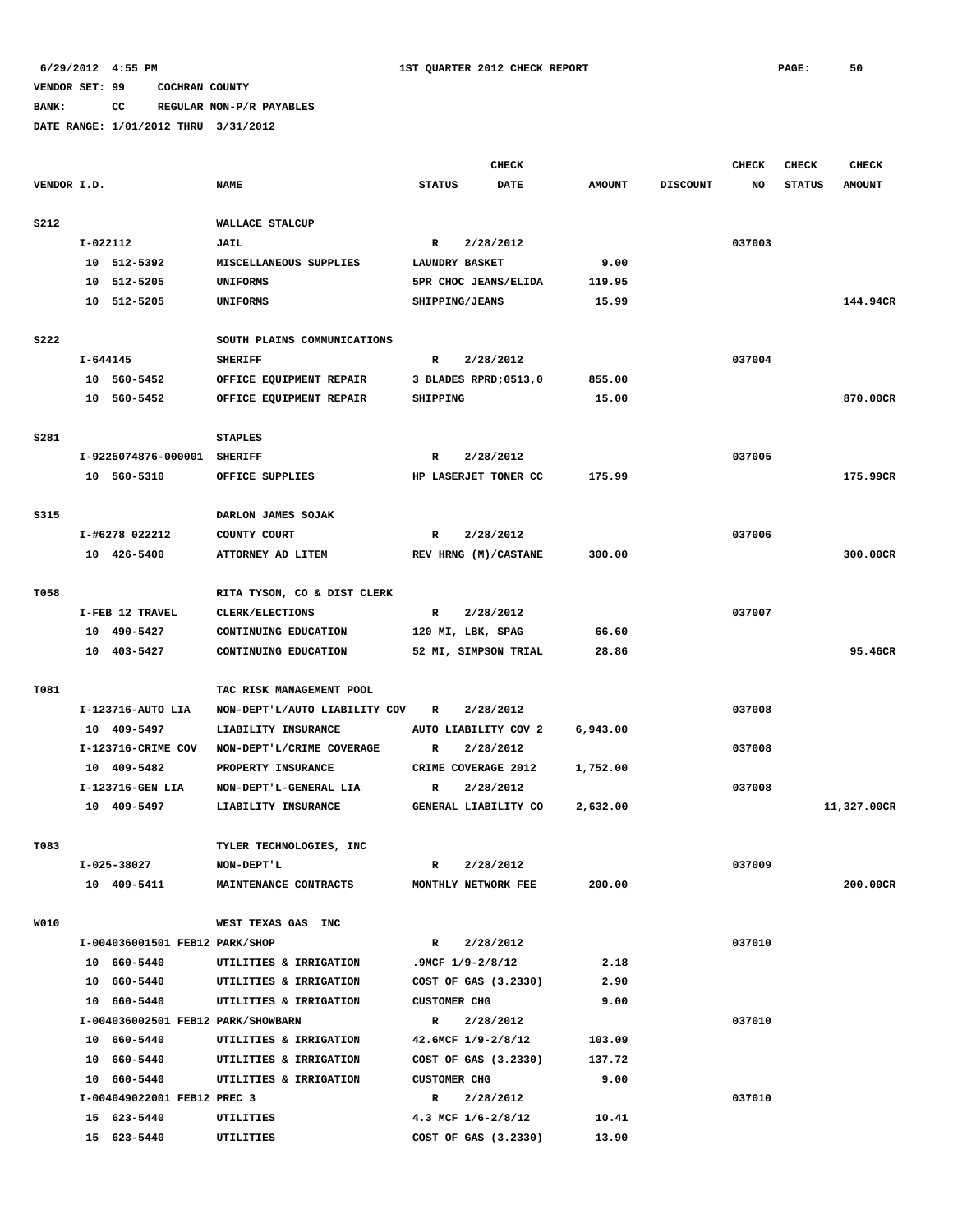# **BANK: CC REGULAR NON-P/R PAYABLES**

|             |                                                   |                                               |                                    | <b>CHECK</b>           |                 |                 | <b>CHECK</b> | <b>CHECK</b>  | <b>CHECK</b>  |
|-------------|---------------------------------------------------|-----------------------------------------------|------------------------------------|------------------------|-----------------|-----------------|--------------|---------------|---------------|
| VENDOR I.D. |                                                   | <b>NAME</b>                                   | <b>STATUS</b>                      | <b>DATE</b>            | <b>AMOUNT</b>   | <b>DISCOUNT</b> | NO           | <b>STATUS</b> | <b>AMOUNT</b> |
|             |                                                   |                                               |                                    |                        |                 |                 |              |               |               |
| <b>S212</b> |                                                   | WALLACE STALCUP                               |                                    |                        |                 |                 |              |               |               |
|             | I-022112                                          | JAIL                                          | R                                  | 2/28/2012              |                 |                 | 037003       |               |               |
|             | 10 512-5392                                       | MISCELLANEOUS SUPPLIES                        | LAUNDRY BASKET                     |                        | 9.00            |                 |              |               |               |
|             | 512-5205<br>10<br>10 512-5205                     | <b>UNIFORMS</b>                               |                                    | 5PR CHOC JEANS/ELIDA   | 119.95<br>15.99 |                 |              |               | 144.94CR      |
|             |                                                   | <b>UNIFORMS</b>                               | SHIPPING/JEANS                     |                        |                 |                 |              |               |               |
| <b>S222</b> |                                                   | SOUTH PLAINS COMMUNICATIONS                   |                                    |                        |                 |                 |              |               |               |
|             | $I - 644145$                                      | <b>SHERIFF</b>                                | R                                  | 2/28/2012              |                 |                 | 037004       |               |               |
|             | 10 560-5452                                       | OFFICE EQUIPMENT REPAIR                       |                                    | 3 BLADES RPRD; 0513, 0 | 855.00          |                 |              |               |               |
|             | 10 560-5452                                       | OFFICE EQUIPMENT REPAIR                       | SHIPPING                           |                        | 15.00           |                 |              |               | 870.00CR      |
|             |                                                   |                                               |                                    |                        |                 |                 |              |               |               |
| S281        |                                                   | <b>STAPLES</b>                                |                                    |                        |                 |                 |              |               |               |
|             | I-9225074876-000001 SHERIFF                       |                                               | R                                  | 2/28/2012              |                 |                 | 037005       |               |               |
|             | 10 560-5310                                       | OFFICE SUPPLIES                               |                                    | HP LASERJET TONER CC   | 175.99          |                 |              |               | 175.99CR      |
| S315        |                                                   | DARLON JAMES SOJAK                            |                                    |                        |                 |                 |              |               |               |
|             | I-#6278 022212                                    | COUNTY COURT                                  | R                                  | 2/28/2012              |                 |                 | 037006       |               |               |
|             | 10 426-5400                                       | ATTORNEY AD LITEM                             |                                    | REV HRNG (M)/CASTANE   | 300.00          |                 |              |               | 300.00CR      |
|             |                                                   |                                               |                                    |                        |                 |                 |              |               |               |
| T058        |                                                   | RITA TYSON, CO & DIST CLERK                   |                                    |                        |                 |                 |              |               |               |
|             | I-FEB 12 TRAVEL                                   | CLERK/ELECTIONS                               | R                                  | 2/28/2012              |                 |                 | 037007       |               |               |
|             | 10 490-5427                                       | CONTINUING EDUCATION                          | 120 MI, LBK, SPAG                  |                        | 66.60           |                 |              |               |               |
|             | 10 403-5427                                       | CONTINUING EDUCATION                          |                                    | 52 MI, SIMPSON TRIAL   | 28.86           |                 |              |               | 95.46CR       |
|             |                                                   |                                               |                                    |                        |                 |                 |              |               |               |
| T081        |                                                   | TAC RISK MANAGEMENT POOL                      |                                    |                        |                 |                 |              |               |               |
|             | I-123716-AUTO LIA                                 | NON-DEPT'L/AUTO LIABILITY COV                 | R                                  | 2/28/2012              |                 |                 | 037008       |               |               |
|             | 10 409-5497                                       | LIABILITY INSURANCE                           |                                    | AUTO LIABILITY COV 2   | 6,943.00        |                 |              |               |               |
|             | I-123716-CRIME COV                                | NON-DEPT'L/CRIME COVERAGE                     | R                                  | 2/28/2012              |                 |                 | 037008       |               |               |
|             | 10 409-5482<br>I-123716-GEN LIA                   | PROPERTY INSURANCE                            | CRIME COVERAGE 2012                | 2/28/2012              | 1,752.00        |                 | 037008       |               |               |
|             | 10 409-5497                                       | NON-DEPT'L-GENERAL LIA<br>LIABILITY INSURANCE | R                                  | GENERAL LIABILITY CO   | 2,632.00        |                 |              |               | 11,327.00CR   |
|             |                                                   |                                               |                                    |                        |                 |                 |              |               |               |
| T083        |                                                   | TYLER TECHNOLOGIES, INC                       |                                    |                        |                 |                 |              |               |               |
|             | I-025-38027                                       | <b>NON-DEPT'L</b>                             | R                                  | 2/28/2012              |                 |                 | 037009       |               |               |
|             | 10 409-5411                                       | MAINTENANCE CONTRACTS                         | MONTHLY NETWORK FEE                |                        | 200.00          |                 |              |               | 200.00CR      |
|             |                                                   |                                               |                                    |                        |                 |                 |              |               |               |
| W010        |                                                   | WEST TEXAS GAS INC                            |                                    |                        |                 |                 |              |               |               |
|             | I-004036001501 FEB12 PARK/SHOP                    |                                               | $\mathbb{R}$                       | 2/28/2012              |                 |                 | 037010       |               |               |
|             | 10 660-5440                                       | UTILITIES & IRRIGATION                        | .9MCF 1/9-2/8/12                   |                        | 2.18            |                 |              |               |               |
|             | 10 660-5440                                       | UTILITIES & IRRIGATION                        |                                    | COST OF GAS (3.2330)   | 2.90            |                 |              |               |               |
|             | 10 660-5440<br>I-004036002501 FEB12 PARK/SHOWBARN | UTILITIES & IRRIGATION                        | <b>CUSTOMER CHG</b>                |                        | 9.00            |                 | 037010       |               |               |
|             | 10 660-5440                                       | UTILITIES & IRRIGATION                        | $\mathbb{R}$<br>42.6MCF 1/9-2/8/12 | 2/28/2012              | 103.09          |                 |              |               |               |
|             | 10 660-5440                                       | UTILITIES & IRRIGATION                        |                                    | COST OF GAS (3.2330)   | 137.72          |                 |              |               |               |
|             | 10 660-5440                                       | UTILITIES & IRRIGATION                        | <b>CUSTOMER CHG</b>                |                        | 9.00            |                 |              |               |               |
|             | I-004049022001 FEB12 PREC 3                       |                                               | R                                  | 2/28/2012              |                 |                 | 037010       |               |               |
|             | 15 623-5440                                       | UTILITIES                                     | 4.3 MCF 1/6-2/8/12                 |                        | 10.41           |                 |              |               |               |
|             | 15 623-5440                                       | UTILITIES                                     |                                    | COST OF GAS (3.2330)   | 13.90           |                 |              |               |               |
|             |                                                   |                                               |                                    |                        |                 |                 |              |               |               |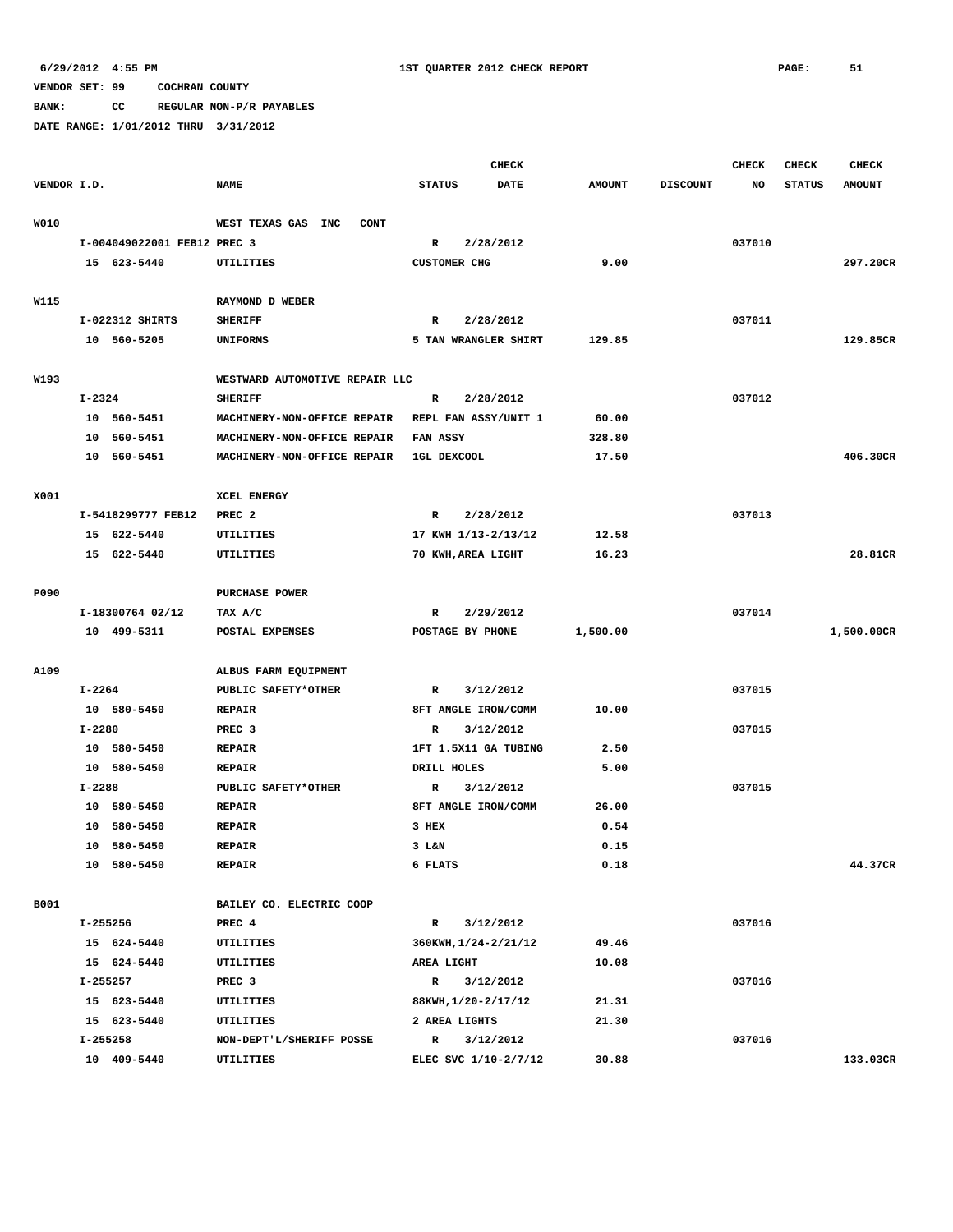**BANK: CC REGULAR NON-P/R PAYABLES**

|             |            |                             |                                                  | <b>CHECK</b>        |                      |               | <b>CHECK</b>    | <b>CHECK</b> | <b>CHECK</b>  |               |
|-------------|------------|-----------------------------|--------------------------------------------------|---------------------|----------------------|---------------|-----------------|--------------|---------------|---------------|
| VENDOR I.D. |            |                             | <b>NAME</b>                                      | <b>STATUS</b>       | <b>DATE</b>          | <b>AMOUNT</b> | <b>DISCOUNT</b> | NO           | <b>STATUS</b> | <b>AMOUNT</b> |
|             |            |                             |                                                  |                     |                      |               |                 |              |               |               |
| W010        |            |                             | WEST TEXAS GAS INC<br><b>CONT</b>                |                     |                      |               |                 |              |               |               |
|             |            | I-004049022001 FEB12 PREC 3 |                                                  | R                   | 2/28/2012            |               |                 | 037010       |               |               |
|             |            | 15 623-5440                 | UTILITIES                                        | <b>CUSTOMER CHG</b> |                      | 9.00          |                 |              |               | 297.20CR      |
|             |            |                             |                                                  |                     |                      |               |                 |              |               |               |
| <b>W115</b> |            |                             | RAYMOND D WEBER                                  |                     |                      |               |                 |              |               |               |
|             |            | I-022312 SHIRTS             | <b>SHERIFF</b>                                   | R                   | 2/28/2012            |               |                 | 037011       |               |               |
|             |            | 10 560-5205                 | <b>UNIFORMS</b>                                  |                     | 5 TAN WRANGLER SHIRT | 129.85        |                 |              |               | 129.85CR      |
| W193        |            |                             |                                                  |                     |                      |               |                 |              |               |               |
|             | $I - 2324$ |                             | WESTWARD AUTOMOTIVE REPAIR LLC<br><b>SHERIFF</b> | R                   | 2/28/2012            |               |                 | 037012       |               |               |
|             |            | 10 560-5451                 | MACHINERY-NON-OFFICE REPAIR                      |                     | REPL FAN ASSY/UNIT 1 | 60.00         |                 |              |               |               |
|             |            | 10 560-5451                 | MACHINERY-NON-OFFICE REPAIR                      | <b>FAN ASSY</b>     |                      | 328.80        |                 |              |               |               |
|             |            | 10 560-5451                 | MACHINERY-NON-OFFICE REPAIR                      | <b>1GL DEXCOOL</b>  |                      | 17.50         |                 |              |               | 406.30CR      |
|             |            |                             |                                                  |                     |                      |               |                 |              |               |               |
| X001        |            |                             | XCEL ENERGY                                      |                     |                      |               |                 |              |               |               |
|             |            | I-5418299777 FEB12          | PREC <sub>2</sub>                                | R                   | 2/28/2012            |               |                 | 037013       |               |               |
|             |            | 15 622-5440                 | UTILITIES                                        |                     | 17 KWH 1/13-2/13/12  | 12.58         |                 |              |               |               |
|             |            | 15 622-5440                 | UTILITIES                                        |                     | 70 KWH, AREA LIGHT   | 16.23         |                 |              |               | 28.81CR       |
|             |            |                             |                                                  |                     |                      |               |                 |              |               |               |
| P090        |            |                             | <b>PURCHASE POWER</b>                            |                     |                      |               |                 |              |               |               |
|             |            | I-18300764 02/12            | TAX A/C                                          | R                   | 2/29/2012            |               |                 | 037014       |               |               |
|             |            | 10 499-5311                 | POSTAL EXPENSES                                  |                     | POSTAGE BY PHONE     | 1,500.00      |                 |              |               | 1,500.00CR    |
|             |            |                             |                                                  |                     |                      |               |                 |              |               |               |
| A109        |            |                             | ALBUS FARM EQUIPMENT                             |                     |                      |               |                 |              |               |               |
|             | I-2264     |                             | PUBLIC SAFETY*OTHER                              | R                   | 3/12/2012            |               |                 | 037015       |               |               |
|             |            | 10 580-5450                 | <b>REPAIR</b>                                    |                     | 8FT ANGLE IRON/COMM  | 10.00         |                 |              |               |               |
|             | $I - 2280$ |                             | PREC <sub>3</sub>                                | R                   | 3/12/2012            |               |                 | 037015       |               |               |
|             |            | 10 580-5450                 | <b>REPAIR</b>                                    |                     | 1FT 1.5X11 GA TUBING | 2.50          |                 |              |               |               |
|             |            | 10 580-5450                 | <b>REPAIR</b>                                    | DRILL HOLES         |                      | 5.00          |                 |              |               |               |
|             | $I - 2288$ |                             | PUBLIC SAFETY*OTHER                              | R                   | 3/12/2012            |               |                 | 037015       |               |               |
|             |            | 10 580-5450                 | <b>REPAIR</b>                                    |                     | 8FT ANGLE IRON/COMM  | 26.00         |                 |              |               |               |
|             |            | 10 580-5450                 | <b>REPAIR</b>                                    | 3 HEX               |                      | 0.54          |                 |              |               |               |
|             |            | 10 580-5450                 | <b>REPAIR</b>                                    | 3 L&N               |                      | 0.15          |                 |              |               |               |
|             |            | 10 580-5450                 | <b>REPAIR</b>                                    | 6 FLATS             |                      | 0.18          |                 |              |               | 44.37CR       |
| B001        |            |                             | BAILEY CO. ELECTRIC COOP                         |                     |                      |               |                 |              |               |               |
|             | I-255256   |                             | PREC 4                                           |                     | R 3/12/2012          |               |                 | 037016       |               |               |
|             |            | 15 624-5440                 | UTILITIES                                        |                     | 360KWH, 1/24-2/21/12 | 49.46         |                 |              |               |               |
|             |            | 15 624-5440                 | UTILITIES                                        | AREA LIGHT          |                      | 10.08         |                 |              |               |               |
|             | I-255257   |                             | PREC <sub>3</sub>                                |                     | R 3/12/2012          |               |                 | 037016       |               |               |
|             |            | 15 623-5440                 | UTILITIES                                        |                     | 88KWH, 1/20-2/17/12  | 21.31         |                 |              |               |               |
|             |            | 15 623-5440                 | UTILITIES                                        | 2 AREA LIGHTS       |                      | 21.30         |                 |              |               |               |
|             | I-255258   |                             | NON-DEPT'L/SHERIFF POSSE                         |                     | R 3/12/2012          |               |                 | 037016       |               |               |
|             |            | 10 409-5440                 | UTILITIES                                        |                     | ELEC SVC 1/10-2/7/12 | 30.88         |                 |              |               | 133.03CR      |
|             |            |                             |                                                  |                     |                      |               |                 |              |               |               |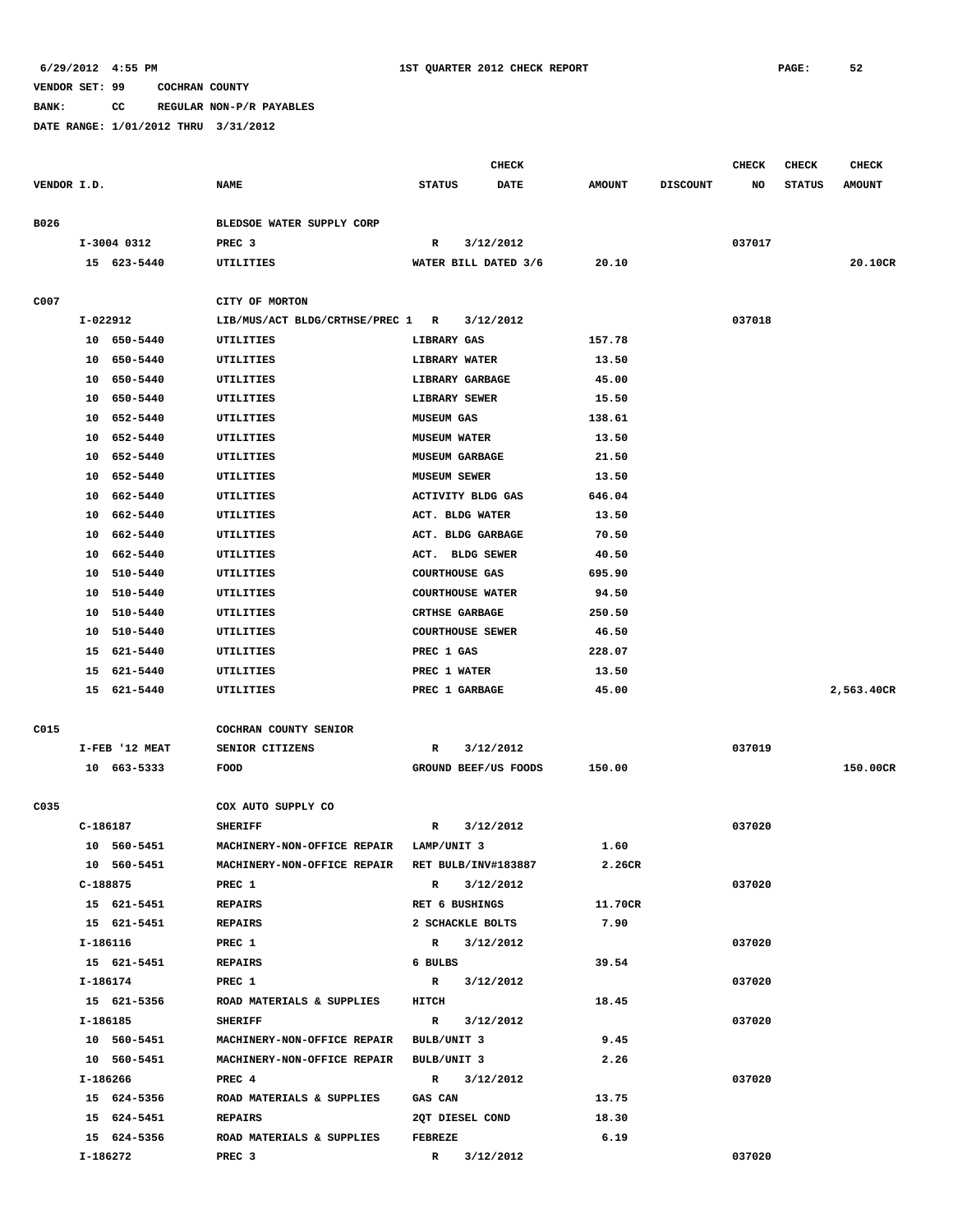**BANK: CC REGULAR NON-P/R PAYABLES**

|             |                         |                                                 | <b>CHECK</b>                 |               |                 | <b>CHECK</b> | <b>CHECK</b>  | <b>CHECK</b>  |
|-------------|-------------------------|-------------------------------------------------|------------------------------|---------------|-----------------|--------------|---------------|---------------|
| VENDOR I.D. |                         | <b>NAME</b>                                     | <b>STATUS</b><br><b>DATE</b> | <b>AMOUNT</b> | <b>DISCOUNT</b> | NO           | <b>STATUS</b> | <b>AMOUNT</b> |
|             |                         |                                                 |                              |               |                 |              |               |               |
| B026        |                         | BLEDSOE WATER SUPPLY CORP                       |                              |               |                 |              |               |               |
|             | I-3004 0312             | PREC <sub>3</sub>                               | 3/12/2012<br>R               |               |                 | 037017       |               |               |
|             | 15 623-5440             | UTILITIES                                       | WATER BILL DATED 3/6         | 20.10         |                 |              |               | 20.10CR       |
| C007        |                         | CITY OF MORTON                                  |                              |               |                 |              |               |               |
|             | I-022912                | LIB/MUS/ACT BLDG/CRTHSE/PREC 1 R                | 3/12/2012                    |               |                 | 037018       |               |               |
|             | 10 650-5440             | UTILITIES                                       | LIBRARY GAS                  | 157.78        |                 |              |               |               |
|             | 10 650-5440             | UTILITIES                                       | LIBRARY WATER                | 13.50         |                 |              |               |               |
|             | 650-5440<br>10          | UTILITIES                                       | LIBRARY GARBAGE              | 45.00         |                 |              |               |               |
|             | 650-5440<br>10          | UTILITIES                                       | LIBRARY SEWER                | 15.50         |                 |              |               |               |
|             | 10<br>652-5440          | UTILITIES                                       | <b>MUSEUM GAS</b>            | 138.61        |                 |              |               |               |
|             | 652-5440<br>10          | UTILITIES                                       | <b>MUSEUM WATER</b>          | 13.50         |                 |              |               |               |
|             | 652-5440<br>10          | UTILITIES                                       | <b>MUSEUM GARBAGE</b>        | 21.50         |                 |              |               |               |
|             | 10<br>652-5440          | UTILITIES                                       | <b>MUSEUM SEWER</b>          | 13.50         |                 |              |               |               |
|             | 662-5440<br>10          | UTILITIES                                       | <b>ACTIVITY BLDG GAS</b>     | 646.04        |                 |              |               |               |
|             | 662-5440<br>10          | UTILITIES                                       | ACT. BLDG WATER              | 13.50         |                 |              |               |               |
|             | 10<br>662-5440          | UTILITIES                                       | ACT. BLDG GARBAGE            | 70.50         |                 |              |               |               |
|             | 662-5440<br>10          | UTILITIES                                       | ACT. BLDG SEWER              | 40.50         |                 |              |               |               |
|             | 510-5440<br>10          | UTILITIES                                       | <b>COURTHOUSE GAS</b>        | 695.90        |                 |              |               |               |
|             | 510-5440<br>10          | UTILITIES                                       | <b>COURTHOUSE WATER</b>      | 94.50         |                 |              |               |               |
|             | 510-5440<br>10          | UTILITIES                                       | <b>CRTHSE GARBAGE</b>        | 250.50        |                 |              |               |               |
|             | 510-5440<br>10          | UTILITIES                                       | <b>COURTHOUSE SEWER</b>      | 46.50         |                 |              |               |               |
|             | 15<br>621-5440          | UTILITIES                                       | PREC 1 GAS                   | 228.07        |                 |              |               |               |
|             | 621-5440<br>15          | UTILITIES                                       | PREC 1 WATER                 | 13.50         |                 |              |               |               |
|             | 15 621-5440             | UTILITIES                                       | PREC 1 GARBAGE               | 45.00         |                 |              |               | 2,563.40CR    |
|             |                         |                                                 |                              |               |                 |              |               |               |
| C015        |                         | COCHRAN COUNTY SENIOR                           |                              |               |                 |              |               |               |
|             | I-FEB '12 MEAT          | SENIOR CITIZENS                                 | 3/12/2012<br>R               |               |                 | 037019       |               |               |
|             | 10 663-5333             | FOOD                                            | GROUND BEEF/US FOODS         | 150.00        |                 |              |               | 150.00CR      |
|             |                         |                                                 |                              |               |                 |              |               |               |
| C035        |                         | COX AUTO SUPPLY CO                              |                              |               |                 |              |               |               |
|             | C-186187                | <b>SHERIFF</b>                                  | R<br>3/12/2012               |               |                 | 037020       |               |               |
|             | 10 560-5451             | MACHINERY-NON-OFFICE REPAIR                     | LAMP/UNIT 3                  | 1.60          |                 |              |               |               |
|             | 10 560-5451             | MACHINERY-NON-OFFICE REPAIR RET BULB/INV#183887 |                              | 2.26CR        |                 |              |               |               |
|             | C-188875                | PREC 1                                          | R 3/12/2012                  |               |                 | 037020       |               |               |
|             | 15 621-5451             | <b>REPAIRS</b>                                  | RET 6 BUSHINGS               | 11.70CR       |                 |              |               |               |
|             | 15 621-5451             | <b>REPAIRS</b>                                  | 2 SCHACKLE BOLTS             | 7.90          |                 |              |               |               |
|             | I-186116                | PREC 1                                          | R 3/12/2012<br>6 BULBS       | 39.54         |                 | 037020       |               |               |
|             | 15 621-5451<br>I-186174 | REPAIRS<br>PREC 1                               | R 3/12/2012                  |               |                 | 037020       |               |               |
|             | 15 621-5356             | ROAD MATERIALS & SUPPLIES                       | <b>HITCH</b>                 | 18.45         |                 |              |               |               |
|             | I-186185                | <b>SHERIFF</b>                                  |                              |               |                 | 037020       |               |               |
|             | 10 560-5451             | MACHINERY-NON-OFFICE REPAIR BULB/UNIT 3         | R 3/12/2012                  | 9.45          |                 |              |               |               |
|             | 10 560-5451             | MACHINERY-NON-OFFICE REPAIR                     | BULB/UNIT 3                  | 2.26          |                 |              |               |               |
|             | I-186266                | PREC 4                                          | R 3/12/2012                  |               |                 | 037020       |               |               |
|             | 15 624-5356             | ROAD MATERIALS & SUPPLIES                       | <b>GAS CAN</b>               | 13.75         |                 |              |               |               |
|             | 15 624-5451             | <b>REPAIRS</b>                                  | 2QT DIESEL COND              | 18.30         |                 |              |               |               |
|             | 15 624-5356             | ROAD MATERIALS & SUPPLIES                       | <b>FEBREZE</b>               | 6.19          |                 |              |               |               |
|             | I-186272                | PREC 3                                          | R 3/12/2012                  |               |                 | 037020       |               |               |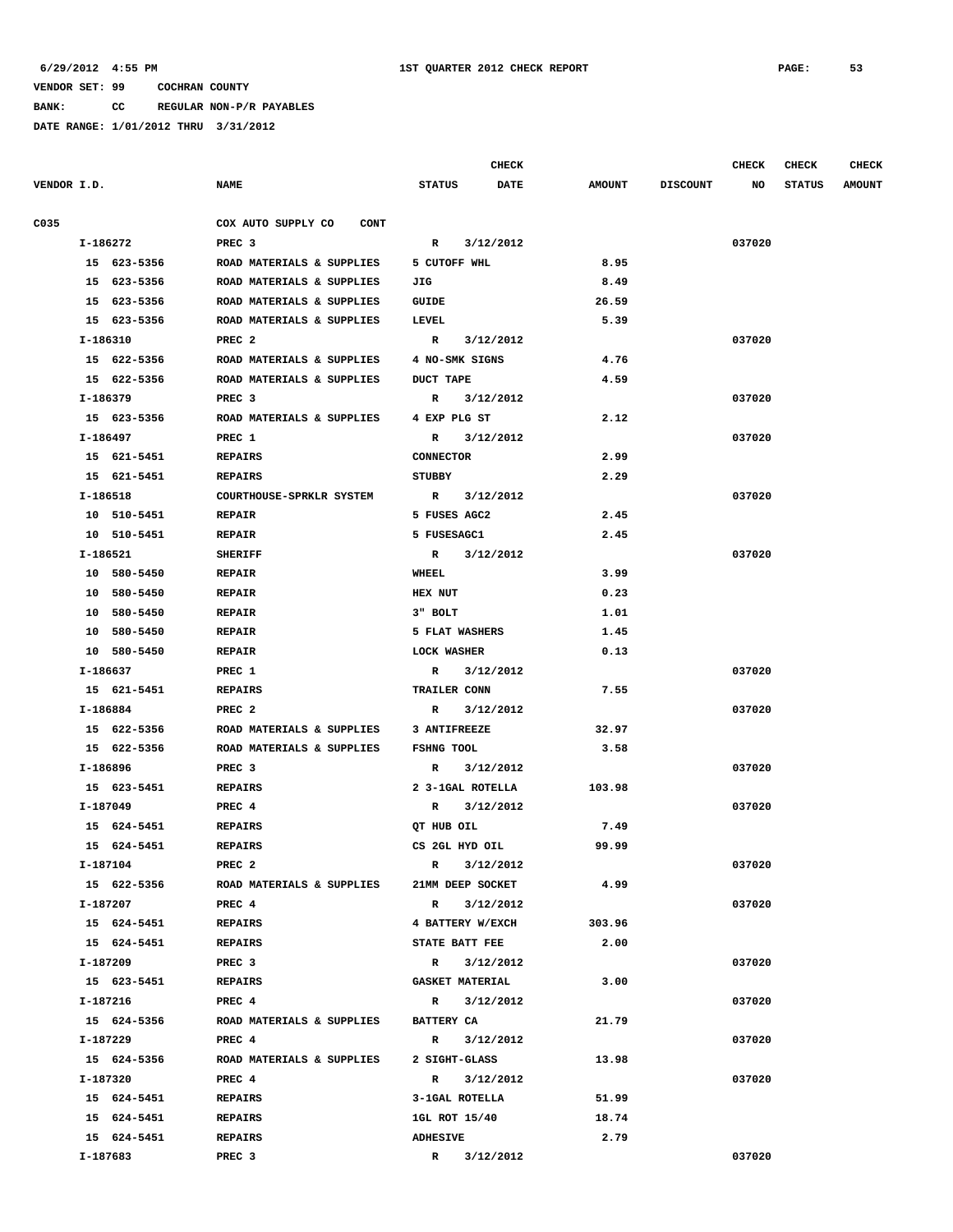**BANK: CC REGULAR NON-P/R PAYABLES**

|             |                                   | <b>CHECK</b>                 |               |                 | <b>CHECK</b> | <b>CHECK</b>  | <b>CHECK</b>  |
|-------------|-----------------------------------|------------------------------|---------------|-----------------|--------------|---------------|---------------|
| VENDOR I.D. | <b>NAME</b>                       | <b>STATUS</b><br><b>DATE</b> | <b>AMOUNT</b> | <b>DISCOUNT</b> | NO           | <b>STATUS</b> | <b>AMOUNT</b> |
| C035        | COX AUTO SUPPLY CO<br><b>CONT</b> |                              |               |                 |              |               |               |
| I-186272    | PREC <sub>3</sub>                 | 3/12/2012<br>$\mathbf{R}$    |               |                 | 037020       |               |               |
| 15 623-5356 | ROAD MATERIALS & SUPPLIES         | 5 CUTOFF WHL                 | 8.95          |                 |              |               |               |
| 15 623-5356 | ROAD MATERIALS & SUPPLIES         | JIG                          | 8.49          |                 |              |               |               |
| 15 623-5356 | ROAD MATERIALS & SUPPLIES         | GUIDE                        | 26.59         |                 |              |               |               |
| 15 623-5356 | ROAD MATERIALS & SUPPLIES         | LEVEL                        | 5.39          |                 |              |               |               |
| I-186310    | PREC <sub>2</sub>                 | R 3/12/2012                  |               |                 | 037020       |               |               |
| 15 622-5356 | ROAD MATERIALS & SUPPLIES         | 4 NO-SMK SIGNS               | 4.76          |                 |              |               |               |
| 15 622-5356 | ROAD MATERIALS & SUPPLIES         | <b>DUCT TAPE</b>             | 4.59          |                 |              |               |               |
| I-186379    | PREC 3                            | R 3/12/2012                  |               |                 | 037020       |               |               |
| 15 623-5356 | ROAD MATERIALS & SUPPLIES         | 4 EXP PLG ST                 | 2.12          |                 |              |               |               |
| I-186497    | PREC 1                            | R 3/12/2012                  |               |                 | 037020       |               |               |
| 15 621-5451 | <b>REPAIRS</b>                    | CONNECTOR                    | 2.99          |                 |              |               |               |
| 15 621-5451 | <b>REPAIRS</b>                    | STUBBY                       | 2.29          |                 |              |               |               |
| I-186518    | COURTHOUSE-SPRKLR SYSTEM          | R 3/12/2012                  |               |                 | 037020       |               |               |
| 10 510-5451 | <b>REPAIR</b>                     | 5 FUSES AGC2                 | 2.45          |                 |              |               |               |
| 10 510-5451 | <b>REPAIR</b>                     | 5 FUSESAGC1                  | 2.45          |                 |              |               |               |
| I-186521    | <b>SHERIFF</b>                    | R 3/12/2012                  |               |                 | 037020       |               |               |
| 10 580-5450 | <b>REPAIR</b>                     | WHEEL                        | 3.99          |                 |              |               |               |
| 10 580-5450 | <b>REPAIR</b>                     | HEX NUT                      | 0.23          |                 |              |               |               |
| 10 580-5450 | <b>REPAIR</b>                     | 3" BOLT                      | 1.01          |                 |              |               |               |
| 10 580-5450 | <b>REPAIR</b>                     | 5 FLAT WASHERS               | 1.45          |                 |              |               |               |
| 10 580-5450 | <b>REPAIR</b>                     | LOCK WASHER                  | 0.13          |                 |              |               |               |
| I-186637    | PREC 1                            | 3/12/2012<br>$\mathbb{R}$    |               |                 | 037020       |               |               |
| 15 621-5451 | <b>REPAIRS</b>                    | TRAILER CONN                 | 7.55          |                 |              |               |               |
| I-186884    | PREC <sub>2</sub>                 | 3/12/2012<br>$\mathbb{R}$    |               |                 | 037020       |               |               |
| 15 622-5356 | ROAD MATERIALS & SUPPLIES         | 3 ANTIFREEZE                 | 32.97         |                 |              |               |               |
| 15 622-5356 | ROAD MATERIALS & SUPPLIES         | <b>FSHNG TOOL</b>            | 3.58          |                 |              |               |               |
| I-186896    | PREC <sub>3</sub>                 | R 3/12/2012                  |               |                 | 037020       |               |               |
| 15 623-5451 | <b>REPAIRS</b>                    | 2 3-1GAL ROTELLA             | 103.98        |                 |              |               |               |
| I-187049    | PREC 4                            | R 3/12/2012                  |               |                 | 037020       |               |               |
| 15 624-5451 | <b>REPAIRS</b>                    | OT HUB OIL                   | 7.49          |                 |              |               |               |
| 15 624-5451 | <b>REPAIRS</b>                    | CS 2GL HYD OIL               | 99.99         |                 |              |               |               |
| I-187104    | PREC <sub>2</sub>                 | 3/12/2012<br>$\mathbf{R}$    |               |                 | 037020       |               |               |
| 15 622-5356 | ROAD MATERIALS & SUPPLIES         | 21MM DEEP SOCKET             | 4.99          |                 |              |               |               |
| I-187207    | PREC <sub>4</sub>                 | $\mathbb{R}$<br>3/12/2012    |               |                 | 037020       |               |               |
| 15 624-5451 | <b>REPAIRS</b>                    | 4 BATTERY W/EXCH             | 303.96        |                 |              |               |               |
| 15 624-5451 | REPAIRS                           | STATE BATT FEE               | 2.00          |                 |              |               |               |
| I-187209    | PREC 3                            | R 3/12/2012                  |               |                 | 037020       |               |               |
| 15 623-5451 | REPAIRS                           | <b>GASKET MATERIAL</b>       | 3.00          |                 |              |               |               |
| I-187216    | PREC 4                            | R 3/12/2012                  |               |                 | 037020       |               |               |
| 15 624-5356 | ROAD MATERIALS & SUPPLIES         | <b>BATTERY CA</b>            | 21.79         |                 |              |               |               |
| I-187229    | PREC 4                            | R 3/12/2012                  |               |                 | 037020       |               |               |
| 15 624-5356 | ROAD MATERIALS & SUPPLIES         | 2 SIGHT-GLASS                | 13.98         |                 |              |               |               |
| I-187320    | PREC 4                            | R 3/12/2012                  |               |                 | 037020       |               |               |
| 15 624-5451 | <b>REPAIRS</b>                    | 3-1GAL ROTELLA               | 51.99         |                 |              |               |               |
| 15 624-5451 | <b>REPAIRS</b>                    | 1GL ROT 15/40                | 18.74         |                 |              |               |               |
| 15 624-5451 | <b>REPAIRS</b>                    | <b>ADHESIVE</b>              | 2.79          |                 |              |               |               |
| I-187683    | PREC <sub>3</sub>                 | R<br>3/12/2012               |               |                 | 037020       |               |               |
|             |                                   |                              |               |                 |              |               |               |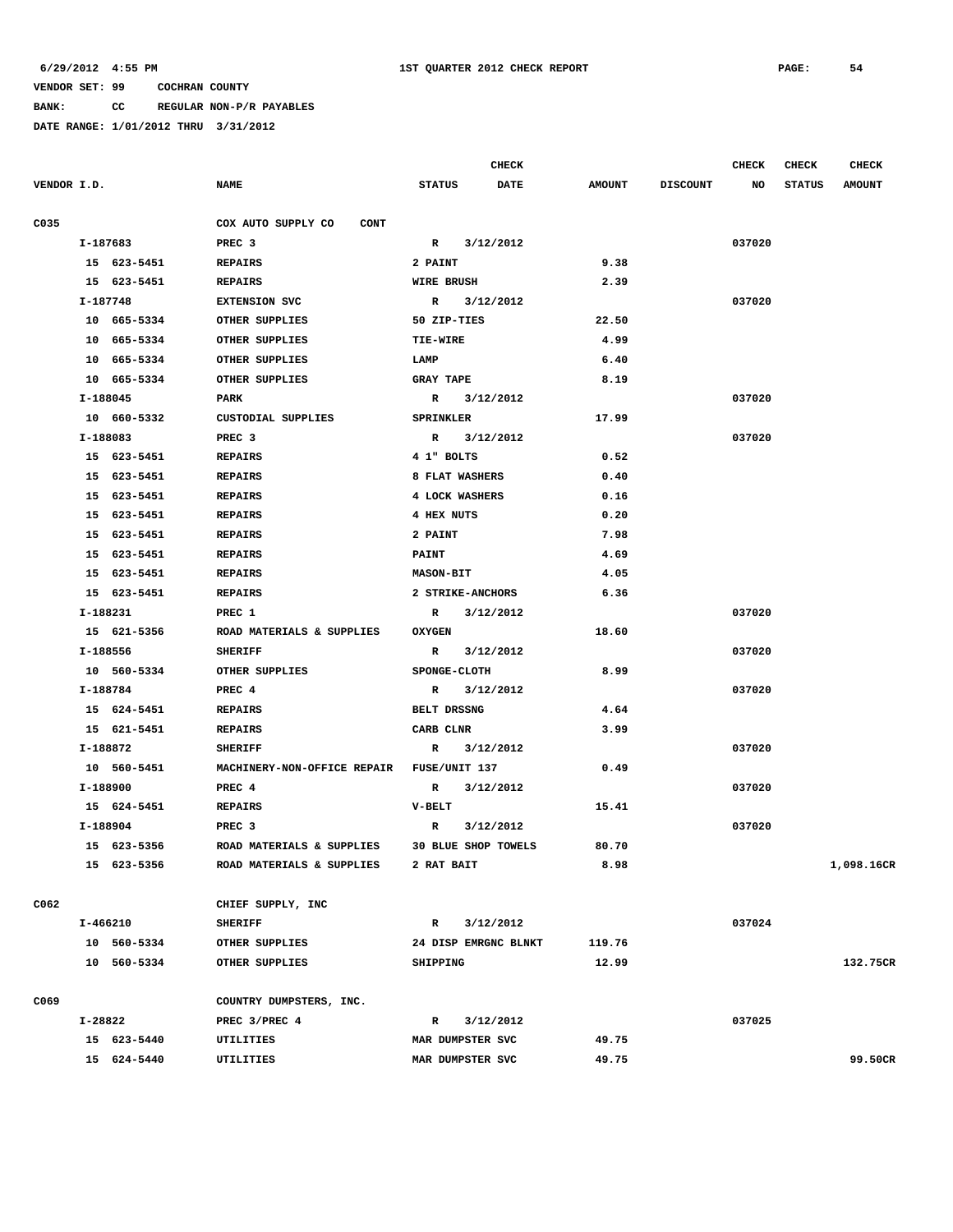**BANK: CC REGULAR NON-P/R PAYABLES**

|             |          |             |                                   |                   |                     | <b>CHECK</b>         |               |                 | CHECK  | <b>CHECK</b>  | <b>CHECK</b>  |
|-------------|----------|-------------|-----------------------------------|-------------------|---------------------|----------------------|---------------|-----------------|--------|---------------|---------------|
| VENDOR I.D. |          |             | <b>NAME</b>                       | <b>STATUS</b>     |                     | <b>DATE</b>          | <b>AMOUNT</b> | <b>DISCOUNT</b> | NO     | <b>STATUS</b> | <b>AMOUNT</b> |
|             |          |             |                                   |                   |                     |                      |               |                 |        |               |               |
| C035        |          |             | COX AUTO SUPPLY CO<br><b>CONT</b> |                   |                     |                      |               |                 |        |               |               |
|             | I-187683 |             | PREC <sub>3</sub>                 | $\mathbb{R}$      | 3/12/2012           |                      |               |                 | 037020 |               |               |
|             |          | 15 623-5451 | <b>REPAIRS</b>                    | 2 PAINT           |                     |                      | 9.38          |                 |        |               |               |
|             |          | 15 623-5451 | <b>REPAIRS</b>                    | <b>WIRE BRUSH</b> |                     |                      | 2.39          |                 |        |               |               |
|             | I-187748 |             | <b>EXTENSION SVC</b>              | $\mathbb{R}$      | 3/12/2012           |                      |               |                 | 037020 |               |               |
|             |          | 10 665-5334 | OTHER SUPPLIES                    | 50 ZIP-TIES       |                     |                      | 22.50         |                 |        |               |               |
|             |          | 10 665-5334 | OTHER SUPPLIES                    | TIE-WIRE          |                     |                      | 4.99          |                 |        |               |               |
|             |          | 10 665-5334 | <b>OTHER SUPPLIES</b>             | LAMP              |                     |                      | 6.40          |                 |        |               |               |
|             |          | 10 665-5334 | OTHER SUPPLIES                    | <b>GRAY TAPE</b>  |                     |                      | 8.19          |                 |        |               |               |
|             | I-188045 |             | PARK                              |                   | R 3/12/2012         |                      |               |                 | 037020 |               |               |
|             |          | 10 660-5332 | CUSTODIAL SUPPLIES                | <b>SPRINKLER</b>  |                     |                      | 17.99         |                 |        |               |               |
|             | I-188083 |             | PREC <sub>3</sub>                 |                   | R 3/12/2012         |                      |               |                 | 037020 |               |               |
|             |          | 15 623-5451 | <b>REPAIRS</b>                    | 4 1" BOLTS        |                     |                      | 0.52          |                 |        |               |               |
|             |          | 15 623-5451 | <b>REPAIRS</b>                    |                   | 8 FLAT WASHERS      |                      | 0.40          |                 |        |               |               |
|             |          | 15 623-5451 | <b>REPAIRS</b>                    |                   | 4 LOCK WASHERS      |                      | 0.16          |                 |        |               |               |
|             |          | 15 623-5451 | <b>REPAIRS</b>                    | <b>4 HEX NUTS</b> |                     |                      | 0.20          |                 |        |               |               |
|             |          | 15 623-5451 | <b>REPAIRS</b>                    | 2 PAINT           |                     |                      | 7.98          |                 |        |               |               |
|             |          | 15 623-5451 | <b>REPAIRS</b>                    | <b>PAINT</b>      |                     |                      | 4.69          |                 |        |               |               |
|             |          | 15 623-5451 | <b>REPAIRS</b>                    | <b>MASON-BIT</b>  |                     |                      | 4.05          |                 |        |               |               |
|             |          | 15 623-5451 | <b>REPAIRS</b>                    |                   | 2 STRIKE-ANCHORS    |                      | 6.36          |                 |        |               |               |
|             | I-188231 |             | PREC 1                            | $\mathbb{R}$      | 3/12/2012           |                      |               |                 | 037020 |               |               |
|             |          | 15 621-5356 | ROAD MATERIALS & SUPPLIES         | <b>OXYGEN</b>     |                     |                      | 18.60         |                 |        |               |               |
|             | I-188556 |             | <b>SHERIFF</b>                    | R.                | 3/12/2012           |                      |               |                 | 037020 |               |               |
|             |          | 10 560-5334 | OTHER SUPPLIES                    | SPONGE-CLOTH      |                     |                      | 8.99          |                 |        |               |               |
|             | I-188784 |             | PREC 4                            | $\mathbf{R}$      | 3/12/2012           |                      |               |                 | 037020 |               |               |
|             |          | 15 624-5451 | <b>REPAIRS</b>                    | BELT DRSSNG       |                     |                      | 4.64          |                 |        |               |               |
|             |          | 15 621-5451 | <b>REPAIRS</b>                    | CARB CLNR         |                     |                      | 3.99          |                 |        |               |               |
|             | I-188872 |             | <b>SHERIFF</b>                    | $\mathbb{R}$      | 3/12/2012           |                      |               |                 | 037020 |               |               |
|             |          | 10 560-5451 | MACHINERY-NON-OFFICE REPAIR       | FUSE/UNIT 137     |                     |                      | 0.49          |                 |        |               |               |
|             | I-188900 |             | PREC 4                            | $\mathbb{R}$      | 3/12/2012           |                      |               |                 | 037020 |               |               |
|             |          | 15 624-5451 | <b>REPAIRS</b>                    | <b>V-BELT</b>     |                     |                      | 15.41         |                 |        |               |               |
|             |          | I-188904    | PREC 3                            | $\mathbf{R}$      | 3/12/2012           |                      |               |                 | 037020 |               |               |
|             |          | 15 623-5356 | ROAD MATERIALS & SUPPLIES         |                   | 30 BLUE SHOP TOWELS |                      | 80.70         |                 |        |               |               |
|             |          | 15 623-5356 | ROAD MATERIALS & SUPPLIES         | 2 RAT BAIT        |                     |                      | 8.98          |                 |        |               | 1,098.16CR    |
|             |          |             |                                   |                   |                     |                      |               |                 |        |               |               |
| C062        |          |             | CHIEF SUPPLY, INC                 |                   |                     |                      |               |                 |        |               |               |
|             | I-466210 |             | <b>SHERIFF</b>                    | $\mathbf{R}$      | 3/12/2012           |                      |               |                 | 037024 |               |               |
|             |          | 10 560-5334 | OTHER SUPPLIES                    |                   |                     | 24 DISP EMRGNC BLNKT | 119.76        |                 |        |               |               |
|             |          | 10 560-5334 | OTHER SUPPLIES                    | SHIPPING          |                     |                      | 12.99         |                 |        |               | 132.75CR      |
| C069        |          |             | COUNTRY DUMPSTERS, INC.           |                   |                     |                      |               |                 |        |               |               |
|             | I-28822  |             | PREC 3/PREC 4                     | $\mathbf{R}$      | 3/12/2012           |                      |               |                 | 037025 |               |               |
|             |          | 15 623-5440 | UTILITIES                         | MAR DUMPSTER SVC  |                     |                      | 49.75         |                 |        |               |               |
|             |          | 15 624-5440 | UTILITIES                         | MAR DUMPSTER SVC  |                     |                      | 49.75         |                 |        |               | 99.50CR       |
|             |          |             |                                   |                   |                     |                      |               |                 |        |               |               |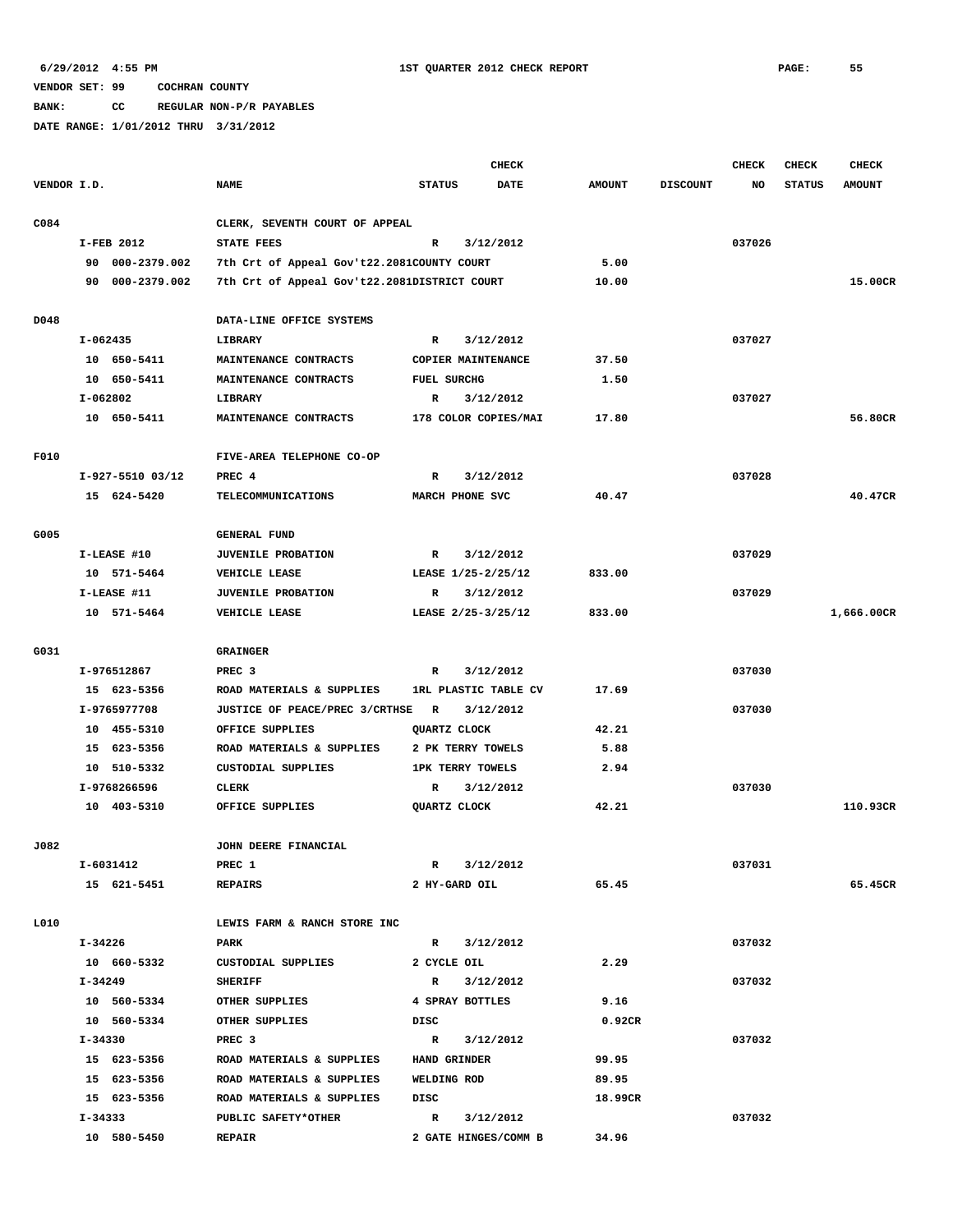**6/29/2012 4:55 PM 1ST QUARTER 2012 CHECK REPORT PAGE: 55**

### **VENDOR SET: 99 COCHRAN COUNTY**

**BANK: CC REGULAR NON-P/R PAYABLES**

|                  |                  |                                              |                            | <b>CHECK</b> |               |                 | <b>CHECK</b> | <b>CHECK</b>  | <b>CHECK</b>  |
|------------------|------------------|----------------------------------------------|----------------------------|--------------|---------------|-----------------|--------------|---------------|---------------|
| VENDOR I.D.      |                  | <b>NAME</b>                                  | <b>STATUS</b>              | <b>DATE</b>  | <b>AMOUNT</b> | <b>DISCOUNT</b> | NO           | <b>STATUS</b> | <b>AMOUNT</b> |
|                  |                  |                                              |                            |              |               |                 |              |               |               |
| C <sub>084</sub> |                  | CLERK, SEVENTH COURT OF APPEAL               |                            |              |               |                 |              |               |               |
|                  | I-FEB 2012       | <b>STATE FEES</b>                            | $\mathbb{R}$               | 3/12/2012    |               |                 | 037026       |               |               |
|                  | 90 000-2379.002  | 7th Crt of Appeal Gov't22.2081COUNTY COURT   |                            |              | 5.00          |                 |              |               |               |
|                  | 90 000-2379.002  | 7th Crt of Appeal Gov't22.2081DISTRICT COURT |                            |              | 10.00         |                 |              |               | 15.00CR       |
|                  |                  |                                              |                            |              |               |                 |              |               |               |
| D048             |                  | DATA-LINE OFFICE SYSTEMS                     |                            |              |               |                 |              |               |               |
|                  | $I-062435$       | LIBRARY                                      | R                          | 3/12/2012    |               |                 | 037027       |               |               |
|                  | 10 650-5411      | MAINTENANCE CONTRACTS                        | COPIER MAINTENANCE         |              | 37.50         |                 |              |               |               |
|                  | 10 650-5411      | MAINTENANCE CONTRACTS                        | <b>FUEL SURCHG</b>         |              | 1.50          |                 |              |               |               |
|                  | I-062802         | LIBRARY                                      | R                          | 3/12/2012    |               |                 | 037027       |               |               |
|                  | 10 650-5411      | MAINTENANCE CONTRACTS                        | 178 COLOR COPIES/MAI       |              | 17.80         |                 |              |               | 56.80CR       |
|                  |                  |                                              |                            |              |               |                 |              |               |               |
| F010             |                  | FIVE-AREA TELEPHONE CO-OP                    |                            |              |               |                 |              |               |               |
|                  | I-927-5510 03/12 | PREC <sub>4</sub>                            | R                          | 3/12/2012    |               |                 | 037028       |               |               |
|                  | 15 624-5420      | TELECOMMUNICATIONS                           | MARCH PHONE SVC            |              | 40.47         |                 |              |               | 40.47CR       |
|                  |                  |                                              |                            |              |               |                 |              |               |               |
| G005             |                  | <b>GENERAL FUND</b>                          |                            |              |               |                 |              |               |               |
|                  | I-LEASE #10      | <b>JUVENILE PROBATION</b>                    | $\mathbb{R}$               | 3/12/2012    |               |                 | 037029       |               |               |
|                  | 10 571-5464      | VEHICLE LEASE                                | LEASE 1/25-2/25/12         |              | 833.00        |                 |              |               |               |
|                  | I-LEASE #11      | <b>JUVENILE PROBATION</b>                    | R                          | 3/12/2012    |               |                 | 037029       |               |               |
|                  | 10 571-5464      | VEHICLE LEASE                                | LEASE 2/25-3/25/12         |              | 833.00        |                 |              |               | 1,666.00CR    |
|                  |                  |                                              |                            |              |               |                 |              |               |               |
| G031             |                  | <b>GRAINGER</b>                              |                            |              |               |                 |              |               |               |
|                  | I-976512867      | PREC <sub>3</sub>                            | R                          | 3/12/2012    |               |                 | 037030       |               |               |
|                  | 15 623-5356      | ROAD MATERIALS & SUPPLIES                    | 1RL PLASTIC TABLE CV       |              | 17.69         |                 |              |               |               |
|                  | I-9765977708     | JUSTICE OF PEACE/PREC 3/CRTHSE R             |                            | 3/12/2012    |               |                 | 037030       |               |               |
|                  | 10 455-5310      | OFFICE SUPPLIES                              | QUARTZ CLOCK               |              | 42.21         |                 |              |               |               |
|                  | 15 623-5356      | ROAD MATERIALS & SUPPLIES                    | 2 PK TERRY TOWELS          |              | 5.88          |                 |              |               |               |
|                  | 10 510-5332      | CUSTODIAL SUPPLIES                           | <b>1PK TERRY TOWELS</b>    |              | 2.94          |                 |              |               |               |
|                  | I-9768266596     | <b>CLERK</b>                                 | R                          | 3/12/2012    |               |                 | 037030       |               |               |
|                  | 10 403-5310      | OFFICE SUPPLIES                              | QUARTZ CLOCK               |              | 42.21         |                 |              |               | 110.93CR      |
|                  |                  |                                              |                            |              |               |                 |              |               |               |
| J082             |                  | JOHN DEERE FINANCIAL                         |                            |              |               |                 |              |               |               |
|                  | I-6031412        | PREC 1                                       | $\mathbb{R}$               | 3/12/2012    |               |                 | 037031       |               |               |
|                  | 15 621-5451      | <b>REPAIRS</b>                               | 2 HY-GARD OIL              |              | 65.45         |                 |              |               | 65.45CR       |
|                  |                  | LEWIS FARM & RANCH STORE INC                 |                            |              |               |                 |              |               |               |
| L010             |                  |                                              |                            |              |               |                 |              |               |               |
|                  | I-34226          | PARK                                         | R 3/12/2012<br>2 CYCLE OIL |              |               |                 | 037032       |               |               |
|                  | 10 660-5332      | CUSTODIAL SUPPLIES                           | R 3/12/2012                |              | 2.29          |                 |              |               |               |
|                  | I-34249          | <b>SHERIFF</b>                               |                            |              |               |                 | 037032       |               |               |
|                  | 10 560-5334      | OTHER SUPPLIES                               | 4 SPRAY BOTTLES            |              | 9.16          |                 |              |               |               |
|                  | 10 560-5334      | OTHER SUPPLIES                               | DISC                       |              | 0.92CR        |                 |              |               |               |
|                  | I-34330          | PREC <sub>3</sub>                            | R 3/12/2012                |              |               |                 | 037032       |               |               |
|                  | 15 623-5356      | ROAD MATERIALS & SUPPLIES                    | <b>HAND GRINDER</b>        |              | 99.95         |                 |              |               |               |
|                  | 15 623-5356      | ROAD MATERIALS & SUPPLIES                    | WELDING ROD                |              | 89.95         |                 |              |               |               |
|                  | 15 623-5356      | ROAD MATERIALS & SUPPLIES                    | DISC                       |              | 18.99CR       |                 |              |               |               |
|                  | I-34333          | PUBLIC SAFETY*OTHER                          | $\mathbb{R}$               | 3/12/2012    |               |                 | 037032       |               |               |
|                  | 10 580-5450      | REPAIR                                       | 2 GATE HINGES/COMM B       |              | 34.96         |                 |              |               |               |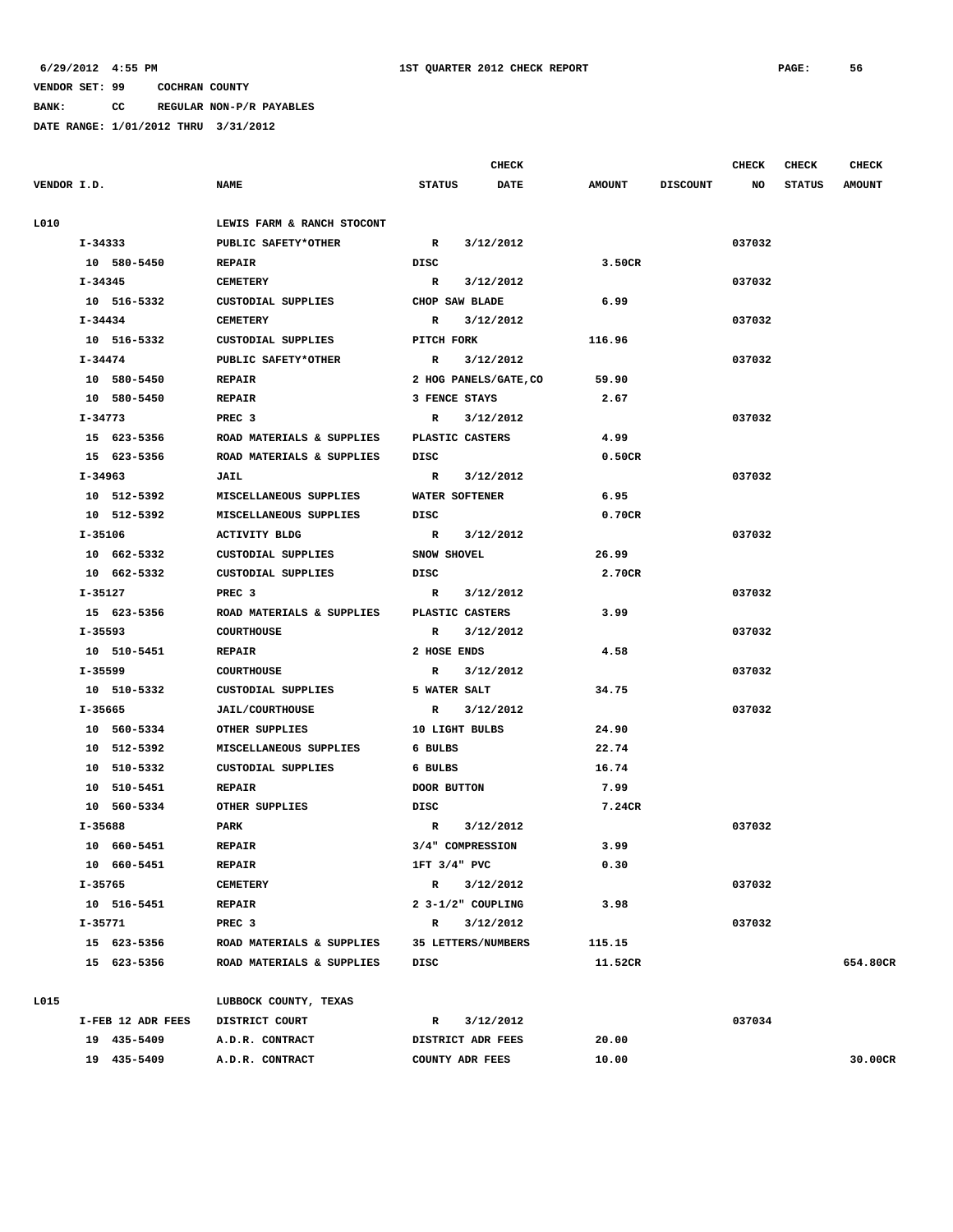**BANK: CC REGULAR NON-P/R PAYABLES**

|             |         |                   |                            |               | <b>CHECK</b>          |               |                 | <b>CHECK</b> | <b>CHECK</b>  | <b>CHECK</b>  |
|-------------|---------|-------------------|----------------------------|---------------|-----------------------|---------------|-----------------|--------------|---------------|---------------|
| VENDOR I.D. |         |                   | <b>NAME</b>                | <b>STATUS</b> | <b>DATE</b>           | <b>AMOUNT</b> | <b>DISCOUNT</b> | NO           | <b>STATUS</b> | <b>AMOUNT</b> |
| L010        |         |                   | LEWIS FARM & RANCH STOCONT |               |                       |               |                 |              |               |               |
|             |         | I-34333           | PUBLIC SAFETY*OTHER        | $\mathbb{R}$  | 3/12/2012             |               |                 | 037032       |               |               |
|             |         | 10 580-5450       | <b>REPAIR</b>              | DISC          |                       | 3.50CR        |                 |              |               |               |
|             | I-34345 |                   | <b>CEMETERY</b>            | $\mathbb{R}$  | 3/12/2012             |               |                 | 037032       |               |               |
|             |         | 10 516-5332       | CUSTODIAL SUPPLIES         |               | CHOP SAW BLADE        | 6.99          |                 |              |               |               |
|             | I-34434 |                   | <b>CEMETERY</b>            | $\mathbb{R}$  | 3/12/2012             |               |                 | 037032       |               |               |
|             |         | 10 516-5332       | <b>CUSTODIAL SUPPLIES</b>  | PITCH FORK    |                       | 116.96        |                 |              |               |               |
|             | I-34474 |                   | PUBLIC SAFETY*OTHER        | R             | 3/12/2012             |               |                 | 037032       |               |               |
|             |         | 10 580-5450       | <b>REPAIR</b>              |               | 2 HOG PANELS/GATE, CO | 59.90         |                 |              |               |               |
|             |         | 10 580-5450       | <b>REPAIR</b>              |               | 3 FENCE STAYS         | 2.67          |                 |              |               |               |
|             | I-34773 |                   | PREC <sub>3</sub>          | R             | 3/12/2012             |               |                 | 037032       |               |               |
|             |         | 15 623-5356       | ROAD MATERIALS & SUPPLIES  |               | PLASTIC CASTERS       | 4.99          |                 |              |               |               |
|             |         | 15 623-5356       | ROAD MATERIALS & SUPPLIES  | DISC          |                       | 0.50CR        |                 |              |               |               |
|             | I-34963 |                   | JAIL                       | $\mathbb{R}$  | 3/12/2012             |               |                 | 037032       |               |               |
|             |         | 10 512-5392       | MISCELLANEOUS SUPPLIES     |               | WATER SOFTENER        | 6.95          |                 |              |               |               |
|             |         | 10 512-5392       | MISCELLANEOUS SUPPLIES     | DISC          |                       | 0.70CR        |                 |              |               |               |
|             | I-35106 |                   | <b>ACTIVITY BLDG</b>       | $\mathbb{R}$  | 3/12/2012             |               |                 | 037032       |               |               |
|             |         | 10 662-5332       | CUSTODIAL SUPPLIES         | SNOW SHOVEL   |                       | 26.99         |                 |              |               |               |
|             |         | 10 662-5332       | CUSTODIAL SUPPLIES         | DISC          |                       | 2.70CR        |                 |              |               |               |
|             | I-35127 |                   | PREC 3                     | $\mathbb{R}$  | 3/12/2012             |               |                 | 037032       |               |               |
|             |         | 15 623-5356       | ROAD MATERIALS & SUPPLIES  |               | PLASTIC CASTERS       | 3.99          |                 |              |               |               |
|             | I-35593 |                   | <b>COURTHOUSE</b>          | R             | 3/12/2012             |               |                 | 037032       |               |               |
|             |         | 10 510-5451       | <b>REPAIR</b>              |               | 2 HOSE ENDS           | 4.58          |                 |              |               |               |
|             | I-35599 |                   | <b>COURTHOUSE</b>          | $\mathbb{R}$  | 3/12/2012             |               |                 | 037032       |               |               |
|             |         | 10 510-5332       | CUSTODIAL SUPPLIES         |               | 5 WATER SALT          | 34.75         |                 |              |               |               |
|             | I-35665 |                   | <b>JAIL/COURTHOUSE</b>     | $\mathbf{R}$  | 3/12/2012             |               |                 | 037032       |               |               |
|             |         | 10 560-5334       | OTHER SUPPLIES             |               | 10 LIGHT BULBS        | 24.90         |                 |              |               |               |
|             |         | 10 512-5392       | MISCELLANEOUS SUPPLIES     | 6 BULBS       |                       | 22.74         |                 |              |               |               |
|             |         | 10 510-5332       | CUSTODIAL SUPPLIES         | 6 BULBS       |                       | 16.74         |                 |              |               |               |
|             |         | 10 510-5451       | <b>REPAIR</b>              | DOOR BUTTON   |                       | 7.99          |                 |              |               |               |
|             |         | 10 560-5334       | OTHER SUPPLIES             | DISC          |                       | 7.24CR        |                 |              |               |               |
|             | I-35688 |                   | PARK                       | R             | 3/12/2012             |               |                 | 037032       |               |               |
|             |         | 10 660-5451       | <b>REPAIR</b>              |               | 3/4" COMPRESSION      | 3.99          |                 |              |               |               |
|             |         | 10 660-5451       | <b>REPAIR</b>              |               | 1FT 3/4" PVC          | 0.30          |                 |              |               |               |
|             | I-35765 |                   | <b>CEMETERY</b>            | $\mathbf{R}$  | 3/12/2012             |               |                 | 037032       |               |               |
|             |         | 10 516-5451       | <b>REPAIR</b>              |               | 2 3-1/2" COUPLING     | 3.98          |                 |              |               |               |
|             | I-35771 |                   | PREC <sub>3</sub>          | $\mathbb{R}$  | 3/12/2012             |               |                 | 037032       |               |               |
|             |         | 15 623-5356       | ROAD MATERIALS & SUPPLIES  |               | 35 LETTERS/NUMBERS    | 115.15        |                 |              |               |               |
|             |         | 15 623-5356       | ROAD MATERIALS & SUPPLIES  | DISC          |                       | 11.52CR       |                 |              |               | 654.80CR      |
| L015        |         |                   | LUBBOCK COUNTY, TEXAS      |               |                       |               |                 |              |               |               |
|             |         | I-FEB 12 ADR FEES | DISTRICT COURT             | R             | 3/12/2012             |               |                 | 037034       |               |               |
|             |         | 19 435-5409       | A.D.R. CONTRACT            |               | DISTRICT ADR FEES     | 20.00         |                 |              |               |               |
|             |         | 19 435-5409       | A.D.R. CONTRACT            |               | COUNTY ADR FEES       | 10.00         |                 |              |               | 30.00CR       |
|             |         |                   |                            |               |                       |               |                 |              |               |               |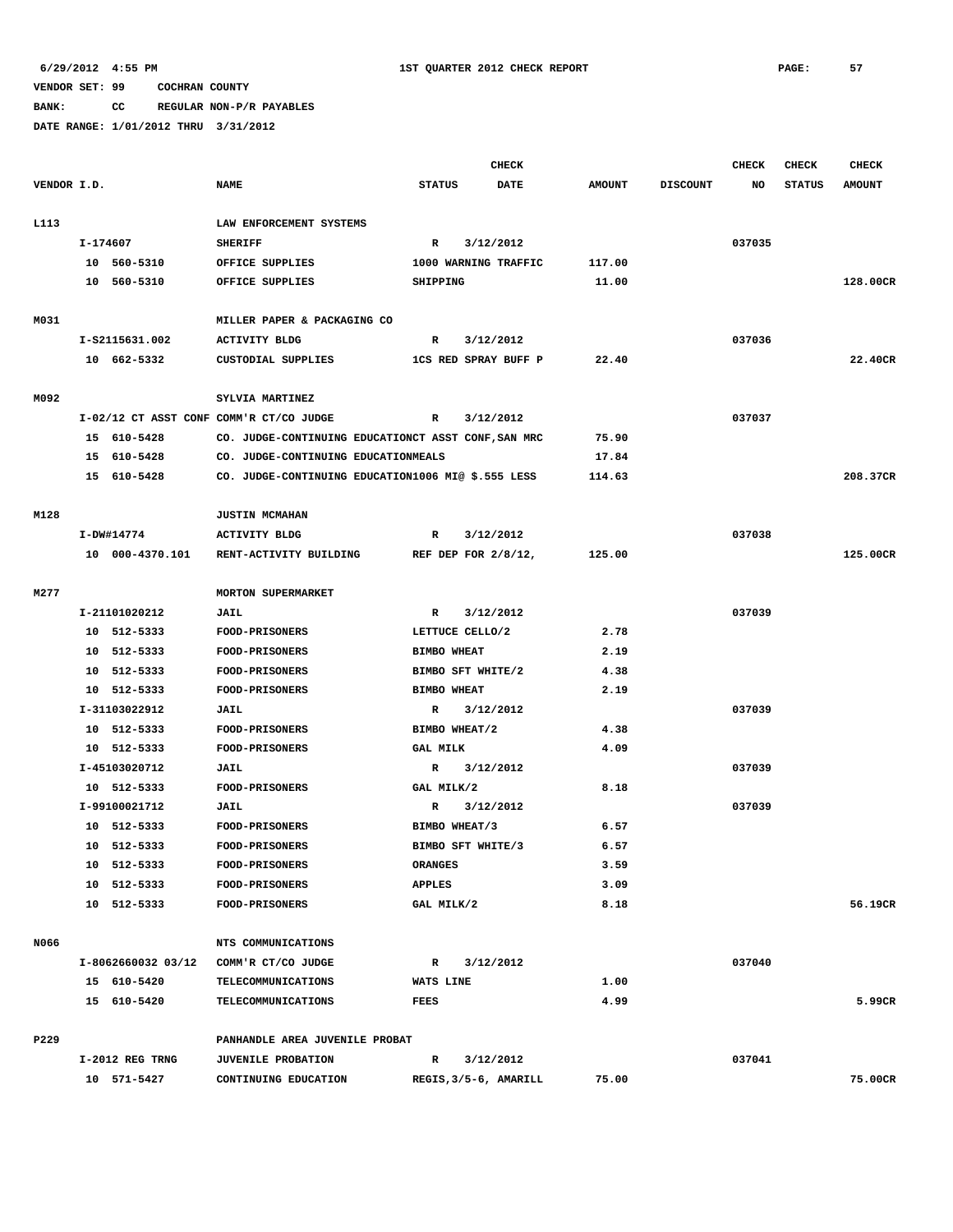**BANK: CC REGULAR NON-P/R PAYABLES**

|             |          |                    |                                                     |                    | <b>CHECK</b>                |               |                 | <b>CHECK</b> | <b>CHECK</b>  | <b>CHECK</b>  |
|-------------|----------|--------------------|-----------------------------------------------------|--------------------|-----------------------------|---------------|-----------------|--------------|---------------|---------------|
| VENDOR I.D. |          |                    | <b>NAME</b>                                         | <b>STATUS</b>      | <b>DATE</b>                 | <b>AMOUNT</b> | <b>DISCOUNT</b> | NO           | <b>STATUS</b> | <b>AMOUNT</b> |
| L113        |          |                    | LAW ENFORCEMENT SYSTEMS                             |                    |                             |               |                 |              |               |               |
|             | I-174607 |                    | <b>SHERIFF</b>                                      | $\mathbb{R}$       | 3/12/2012                   |               |                 | 037035       |               |               |
|             |          | 10 560-5310        | OFFICE SUPPLIES                                     |                    | 1000 WARNING TRAFFIC        | 117.00        |                 |              |               |               |
|             |          | 10 560-5310        | OFFICE SUPPLIES                                     | SHIPPING           |                             | 11.00         |                 |              |               | 128.00CR      |
| M031        |          |                    | MILLER PAPER & PACKAGING CO                         |                    |                             |               |                 |              |               |               |
|             |          | I-S2115631.002     | <b>ACTIVITY BLDG</b>                                | R                  | 3/12/2012                   |               |                 | 037036       |               |               |
|             |          | 10 662-5332        | CUSTODIAL SUPPLIES                                  |                    | <b>1CS RED SPRAY BUFF P</b> | 22.40         |                 |              |               | 22.40CR       |
|             |          |                    |                                                     |                    |                             |               |                 |              |               |               |
| M092        |          |                    | SYLVIA MARTINEZ                                     |                    |                             |               |                 |              |               |               |
|             |          |                    | I-02/12 CT ASST CONF COMM'R CT/CO JUDGE             | R                  | 3/12/2012                   |               |                 | 037037       |               |               |
|             |          | 15 610-5428        | CO. JUDGE-CONTINUING EDUCATIONCT ASST CONF, SAN MRC |                    |                             | 75.90         |                 |              |               |               |
|             |          | 15 610-5428        | CO. JUDGE-CONTINUING EDUCATIONMEALS                 |                    |                             | 17.84         |                 |              |               |               |
|             |          | 15 610-5428        | CO. JUDGE-CONTINUING EDUCATION1006 MI@ \$.555 LESS  |                    |                             | 114.63        |                 |              |               | 208.37CR      |
| M128        |          |                    | <b>JUSTIN MCMAHAN</b>                               |                    |                             |               |                 |              |               |               |
|             |          | I-DW#14774         | <b>ACTIVITY BLDG</b>                                | R                  | 3/12/2012                   |               |                 | 037038       |               |               |
|             |          | 10 000-4370.101    | RENT-ACTIVITY BUILDING                              |                    | REF DEP FOR 2/8/12,         | 125.00        |                 |              |               | 125.00CR      |
|             |          |                    |                                                     |                    |                             |               |                 |              |               |               |
| M277        |          |                    | <b>MORTON SUPERMARKET</b>                           |                    |                             |               |                 |              |               |               |
|             |          | I-21101020212      | <b>JAIL</b>                                         | $\mathbb{R}$       | 3/12/2012                   |               |                 | 037039       |               |               |
|             |          | 10 512-5333        | FOOD-PRISONERS                                      |                    | LETTUCE CELLO/2             | 2.78          |                 |              |               |               |
|             |          | 10 512-5333        | <b>FOOD-PRISONERS</b>                               | <b>BIMBO WHEAT</b> |                             | 2.19          |                 |              |               |               |
|             |          | 10 512-5333        | <b>FOOD-PRISONERS</b>                               |                    | BIMBO SFT WHITE/2           | 4.38          |                 |              |               |               |
|             |          | 10 512-5333        | FOOD-PRISONERS                                      | <b>BIMBO WHEAT</b> |                             | 2.19          |                 |              |               |               |
|             |          | I-31103022912      | <b>JAIL</b>                                         | R                  | 3/12/2012                   |               |                 | 037039       |               |               |
|             |          | 10 512-5333        | <b>FOOD-PRISONERS</b>                               | BIMBO WHEAT/2      |                             | 4.38          |                 |              |               |               |
|             |          | 10 512-5333        | <b>FOOD-PRISONERS</b>                               | <b>GAL MILK</b>    |                             | 4.09          |                 |              |               |               |
|             |          | I-45103020712      | <b>JAIL</b>                                         | R                  | 3/12/2012                   |               |                 | 037039       |               |               |
|             |          | 10 512-5333        | <b>FOOD-PRISONERS</b>                               | GAL MILK/2         |                             | 8.18          |                 |              |               |               |
|             |          | I-99100021712      | JAIL                                                | R                  | 3/12/2012                   |               |                 | 037039       |               |               |
|             |          | 10 512-5333        | FOOD-PRISONERS                                      | BIMBO WHEAT/3      |                             | 6.57          |                 |              |               |               |
|             |          | 10 512-5333        | <b>FOOD-PRISONERS</b>                               |                    | BIMBO SFT WHITE/3           | 6.57          |                 |              |               |               |
|             |          | 10 512-5333        | <b>FOOD-PRISONERS</b>                               | <b>ORANGES</b>     |                             | 3.59          |                 |              |               |               |
|             |          | 10 512-5333        | <b>FOOD-PRISONERS</b>                               | <b>APPLES</b>      |                             | 3.09          |                 |              |               |               |
|             |          | 10 512-5333        | FOOD-PRISONERS                                      | GAL MILK/2         |                             | 8.18          |                 |              |               | 56.19CR       |
| N066        |          |                    | NTS COMMUNICATIONS                                  |                    |                             |               |                 |              |               |               |
|             |          | I-8062660032 03/12 | COMM'R CT/CO JUDGE                                  | R                  | 3/12/2012                   |               |                 | 037040       |               |               |
|             |          | 15 610-5420        | <b>TELECOMMUNICATIONS</b>                           | WATS LINE          |                             | 1.00          |                 |              |               |               |
|             |          | 15 610-5420        | <b>TELECOMMUNICATIONS</b>                           | FEES               |                             | 4.99          |                 |              |               | 5.99CR        |
|             |          |                    |                                                     |                    |                             |               |                 |              |               |               |
| P229        |          |                    | PANHANDLE AREA JUVENILE PROBAT                      |                    |                             |               |                 |              |               |               |
|             |          | I-2012 REG TRNG    | <b>JUVENILE PROBATION</b>                           | R                  | 3/12/2012                   |               |                 | 037041       |               |               |
|             |          | 10 571-5427        | CONTINUING EDUCATION                                |                    | REGIS, 3/5-6, AMARILL       | 75.00         |                 |              |               | 75.00CR       |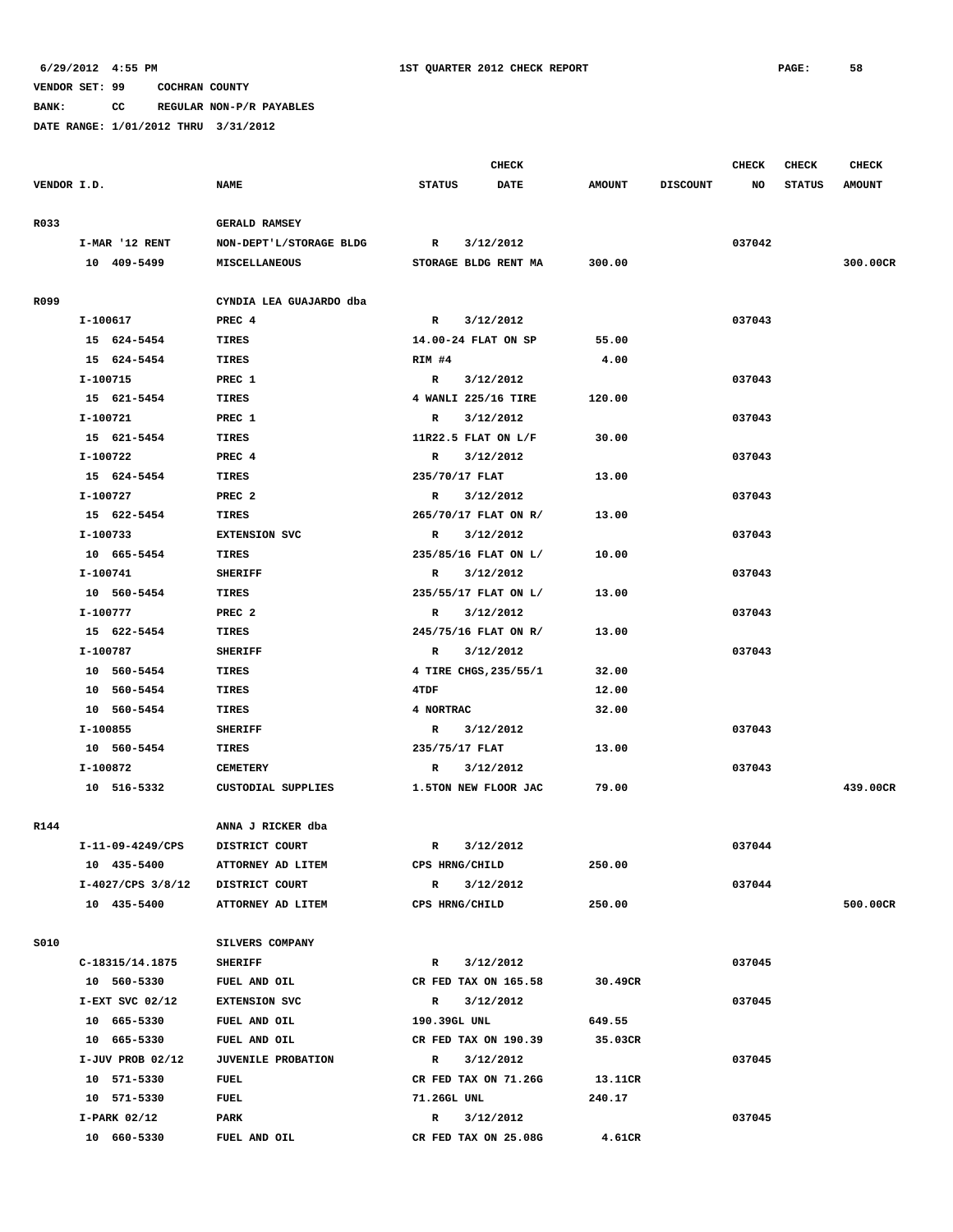**BANK: CC REGULAR NON-P/R PAYABLES**

|             |                    |                           |                | <b>CHECK</b>          |               |                 | CHECK  | <b>CHECK</b>  | <b>CHECK</b>  |
|-------------|--------------------|---------------------------|----------------|-----------------------|---------------|-----------------|--------|---------------|---------------|
| VENDOR I.D. |                    | <b>NAME</b>               | <b>STATUS</b>  | <b>DATE</b>           | <b>AMOUNT</b> | <b>DISCOUNT</b> | NO     | <b>STATUS</b> | <b>AMOUNT</b> |
| R033        |                    | <b>GERALD RAMSEY</b>      |                |                       |               |                 |        |               |               |
|             | I-MAR '12 RENT     | NON-DEPT'L/STORAGE BLDG   | $\mathbf{R}$   | 3/12/2012             |               |                 | 037042 |               |               |
|             | 10 409-5499        | <b>MISCELLANEOUS</b>      |                | STORAGE BLDG RENT MA  | 300.00        |                 |        |               | 300.00CR      |
|             |                    |                           |                |                       |               |                 |        |               |               |
| R099        |                    | CYNDIA LEA GUAJARDO dba   |                |                       |               |                 |        |               |               |
|             | I-100617           | PREC 4                    | $\mathbb{R}$   | 3/12/2012             |               |                 | 037043 |               |               |
|             | 15 624-5454        | TIRES                     |                | 14.00-24 FLAT ON SP   | 55.00         |                 |        |               |               |
|             | 15 624-5454        | TIRES                     | RIM #4         |                       | 4.00          |                 |        |               |               |
|             | I-100715           | PREC 1                    | $\mathbb{R}$   | 3/12/2012             |               |                 | 037043 |               |               |
|             | 15 621-5454        | TIRES                     |                | 4 WANLI 225/16 TIRE   | 120.00        |                 |        |               |               |
|             | I-100721           | PREC 1                    | R              | 3/12/2012             |               |                 | 037043 |               |               |
|             | 15 621-5454        | TIRES                     |                | 11R22.5 FLAT ON L/F   | 30.00         |                 |        |               |               |
|             | I-100722           | PREC 4                    | $\mathbb{R}$   | 3/12/2012             |               |                 | 037043 |               |               |
|             | 15 624-5454        | TIRES                     | 235/70/17 FLAT |                       | 13.00         |                 |        |               |               |
|             | I-100727           | PREC <sub>2</sub>         |                | R 3/12/2012           |               |                 | 037043 |               |               |
|             | 15 622-5454        | <b>TIRES</b>              |                | 265/70/17 FLAT ON R/  | 13.00         |                 |        |               |               |
|             | I-100733           | <b>EXTENSION SVC</b>      | $\mathbf{R}$   | 3/12/2012             |               |                 | 037043 |               |               |
|             | 10 665-5454        | TIRES                     |                | 235/85/16 FLAT ON L/  | 10.00         |                 |        |               |               |
|             | I-100741           | <b>SHERIFF</b>            | $\mathbb{R}$   | 3/12/2012             |               |                 | 037043 |               |               |
|             | 10 560-5454        | TIRES                     |                | 235/55/17 FLAT ON L/  | 13.00         |                 |        |               |               |
|             | I-100777           | PREC <sub>2</sub>         | $\mathbb{R}$   | 3/12/2012             |               |                 | 037043 |               |               |
|             | 15 622-5454        | TIRES                     |                | 245/75/16 FLAT ON R/  | 13.00         |                 |        |               |               |
|             | I-100787           | <b>SHERIFF</b>            | R              | 3/12/2012             |               |                 | 037043 |               |               |
|             | 10 560-5454        | TIRES                     |                | 4 TIRE CHGS, 235/55/1 | 32.00         |                 |        |               |               |
|             | 10 560-5454        | <b>TIRES</b>              | 4TDF           |                       | 12.00         |                 |        |               |               |
|             | 10 560-5454        | TIRES                     | 4 NORTRAC      |                       | 32.00         |                 |        |               |               |
|             | I-100855           | <b>SHERIFF</b>            |                | R 3/12/2012           |               |                 | 037043 |               |               |
|             | 10 560-5454        | <b>TIRES</b>              | 235/75/17 FLAT |                       | 13.00         |                 |        |               |               |
|             | I-100872           | <b>CEMETERY</b>           | $\mathbf{R}$   | 3/12/2012             |               |                 | 037043 |               |               |
|             | 10 516-5332        | <b>CUSTODIAL SUPPLIES</b> |                | 1.5TON NEW FLOOR JAC  | 79.00         |                 |        |               | 439.00CR      |
|             |                    |                           |                |                       |               |                 |        |               |               |
| R144        |                    | ANNA J RICKER dba         |                |                       |               |                 |        |               |               |
|             | I-11-09-4249/CPS   | DISTRICT COURT            | R              | 3/12/2012             |               |                 | 037044 |               |               |
|             | 10 435-5400        | ATTORNEY AD LITEM         | CPS HRNG/CHILD |                       | 250.00        |                 |        |               |               |
|             | I-4027/CPS 3/8/12  | DISTRICT COURT            | $\mathbb{R}$   | 3/12/2012             |               |                 | 037044 |               |               |
|             | 10 435-5400        | ATTORNEY AD LITEM         | CPS HRNG/CHILD |                       | 250.00        |                 |        |               | 500.00CR      |
| S010        |                    | SILVERS COMPANY           |                |                       |               |                 |        |               |               |
|             | C-18315/14.1875    | SHERIFF                   | $\mathbb{R}$   | 3/12/2012             |               |                 | 037045 |               |               |
|             | 10 560-5330        | FUEL AND OIL              |                | CR FED TAX ON 165.58  | 30.49CR       |                 |        |               |               |
|             | $I-EXT$ SVC 02/12  | <b>EXTENSION SVC</b>      | $\mathbf{R}$   | 3/12/2012             |               |                 | 037045 |               |               |
|             | 10 665-5330        | FUEL AND OIL              | 190.39GL UNL   |                       | 649.55        |                 |        |               |               |
|             | 10 665-5330        | FUEL AND OIL              |                | CR FED TAX ON 190.39  | 35.03CR       |                 |        |               |               |
|             | $I-JUV$ PROB 02/12 | <b>JUVENILE PROBATION</b> | $\mathbf{R}$   | 3/12/2012             |               |                 | 037045 |               |               |
|             | 10 571-5330        | FUEL                      |                | CR FED TAX ON 71.26G  | 13.11CR       |                 |        |               |               |
|             | 10 571-5330        | FUEL                      | 71.26GL UNL    |                       | 240.17        |                 |        |               |               |
|             | $I-PARK$ 02/12     | PARK                      | $\mathbf{R}$   | 3/12/2012             |               |                 | 037045 |               |               |
|             | 10 660-5330        | FUEL AND OIL              |                | CR FED TAX ON 25.08G  | 4.61CR        |                 |        |               |               |
|             |                    |                           |                |                       |               |                 |        |               |               |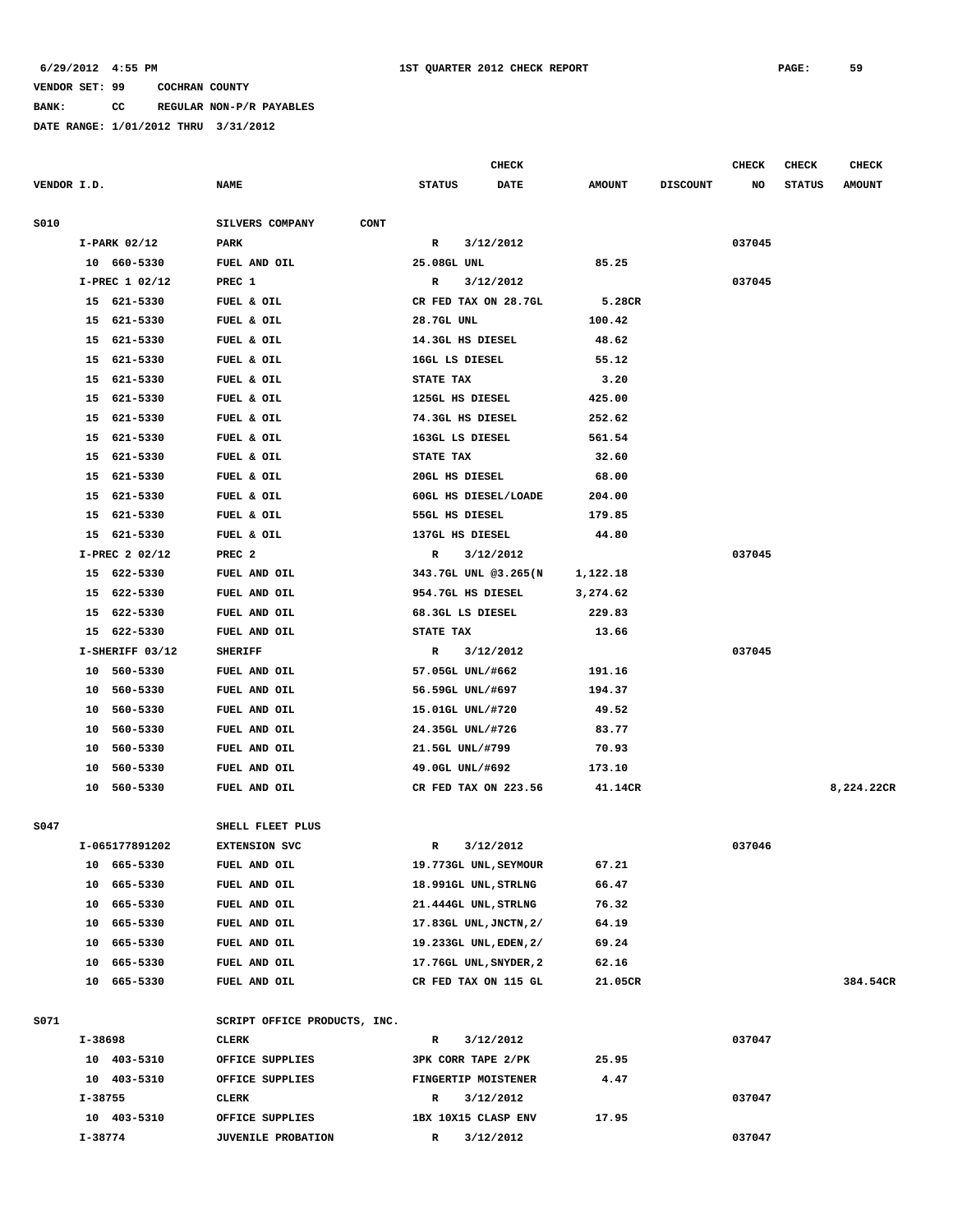**BANK: CC REGULAR NON-P/R PAYABLES**

|             |         |                 |                              |               | <b>CHECK</b>           |               |                 | <b>CHECK</b> | <b>CHECK</b>  | <b>CHECK</b>  |
|-------------|---------|-----------------|------------------------------|---------------|------------------------|---------------|-----------------|--------------|---------------|---------------|
| VENDOR I.D. |         |                 | <b>NAME</b>                  | <b>STATUS</b> | <b>DATE</b>            | <b>AMOUNT</b> | <b>DISCOUNT</b> | NO           | <b>STATUS</b> | <b>AMOUNT</b> |
| <b>S010</b> |         |                 | SILVERS COMPANY<br>CONT      |               |                        |               |                 |              |               |               |
|             |         | $I-PARK$ 02/12  | PARK                         | R             | 3/12/2012              |               |                 | 037045       |               |               |
|             |         | 10 660-5330     | FUEL AND OIL                 | 25.08GL UNL   |                        | 85.25         |                 |              |               |               |
|             |         | I-PREC 1 02/12  | PREC 1                       | $\mathbf{R}$  | 3/12/2012              |               |                 | 037045       |               |               |
|             |         | 15 621-5330     | FUEL & OIL                   |               | CR FED TAX ON 28.7GL   | 5.28CR        |                 |              |               |               |
|             |         | 15 621-5330     | FUEL & OIL                   | 28.7GL UNL    |                        | 100.42        |                 |              |               |               |
|             |         | 15 621-5330     | FUEL & OIL                   |               | 14.3GL HS DIESEL       | 48.62         |                 |              |               |               |
|             | 15      | 621-5330        | FUEL & OIL                   |               | 16GL LS DIESEL         | 55.12         |                 |              |               |               |
|             | 15      | 621-5330        | FUEL & OIL                   | STATE TAX     |                        | 3.20          |                 |              |               |               |
|             | 15      | 621-5330        | FUEL & OIL                   |               | 125GL HS DIESEL        | 425.00        |                 |              |               |               |
|             | 15      | 621-5330        | FUEL & OIL                   |               | 74.3GL HS DIESEL       | 252.62        |                 |              |               |               |
|             |         | 15 621-5330     | FUEL & OIL                   |               | 163GL LS DIESEL        | 561.54        |                 |              |               |               |
|             |         | 15 621-5330     | FUEL & OIL                   | STATE TAX     |                        | 32.60         |                 |              |               |               |
|             | 15      | 621-5330        | FUEL & OIL                   |               | 20GL HS DIESEL         | 68.00         |                 |              |               |               |
|             |         | 15 621-5330     | FUEL & OIL                   |               | 60GL HS DIESEL/LOADE   | 204.00        |                 |              |               |               |
|             | 15      | 621-5330        | FUEL & OIL                   |               | 55GL HS DIESEL         | 179.85        |                 |              |               |               |
|             | 15      | 621-5330        | FUEL & OIL                   |               | 137GL HS DIESEL        | 44.80         |                 |              |               |               |
|             |         | I-PREC 2 02/12  | PREC <sub>2</sub>            | R             | 3/12/2012              |               |                 | 037045       |               |               |
|             |         | 15 622-5330     | FUEL AND OIL                 |               | 343.7GL UNL @3.265(N   | 1,122.18      |                 |              |               |               |
|             | 15      | 622-5330        | FUEL AND OIL                 |               | 954.7GL HS DIESEL      | 3,274.62      |                 |              |               |               |
|             | 15      | 622-5330        | FUEL AND OIL                 |               | 68.3GL LS DIESEL       | 229.83        |                 |              |               |               |
|             | 15      | 622-5330        | FUEL AND OIL                 | STATE TAX     |                        | 13.66         |                 |              |               |               |
|             |         | I-SHERIFF 03/12 | <b>SHERIFF</b>               | R             | 3/12/2012              |               |                 | 037045       |               |               |
|             |         | 10 560-5330     | FUEL AND OIL                 |               | 57.05GL UNL/#662       | 191.16        |                 |              |               |               |
|             |         | 10 560-5330     | FUEL AND OIL                 |               | 56.59GL UNL/#697       | 194.37        |                 |              |               |               |
|             | 10      | 560-5330        | FUEL AND OIL                 |               | 15.01GL UNL/#720       | 49.52         |                 |              |               |               |
|             | 10      | 560-5330        | FUEL AND OIL                 |               | 24.35GL UNL/#726       | 83.77         |                 |              |               |               |
|             | 10      | 560-5330        | FUEL AND OIL                 |               | 21.5GL UNL/#799        | 70.93         |                 |              |               |               |
|             | 10      | 560-5330        | FUEL AND OIL                 |               | 49.0GL UNL/#692        | 173.10        |                 |              |               |               |
|             |         | 10 560-5330     | FUEL AND OIL                 |               | CR FED TAX ON 223.56   | 41.14CR       |                 |              |               | 8,224.22CR    |
|             |         |                 |                              |               |                        |               |                 |              |               |               |
| S047        |         |                 | SHELL FLEET PLUS             |               |                        |               |                 |              |               |               |
|             |         | I-065177891202  | <b>EXTENSION SVC</b>         | R             | 3/12/2012              |               |                 | 037046       |               |               |
|             | 10      | 665-5330        | FUEL AND OIL                 |               | 19.773GL UNL, SEYMOUR  | 67.21         |                 |              |               |               |
|             |         | 10 665-5330     | FUEL AND OIL                 |               | 18.991GL UNL, STRLNG   | 66.47         |                 |              |               |               |
|             |         | 10 665-5330     | FUEL AND OIL                 |               | 21.444GL UNL, STRLNG   | 76.32         |                 |              |               |               |
|             |         | 10 665-5330     | FUEL AND OIL                 |               | 17.83GL UNL, JNCTN, 2/ | 64.19         |                 |              |               |               |
|             |         | 10 665-5330     | FUEL AND OIL                 |               | 19.233GL UNL, EDEN, 2/ | 69.24         |                 |              |               |               |
|             |         | 10 665-5330     | FUEL AND OIL                 |               | 17.76GL UNL, SNYDER, 2 | 62.16         |                 |              |               |               |
|             |         | 10 665-5330     | FUEL AND OIL                 |               | CR FED TAX ON 115 GL   | 21.05CR       |                 |              |               | 384.54CR      |
|             |         |                 |                              |               |                        |               |                 |              |               |               |
| S071        |         |                 | SCRIPT OFFICE PRODUCTS, INC. |               |                        |               |                 |              |               |               |
|             | I-38698 |                 | CLERK                        | R             | 3/12/2012              |               |                 | 037047       |               |               |
|             |         | 10 403-5310     | OFFICE SUPPLIES              |               | 3PK CORR TAPE 2/PK     | 25.95         |                 |              |               |               |
|             |         | 10 403-5310     | OFFICE SUPPLIES              |               | FINGERTIP MOISTENER    | 4.47          |                 |              |               |               |
|             | I-38755 |                 | CLERK                        | R             | 3/12/2012              |               |                 | 037047       |               |               |
|             |         | 10 403-5310     | OFFICE SUPPLIES              |               | 1BX 10X15 CLASP ENV    | 17.95         |                 |              |               |               |
|             | I-38774 |                 | <b>JUVENILE PROBATION</b>    | R             | 3/12/2012              |               |                 | 037047       |               |               |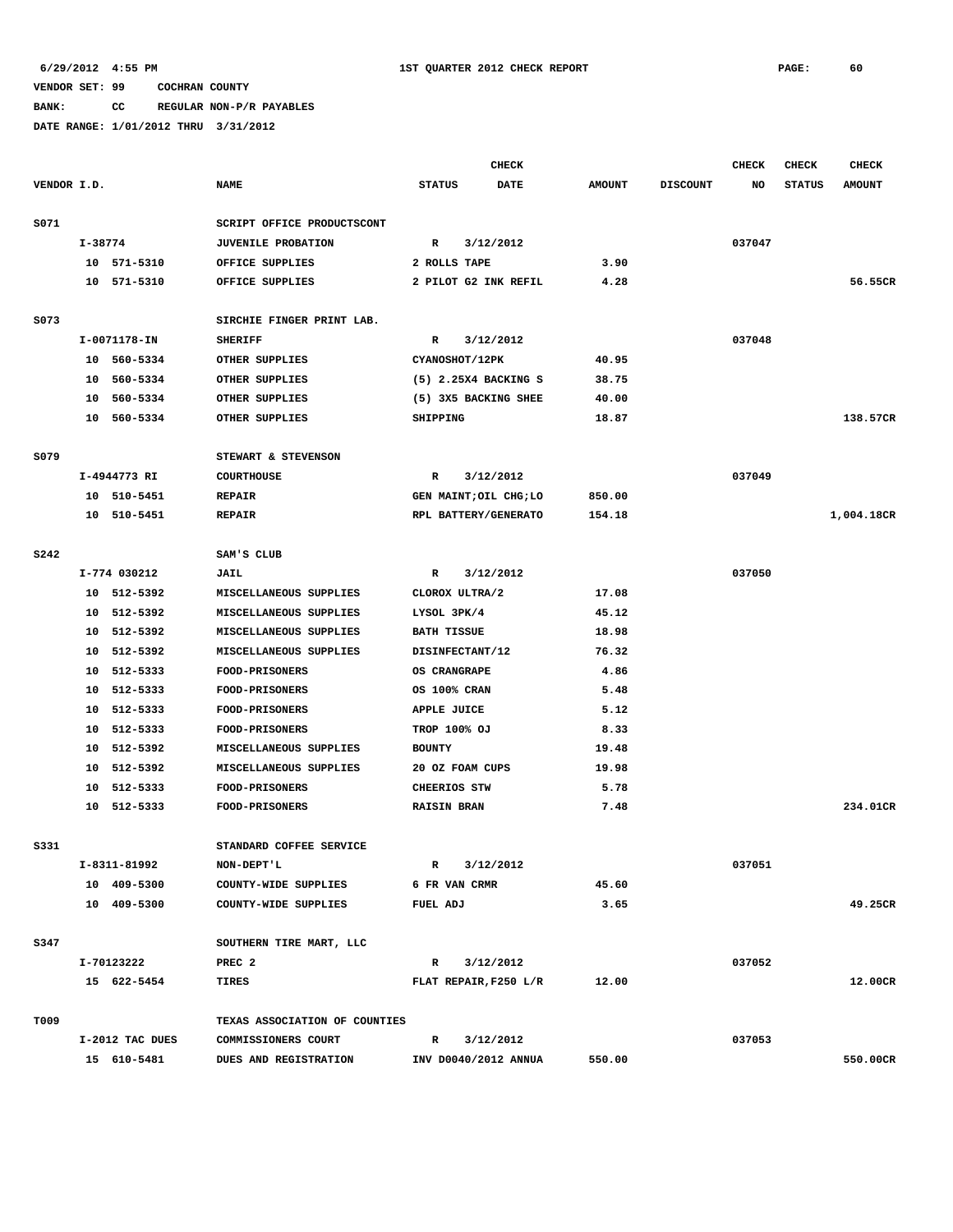**BANK: CC REGULAR NON-P/R PAYABLES**

|             |         |                 |                               |                    | <b>CHECK</b>           |               |                 | CHECK  | <b>CHECK</b>  | CHECK         |
|-------------|---------|-----------------|-------------------------------|--------------------|------------------------|---------------|-----------------|--------|---------------|---------------|
| VENDOR I.D. |         |                 | <b>NAME</b>                   | <b>STATUS</b>      | <b>DATE</b>            | <b>AMOUNT</b> | <b>DISCOUNT</b> | NO     | <b>STATUS</b> | <b>AMOUNT</b> |
| S071        |         |                 | SCRIPT OFFICE PRODUCTSCONT    |                    |                        |               |                 |        |               |               |
|             | I-38774 |                 | <b>JUVENILE PROBATION</b>     | $\mathbb{R}$       | 3/12/2012              |               |                 | 037047 |               |               |
|             |         | 10 571-5310     | OFFICE SUPPLIES               | 2 ROLLS TAPE       |                        | 3.90          |                 |        |               |               |
|             |         | 10 571-5310     | OFFICE SUPPLIES               |                    | 2 PILOT G2 INK REFIL   | 4.28          |                 |        |               | 56.55CR       |
|             |         |                 |                               |                    |                        |               |                 |        |               |               |
| S073        |         |                 | SIRCHIE FINGER PRINT LAB.     |                    |                        |               |                 |        |               |               |
|             |         | I-0071178-IN    | <b>SHERIFF</b>                | R                  | 3/12/2012              |               |                 | 037048 |               |               |
|             |         | 10 560-5334     | OTHER SUPPLIES                |                    | CYANOSHOT/12PK         | 40.95         |                 |        |               |               |
|             | 10      | 560-5334        | OTHER SUPPLIES                |                    | (5) 2.25X4 BACKING S   | 38.75         |                 |        |               |               |
|             |         | 10 560-5334     | OTHER SUPPLIES                |                    | (5) 3X5 BACKING SHEE   | 40.00         |                 |        |               |               |
|             |         | 10 560-5334     | OTHER SUPPLIES                | SHIPPING           |                        | 18.87         |                 |        |               | 138.57CR      |
| S079        |         |                 | STEWART & STEVENSON           |                    |                        |               |                 |        |               |               |
|             |         | I-4944773 RI    | <b>COURTHOUSE</b>             | R                  | 3/12/2012              |               |                 | 037049 |               |               |
|             |         | 10 510-5451     | <b>REPAIR</b>                 |                    | GEN MAINT; OIL CHG; LO | 850.00        |                 |        |               |               |
|             |         | 10 510-5451     | <b>REPAIR</b>                 |                    | RPL BATTERY/GENERATO   | 154.18        |                 |        |               | 1,004.18CR    |
|             |         |                 |                               |                    |                        |               |                 |        |               |               |
| <b>S242</b> |         |                 | SAM'S CLUB                    |                    |                        |               |                 |        |               |               |
|             |         | I-774 030212    | <b>JAIL</b>                   | R                  | 3/12/2012              |               |                 | 037050 |               |               |
|             |         | 10 512-5392     | MISCELLANEOUS SUPPLIES        |                    | CLOROX ULTRA/2         | 17.08         |                 |        |               |               |
|             | 10      | 512-5392        | MISCELLANEOUS SUPPLIES        | LYSOL 3PK/4        |                        | 45.12         |                 |        |               |               |
|             | 10      | 512-5392        | MISCELLANEOUS SUPPLIES        | <b>BATH TISSUE</b> |                        | 18.98         |                 |        |               |               |
|             |         | 10 512-5392     | MISCELLANEOUS SUPPLIES        |                    | DISINFECTANT/12        | 76.32         |                 |        |               |               |
|             |         | 10 512-5333     | FOOD-PRISONERS                | OS CRANGRAPE       |                        | 4.86          |                 |        |               |               |
|             |         | 10 512-5333     | <b>FOOD-PRISONERS</b>         | OS 100% CRAN       |                        | 5.48          |                 |        |               |               |
|             | 10      | 512-5333        | FOOD-PRISONERS                | APPLE JUICE        |                        | 5.12          |                 |        |               |               |
|             |         | 10 512-5333     | FOOD-PRISONERS                | TROP 100% OJ       |                        | 8.33          |                 |        |               |               |
|             | 10      | 512-5392        | MISCELLANEOUS SUPPLIES        | <b>BOUNTY</b>      |                        | 19.48         |                 |        |               |               |
|             | 10      | 512-5392        | MISCELLANEOUS SUPPLIES        |                    | 20 OZ FOAM CUPS        | 19.98         |                 |        |               |               |
|             | 10      | 512-5333        | FOOD-PRISONERS                | CHEERIOS STW       |                        | 5.78          |                 |        |               |               |
|             |         | 10 512-5333     | <b>FOOD-PRISONERS</b>         | <b>RAISIN BRAN</b> |                        | 7.48          |                 |        |               | 234.01CR      |
| S331        |         |                 | STANDARD COFFEE SERVICE       |                    |                        |               |                 |        |               |               |
|             |         | I-8311-81992    | <b>NON-DEPT'L</b>             | R                  | 3/12/2012              |               |                 | 037051 |               |               |
|             |         | 10 409-5300     | COUNTY-WIDE SUPPLIES          |                    | 6 FR VAN CRMR          | 45.60         |                 |        |               |               |
|             |         | 10 409-5300     | COUNTY-WIDE SUPPLIES          | FUEL ADJ           |                        | 3.65          |                 |        |               | 49.25CR       |
|             |         |                 |                               |                    |                        |               |                 |        |               |               |
| S347        |         |                 | SOUTHERN TIRE MART, LLC       |                    |                        |               |                 |        |               |               |
|             |         | I-70123222      | PREC <sub>2</sub>             | $\mathbb{R}$       | 3/12/2012              |               |                 | 037052 |               |               |
|             |         | 15 622-5454     | TIRES                         |                    | FLAT REPAIR, F250 L/R  | 12.00         |                 |        |               | 12.00CR       |
| T009        |         |                 | TEXAS ASSOCIATION OF COUNTIES |                    |                        |               |                 |        |               |               |
|             |         | I-2012 TAC DUES | COMMISSIONERS COURT           | $\mathbb{R}$       | 3/12/2012              |               |                 | 037053 |               |               |
|             |         | 15 610-5481     | DUES AND REGISTRATION         |                    | INV D0040/2012 ANNUA   | 550.00        |                 |        |               | 550.00CR      |
|             |         |                 |                               |                    |                        |               |                 |        |               |               |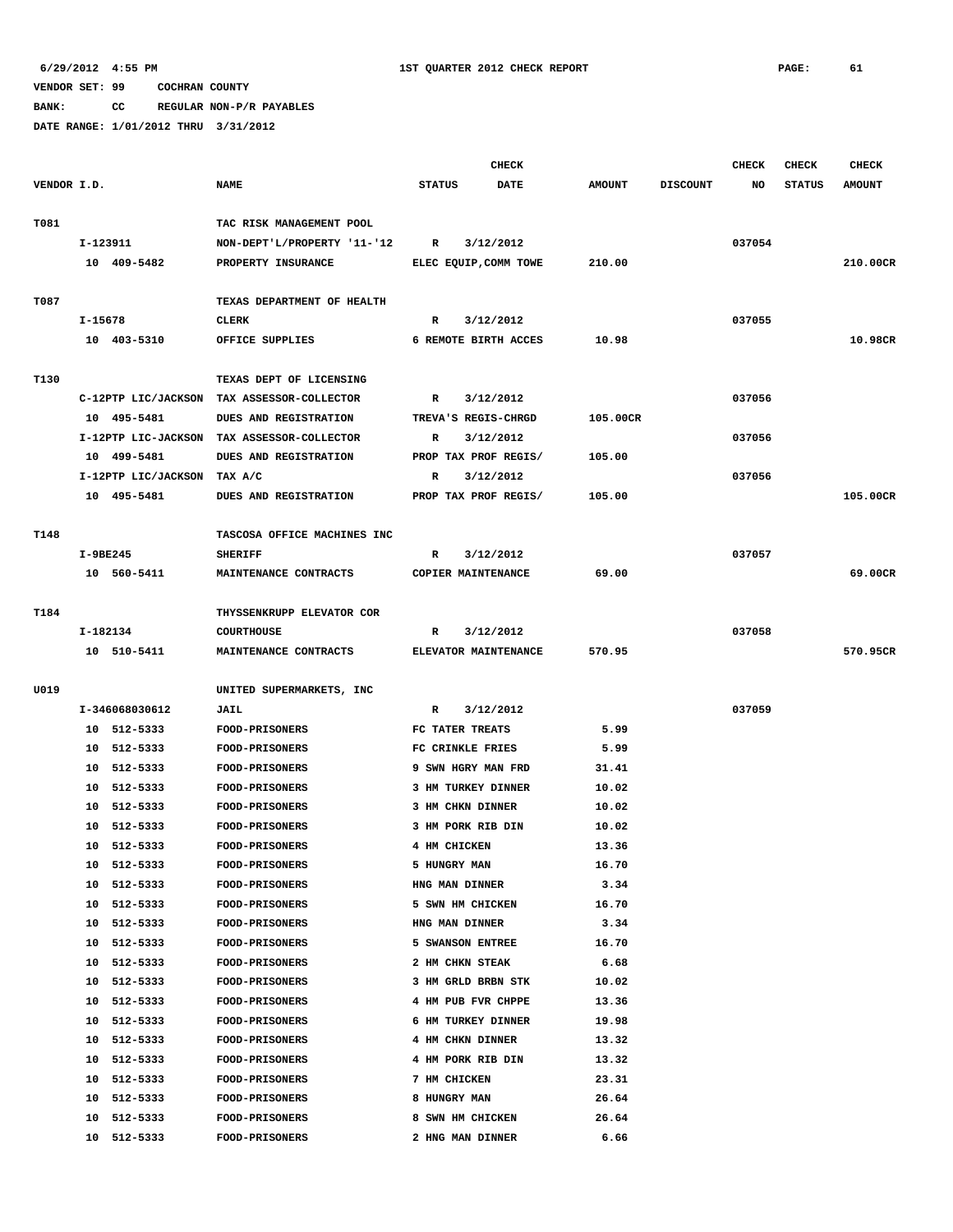**BANK: CC REGULAR NON-P/R PAYABLES**

|             |           |                     |                                            |               | <b>CHECK</b>          |               |                 | CHECK  | <b>CHECK</b>  | <b>CHECK</b>  |
|-------------|-----------|---------------------|--------------------------------------------|---------------|-----------------------|---------------|-----------------|--------|---------------|---------------|
| VENDOR I.D. |           |                     | <b>NAME</b>                                | <b>STATUS</b> | <b>DATE</b>           | <b>AMOUNT</b> | <b>DISCOUNT</b> | NO     | <b>STATUS</b> | <b>AMOUNT</b> |
|             |           |                     |                                            |               |                       |               |                 |        |               |               |
| T081        |           |                     | TAC RISK MANAGEMENT POOL                   |               |                       |               |                 |        |               |               |
|             | I-123911  |                     | NON-DEPT'L/PROPERTY '11-'12                | R             | 3/12/2012             |               |                 | 037054 |               |               |
|             |           | 10 409-5482         | PROPERTY INSURANCE                         |               | ELEC EQUIP, COMM TOWE | 210.00        |                 |        |               | 210.00CR      |
|             |           |                     |                                            |               |                       |               |                 |        |               |               |
| T087        |           |                     | TEXAS DEPARTMENT OF HEALTH                 |               |                       |               |                 |        |               |               |
|             | $I-15678$ |                     | <b>CLERK</b>                               | R             | 3/12/2012             |               |                 | 037055 |               |               |
|             |           | 10 403-5310         | OFFICE SUPPLIES                            |               | 6 REMOTE BIRTH ACCES  | 10.98         |                 |        |               | 10.98CR       |
|             |           |                     |                                            |               |                       |               |                 |        |               |               |
| T130        |           |                     | TEXAS DEPT OF LICENSING                    |               |                       |               |                 |        |               |               |
|             |           |                     | C-12PTP LIC/JACKSON TAX ASSESSOR-COLLECTOR | R             | 3/12/2012             |               |                 | 037056 |               |               |
|             |           | 10 495-5481         | DUES AND REGISTRATION                      |               | TREVA'S REGIS-CHRGD   | 105.00CR      |                 |        |               |               |
|             |           | I-12PTP LIC-JACKSON | TAX ASSESSOR-COLLECTOR                     | R             | 3/12/2012             |               |                 | 037056 |               |               |
|             |           | 10 499-5481         | DUES AND REGISTRATION                      |               | PROP TAX PROF REGIS/  | 105.00        |                 |        |               |               |
|             |           | I-12PTP LIC/JACKSON | TAX A/C                                    | R             | 3/12/2012             |               |                 | 037056 |               |               |
|             |           | 10 495-5481         | DUES AND REGISTRATION                      |               | PROP TAX PROF REGIS/  | 105.00        |                 |        |               | 105.00CR      |
|             |           |                     |                                            |               |                       |               |                 |        |               |               |
| T148        |           |                     | TASCOSA OFFICE MACHINES INC                |               |                       |               |                 |        |               |               |
|             | I-9BE245  |                     | <b>SHERIFF</b>                             | R             | 3/12/2012             |               |                 | 037057 |               |               |
|             |           | 10 560-5411         | MAINTENANCE CONTRACTS                      |               | COPIER MAINTENANCE    | 69.00         |                 |        |               | 69.00CR       |
|             |           |                     |                                            |               |                       |               |                 |        |               |               |
| T184        |           |                     | THYSSENKRUPP ELEVATOR COR                  |               |                       |               |                 |        |               |               |
|             | I-182134  |                     | <b>COURTHOUSE</b>                          | R             | 3/12/2012             |               |                 | 037058 |               |               |
|             |           | 10 510-5411         | MAINTENANCE CONTRACTS                      |               | ELEVATOR MAINTENANCE  | 570.95        |                 |        |               | 570.95CR      |
| U019        |           |                     | UNITED SUPERMARKETS, INC                   |               |                       |               |                 |        |               |               |
|             |           | I-346068030612      | JAIL                                       | R             | 3/12/2012             |               |                 | 037059 |               |               |
|             |           | 10 512-5333         | FOOD-PRISONERS                             |               | FC TATER TREATS       | 5.99          |                 |        |               |               |
|             |           | 10 512-5333         | <b>FOOD-PRISONERS</b>                      |               | FC CRINKLE FRIES      | 5.99          |                 |        |               |               |
|             |           | 10 512-5333         | FOOD-PRISONERS                             |               | 9 SWN HGRY MAN FRD    | 31.41         |                 |        |               |               |
|             |           | 10 512-5333         | <b>FOOD-PRISONERS</b>                      |               | 3 HM TURKEY DINNER    | 10.02         |                 |        |               |               |
|             | 10        | 512-5333            | FOOD-PRISONERS                             |               | 3 HM CHKN DINNER      | 10.02         |                 |        |               |               |
|             |           | 10 512-5333         | <b>FOOD-PRISONERS</b>                      |               | 3 HM PORK RIB DIN     | 10.02         |                 |        |               |               |
|             |           | 10 512-5333         | FOOD-PRISONERS                             | 4 HM CHICKEN  |                       | 13.36         |                 |        |               |               |
|             |           | 10 512-5333         | FOOD-PRISONERS                             | 5 HUNGRY MAN  |                       | 16.70         |                 |        |               |               |
|             | 10        | 512-5333            | FOOD-PRISONERS                             |               | HNG MAN DINNER        | 3.34          |                 |        |               |               |
|             | 10        | 512-5333            | FOOD-PRISONERS                             |               | 5 SWN HM CHICKEN      | 16.70         |                 |        |               |               |
|             | 10        | 512-5333            | <b>FOOD-PRISONERS</b>                      |               | HNG MAN DINNER        | 3.34          |                 |        |               |               |
|             | 10        | 512-5333            | FOOD-PRISONERS                             |               | 5 SWANSON ENTREE      | 16.70         |                 |        |               |               |
|             | 10        | 512-5333            | <b>FOOD-PRISONERS</b>                      |               | 2 HM CHKN STEAK       | 6.68          |                 |        |               |               |
|             | 10        | 512-5333            | <b>FOOD-PRISONERS</b>                      |               | 3 HM GRLD BRBN STK    | 10.02         |                 |        |               |               |
|             | 10        | 512-5333            | FOOD-PRISONERS                             |               | 4 HM PUB FVR CHPPE    | 13.36         |                 |        |               |               |
|             | 10        | 512-5333            | FOOD-PRISONERS                             |               | 6 HM TURKEY DINNER    | 19.98         |                 |        |               |               |
|             | 10        | 512-5333            | FOOD-PRISONERS                             |               | 4 HM CHKN DINNER      | 13.32         |                 |        |               |               |
|             | 10        | 512-5333            | <b>FOOD-PRISONERS</b>                      |               | 4 HM PORK RIB DIN     | 13.32         |                 |        |               |               |
|             | 10        | 512-5333            | <b>FOOD-PRISONERS</b>                      | 7 HM CHICKEN  |                       | 23.31         |                 |        |               |               |
|             | 10        | 512-5333            | <b>FOOD-PRISONERS</b>                      | 8 HUNGRY MAN  |                       | 26.64         |                 |        |               |               |
|             | 10        | 512-5333            | FOOD-PRISONERS                             |               | 8 SWN HM CHICKEN      | 26.64         |                 |        |               |               |
|             | 10        | 512-5333            | <b>FOOD-PRISONERS</b>                      |               | 2 HNG MAN DINNER      | 6.66          |                 |        |               |               |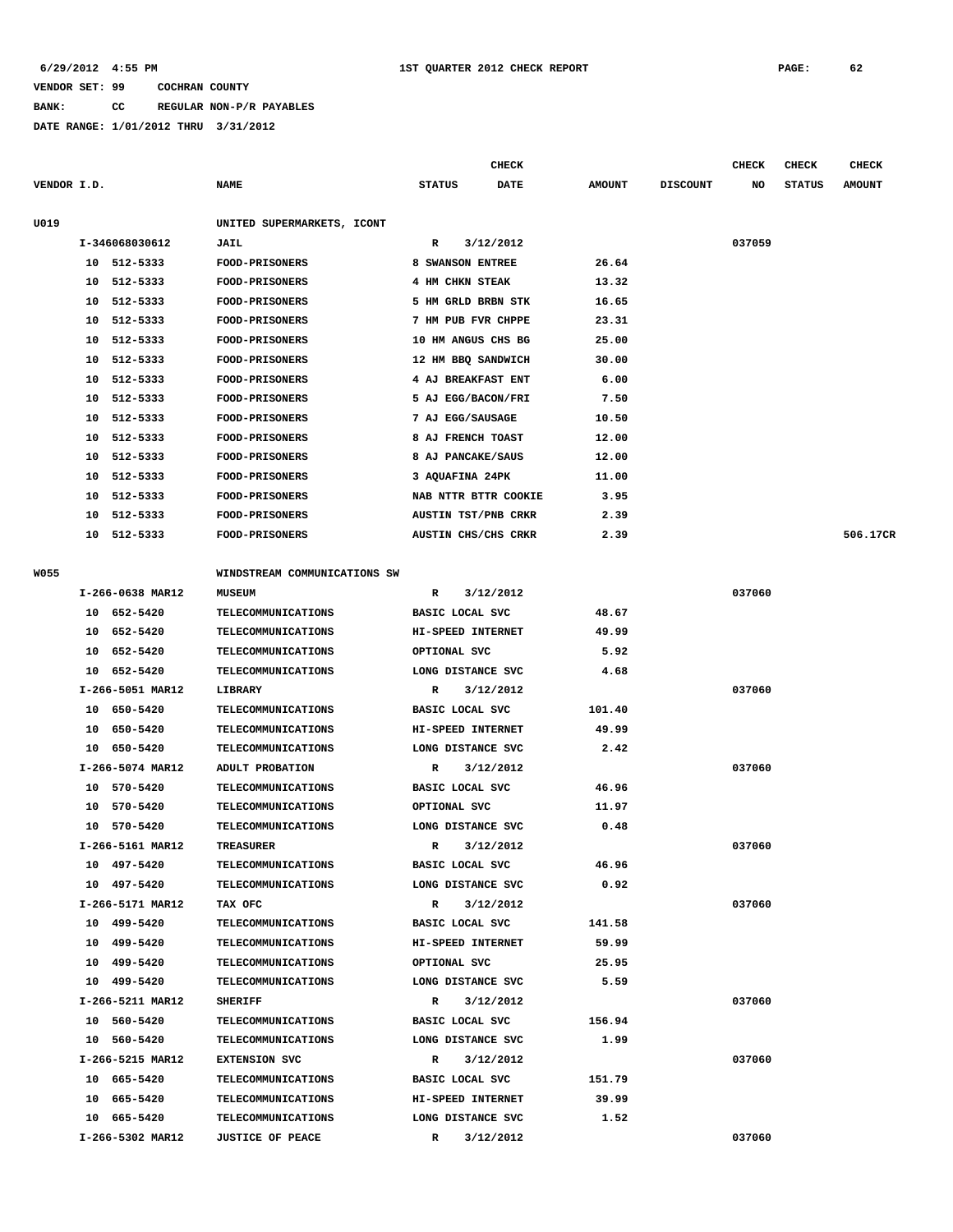**CHECK CHECK CHECK CHECK** 

### **VENDOR SET: 99 COCHRAN COUNTY**

**BANK: CC REGULAR NON-P/R PAYABLES**

| VENDOR I.D. |                  | <b>NAME</b>                                     | <b>STATUS</b>        | <b>DATE</b> | <b>AMOUNT</b> | <b>DISCOUNT</b> | NO     | <b>STATUS</b> | <b>AMOUNT</b> |
|-------------|------------------|-------------------------------------------------|----------------------|-------------|---------------|-----------------|--------|---------------|---------------|
|             |                  |                                                 |                      |             |               |                 |        |               |               |
| U019        |                  | UNITED SUPERMARKETS, ICONT                      |                      |             |               |                 |        |               |               |
|             | I-346068030612   | JAIL                                            | R                    | 3/12/2012   |               |                 | 037059 |               |               |
|             | 10 512-5333      | <b>FOOD-PRISONERS</b>                           | 8 SWANSON ENTREE     |             | 26.64         |                 |        |               |               |
|             | 10<br>512-5333   | FOOD-PRISONERS                                  | 4 HM CHKN STEAK      |             | 13.32         |                 |        |               |               |
|             | 512-5333<br>10   | <b>FOOD-PRISONERS</b>                           | 5 HM GRLD BRBN STK   |             | 16.65         |                 |        |               |               |
|             | 10<br>512-5333   | <b>FOOD-PRISONERS</b>                           | 7 HM PUB FVR CHPPE   |             | 23.31         |                 |        |               |               |
|             | 10 512-5333      | FOOD-PRISONERS                                  | 10 HM ANGUS CHS BG   |             | 25.00         |                 |        |               |               |
|             | 512-5333<br>10   | <b>FOOD-PRISONERS</b>                           | 12 HM BBQ SANDWICH   |             | 30.00         |                 |        |               |               |
|             | 10<br>512-5333   | FOOD-PRISONERS                                  | 4 AJ BREAKFAST ENT   |             | 6.00          |                 |        |               |               |
|             | 512-5333<br>10   | FOOD-PRISONERS                                  | 5 AJ EGG/BACON/FRI   |             | 7.50          |                 |        |               |               |
|             | 512-5333<br>10   | <b>FOOD-PRISONERS</b>                           | 7 AJ EGG/SAUSAGE     |             | 10.50         |                 |        |               |               |
|             | 10<br>512-5333   | <b>FOOD-PRISONERS</b>                           | 8 AJ FRENCH TOAST    |             | 12.00         |                 |        |               |               |
|             | 512-5333<br>10   | <b>FOOD-PRISONERS</b>                           | 8 AJ PANCAKE/SAUS    |             | 12.00         |                 |        |               |               |
|             | 512-5333<br>10   | <b>FOOD-PRISONERS</b>                           | 3 AQUAFINA 24PK      |             | 11.00         |                 |        |               |               |
|             | 10<br>512-5333   | <b>FOOD-PRISONERS</b>                           | NAB NTTR BTTR COOKIE |             | 3.95          |                 |        |               |               |
|             | 512-5333<br>10   | FOOD-PRISONERS                                  | AUSTIN TST/PNB CRKR  |             | 2.39          |                 |        |               |               |
|             | 10 512-5333      | <b>FOOD-PRISONERS</b>                           | AUSTIN CHS/CHS CRKR  |             | 2.39          |                 |        |               | 506.17CR      |
| <b>W055</b> |                  | WINDSTREAM COMMUNICATIONS SW                    |                      |             |               |                 |        |               |               |
|             | I-266-0638 MAR12 | <b>MUSEUM</b>                                   | R                    | 3/12/2012   |               |                 | 037060 |               |               |
|             | 10 652-5420      | <b>TELECOMMUNICATIONS</b>                       | BASIC LOCAL SVC      |             | 48.67         |                 |        |               |               |
|             | 10 652-5420      | TELECOMMUNICATIONS                              | HI-SPEED INTERNET    |             | 49.99         |                 |        |               |               |
|             | 10 652-5420      | <b>TELECOMMUNICATIONS</b>                       | OPTIONAL SVC         |             | 5.92          |                 |        |               |               |
|             | 10 652-5420      | <b>TELECOMMUNICATIONS</b>                       | LONG DISTANCE SVC    |             | 4.68          |                 |        |               |               |
|             | I-266-5051 MAR12 | LIBRARY                                         | R                    | 3/12/2012   |               |                 | 037060 |               |               |
|             | 10 650-5420      | <b>TELECOMMUNICATIONS</b>                       | BASIC LOCAL SVC      |             | 101.40        |                 |        |               |               |
|             | 10 650-5420      | <b>TELECOMMUNICATIONS</b>                       | HI-SPEED INTERNET    |             | 49.99         |                 |        |               |               |
|             | 10 650-5420      | <b>TELECOMMUNICATIONS</b>                       | LONG DISTANCE SVC    |             | 2.42          |                 |        |               |               |
|             | I-266-5074 MAR12 | ADULT PROBATION                                 | R                    | 3/12/2012   |               |                 | 037060 |               |               |
|             | 10 570-5420      | <b>TELECOMMUNICATIONS</b>                       | BASIC LOCAL SVC      |             | 46.96         |                 |        |               |               |
|             | 10 570-5420      | <b>TELECOMMUNICATIONS</b>                       | OPTIONAL SVC         |             | 11.97         |                 |        |               |               |
|             | 10 570-5420      | TELECOMMUNICATIONS                              | LONG DISTANCE SVC    |             | 0.48          |                 |        |               |               |
|             | I-266-5161 MAR12 | TREASURER                                       | R                    | 3/12/2012   |               |                 | 037060 |               |               |
|             | 10 497-5420      | <b>TELECOMMUNICATIONS</b>                       | BASIC LOCAL SVC      |             | 46.96         |                 |        |               |               |
|             | 10 497-5420      | <b>TELECOMMUNICATIONS</b>                       | LONG DISTANCE SVC    |             | 0.92          |                 |        |               |               |
|             | I-266-5171 MAR12 | TAX OFC                                         | R                    | 3/12/2012   |               |                 | 037060 |               |               |
|             | 10 499-5420      | <b>TELECOMMUNICATIONS</b>                       | BASIC LOCAL SVC      |             | 141.58        |                 |        |               |               |
|             | 10 499-5420      | TELECOMMUNICATIONS                              | HI-SPEED INTERNET    |             | 59.99         |                 |        |               |               |
|             |                  |                                                 |                      |             |               |                 |        |               |               |
|             | 10 499-5420      | <b>TELECOMMUNICATIONS</b><br>TELECOMMUNICATIONS | OPTIONAL SVC         |             | 25.95<br>5.59 |                 |        |               |               |
|             | 10 499-5420      |                                                 | LONG DISTANCE SVC    |             |               |                 |        |               |               |
|             | I-266-5211 MAR12 | <b>SHERIFF</b>                                  | R                    | 3/12/2012   |               |                 | 037060 |               |               |
|             | 10 560-5420      | <b>TELECOMMUNICATIONS</b>                       | BASIC LOCAL SVC      |             | 156.94        |                 |        |               |               |
|             | 10 560-5420      | <b>TELECOMMUNICATIONS</b>                       | LONG DISTANCE SVC    |             | 1.99          |                 |        |               |               |
|             | I-266-5215 MAR12 | <b>EXTENSION SVC</b>                            | R                    | 3/12/2012   |               |                 | 037060 |               |               |
|             | 10 665-5420      | <b>TELECOMMUNICATIONS</b>                       | BASIC LOCAL SVC      |             | 151.79        |                 |        |               |               |
|             | 10 665-5420      | <b>TELECOMMUNICATIONS</b>                       | HI-SPEED INTERNET    |             | 39.99         |                 |        |               |               |
|             | 10 665-5420      | <b>TELECOMMUNICATIONS</b>                       | LONG DISTANCE SVC    |             | 1.52          |                 |        |               |               |
|             | I-266-5302 MAR12 | <b>JUSTICE OF PEACE</b>                         | R                    | 3/12/2012   |               |                 | 037060 |               |               |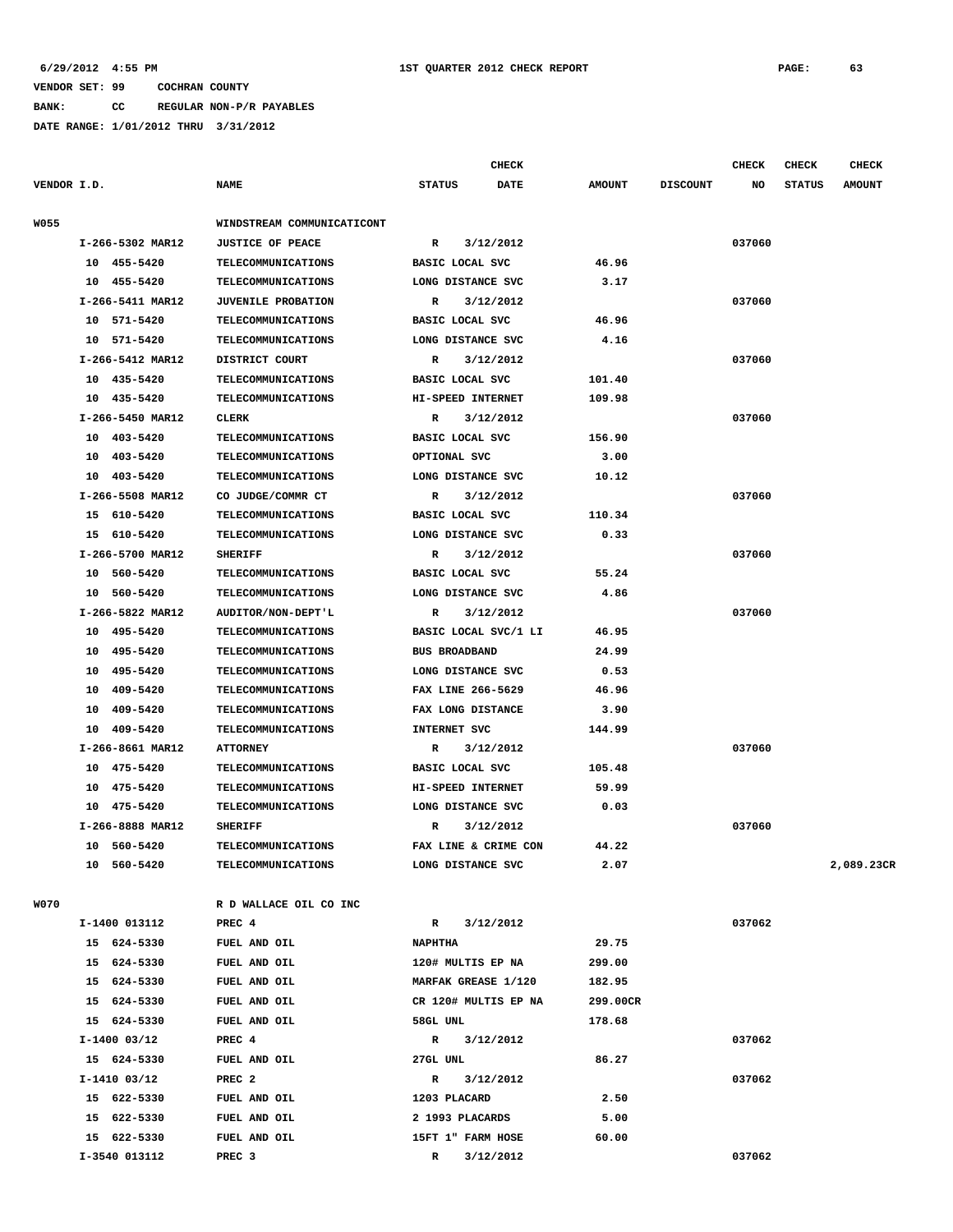**BANK: CC REGULAR NON-P/R PAYABLES DATE RANGE: 1/01/2012 THRU 3/31/2012**

|             |                  |                            | <b>CHECK</b>                 |               |                 | CHECK  | <b>CHECK</b>  | <b>CHECK</b>  |
|-------------|------------------|----------------------------|------------------------------|---------------|-----------------|--------|---------------|---------------|
| VENDOR I.D. |                  | <b>NAME</b>                | <b>STATUS</b><br><b>DATE</b> | <b>AMOUNT</b> | <b>DISCOUNT</b> | NO     | <b>STATUS</b> | <b>AMOUNT</b> |
| <b>W055</b> |                  | WINDSTREAM COMMUNICATICONT |                              |               |                 |        |               |               |
|             | I-266-5302 MAR12 | <b>JUSTICE OF PEACE</b>    | 3/12/2012<br>R               |               |                 | 037060 |               |               |
|             | 10 455-5420      | <b>TELECOMMUNICATIONS</b>  | BASIC LOCAL SVC              | 46.96         |                 |        |               |               |
|             | 10 455-5420      | TELECOMMUNICATIONS         | LONG DISTANCE SVC            | 3.17          |                 |        |               |               |
|             | I-266-5411 MAR12 | <b>JUVENILE PROBATION</b>  | R<br>3/12/2012               |               |                 | 037060 |               |               |
|             | 10 571-5420      | <b>TELECOMMUNICATIONS</b>  | <b>BASIC LOCAL SVC</b>       | 46.96         |                 |        |               |               |
|             | 10 571-5420      | <b>TELECOMMUNICATIONS</b>  | LONG DISTANCE SVC            | 4.16          |                 |        |               |               |
|             | I-266-5412 MAR12 | DISTRICT COURT             | R<br>3/12/2012               |               |                 | 037060 |               |               |
|             | 10 435-5420      | TELECOMMUNICATIONS         | BASIC LOCAL SVC              | 101.40        |                 |        |               |               |
|             | 10 435-5420      | <b>TELECOMMUNICATIONS</b>  | HI-SPEED INTERNET            | 109.98        |                 |        |               |               |
|             | I-266-5450 MAR12 | CLERK                      | R<br>3/12/2012               |               |                 | 037060 |               |               |
|             | 10 403-5420      | <b>TELECOMMUNICATIONS</b>  | BASIC LOCAL SVC              | 156.90        |                 |        |               |               |
|             | 10 403-5420      | TELECOMMUNICATIONS         | OPTIONAL SVC                 | 3.00          |                 |        |               |               |
|             | 10 403-5420      | <b>TELECOMMUNICATIONS</b>  | LONG DISTANCE SVC            | 10.12         |                 |        |               |               |
|             | I-266-5508 MAR12 | CO JUDGE/COMMR CT          | 3/12/2012<br>R               |               |                 | 037060 |               |               |
|             | 15 610-5420      | <b>TELECOMMUNICATIONS</b>  | BASIC LOCAL SVC              | 110.34        |                 |        |               |               |
|             | 15 610-5420      | <b>TELECOMMUNICATIONS</b>  | LONG DISTANCE SVC            | 0.33          |                 |        |               |               |
|             | I-266-5700 MAR12 | <b>SHERIFF</b>             | R<br>3/12/2012               |               |                 | 037060 |               |               |
|             | 10 560-5420      | TELECOMMUNICATIONS         | BASIC LOCAL SVC              | 55.24         |                 |        |               |               |
|             | 10 560-5420      | <b>TELECOMMUNICATIONS</b>  | LONG DISTANCE SVC            | 4.86          |                 |        |               |               |
|             | I-266-5822 MAR12 | AUDITOR/NON-DEPT'L         | 3/12/2012<br>R               |               |                 | 037060 |               |               |
|             | 10 495-5420      | <b>TELECOMMUNICATIONS</b>  | BASIC LOCAL SVC/1 LI         | 46.95         |                 |        |               |               |
|             | 495-5420<br>10   | <b>TELECOMMUNICATIONS</b>  | <b>BUS BROADBAND</b>         | 24.99         |                 |        |               |               |
|             | 10 495-5420      | <b>TELECOMMUNICATIONS</b>  | LONG DISTANCE SVC            | 0.53          |                 |        |               |               |
|             | 10 409-5420      | TELECOMMUNICATIONS         | FAX LINE 266-5629            | 46.96         |                 |        |               |               |
|             | 10<br>409-5420   | <b>TELECOMMUNICATIONS</b>  | FAX LONG DISTANCE            | 3.90          |                 |        |               |               |
|             | 409-5420<br>10   | <b>TELECOMMUNICATIONS</b>  | INTERNET SVC                 | 144.99        |                 |        |               |               |
|             | I-266-8661 MAR12 | <b>ATTORNEY</b>            | 3/12/2012<br>R               |               |                 | 037060 |               |               |
|             | 10 475-5420      | <b>TELECOMMUNICATIONS</b>  | BASIC LOCAL SVC              | 105.48        |                 |        |               |               |
|             | 10 475-5420      | <b>TELECOMMUNICATIONS</b>  | HI-SPEED INTERNET            | 59.99         |                 |        |               |               |
|             | 10 475-5420      | <b>TELECOMMUNICATIONS</b>  | LONG DISTANCE SVC            | 0.03          |                 |        |               |               |
|             | I-266-8888 MAR12 | <b>SHERIFF</b>             | R<br>3/12/2012               |               |                 | 037060 |               |               |
|             | 10 560-5420      | <b>TELECOMMUNICATIONS</b>  | FAX LINE & CRIME CON         | 44.22         |                 |        |               |               |
|             | 10 560-5420      | TELECOMMUNICATIONS         | LONG DISTANCE SVC            | 2.07          |                 |        |               | 2,089.23CR    |
| <b>W070</b> |                  | R D WALLACE OIL CO INC     |                              |               |                 |        |               |               |
|             | I-1400 013112    | PREC 4                     | 3/12/2012<br>$\mathbf R$     |               |                 | 037062 |               |               |
|             | 15 624-5330      | FUEL AND OIL               | <b>NAPHTHA</b>               | 29.75         |                 |        |               |               |
|             | 15 624-5330      | FUEL AND OIL               | 120# MULTIS EP NA            | 299.00        |                 |        |               |               |
|             | 15 624-5330      | FUEL AND OIL               | MARFAK GREASE 1/120          | 182.95        |                 |        |               |               |
|             | 15 624-5330      | FUEL AND OIL               | CR 120# MULTIS EP NA         | 299.00CR      |                 |        |               |               |
|             | 15 624-5330      | FUEL AND OIL               | 58GL UNL                     | 178.68        |                 |        |               |               |
|             | $I-1400$ 03/12   | PREC 4                     | R 3/12/2012                  |               |                 | 037062 |               |               |
|             | 15 624-5330      | FUEL AND OIL               | 27GL UNL                     | 86.27         |                 |        |               |               |
|             | $I-1410$ 03/12   | PREC <sub>2</sub>          | 3/12/2012<br>$\mathbf R$     |               |                 | 037062 |               |               |
|             | 15 622-5330      | FUEL AND OIL               | 1203 PLACARD                 | 2.50          |                 |        |               |               |
|             | 15 622-5330      | FUEL AND OIL               | 2 1993 PLACARDS              | 5.00          |                 |        |               |               |
|             | 15 622-5330      | FUEL AND OIL               | 15FT 1" FARM HOSE            | 60.00         |                 |        |               |               |
|             | I-3540 013112    | PREC <sub>3</sub>          | 3/12/2012<br>$\mathbb{R}$    |               |                 | 037062 |               |               |
|             |                  |                            |                              |               |                 |        |               |               |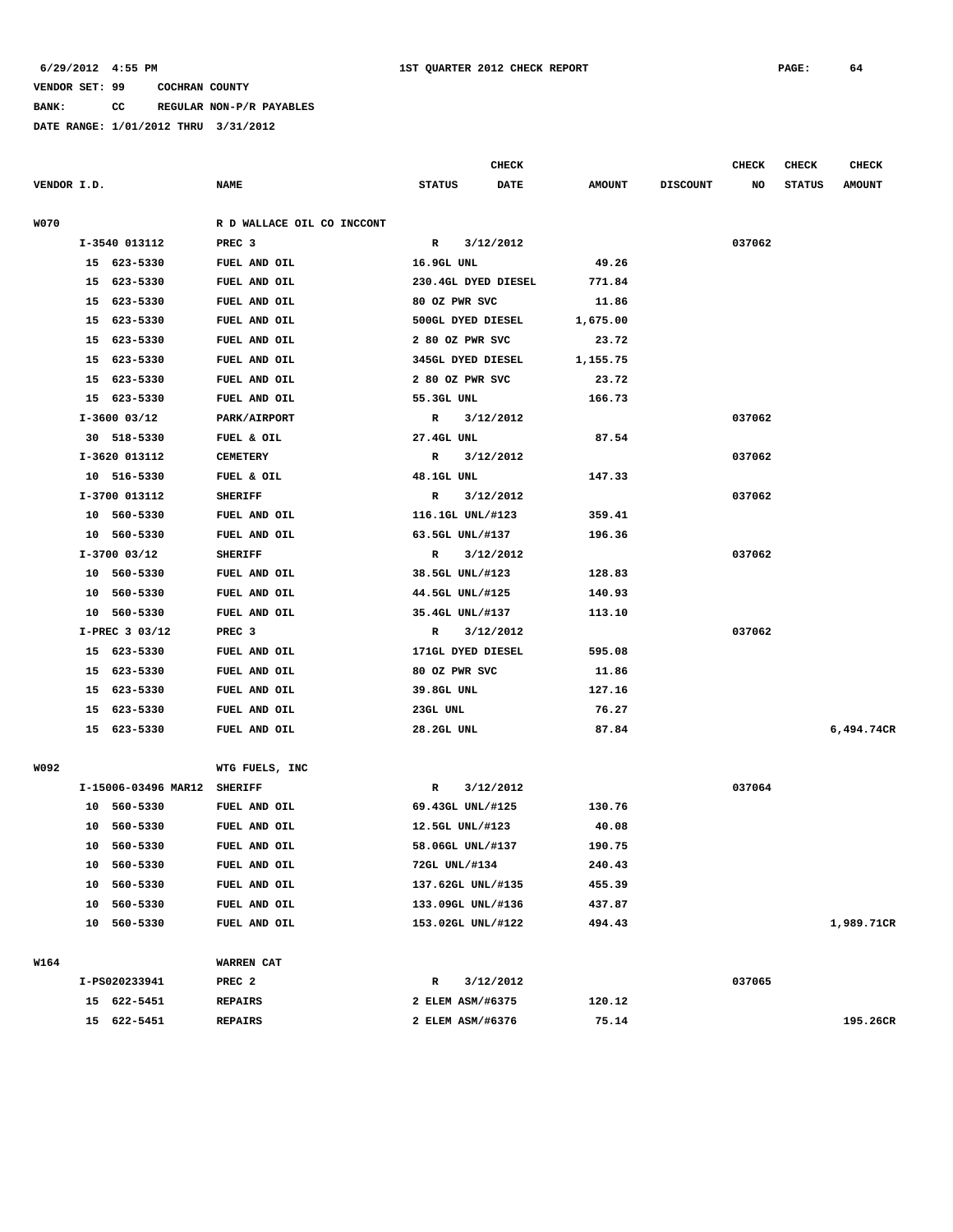**BANK: CC REGULAR NON-P/R PAYABLES**

|             |    |                     |                            |               | <b>CHECK</b>        |               |                 | <b>CHECK</b> | <b>CHECK</b>  | <b>CHECK</b>  |
|-------------|----|---------------------|----------------------------|---------------|---------------------|---------------|-----------------|--------------|---------------|---------------|
| VENDOR I.D. |    |                     | <b>NAME</b>                | <b>STATUS</b> | <b>DATE</b>         | <b>AMOUNT</b> | <b>DISCOUNT</b> | NO           | <b>STATUS</b> | <b>AMOUNT</b> |
| <b>W070</b> |    |                     | R D WALLACE OIL CO INCCONT |               |                     |               |                 |              |               |               |
|             |    | I-3540 013112       | PREC <sub>3</sub>          | R             | 3/12/2012           |               |                 | 037062       |               |               |
|             |    | 15 623-5330         | FUEL AND OIL               | 16.9GL UNL    |                     | 49.26         |                 |              |               |               |
|             |    | 15 623-5330         | FUEL AND OIL               |               | 230.4GL DYED DIESEL | 771.84        |                 |              |               |               |
|             | 15 | 623-5330            | FUEL AND OIL               |               | 80 OZ PWR SVC       | 11.86         |                 |              |               |               |
|             |    | 15 623-5330         | FUEL AND OIL               |               | 500GL DYED DIESEL   | 1,675.00      |                 |              |               |               |
|             |    | 15 623-5330         | FUEL AND OIL               |               | 2 80 OZ PWR SVC     | 23.72         |                 |              |               |               |
|             | 15 | 623-5330            | FUEL AND OIL               |               | 345GL DYED DIESEL   | 1,155.75      |                 |              |               |               |
|             | 15 | 623-5330            | FUEL AND OIL               |               | 2 80 OZ PWR SVC     | 23.72         |                 |              |               |               |
|             |    | 15 623-5330         | FUEL AND OIL               | 55.3GL UNL    |                     | 166.73        |                 |              |               |               |
|             |    | $I-3600$ 03/12      | PARK/AIRPORT               | R             | 3/12/2012           |               |                 | 037062       |               |               |
|             |    | 30 518-5330         | FUEL & OIL                 | 27.4GL UNL    |                     | 87.54         |                 |              |               |               |
|             |    | I-3620 013112       | <b>CEMETERY</b>            | $\mathbb{R}$  | 3/12/2012           |               |                 | 037062       |               |               |
|             |    | 10 516-5330         | FUEL & OIL                 | 48.1GL UNL    |                     | 147.33        |                 |              |               |               |
|             |    | I-3700 013112       | <b>SHERIFF</b>             | $\mathbb{R}$  | 3/12/2012           |               |                 | 037062       |               |               |
|             |    | 10 560-5330         | FUEL AND OIL               |               | 116.1GL UNL/#123    | 359.41        |                 |              |               |               |
|             |    | 10 560-5330         | FUEL AND OIL               |               | 63.5GL UNL/#137     | 196.36        |                 |              |               |               |
|             |    | $I-3700$ 03/12      | <b>SHERIFF</b>             | R             | 3/12/2012           |               |                 | 037062       |               |               |
|             |    | 10 560-5330         | FUEL AND OIL               |               | 38.5GL UNL/#123     | 128.83        |                 |              |               |               |
|             | 10 | 560-5330            | FUEL AND OIL               |               | 44.5GL UNL/#125     | 140.93        |                 |              |               |               |
|             |    | 10 560-5330         | FUEL AND OIL               |               | 35.4GL UNL/#137     | 113.10        |                 |              |               |               |
|             |    | I-PREC 3 03/12      | PREC 3                     | R             | 3/12/2012           |               |                 | 037062       |               |               |
|             |    | 15 623-5330         | FUEL AND OIL               |               | 171GL DYED DIESEL   | 595.08        |                 |              |               |               |
|             |    | 15 623-5330         | FUEL AND OIL               |               | 80 OZ PWR SVC       | 11.86         |                 |              |               |               |
|             |    | 15 623-5330         | FUEL AND OIL               | 39.8GL UNL    |                     | 127.16        |                 |              |               |               |
|             |    | 15 623-5330         | FUEL AND OIL               | 23GL UNL      |                     | 76.27         |                 |              |               |               |
|             |    | 15 623-5330         | FUEL AND OIL               | 28.2GL UNL    |                     | 87.84         |                 |              |               | 6,494.74CR    |
|             |    |                     |                            |               |                     |               |                 |              |               |               |
| W092        |    |                     | WTG FUELS, INC             |               |                     |               |                 |              |               |               |
|             |    | I-15006-03496 MAR12 | <b>SHERIFF</b>             | R             | 3/12/2012           |               |                 | 037064       |               |               |
|             |    | 10 560-5330         | FUEL AND OIL               |               | 69.43GL UNL/#125    | 130.76        |                 |              |               |               |
|             | 10 | 560-5330            | FUEL AND OIL               |               | 12.5GL UNL/#123     | 40.08         |                 |              |               |               |
|             |    | 10 560-5330         | FUEL AND OIL               |               | 58.06GL UNL/#137    | 190.75        |                 |              |               |               |
|             |    | 10 560-5330         | FUEL AND OIL               |               | 72GL UNL/#134       | 240.43        |                 |              |               |               |
|             |    | 10 560-5330         | FUEL AND OIL               |               | 137.62GL UNL/#135   | 455.39        |                 |              |               |               |
|             |    | 10 560-5330         | FUEL AND OIL               |               | 133.09GL UNL/#136   | 437.87        |                 |              |               |               |
|             |    | 10 560-5330         | FUEL AND OIL               |               | 153.02GL UNL/#122   | 494.43        |                 |              |               | 1,989.71CR    |
| W164        |    |                     | WARREN CAT                 |               |                     |               |                 |              |               |               |
|             |    | I-PS020233941       | PREC <sub>2</sub>          | R             | 3/12/2012           |               |                 | 037065       |               |               |
|             |    | 15 622-5451         | <b>REPAIRS</b>             |               | 2 ELEM ASM/#6375    | 120.12        |                 |              |               |               |
|             |    | 15 622-5451         | <b>REPAIRS</b>             |               | 2 ELEM ASM/#6376    | 75.14         |                 |              |               | 195.26CR      |
|             |    |                     |                            |               |                     |               |                 |              |               |               |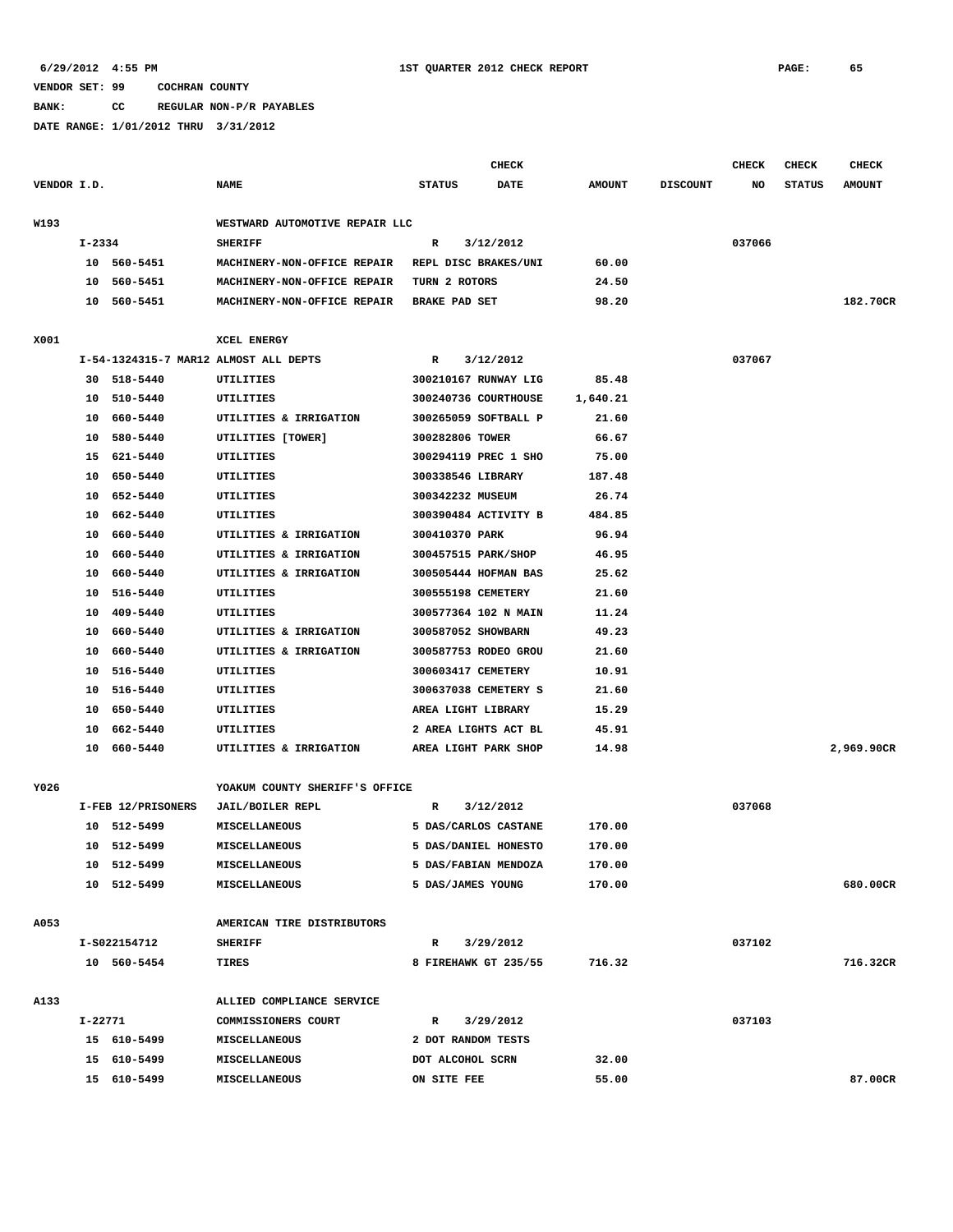**6/29/2012 4:55 PM 1ST QUARTER 2012 CHECK REPORT PAGE: 65**

### **VENDOR SET: 99 COCHRAN COUNTY**

**BANK: CC REGULAR NON-P/R PAYABLES**

|             |         |                    |                                       |                      | <b>CHECK</b>         |               |                 | CHECK  | <b>CHECK</b>  | <b>CHECK</b>  |
|-------------|---------|--------------------|---------------------------------------|----------------------|----------------------|---------------|-----------------|--------|---------------|---------------|
| VENDOR I.D. |         |                    | <b>NAME</b>                           | <b>STATUS</b>        | DATE                 | <b>AMOUNT</b> | <b>DISCOUNT</b> | NO     | <b>STATUS</b> | <b>AMOUNT</b> |
| W193        |         |                    | WESTWARD AUTOMOTIVE REPAIR LLC        |                      |                      |               |                 |        |               |               |
|             | I-2334  |                    | <b>SHERIFF</b>                        | $\mathbb{R}$         | 3/12/2012            |               |                 | 037066 |               |               |
|             |         | 10 560-5451        | MACHINERY-NON-OFFICE REPAIR           | REPL DISC BRAKES/UNI |                      | 60.00         |                 |        |               |               |
|             | 10      | 560-5451           | MACHINERY-NON-OFFICE REPAIR           | TURN 2 ROTORS        |                      | 24.50         |                 |        |               |               |
|             |         | 10 560-5451        | MACHINERY-NON-OFFICE REPAIR           | <b>BRAKE PAD SET</b> |                      | 98.20         |                 |        |               | 182.70CR      |
|             |         |                    |                                       |                      |                      |               |                 |        |               |               |
| X001        |         |                    | XCEL ENERGY                           |                      |                      |               |                 |        |               |               |
|             |         |                    | I-54-1324315-7 MAR12 ALMOST ALL DEPTS | R                    | 3/12/2012            |               |                 | 037067 |               |               |
|             |         | 30 518-5440        | UTILITIES                             |                      | 300210167 RUNWAY LIG | 85.48         |                 |        |               |               |
|             |         | 10 510-5440        | UTILITIES                             |                      | 300240736 COURTHOUSE | 1,640.21      |                 |        |               |               |
|             |         | 10 660-5440        | UTILITIES & IRRIGATION                | 300265059 SOFTBALL P |                      | 21.60         |                 |        |               |               |
|             | 10      | 580-5440           | UTILITIES [TOWER]                     | 300282806 TOWER      |                      | 66.67         |                 |        |               |               |
|             | 15      | 621-5440           | UTILITIES                             | 300294119 PREC 1 SHO |                      | 75.00         |                 |        |               |               |
|             | 10      | 650-5440           | UTILITIES                             | 300338546 LIBRARY    |                      | 187.48        |                 |        |               |               |
|             | 10      | 652-5440           | UTILITIES                             | 300342232 MUSEUM     |                      | 26.74         |                 |        |               |               |
|             | 10      | 662-5440           | UTILITIES                             | 300390484 ACTIVITY B |                      | 484.85        |                 |        |               |               |
|             | 10      | 660-5440           | UTILITIES & IRRIGATION                | 300410370 PARK       |                      | 96.94         |                 |        |               |               |
|             | 10      | 660-5440           | UTILITIES & IRRIGATION                | 300457515 PARK/SHOP  |                      | 46.95         |                 |        |               |               |
|             | 10      | 660-5440           | UTILITIES & IRRIGATION                | 300505444 HOFMAN BAS |                      | 25.62         |                 |        |               |               |
|             | 10      | 516-5440           | UTILITIES                             | 300555198 CEMETERY   |                      | 21.60         |                 |        |               |               |
|             | 10      | 409-5440           | UTILITIES                             |                      | 300577364 102 N MAIN | 11.24         |                 |        |               |               |
|             | 10      | 660-5440           | UTILITIES & IRRIGATION                | 300587052 SHOWBARN   |                      | 49.23         |                 |        |               |               |
|             | 10      | 660-5440           | UTILITIES & IRRIGATION                |                      | 300587753 RODEO GROU | 21.60         |                 |        |               |               |
|             | 10      | 516-5440           | UTILITIES                             | 300603417 CEMETERY   |                      | 10.91         |                 |        |               |               |
|             | 10      | 516-5440           | UTILITIES                             | 300637038 CEMETERY S |                      | 21.60         |                 |        |               |               |
|             | 10      | 650-5440           | UTILITIES                             | AREA LIGHT LIBRARY   |                      | 15.29         |                 |        |               |               |
|             | 10      | 662-5440           | UTILITIES                             | 2 AREA LIGHTS ACT BL |                      | 45.91         |                 |        |               |               |
|             |         | 10 660-5440        | UTILITIES & IRRIGATION                | AREA LIGHT PARK SHOP |                      | 14.98         |                 |        |               | 2,969.90CR    |
|             |         |                    |                                       |                      |                      |               |                 |        |               |               |
| Y026        |         |                    | YOAKUM COUNTY SHERIFF'S OFFICE        |                      |                      |               |                 |        |               |               |
|             |         | I-FEB 12/PRISONERS | <b>JAIL/BOILER REPL</b>               | R                    | 3/12/2012            |               |                 | 037068 |               |               |
|             |         | 10 512-5499        | MISCELLANEOUS                         | 5 DAS/CARLOS CASTANE |                      | 170.00        |                 |        |               |               |
|             |         | 10 512-5499        | <b>MISCELLANEOUS</b>                  | 5 DAS/DANIEL HONESTO |                      | 170.00        |                 |        |               |               |
|             |         | 10 512-5499        | <b>MISCELLANEOUS</b>                  | 5 DAS/FABIAN MENDOZA |                      | 170.00        |                 |        |               |               |
|             |         | 10 512-5499        | MISCELLANEOUS                         | 5 DAS/JAMES YOUNG    |                      | 170.00        |                 |        |               | 680.00CR      |
|             |         |                    |                                       |                      |                      |               |                 |        |               |               |
| A053        |         |                    | AMERICAN TIRE DISTRIBUTORS            |                      |                      |               |                 |        |               |               |
|             |         | I-S022154712       | <b>SHERIFF</b>                        | R                    | 3/29/2012            |               |                 | 037102 |               |               |
|             |         | 10 560-5454        | TIRES                                 | 8 FIREHAWK GT 235/55 |                      | 716.32        |                 |        |               | 716.32CR      |
| A133        |         |                    | ALLIED COMPLIANCE SERVICE             |                      |                      |               |                 |        |               |               |
|             | I-22771 |                    | COMMISSIONERS COURT                   | $\mathbb{R}$         | 3/29/2012            |               |                 | 037103 |               |               |
|             |         | 15 610-5499        | MISCELLANEOUS                         | 2 DOT RANDOM TESTS   |                      |               |                 |        |               |               |
|             |         | 15 610-5499        | MISCELLANEOUS                         | DOT ALCOHOL SCRN     |                      | 32.00         |                 |        |               |               |
|             |         | 15 610-5499        | MISCELLANEOUS                         | ON SITE FEE          |                      | 55.00         |                 |        |               | 87.00CR       |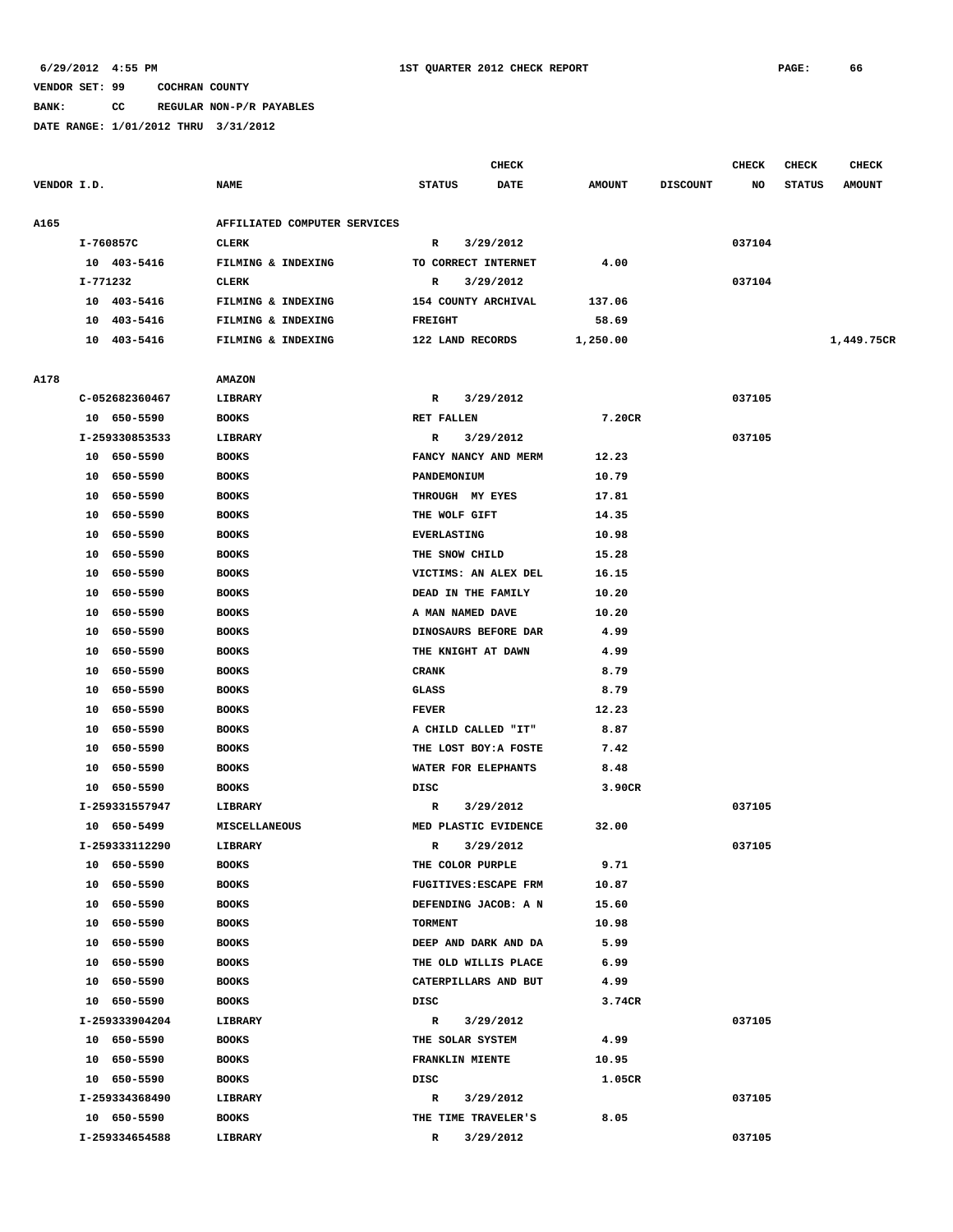**BANK: CC REGULAR NON-P/R PAYABLES**

|             |                |                              | <b>CHECK</b>              |               |                 | <b>CHECK</b> | <b>CHECK</b>  | <b>CHECK</b>  |
|-------------|----------------|------------------------------|---------------------------|---------------|-----------------|--------------|---------------|---------------|
| VENDOR I.D. |                | <b>NAME</b>                  | <b>STATUS</b><br>DATE     | <b>AMOUNT</b> | <b>DISCOUNT</b> | NO           | <b>STATUS</b> | <b>AMOUNT</b> |
| A165        |                | AFFILIATED COMPUTER SERVICES |                           |               |                 |              |               |               |
|             | I-760857C      | <b>CLERK</b>                 | 3/29/2012<br>R            |               |                 | 037104       |               |               |
|             | 10 403-5416    | FILMING & INDEXING           | TO CORRECT INTERNET       | 4.00          |                 |              |               |               |
|             | I-771232       | <b>CLERK</b>                 | 3/29/2012<br>R            |               |                 | 037104       |               |               |
|             | 10 403-5416    | FILMING & INDEXING           | 154 COUNTY ARCHIVAL       | 137.06        |                 |              |               |               |
|             | 403-5416<br>10 | FILMING & INDEXING           | <b>FREIGHT</b>            | 58.69         |                 |              |               |               |
|             | 10 403-5416    | FILMING & INDEXING           | 122 LAND RECORDS          | 1,250.00      |                 |              |               | 1,449.75CR    |
|             |                |                              |                           |               |                 |              |               |               |
| A178        |                | <b>AMAZON</b>                |                           |               |                 |              |               |               |
|             | C-052682360467 | LIBRARY                      | 3/29/2012<br>R            |               |                 | 037105       |               |               |
|             | 10 650-5590    | <b>BOOKS</b>                 | <b>RET FALLEN</b>         | 7.20CR        |                 |              |               |               |
|             | I-259330853533 | LIBRARY                      | 3/29/2012<br>R            |               |                 | 037105       |               |               |
|             | 10 650-5590    | <b>BOOKS</b>                 | FANCY NANCY AND MERM      | 12.23         |                 |              |               |               |
|             | 10<br>650-5590 | <b>BOOKS</b>                 | PANDEMONIUM               | 10.79         |                 |              |               |               |
|             | 650-5590<br>10 | <b>BOOKS</b>                 | THROUGH MY EYES           | 17.81         |                 |              |               |               |
|             | 650-5590<br>10 | <b>BOOKS</b>                 | THE WOLF GIFT             | 14.35         |                 |              |               |               |
|             | 10<br>650-5590 | <b>BOOKS</b>                 | <b>EVERLASTING</b>        | 10.98         |                 |              |               |               |
|             | 650-5590<br>10 | <b>BOOKS</b>                 | THE SNOW CHILD            | 15.28         |                 |              |               |               |
|             | 650-5590<br>10 | <b>BOOKS</b>                 | VICTIMS: AN ALEX DEL      | 16.15         |                 |              |               |               |
|             | 10<br>650-5590 | <b>BOOKS</b>                 | DEAD IN THE FAMILY        | 10.20         |                 |              |               |               |
|             | 650-5590<br>10 | <b>BOOKS</b>                 | A MAN NAMED DAVE          | 10.20         |                 |              |               |               |
|             | 650-5590<br>10 | <b>BOOKS</b>                 | DINOSAURS BEFORE DAR      | 4.99          |                 |              |               |               |
|             | 10<br>650-5590 | <b>BOOKS</b>                 | THE KNIGHT AT DAWN        | 4.99          |                 |              |               |               |
|             | 650-5590<br>10 | <b>BOOKS</b>                 | <b>CRANK</b>              | 8.79          |                 |              |               |               |
|             | 650-5590<br>10 | <b>BOOKS</b>                 | GLASS                     | 8.79          |                 |              |               |               |
|             | 10<br>650-5590 | <b>BOOKS</b>                 | <b>FEVER</b>              | 12.23         |                 |              |               |               |
|             | 650-5590<br>10 | <b>BOOKS</b>                 | A CHILD CALLED "IT"       | 8.87          |                 |              |               |               |
|             | 650-5590<br>10 | <b>BOOKS</b>                 | THE LOST BOY: A FOSTE     | 7.42          |                 |              |               |               |
|             | 10<br>650-5590 | <b>BOOKS</b>                 | WATER FOR ELEPHANTS       | 8.48          |                 |              |               |               |
|             | 10 650-5590    | <b>BOOKS</b>                 | DISC                      | 3.90CR        |                 |              |               |               |
|             | I-259331557947 | LIBRARY                      | 3/29/2012<br>R            |               |                 | 037105       |               |               |
|             | 10 650-5499    | <b>MISCELLANEOUS</b>         | MED PLASTIC EVIDENCE      | 32.00         |                 |              |               |               |
|             | I-259333112290 | LIBRARY                      | $\mathbb R$<br>3/29/2012  |               |                 | 037105       |               |               |
|             | 650-5590<br>10 | <b>BOOKS</b>                 | THE COLOR PURPLE          | 9.71          |                 |              |               |               |
|             | 10 650-5590    | <b>BOOKS</b>                 | FUGITIVES: ESCAPE FRM     | 10.87         |                 |              |               |               |
|             | 10 650-5590    | <b>BOOKS</b>                 | DEFENDING JACOB: A N      | 15.60         |                 |              |               |               |
|             | 10 650-5590    | <b>BOOKS</b>                 | TORMENT                   | 10.98         |                 |              |               |               |
|             | 650-5590<br>10 | <b>BOOKS</b>                 | DEEP AND DARK AND DA      | 5.99          |                 |              |               |               |
|             | 10 650-5590    | <b>BOOKS</b>                 | THE OLD WILLIS PLACE      | 6.99          |                 |              |               |               |
|             | 10 650-5590    | <b>BOOKS</b>                 | CATERPILLARS AND BUT      | 4.99          |                 |              |               |               |
|             | 10 650-5590    | <b>BOOKS</b>                 | DISC                      | 3.74CR        |                 |              |               |               |
|             | I-259333904204 | LIBRARY                      | 3/29/2012<br>$\mathbb{R}$ |               |                 | 037105       |               |               |
|             | 10 650-5590    | <b>BOOKS</b>                 | THE SOLAR SYSTEM          | 4.99          |                 |              |               |               |
|             | 10 650-5590    | <b>BOOKS</b>                 | <b>FRANKLIN MIENTE</b>    | 10.95         |                 |              |               |               |
|             | 10 650-5590    | <b>BOOKS</b>                 | DISC                      | 1.05CR        |                 |              |               |               |
|             | I-259334368490 | LIBRARY                      | 3/29/2012<br>$\mathbb{R}$ |               |                 | 037105       |               |               |
|             | 10 650-5590    | <b>BOOKS</b>                 | THE TIME TRAVELER'S       | 8.05          |                 |              |               |               |
|             | I-259334654588 | LIBRARY                      | 3/29/2012<br>R            |               |                 | 037105       |               |               |
|             |                |                              |                           |               |                 |              |               |               |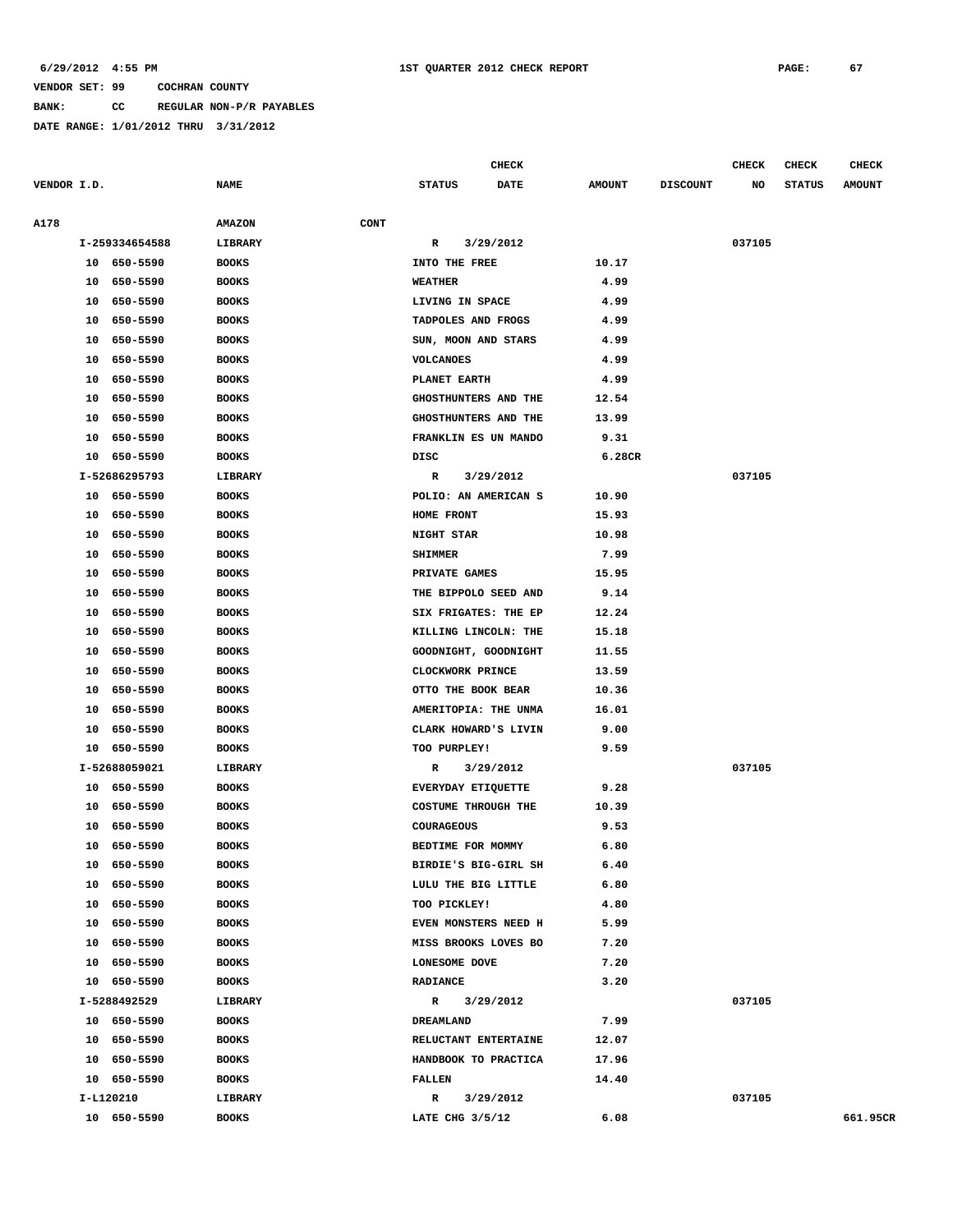**BANK: CC REGULAR NON-P/R PAYABLES**

| <b>NAME</b><br>VENDOR I.D.<br><b>STATUS</b><br>DATE<br><b>AMOUNT</b><br><b>DISCOUNT</b><br>NO<br><b>STATUS</b><br>A178<br><b>AMAZON</b><br>CONT<br>I-259334654588<br>3/29/2012<br>037105<br>LIBRARY<br>R<br>10 650-5590<br><b>BOOKS</b><br>INTO THE FREE<br>10.17<br>4.99<br>650-5590<br><b>BOOKS</b><br><b>WEATHER</b><br>10<br>LIVING IN SPACE<br>4.99<br>10<br>650-5590<br><b>BOOKS</b><br>650-5590<br><b>BOOKS</b><br>TADPOLES AND FROGS<br>4.99<br>10<br>650-5590<br><b>BOOKS</b><br>SUN, MOON AND STARS<br>4.99<br>10<br>10<br>650-5590<br><b>BOOKS</b><br><b>VOLCANOES</b><br>4.99<br>650-5590<br><b>BOOKS</b><br>PLANET EARTH<br>4.99<br>10<br>650-5590<br>10<br><b>BOOKS</b><br>GHOSTHUNTERS AND THE<br>12.54<br>13.99<br>10<br>650-5590<br><b>BOOKS</b><br>GHOSTHUNTERS AND THE | <b>AMOUNT</b> |
|-------------------------------------------------------------------------------------------------------------------------------------------------------------------------------------------------------------------------------------------------------------------------------------------------------------------------------------------------------------------------------------------------------------------------------------------------------------------------------------------------------------------------------------------------------------------------------------------------------------------------------------------------------------------------------------------------------------------------------------------------------------------------------------------|---------------|
|                                                                                                                                                                                                                                                                                                                                                                                                                                                                                                                                                                                                                                                                                                                                                                                           |               |
|                                                                                                                                                                                                                                                                                                                                                                                                                                                                                                                                                                                                                                                                                                                                                                                           |               |
|                                                                                                                                                                                                                                                                                                                                                                                                                                                                                                                                                                                                                                                                                                                                                                                           |               |
|                                                                                                                                                                                                                                                                                                                                                                                                                                                                                                                                                                                                                                                                                                                                                                                           |               |
|                                                                                                                                                                                                                                                                                                                                                                                                                                                                                                                                                                                                                                                                                                                                                                                           |               |
|                                                                                                                                                                                                                                                                                                                                                                                                                                                                                                                                                                                                                                                                                                                                                                                           |               |
|                                                                                                                                                                                                                                                                                                                                                                                                                                                                                                                                                                                                                                                                                                                                                                                           |               |
|                                                                                                                                                                                                                                                                                                                                                                                                                                                                                                                                                                                                                                                                                                                                                                                           |               |
|                                                                                                                                                                                                                                                                                                                                                                                                                                                                                                                                                                                                                                                                                                                                                                                           |               |
|                                                                                                                                                                                                                                                                                                                                                                                                                                                                                                                                                                                                                                                                                                                                                                                           |               |
|                                                                                                                                                                                                                                                                                                                                                                                                                                                                                                                                                                                                                                                                                                                                                                                           |               |
|                                                                                                                                                                                                                                                                                                                                                                                                                                                                                                                                                                                                                                                                                                                                                                                           |               |
| 650-5590<br><b>BOOKS</b><br>FRANKLIN ES UN MANDO<br>9.31<br>10                                                                                                                                                                                                                                                                                                                                                                                                                                                                                                                                                                                                                                                                                                                            |               |
| 650-5590<br><b>BOOKS</b><br>DISC<br>6.28CR<br>10                                                                                                                                                                                                                                                                                                                                                                                                                                                                                                                                                                                                                                                                                                                                          |               |
| I-52686295793<br>3/29/2012<br>037105<br>LIBRARY<br>R                                                                                                                                                                                                                                                                                                                                                                                                                                                                                                                                                                                                                                                                                                                                      |               |
| 10 650-5590<br><b>BOOKS</b><br>POLIO: AN AMERICAN S<br>10.90                                                                                                                                                                                                                                                                                                                                                                                                                                                                                                                                                                                                                                                                                                                              |               |
| 15.93<br>650-5590<br><b>BOOKS</b><br>HOME FRONT<br>10                                                                                                                                                                                                                                                                                                                                                                                                                                                                                                                                                                                                                                                                                                                                     |               |
| 650-5590<br><b>BOOKS</b><br>NIGHT STAR<br>10.98<br>10                                                                                                                                                                                                                                                                                                                                                                                                                                                                                                                                                                                                                                                                                                                                     |               |
| 650-5590<br><b>BOOKS</b><br><b>SHIMMER</b><br>7.99<br>10                                                                                                                                                                                                                                                                                                                                                                                                                                                                                                                                                                                                                                                                                                                                  |               |
| 650-5590<br><b>BOOKS</b><br>PRIVATE GAMES<br>15.95<br>10                                                                                                                                                                                                                                                                                                                                                                                                                                                                                                                                                                                                                                                                                                                                  |               |
| 9.14<br>10<br>650-5590<br><b>BOOKS</b><br>THE BIPPOLO SEED AND                                                                                                                                                                                                                                                                                                                                                                                                                                                                                                                                                                                                                                                                                                                            |               |
| 650-5590<br><b>BOOKS</b><br>SIX FRIGATES: THE EP<br>12.24<br>10                                                                                                                                                                                                                                                                                                                                                                                                                                                                                                                                                                                                                                                                                                                           |               |
| 650-5590<br>10<br><b>BOOKS</b><br>KILLING LINCOLN: THE<br>15.18                                                                                                                                                                                                                                                                                                                                                                                                                                                                                                                                                                                                                                                                                                                           |               |
| 10<br>650-5590<br><b>BOOKS</b><br>GOODNIGHT, GOODNIGHT<br>11.55                                                                                                                                                                                                                                                                                                                                                                                                                                                                                                                                                                                                                                                                                                                           |               |
| 650-5590<br><b>BOOKS</b><br>CLOCKWORK PRINCE<br>13.59<br>10                                                                                                                                                                                                                                                                                                                                                                                                                                                                                                                                                                                                                                                                                                                               |               |
| 650-5590<br><b>BOOKS</b><br>OTTO THE BOOK BEAR<br>10.36<br>10                                                                                                                                                                                                                                                                                                                                                                                                                                                                                                                                                                                                                                                                                                                             |               |
| 16.01<br>10<br>650-5590<br><b>BOOKS</b><br>AMERITOPIA: THE UNMA                                                                                                                                                                                                                                                                                                                                                                                                                                                                                                                                                                                                                                                                                                                           |               |
| 650-5590<br><b>BOOKS</b><br>CLARK HOWARD'S LIVIN<br>9.00<br>10                                                                                                                                                                                                                                                                                                                                                                                                                                                                                                                                                                                                                                                                                                                            |               |
| 650-5590<br>TOO PURPLEY!<br>9.59<br>10<br><b>BOOKS</b>                                                                                                                                                                                                                                                                                                                                                                                                                                                                                                                                                                                                                                                                                                                                    |               |
| I-52688059021<br>3/29/2012<br>037105<br>LIBRARY<br>R                                                                                                                                                                                                                                                                                                                                                                                                                                                                                                                                                                                                                                                                                                                                      |               |
| 10 650-5590<br><b>BOOKS</b><br>EVERYDAY ETIQUETTE<br>9.28                                                                                                                                                                                                                                                                                                                                                                                                                                                                                                                                                                                                                                                                                                                                 |               |
| 650-5590<br><b>BOOKS</b><br>COSTUME THROUGH THE<br>10.39<br>10                                                                                                                                                                                                                                                                                                                                                                                                                                                                                                                                                                                                                                                                                                                            |               |
| 650-5590<br>9.53<br>10<br><b>BOOKS</b><br><b>COURAGEOUS</b>                                                                                                                                                                                                                                                                                                                                                                                                                                                                                                                                                                                                                                                                                                                               |               |
| 10 650-5590<br><b>BOOKS</b><br>BEDTIME FOR MOMMY<br>6.80                                                                                                                                                                                                                                                                                                                                                                                                                                                                                                                                                                                                                                                                                                                                  |               |
| 6.40<br>10 650-5590<br><b>BOOKS</b><br>BIRDIE'S BIG-GIRL SH                                                                                                                                                                                                                                                                                                                                                                                                                                                                                                                                                                                                                                                                                                                               |               |
| 10 650-5590<br>LULU THE BIG LITTLE<br>6.80<br><b>BOOKS</b>                                                                                                                                                                                                                                                                                                                                                                                                                                                                                                                                                                                                                                                                                                                                |               |
| 10 650-5590<br><b>BOOKS</b><br>TOO PICKLEY!<br>4.80                                                                                                                                                                                                                                                                                                                                                                                                                                                                                                                                                                                                                                                                                                                                       |               |
| 10 650-5590<br><b>BOOKS</b><br>EVEN MONSTERS NEED H<br>5.99                                                                                                                                                                                                                                                                                                                                                                                                                                                                                                                                                                                                                                                                                                                               |               |
| 10 650-5590<br>MISS BROOKS LOVES BO<br>7.20<br><b>BOOKS</b>                                                                                                                                                                                                                                                                                                                                                                                                                                                                                                                                                                                                                                                                                                                               |               |
| 10 650-5590<br><b>BOOKS</b><br>LONESOME DOVE<br>7.20                                                                                                                                                                                                                                                                                                                                                                                                                                                                                                                                                                                                                                                                                                                                      |               |
| 10 650-5590<br><b>BOOKS</b><br><b>RADIANCE</b><br>3.20                                                                                                                                                                                                                                                                                                                                                                                                                                                                                                                                                                                                                                                                                                                                    |               |
| I-5288492529<br>R 3/29/2012<br>037105<br>LIBRARY                                                                                                                                                                                                                                                                                                                                                                                                                                                                                                                                                                                                                                                                                                                                          |               |
| 10 650-5590<br><b>BOOKS</b><br><b>DREAMLAND</b><br>7.99                                                                                                                                                                                                                                                                                                                                                                                                                                                                                                                                                                                                                                                                                                                                   |               |
| 10 650-5590<br><b>BOOKS</b><br>RELUCTANT ENTERTAINE<br>12.07                                                                                                                                                                                                                                                                                                                                                                                                                                                                                                                                                                                                                                                                                                                              |               |
| 10 650-5590<br>17.96<br><b>BOOKS</b><br>HANDBOOK TO PRACTICA                                                                                                                                                                                                                                                                                                                                                                                                                                                                                                                                                                                                                                                                                                                              |               |
| 10 650-5590<br><b>BOOKS</b><br>14.40<br><b>FALLEN</b>                                                                                                                                                                                                                                                                                                                                                                                                                                                                                                                                                                                                                                                                                                                                     |               |
| I-L120210<br>$\mathbf R$<br>3/29/2012<br>037105<br>LIBRARY                                                                                                                                                                                                                                                                                                                                                                                                                                                                                                                                                                                                                                                                                                                                |               |
| 10 650-5590<br>6.08<br><b>BOOKS</b><br>LATE CHG 3/5/12                                                                                                                                                                                                                                                                                                                                                                                                                                                                                                                                                                                                                                                                                                                                    | 661.95CR      |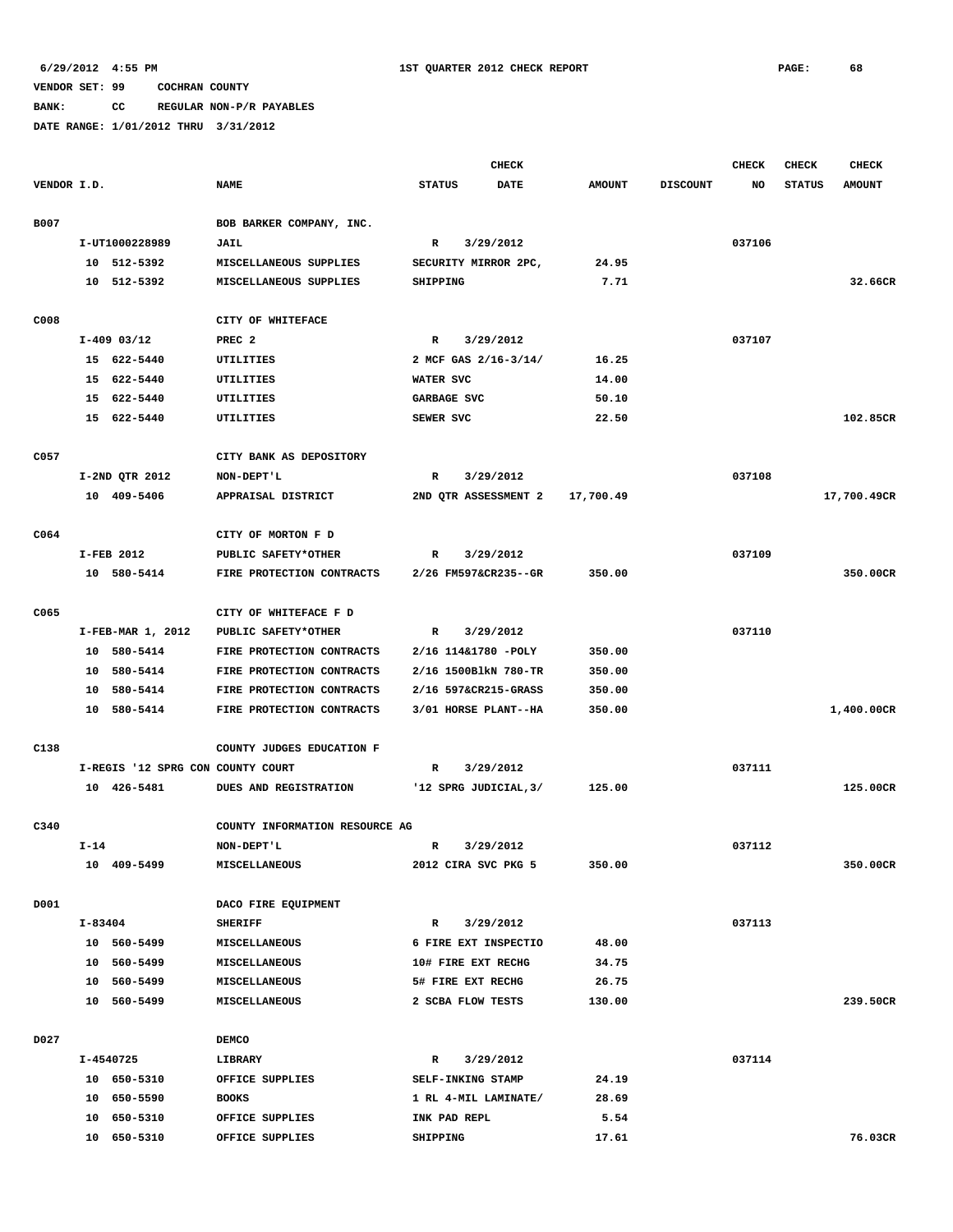**BANK: CC REGULAR NON-P/R PAYABLES**

|             |         |                                   |                                |               | <b>CHECK</b>          |               |                 | <b>CHECK</b> | <b>CHECK</b>  | <b>CHECK</b>  |
|-------------|---------|-----------------------------------|--------------------------------|---------------|-----------------------|---------------|-----------------|--------------|---------------|---------------|
| VENDOR I.D. |         |                                   | <b>NAME</b>                    | <b>STATUS</b> | <b>DATE</b>           | <b>AMOUNT</b> | <b>DISCOUNT</b> | NO           | <b>STATUS</b> | <b>AMOUNT</b> |
| <b>B007</b> |         |                                   | BOB BARKER COMPANY, INC.       |               |                       |               |                 |              |               |               |
|             |         | I-UT1000228989                    | <b>JAIL</b>                    | $\mathbb{R}$  | 3/29/2012             |               |                 | 037106       |               |               |
|             |         | 10 512-5392                       | MISCELLANEOUS SUPPLIES         |               | SECURITY MIRROR 2PC,  | 24.95         |                 |              |               |               |
|             |         | 10 512-5392                       | MISCELLANEOUS SUPPLIES         | SHIPPING      |                       | 7.71          |                 |              |               | 32.66CR       |
|             |         |                                   |                                |               |                       |               |                 |              |               |               |
| C008        |         |                                   | CITY OF WHITEFACE              |               |                       |               |                 |              |               |               |
|             |         | $I-409$ 03/12                     | PREC <sub>2</sub>              | $\mathbb{R}$  | 3/29/2012             |               |                 | 037107       |               |               |
|             |         | 15 622-5440                       | UTILITIES                      |               | 2 MCF GAS 2/16-3/14/  | 16.25         |                 |              |               |               |
|             |         | 15 622-5440                       | UTILITIES                      | WATER SVC     |                       | 14.00         |                 |              |               |               |
|             |         | 15 622-5440                       | UTILITIES                      | GARBAGE SVC   |                       | 50.10         |                 |              |               |               |
|             |         | 15 622-5440                       | UTILITIES                      | SEWER SVC     |                       | 22.50         |                 |              |               | 102.85CR      |
| C057        |         |                                   | CITY BANK AS DEPOSITORY        |               |                       |               |                 |              |               |               |
|             |         | I-2ND QTR 2012                    | NON-DEPT'L                     | R             | 3/29/2012             |               |                 | 037108       |               |               |
|             |         | 10 409-5406                       | APPRAISAL DISTRICT             |               | 2ND OTR ASSESSMENT 2  | 17,700.49     |                 |              |               | 17,700.49CR   |
|             |         |                                   |                                |               |                       |               |                 |              |               |               |
| C064        |         |                                   | CITY OF MORTON F D             |               |                       |               |                 |              |               |               |
|             |         | I-FEB 2012                        | PUBLIC SAFETY*OTHER            | $\mathbb{R}$  | 3/29/2012             |               |                 | 037109       |               |               |
|             |         | 10 580-5414                       | FIRE PROTECTION CONTRACTS      |               | 2/26 FM597&CR235--GR  | 350.00        |                 |              |               | 350.00CR      |
| C065        |         |                                   | CITY OF WHITEFACE F D          |               |                       |               |                 |              |               |               |
|             |         | I-FEB-MAR 1, 2012                 | PUBLIC SAFETY*OTHER            | R             | 3/29/2012             |               |                 | 037110       |               |               |
|             |         | 10 580-5414                       | FIRE PROTECTION CONTRACTS      |               | 2/16 114&1780 -POLY   | 350.00        |                 |              |               |               |
|             |         | 10 580-5414                       | FIRE PROTECTION CONTRACTS      |               | 2/16 1500BlkN 780-TR  | 350.00        |                 |              |               |               |
|             |         | 10 580-5414                       | FIRE PROTECTION CONTRACTS      |               | 2/16 597&CR215-GRASS  | 350.00        |                 |              |               |               |
|             |         | 10 580-5414                       | FIRE PROTECTION CONTRACTS      |               | 3/01 HORSE PLANT--HA  | 350.00        |                 |              |               | 1,400.00CR    |
| C138        |         |                                   | COUNTY JUDGES EDUCATION F      |               |                       |               |                 |              |               |               |
|             |         | I-REGIS '12 SPRG CON COUNTY COURT |                                | R             | 3/29/2012             |               |                 | 037111       |               |               |
|             |         | 10 426-5481                       | DUES AND REGISTRATION          |               | '12 SPRG JUDICIAL, 3/ | 125.00        |                 |              |               | 125.00CR      |
|             |         |                                   |                                |               |                       |               |                 |              |               |               |
| C340        |         |                                   | COUNTY INFORMATION RESOURCE AG |               |                       |               |                 |              |               |               |
|             | $I-14$  |                                   | NON-DEPT'L                     | R             | 3/29/2012             |               |                 | 037112       |               |               |
|             |         | 10 409-5499                       | MISCELLANEOUS                  |               | 2012 CIRA SVC PKG 5   | 350.00        |                 |              |               | 350.00CR      |
| D001        |         |                                   | DACO FIRE EQUIPMENT            |               |                       |               |                 |              |               |               |
|             | I-83404 |                                   | <b>SHERIFF</b>                 | $\mathbb{R}$  | 3/29/2012             |               |                 | 037113       |               |               |
|             |         | 10 560-5499                       | <b>MISCELLANEOUS</b>           |               | 6 FIRE EXT INSPECTIO  | 48.00         |                 |              |               |               |
|             |         | 10 560-5499                       | MISCELLANEOUS                  |               | 10# FIRE EXT RECHG    | 34.75         |                 |              |               |               |
|             |         | 10 560-5499                       | <b>MISCELLANEOUS</b>           |               | 5# FIRE EXT RECHG     | 26.75         |                 |              |               |               |
|             |         | 10 560-5499                       | <b>MISCELLANEOUS</b>           |               | 2 SCBA FLOW TESTS     | 130.00        |                 |              |               | 239.50CR      |
| D027        |         |                                   | DEMCO                          |               |                       |               |                 |              |               |               |
|             |         | I-4540725                         | LIBRARY                        | R             | 3/29/2012             |               |                 | 037114       |               |               |
|             |         | 10 650-5310                       | OFFICE SUPPLIES                |               | SELF-INKING STAMP     | 24.19         |                 |              |               |               |
|             |         | 10 650-5590                       | <b>BOOKS</b>                   |               | 1 RL 4-MIL LAMINATE/  | 28.69         |                 |              |               |               |
|             |         | 10 650-5310                       | OFFICE SUPPLIES                |               | INK PAD REPL          | 5.54          |                 |              |               |               |
|             |         |                                   |                                |               |                       | 17.61         |                 |              |               | 76.03CR       |
|             |         | 10 650-5310                       | OFFICE SUPPLIES                | SHIPPING      |                       |               |                 |              |               |               |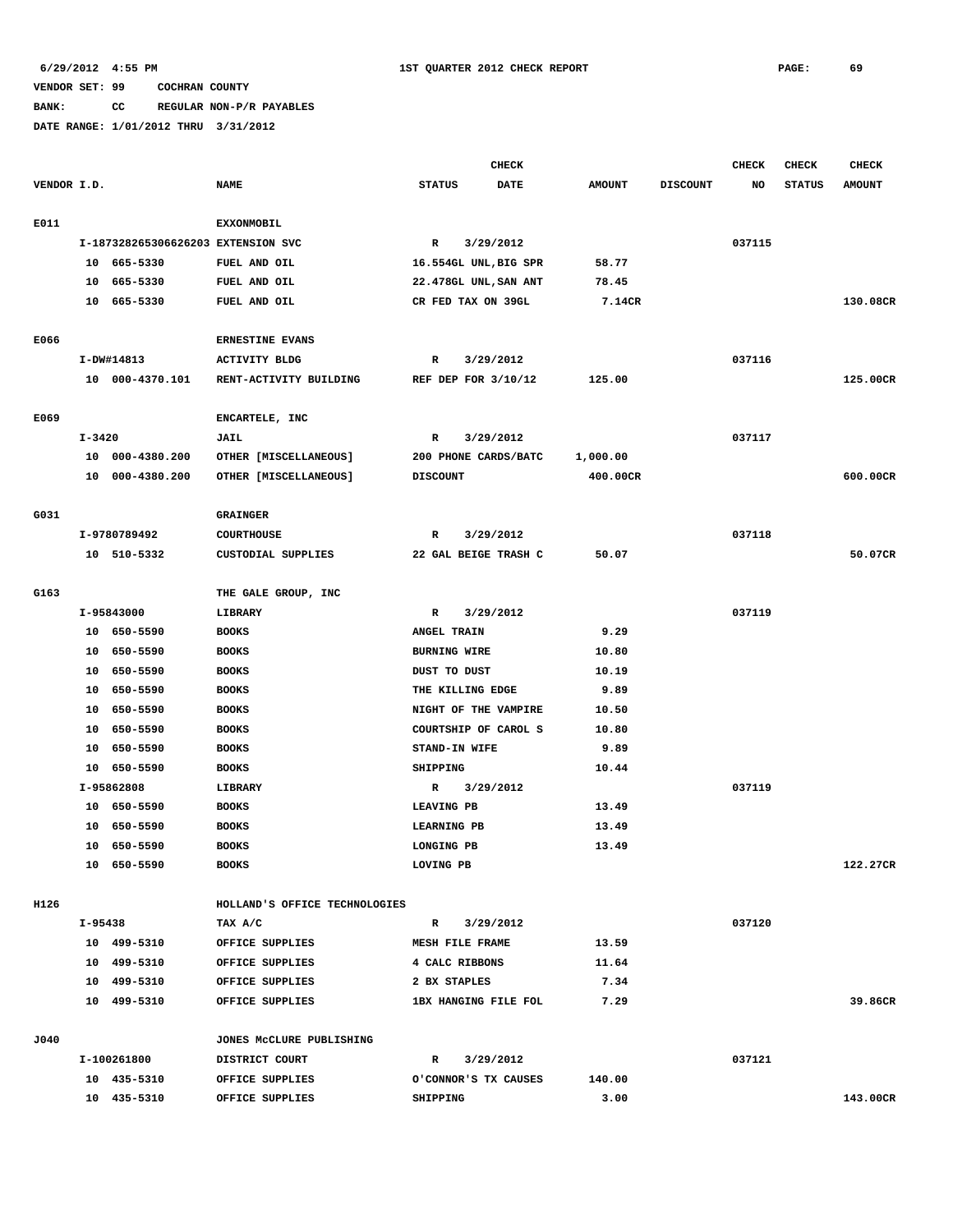# **BANK: CC REGULAR NON-P/R PAYABLES**

|             |            |                                    |                                          | <b>CHECK</b>        |                        |                |                 | <b>CHECK</b> | <b>CHECK</b>  | <b>CHECK</b>  |
|-------------|------------|------------------------------------|------------------------------------------|---------------------|------------------------|----------------|-----------------|--------------|---------------|---------------|
| VENDOR I.D. |            |                                    | <b>NAME</b>                              | <b>STATUS</b>       | <b>DATE</b>            | <b>AMOUNT</b>  | <b>DISCOUNT</b> | NO           | <b>STATUS</b> | <b>AMOUNT</b> |
|             |            |                                    |                                          |                     |                        |                |                 |              |               |               |
| E011        |            |                                    | <b>EXXONMOBIL</b>                        |                     |                        |                |                 |              |               |               |
|             |            | I-187328265306626203 EXTENSION SVC |                                          | $\mathbb{R}$        | 3/29/2012              |                |                 | 037115       |               |               |
|             |            | 10 665-5330                        | FUEL AND OIL                             |                     | 16.554GL UNL, BIG SPR  | 58.77          |                 |              |               |               |
|             | 10         | 665-5330                           | FUEL AND OIL                             |                     | 22.478GL UNL, SAN ANT  | 78.45          |                 |              |               |               |
|             | 10         | 665-5330                           | FUEL AND OIL                             |                     | CR FED TAX ON 39GL     | 7.14CR         |                 |              |               | 130.08CR      |
|             |            |                                    |                                          |                     |                        |                |                 |              |               |               |
| E066        |            |                                    | <b>ERNESTINE EVANS</b>                   |                     |                        |                |                 |              |               |               |
|             |            | I-DW#14813                         | <b>ACTIVITY BLDG</b>                     | R                   | 3/29/2012              |                |                 | 037116       |               |               |
|             |            | 10 000-4370.101                    | RENT-ACTIVITY BUILDING                   |                     | REF DEP FOR $3/10/12$  | 125.00         |                 |              |               | 125.00CR      |
|             |            |                                    |                                          |                     |                        |                |                 |              |               |               |
| E069        |            |                                    | ENCARTELE, INC                           |                     |                        |                |                 |              |               |               |
|             | $I - 3420$ |                                    | <b>JAIL</b>                              | R                   | 3/29/2012              |                |                 | 037117       |               |               |
|             |            | 10 000-4380.200                    | OTHER [MISCELLANEOUS]                    |                     | 200 PHONE CARDS/BATC   | 1,000.00       |                 |              |               |               |
|             | 10         | 000-4380.200                       | OTHER [MISCELLANEOUS]                    | <b>DISCOUNT</b>     |                        | 400.00CR       |                 |              |               | 600.00CR      |
|             |            |                                    |                                          |                     |                        |                |                 |              |               |               |
| G031        |            |                                    | <b>GRAINGER</b>                          |                     |                        |                |                 |              |               |               |
|             |            | I-9780789492                       | <b>COURTHOUSE</b>                        | R                   | 3/29/2012              |                |                 | 037118       |               |               |
|             |            | 10 510-5332                        | CUSTODIAL SUPPLIES                       |                     | 22 GAL BEIGE TRASH C   | 50.07          |                 |              |               | 50.07CR       |
|             |            |                                    |                                          |                     |                        |                |                 |              |               |               |
| G163        |            |                                    | THE GALE GROUP, INC                      |                     |                        |                |                 |              |               |               |
|             |            | I-95843000                         | LIBRARY                                  | R                   | 3/29/2012              |                |                 | 037119       |               |               |
|             |            | 10 650-5590                        | <b>BOOKS</b>                             | ANGEL TRAIN         |                        | 9.29           |                 |              |               |               |
|             | 10         | 650-5590                           | <b>BOOKS</b>                             | <b>BURNING WIRE</b> |                        | 10.80          |                 |              |               |               |
|             | 10         | 650-5590                           | <b>BOOKS</b>                             | DUST TO DUST        |                        | 10.19          |                 |              |               |               |
|             | 10         | 650-5590                           | <b>BOOKS</b>                             |                     | THE KILLING EDGE       | 9.89           |                 |              |               |               |
|             | 10         | 650-5590                           | <b>BOOKS</b>                             |                     | NIGHT OF THE VAMPIRE   | 10.50          |                 |              |               |               |
|             | 10         | 650-5590                           | <b>BOOKS</b>                             |                     | COURTSHIP OF CAROL S   | 10.80          |                 |              |               |               |
|             | 10         | 650-5590                           | <b>BOOKS</b>                             | STAND-IN WIFE       |                        | 9.89           |                 |              |               |               |
|             | 10         | 650-5590                           | <b>BOOKS</b>                             | SHIPPING            |                        | 10.44          |                 |              |               |               |
|             |            | I-95862808                         | <b>LIBRARY</b>                           | R                   | 3/29/2012              |                |                 | 037119       |               |               |
|             |            | 10 650-5590                        | <b>BOOKS</b>                             | LEAVING PB          |                        | 13.49          |                 |              |               |               |
|             | 10         | 650-5590                           | <b>BOOKS</b>                             | LEARNING PB         |                        | 13.49          |                 |              |               |               |
|             | 10         | 650-5590                           | <b>BOOKS</b>                             | LONGING PB          |                        | 13.49          |                 |              |               |               |
|             |            | 10 650-5590                        | <b>BOOKS</b>                             | LOVING PB           |                        |                |                 |              |               | 122.27CR      |
|             |            |                                    |                                          |                     |                        |                |                 |              |               |               |
| H126        | I-95438    |                                    | HOLLAND'S OFFICE TECHNOLOGIES<br>TAX A/C |                     | R 3/29/2012            |                |                 | 037120       |               |               |
|             |            |                                    |                                          |                     | <b>MESH FILE FRAME</b> |                |                 |              |               |               |
|             |            | 10 499-5310<br>10 499-5310         | OFFICE SUPPLIES<br>OFFICE SUPPLIES       |                     | 4 CALC RIBBONS         | 13.59<br>11.64 |                 |              |               |               |
|             |            | 10 499-5310                        | OFFICE SUPPLIES                          | 2 BX STAPLES        |                        | 7.34           |                 |              |               |               |
|             |            | 10 499-5310                        |                                          |                     |                        | 7.29           |                 |              |               | 39.86CR       |
|             |            |                                    | OFFICE SUPPLIES                          |                     | 1BX HANGING FILE FOL   |                |                 |              |               |               |
| J040        |            |                                    | JONES MCCLURE PUBLISHING                 |                     |                        |                |                 |              |               |               |
|             |            | I-100261800                        | DISTRICT COURT                           |                     | R 3/29/2012            |                |                 | 037121       |               |               |
|             |            | 10 435-5310                        | OFFICE SUPPLIES                          |                     | O'CONNOR'S TX CAUSES   | 140.00         |                 |              |               |               |
|             |            | 10 435-5310                        | OFFICE SUPPLIES                          | SHIPPING            |                        | 3.00           |                 |              |               | 143.00CR      |
|             |            |                                    |                                          |                     |                        |                |                 |              |               |               |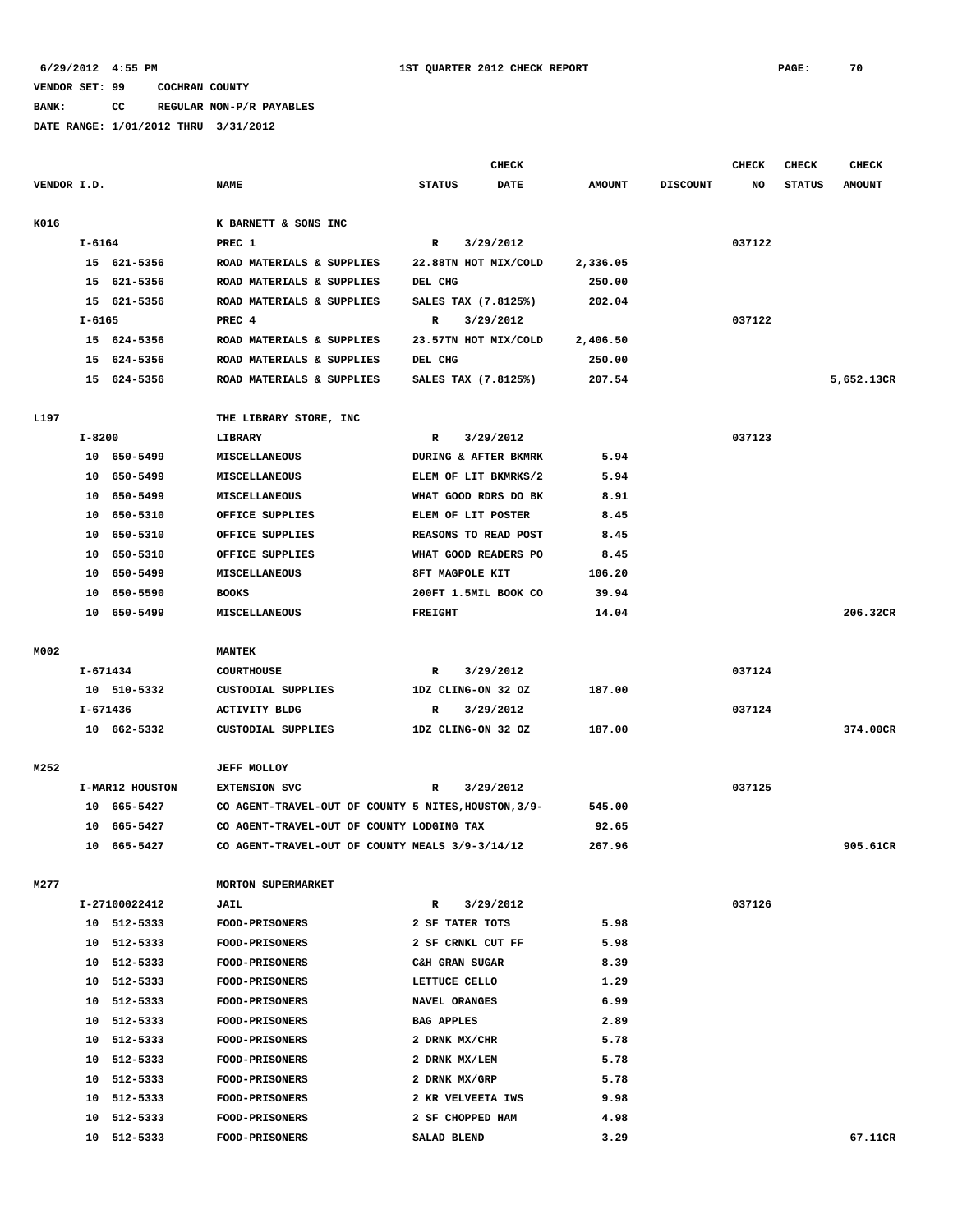**BANK: CC REGULAR NON-P/R PAYABLES**

|             |            |                 |                                                      |                   | <b>CHECK</b>         |               |                 | <b>CHECK</b> | <b>CHECK</b>  | <b>CHECK</b>  |
|-------------|------------|-----------------|------------------------------------------------------|-------------------|----------------------|---------------|-----------------|--------------|---------------|---------------|
| VENDOR I.D. |            |                 | <b>NAME</b>                                          | <b>STATUS</b>     | <b>DATE</b>          | <b>AMOUNT</b> | <b>DISCOUNT</b> | NO           | <b>STATUS</b> | <b>AMOUNT</b> |
| K016        |            |                 | K BARNETT & SONS INC                                 |                   |                      |               |                 |              |               |               |
|             | I-6164     |                 | PREC 1                                               | R                 | 3/29/2012            |               |                 | 037122       |               |               |
|             |            | 15 621-5356     | ROAD MATERIALS & SUPPLIES                            |                   | 22.88TN HOT MIX/COLD | 2,336.05      |                 |              |               |               |
|             |            | 15 621-5356     | ROAD MATERIALS & SUPPLIES                            | DEL CHG           |                      | 250.00        |                 |              |               |               |
|             |            | 15 621-5356     | ROAD MATERIALS & SUPPLIES                            |                   | SALES TAX (7.8125%)  | 202.04        |                 |              |               |               |
|             | $I - 6165$ |                 | PREC <sub>4</sub>                                    | R                 | 3/29/2012            |               |                 | 037122       |               |               |
|             |            | 15 624-5356     | ROAD MATERIALS & SUPPLIES                            |                   | 23.57TN HOT MIX/COLD | 2,406.50      |                 |              |               |               |
|             |            | 15 624-5356     | ROAD MATERIALS & SUPPLIES                            | DEL CHG           |                      | 250.00        |                 |              |               |               |
|             |            | 15 624-5356     | ROAD MATERIALS & SUPPLIES                            |                   | SALES TAX (7.8125%)  | 207.54        |                 |              |               | 5,652.13CR    |
| L197        |            |                 | THE LIBRARY STORE, INC                               |                   |                      |               |                 |              |               |               |
|             | I-8200     |                 | LIBRARY                                              | R                 | 3/29/2012            |               |                 | 037123       |               |               |
|             |            | 10 650-5499     | MISCELLANEOUS                                        |                   | DURING & AFTER BKMRK | 5.94          |                 |              |               |               |
|             |            | 10 650-5499     | MISCELLANEOUS                                        |                   | ELEM OF LIT BKMRKS/2 | 5.94          |                 |              |               |               |
|             | 10         | 650-5499        | MISCELLANEOUS                                        |                   | WHAT GOOD RDRS DO BK | 8.91          |                 |              |               |               |
|             | 10         | 650-5310        | OFFICE SUPPLIES                                      |                   | ELEM OF LIT POSTER   | 8.45          |                 |              |               |               |
|             | 10         | 650-5310        | OFFICE SUPPLIES                                      |                   | REASONS TO READ POST | 8.45          |                 |              |               |               |
|             | 10         | 650-5310        | OFFICE SUPPLIES                                      |                   | WHAT GOOD READERS PO | 8.45          |                 |              |               |               |
|             |            | 10 650-5499     | MISCELLANEOUS                                        |                   | 8FT MAGPOLE KIT      | 106.20        |                 |              |               |               |
|             |            | 10 650-5590     | <b>BOOKS</b>                                         |                   | 200FT 1.5MIL BOOK CO | 39.94         |                 |              |               |               |
|             |            | 10 650-5499     | <b>MISCELLANEOUS</b>                                 | <b>FREIGHT</b>    |                      | 14.04         |                 |              |               | 206.32CR      |
|             |            |                 |                                                      |                   |                      |               |                 |              |               |               |
| M002        |            |                 | <b>MANTEK</b>                                        |                   |                      |               |                 |              |               |               |
|             |            | I-671434        | <b>COURTHOUSE</b>                                    | R                 | 3/29/2012            |               |                 | 037124       |               |               |
|             |            | 10 510-5332     | CUSTODIAL SUPPLIES                                   |                   | 1DZ CLING-ON 32 OZ   | 187.00        |                 |              |               |               |
|             | I-671436   |                 | <b>ACTIVITY BLDG</b>                                 | R                 | 3/29/2012            |               |                 | 037124       |               |               |
|             |            | 10 662-5332     | CUSTODIAL SUPPLIES                                   |                   | 1DZ CLING-ON 32 OZ   | 187.00        |                 |              |               | 374.00CR      |
| M252        |            |                 | <b>JEFF MOLLOY</b>                                   |                   |                      |               |                 |              |               |               |
|             |            | I-MAR12 HOUSTON | <b>EXTENSION SVC</b>                                 | R                 | 3/29/2012            |               |                 | 037125       |               |               |
|             |            | 10 665-5427     | CO AGENT-TRAVEL-OUT OF COUNTY 5 NITES, HOUSTON, 3/9- |                   |                      | 545.00        |                 |              |               |               |
|             |            | 10 665-5427     | CO AGENT-TRAVEL-OUT OF COUNTY LODGING TAX            |                   |                      | 92.65         |                 |              |               |               |
|             |            | 10 665-5427     | CO AGENT-TRAVEL-OUT OF COUNTY MEALS 3/9-3/14/12      |                   |                      | 267.96        |                 |              |               | 905.61CR      |
| M277        |            |                 | MORTON SUPERMARKET                                   |                   |                      |               |                 |              |               |               |
|             |            | I-27100022412   | JAIL                                                 | R                 | 3/29/2012            |               |                 | 037126       |               |               |
|             |            | 10 512-5333     | <b>FOOD-PRISONERS</b>                                |                   | 2 SF TATER TOTS      | 5.98          |                 |              |               |               |
|             |            | 10 512-5333     | <b>FOOD-PRISONERS</b>                                |                   | 2 SF CRNKL CUT FF    | 5.98          |                 |              |               |               |
|             |            | 10 512-5333     | <b>FOOD-PRISONERS</b>                                | C&H GRAN SUGAR    |                      | 8.39          |                 |              |               |               |
|             |            | 10 512-5333     | <b>FOOD-PRISONERS</b>                                | LETTUCE CELLO     |                      | 1.29          |                 |              |               |               |
|             |            | 10 512-5333     | FOOD-PRISONERS                                       | NAVEL ORANGES     |                      | 6.99          |                 |              |               |               |
|             |            | 10 512-5333     | FOOD-PRISONERS                                       | <b>BAG APPLES</b> |                      | 2.89          |                 |              |               |               |
|             |            | 10 512-5333     | <b>FOOD-PRISONERS</b>                                | 2 DRNK MX/CHR     |                      | 5.78          |                 |              |               |               |
|             |            | 10 512-5333     | FOOD-PRISONERS                                       | 2 DRNK MX/LEM     |                      | 5.78          |                 |              |               |               |
|             |            | 10 512-5333     | <b>FOOD-PRISONERS</b>                                | 2 DRNK MX/GRP     |                      | 5.78          |                 |              |               |               |
|             |            | 10 512-5333     | <b>FOOD-PRISONERS</b>                                |                   | 2 KR VELVEETA IWS    | 9.98          |                 |              |               |               |
|             |            | 10 512-5333     | FOOD-PRISONERS                                       |                   | 2 SF CHOPPED HAM     | 4.98          |                 |              |               |               |
|             |            | 10 512-5333     | <b>FOOD-PRISONERS</b>                                | SALAD BLEND       |                      | 3.29          |                 |              |               | 67.11CR       |
|             |            |                 |                                                      |                   |                      |               |                 |              |               |               |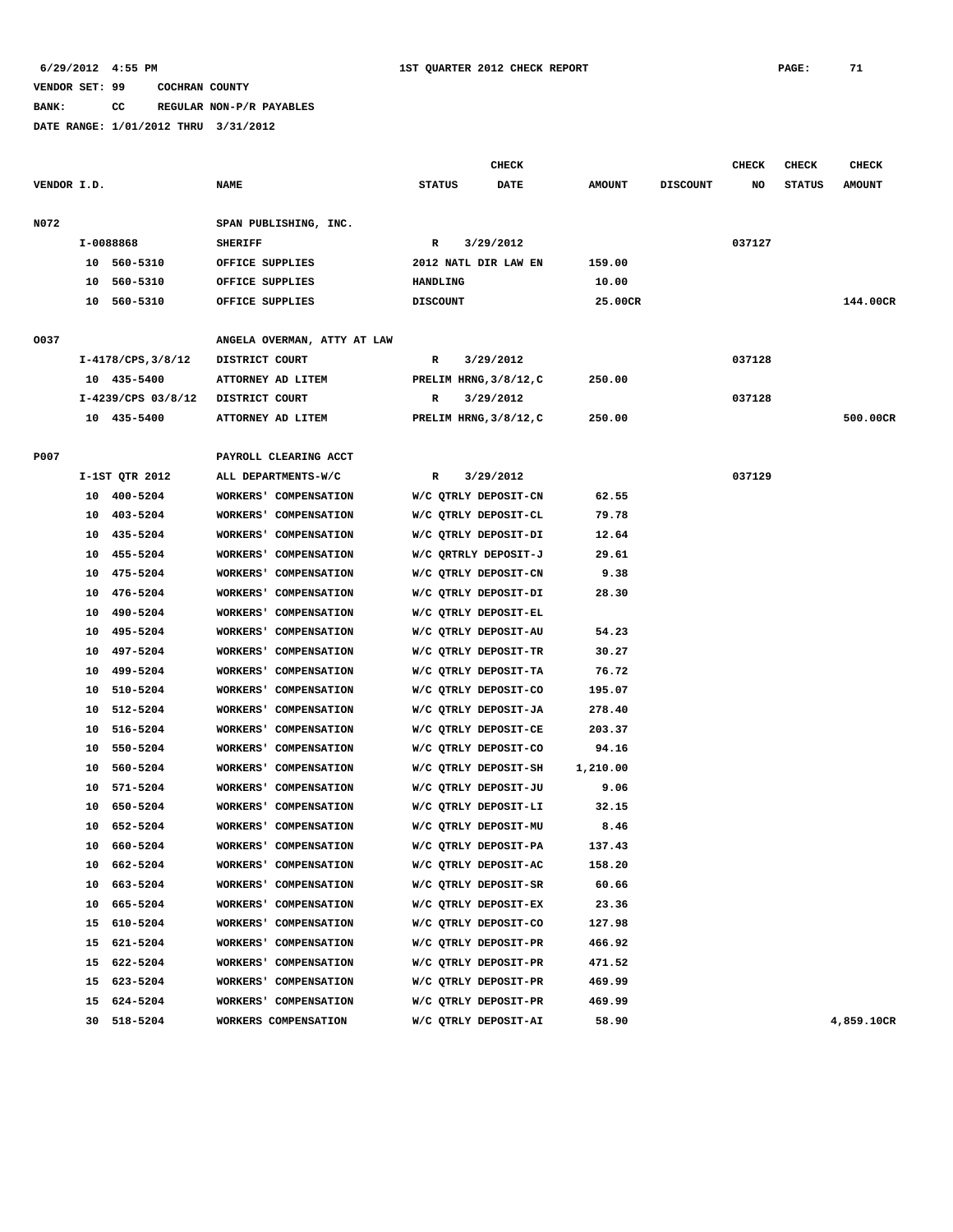# **BANK: CC REGULAR NON-P/R PAYABLES**

|             |    |                    |                                        |                 | <b>CHECK</b>           |               |                 | CHECK  | <b>CHECK</b>  | CHECK         |
|-------------|----|--------------------|----------------------------------------|-----------------|------------------------|---------------|-----------------|--------|---------------|---------------|
| VENDOR I.D. |    |                    | <b>NAME</b>                            | <b>STATUS</b>   | <b>DATE</b>            | <b>AMOUNT</b> | <b>DISCOUNT</b> | NO     | <b>STATUS</b> | <b>AMOUNT</b> |
| N072        |    |                    | SPAN PUBLISHING, INC.                  |                 |                        |               |                 |        |               |               |
|             |    | I-0088868          | <b>SHERIFF</b>                         | R               | 3/29/2012              |               |                 | 037127 |               |               |
|             |    | 10 560-5310        | OFFICE SUPPLIES                        |                 | 2012 NATL DIR LAW EN   | 159.00        |                 |        |               |               |
|             | 10 | 560-5310           | OFFICE SUPPLIES                        | HANDLING        |                        | 10.00         |                 |        |               |               |
|             | 10 | 560-5310           | OFFICE SUPPLIES                        | <b>DISCOUNT</b> |                        | 25.00CR       |                 |        |               | 144.00CR      |
|             |    |                    |                                        |                 |                        |               |                 |        |               |               |
| 0037        |    |                    | ANGELA OVERMAN, ATTY AT LAW            |                 |                        |               |                 |        |               |               |
|             |    | I-4178/CPS, 3/8/12 | DISTRICT COURT                         | R               | 3/29/2012              |               |                 | 037128 |               |               |
|             |    | 10 435-5400        | ATTORNEY AD LITEM                      |                 | PRELIM HRNG, 3/8/12, C | 250.00        |                 |        |               |               |
|             |    | I-4239/CPS 03/8/12 | DISTRICT COURT                         | R               | 3/29/2012              |               |                 | 037128 |               |               |
|             |    | 10 435-5400        | ATTORNEY AD LITEM                      |                 | PRELIM HRNG, 3/8/12, C | 250.00        |                 |        |               | 500.00CR      |
|             |    |                    |                                        |                 |                        |               |                 |        |               |               |
| P007        |    |                    | PAYROLL CLEARING ACCT                  |                 |                        |               |                 |        |               |               |
|             |    | I-1ST QTR 2012     | ALL DEPARTMENTS-W/C                    | R               | 3/29/2012              |               |                 | 037129 |               |               |
|             | 10 | 400-5204           | <b>WORKERS' COMPENSATION</b>           |                 | W/C QTRLY DEPOSIT-CN   | 62.55         |                 |        |               |               |
|             | 10 | 403-5204           | WORKERS' COMPENSATION                  |                 | W/C QTRLY DEPOSIT-CL   | 79.78         |                 |        |               |               |
|             | 10 | 435-5204           | WORKERS' COMPENSATION                  |                 | W/C QTRLY DEPOSIT-DI   | 12.64         |                 |        |               |               |
|             | 10 | 455-5204           | WORKERS' COMPENSATION                  |                 | W/C QRTRLY DEPOSIT-J   | 29.61         |                 |        |               |               |
|             | 10 | 475-5204           | WORKERS' COMPENSATION                  |                 | W/C QTRLY DEPOSIT-CN   | 9.38          |                 |        |               |               |
|             | 10 | 476-5204           | WORKERS' COMPENSATION                  |                 | W/C QTRLY DEPOSIT-DI   | 28.30         |                 |        |               |               |
|             | 10 | 490-5204           | WORKERS' COMPENSATION                  |                 | W/C QTRLY DEPOSIT-EL   |               |                 |        |               |               |
|             | 10 | 495-5204           | WORKERS' COMPENSATION                  |                 | W/C QTRLY DEPOSIT-AU   | 54.23         |                 |        |               |               |
|             | 10 | 497-5204           | <b>WORKERS'</b><br><b>COMPENSATION</b> |                 | W/C QTRLY DEPOSIT-TR   | 30.27         |                 |        |               |               |
|             | 10 | 499-5204           | <b>WORKERS'</b><br><b>COMPENSATION</b> |                 | W/C QTRLY DEPOSIT-TA   | 76.72         |                 |        |               |               |
|             | 10 | 510-5204           | WORKERS' COMPENSATION                  |                 | W/C QTRLY DEPOSIT-CO   | 195.07        |                 |        |               |               |
|             | 10 | 512-5204           | <b>WORKERS'</b><br><b>COMPENSATION</b> |                 | W/C QTRLY DEPOSIT-JA   | 278.40        |                 |        |               |               |
|             | 10 | 516-5204           | <b>WORKERS'</b><br><b>COMPENSATION</b> |                 | W/C QTRLY DEPOSIT-CE   | 203.37        |                 |        |               |               |
|             | 10 | 550-5204           | <b>WORKERS'</b><br><b>COMPENSATION</b> |                 | W/C QTRLY DEPOSIT-CO   | 94.16         |                 |        |               |               |
|             | 10 | 560-5204           | <b>WORKERS'</b><br>COMPENSATION        |                 | W/C QTRLY DEPOSIT-SH   | 1,210.00      |                 |        |               |               |
|             | 10 | 571-5204           | <b>WORKERS'</b><br><b>COMPENSATION</b> |                 | W/C QTRLY DEPOSIT-JU   | 9.06          |                 |        |               |               |
|             | 10 | 650-5204           | WORKERS' COMPENSATION                  |                 | W/C QTRLY DEPOSIT-LI   | 32.15         |                 |        |               |               |
|             | 10 | 652-5204           | <b>WORKERS'</b><br><b>COMPENSATION</b> |                 | W/C QTRLY DEPOSIT-MU   | 8.46          |                 |        |               |               |
|             | 10 | 660-5204           | WORKERS' COMPENSATION                  |                 | W/C QTRLY DEPOSIT-PA   | 137.43        |                 |        |               |               |
|             | 10 | 662-5204           | WORKERS' COMPENSATION                  |                 | W/C QTRLY DEPOSIT-AC   | 158.20        |                 |        |               |               |
|             | 10 | 663-5204           | WORKERS' COMPENSATION                  |                 | W/C QTRLY DEPOSIT-SR   | 60.66         |                 |        |               |               |
|             | 10 | 665-5204           | WORKERS' COMPENSATION                  |                 | W/C QTRLY DEPOSIT-EX   | 23.36         |                 |        |               |               |
|             | 15 | 610-5204           | WORKERS' COMPENSATION                  |                 | W/C QTRLY DEPOSIT-CO   | 127.98        |                 |        |               |               |
|             | 15 | 621-5204           | WORKERS' COMPENSATION                  |                 | W/C QTRLY DEPOSIT-PR   | 466.92        |                 |        |               |               |
|             | 15 | 622-5204           | WORKERS' COMPENSATION                  |                 | W/C QTRLY DEPOSIT-PR   | 471.52        |                 |        |               |               |
|             | 15 | 623-5204           | WORKERS' COMPENSATION                  |                 | W/C QTRLY DEPOSIT-PR   | 469.99        |                 |        |               |               |
|             | 15 | 624-5204           | WORKERS' COMPENSATION                  |                 | W/C QTRLY DEPOSIT-PR   | 469.99        |                 |        |               |               |
|             | 30 | 518-5204           | WORKERS COMPENSATION                   |                 | W/C QTRLY DEPOSIT-AI   | 58.90         |                 |        |               | 4,859.10CR    |
|             |    |                    |                                        |                 |                        |               |                 |        |               |               |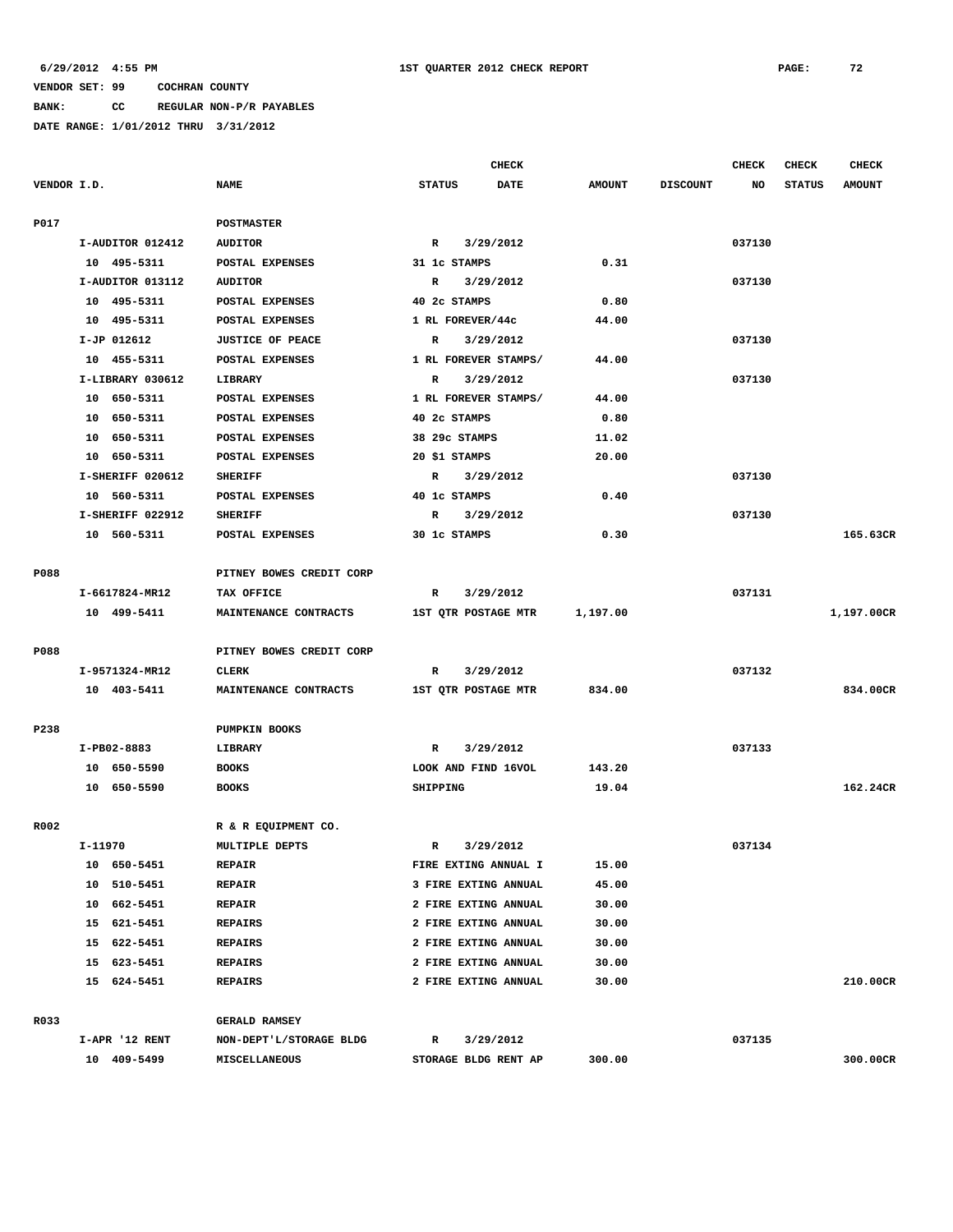**BANK: CC REGULAR NON-P/R PAYABLES**

|             |                            |                              | <b>CHECK</b>                                     |               |                 | <b>CHECK</b> | <b>CHECK</b>  | <b>CHECK</b>  |
|-------------|----------------------------|------------------------------|--------------------------------------------------|---------------|-----------------|--------------|---------------|---------------|
| VENDOR I.D. |                            | <b>NAME</b>                  | <b>STATUS</b><br>DATE                            | <b>AMOUNT</b> | <b>DISCOUNT</b> | NO           | <b>STATUS</b> | <b>AMOUNT</b> |
| <b>P017</b> |                            | POSTMASTER                   |                                                  |               |                 |              |               |               |
|             | I-AUDITOR 012412           | <b>AUDITOR</b>               | 3/29/2012<br>R                                   |               |                 | 037130       |               |               |
|             | 10 495-5311                | POSTAL EXPENSES              | 31 1c STAMPS                                     | 0.31          |                 |              |               |               |
|             | I-AUDITOR 013112           | <b>AUDITOR</b>               | 3/29/2012<br>$\mathbf R$                         |               |                 | 037130       |               |               |
|             | 10 495-5311                | POSTAL EXPENSES              | 40 2c STAMPS                                     | 0.80          |                 |              |               |               |
|             | 10 495-5311                | POSTAL EXPENSES              | 1 RL FOREVER/44c                                 | 44.00         |                 |              |               |               |
|             | I-JP 012612                | <b>JUSTICE OF PEACE</b>      | 3/29/2012<br>R                                   |               |                 | 037130       |               |               |
|             | 10 455-5311                | POSTAL EXPENSES              | 1 RL FOREVER STAMPS/                             | 44.00         |                 |              |               |               |
|             | I-LIBRARY 030612           | LIBRARY                      | $\mathbb{R}$<br>3/29/2012                        |               |                 | 037130       |               |               |
|             | 10 650-5311                | POSTAL EXPENSES              | 1 RL FOREVER STAMPS/                             | 44.00         |                 |              |               |               |
|             | 10 650-5311                | POSTAL EXPENSES              | 40 2c STAMPS                                     | 0.80          |                 |              |               |               |
|             | 10 650-5311                | POSTAL EXPENSES              | 38 29c STAMPS                                    | 11.02         |                 |              |               |               |
|             | 10 650-5311                | POSTAL EXPENSES              | 20 \$1 STAMPS                                    | 20.00         |                 |              |               |               |
|             | I-SHERIFF 020612           | <b>SHERIFF</b>               | 3/29/2012<br>R                                   |               |                 | 037130       |               |               |
|             | 10 560-5311                | POSTAL EXPENSES              | 40 1c STAMPS                                     | 0.40          |                 |              |               |               |
|             | I-SHERIFF 022912           | <b>SHERIFF</b>               | $\mathbf{R}$<br>3/29/2012                        |               |                 | 037130       |               |               |
|             | 10 560-5311                | POSTAL EXPENSES              | 30 1c STAMPS                                     | 0.30          |                 |              |               | 165.63CR      |
| P088        |                            | PITNEY BOWES CREDIT CORP     |                                                  |               |                 |              |               |               |
|             | I-6617824-MR12             | TAX OFFICE                   | 3/29/2012<br>R                                   |               |                 | 037131       |               |               |
|             | 10 499-5411                | MAINTENANCE CONTRACTS        | 1ST QTR POSTAGE MTR                              | 1,197.00      |                 |              |               | 1,197.00CR    |
| P088        |                            | PITNEY BOWES CREDIT CORP     |                                                  |               |                 |              |               |               |
|             | I-9571324-MR12             | <b>CLERK</b>                 | $\mathbb{R}$<br>3/29/2012                        |               |                 | 037132       |               |               |
|             | 10 403-5411                | MAINTENANCE CONTRACTS        | 1ST QTR POSTAGE MTR                              | 834.00        |                 |              |               | 834.00CR      |
| P238        |                            |                              |                                                  |               |                 |              |               |               |
|             |                            | <b>PUMPKIN BOOKS</b>         |                                                  |               |                 | 037133       |               |               |
|             | I-PB02-8883<br>10 650-5590 | LIBRARY                      | $\mathbf{R}$<br>3/29/2012<br>LOOK AND FIND 16VOL | 143.20        |                 |              |               |               |
|             | 10 650-5590                | <b>BOOKS</b><br><b>BOOKS</b> | SHIPPING                                         | 19.04         |                 |              |               | 162.24CR      |
|             |                            |                              |                                                  |               |                 |              |               |               |
| R002        |                            | R & R EQUIPMENT CO.          |                                                  |               |                 |              |               |               |
|             | I-11970                    | MULTIPLE DEPTS               | $\mathbb{R}$<br>3/29/2012                        |               |                 | 037134       |               |               |
|             | 10 650-5451                | <b>REPAIR</b>                | FIRE EXTING ANNUAL I                             | 15.00         |                 |              |               |               |
|             | 10 510-5451                | <b>REPAIR</b>                | 3 FIRE EXTING ANNUAL                             | 45.00         |                 |              |               |               |
|             | 10 662-5451                | <b>REPAIR</b>                | 2 FIRE EXTING ANNUAL                             | 30.00         |                 |              |               |               |
|             | 15 621-5451                | <b>REPAIRS</b>               | 2 FIRE EXTING ANNUAL                             | 30.00         |                 |              |               |               |
|             | 15 622-5451                | <b>REPAIRS</b>               | 2 FIRE EXTING ANNUAL                             | 30.00         |                 |              |               |               |
|             | 15 623-5451                | <b>REPAIRS</b>               | 2 FIRE EXTING ANNUAL                             | 30.00         |                 |              |               |               |
|             | 15 624-5451                | <b>REPAIRS</b>               | 2 FIRE EXTING ANNUAL                             | 30.00         |                 |              |               | 210.00CR      |
| R033        |                            | <b>GERALD RAMSEY</b>         |                                                  |               |                 |              |               |               |
|             | I-APR '12 RENT             | NON-DEPT'L/STORAGE BLDG      | 3/29/2012<br>R                                   |               |                 | 037135       |               |               |
|             | 10 409-5499                | MISCELLANEOUS                | STORAGE BLDG RENT AP                             | 300.00        |                 |              |               | 300.00CR      |
|             |                            |                              |                                                  |               |                 |              |               |               |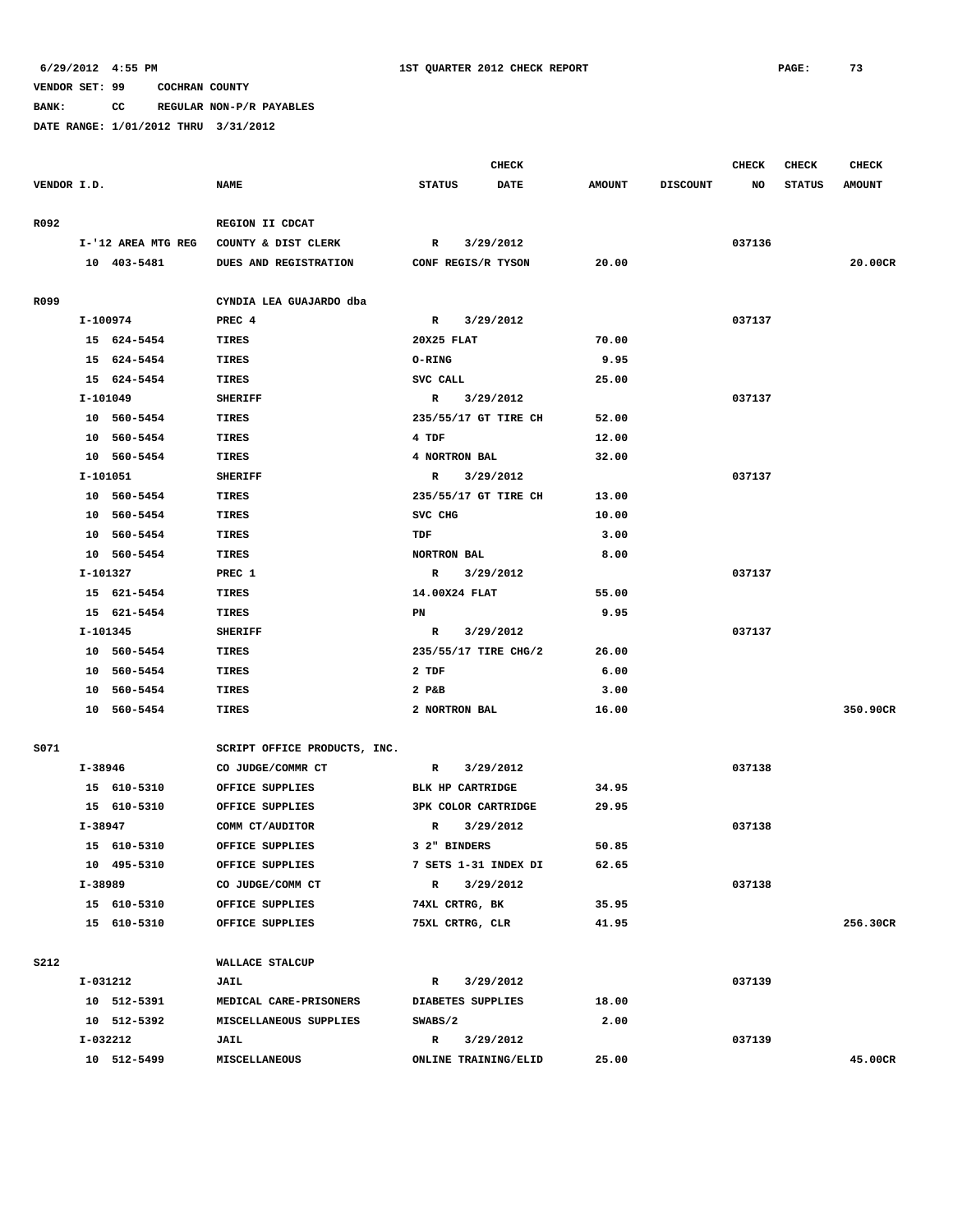**BANK: CC REGULAR NON-P/R PAYABLES**

|             |                            |                              |                               | <b>CHECK</b> |                |                 | CHECK  | <b>CHECK</b>  | <b>CHECK</b>  |
|-------------|----------------------------|------------------------------|-------------------------------|--------------|----------------|-----------------|--------|---------------|---------------|
| VENDOR I.D. |                            | <b>NAME</b>                  | <b>STATUS</b>                 | <b>DATE</b>  | <b>AMOUNT</b>  | <b>DISCOUNT</b> | NO     | <b>STATUS</b> | <b>AMOUNT</b> |
|             |                            |                              |                               |              |                |                 |        |               |               |
| R092        |                            | REGION II CDCAT              |                               |              |                |                 |        |               |               |
|             | I-'12 AREA MTG REG         | COUNTY & DIST CLERK          | R                             | 3/29/2012    |                |                 | 037136 |               |               |
|             | 10 403-5481                | DUES AND REGISTRATION        | CONF REGIS/R TYSON            |              | 20.00          |                 |        |               | 20.00CR       |
|             |                            |                              |                               |              |                |                 |        |               |               |
| R099        |                            | CYNDIA LEA GUAJARDO dba      |                               |              |                |                 |        |               |               |
|             | I-100974                   | PREC 4                       | R                             | 3/29/2012    |                |                 | 037137 |               |               |
|             | 15 624-5454                | TIRES                        | 20X25 FLAT                    |              | 70.00          |                 |        |               |               |
|             | 15 624-5454                | TIRES                        | O-RING                        |              | 9.95           |                 |        |               |               |
|             | 15 624-5454                | TIRES                        | SVC CALL                      |              | 25.00          |                 |        |               |               |
|             | I-101049                   | <b>SHERIFF</b>               | R                             | 3/29/2012    |                |                 | 037137 |               |               |
|             | 10 560-5454<br>10 560-5454 | TIRES<br>TIRES               | 235/55/17 GT TIRE CH<br>4 TDF |              | 52.00<br>12.00 |                 |        |               |               |
|             | 10 560-5454                | TIRES                        | 4 NORTRON BAL                 |              | 32.00          |                 |        |               |               |
|             | I-101051                   | <b>SHERIFF</b>               | $\mathbb{R}$                  | 3/29/2012    |                |                 | 037137 |               |               |
|             | 10 560-5454                | TIRES                        | 235/55/17 GT TIRE CH          |              | 13.00          |                 |        |               |               |
|             | 10 560-5454                | TIRES                        | SVC CHG                       |              | 10.00          |                 |        |               |               |
|             | 10 560-5454                | TIRES                        | TDF                           |              | 3.00           |                 |        |               |               |
|             | 10 560-5454                | TIRES                        | <b>NORTRON BAL</b>            |              | 8.00           |                 |        |               |               |
|             | I-101327                   | PREC 1                       | $\mathbb{R}$                  | 3/29/2012    |                |                 | 037137 |               |               |
|             | 15 621-5454                | TIRES                        | 14.00X24 FLAT                 |              | 55.00          |                 |        |               |               |
|             | 15 621-5454                | <b>TIRES</b>                 | PN                            |              | 9.95           |                 |        |               |               |
|             | I-101345                   | <b>SHERIFF</b>               | $\mathbb{R}$                  | 3/29/2012    |                |                 | 037137 |               |               |
|             | 10 560-5454                | TIRES                        | 235/55/17 TIRE CHG/2          |              | 26.00          |                 |        |               |               |
|             | 10 560-5454                | TIRES                        | 2 TDF                         |              | 6.00           |                 |        |               |               |
|             | 10 560-5454                | TIRES                        | 2 P&B                         |              | 3.00           |                 |        |               |               |
|             | 10 560-5454                | TIRES                        | 2 NORTRON BAL                 |              | 16.00          |                 |        |               | 350.90CR      |
|             |                            |                              |                               |              |                |                 |        |               |               |
| S071        |                            | SCRIPT OFFICE PRODUCTS, INC. |                               |              |                |                 |        |               |               |
|             | I-38946                    | CO JUDGE/COMMR CT            | R                             | 3/29/2012    |                |                 | 037138 |               |               |
|             | 15 610-5310                | OFFICE SUPPLIES              | BLK HP CARTRIDGE              |              | 34.95          |                 |        |               |               |
|             | 15 610-5310                | OFFICE SUPPLIES              | <b>3PK COLOR CARTRIDGE</b>    |              | 29.95          |                 |        |               |               |
|             | I-38947                    | COMM CT/AUDITOR              | R                             | 3/29/2012    |                |                 | 037138 |               |               |
|             | 15 610-5310                | OFFICE SUPPLIES              | 3 2" BINDERS                  |              | 50.85          |                 |        |               |               |
|             | 10 495-5310                | OFFICE SUPPLIES              | 7 SETS 1-31 INDEX DI          |              | 62.65          |                 |        |               |               |
|             | I-38989                    | CO JUDGE/COMM CT             | $\mathbb{R}$                  | 3/29/2012    |                |                 | 037138 |               |               |
|             | 15 610-5310                | OFFICE SUPPLIES              | 74XL CRTRG, BK                |              | 35.95          |                 |        |               |               |
|             | 15 610-5310                | OFFICE SUPPLIES              | 75XL CRTRG, CLR               |              | 41.95          |                 |        |               | 256.30CR      |
|             |                            |                              |                               |              |                |                 |        |               |               |
| <b>S212</b> |                            | WALLACE STALCUP              |                               |              |                |                 |        |               |               |
|             | I-031212                   | JAIL                         | $\mathbb{R}$                  | 3/29/2012    |                |                 | 037139 |               |               |
|             | 10 512-5391                | MEDICAL CARE-PRISONERS       | DIABETES SUPPLIES             |              | 18.00          |                 |        |               |               |
|             | 10 512-5392                | MISCELLANEOUS SUPPLIES       | SWABS/2                       |              | 2.00           |                 |        |               |               |
|             | I-032212                   | JAIL                         | $\mathbb{R}$                  | 3/29/2012    |                |                 | 037139 |               |               |
|             | 10 512-5499                | MISCELLANEOUS                | ONLINE TRAINING/ELID          |              | 25.00          |                 |        |               | 45.00CR       |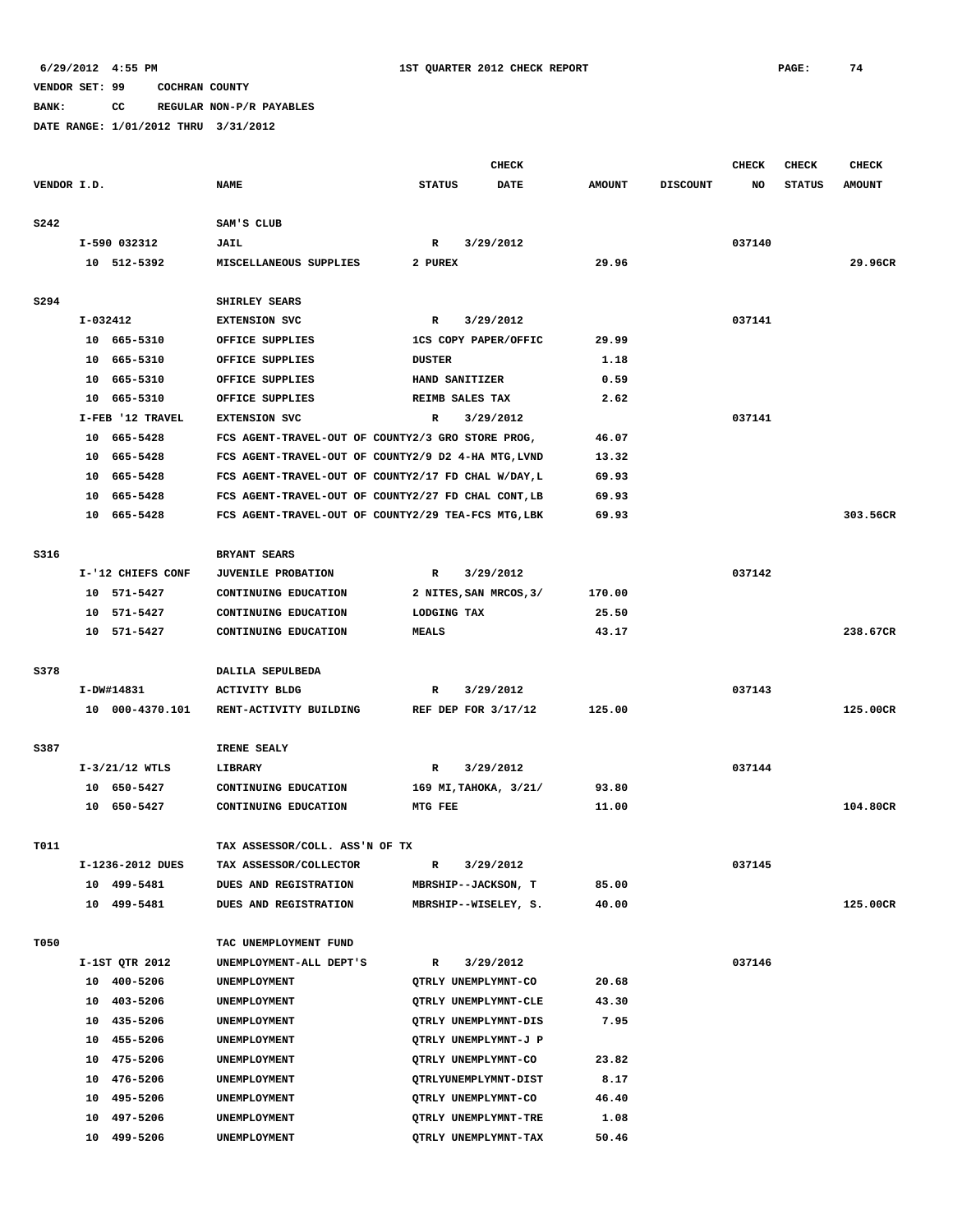**BANK: CC REGULAR NON-P/R PAYABLES**

|             |                                 |                                                 | <b>CHECK</b>                                        |               |                 | <b>CHECK</b> | <b>CHECK</b>  | <b>CHECK</b>  |
|-------------|---------------------------------|-------------------------------------------------|-----------------------------------------------------|---------------|-----------------|--------------|---------------|---------------|
| VENDOR I.D. |                                 | <b>NAME</b>                                     | <b>STATUS</b><br><b>DATE</b>                        | <b>AMOUNT</b> | <b>DISCOUNT</b> | NO           | <b>STATUS</b> | <b>AMOUNT</b> |
|             |                                 |                                                 |                                                     |               |                 |              |               |               |
| <b>S242</b> |                                 | SAM'S CLUB                                      |                                                     |               |                 |              |               |               |
|             | I-590 032312                    | <b>JAIL</b>                                     | 3/29/2012<br>R                                      |               |                 | 037140       |               |               |
|             | 10 512-5392                     | MISCELLANEOUS SUPPLIES                          | 2 PUREX                                             | 29.96         |                 |              |               | 29.96CR       |
|             |                                 |                                                 |                                                     |               |                 |              |               |               |
| S294        |                                 | SHIRLEY SEARS                                   |                                                     |               |                 |              |               |               |
|             | $I-032412$                      | <b>EXTENSION SVC</b>                            | 3/29/2012<br>R                                      |               |                 | 037141       |               |               |
|             | 10 665-5310                     | OFFICE SUPPLIES<br>OFFICE SUPPLIES              | 1CS COPY PAPER/OFFIC<br><b>DUSTER</b>               | 29.99<br>1.18 |                 |              |               |               |
|             | 10 665-5310<br>10 665-5310      | OFFICE SUPPLIES                                 | HAND SANITIZER                                      | 0.59          |                 |              |               |               |
|             | 665-5310<br>10                  | OFFICE SUPPLIES                                 | REIMB SALES TAX                                     | 2.62          |                 |              |               |               |
|             | I-FEB '12 TRAVEL                | <b>EXTENSION SVC</b>                            | 3/29/2012<br>R                                      |               |                 | 037141       |               |               |
|             | 10 665-5428                     |                                                 | FCS AGENT-TRAVEL-OUT OF COUNTY2/3 GRO STORE PROG,   | 46.07         |                 |              |               |               |
|             | 10 665-5428                     |                                                 | FCS AGENT-TRAVEL-OUT OF COUNTY2/9 D2 4-HA MTG, LVND | 13.32         |                 |              |               |               |
|             | 10 665-5428                     |                                                 | FCS AGENT-TRAVEL-OUT OF COUNTY2/17 FD CHAL W/DAY, L | 69.93         |                 |              |               |               |
|             | 10 665-5428                     |                                                 | FCS AGENT-TRAVEL-OUT OF COUNTY2/27 FD CHAL CONT, LB | 69.93         |                 |              |               |               |
|             | 10 665-5428                     |                                                 | FCS AGENT-TRAVEL-OUT OF COUNTY2/29 TEA-FCS MTG, LBK | 69.93         |                 |              |               | 303.56CR      |
|             |                                 |                                                 |                                                     |               |                 |              |               |               |
| S316        |                                 | BRYANT SEARS                                    |                                                     |               |                 |              |               |               |
|             | I-'12 CHIEFS CONF               | <b>JUVENILE PROBATION</b>                       | 3/29/2012<br>R                                      |               |                 | 037142       |               |               |
|             | 10 571-5427                     | CONTINUING EDUCATION                            | 2 NITES, SAN MRCOS, 3/                              | 170.00        |                 |              |               |               |
|             | 10 571-5427                     | CONTINUING EDUCATION                            | LODGING TAX                                         | 25.50         |                 |              |               |               |
|             | 10 571-5427                     | CONTINUING EDUCATION                            | <b>MEALS</b>                                        | 43.17         |                 |              |               | 238.67CR      |
|             |                                 |                                                 |                                                     |               |                 |              |               |               |
| S378        |                                 | DALILA SEPULBEDA                                |                                                     |               |                 |              |               |               |
|             | I-DW#14831                      | <b>ACTIVITY BLDG</b>                            | 3/29/2012<br>R                                      |               |                 | 037143       |               |               |
|             | 10 000-4370.101                 | RENT-ACTIVITY BUILDING                          | REF DEP FOR 3/17/12                                 | 125.00        |                 |              |               | 125.00CR      |
|             |                                 |                                                 |                                                     |               |                 |              |               |               |
| S387        |                                 | IRENE SEALY                                     |                                                     |               |                 |              |               |               |
|             | $I-3/21/12$ WTLS                | <b>LIBRARY</b>                                  | 3/29/2012<br>R                                      |               |                 | 037144       |               |               |
|             | 10 650-5427                     | CONTINUING EDUCATION                            | 169 MI, TAHOKA, 3/21/                               | 93.80         |                 |              |               |               |
|             | 10 650-5427                     | CONTINUING EDUCATION                            | MTG FEE                                             | 11.00         |                 |              |               | 104.80CR      |
|             |                                 | TAX ASSESSOR/COLL. ASS'N OF TX                  |                                                     |               |                 |              |               |               |
| T011        |                                 |                                                 |                                                     |               |                 | 037145       |               |               |
|             | I-1236-2012 DUES<br>10 499-5481 | TAX ASSESSOR/COLLECTOR<br>DUES AND REGISTRATION | 3/29/2012<br>R<br>MBRSHIP--JACKSON, T               | 85.00         |                 |              |               |               |
|             | 10 499-5481                     | DUES AND REGISTRATION                           | MBRSHIP--WISELEY, S.                                | 40.00         |                 |              |               | 125.00CR      |
|             |                                 |                                                 |                                                     |               |                 |              |               |               |
| <b>T050</b> |                                 | TAC UNEMPLOYMENT FUND                           |                                                     |               |                 |              |               |               |
|             | I-1ST QTR 2012                  | UNEMPLOYMENT-ALL DEPT'S                         | 3/29/2012<br>R                                      |               |                 | 037146       |               |               |
|             | 10 400-5206                     | UNEMPLOYMENT                                    | QTRLY UNEMPLYMNT-CO                                 | 20.68         |                 |              |               |               |
|             | 10 403-5206                     | UNEMPLOYMENT                                    | QTRLY UNEMPLYMNT-CLE                                | 43.30         |                 |              |               |               |
|             | 10 435-5206                     | UNEMPLOYMENT                                    | QTRLY UNEMPLYMNT-DIS                                | 7.95          |                 |              |               |               |
|             | 10 455-5206                     | UNEMPLOYMENT                                    | QTRLY UNEMPLYMNT-J P                                |               |                 |              |               |               |
|             | 10 475-5206                     | UNEMPLOYMENT                                    | QTRLY UNEMPLYMNT-CO                                 | 23.82         |                 |              |               |               |
|             | 10 476-5206                     | UNEMPLOYMENT                                    | QTRLYUNEMPLYMNT-DIST                                | 8.17          |                 |              |               |               |
|             | 10 495-5206                     | UNEMPLOYMENT                                    | QTRLY UNEMPLYMNT-CO                                 | 46.40         |                 |              |               |               |
|             | 10<br>497-5206                  | UNEMPLOYMENT                                    | QTRLY UNEMPLYMNT-TRE                                | 1.08          |                 |              |               |               |
|             | 10 499-5206                     | UNEMPLOYMENT                                    | QTRLY UNEMPLYMNT-TAX                                | 50.46         |                 |              |               |               |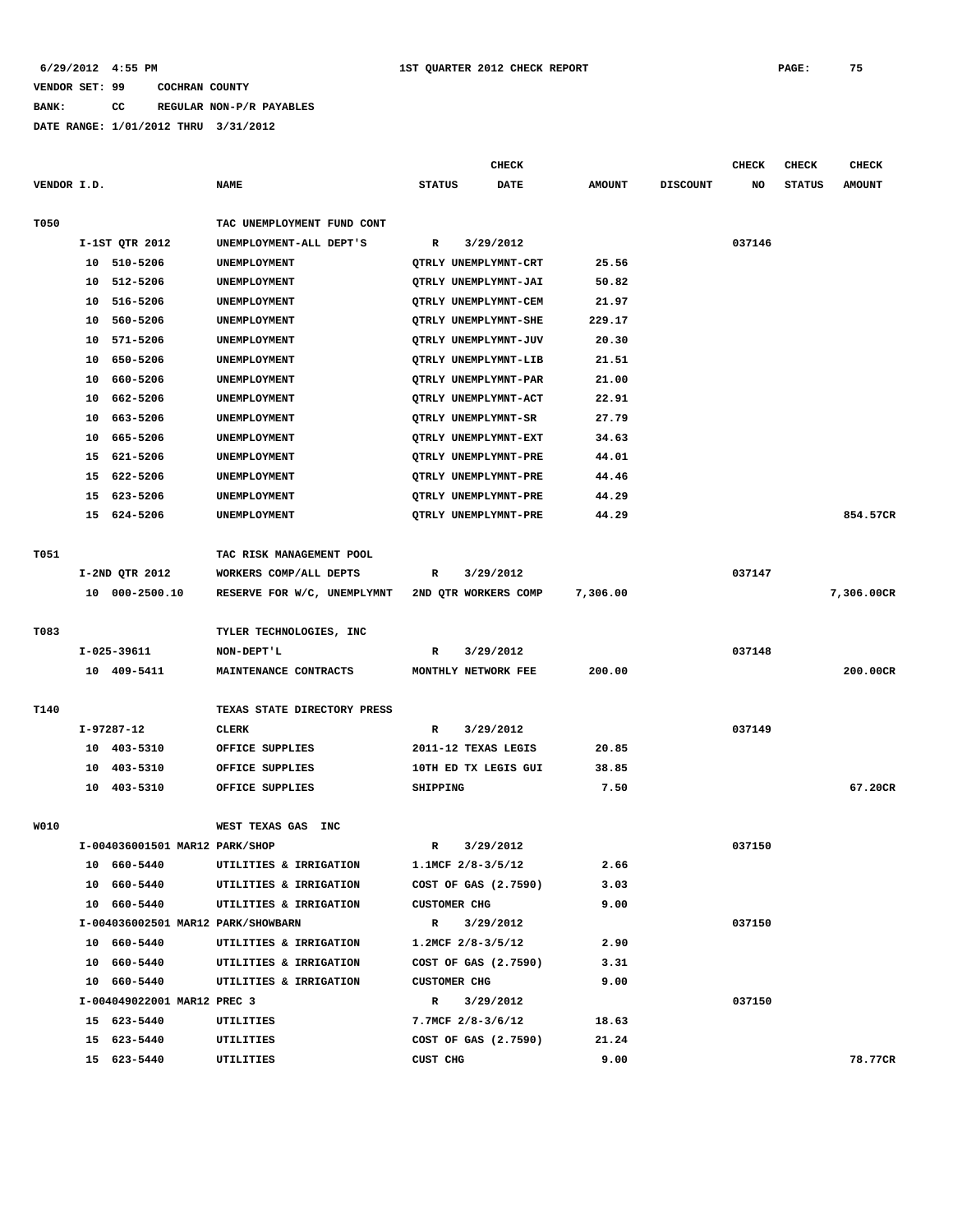**BANK: CC REGULAR NON-P/R PAYABLES**

|             |    |                                    |                                                  |               | CHECK                 |               |                 | <b>CHECK</b> | <b>CHECK</b>  | CHECK         |
|-------------|----|------------------------------------|--------------------------------------------------|---------------|-----------------------|---------------|-----------------|--------------|---------------|---------------|
| VENDOR I.D. |    |                                    | <b>NAME</b>                                      | <b>STATUS</b> | <b>DATE</b>           | <b>AMOUNT</b> | <b>DISCOUNT</b> | NO           | <b>STATUS</b> | <b>AMOUNT</b> |
| T050        |    |                                    | TAC UNEMPLOYMENT FUND CONT                       |               |                       |               |                 |              |               |               |
|             |    | I-1ST QTR 2012                     | UNEMPLOYMENT-ALL DEPT'S                          | R             | 3/29/2012             |               |                 | 037146       |               |               |
|             |    | 10 510-5206                        | UNEMPLOYMENT                                     |               | QTRLY UNEMPLYMNT-CRT  | 25.56         |                 |              |               |               |
|             |    | 10 512-5206                        | UNEMPLOYMENT                                     |               | QTRLY UNEMPLYMNT-JAI  | 50.82         |                 |              |               |               |
|             | 10 | 516-5206                           | UNEMPLOYMENT                                     |               | QTRLY UNEMPLYMNT-CEM  | 21.97         |                 |              |               |               |
|             | 10 | 560-5206                           | UNEMPLOYMENT                                     |               | QTRLY UNEMPLYMNT-SHE  | 229.17        |                 |              |               |               |
|             | 10 | 571-5206                           | UNEMPLOYMENT                                     |               | QTRLY UNEMPLYMNT-JUV  | 20.30         |                 |              |               |               |
|             | 10 | 650-5206                           | UNEMPLOYMENT                                     |               | QTRLY UNEMPLYMNT-LIB  | 21.51         |                 |              |               |               |
|             | 10 | 660-5206                           | UNEMPLOYMENT                                     |               | QTRLY UNEMPLYMNT-PAR  | 21.00         |                 |              |               |               |
|             | 10 | 662-5206                           | UNEMPLOYMENT                                     |               | QTRLY UNEMPLYMNT-ACT  | 22.91         |                 |              |               |               |
|             | 10 | 663-5206                           | UNEMPLOYMENT                                     |               | QTRLY UNEMPLYMNT-SR   | 27.79         |                 |              |               |               |
|             |    | 10 665-5206                        | UNEMPLOYMENT                                     |               | QTRLY UNEMPLYMNT-EXT  | 34.63         |                 |              |               |               |
|             |    | 15 621-5206                        | UNEMPLOYMENT                                     |               | QTRLY UNEMPLYMNT-PRE  | 44.01         |                 |              |               |               |
|             |    | 15 622-5206                        | UNEMPLOYMENT                                     |               | QTRLY UNEMPLYMNT-PRE  | 44.46         |                 |              |               |               |
|             |    | 15 623-5206                        | UNEMPLOYMENT                                     |               | QTRLY UNEMPLYMNT-PRE  | 44.29         |                 |              |               |               |
|             |    | 15 624-5206                        | UNEMPLOYMENT                                     |               | QTRLY UNEMPLYMNT-PRE  | 44.29         |                 |              |               | 854.57CR      |
|             |    |                                    |                                                  |               |                       |               |                 |              |               |               |
| T051        |    |                                    | TAC RISK MANAGEMENT POOL                         |               |                       |               |                 |              |               |               |
|             |    | I-2ND QTR 2012                     | WORKERS COMP/ALL DEPTS                           | R             | 3/29/2012             |               |                 | 037147       |               |               |
|             |    | 10 000-2500.10                     | RESERVE FOR W/C, UNEMPLYMNT 2ND QTR WORKERS COMP |               |                       | 7,306.00      |                 |              |               | 7,306,00CR    |
|             |    |                                    |                                                  |               |                       |               |                 |              |               |               |
| T083        |    |                                    | TYLER TECHNOLOGIES, INC                          |               |                       |               |                 |              |               |               |
|             |    | I-025-39611                        | NON-DEPT'L                                       | R             | 3/29/2012             |               |                 | 037148       |               |               |
|             |    | 10 409-5411                        | MAINTENANCE CONTRACTS                            |               | MONTHLY NETWORK FEE   | 200.00        |                 |              |               | 200.00CR      |
|             |    |                                    |                                                  |               |                       |               |                 |              |               |               |
| T140        |    |                                    | TEXAS STATE DIRECTORY PRESS                      |               |                       |               |                 |              |               |               |
|             |    | I-97287-12                         | <b>CLERK</b>                                     | R             | 3/29/2012             |               |                 | 037149       |               |               |
|             |    | 10 403-5310                        | OFFICE SUPPLIES                                  |               | 2011-12 TEXAS LEGIS   | 20.85         |                 |              |               |               |
|             |    | 10 403-5310                        | OFFICE SUPPLIES                                  |               | 10TH ED TX LEGIS GUI  | 38.85         |                 |              |               |               |
|             |    | 10 403-5310                        | OFFICE SUPPLIES                                  | SHIPPING      |                       | 7.50          |                 |              |               | 67.20CR       |
|             |    |                                    |                                                  |               |                       |               |                 |              |               |               |
| W010        |    |                                    | WEST TEXAS GAS<br>INC                            |               |                       |               |                 |              |               |               |
|             |    | I-004036001501 MAR12 PARK/SHOP     |                                                  | R             | 3/29/2012             |               |                 | 037150       |               |               |
|             | 10 | 660-5440                           | UTILITIES & IRRIGATION                           |               | 1.1MCF 2/8-3/5/12     | 2.66          |                 |              |               |               |
|             |    | 10 660-5440                        | UTILITIES & IRRIGATION                           |               | COST OF GAS (2.7590)  | 3.03          |                 |              |               |               |
|             |    | 10 660-5440                        | UTILITIES & IRRIGATION                           |               | <b>CUSTOMER CHG</b>   | 9.00          |                 |              |               |               |
|             |    | I-004036002501 MAR12 PARK/SHOWBARN |                                                  | $\mathbb{R}$  | 3/29/2012             |               |                 | 037150       |               |               |
|             |    | 10 660-5440                        | UTILITIES & IRRIGATION                           |               | $1.2MCF$ $2/8-3/5/12$ | 2.90          |                 |              |               |               |
|             |    | 10 660-5440                        | UTILITIES & IRRIGATION                           |               | COST OF GAS (2.7590)  | 3.31          |                 |              |               |               |
|             |    | 10 660-5440                        | UTILITIES & IRRIGATION                           |               | <b>CUSTOMER CHG</b>   | 9.00          |                 |              |               |               |
|             |    | I-004049022001 MAR12 PREC 3        |                                                  | $\mathbb{R}$  | 3/29/2012             |               |                 | 037150       |               |               |
|             |    | 15 623-5440                        | UTILITIES                                        |               | 7.7MCF 2/8-3/6/12     | 18.63         |                 |              |               |               |
|             |    | 15 623-5440                        | UTILITIES                                        |               | COST OF GAS (2.7590)  | 21.24         |                 |              |               |               |
|             |    | 15 623-5440                        | UTILITIES                                        | CUST CHG      |                       | 9.00          |                 |              |               | 78.77CR       |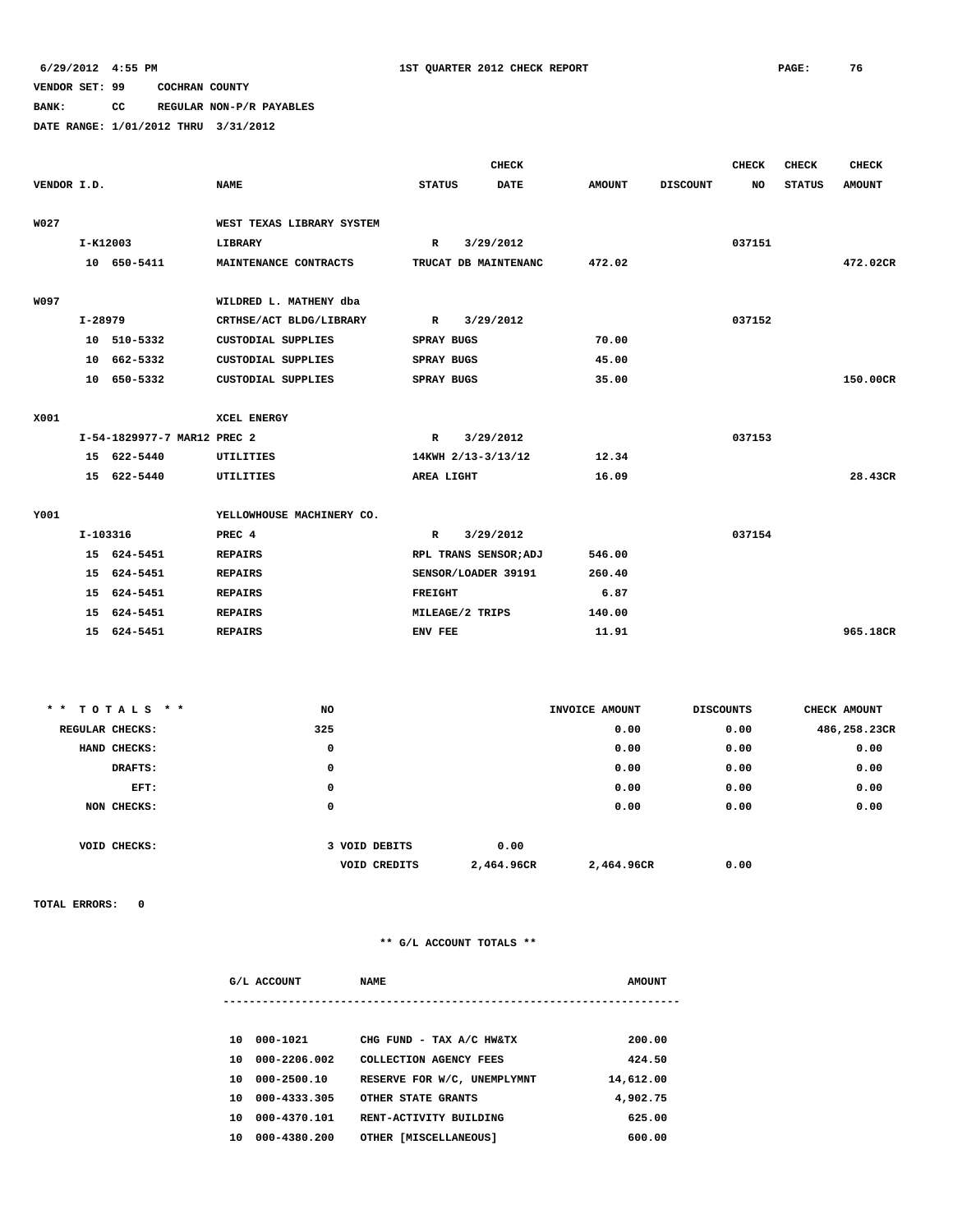## **BANK: CC REGULAR NON-P/R PAYABLES**

**DATE RANGE: 1/01/2012 THRU 3/31/2012**

|             |         |                             |                           |                   | <b>CHECK</b>          |               |                 | <b>CHECK</b> | <b>CHECK</b>  | <b>CHECK</b>  |
|-------------|---------|-----------------------------|---------------------------|-------------------|-----------------------|---------------|-----------------|--------------|---------------|---------------|
| VENDOR I.D. |         |                             | <b>NAME</b>               | <b>STATUS</b>     | <b>DATE</b>           | <b>AMOUNT</b> | <b>DISCOUNT</b> | NO           | <b>STATUS</b> | <b>AMOUNT</b> |
|             |         |                             |                           |                   |                       |               |                 |              |               |               |
| W027        |         |                             | WEST TEXAS LIBRARY SYSTEM |                   |                       |               |                 |              |               |               |
|             |         | I-K12003                    | <b>LIBRARY</b>            | $\mathbb{R}$      | 3/29/2012             |               |                 | 037151       |               |               |
|             |         | 10 650-5411                 | MAINTENANCE CONTRACTS     |                   | TRUCAT DB MAINTENANC  | 472.02        |                 |              |               | 472.02CR      |
|             |         |                             |                           |                   |                       |               |                 |              |               |               |
| <b>W097</b> |         |                             | WILDRED L. MATHENY dba    |                   |                       |               |                 |              |               |               |
|             | I-28979 |                             | CRTHSE/ACT BLDG/LIBRARY   | R 3/29/2012       |                       |               |                 | 037152       |               |               |
|             |         | 10 510-5332                 | CUSTODIAL SUPPLIES        | <b>SPRAY BUGS</b> |                       | 70.00         |                 |              |               |               |
|             |         | 10 662-5332                 | <b>CUSTODIAL SUPPLIES</b> | <b>SPRAY BUGS</b> |                       | 45.00         |                 |              |               |               |
|             |         | 10 650-5332                 | CUSTODIAL SUPPLIES        | <b>SPRAY BUGS</b> |                       | 35.00         |                 |              |               | 150.00CR      |
|             |         |                             |                           |                   |                       |               |                 |              |               |               |
| X001        |         |                             | XCEL ENERGY               |                   |                       |               |                 |              |               |               |
|             |         | I-54-1829977-7 MAR12 PREC 2 |                           | R                 | 3/29/2012             |               |                 | 037153       |               |               |
|             |         | 15 622-5440                 | UTILITIES                 |                   | 14KWH 2/13-3/13/12    | 12.34         |                 |              |               |               |
|             |         | 15 622-5440                 | <b>UTILITIES</b>          | AREA LIGHT        |                       | 16.09         |                 |              |               | 28.43CR       |
|             |         |                             |                           |                   |                       |               |                 |              |               |               |
| Y001        |         |                             | YELLOWHOUSE MACHINERY CO. |                   |                       |               |                 |              |               |               |
|             |         | I-103316                    | PREC 4                    | $\mathbb{R}$      | 3/29/2012             |               |                 | 037154       |               |               |
|             |         | 15 624-5451                 | <b>REPAIRS</b>            |                   | RPL TRANS SENSOR; ADJ | 546.00        |                 |              |               |               |
|             |         | 15 624-5451                 | <b>REPAIRS</b>            |                   | SENSOR/LOADER 39191   | 260.40        |                 |              |               |               |
|             |         | 15 624-5451                 | <b>REPAIRS</b>            | <b>FREIGHT</b>    |                       | 6.87          |                 |              |               |               |
|             |         | 15 624-5451                 | <b>REPAIRS</b>            | MILEAGE/2 TRIPS   |                       | 140.00        |                 |              |               |               |
|             |         | 15 624-5451                 | <b>REPAIRS</b>            | ENV FEE           |                       | 11.91         |                 |              |               | 965.18CR      |

| $TOTALS$ * *<br>$\star$ $\star$ | <b>NO</b> |                                   | INVOICE AMOUNT | <b>DISCOUNTS</b> | CHECK AMOUNT |
|---------------------------------|-----------|-----------------------------------|----------------|------------------|--------------|
| REGULAR CHECKS:                 | 325       |                                   | 0.00           | 0.00             | 486,258.23CR |
| HAND CHECKS:                    | 0         |                                   | 0.00           | 0.00             | 0.00         |
| DRAFTS:                         | 0         |                                   | 0.00           | 0.00             | 0.00         |
| EFT:                            | 0         |                                   | 0.00           | 0.00             | 0.00         |
| NON CHECKS:                     | 0         |                                   | 0.00           | 0.00             | 0.00         |
|                                 |           |                                   |                |                  |              |
| VOID CHECKS:                    |           | 3 VOID DEBITS<br>0.00             |                |                  |              |
|                                 |           | 2,464.96CR<br><b>VOID CREDITS</b> | 2,464.96CR     | 0.00             |              |

**TOTAL ERRORS: 0**

|     | G/L ACCOUNT  | <b>NAME</b>                 | <b>AMOUNT</b> |
|-----|--------------|-----------------------------|---------------|
|     |              |                             |               |
| 10  | 000-1021     | CHG FUND - TAX A/C HW&TX    | 200.00        |
| 1 O | 000-2206.002 | COLLECTION AGENCY FEES      | 424.50        |
| 10  | 000-2500.10  | RESERVE FOR W/C, UNEMPLYMNT | 14,612.00     |
| 1 O | 000-4333.305 | OTHER STATE GRANTS          | 4,902.75      |
| 1 O | 000-4370.101 | RENT-ACTIVITY BUILDING      | 625.00        |
| 10  | 000-4380.200 | OTHER [MISCELLANEOUS]       | 600.00        |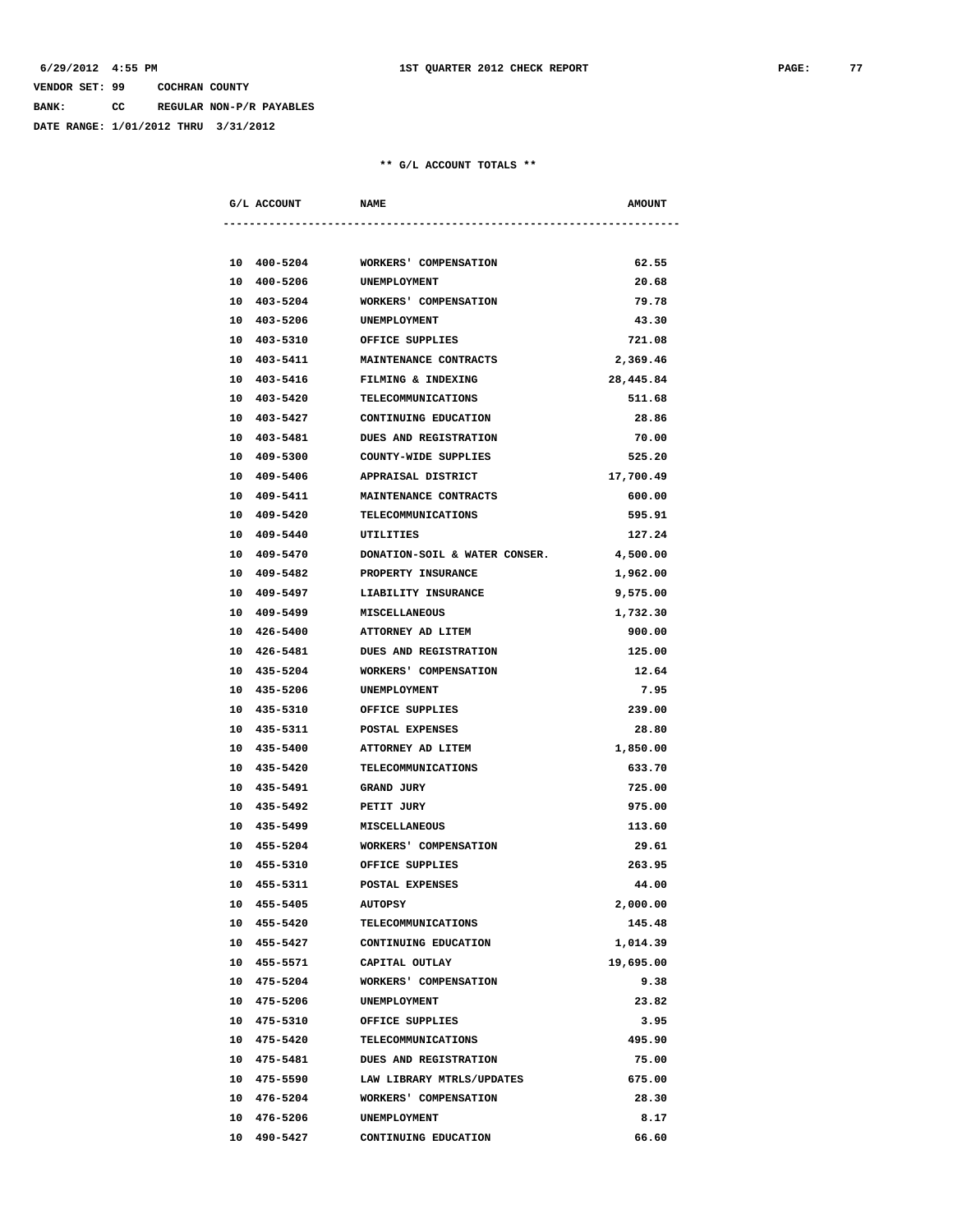**BANK: CC REGULAR NON-P/R PAYABLES**

**DATE RANGE: 1/01/2012 THRU 3/31/2012**

|  | G/L ACCOUNT | <b>NAME</b>                   | <b>AMOUNT</b> |
|--|-------------|-------------------------------|---------------|
|  |             |                               |               |
|  | 10 400-5204 | WORKERS' COMPENSATION         | 62.55         |
|  | 10 400-5206 | UNEMPLOYMENT                  | 20.68         |
|  | 10 403-5204 | WORKERS' COMPENSATION         | 79.78         |
|  | 10 403-5206 | <b>UNEMPLOYMENT</b>           | 43.30         |
|  | 10 403-5310 | OFFICE SUPPLIES               | 721.08        |
|  | 10 403-5411 | MAINTENANCE CONTRACTS         | 2,369.46      |
|  | 10 403-5416 | FILMING & INDEXING            | 28,445.84     |
|  | 10 403-5420 | TELECOMMUNICATIONS            | 511.68        |
|  | 10 403-5427 | CONTINUING EDUCATION          | 28.86         |
|  | 10 403-5481 | <b>DUES AND REGISTRATION</b>  | 70.00         |
|  | 10 409-5300 | COUNTY-WIDE SUPPLIES          | 525.20        |
|  | 10 409-5406 | APPRAISAL DISTRICT            | 17,700.49     |
|  | 10 409-5411 | <b>MAINTENANCE CONTRACTS</b>  | 600.00        |
|  | 10 409-5420 | TELECOMMUNICATIONS            | 595.91        |
|  | 10 409-5440 | UTILITIES                     | 127.24        |
|  | 10 409-5470 | DONATION-SOIL & WATER CONSER. | 4,500.00      |
|  | 10 409-5482 | PROPERTY INSURANCE            | 1,962.00      |
|  | 10 409-5497 | <b>LIABILITY INSURANCE</b>    | 9,575.00      |
|  | 10 409-5499 | <b>MISCELLANEOUS</b>          | 1,732.30      |
|  | 10 426-5400 | ATTORNEY AD LITEM             | 900.00        |
|  | 10 426-5481 | <b>DUES AND REGISTRATION</b>  | 125.00        |
|  | 10 435-5204 | WORKERS' COMPENSATION         | 12.64         |
|  | 10 435-5206 | UNEMPLOYMENT                  | 7.95          |
|  | 10 435-5310 | OFFICE SUPPLIES               | 239.00        |
|  | 10 435-5311 | POSTAL EXPENSES               | 28.80         |
|  | 10 435-5400 | ATTORNEY AD LITEM             | 1,850.00      |
|  | 10 435-5420 | TELECOMMUNICATIONS            | 633.70        |
|  | 10 435-5491 | <b>GRAND JURY</b>             | 725.00        |
|  | 10 435-5492 | PETIT JURY                    | 975.00        |
|  | 10 435-5499 | <b>MISCELLANEOUS</b>          | 113.60        |
|  | 10 455-5204 | WORKERS' COMPENSATION         | 29.61         |
|  | 10 455-5310 | OFFICE SUPPLIES               | 263.95        |
|  | 10 455-5311 | POSTAL EXPENSES               | 44.00         |
|  | 10 455-5405 | AUTOPSY                       | 2,000.00      |
|  | 10 455-5420 | <b>TELECOMMUNICATIONS</b>     | 145.48        |
|  | 10 455-5427 | CONTINUING EDUCATION          | 1,014.39      |
|  | 10 455-5571 | CAPITAL OUTLAY                | 19,695.00     |
|  | 10 475-5204 | WORKERS' COMPENSATION         | 9.38          |
|  | 10 475-5206 | UNEMPLOYMENT                  | 23.82         |
|  | 10 475-5310 | OFFICE SUPPLIES               | 3.95          |
|  | 10 475-5420 | TELECOMMUNICATIONS            | 495.90        |
|  | 10 475-5481 | DUES AND REGISTRATION         | 75.00         |
|  | 10 475-5590 | LAW LIBRARY MTRLS/UPDATES     | 675.00        |
|  | 10 476-5204 | WORKERS' COMPENSATION         | 28.30         |
|  | 10 476-5206 | UNEMPLOYMENT                  | 8.17          |
|  | 10 490-5427 | CONTINUING EDUCATION          | 66.60         |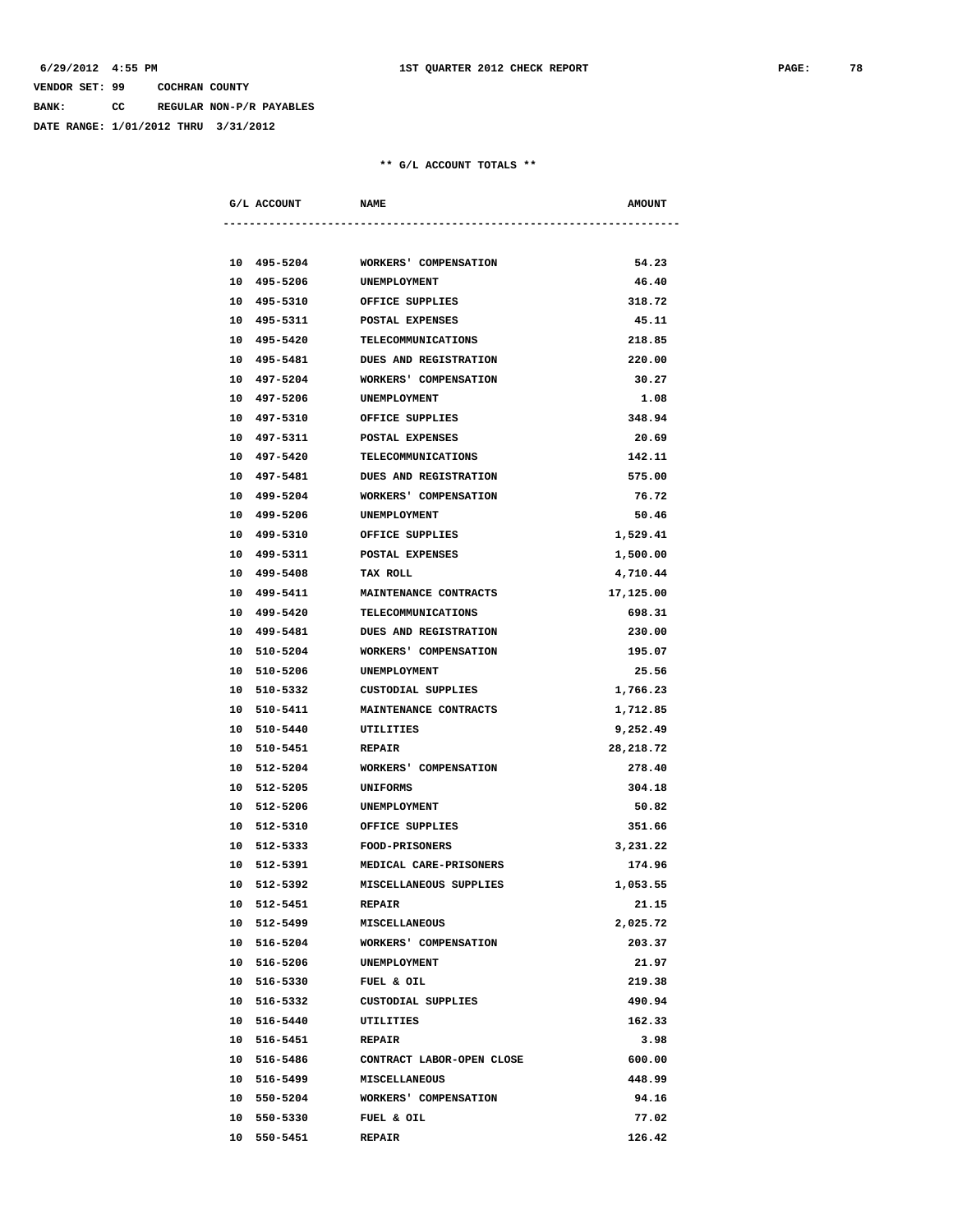**BANK: CC REGULAR NON-P/R PAYABLES**

**DATE RANGE: 1/01/2012 THRU 3/31/2012**

|  | G/L ACCOUNT | <b>NAME</b>                       | <b>AMOUNT</b> |
|--|-------------|-----------------------------------|---------------|
|  |             |                                   |               |
|  |             |                                   |               |
|  |             | 10 495-5204 WORKERS' COMPENSATION | 54.23         |
|  | 10 495-5206 | UNEMPLOYMENT                      | 46.40         |
|  | 10 495-5310 | OFFICE SUPPLIES                   | 318.72        |
|  | 10 495-5311 | POSTAL EXPENSES                   | 45.11         |
|  | 10 495-5420 | TELECOMMUNICATIONS                | 218.85        |
|  | 10 495-5481 | DUES AND REGISTRATION             | 220.00        |
|  | 10 497-5204 | WORKERS' COMPENSATION             | 30.27         |
|  | 10 497-5206 | UNEMPLOYMENT                      | 1.08          |
|  | 10 497-5310 | OFFICE SUPPLIES                   | 348.94        |
|  | 10 497-5311 | POSTAL EXPENSES                   | 20.69         |
|  | 10 497-5420 | TELECOMMUNICATIONS                | 142.11        |
|  |             | 10 497-5481 DUES AND REGISTRATION | 575.00        |
|  | 10 499-5204 | WORKERS' COMPENSATION             | 76.72         |
|  | 10 499-5206 | UNEMPLOYMENT                      | 50.46         |
|  | 10 499-5310 | OFFICE SUPPLIES                   | 1,529.41      |
|  | 10 499-5311 | <b>POSTAL EXPENSES</b>            | 1,500.00      |
|  | 10 499-5408 | <b>TAX ROLL</b>                   | 4,710.44      |
|  | 10 499-5411 | MAINTENANCE CONTRACTS             | 17,125.00     |
|  | 10 499-5420 | TELECOMMUNICATIONS                | 698.31        |
|  | 10 499-5481 | DUES AND REGISTRATION             | 230.00        |
|  | 10 510-5204 | WORKERS' COMPENSATION             | 195.07        |
|  | 10 510-5206 | <b>UNEMPLOYMENT</b>               | 25.56         |
|  | 10 510-5332 | CUSTODIAL SUPPLIES                | 1,766.23      |
|  | 10 510-5411 | <b>MAINTENANCE CONTRACTS</b>      | 1,712.85      |
|  | 10 510-5440 | UTILITIES                         | 9,252.49      |
|  | 10 510-5451 | <b>REPAIR</b>                     | 28,218.72     |
|  | 10 512-5204 | WORKERS' COMPENSATION             | 278.40        |
|  | 10 512-5205 | <b>UNIFORMS</b>                   | 304.18        |
|  | 10 512-5206 | UNEMPLOYMENT                      | 50.82         |
|  | 10 512-5310 | OFFICE SUPPLIES                   | 351.66        |
|  | 10 512-5333 | <b>FOOD-PRISONERS</b>             | 3,231.22      |
|  | 10 512-5391 | MEDICAL CARE-PRISONERS            | 174.96        |
|  | 10 512-5392 | MISCELLANEOUS SUPPLIES            | 1,053.55      |
|  | 10 512-5451 | <b>REPAIR</b>                     | 21.15         |
|  | 10 512-5499 | MISCELLANEOUS                     | 2,025.72      |
|  | 10 516-5204 | <b>WORKERS' COMPENSATION</b>      | 203.37        |
|  | 10 516-5206 |                                   | 21.97         |
|  |             | UNEMPLOYMENT                      |               |
|  | 10 516-5330 | FUEL & OIL                        | 219.38        |
|  | 10 516-5332 | CUSTODIAL SUPPLIES                | 490.94        |
|  | 10 516-5440 | UTILITIES                         | 162.33        |
|  | 10 516-5451 | <b>REPAIR</b>                     | 3.98          |
|  | 10 516-5486 | CONTRACT LABOR-OPEN CLOSE         | 600.00        |
|  | 10 516-5499 | MISCELLANEOUS                     | 448.99        |
|  | 10 550-5204 | WORKERS' COMPENSATION             | 94.16         |
|  | 10 550-5330 | FUEL & OIL                        | 77.02         |
|  | 10 550-5451 | <b>REPAIR</b>                     | 126.42        |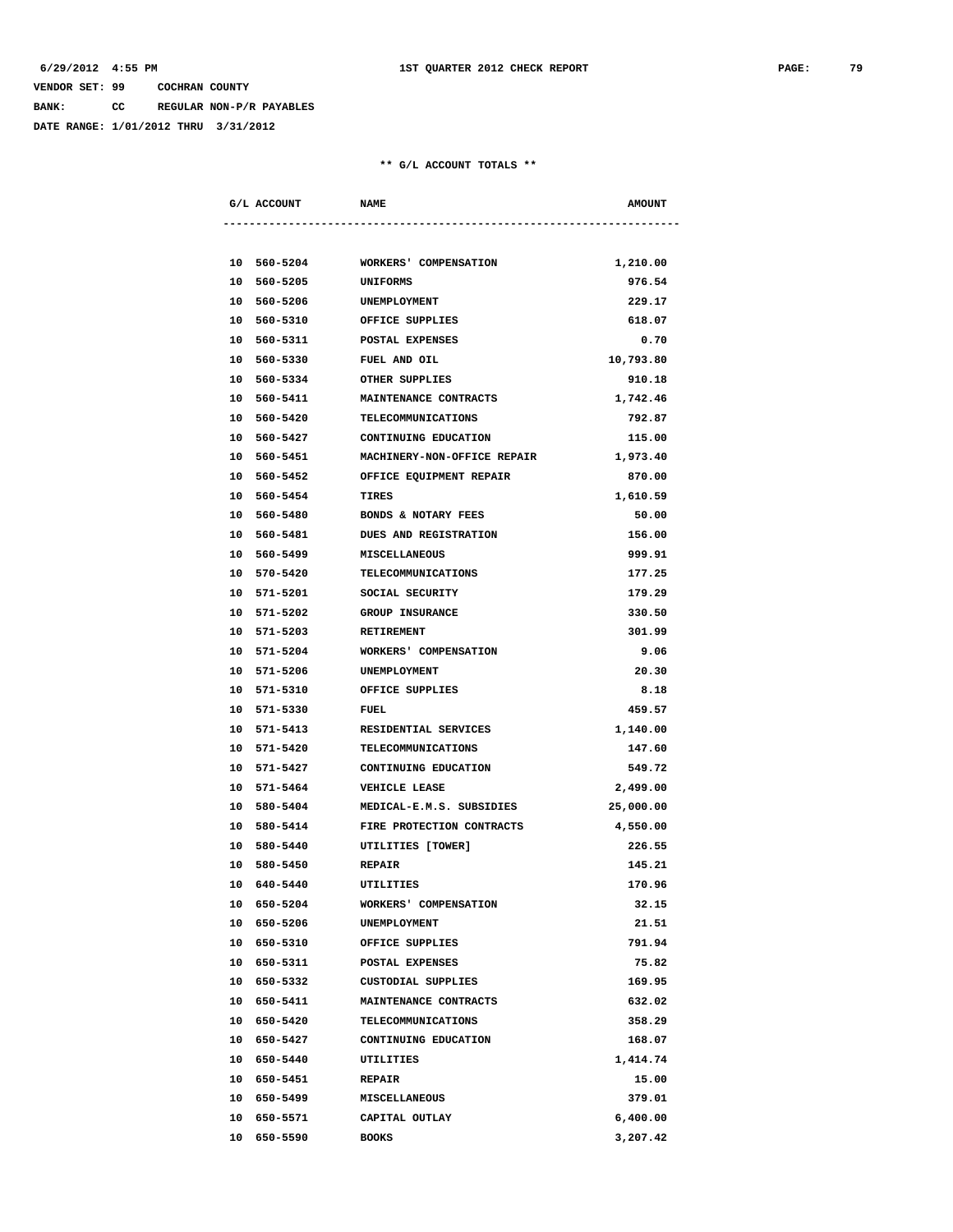**BANK: CC REGULAR NON-P/R PAYABLES**

**DATE RANGE: 1/01/2012 THRU 3/31/2012**

| G/L ACCOUNT            | <b>NAME</b>                                      | <b>AMOUNT</b> |
|------------------------|--------------------------------------------------|---------------|
|                        |                                                  |               |
| 10 560-5204            | WORKERS' COMPENSATION                            | 1,210.00      |
| 10 560-5205            | UNIFORMS                                         | 976.54        |
| 10 560-5206            | UNEMPLOYMENT                                     | 229.17        |
| 10 560-5310            | OFFICE SUPPLIES                                  | 618.07        |
| 10 560-5311            | POSTAL EXPENSES                                  | 0.70          |
| 10 560-5330            | FUEL AND OIL                                     | 10,793.80     |
| 10 560-5334            | OTHER SUPPLIES                                   | 910.18        |
|                        | 10 560-5411 MAINTENANCE CONTRACTS                | 1,742.46      |
|                        | 10 560-5420 TELECOMMUNICATIONS                   | 792.87        |
|                        | 10 560-5427 CONTINUING EDUCATION                 | 115.00        |
|                        | 10 560-5451 MACHINERY-NON-OFFICE REPAIR 1,973.40 |               |
|                        | 10 560-5452 OFFICE EQUIPMENT REPAIR              | 870.00        |
| 10 560-5454            | <b>TIRES</b>                                     | 1,610.59      |
| 10 560-5480            | <b>BONDS &amp; NOTARY FEES</b>                   | 50.00         |
| 10 560-5481            | <b>DUES AND REGISTRATION</b>                     | 156.00        |
| 10 560-5499            | <b>MISCELLANEOUS</b>                             | 999.91        |
| 10 570-5420            | TELECOMMUNICATIONS                               | 177.25        |
| 10 571-5201            | SOCIAL SECURITY                                  | 179.29        |
| 10 571-5202            | <b>GROUP INSURANCE</b>                           | 330.50        |
| 10 571-5203 RETIREMENT |                                                  | 301.99        |
|                        | 10 571-5204 WORKERS' COMPENSATION                | 9.06          |
|                        | 10 571-5206 UNEMPLOYMENT                         | 20.30         |
|                        | 10 571-5310 OFFICE SUPPLIES                      | 8.18          |
| 10 571-5330 FUEL       |                                                  | 459.57        |
|                        | 10 571-5413 RESIDENTIAL SERVICES                 | 1,140.00      |
| 10 571-5420            | TELECOMMUNICATIONS                               | 147.60        |
| 10 571-5427            | CONTINUING EDUCATION                             | 549.72        |
| 10 571-5464            | <b>VEHICLE LEASE</b>                             | 2,499.00      |
| 10 580-5404            | MEDICAL-E.M.S. SUBSIDIES                         | 25,000.00     |
| 10 580-5414            |                                                  | 4,550.00      |
|                        | FIRE PROTECTION CONTRACTS                        |               |
| 10 580-5440            | UTILITIES [TOWER]                                | 226.55        |
| 10 580-5450            | <b>REPAIR</b>                                    | 145.21        |
| 10 640-5440            | UTILITIES                                        | 170.96        |
| 10 650-5204            | <b>WORKERS' COMPENSATION</b>                     | 32.15         |
| 10<br>650-5206         | UNEMPLOYMENT                                     | 21.51         |
| 10<br>650-5310         | OFFICE SUPPLIES                                  | 791.94        |
| 10<br>650-5311         | POSTAL EXPENSES                                  | 75.82         |
| 10<br>650-5332         | CUSTODIAL SUPPLIES                               | 169.95        |
| 10 650-5411            | MAINTENANCE CONTRACTS                            | 632.02        |
| 10 650-5420            | <b>TELECOMMUNICATIONS</b>                        | 358.29        |
| 10 650-5427            | CONTINUING EDUCATION                             | 168.07        |
| 10 650-5440            | <b>UTILITIES</b>                                 | 1,414.74      |
| 10 650-5451            | <b>REPAIR</b>                                    | 15.00         |
| 10<br>650-5499         | <b>MISCELLANEOUS</b>                             | 379.01        |
| 10<br>650-5571         | CAPITAL OUTLAY                                   | 6,400.00      |
| 10 650-5590            | <b>BOOKS</b>                                     | 3,207.42      |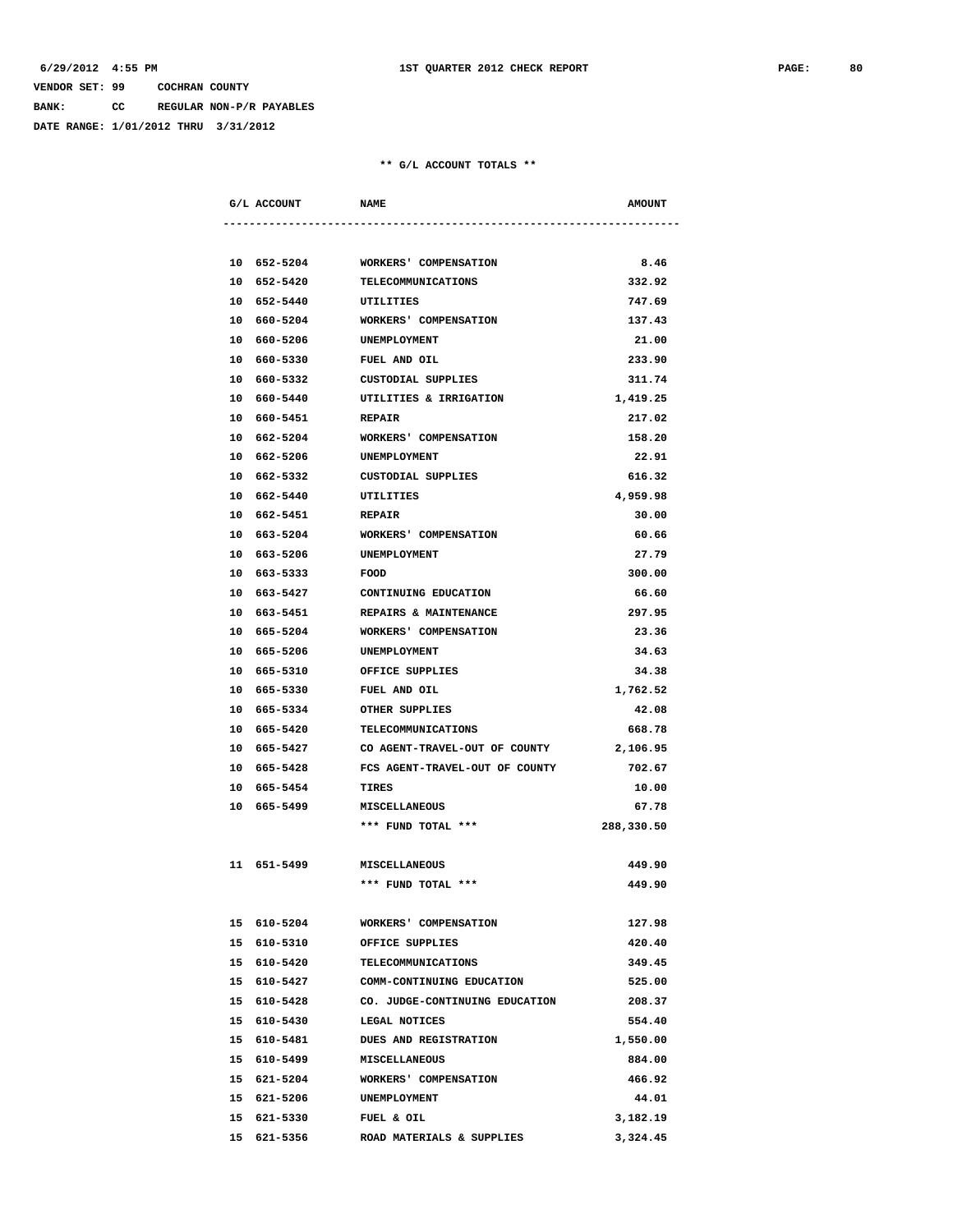**BANK: CC REGULAR NON-P/R PAYABLES**

**DATE RANGE: 1/01/2012 THRU 3/31/2012**

|  | G/L ACCOUNT NAME          |                                    | <b>AMOUNT</b> |
|--|---------------------------|------------------------------------|---------------|
|  |                           |                                    |               |
|  | 10 652-5204               | <b>WORKERS' COMPENSATION</b>       | 8.46          |
|  | 10 652-5420               | TELECOMMUNICATIONS                 | 332.92        |
|  | 10 652-5440               | UTILITIES                          | 747.69        |
|  | 10 660-5204               | <b>WORKERS' COMPENSATION</b>       | 137.43        |
|  | 10 660-5206               | <b>UNEMPLOYMENT</b>                | 21.00         |
|  | 10 660-5330 FUEL AND OIL  |                                    | 233.90        |
|  |                           | 10 660-5332 CUSTODIAL SUPPLIES     | 311.74        |
|  |                           | 10 660-5440 UTILITIES & IRRIGATION | 1,419.25      |
|  | 10 660-5451 REPAIR        |                                    | 217.02        |
|  |                           | 10 662-5204 WORKERS' COMPENSATION  | 158.20        |
|  | 10 662-5206 UNEMPLOYMENT  |                                    | 22.91         |
|  | 10 662-5332               | CUSTODIAL SUPPLIES                 | 616.32        |
|  | 10 662-5440               | UTILITIES                          | 4,959.98      |
|  | 10 662-5451               | <b>REPAIR</b>                      | 30.00         |
|  | 10 663-5204               | WORKERS' COMPENSATION              | 60.66         |
|  | 10 663-5206               | UNEMPLOYMENT                       | 27.79         |
|  | 10 663-5333               | FOOD                               | 300.00        |
|  |                           | 10 663-5427 CONTINUING EDUCATION   | 66.60         |
|  |                           | 10 663-5451 REPAIRS & MAINTENANCE  | 297.95        |
|  |                           | 10 665-5204 WORKERS' COMPENSATION  | 23.36         |
|  | 10 665-5206 UNEMPLOYMENT  |                                    | 34.63         |
|  |                           | 10 665-5310 OFFICE SUPPLIES        | 34.38         |
|  | 10 665-5330 FUEL AND OIL  |                                    | 1,762.52      |
|  | 10 665-5334               | OTHER SUPPLIES                     | 42.08         |
|  | 10 665-5420               | TELECOMMUNICATIONS                 | 668.78        |
|  | 10 665-5427               | CO AGENT-TRAVEL-OUT OF COUNTY      | 2,106.95      |
|  | 10 665-5428               | FCS AGENT-TRAVEL-OUT OF COUNTY     | 702.67        |
|  | 10 665-5454               | TIRES                              | 10.00         |
|  | 10 665-5499               | <b>MISCELLANEOUS</b>               | 67.78         |
|  |                           | *** FUND TOTAL ***                 | 288,330.50    |
|  | 11 651-5499 MISCELLANEOUS |                                    | 449.90        |
|  |                           | *** FUND TOTAL ***                 | 449.90        |
|  | 15 610-5204               | WORKERS' COMPENSATION              | 127.98        |
|  | 15 610-5310               | OFFICE SUPPLIES                    | 420.40        |
|  | 15 610-5420               | <b>TELECOMMUNICATIONS</b>          | 349.45        |
|  | 15 610-5427               | COMM-CONTINUING EDUCATION          | 525.00        |
|  | 15 610-5428               | CO. JUDGE-CONTINUING EDUCATION     | 208.37        |
|  | 15 610-5430               | LEGAL NOTICES                      | 554.40        |
|  | 15 610-5481               | DUES AND REGISTRATION              | 1,550.00      |
|  | 15 610-5499               | <b>MISCELLANEOUS</b>               | 884.00        |
|  | 15 621-5204               | WORKERS' COMPENSATION              | 466.92        |
|  | 15 621-5206               | UNEMPLOYMENT                       | 44.01         |
|  | 15 621-5330               | FUEL & OIL                         | 3,182.19      |
|  | 15 621-5356               | ROAD MATERIALS & SUPPLIES          | 3,324.45      |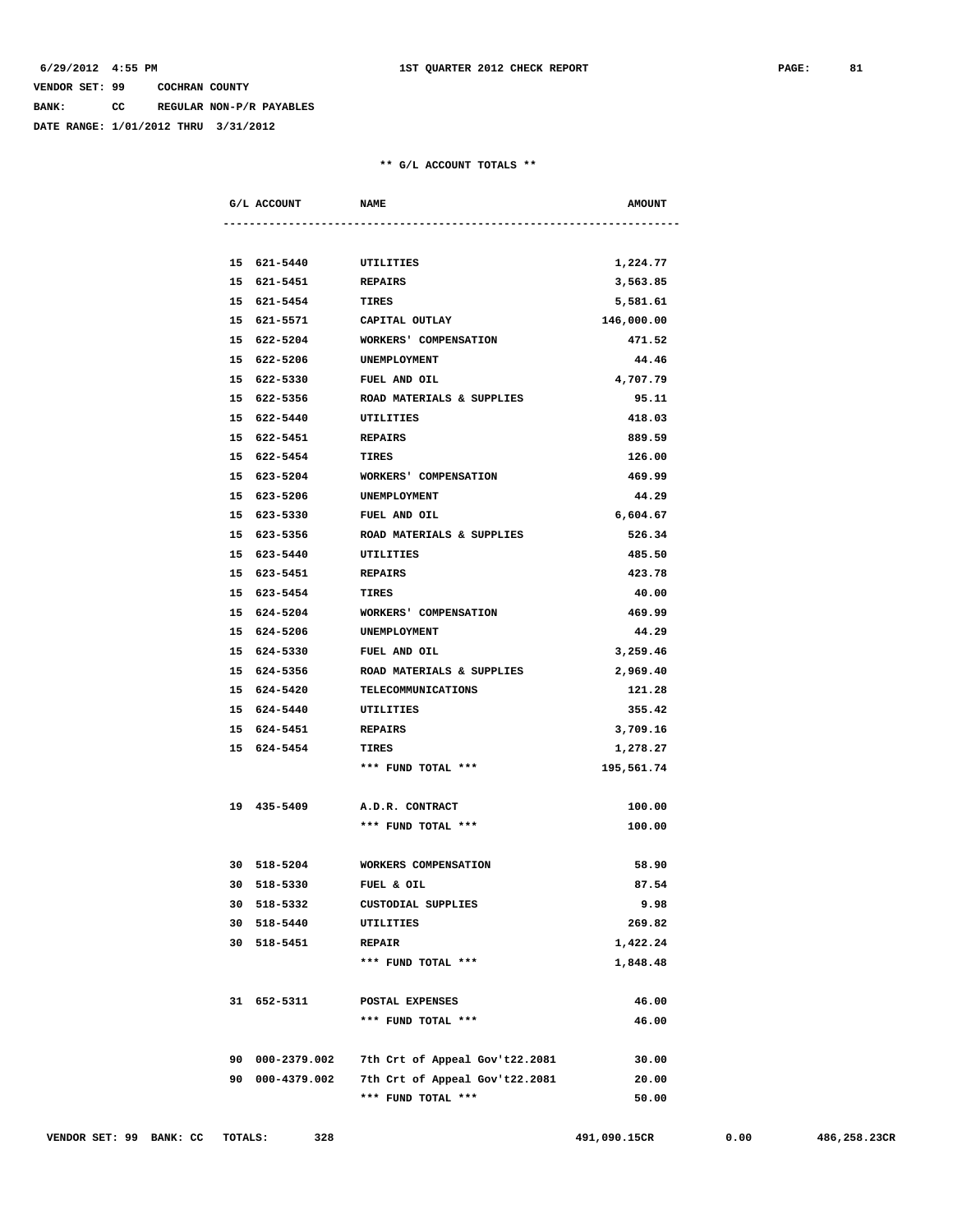**BANK: CC REGULAR NON-P/R PAYABLES**

**DATE RANGE: 1/01/2012 THRU 3/31/2012**

| G/L ACCOUNT<br><b>NAME</b> |                                       | <b>AMOUNT</b> |  |
|----------------------------|---------------------------------------|---------------|--|
| -------------------------- |                                       |               |  |
| 15 621-5440 UTILITIES      |                                       | 1,224.77      |  |
| 15 621-5451                | <b>REPAIRS</b>                        | 3,563.85      |  |
| 15 621-5454                | TIRES                                 | 5,581.61      |  |
| 15 621-5571                | CAPITAL OUTLAY                        | 146,000.00    |  |
| 15 622-5204                | <b>WORKERS' COMPENSATION</b>          | 471.52        |  |
| 15 622-5206                | UNEMPLOYMENT                          | 44.46         |  |
| 15 622-5330                | FUEL AND OIL                          | 4,707.79      |  |
| 15 622-5356                | ROAD MATERIALS & SUPPLIES             | 95.11         |  |
| 15 622-5440 UTILITIES      |                                       | 418.03        |  |
| 15 622-5451 REPAIRS        |                                       | 889.59        |  |
| 15 622-5454 TIRES          |                                       | 126.00        |  |
|                            | 15 623-5204 WORKERS' COMPENSATION     | 469.99        |  |
| 15 623-5206 UNEMPLOYMENT   |                                       | 44.29         |  |
| 15 623-5330                | FUEL AND OIL                          | 6,604.67      |  |
| 15 623-5356                | ROAD MATERIALS & SUPPLIES             | 526.34        |  |
| 15 623-5440                | UTILITIES                             | 485.50        |  |
| 15 623-5451                | <b>REPAIRS</b>                        | 423.78        |  |
| 15 623-5454                | TIRES                                 | 40.00         |  |
| 15 624-5204                | <b>WORKERS' COMPENSATION</b>          | 469.99        |  |
| 15 624-5206                | UNEMPLOYMENT                          | 44.29         |  |
| 15 624-5330 FUEL AND OIL   |                                       | 3,259.46      |  |
|                            | 15 624-5356 ROAD MATERIALS & SUPPLIES | 2,969.40      |  |
|                            | 15 624-5420 TELECOMMUNICATIONS        | 121.28        |  |
| 15 624-5440 UTILITIES      |                                       | 355.42        |  |
|                            |                                       |               |  |
| 15 624-5451 REPAIRS        |                                       | 3,709.16      |  |
| 15 624-5454                | TIRES                                 | 1,278.27      |  |
|                            | *** FUND TOTAL ***                    | 195,561.74    |  |
| 19 435-5409                | A.D.R. CONTRACT                       | 100.00        |  |
|                            | *** FUND TOTAL ***                    | 100.00        |  |
| 30 518-5204                | WORKERS COMPENSATION                  | 58.90         |  |
| 30 518-5330                | FUEL & OIL                            | 87.54         |  |
| 30 518-5332                | CUSTODIAL SUPPLIES                    | 9.98          |  |
| 30 518-5440                | UTILITIES                             | 269.82        |  |
| 30 518-5451                | <b>REPAIR</b>                         | 1,422.24      |  |
|                            | *** FUND TOTAL ***                    | 1,848.48      |  |
| 31 652-5311                | POSTAL EXPENSES                       | 46.00         |  |
|                            | *** FUND TOTAL ***                    | 46.00         |  |
|                            |                                       |               |  |
| 90 000-2379.002            | 7th Crt of Appeal Gov't22.2081        | 30.00         |  |
| 90 000-4379.002            | 7th Crt of Appeal Gov't22.2081        | 20.00         |  |
|                            | *** FUND TOTAL ***                    | 50.00         |  |
|                            |                                       |               |  |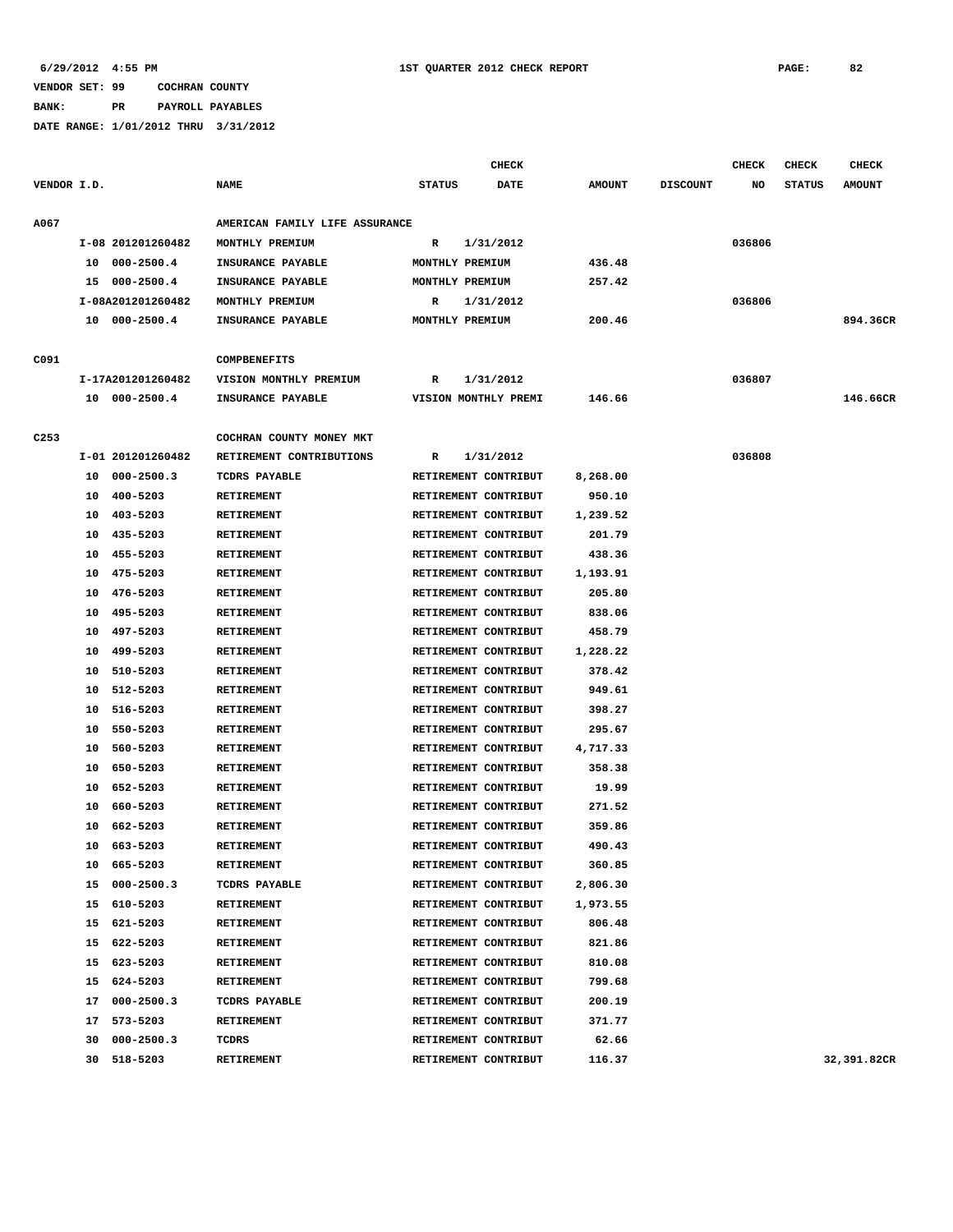**BANK: PR PAYROLL PAYABLES**

|                  |    |                   |                                |               | CHECK                |               |                 | <b>CHECK</b> | <b>CHECK</b>  | <b>CHECK</b>  |
|------------------|----|-------------------|--------------------------------|---------------|----------------------|---------------|-----------------|--------------|---------------|---------------|
| VENDOR I.D.      |    |                   | <b>NAME</b>                    | <b>STATUS</b> | DATE                 | <b>AMOUNT</b> | <b>DISCOUNT</b> | NO           | <b>STATUS</b> | <b>AMOUNT</b> |
| A067             |    |                   | AMERICAN FAMILY LIFE ASSURANCE |               |                      |               |                 |              |               |               |
|                  |    | I-08 201201260482 | MONTHLY PREMIUM                | R             | 1/31/2012            |               |                 | 036806       |               |               |
|                  | 10 | $000 - 2500.4$    | INSURANCE PAYABLE              |               | MONTHLY PREMIUM      | 436.48        |                 |              |               |               |
|                  | 15 | $000 - 2500.4$    | INSURANCE PAYABLE              |               | MONTHLY PREMIUM      | 257.42        |                 |              |               |               |
|                  |    | I-08A201201260482 | MONTHLY PREMIUM                | R             | 1/31/2012            |               |                 | 036806       |               |               |
|                  | 10 | $000 - 2500.4$    | INSURANCE PAYABLE              |               | MONTHLY PREMIUM      | 200.46        |                 |              |               | 894.36CR      |
|                  |    |                   |                                |               |                      |               |                 |              |               |               |
| C091             |    |                   | COMPBENEFITS                   |               |                      |               |                 |              |               |               |
|                  |    | I-17A201201260482 | VISION MONTHLY PREMIUM         | R             | 1/31/2012            |               |                 | 036807       |               |               |
|                  |    | 10 000-2500.4     | INSURANCE PAYABLE              |               | VISION MONTHLY PREMI | 146.66        |                 |              |               | 146.66CR      |
| C <sub>253</sub> |    |                   | COCHRAN COUNTY MONEY MKT       |               |                      |               |                 |              |               |               |
|                  |    | I-01 201201260482 | RETIREMENT CONTRIBUTIONS       | R             | 1/31/2012            |               |                 | 036808       |               |               |
|                  | 10 | $000 - 2500.3$    | <b>TCDRS PAYABLE</b>           |               | RETIREMENT CONTRIBUT | 8,268.00      |                 |              |               |               |
|                  | 10 | 400-5203          | RETIREMENT                     |               | RETIREMENT CONTRIBUT | 950.10        |                 |              |               |               |
|                  | 10 | 403-5203          | RETIREMENT                     |               | RETIREMENT CONTRIBUT | 1,239.52      |                 |              |               |               |
|                  | 10 | 435-5203          | RETIREMENT                     |               | RETIREMENT CONTRIBUT | 201.79        |                 |              |               |               |
|                  | 10 | 455-5203          | <b>RETIREMENT</b>              |               | RETIREMENT CONTRIBUT | 438.36        |                 |              |               |               |
|                  | 10 | 475-5203          | RETIREMENT                     |               | RETIREMENT CONTRIBUT | 1,193.91      |                 |              |               |               |
|                  | 10 | 476-5203          | <b>RETIREMENT</b>              |               | RETIREMENT CONTRIBUT | 205.80        |                 |              |               |               |
|                  | 10 | 495-5203          | RETIREMENT                     |               | RETIREMENT CONTRIBUT | 838.06        |                 |              |               |               |
|                  | 10 | 497-5203          | <b>RETIREMENT</b>              |               | RETIREMENT CONTRIBUT | 458.79        |                 |              |               |               |
|                  | 10 | 499-5203          | RETIREMENT                     |               | RETIREMENT CONTRIBUT | 1,228.22      |                 |              |               |               |
|                  | 10 | 510-5203          | <b>RETIREMENT</b>              |               | RETIREMENT CONTRIBUT | 378.42        |                 |              |               |               |
|                  | 10 | 512-5203          | <b>RETIREMENT</b>              |               | RETIREMENT CONTRIBUT | 949.61        |                 |              |               |               |
|                  | 10 | 516-5203          | RETIREMENT                     |               | RETIREMENT CONTRIBUT | 398.27        |                 |              |               |               |
|                  | 10 | 550-5203          | RETIREMENT                     |               | RETIREMENT CONTRIBUT | 295.67        |                 |              |               |               |
|                  | 10 | 560-5203          | RETIREMENT                     |               | RETIREMENT CONTRIBUT | 4,717.33      |                 |              |               |               |
|                  | 10 | 650-5203          | <b>RETIREMENT</b>              |               | RETIREMENT CONTRIBUT | 358.38        |                 |              |               |               |
|                  | 10 | 652-5203          | RETIREMENT                     |               | RETIREMENT CONTRIBUT | 19.99         |                 |              |               |               |
|                  | 10 | 660-5203          | <b>RETIREMENT</b>              |               | RETIREMENT CONTRIBUT | 271.52        |                 |              |               |               |
|                  | 10 | 662-5203          | RETIREMENT                     |               | RETIREMENT CONTRIBUT | 359.86        |                 |              |               |               |
|                  | 10 | 663-5203          | RETIREMENT                     |               | RETIREMENT CONTRIBUT | 490.43        |                 |              |               |               |
|                  |    |                   |                                |               |                      |               |                 |              |               |               |
|                  | 10 | 665-5203          | RETIREMENT                     |               | RETIREMENT CONTRIBUT | 360.85        |                 |              |               |               |
|                  | 15 | $000 - 2500.3$    | <b>TCDRS PAYABLE</b>           |               | RETIREMENT CONTRIBUT | 2,806.30      |                 |              |               |               |
|                  | 15 | 610-5203          | RETIREMENT                     |               | RETIREMENT CONTRIBUT | 1,973.55      |                 |              |               |               |
|                  | 15 | 621-5203          | RETIREMENT                     |               | RETIREMENT CONTRIBUT | 806.48        |                 |              |               |               |
|                  | 15 | 622-5203          | RETIREMENT                     |               | RETIREMENT CONTRIBUT | 821.86        |                 |              |               |               |
|                  | 15 | 623-5203          | RETIREMENT                     |               | RETIREMENT CONTRIBUT | 810.08        |                 |              |               |               |
|                  | 15 | 624-5203          | RETIREMENT                     |               | RETIREMENT CONTRIBUT | 799.68        |                 |              |               |               |
|                  | 17 | $000 - 2500.3$    | <b>TCDRS PAYABLE</b>           |               | RETIREMENT CONTRIBUT | 200.19        |                 |              |               |               |
|                  | 17 | 573-5203          | RETIREMENT                     |               | RETIREMENT CONTRIBUT | 371.77        |                 |              |               |               |
|                  | 30 | $000 - 2500.3$    | TCDRS                          |               | RETIREMENT CONTRIBUT | 62.66         |                 |              |               |               |
|                  | 30 | 518-5203          | <b>RETIREMENT</b>              |               | RETIREMENT CONTRIBUT | 116.37        |                 |              |               | 32,391.82CR   |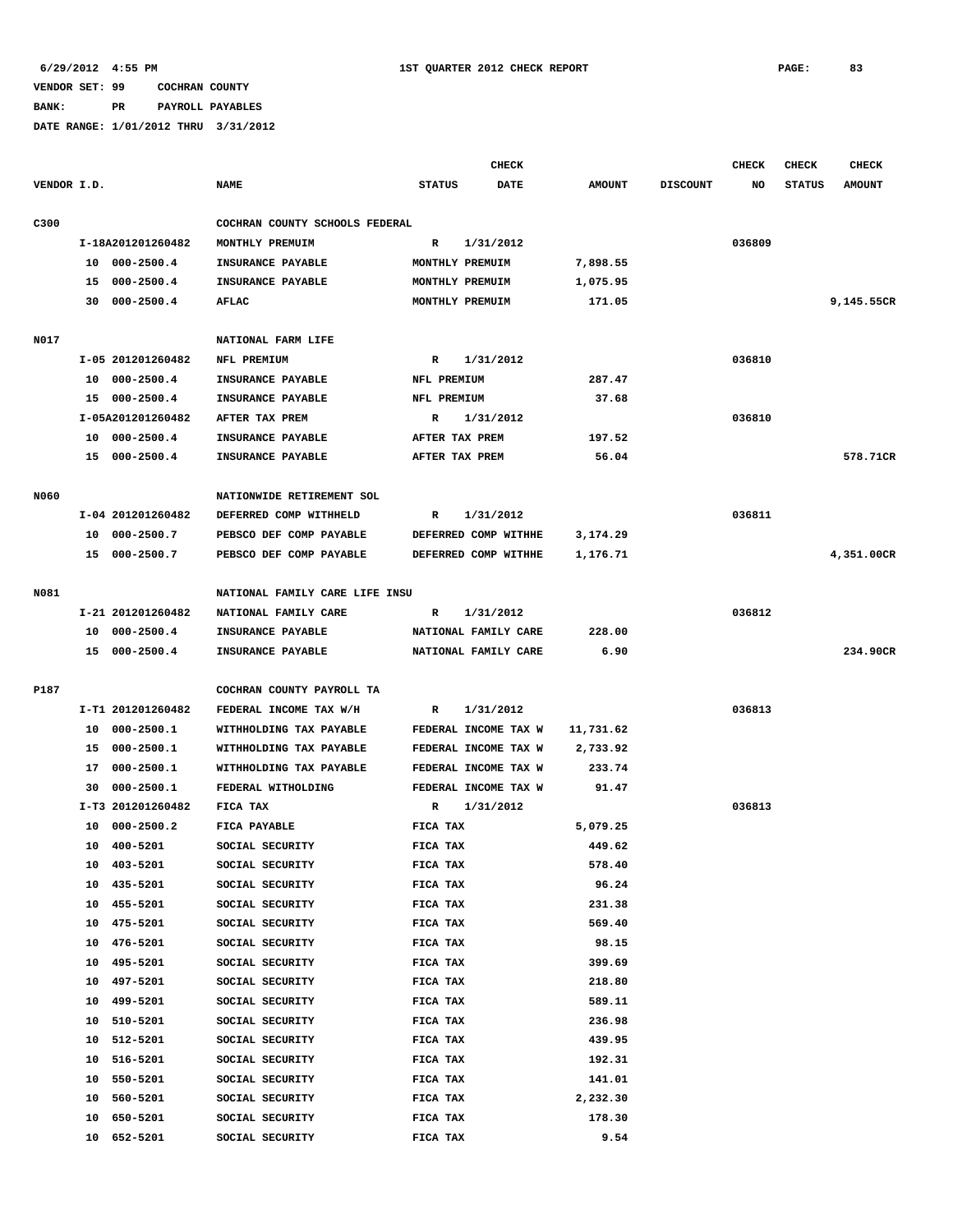**BANK: PR PAYROLL PAYABLES**

|             |    |                   |                                |                | <b>CHECK</b>         |               |                 | <b>CHECK</b> | <b>CHECK</b>  | <b>CHECK</b>  |
|-------------|----|-------------------|--------------------------------|----------------|----------------------|---------------|-----------------|--------------|---------------|---------------|
| VENDOR I.D. |    |                   | <b>NAME</b>                    | <b>STATUS</b>  | DATE                 | <b>AMOUNT</b> | <b>DISCOUNT</b> | NO           | <b>STATUS</b> | <b>AMOUNT</b> |
| C300        |    |                   | COCHRAN COUNTY SCHOOLS FEDERAL |                |                      |               |                 |              |               |               |
|             |    | I-18A201201260482 | MONTHLY PREMUIM                | $\mathbb{R}$   | 1/31/2012            |               |                 | 036809       |               |               |
|             |    | 10 000-2500.4     | INSURANCE PAYABLE              |                | MONTHLY PREMUIM      | 7,898.55      |                 |              |               |               |
|             |    | 15 000-2500.4     | INSURANCE PAYABLE              |                | MONTHLY PREMUIM      | 1,075.95      |                 |              |               |               |
|             |    | 30 000-2500.4     | <b>AFLAC</b>                   |                | MONTHLY PREMUIM      | 171.05        |                 |              |               | 9,145.55CR    |
|             |    |                   |                                |                |                      |               |                 |              |               |               |
| N017        |    |                   | NATIONAL FARM LIFE             |                |                      |               |                 |              |               |               |
|             |    | I-05 201201260482 | NFL PREMIUM                    | R              | 1/31/2012            |               |                 | 036810       |               |               |
|             |    | 10 000-2500.4     | INSURANCE PAYABLE              | NFL PREMIUM    |                      | 287.47        |                 |              |               |               |
|             |    | 15 000-2500.4     | INSURANCE PAYABLE              | NFL PREMIUM    |                      | 37.68         |                 |              |               |               |
|             |    | I-05A201201260482 | AFTER TAX PREM                 | R              | 1/31/2012            |               |                 | 036810       |               |               |
|             |    | 10 000-2500.4     | INSURANCE PAYABLE              | AFTER TAX PREM |                      | 197.52        |                 |              |               |               |
|             |    | 15 000-2500.4     | INSURANCE PAYABLE              | AFTER TAX PREM |                      | 56.04         |                 |              |               | 578.71CR      |
|             |    |                   |                                |                |                      |               |                 |              |               |               |
| N060        |    |                   | NATIONWIDE RETIREMENT SOL      |                |                      |               |                 |              |               |               |
|             |    | I-04 201201260482 | DEFERRED COMP WITHHELD         | R              | 1/31/2012            |               |                 | 036811       |               |               |
|             |    | 10 000-2500.7     | PEBSCO DEF COMP PAYABLE        |                | DEFERRED COMP WITHHE | 3,174.29      |                 |              |               |               |
|             |    | 15 000-2500.7     | PEBSCO DEF COMP PAYABLE        |                | DEFERRED COMP WITHHE | 1,176.71      |                 |              |               | 4,351.00CR    |
|             |    |                   |                                |                |                      |               |                 |              |               |               |
| N081        |    |                   | NATIONAL FAMILY CARE LIFE INSU |                |                      |               |                 |              |               |               |
|             |    | I-21 201201260482 | NATIONAL FAMILY CARE           | R              | 1/31/2012            |               |                 | 036812       |               |               |
|             |    | 10 000-2500.4     | INSURANCE PAYABLE              |                | NATIONAL FAMILY CARE | 228.00        |                 |              |               |               |
|             |    | 15 000-2500.4     | INSURANCE PAYABLE              |                | NATIONAL FAMILY CARE | 6.90          |                 |              |               | 234.90CR      |
|             |    |                   |                                |                |                      |               |                 |              |               |               |
| P187        |    |                   | COCHRAN COUNTY PAYROLL TA      |                |                      |               |                 |              |               |               |
|             |    | I-T1 201201260482 | FEDERAL INCOME TAX W/H         | R              | 1/31/2012            |               |                 | 036813       |               |               |
|             | 10 | 000-2500.1        | WITHHOLDING TAX PAYABLE        |                | FEDERAL INCOME TAX W | 11,731.62     |                 |              |               |               |
|             | 15 | 000-2500.1        | WITHHOLDING TAX PAYABLE        |                | FEDERAL INCOME TAX W | 2,733.92      |                 |              |               |               |
|             | 17 | $000 - 2500.1$    | WITHHOLDING TAX PAYABLE        |                | FEDERAL INCOME TAX W | 233.74        |                 |              |               |               |
|             | 30 | $000 - 2500.1$    | FEDERAL WITHOLDING             |                | FEDERAL INCOME TAX W | 91.47         |                 |              |               |               |
|             |    | I-T3 201201260482 | FICA TAX                       | R              | 1/31/2012            |               |                 | 036813       |               |               |
|             | 10 | $000 - 2500.2$    | FICA PAYABLE                   | FICA TAX       |                      | 5,079.25      |                 |              |               |               |
|             |    | 10 400-5201       | SOCIAL SECURITY                | FICA TAX       |                      | 449.62        |                 |              |               |               |
|             | 10 | 403-5201          | SOCIAL SECURITY                | FICA TAX       |                      | 578.40        |                 |              |               |               |
|             | 10 | 435-5201          | SOCIAL SECURITY                | FICA TAX       |                      | 96.24         |                 |              |               |               |
|             | 10 | 455-5201          | SOCIAL SECURITY                | FICA TAX       |                      | 231.38        |                 |              |               |               |
|             | 10 | 475-5201          | SOCIAL SECURITY                | FICA TAX       |                      | 569.40        |                 |              |               |               |
|             | 10 | 476-5201          | SOCIAL SECURITY                | FICA TAX       |                      | 98.15         |                 |              |               |               |
|             | 10 | 495-5201          | SOCIAL SECURITY                | FICA TAX       |                      | 399.69        |                 |              |               |               |
|             | 10 | 497-5201          | SOCIAL SECURITY                | FICA TAX       |                      | 218.80        |                 |              |               |               |
|             | 10 | 499-5201          | SOCIAL SECURITY                | FICA TAX       |                      | 589.11        |                 |              |               |               |
|             | 10 | 510-5201          | SOCIAL SECURITY                | FICA TAX       |                      | 236.98        |                 |              |               |               |
|             | 10 | 512-5201          | SOCIAL SECURITY                | FICA TAX       |                      | 439.95        |                 |              |               |               |
|             | 10 | 516-5201          | SOCIAL SECURITY                | FICA TAX       |                      | 192.31        |                 |              |               |               |
|             | 10 | 550-5201          | SOCIAL SECURITY                | FICA TAX       |                      | 141.01        |                 |              |               |               |
|             | 10 | 560-5201          | SOCIAL SECURITY                | FICA TAX       |                      | 2,232.30      |                 |              |               |               |
|             | 10 | 650-5201          | SOCIAL SECURITY                | FICA TAX       |                      | 178.30        |                 |              |               |               |
|             | 10 | 652-5201          | SOCIAL SECURITY                | FICA TAX       |                      | 9.54          |                 |              |               |               |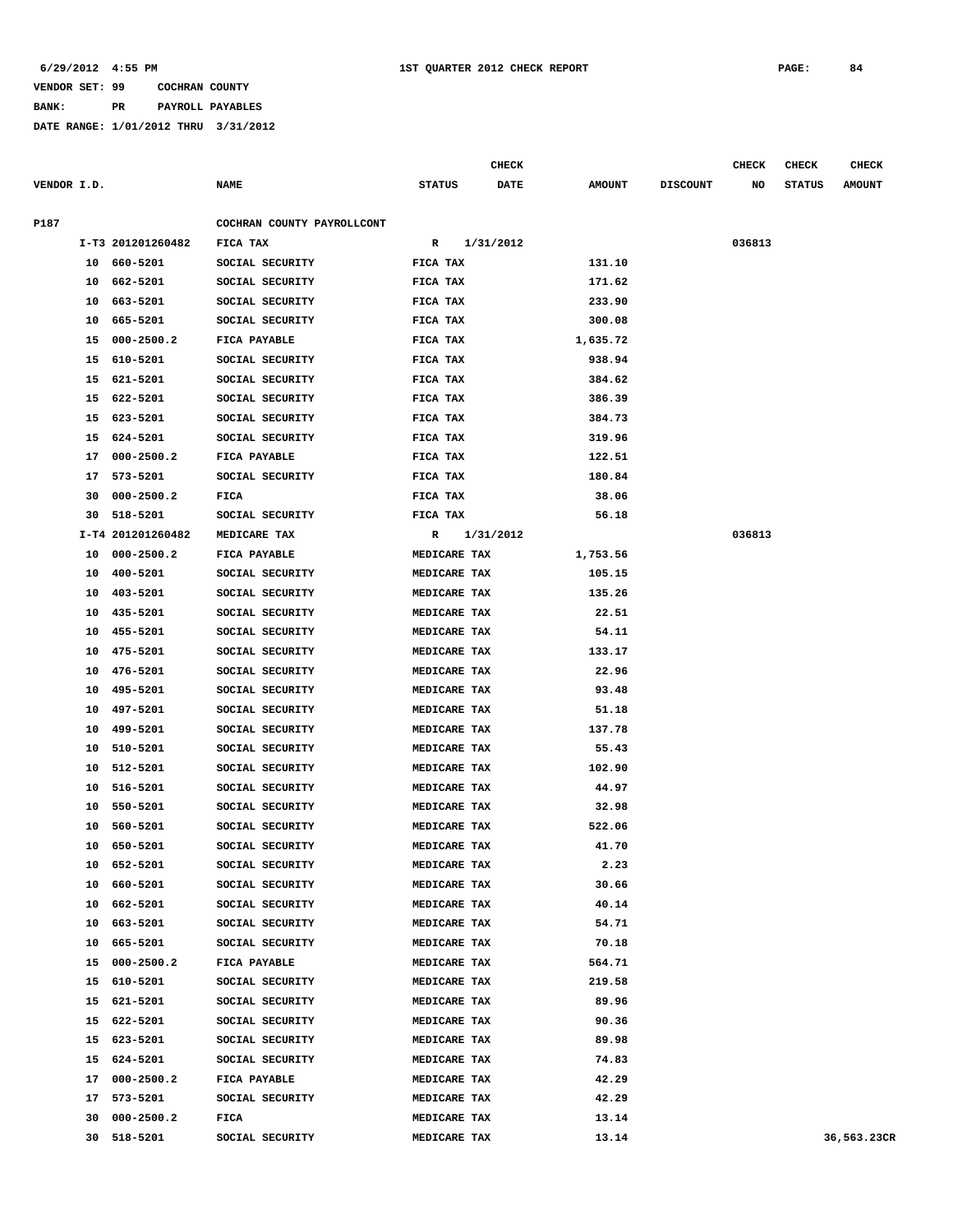**BANK: PR PAYROLL PAYABLES**

|             |    |                   |                            |               | <b>CHECK</b> |               |                 | <b>CHECK</b> | <b>CHECK</b>  | <b>CHECK</b>  |
|-------------|----|-------------------|----------------------------|---------------|--------------|---------------|-----------------|--------------|---------------|---------------|
| VENDOR I.D. |    |                   | <b>NAME</b>                | <b>STATUS</b> | <b>DATE</b>  | <b>AMOUNT</b> | <b>DISCOUNT</b> | NO           | <b>STATUS</b> | <b>AMOUNT</b> |
| P187        |    |                   | COCHRAN COUNTY PAYROLLCONT |               |              |               |                 |              |               |               |
|             |    | I-T3 201201260482 | FICA TAX                   | R             | 1/31/2012    |               |                 | 036813       |               |               |
|             | 10 | 660-5201          | SOCIAL SECURITY            | FICA TAX      |              | 131.10        |                 |              |               |               |
|             | 10 | 662-5201          | SOCIAL SECURITY            | FICA TAX      |              | 171.62        |                 |              |               |               |
|             | 10 | 663-5201          | SOCIAL SECURITY            | FICA TAX      |              | 233.90        |                 |              |               |               |
|             | 10 | 665-5201          | SOCIAL SECURITY            | FICA TAX      |              | 300.08        |                 |              |               |               |
|             | 15 | $000 - 2500.2$    | <b>FICA PAYABLE</b>        | FICA TAX      |              | 1,635.72      |                 |              |               |               |
|             | 15 | 610-5201          | SOCIAL SECURITY            | FICA TAX      |              | 938.94        |                 |              |               |               |
|             | 15 | 621-5201          | SOCIAL SECURITY            | FICA TAX      |              | 384.62        |                 |              |               |               |
|             | 15 | 622-5201          | SOCIAL SECURITY            | FICA TAX      |              | 386.39        |                 |              |               |               |
|             | 15 | 623-5201          | SOCIAL SECURITY            | FICA TAX      |              | 384.73        |                 |              |               |               |
|             | 15 | 624-5201          | SOCIAL SECURITY            | FICA TAX      |              | 319.96        |                 |              |               |               |
|             | 17 | $000 - 2500.2$    | FICA PAYABLE               | FICA TAX      |              | 122.51        |                 |              |               |               |
|             | 17 | 573-5201          | SOCIAL SECURITY            | FICA TAX      |              | 180.84        |                 |              |               |               |
|             | 30 | $000 - 2500.2$    | FICA                       | FICA TAX      |              | 38.06         |                 |              |               |               |
|             | 30 | 518-5201          | SOCIAL SECURITY            | FICA TAX      |              | 56.18         |                 |              |               |               |
|             |    | I-T4 201201260482 | MEDICARE TAX               | R             | 1/31/2012    |               |                 | 036813       |               |               |
|             | 10 | $000 - 2500.2$    | FICA PAYABLE               | MEDICARE TAX  |              | 1,753.56      |                 |              |               |               |
|             | 10 | 400-5201          | SOCIAL SECURITY            | MEDICARE TAX  |              | 105.15        |                 |              |               |               |
|             | 10 | 403-5201          | SOCIAL SECURITY            | MEDICARE TAX  |              | 135.26        |                 |              |               |               |
|             | 10 | 435-5201          | SOCIAL SECURITY            | MEDICARE TAX  |              | 22.51         |                 |              |               |               |
|             | 10 | 455-5201          | SOCIAL SECURITY            | MEDICARE TAX  |              | 54.11         |                 |              |               |               |
|             | 10 | 475-5201          | SOCIAL SECURITY            | MEDICARE TAX  |              | 133.17        |                 |              |               |               |
|             | 10 | 476-5201          | SOCIAL SECURITY            | MEDICARE TAX  |              | 22.96         |                 |              |               |               |
|             | 10 | 495-5201          | SOCIAL SECURITY            | MEDICARE TAX  |              | 93.48         |                 |              |               |               |
|             | 10 | 497-5201          | SOCIAL SECURITY            | MEDICARE TAX  |              | 51.18         |                 |              |               |               |
|             | 10 | 499-5201          | SOCIAL SECURITY            | MEDICARE TAX  |              | 137.78        |                 |              |               |               |
|             | 10 | 510-5201          | SOCIAL SECURITY            | MEDICARE TAX  |              | 55.43         |                 |              |               |               |
|             | 10 | 512-5201          | SOCIAL SECURITY            | MEDICARE TAX  |              | 102.90        |                 |              |               |               |
|             | 10 | 516-5201          | SOCIAL SECURITY            | MEDICARE TAX  |              | 44.97         |                 |              |               |               |
|             | 10 | 550-5201          | SOCIAL SECURITY            | MEDICARE TAX  |              | 32.98         |                 |              |               |               |
|             | 10 | 560-5201          | SOCIAL SECURITY            | MEDICARE TAX  |              | 522.06        |                 |              |               |               |
|             | 10 | 650-5201          | SOCIAL SECURITY            | MEDICARE TAX  |              | 41.70         |                 |              |               |               |
|             |    | 10 652-5201       | SOCIAL SECURITY            | MEDICARE TAX  |              | 2.23          |                 |              |               |               |
|             |    | 10 660-5201       | SOCIAL SECURITY            | MEDICARE TAX  |              | 30.66         |                 |              |               |               |
|             |    | 10 662-5201       | SOCIAL SECURITY            | MEDICARE TAX  |              | 40.14         |                 |              |               |               |
|             |    | 10 663-5201       | SOCIAL SECURITY            | MEDICARE TAX  |              | 54.71         |                 |              |               |               |
|             |    | 10 665-5201       | SOCIAL SECURITY            | MEDICARE TAX  |              | 70.18         |                 |              |               |               |
|             |    | 15 000-2500.2     | FICA PAYABLE               | MEDICARE TAX  |              | 564.71        |                 |              |               |               |
|             |    | 15 610-5201       | SOCIAL SECURITY            | MEDICARE TAX  |              | 219.58        |                 |              |               |               |
|             |    | 15 621-5201       | SOCIAL SECURITY            | MEDICARE TAX  |              | 89.96         |                 |              |               |               |
|             |    | 15 622-5201       | SOCIAL SECURITY            | MEDICARE TAX  |              | 90.36         |                 |              |               |               |
|             |    | 15 623-5201       | SOCIAL SECURITY            | MEDICARE TAX  |              | 89.98         |                 |              |               |               |
|             |    | 15 624-5201       | SOCIAL SECURITY            | MEDICARE TAX  |              | 74.83         |                 |              |               |               |
|             |    | 17 000-2500.2     | FICA PAYABLE               | MEDICARE TAX  |              | 42.29         |                 |              |               |               |
|             |    | 17 573-5201       | SOCIAL SECURITY            | MEDICARE TAX  |              | 42.29         |                 |              |               |               |
|             |    | 30 000-2500.2     | FICA                       | MEDICARE TAX  |              | 13.14         |                 |              |               |               |
|             |    | 30 518-5201       | SOCIAL SECURITY            | MEDICARE TAX  |              | 13.14         |                 |              |               | 36,563.23CR   |
|             |    |                   |                            |               |              |               |                 |              |               |               |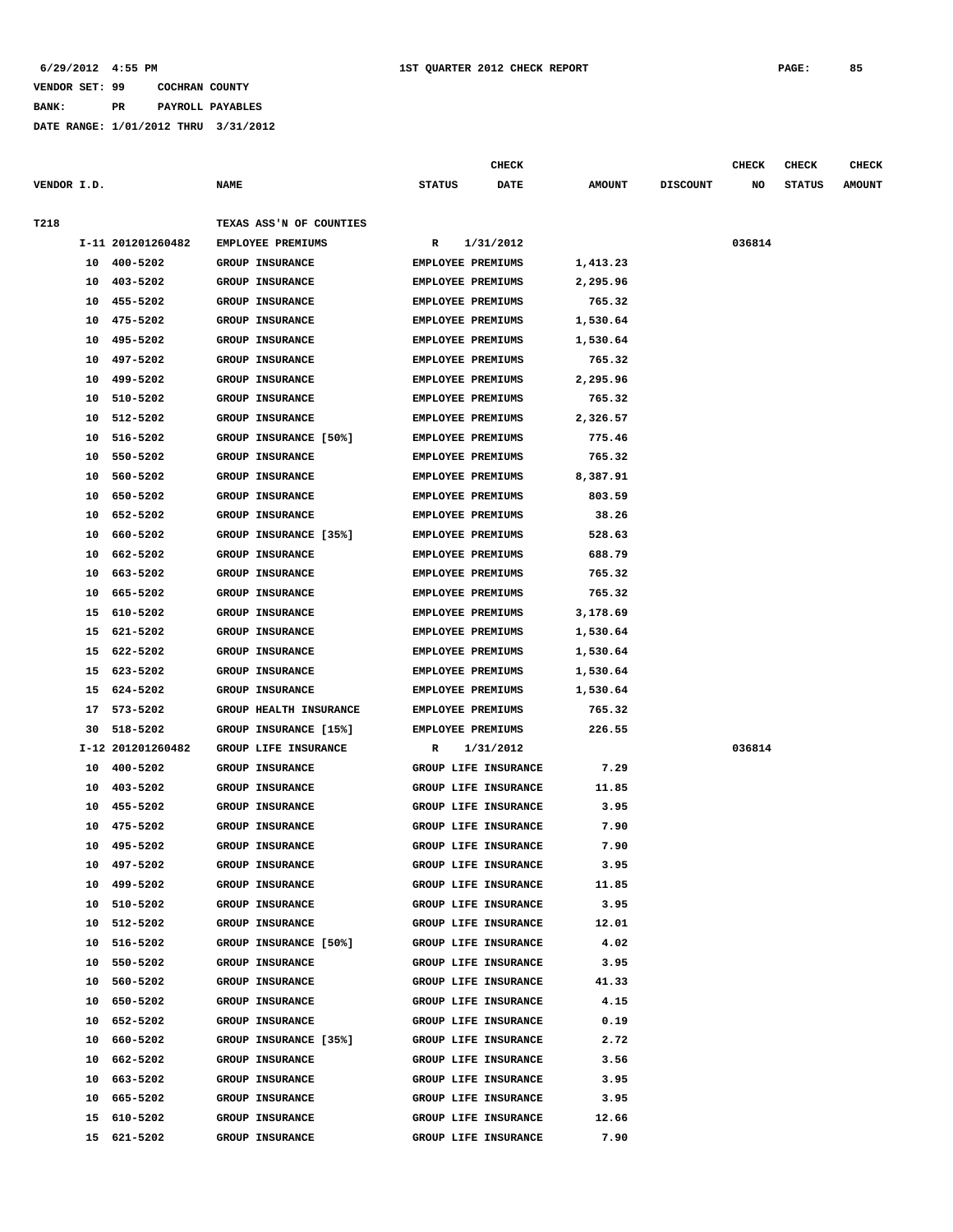**BANK: PR PAYROLL PAYABLES**

|             |    |                   |                         |                          | <b>CHECK</b>         |               |                 | <b>CHECK</b> | <b>CHECK</b>  | <b>CHECK</b>  |
|-------------|----|-------------------|-------------------------|--------------------------|----------------------|---------------|-----------------|--------------|---------------|---------------|
| VENDOR I.D. |    |                   | <b>NAME</b>             | <b>STATUS</b>            | <b>DATE</b>          | <b>AMOUNT</b> | <b>DISCOUNT</b> | NO           | <b>STATUS</b> | <b>AMOUNT</b> |
|             |    |                   |                         |                          |                      |               |                 |              |               |               |
| T218        |    |                   | TEXAS ASS'N OF COUNTIES |                          |                      |               |                 |              |               |               |
|             |    | I-11 201201260482 | EMPLOYEE PREMIUMS       | R                        | 1/31/2012            |               |                 | 036814       |               |               |
|             | 10 | 400-5202          | <b>GROUP INSURANCE</b>  | EMPLOYEE PREMIUMS        |                      | 1,413.23      |                 |              |               |               |
|             | 10 | 403-5202          | <b>GROUP INSURANCE</b>  | <b>EMPLOYEE PREMIUMS</b> |                      | 2,295.96      |                 |              |               |               |
|             | 10 | 455-5202          | <b>GROUP INSURANCE</b>  | <b>EMPLOYEE PREMIUMS</b> |                      | 765.32        |                 |              |               |               |
|             | 10 | 475-5202          | GROUP INSURANCE         | EMPLOYEE PREMIUMS        |                      | 1,530.64      |                 |              |               |               |
|             | 10 | 495-5202          | <b>GROUP INSURANCE</b>  | <b>EMPLOYEE PREMIUMS</b> |                      | 1,530.64      |                 |              |               |               |
|             | 10 | 497-5202          | <b>GROUP INSURANCE</b>  | <b>EMPLOYEE PREMIUMS</b> |                      | 765.32        |                 |              |               |               |
|             | 10 | 499-5202          | <b>GROUP INSURANCE</b>  | EMPLOYEE PREMIUMS        |                      | 2,295.96      |                 |              |               |               |
|             | 10 | 510-5202          | <b>GROUP INSURANCE</b>  | <b>EMPLOYEE PREMIUMS</b> |                      | 765.32        |                 |              |               |               |
|             | 10 | 512-5202          | <b>GROUP INSURANCE</b>  | <b>EMPLOYEE PREMIUMS</b> |                      | 2,326.57      |                 |              |               |               |
|             | 10 | 516-5202          | GROUP INSURANCE [50%]   | EMPLOYEE PREMIUMS        |                      | 775.46        |                 |              |               |               |
|             | 10 | 550-5202          | <b>GROUP INSURANCE</b>  | <b>EMPLOYEE PREMIUMS</b> |                      | 765.32        |                 |              |               |               |
|             | 10 | 560-5202          | <b>GROUP INSURANCE</b>  | <b>EMPLOYEE PREMIUMS</b> |                      | 8,387.91      |                 |              |               |               |
|             | 10 | 650-5202          | <b>GROUP INSURANCE</b>  | EMPLOYEE PREMIUMS        |                      | 803.59        |                 |              |               |               |
|             | 10 | 652-5202          | <b>GROUP INSURANCE</b>  | <b>EMPLOYEE PREMIUMS</b> |                      | 38.26         |                 |              |               |               |
|             | 10 | 660-5202          | GROUP INSURANCE [35%]   | <b>EMPLOYEE PREMIUMS</b> |                      | 528.63        |                 |              |               |               |
|             | 10 | 662-5202          | <b>GROUP INSURANCE</b>  | <b>EMPLOYEE PREMIUMS</b> |                      | 688.79        |                 |              |               |               |
|             | 10 | 663-5202          | <b>GROUP INSURANCE</b>  | EMPLOYEE PREMIUMS        |                      | 765.32        |                 |              |               |               |
|             | 10 | 665-5202          | <b>GROUP INSURANCE</b>  | <b>EMPLOYEE PREMIUMS</b> |                      | 765.32        |                 |              |               |               |
|             | 15 | 610-5202          | <b>GROUP INSURANCE</b>  | <b>EMPLOYEE PREMIUMS</b> |                      | 3,178.69      |                 |              |               |               |
|             | 15 | 621-5202          | <b>GROUP INSURANCE</b>  | EMPLOYEE PREMIUMS        |                      | 1,530.64      |                 |              |               |               |
|             | 15 | 622-5202          | <b>GROUP INSURANCE</b>  | <b>EMPLOYEE PREMIUMS</b> |                      | 1,530.64      |                 |              |               |               |
|             | 15 | 623-5202          | GROUP INSURANCE         | EMPLOYEE PREMIUMS        |                      | 1,530.64      |                 |              |               |               |
|             | 15 | 624-5202          | <b>GROUP INSURANCE</b>  | <b>EMPLOYEE PREMIUMS</b> |                      | 1,530.64      |                 |              |               |               |
|             | 17 | 573-5202          | GROUP HEALTH INSURANCE  | EMPLOYEE PREMIUMS        |                      | 765.32        |                 |              |               |               |
|             | 30 | 518-5202          | GROUP INSURANCE [15%]   | EMPLOYEE PREMIUMS        |                      | 226.55        |                 |              |               |               |
|             |    | I-12 201201260482 | GROUP LIFE INSURANCE    | R                        | 1/31/2012            |               |                 | 036814       |               |               |
|             | 10 | 400-5202          | <b>GROUP INSURANCE</b>  |                          | GROUP LIFE INSURANCE | 7.29          |                 |              |               |               |
|             | 10 | 403-5202          | GROUP INSURANCE         |                          | GROUP LIFE INSURANCE | 11.85         |                 |              |               |               |
|             | 10 | 455-5202          | <b>GROUP INSURANCE</b>  |                          | GROUP LIFE INSURANCE | 3.95          |                 |              |               |               |
|             | 10 | 475-5202          | <b>GROUP INSURANCE</b>  |                          | GROUP LIFE INSURANCE | 7.90          |                 |              |               |               |
|             | 10 | 495-5202          | <b>GROUP INSURANCE</b>  |                          | GROUP LIFE INSURANCE | 7.90          |                 |              |               |               |
|             | 10 | 497-5202          | GROUP INSURANCE         |                          | GROUP LIFE INSURANCE | 3.95          |                 |              |               |               |
|             | 10 | 499-5202          | <b>GROUP INSURANCE</b>  |                          | GROUP LIFE INSURANCE | 11.85         |                 |              |               |               |
|             | 10 | 510-5202          | GROUP INSURANCE         |                          | GROUP LIFE INSURANCE | 3.95          |                 |              |               |               |
|             | 10 | 512-5202          | GROUP INSURANCE         |                          | GROUP LIFE INSURANCE | 12.01         |                 |              |               |               |
|             | 10 | 516-5202          | GROUP INSURANCE [50%]   |                          | GROUP LIFE INSURANCE | 4.02          |                 |              |               |               |
|             | 10 | 550-5202          | <b>GROUP INSURANCE</b>  |                          | GROUP LIFE INSURANCE | 3.95          |                 |              |               |               |
|             | 10 | 560-5202          | GROUP INSURANCE         |                          | GROUP LIFE INSURANCE | 41.33         |                 |              |               |               |
|             | 10 | 650-5202          | GROUP INSURANCE         |                          | GROUP LIFE INSURANCE | 4.15          |                 |              |               |               |
|             | 10 | 652-5202          | <b>GROUP INSURANCE</b>  |                          | GROUP LIFE INSURANCE | 0.19          |                 |              |               |               |
|             | 10 | 660-5202          | GROUP INSURANCE [35%]   |                          | GROUP LIFE INSURANCE | 2.72          |                 |              |               |               |
|             | 10 | 662-5202          | GROUP INSURANCE         |                          | GROUP LIFE INSURANCE | 3.56          |                 |              |               |               |
|             | 10 | 663-5202          | GROUP INSURANCE         |                          | GROUP LIFE INSURANCE | 3.95          |                 |              |               |               |
|             | 10 | 665-5202          | <b>GROUP INSURANCE</b>  |                          | GROUP LIFE INSURANCE | 3.95          |                 |              |               |               |
|             | 15 | 610-5202          | GROUP INSURANCE         |                          | GROUP LIFE INSURANCE | 12.66         |                 |              |               |               |
|             | 15 | 621-5202          | GROUP INSURANCE         |                          | GROUP LIFE INSURANCE | 7.90          |                 |              |               |               |
|             |    |                   |                         |                          |                      |               |                 |              |               |               |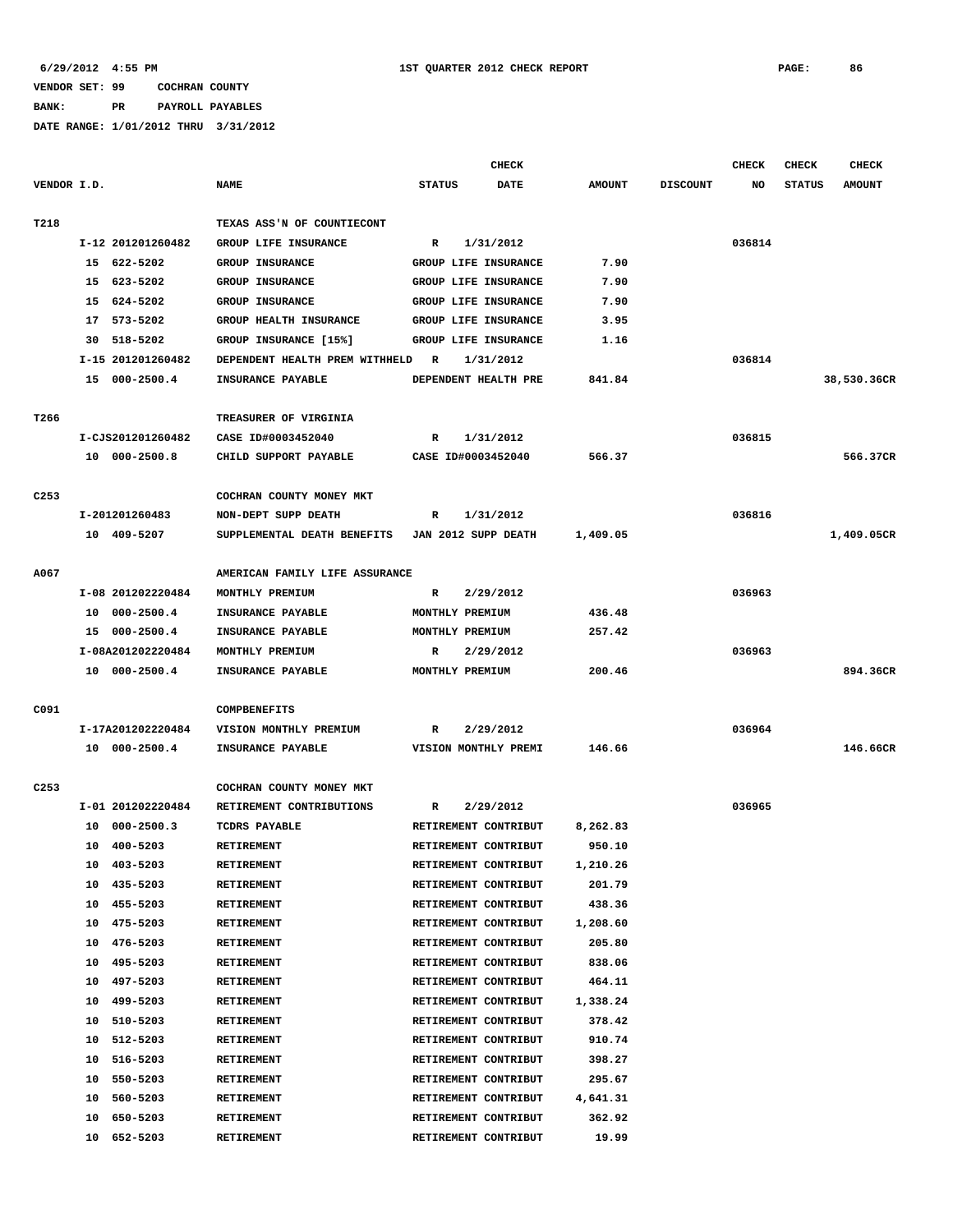**BANK: PR PAYROLL PAYABLES**

|                  |                      |                                | <b>CHECK</b>                 |               |                 | CHECK  | <b>CHECK</b>  | CHECK         |
|------------------|----------------------|--------------------------------|------------------------------|---------------|-----------------|--------|---------------|---------------|
| VENDOR I.D.      |                      | <b>NAME</b>                    | <b>STATUS</b><br><b>DATE</b> | <b>AMOUNT</b> | <b>DISCOUNT</b> | NO     | <b>STATUS</b> | <b>AMOUNT</b> |
| T218             |                      | TEXAS ASS'N OF COUNTIECONT     |                              |               |                 |        |               |               |
|                  | I-12 201201260482    | GROUP LIFE INSURANCE           | 1/31/2012<br>R               |               |                 | 036814 |               |               |
|                  | 15 622-5202          | <b>GROUP INSURANCE</b>         | GROUP LIFE INSURANCE         | 7.90          |                 |        |               |               |
|                  | 15 623-5202          | <b>GROUP INSURANCE</b>         | GROUP LIFE INSURANCE         | 7.90          |                 |        |               |               |
|                  | 624-5202<br>15       | <b>GROUP INSURANCE</b>         | GROUP LIFE INSURANCE         | 7.90          |                 |        |               |               |
|                  | 17 573-5202          | GROUP HEALTH INSURANCE         | GROUP LIFE INSURANCE         | 3.95          |                 |        |               |               |
|                  | 30 518-5202          | GROUP INSURANCE [15%]          | GROUP LIFE INSURANCE         | 1.16          |                 |        |               |               |
|                  | I-15 201201260482    | DEPENDENT HEALTH PREM WITHHELD | R<br>1/31/2012               |               |                 | 036814 |               |               |
|                  | 15 000-2500.4        | INSURANCE PAYABLE              | DEPENDENT HEALTH PRE         | 841.84        |                 |        |               | 38,530.36CR   |
| T266             |                      | TREASURER OF VIRGINIA          |                              |               |                 |        |               |               |
|                  | I-CJS201201260482    | CASE ID#0003452040             | 1/31/2012<br>R               |               |                 | 036815 |               |               |
|                  | 10 000-2500.8        | CHILD SUPPORT PAYABLE          | CASE ID#0003452040           | 566.37        |                 |        |               | 566.37CR      |
|                  |                      |                                |                              |               |                 |        |               |               |
| C <sub>253</sub> |                      | COCHRAN COUNTY MONEY MKT       |                              |               |                 |        |               |               |
|                  | I-201201260483       | NON-DEPT SUPP DEATH            | 1/31/2012<br>R               |               |                 | 036816 |               |               |
|                  | 10 409-5207          | SUPPLEMENTAL DEATH BENEFITS    | JAN 2012 SUPP DEATH          | 1,409.05      |                 |        |               | 1,409.05CR    |
| A067             |                      | AMERICAN FAMILY LIFE ASSURANCE |                              |               |                 |        |               |               |
|                  | I-08 201202220484    | MONTHLY PREMIUM                | 2/29/2012<br>R               |               |                 | 036963 |               |               |
|                  | $000 - 2500.4$<br>10 | INSURANCE PAYABLE              | MONTHLY PREMIUM              | 436.48        |                 |        |               |               |
|                  | 15 000-2500.4        | INSURANCE PAYABLE              | MONTHLY PREMIUM              | 257.42        |                 |        |               |               |
|                  | I-08A201202220484    | MONTHLY PREMIUM                | 2/29/2012<br>R               |               |                 | 036963 |               |               |
|                  | 10 000-2500.4        | INSURANCE PAYABLE              | MONTHLY PREMIUM              | 200.46        |                 |        |               | 894.36CR      |
|                  |                      |                                |                              |               |                 |        |               |               |
| C091             |                      | COMPBENEFITS                   |                              |               |                 |        |               |               |
|                  | I-17A201202220484    | VISION MONTHLY PREMIUM         | 2/29/2012<br>R               |               |                 | 036964 |               |               |
|                  | 10 000-2500.4        | INSURANCE PAYABLE              | VISION MONTHLY PREMI         | 146.66        |                 |        |               | 146.66CR      |
| C <sub>253</sub> |                      | COCHRAN COUNTY MONEY MKT       |                              |               |                 |        |               |               |
|                  | I-01 201202220484    | RETIREMENT CONTRIBUTIONS       | 2/29/2012<br>R               |               |                 | 036965 |               |               |
|                  | $000 - 2500.3$<br>10 | <b>TCDRS PAYABLE</b>           | RETIREMENT CONTRIBUT         | 8,262.83      |                 |        |               |               |
|                  | 10 400-5203          | <b>RETIREMENT</b>              | RETIREMENT CONTRIBUT         | 950.10        |                 |        |               |               |
|                  | 403-5203<br>10       | RETIREMENT                     | RETIREMENT CONTRIBUT         | 1,210.26      |                 |        |               |               |
|                  | 435-5203<br>10       | <b>RETIREMENT</b>              | RETIREMENT CONTRIBUT         | 201.79        |                 |        |               |               |
|                  | 455-5203<br>10       | <b>RETIREMENT</b>              | RETIREMENT CONTRIBUT         | 438.36        |                 |        |               |               |
|                  | 475-5203<br>10       | RETIREMENT                     | RETIREMENT CONTRIBUT         | 1,208.60      |                 |        |               |               |
|                  | 476-5203<br>10       | RETIREMENT                     | RETIREMENT CONTRIBUT         | 205.80        |                 |        |               |               |
|                  | 495-5203<br>10       | RETIREMENT                     | RETIREMENT CONTRIBUT         | 838.06        |                 |        |               |               |
|                  | 497-5203<br>10       | RETIREMENT                     | RETIREMENT CONTRIBUT         | 464.11        |                 |        |               |               |
|                  | 10<br>499-5203       | <b>RETIREMENT</b>              | RETIREMENT CONTRIBUT         | 1,338.24      |                 |        |               |               |
|                  | 510-5203<br>10       | <b>RETIREMENT</b>              | RETIREMENT CONTRIBUT         | 378.42        |                 |        |               |               |
|                  | 512-5203<br>10       | RETIREMENT                     | RETIREMENT CONTRIBUT         | 910.74        |                 |        |               |               |
|                  | 516-5203<br>10       | RETIREMENT                     | RETIREMENT CONTRIBUT         | 398.27        |                 |        |               |               |
|                  | 550-5203<br>10       | RETIREMENT                     | RETIREMENT CONTRIBUT         | 295.67        |                 |        |               |               |
|                  | 560-5203<br>10       | RETIREMENT                     | RETIREMENT CONTRIBUT         | 4,641.31      |                 |        |               |               |
|                  | 10<br>650-5203       | RETIREMENT                     | RETIREMENT CONTRIBUT         | 362.92        |                 |        |               |               |
|                  | 10 652-5203          | RETIREMENT                     | RETIREMENT CONTRIBUT         | 19.99         |                 |        |               |               |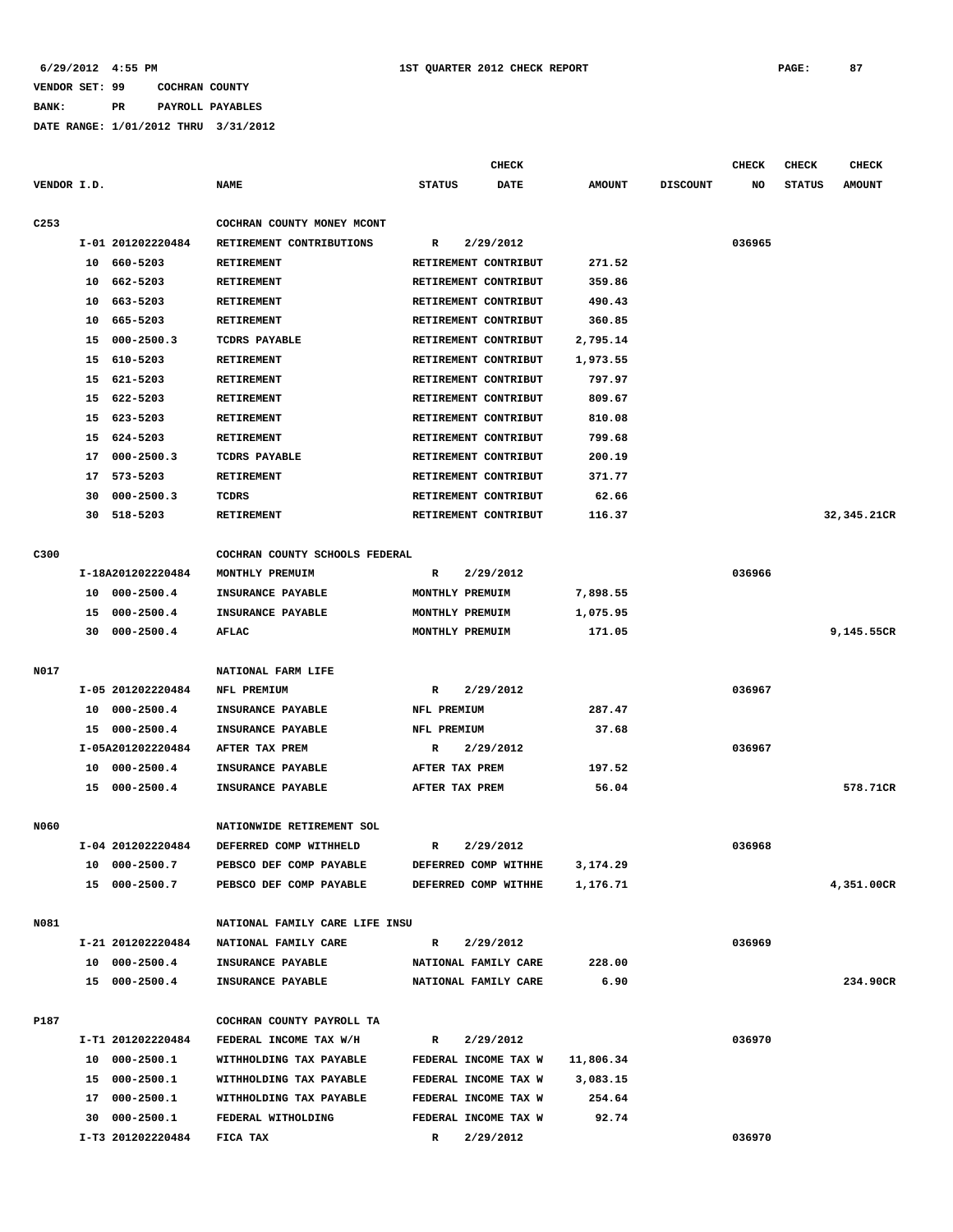**BANK: PR PAYROLL PAYABLES**

|                  |    |                   |                                |                 | <b>CHECK</b>         |               |                 | CHECK  | <b>CHECK</b>  | <b>CHECK</b>  |
|------------------|----|-------------------|--------------------------------|-----------------|----------------------|---------------|-----------------|--------|---------------|---------------|
| VENDOR I.D.      |    |                   | <b>NAME</b>                    | <b>STATUS</b>   | <b>DATE</b>          | <b>AMOUNT</b> | <b>DISCOUNT</b> | NO     | <b>STATUS</b> | <b>AMOUNT</b> |
| C <sub>253</sub> |    |                   | COCHRAN COUNTY MONEY MCONT     |                 |                      |               |                 |        |               |               |
|                  |    | I-01 201202220484 | RETIREMENT CONTRIBUTIONS       | R               | 2/29/2012            |               |                 | 036965 |               |               |
|                  | 10 | 660-5203          | <b>RETIREMENT</b>              |                 | RETIREMENT CONTRIBUT | 271.52        |                 |        |               |               |
|                  | 10 | 662-5203          | <b>RETIREMENT</b>              |                 | RETIREMENT CONTRIBUT | 359.86        |                 |        |               |               |
|                  | 10 | 663-5203          | <b>RETIREMENT</b>              |                 | RETIREMENT CONTRIBUT | 490.43        |                 |        |               |               |
|                  | 10 | 665-5203          | <b>RETIREMENT</b>              |                 | RETIREMENT CONTRIBUT | 360.85        |                 |        |               |               |
|                  | 15 | $000 - 2500.3$    | <b>TCDRS PAYABLE</b>           |                 | RETIREMENT CONTRIBUT | 2,795.14      |                 |        |               |               |
|                  | 15 | 610-5203          | <b>RETIREMENT</b>              |                 | RETIREMENT CONTRIBUT | 1,973.55      |                 |        |               |               |
|                  | 15 | 621-5203          | <b>RETIREMENT</b>              |                 | RETIREMENT CONTRIBUT | 797.97        |                 |        |               |               |
|                  | 15 | 622-5203          | <b>RETIREMENT</b>              |                 | RETIREMENT CONTRIBUT | 809.67        |                 |        |               |               |
|                  | 15 | 623–5203          | <b>RETIREMENT</b>              |                 | RETIREMENT CONTRIBUT | 810.08        |                 |        |               |               |
|                  |    | 15 624-5203       | <b>RETIREMENT</b>              |                 | RETIREMENT CONTRIBUT | 799.68        |                 |        |               |               |
|                  | 17 | $000 - 2500.3$    | TCDRS PAYABLE                  |                 | RETIREMENT CONTRIBUT | 200.19        |                 |        |               |               |
|                  | 17 | 573-5203          | <b>RETIREMENT</b>              |                 | RETIREMENT CONTRIBUT | 371.77        |                 |        |               |               |
|                  | 30 | $000 - 2500.3$    | TCDRS                          |                 | RETIREMENT CONTRIBUT | 62.66         |                 |        |               |               |
|                  | 30 | 518-5203          | RETIREMENT                     |                 | RETIREMENT CONTRIBUT | 116.37        |                 |        |               | 32,345.21CR   |
|                  |    |                   |                                |                 |                      |               |                 |        |               |               |
| C300             |    |                   | COCHRAN COUNTY SCHOOLS FEDERAL |                 |                      |               |                 |        |               |               |
|                  |    | I-18A201202220484 | MONTHLY PREMUIM                | R               | 2/29/2012            |               |                 | 036966 |               |               |
|                  | 10 | $000 - 2500.4$    | INSURANCE PAYABLE              | MONTHLY PREMUIM |                      | 7,898.55      |                 |        |               |               |
|                  | 15 | $000 - 2500.4$    | INSURANCE PAYABLE              | MONTHLY PREMUIM |                      | 1,075.95      |                 |        |               |               |
|                  | 30 | $000 - 2500.4$    | AFLAC                          | MONTHLY PREMUIM |                      | 171.05        |                 |        |               | 9,145.55CR    |
| N017             |    |                   | NATIONAL FARM LIFE             |                 |                      |               |                 |        |               |               |
|                  |    | I-05 201202220484 | NFL PREMIUM                    | R               | 2/29/2012            |               |                 | 036967 |               |               |
|                  | 10 | $000 - 2500.4$    | INSURANCE PAYABLE              | NFL PREMIUM     |                      | 287.47        |                 |        |               |               |
|                  | 15 | $000 - 2500.4$    | INSURANCE PAYABLE              | NFL PREMIUM     |                      | 37.68         |                 |        |               |               |
|                  |    | I-05A201202220484 | AFTER TAX PREM                 | R               | 2/29/2012            |               |                 | 036967 |               |               |
|                  | 10 | 000-2500.4        | INSURANCE PAYABLE              | AFTER TAX PREM  |                      | 197.52        |                 |        |               |               |
|                  |    | 15 000-2500.4     | INSURANCE PAYABLE              | AFTER TAX PREM  |                      | 56.04         |                 |        |               | 578.71CR      |
|                  |    |                   |                                |                 |                      |               |                 |        |               |               |
| <b>N060</b>      |    |                   | NATIONWIDE RETIREMENT SOL      |                 |                      |               |                 |        |               |               |
|                  |    | I-04 201202220484 | DEFERRED COMP WITHHELD         | R               | 2/29/2012            |               |                 | 036968 |               |               |
|                  |    | 10 000-2500.7     | PEBSCO DEF COMP PAYABLE        |                 | DEFERRED COMP WITHHE | 3,174.29      |                 |        |               |               |
|                  |    | 15 000-2500.7     | PEBSCO DEF COMP PAYABLE        |                 | DEFERRED COMP WITHHE | 1,176.71      |                 |        |               | 4,351.00CR    |
| N081             |    |                   | NATIONAL FAMILY CARE LIFE INSU |                 |                      |               |                 |        |               |               |
|                  |    | I-21 201202220484 | NATIONAL FAMILY CARE           | R               | 2/29/2012            |               |                 | 036969 |               |               |
|                  |    | 10 000-2500.4     | INSURANCE PAYABLE              |                 | NATIONAL FAMILY CARE | 228.00        |                 |        |               |               |
|                  |    | 15 000-2500.4     | INSURANCE PAYABLE              |                 | NATIONAL FAMILY CARE | 6.90          |                 |        |               | 234.90CR      |
| P187             |    |                   | COCHRAN COUNTY PAYROLL TA      |                 |                      |               |                 |        |               |               |
|                  |    | I-T1 201202220484 | FEDERAL INCOME TAX W/H         | R               | 2/29/2012            |               |                 | 036970 |               |               |
|                  |    | 10 000-2500.1     | WITHHOLDING TAX PAYABLE        |                 | FEDERAL INCOME TAX W | 11,806.34     |                 |        |               |               |
|                  |    | 15 000-2500.1     | WITHHOLDING TAX PAYABLE        |                 | FEDERAL INCOME TAX W | 3,083.15      |                 |        |               |               |
|                  |    | 17 000-2500.1     | WITHHOLDING TAX PAYABLE        |                 | FEDERAL INCOME TAX W | 254.64        |                 |        |               |               |
|                  |    | 30 000-2500.1     | FEDERAL WITHOLDING             |                 | FEDERAL INCOME TAX W | 92.74         |                 |        |               |               |
|                  |    | I-T3 201202220484 | FICA TAX                       | R               | 2/29/2012            |               |                 | 036970 |               |               |
|                  |    |                   |                                |                 |                      |               |                 |        |               |               |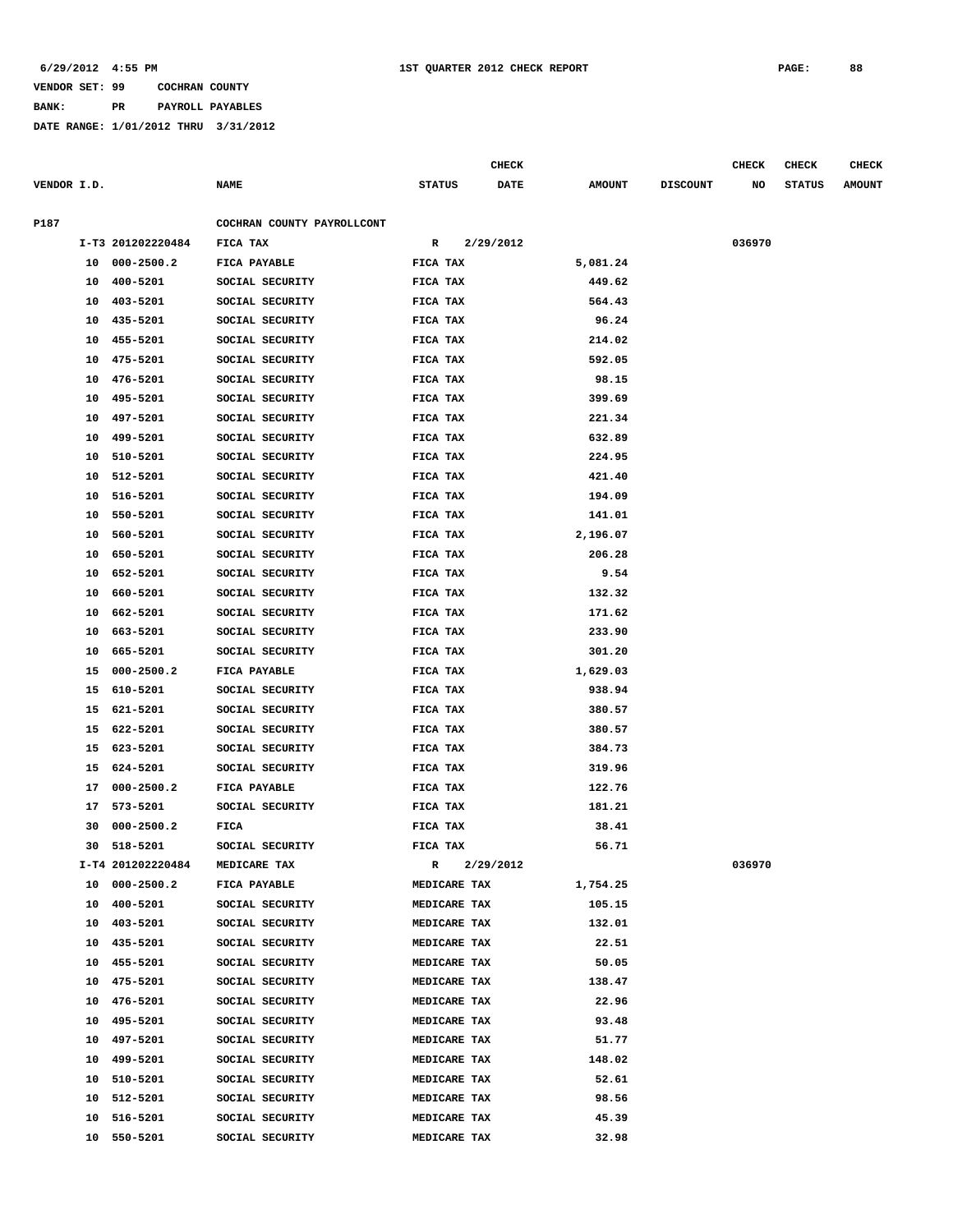**BANK: PR PAYROLL PAYABLES**

|             |    |                   |                            |               |                     | <b>CHECK</b> |               |                 | <b>CHECK</b> | <b>CHECK</b>  | <b>CHECK</b>  |
|-------------|----|-------------------|----------------------------|---------------|---------------------|--------------|---------------|-----------------|--------------|---------------|---------------|
| VENDOR I.D. |    |                   | <b>NAME</b>                | <b>STATUS</b> |                     | <b>DATE</b>  | <b>AMOUNT</b> | <b>DISCOUNT</b> | NO           | <b>STATUS</b> | <b>AMOUNT</b> |
| P187        |    |                   | COCHRAN COUNTY PAYROLLCONT |               |                     |              |               |                 |              |               |               |
|             |    | I-T3 201202220484 | FICA TAX                   | R             |                     | 2/29/2012    |               |                 | 036970       |               |               |
|             |    | 10 000-2500.2     | FICA PAYABLE               | FICA TAX      |                     |              | 5,081.24      |                 |              |               |               |
|             | 10 | 400-5201          | SOCIAL SECURITY            | FICA TAX      |                     |              | 449.62        |                 |              |               |               |
|             | 10 | 403-5201          | SOCIAL SECURITY            | FICA TAX      |                     |              | 564.43        |                 |              |               |               |
|             | 10 | 435-5201          | SOCIAL SECURITY            | FICA TAX      |                     |              | 96.24         |                 |              |               |               |
|             | 10 | 455-5201          | SOCIAL SECURITY            | FICA TAX      |                     |              | 214.02        |                 |              |               |               |
|             | 10 | 475-5201          | SOCIAL SECURITY            | FICA TAX      |                     |              | 592.05        |                 |              |               |               |
|             | 10 | 476-5201          | SOCIAL SECURITY            | FICA TAX      |                     |              | 98.15         |                 |              |               |               |
|             | 10 | 495-5201          | SOCIAL SECURITY            | FICA TAX      |                     |              | 399.69        |                 |              |               |               |
|             | 10 | 497-5201          | SOCIAL SECURITY            | FICA TAX      |                     |              | 221.34        |                 |              |               |               |
|             | 10 | 499-5201          | SOCIAL SECURITY            | FICA TAX      |                     |              | 632.89        |                 |              |               |               |
|             | 10 | 510-5201          | SOCIAL SECURITY            | FICA TAX      |                     |              | 224.95        |                 |              |               |               |
|             | 10 | 512-5201          | SOCIAL SECURITY            | FICA TAX      |                     |              | 421.40        |                 |              |               |               |
|             | 10 | 516-5201          | SOCIAL SECURITY            | FICA TAX      |                     |              | 194.09        |                 |              |               |               |
|             | 10 | 550-5201          | SOCIAL SECURITY            | FICA TAX      |                     |              | 141.01        |                 |              |               |               |
|             | 10 | 560-5201          | SOCIAL SECURITY            | FICA TAX      |                     |              | 2,196.07      |                 |              |               |               |
|             | 10 | 650-5201          | SOCIAL SECURITY            | FICA TAX      |                     |              | 206.28        |                 |              |               |               |
|             | 10 | 652-5201          | SOCIAL SECURITY            | FICA TAX      |                     |              | 9.54          |                 |              |               |               |
|             | 10 | 660-5201          | SOCIAL SECURITY            | FICA TAX      |                     |              | 132.32        |                 |              |               |               |
|             | 10 | 662-5201          | SOCIAL SECURITY            | FICA TAX      |                     |              | 171.62        |                 |              |               |               |
|             | 10 | 663-5201          | SOCIAL SECURITY            | FICA TAX      |                     |              | 233.90        |                 |              |               |               |
|             | 10 | 665-5201          | SOCIAL SECURITY            | FICA TAX      |                     |              | 301.20        |                 |              |               |               |
|             | 15 | $000 - 2500.2$    | FICA PAYABLE               | FICA TAX      |                     |              | 1,629.03      |                 |              |               |               |
|             | 15 | 610-5201          | SOCIAL SECURITY            | FICA TAX      |                     |              | 938.94        |                 |              |               |               |
|             | 15 | 621-5201          | SOCIAL SECURITY            | FICA TAX      |                     |              | 380.57        |                 |              |               |               |
|             | 15 | 622-5201          | SOCIAL SECURITY            | FICA TAX      |                     |              | 380.57        |                 |              |               |               |
|             | 15 | 623-5201          | SOCIAL SECURITY            | FICA TAX      |                     |              | 384.73        |                 |              |               |               |
|             | 15 | 624-5201          | SOCIAL SECURITY            | FICA TAX      |                     |              | 319.96        |                 |              |               |               |
|             | 17 | $000 - 2500.2$    | FICA PAYABLE               | FICA TAX      |                     |              | 122.76        |                 |              |               |               |
|             | 17 | 573-5201          | SOCIAL SECURITY            | FICA TAX      |                     |              | 181.21        |                 |              |               |               |
|             | 30 | $000 - 2500.2$    | FICA                       | FICA TAX      |                     |              | 38.41         |                 |              |               |               |
|             | 30 | 518-5201          | SOCIAL SECURITY            | FICA TAX      |                     |              | 56.71         |                 |              |               |               |
|             |    | I-T4 201202220484 | MEDICARE TAX               | R             |                     | 2/29/2012    |               |                 | 036970       |               |               |
|             |    | 10 000-2500.2     | FICA PAYABLE               |               | MEDICARE TAX        |              | 1,754.25      |                 |              |               |               |
|             |    | 10 400-5201       | SOCIAL SECURITY            |               | MEDICARE TAX        |              | 105.15        |                 |              |               |               |
|             |    | 10 403-5201       | SOCIAL SECURITY            |               | MEDICARE TAX        |              | 132.01        |                 |              |               |               |
|             |    | 10 435-5201       | SOCIAL SECURITY            |               | MEDICARE TAX        |              | 22.51         |                 |              |               |               |
|             |    | 10 455-5201       | SOCIAL SECURITY            |               | MEDICARE TAX        |              | 50.05         |                 |              |               |               |
|             |    | 10 475-5201       | SOCIAL SECURITY            |               | MEDICARE TAX        |              | 138.47        |                 |              |               |               |
|             |    | 10 476-5201       | SOCIAL SECURITY            |               | MEDICARE TAX        |              | 22.96         |                 |              |               |               |
|             |    | 10 495-5201       | SOCIAL SECURITY            |               | MEDICARE TAX        |              | 93.48         |                 |              |               |               |
|             |    | 10 497-5201       | SOCIAL SECURITY            |               | <b>MEDICARE TAX</b> |              | 51.77         |                 |              |               |               |
|             |    | 10 499-5201       | SOCIAL SECURITY            |               | MEDICARE TAX        |              | 148.02        |                 |              |               |               |
|             |    | 10 510-5201       | SOCIAL SECURITY            |               | MEDICARE TAX        |              | 52.61         |                 |              |               |               |
|             |    | 10 512-5201       | SOCIAL SECURITY            |               | MEDICARE TAX        |              | 98.56         |                 |              |               |               |
|             | 10 | 516-5201          | SOCIAL SECURITY            |               | MEDICARE TAX        |              | 45.39         |                 |              |               |               |
|             |    | 10 550-5201       | SOCIAL SECURITY            |               | MEDICARE TAX        |              | 32.98         |                 |              |               |               |
|             |    |                   |                            |               |                     |              |               |                 |              |               |               |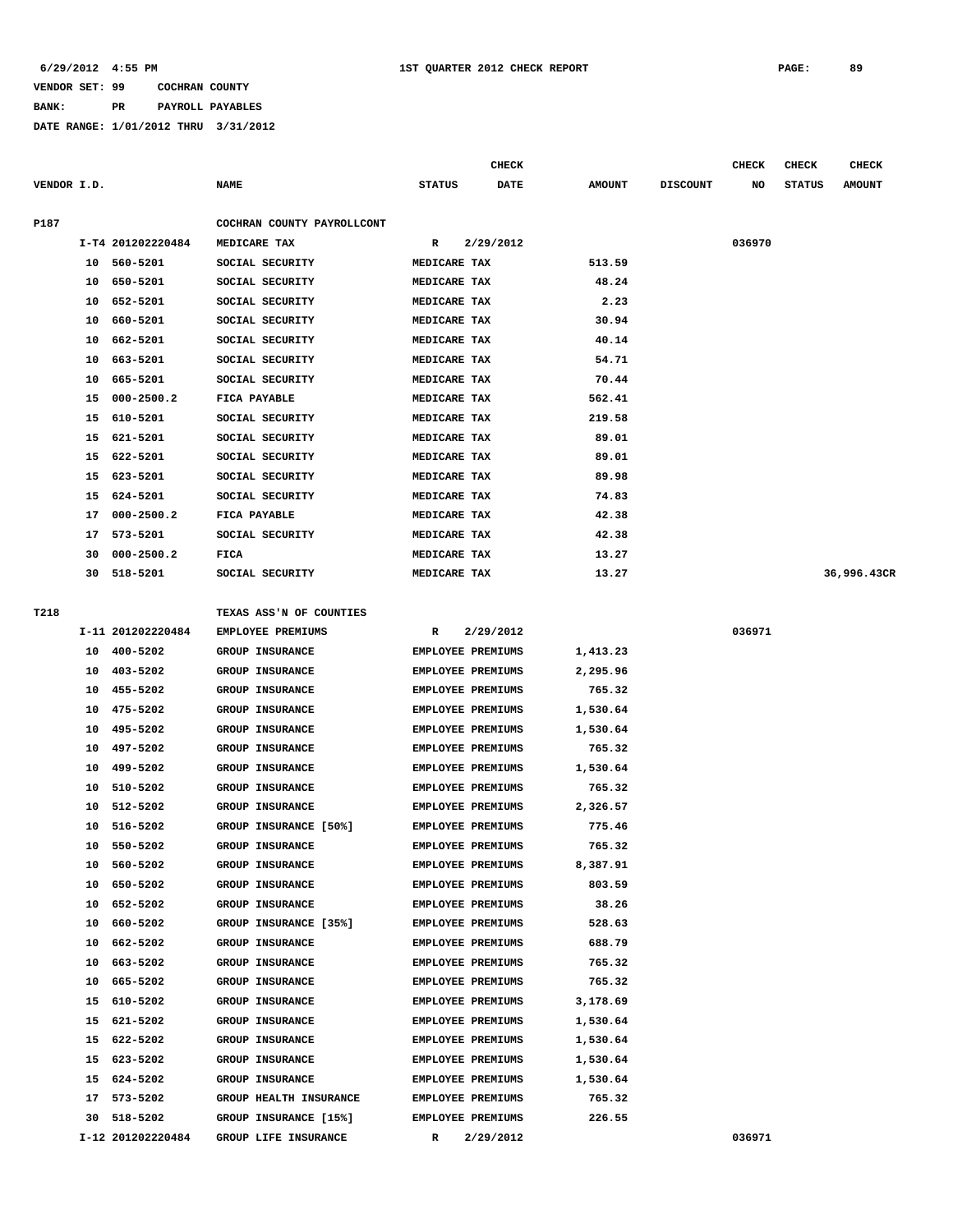## **BANK: PR PAYROLL PAYABLES**

|             |    |                   |                            |               | CHECK                    |               |                 | <b>CHECK</b> | <b>CHECK</b>  | <b>CHECK</b>  |
|-------------|----|-------------------|----------------------------|---------------|--------------------------|---------------|-----------------|--------------|---------------|---------------|
| VENDOR I.D. |    |                   | <b>NAME</b>                | <b>STATUS</b> | <b>DATE</b>              | <b>AMOUNT</b> | <b>DISCOUNT</b> | NO           | <b>STATUS</b> | <b>AMOUNT</b> |
| P187        |    |                   | COCHRAN COUNTY PAYROLLCONT |               |                          |               |                 |              |               |               |
|             |    | I-T4 201202220484 | MEDICARE TAX               | R             | 2/29/2012                |               |                 | 036970       |               |               |
|             | 10 | 560-5201          | SOCIAL SECURITY            | MEDICARE TAX  |                          | 513.59        |                 |              |               |               |
|             | 10 | 650-5201          | SOCIAL SECURITY            | MEDICARE TAX  |                          | 48.24         |                 |              |               |               |
|             | 10 | 652-5201          | SOCIAL SECURITY            | MEDICARE TAX  |                          | 2.23          |                 |              |               |               |
|             | 10 | 660-5201          | SOCIAL SECURITY            | MEDICARE TAX  |                          | 30.94         |                 |              |               |               |
|             | 10 | 662-5201          | SOCIAL SECURITY            | MEDICARE TAX  |                          | 40.14         |                 |              |               |               |
|             | 10 | 663-5201          | SOCIAL SECURITY            | MEDICARE TAX  |                          | 54.71         |                 |              |               |               |
|             | 10 | 665-5201          | SOCIAL SECURITY            | MEDICARE TAX  |                          | 70.44         |                 |              |               |               |
|             | 15 | $000 - 2500.2$    | FICA PAYABLE               | MEDICARE TAX  |                          | 562.41        |                 |              |               |               |
|             | 15 | 610-5201          | SOCIAL SECURITY            | MEDICARE TAX  |                          | 219.58        |                 |              |               |               |
|             | 15 | 621-5201          | SOCIAL SECURITY            | MEDICARE TAX  |                          | 89.01         |                 |              |               |               |
|             | 15 | 622-5201          | SOCIAL SECURITY            | MEDICARE TAX  |                          | 89.01         |                 |              |               |               |
|             | 15 | 623-5201          | SOCIAL SECURITY            | MEDICARE TAX  |                          | 89.98         |                 |              |               |               |
|             | 15 | 624-5201          | SOCIAL SECURITY            | MEDICARE TAX  |                          | 74.83         |                 |              |               |               |
|             | 17 | $000 - 2500.2$    | FICA PAYABLE               | MEDICARE TAX  |                          | 42.38         |                 |              |               |               |
|             | 17 | 573-5201          | SOCIAL SECURITY            | MEDICARE TAX  |                          | 42.38         |                 |              |               |               |
|             | 30 | $000 - 2500.2$    | FICA                       | MEDICARE TAX  |                          | 13.27         |                 |              |               |               |
|             | 30 | 518-5201          | SOCIAL SECURITY            | MEDICARE TAX  |                          | 13.27         |                 |              |               | 36,996.43CR   |
|             |    |                   |                            |               |                          |               |                 |              |               |               |
| T218        |    |                   | TEXAS ASS'N OF COUNTIES    |               |                          |               |                 |              |               |               |
|             |    | I-11 201202220484 | EMPLOYEE PREMIUMS          | R             | 2/29/2012                |               |                 | 036971       |               |               |
|             | 10 | 400-5202          | <b>GROUP INSURANCE</b>     |               | EMPLOYEE PREMIUMS        | 1,413.23      |                 |              |               |               |
|             | 10 | 403-5202          | <b>GROUP INSURANCE</b>     |               | EMPLOYEE PREMIUMS        | 2,295.96      |                 |              |               |               |
|             | 10 | 455-5202          | GROUP INSURANCE            |               | EMPLOYEE PREMIUMS        | 765.32        |                 |              |               |               |
|             | 10 | 475-5202          | <b>GROUP INSURANCE</b>     |               | EMPLOYEE PREMIUMS        | 1,530.64      |                 |              |               |               |
|             | 10 | 495-5202          | <b>GROUP INSURANCE</b>     |               | EMPLOYEE PREMIUMS        | 1,530.64      |                 |              |               |               |
|             | 10 | 497-5202          | GROUP INSURANCE            |               | EMPLOYEE PREMIUMS        | 765.32        |                 |              |               |               |
|             | 10 | 499-5202          | <b>GROUP INSURANCE</b>     |               | EMPLOYEE PREMIUMS        | 1,530.64      |                 |              |               |               |
|             | 10 | 510-5202          | <b>GROUP INSURANCE</b>     |               | EMPLOYEE PREMIUMS        | 765.32        |                 |              |               |               |
|             | 10 | 512-5202          | GROUP INSURANCE            |               | EMPLOYEE PREMIUMS        | 2,326.57      |                 |              |               |               |
|             | 10 | 516-5202          | GROUP INSURANCE [50%]      |               | EMPLOYEE PREMIUMS        | 775.46        |                 |              |               |               |
|             | 10 | 550-5202          | <b>GROUP INSURANCE</b>     |               | EMPLOYEE PREMIUMS        | 765.32        |                 |              |               |               |
|             | 10 | 560-5202          | GROUP INSURANCE            |               | EMPLOYEE PREMIUMS        | 8,387.91      |                 |              |               |               |
|             | 10 | 650-5202          | GROUP INSURANCE            |               | EMPLOYEE PREMIUMS        | 803.59        |                 |              |               |               |
|             | 10 | 652-5202          | <b>GROUP INSURANCE</b>     |               | EMPLOYEE PREMIUMS        | 38.26         |                 |              |               |               |
|             | 10 | 660-5202          | GROUP INSURANCE [35%]      |               | EMPLOYEE PREMIUMS        | 528.63        |                 |              |               |               |
|             | 10 | 662-5202          | GROUP INSURANCE            |               | EMPLOYEE PREMIUMS        | 688.79        |                 |              |               |               |
|             | 10 | 663-5202          | GROUP INSURANCE            |               | <b>EMPLOYEE PREMIUMS</b> | 765.32        |                 |              |               |               |
|             | 10 | 665-5202          | GROUP INSURANCE            |               | EMPLOYEE PREMIUMS        | 765.32        |                 |              |               |               |
|             | 15 | 610-5202          | <b>GROUP INSURANCE</b>     |               | EMPLOYEE PREMIUMS        | 3,178.69      |                 |              |               |               |
|             | 15 | 621-5202          | GROUP INSURANCE            |               | EMPLOYEE PREMIUMS        | 1,530.64      |                 |              |               |               |
|             | 15 | 622-5202          | <b>GROUP INSURANCE</b>     |               | EMPLOYEE PREMIUMS        | 1,530.64      |                 |              |               |               |
|             | 15 | 623-5202          | GROUP INSURANCE            |               | EMPLOYEE PREMIUMS        | 1,530.64      |                 |              |               |               |
|             | 15 | 624-5202          | GROUP INSURANCE            |               | EMPLOYEE PREMIUMS        | 1,530.64      |                 |              |               |               |
|             | 17 | 573-5202          | GROUP HEALTH INSURANCE     |               | EMPLOYEE PREMIUMS        | 765.32        |                 |              |               |               |
|             | 30 | 518-5202          | GROUP INSURANCE [15%]      |               | EMPLOYEE PREMIUMS        | 226.55        |                 |              |               |               |
|             |    | I-12 201202220484 | GROUP LIFE INSURANCE       | $\mathbb{R}$  | 2/29/2012                |               |                 | 036971       |               |               |
|             |    |                   |                            |               |                          |               |                 |              |               |               |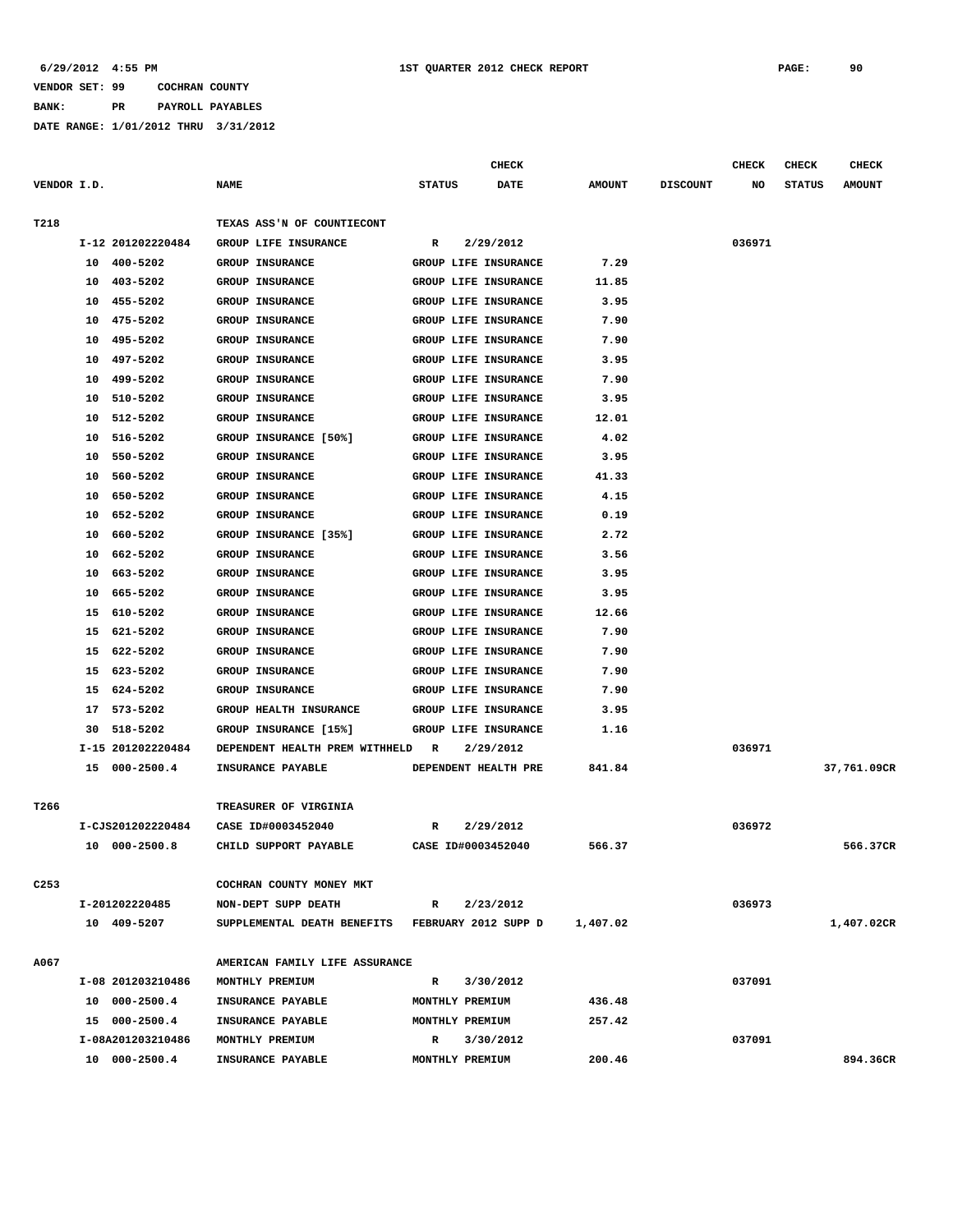## **VENDOR SET: 99 COCHRAN COUNTY BANK: PR PAYROLL PAYABLES**

**DATE RANGE: 1/01/2012 THRU 3/31/2012**

**CHECK CHECK CHECK CHECK** 

| VENDOR I.D.      |                               | <b>NAME</b>                                                             | <b>STATUS</b>                                | <b>DATE</b> | <b>AMOUNT</b> | <b>DISCOUNT</b> | NO     | <b>STATUS</b> | <b>AMOUNT</b> |
|------------------|-------------------------------|-------------------------------------------------------------------------|----------------------------------------------|-------------|---------------|-----------------|--------|---------------|---------------|
| T218             |                               | TEXAS ASS'N OF COUNTIECONT                                              |                                              |             |               |                 |        |               |               |
|                  | I-12 201202220484             | GROUP LIFE INSURANCE                                                    | R                                            | 2/29/2012   |               |                 | 036971 |               |               |
|                  | 10<br>400-5202                | GROUP INSURANCE                                                         | GROUP LIFE INSURANCE                         |             | 7.29          |                 |        |               |               |
|                  | 403-5202<br>10                | GROUP INSURANCE                                                         | GROUP LIFE INSURANCE                         |             | 11.85         |                 |        |               |               |
|                  | 455-5202<br>10                | GROUP INSURANCE                                                         | GROUP LIFE INSURANCE                         |             | 3.95          |                 |        |               |               |
|                  | 475-5202<br>10                | <b>GROUP INSURANCE</b>                                                  | GROUP LIFE INSURANCE                         |             | 7.90          |                 |        |               |               |
|                  | 10 495-5202                   | <b>GROUP INSURANCE</b>                                                  | GROUP LIFE INSURANCE                         |             | 7.90          |                 |        |               |               |
|                  | 497-5202<br>10                | GROUP INSURANCE                                                         | GROUP LIFE INSURANCE                         |             | 3.95          |                 |        |               |               |
|                  | 499-5202<br>10                | GROUP INSURANCE                                                         | GROUP LIFE INSURANCE                         |             | 7.90          |                 |        |               |               |
|                  | 510-5202<br>10                | <b>GROUP INSURANCE</b>                                                  | GROUP LIFE INSURANCE                         |             | 3.95          |                 |        |               |               |
|                  | 512-5202<br>10                | GROUP INSURANCE                                                         | GROUP LIFE INSURANCE                         |             | 12.01         |                 |        |               |               |
|                  | 10<br>516-5202                | GROUP INSURANCE [50%]                                                   | GROUP LIFE INSURANCE                         |             | 4.02          |                 |        |               |               |
|                  | 550-5202<br>10                | GROUP INSURANCE                                                         | GROUP LIFE INSURANCE                         |             | 3.95          |                 |        |               |               |
|                  | 10<br>560-5202                | GROUP INSURANCE                                                         | GROUP LIFE INSURANCE                         |             | 41.33         |                 |        |               |               |
|                  | 10<br>650-5202                | GROUP INSURANCE                                                         | GROUP LIFE INSURANCE                         |             | 4.15          |                 |        |               |               |
|                  | 652-5202<br>10                | <b>GROUP INSURANCE</b>                                                  | GROUP LIFE INSURANCE                         |             | 0.19          |                 |        |               |               |
|                  | 660-5202<br>10                | GROUP INSURANCE [35%]                                                   | GROUP LIFE INSURANCE                         |             | 2.72          |                 |        |               |               |
|                  | 662-5202<br>10                | <b>GROUP INSURANCE</b>                                                  | GROUP LIFE INSURANCE                         |             | 3.56          |                 |        |               |               |
|                  | 663-5202<br>10                | <b>GROUP INSURANCE</b>                                                  | GROUP LIFE INSURANCE                         |             | 3.95          |                 |        |               |               |
|                  | 665-5202<br>10                | <b>GROUP INSURANCE</b>                                                  | GROUP LIFE INSURANCE                         |             | 3.95          |                 |        |               |               |
|                  | 15 610-5202                   | <b>GROUP INSURANCE</b>                                                  | GROUP LIFE INSURANCE                         |             | 12.66         |                 |        |               |               |
|                  | 15 621-5202                   | <b>GROUP INSURANCE</b>                                                  | GROUP LIFE INSURANCE                         |             | 7.90          |                 |        |               |               |
|                  | 15 622-5202                   | GROUP INSURANCE                                                         | GROUP LIFE INSURANCE                         |             | 7.90          |                 |        |               |               |
|                  | 15 623-5202                   | <b>GROUP INSURANCE</b>                                                  | GROUP LIFE INSURANCE                         |             | 7.90          |                 |        |               |               |
|                  | 15 624-5202                   | <b>GROUP INSURANCE</b>                                                  | GROUP LIFE INSURANCE                         |             | 7.90          |                 |        |               |               |
|                  | 17 573-5202                   |                                                                         |                                              |             | 3.95          |                 |        |               |               |
|                  | 30<br>518-5202                | GROUP HEALTH INSURANCE                                                  | GROUP LIFE INSURANCE<br>GROUP LIFE INSURANCE |             | 1.16          |                 |        |               |               |
|                  |                               | GROUP INSURANCE [15%]                                                   |                                              |             |               |                 |        |               |               |
|                  | I-15 201202220484             | DEPENDENT HEALTH PREM WITHHELD R                                        |                                              | 2/29/2012   | 841.84        |                 | 036971 |               | 37,761.09CR   |
|                  | 15 000-2500.4                 | INSURANCE PAYABLE                                                       | DEPENDENT HEALTH PRE                         |             |               |                 |        |               |               |
| T266             |                               | TREASURER OF VIRGINIA                                                   |                                              |             |               |                 |        |               |               |
|                  | I-CJS201202220484             | CASE ID#0003452040                                                      | R                                            | 2/29/2012   |               |                 | 036972 |               |               |
|                  | 10 000-2500.8                 | CHILD SUPPORT PAYABLE CASE ID#0003452040                                |                                              |             | 566.37        |                 |        |               | 566.37CR      |
|                  |                               |                                                                         |                                              |             |               |                 |        |               |               |
| C <sub>253</sub> |                               |                                                                         |                                              |             |               |                 |        |               |               |
|                  |                               | COCHRAN COUNTY MONEY MKT                                                | R                                            |             |               |                 | 036973 |               |               |
|                  | I-201202220485<br>10 409-5207 | NON-DEPT SUPP DEATH<br>SUPPLEMENTAL DEATH BENEFITS FEBRUARY 2012 SUPP D |                                              | 2/23/2012   | 1,407.02      |                 |        |               | 1,407.02CR    |
|                  |                               |                                                                         |                                              |             |               |                 |        |               |               |
| <b>A067</b>      |                               | AMERICAN FAMILY LIFE ASSURANCE                                          |                                              |             |               |                 |        |               |               |
|                  | I-08 201203210486             | MONTHLY PREMIUM                                                         | R                                            | 3/30/2012   |               |                 | 037091 |               |               |
|                  | 10 000-2500.4                 | INSURANCE PAYABLE                                                       | MONTHLY PREMIUM                              |             | 436.48        |                 |        |               |               |
|                  | 15 000-2500.4                 | INSURANCE PAYABLE                                                       | MONTHLY PREMIUM                              |             | 257.42        |                 |        |               |               |
|                  | I-08A201203210486             | MONTHLY PREMIUM                                                         | R                                            | 3/30/2012   |               |                 | 037091 |               |               |
|                  | 10 000-2500.4                 | INSURANCE PAYABLE                                                       | MONTHLY PREMIUM                              |             | 200.46        |                 |        |               | 894.36CR      |
|                  |                               |                                                                         |                                              |             |               |                 |        |               |               |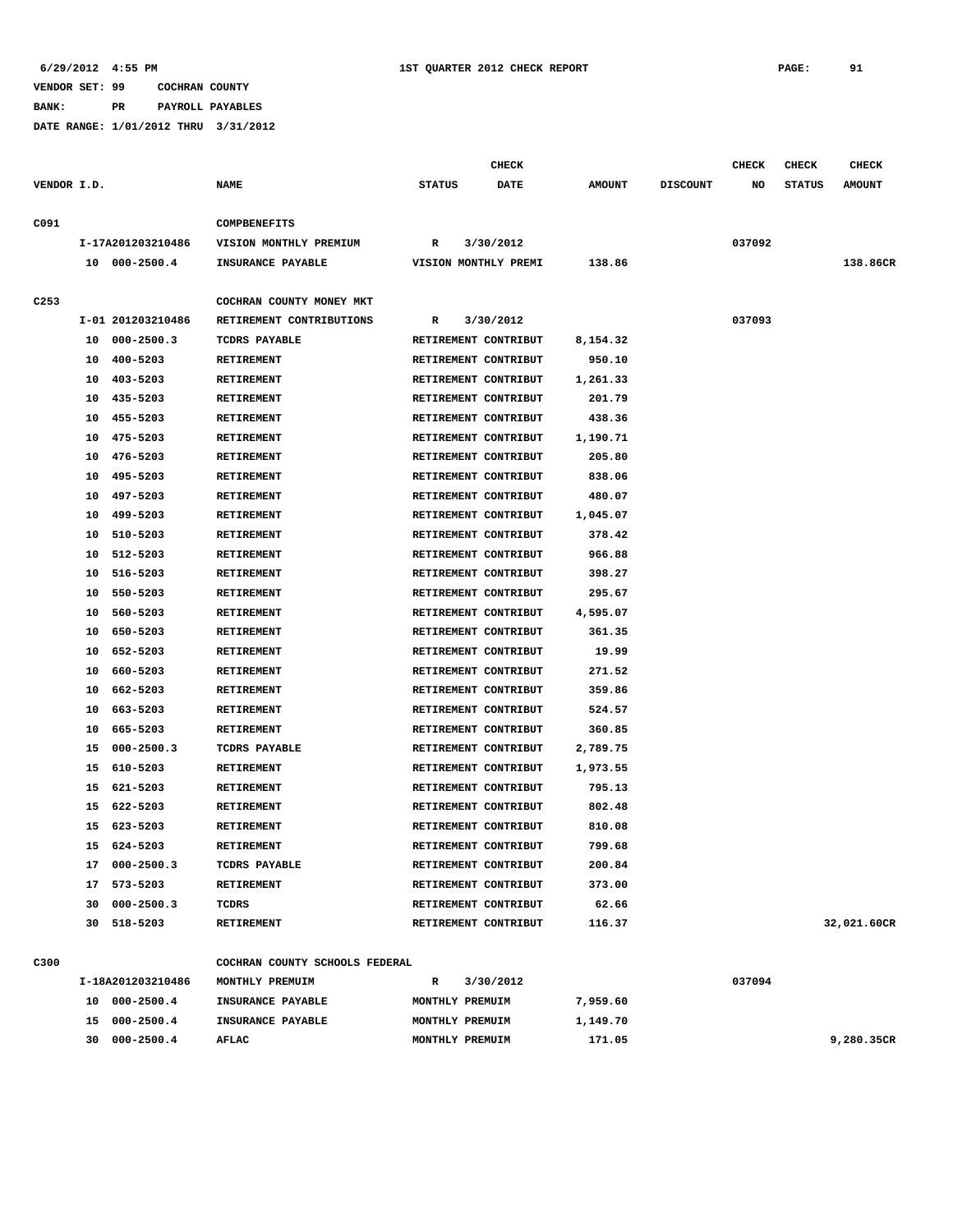**BANK: PR PAYROLL PAYABLES**

**DATE RANGE: 1/01/2012 THRU 3/31/2012**

|                  |    |                   |                                |               | <b>CHECK</b>         |               |                 | CHECK  | <b>CHECK</b>  | <b>CHECK</b>  |
|------------------|----|-------------------|--------------------------------|---------------|----------------------|---------------|-----------------|--------|---------------|---------------|
| VENDOR I.D.      |    |                   | <b>NAME</b>                    | <b>STATUS</b> | DATE                 | <b>AMOUNT</b> | <b>DISCOUNT</b> | NO     | <b>STATUS</b> | <b>AMOUNT</b> |
| C091             |    |                   | <b>COMPBENEFITS</b>            |               |                      |               |                 |        |               |               |
|                  |    | I-17A201203210486 | VISION MONTHLY PREMIUM         | R             | 3/30/2012            |               |                 | 037092 |               |               |
|                  |    | 10 000-2500.4     | INSURANCE PAYABLE              |               | VISION MONTHLY PREMI | 138.86        |                 |        |               | 138.86CR      |
|                  |    |                   |                                |               |                      |               |                 |        |               |               |
| C <sub>253</sub> |    |                   | COCHRAN COUNTY MONEY MKT       |               |                      |               |                 |        |               |               |
|                  |    | I-01 201203210486 | RETIREMENT CONTRIBUTIONS       | R             | 3/30/2012            |               |                 | 037093 |               |               |
|                  | 10 | $000 - 2500.3$    | TCDRS PAYABLE                  |               | RETIREMENT CONTRIBUT | 8,154.32      |                 |        |               |               |
|                  | 10 | 400-5203          | <b>RETIREMENT</b>              |               | RETIREMENT CONTRIBUT | 950.10        |                 |        |               |               |
|                  | 10 | 403-5203          | <b>RETIREMENT</b>              |               | RETIREMENT CONTRIBUT | 1,261.33      |                 |        |               |               |
|                  | 10 | 435-5203          | <b>RETIREMENT</b>              |               | RETIREMENT CONTRIBUT | 201.79        |                 |        |               |               |
|                  | 10 | 455-5203          | <b>RETIREMENT</b>              |               | RETIREMENT CONTRIBUT | 438.36        |                 |        |               |               |
|                  | 10 | 475-5203          | RETIREMENT                     |               | RETIREMENT CONTRIBUT | 1,190.71      |                 |        |               |               |
|                  | 10 | 476-5203          | <b>RETIREMENT</b>              |               | RETIREMENT CONTRIBUT | 205.80        |                 |        |               |               |
|                  | 10 | 495-5203          | RETIREMENT                     |               | RETIREMENT CONTRIBUT | 838.06        |                 |        |               |               |
|                  | 10 | 497-5203          | RETIREMENT                     |               | RETIREMENT CONTRIBUT | 480.07        |                 |        |               |               |
|                  | 10 | 499-5203          | <b>RETIREMENT</b>              |               | RETIREMENT CONTRIBUT | 1,045.07      |                 |        |               |               |
|                  | 10 | 510-5203          | RETIREMENT                     |               | RETIREMENT CONTRIBUT | 378.42        |                 |        |               |               |
|                  | 10 | 512-5203          | RETIREMENT                     |               | RETIREMENT CONTRIBUT | 966.88        |                 |        |               |               |
|                  | 10 | 516-5203          | <b>RETIREMENT</b>              |               | RETIREMENT CONTRIBUT | 398.27        |                 |        |               |               |
|                  | 10 | 550-5203          | RETIREMENT                     |               | RETIREMENT CONTRIBUT | 295.67        |                 |        |               |               |
|                  | 10 | 560-5203          | RETIREMENT                     |               | RETIREMENT CONTRIBUT | 4,595.07      |                 |        |               |               |
|                  | 10 | 650-5203          | <b>RETIREMENT</b>              |               | RETIREMENT CONTRIBUT | 361.35        |                 |        |               |               |
|                  | 10 | 652-5203          | RETIREMENT                     |               | RETIREMENT CONTRIBUT | 19.99         |                 |        |               |               |
|                  | 10 | 660-5203          | RETIREMENT                     |               | RETIREMENT CONTRIBUT | 271.52        |                 |        |               |               |
|                  | 10 | 662-5203          | RETIREMENT                     |               | RETIREMENT CONTRIBUT | 359.86        |                 |        |               |               |
|                  | 10 | 663-5203          | RETIREMENT                     |               | RETIREMENT CONTRIBUT | 524.57        |                 |        |               |               |
|                  | 10 | 665-5203          | RETIREMENT                     |               | RETIREMENT CONTRIBUT | 360.85        |                 |        |               |               |
|                  | 15 | $000 - 2500.3$    | <b>TCDRS PAYABLE</b>           |               | RETIREMENT CONTRIBUT | 2,789.75      |                 |        |               |               |
|                  | 15 | 610-5203          | RETIREMENT                     |               | RETIREMENT CONTRIBUT | 1,973.55      |                 |        |               |               |
|                  | 15 | 621-5203          | RETIREMENT                     |               | RETIREMENT CONTRIBUT | 795.13        |                 |        |               |               |
|                  | 15 | 622-5203          | RETIREMENT                     |               | RETIREMENT CONTRIBUT | 802.48        |                 |        |               |               |
|                  | 15 | 623-5203          | RETIREMENT                     |               | RETIREMENT CONTRIBUT | 810.08        |                 |        |               |               |
|                  |    | 15 624-5203       | RETIREMENT                     |               | RETIREMENT CONTRIBUT | 799.68        |                 |        |               |               |
|                  |    | 17 000-2500.3     | TCDRS PAYABLE                  |               | RETIREMENT CONTRIBUT | 200.84        |                 |        |               |               |
|                  |    | 17 573-5203       | RETIREMENT                     |               | RETIREMENT CONTRIBUT | 373.00        |                 |        |               |               |
|                  |    | 30 000-2500.3     | TCDRS                          |               | RETIREMENT CONTRIBUT | 62.66         |                 |        |               |               |
|                  |    | 30 518-5203       | RETIREMENT                     |               | RETIREMENT CONTRIBUT | 116.37        |                 |        |               | 32,021.60CR   |
| C300             |    |                   | COCHRAN COUNTY SCHOOLS FEDERAL |               |                      |               |                 |        |               |               |
|                  |    | I-18A201203210486 | MONTHLY PREMUIM                | R             | 3/30/2012            |               |                 | 037094 |               |               |
|                  |    | 10 000-2500.4     | INSURANCE PAYABLE              |               | MONTHLY PREMUIM      | 7,959.60      |                 |        |               |               |
|                  |    | 15 000-2500.4     | INSURANCE PAYABLE              |               | MONTHLY PREMUIM      | 1,149.70      |                 |        |               |               |

 **30 000-2500.4 AFLAC MONTHLY PREMUIM 171.05 9,280.35CR**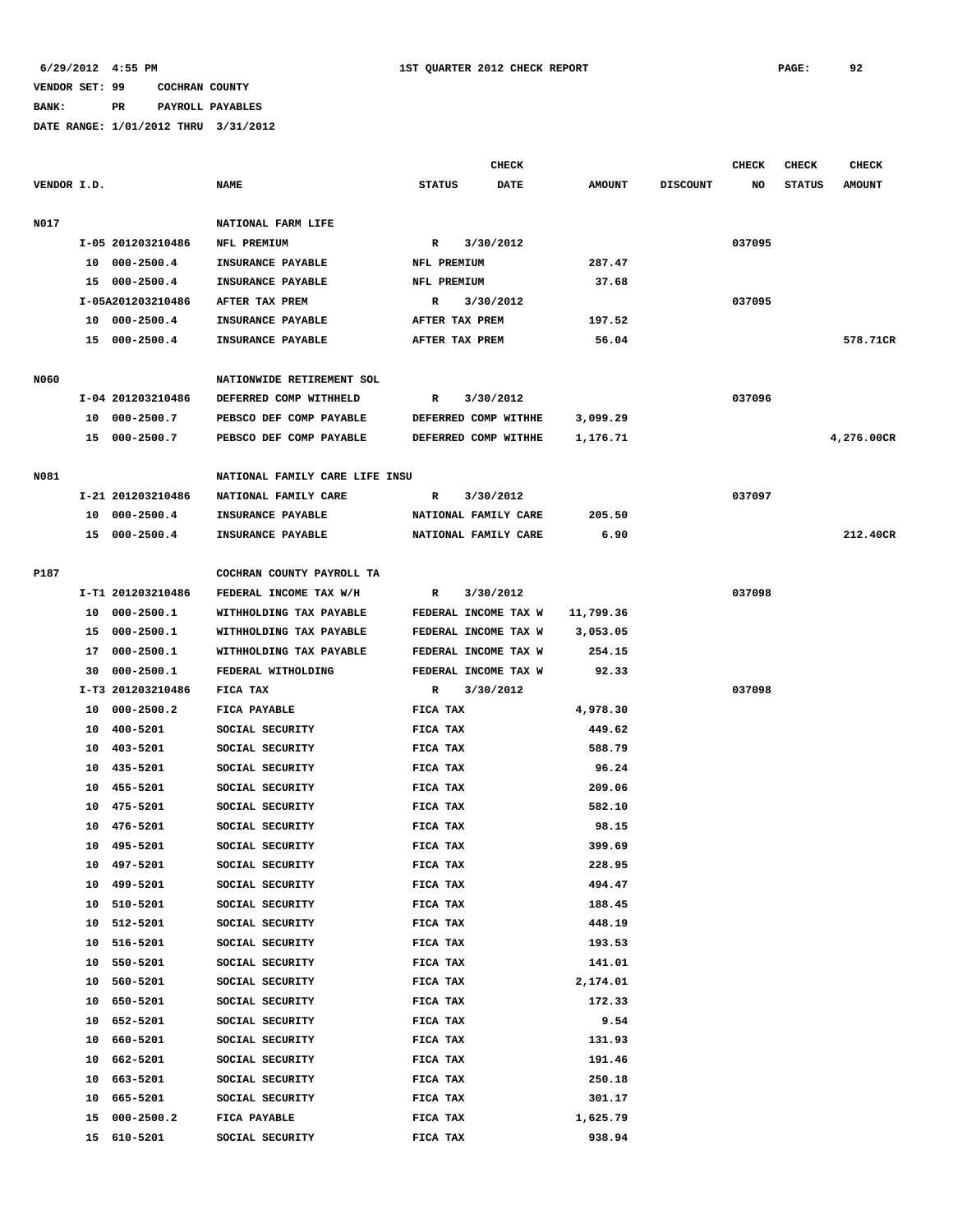# **BANK: PR PAYROLL PAYABLES**

|             |    |                   |                                |                | <b>CHECK</b>         |               |                 | CHECK  | <b>CHECK</b>  | <b>CHECK</b>  |
|-------------|----|-------------------|--------------------------------|----------------|----------------------|---------------|-----------------|--------|---------------|---------------|
| VENDOR I.D. |    |                   | <b>NAME</b>                    | <b>STATUS</b>  | DATE                 | <b>AMOUNT</b> | <b>DISCOUNT</b> | NO     | <b>STATUS</b> | <b>AMOUNT</b> |
| N017        |    |                   | NATIONAL FARM LIFE             |                |                      |               |                 |        |               |               |
|             |    | I-05 201203210486 | NFL PREMIUM                    | R              | 3/30/2012            |               |                 | 037095 |               |               |
|             |    | 10 000-2500.4     | INSURANCE PAYABLE              | NFL PREMIUM    |                      | 287.47        |                 |        |               |               |
|             |    | 15 000-2500.4     | INSURANCE PAYABLE              | NFL PREMIUM    |                      | 37.68         |                 |        |               |               |
|             |    | I-05A201203210486 | AFTER TAX PREM                 | R              | 3/30/2012            |               |                 | 037095 |               |               |
|             |    | 10 000-2500.4     | INSURANCE PAYABLE              | AFTER TAX PREM |                      | 197.52        |                 |        |               |               |
|             |    | 15 000-2500.4     | INSURANCE PAYABLE              | AFTER TAX PREM |                      | 56.04         |                 |        |               | 578.71CR      |
|             |    |                   |                                |                |                      |               |                 |        |               |               |
| N060        |    |                   | NATIONWIDE RETIREMENT SOL      |                |                      |               |                 |        |               |               |
|             |    | I-04 201203210486 | DEFERRED COMP WITHHELD         | R              | 3/30/2012            |               |                 | 037096 |               |               |
|             |    | 10 000-2500.7     | PEBSCO DEF COMP PAYABLE        |                | DEFERRED COMP WITHHE | 3,099.29      |                 |        |               |               |
|             |    | 15 000-2500.7     | PEBSCO DEF COMP PAYABLE        |                | DEFERRED COMP WITHHE | 1,176.71      |                 |        |               | 4,276.00CR    |
|             |    |                   |                                |                |                      |               |                 |        |               |               |
| N081        |    |                   | NATIONAL FAMILY CARE LIFE INSU |                |                      |               |                 |        |               |               |
|             |    | I-21 201203210486 | NATIONAL FAMILY CARE           | R              | 3/30/2012            |               |                 | 037097 |               |               |
|             |    | 10 000-2500.4     | INSURANCE PAYABLE              |                | NATIONAL FAMILY CARE | 205.50        |                 |        |               |               |
|             |    | 15 000-2500.4     | INSURANCE PAYABLE              |                | NATIONAL FAMILY CARE | 6.90          |                 |        |               | 212.40CR      |
| P187        |    |                   | COCHRAN COUNTY PAYROLL TA      |                |                      |               |                 |        |               |               |
|             |    | I-T1 201203210486 | FEDERAL INCOME TAX W/H         | R              | 3/30/2012            |               |                 | 037098 |               |               |
|             |    | 10 000-2500.1     | WITHHOLDING TAX PAYABLE        |                | FEDERAL INCOME TAX W | 11,799.36     |                 |        |               |               |
|             |    | 15 000-2500.1     | WITHHOLDING TAX PAYABLE        |                | FEDERAL INCOME TAX W | 3,053.05      |                 |        |               |               |
|             | 17 | 000-2500.1        | WITHHOLDING TAX PAYABLE        |                | FEDERAL INCOME TAX W | 254.15        |                 |        |               |               |
|             | 30 | $000 - 2500.1$    | FEDERAL WITHOLDING             |                | FEDERAL INCOME TAX W | 92.33         |                 |        |               |               |
|             |    | I-T3 201203210486 | FICA TAX                       | R              | 3/30/2012            |               |                 | 037098 |               |               |
|             | 10 | $000 - 2500.2$    | FICA PAYABLE                   | FICA TAX       |                      | 4,978.30      |                 |        |               |               |
|             | 10 | 400-5201          | SOCIAL SECURITY                | FICA TAX       |                      | 449.62        |                 |        |               |               |
|             | 10 | 403-5201          | SOCIAL SECURITY                | FICA TAX       |                      | 588.79        |                 |        |               |               |
|             | 10 | 435-5201          | SOCIAL SECURITY                | FICA TAX       |                      | 96.24         |                 |        |               |               |
|             | 10 | 455-5201          | SOCIAL SECURITY                | FICA TAX       |                      | 209.06        |                 |        |               |               |
|             | 10 | 475-5201          | SOCIAL SECURITY                | FICA TAX       |                      | 582.10        |                 |        |               |               |
|             | 10 | 476-5201          | SOCIAL SECURITY                | FICA TAX       |                      | 98.15         |                 |        |               |               |
|             |    | 10 495-5201       | SOCIAL SECURITY                | FICA TAX       |                      | 399.69        |                 |        |               |               |
|             | 10 | 497-5201          | SOCIAL SECURITY                | FICA TAX       |                      | 228.95        |                 |        |               |               |
|             | 10 | 499-5201          | SOCIAL SECURITY                | FICA TAX       |                      | 494.47        |                 |        |               |               |
|             | 10 | 510-5201          | SOCIAL SECURITY                | FICA TAX       |                      | 188.45        |                 |        |               |               |
|             | 10 | 512-5201          | SOCIAL SECURITY                | FICA TAX       |                      | 448.19        |                 |        |               |               |
|             |    | 516-5201          | SOCIAL SECURITY                |                |                      | 193.53        |                 |        |               |               |
|             | 10 |                   | SOCIAL SECURITY                | FICA TAX       |                      |               |                 |        |               |               |
|             | 10 | 550-5201          | SOCIAL SECURITY                | FICA TAX       |                      | 141.01        |                 |        |               |               |
|             | 10 | 560-5201          |                                | FICA TAX       |                      | 2,174.01      |                 |        |               |               |
|             | 10 | 650-5201          | SOCIAL SECURITY                | FICA TAX       |                      | 172.33        |                 |        |               |               |
|             | 10 | 652-5201          | SOCIAL SECURITY                | FICA TAX       |                      | 9.54          |                 |        |               |               |
|             | 10 | 660-5201          | SOCIAL SECURITY                | FICA TAX       |                      | 131.93        |                 |        |               |               |
|             | 10 | 662-5201          | SOCIAL SECURITY                | FICA TAX       |                      | 191.46        |                 |        |               |               |
|             | 10 | 663-5201          | SOCIAL SECURITY                | FICA TAX       |                      | 250.18        |                 |        |               |               |
|             | 10 | 665-5201          | SOCIAL SECURITY                | FICA TAX       |                      | 301.17        |                 |        |               |               |
|             | 15 | $000 - 2500.2$    | FICA PAYABLE                   | FICA TAX       |                      | 1,625.79      |                 |        |               |               |
|             |    | 15 610-5201       | SOCIAL SECURITY                | FICA TAX       |                      | 938.94        |                 |        |               |               |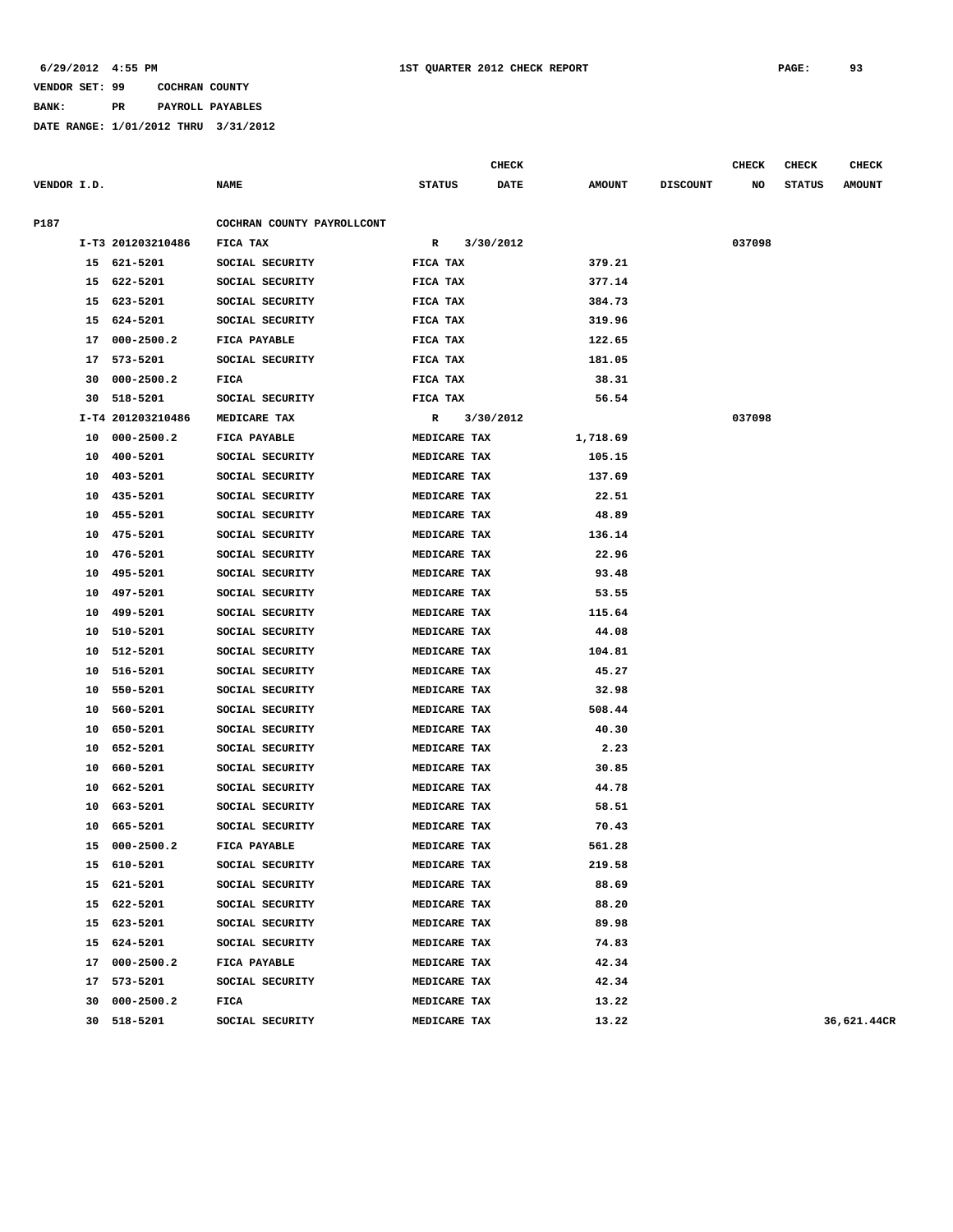**BANK: PR PAYROLL PAYABLES**

|             |    |                   |                            |               | <b>CHECK</b> |               |                 | <b>CHECK</b> | <b>CHECK</b>  | <b>CHECK</b>  |
|-------------|----|-------------------|----------------------------|---------------|--------------|---------------|-----------------|--------------|---------------|---------------|
| VENDOR I.D. |    |                   | <b>NAME</b>                | <b>STATUS</b> | <b>DATE</b>  | <b>AMOUNT</b> | <b>DISCOUNT</b> | NO           | <b>STATUS</b> | <b>AMOUNT</b> |
| P187        |    |                   | COCHRAN COUNTY PAYROLLCONT |               |              |               |                 |              |               |               |
|             |    | I-T3 201203210486 | FICA TAX                   | R             | 3/30/2012    |               |                 | 037098       |               |               |
|             |    | 15 621-5201       | SOCIAL SECURITY            | FICA TAX      |              | 379.21        |                 |              |               |               |
|             | 15 | 622-5201          | SOCIAL SECURITY            | FICA TAX      |              | 377.14        |                 |              |               |               |
|             | 15 | 623-5201          | SOCIAL SECURITY            | FICA TAX      |              | 384.73        |                 |              |               |               |
|             | 15 | 624-5201          | SOCIAL SECURITY            | FICA TAX      |              | 319.96        |                 |              |               |               |
|             | 17 | $000 - 2500.2$    | FICA PAYABLE               | FICA TAX      |              | 122.65        |                 |              |               |               |
|             | 17 | 573-5201          | SOCIAL SECURITY            | FICA TAX      |              | 181.05        |                 |              |               |               |
|             | 30 | $000 - 2500.2$    | FICA                       | FICA TAX      |              | 38.31         |                 |              |               |               |
|             | 30 | 518-5201          | SOCIAL SECURITY            | FICA TAX      |              | 56.54         |                 |              |               |               |
|             |    | I-T4 201203210486 | MEDICARE TAX               | R             | 3/30/2012    |               |                 | 037098       |               |               |
|             | 10 | 000-2500.2        | FICA PAYABLE               | MEDICARE TAX  |              | 1,718.69      |                 |              |               |               |
|             | 10 | 400-5201          | SOCIAL SECURITY            | MEDICARE TAX  |              | 105.15        |                 |              |               |               |
|             | 10 | 403-5201          | SOCIAL SECURITY            | MEDICARE TAX  |              | 137.69        |                 |              |               |               |
|             | 10 | 435-5201          | SOCIAL SECURITY            | MEDICARE TAX  |              | 22.51         |                 |              |               |               |
|             | 10 | 455-5201          | SOCIAL SECURITY            | MEDICARE TAX  |              | 48.89         |                 |              |               |               |
|             | 10 | 475-5201          | SOCIAL SECURITY            | MEDICARE TAX  |              | 136.14        |                 |              |               |               |
|             | 10 | 476-5201          | SOCIAL SECURITY            | MEDICARE TAX  |              | 22.96         |                 |              |               |               |
|             | 10 | 495-5201          | SOCIAL SECURITY            | MEDICARE TAX  |              | 93.48         |                 |              |               |               |
|             | 10 | 497-5201          | SOCIAL SECURITY            | MEDICARE TAX  |              | 53.55         |                 |              |               |               |
|             | 10 | 499-5201          | SOCIAL SECURITY            | MEDICARE TAX  |              | 115.64        |                 |              |               |               |
|             | 10 | 510-5201          | SOCIAL SECURITY            | MEDICARE TAX  |              | 44.08         |                 |              |               |               |
|             | 10 | 512-5201          | SOCIAL SECURITY            | MEDICARE TAX  |              | 104.81        |                 |              |               |               |
|             | 10 | 516-5201          | SOCIAL SECURITY            | MEDICARE TAX  |              | 45.27         |                 |              |               |               |
|             | 10 | 550-5201          | SOCIAL SECURITY            | MEDICARE TAX  |              | 32.98         |                 |              |               |               |
|             | 10 | 560-5201          | SOCIAL SECURITY            | MEDICARE TAX  |              | 508.44        |                 |              |               |               |
|             | 10 | 650-5201          | SOCIAL SECURITY            | MEDICARE TAX  |              | 40.30         |                 |              |               |               |
|             | 10 | 652-5201          | SOCIAL SECURITY            | MEDICARE TAX  |              | 2.23          |                 |              |               |               |
|             | 10 | 660-5201          | SOCIAL SECURITY            | MEDICARE TAX  |              | 30.85         |                 |              |               |               |
|             | 10 | 662-5201          | SOCIAL SECURITY            | MEDICARE TAX  |              | 44.78         |                 |              |               |               |
|             | 10 | 663-5201          | SOCIAL SECURITY            | MEDICARE TAX  |              | 58.51         |                 |              |               |               |
|             | 10 | 665-5201          | SOCIAL SECURITY            | MEDICARE TAX  |              | 70.43         |                 |              |               |               |
|             | 15 | 000-2500.2        | FICA PAYABLE               | MEDICARE TAX  |              | 561.28        |                 |              |               |               |
|             |    | 15 610-5201       | SOCIAL SECURITY            | MEDICARE TAX  |              | 219.58        |                 |              |               |               |
|             |    | 15 621-5201       | SOCIAL SECURITY            | MEDICARE TAX  |              | 88.69         |                 |              |               |               |
|             |    | 15 622-5201       | SOCIAL SECURITY            | MEDICARE TAX  |              | 88.20         |                 |              |               |               |
|             |    | 15 623-5201       | SOCIAL SECURITY            | MEDICARE TAX  |              | 89.98         |                 |              |               |               |
|             |    | 15 624-5201       | SOCIAL SECURITY            | MEDICARE TAX  |              | 74.83         |                 |              |               |               |
|             |    | 17 000-2500.2     | FICA PAYABLE               | MEDICARE TAX  |              | 42.34         |                 |              |               |               |
|             |    | 17 573-5201       | SOCIAL SECURITY            | MEDICARE TAX  |              | 42.34         |                 |              |               |               |
|             |    | 30 000-2500.2     | FICA                       | MEDICARE TAX  |              | 13.22         |                 |              |               |               |
|             |    | 30 518-5201       | SOCIAL SECURITY            | MEDICARE TAX  |              | 13.22         |                 |              |               | 36,621.44CR   |
|             |    |                   |                            |               |              |               |                 |              |               |               |
|             |    |                   |                            |               |              |               |                 |              |               |               |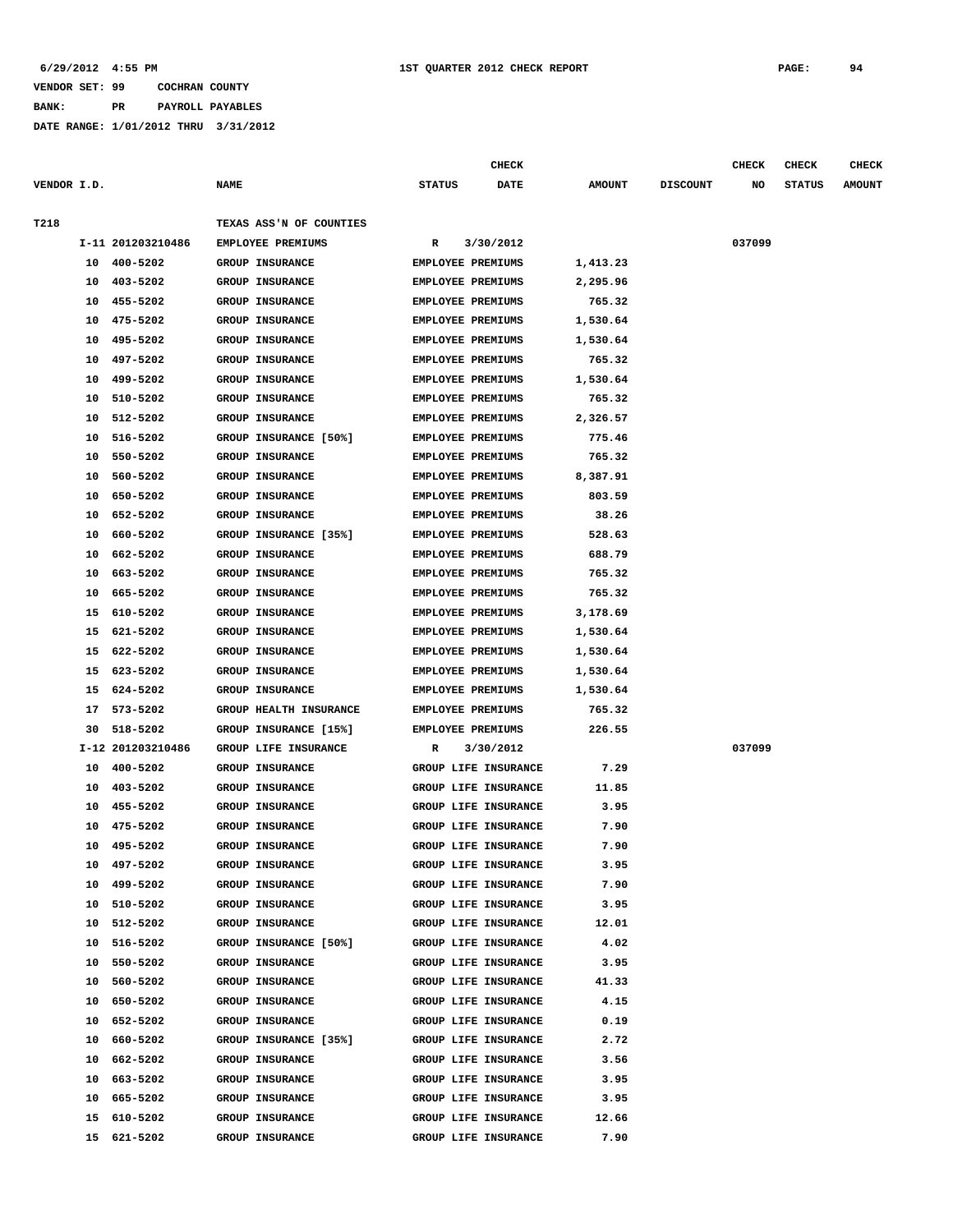**BANK: PR PAYROLL PAYABLES**

|             |    |                   |                         |                          | <b>CHECK</b>         |               |                 | <b>CHECK</b> | <b>CHECK</b>  | <b>CHECK</b>  |
|-------------|----|-------------------|-------------------------|--------------------------|----------------------|---------------|-----------------|--------------|---------------|---------------|
| VENDOR I.D. |    |                   | <b>NAME</b>             | <b>STATUS</b>            | DATE                 | <b>AMOUNT</b> | <b>DISCOUNT</b> | NO           | <b>STATUS</b> | <b>AMOUNT</b> |
|             |    |                   |                         |                          |                      |               |                 |              |               |               |
| T218        |    |                   | TEXAS ASS'N OF COUNTIES |                          |                      |               |                 |              |               |               |
|             |    | I-11 201203210486 | EMPLOYEE PREMIUMS       | R                        | 3/30/2012            |               |                 | 037099       |               |               |
|             | 10 | 400-5202          | <b>GROUP INSURANCE</b>  | EMPLOYEE PREMIUMS        |                      | 1,413.23      |                 |              |               |               |
|             | 10 | 403-5202          | GROUP INSURANCE         | EMPLOYEE PREMIUMS        |                      | 2,295.96      |                 |              |               |               |
|             | 10 | 455-5202          | <b>GROUP INSURANCE</b>  | EMPLOYEE PREMIUMS        |                      | 765.32        |                 |              |               |               |
|             | 10 | 475-5202          | GROUP INSURANCE         | EMPLOYEE PREMIUMS        |                      | 1,530.64      |                 |              |               |               |
|             | 10 | 495-5202          | <b>GROUP INSURANCE</b>  | <b>EMPLOYEE PREMIUMS</b> |                      | 1,530.64      |                 |              |               |               |
|             | 10 | 497-5202          | <b>GROUP INSURANCE</b>  | <b>EMPLOYEE PREMIUMS</b> |                      | 765.32        |                 |              |               |               |
|             | 10 | 499-5202          | GROUP INSURANCE         | <b>EMPLOYEE PREMIUMS</b> |                      | 1,530.64      |                 |              |               |               |
|             | 10 | 510-5202          | <b>GROUP INSURANCE</b>  | EMPLOYEE PREMIUMS        |                      | 765.32        |                 |              |               |               |
|             | 10 | 512-5202          | <b>GROUP INSURANCE</b>  | <b>EMPLOYEE PREMIUMS</b> |                      | 2,326.57      |                 |              |               |               |
|             | 10 | 516-5202          | GROUP INSURANCE [50%]   | <b>EMPLOYEE PREMIUMS</b> |                      | 775.46        |                 |              |               |               |
|             | 10 | 550-5202          | <b>GROUP INSURANCE</b>  | <b>EMPLOYEE PREMIUMS</b> |                      | 765.32        |                 |              |               |               |
|             | 10 | 560-5202          | <b>GROUP INSURANCE</b>  | <b>EMPLOYEE PREMIUMS</b> |                      | 8,387.91      |                 |              |               |               |
|             | 10 | 650-5202          | GROUP INSURANCE         | <b>EMPLOYEE PREMIUMS</b> |                      | 803.59        |                 |              |               |               |
|             | 10 | 652-5202          | <b>GROUP INSURANCE</b>  | <b>EMPLOYEE PREMIUMS</b> |                      | 38.26         |                 |              |               |               |
|             | 10 | 660-5202          | GROUP INSURANCE [35%]   | <b>EMPLOYEE PREMIUMS</b> |                      | 528.63        |                 |              |               |               |
|             | 10 | 662-5202          | <b>GROUP INSURANCE</b>  | <b>EMPLOYEE PREMIUMS</b> |                      | 688.79        |                 |              |               |               |
|             | 10 | 663-5202          | <b>GROUP INSURANCE</b>  | <b>EMPLOYEE PREMIUMS</b> |                      | 765.32        |                 |              |               |               |
|             | 10 | 665-5202          | <b>GROUP INSURANCE</b>  | EMPLOYEE PREMIUMS        |                      | 765.32        |                 |              |               |               |
|             | 15 | 610-5202          | <b>GROUP INSURANCE</b>  | <b>EMPLOYEE PREMIUMS</b> |                      | 3,178.69      |                 |              |               |               |
|             | 15 | 621-5202          | <b>GROUP INSURANCE</b>  | EMPLOYEE PREMIUMS        |                      | 1,530.64      |                 |              |               |               |
|             | 15 | 622-5202          | <b>GROUP INSURANCE</b>  | EMPLOYEE PREMIUMS        |                      | 1,530.64      |                 |              |               |               |
|             | 15 | 623-5202          | GROUP INSURANCE         | EMPLOYEE PREMIUMS        |                      | 1,530.64      |                 |              |               |               |
|             | 15 | 624-5202          | <b>GROUP INSURANCE</b>  | <b>EMPLOYEE PREMIUMS</b> |                      | 1,530.64      |                 |              |               |               |
|             | 17 | 573-5202          | GROUP HEALTH INSURANCE  | <b>EMPLOYEE PREMIUMS</b> |                      | 765.32        |                 |              |               |               |
|             | 30 | 518-5202          | GROUP INSURANCE [15%]   | EMPLOYEE PREMIUMS        |                      | 226.55        |                 |              |               |               |
|             |    | I-12 201203210486 | GROUP LIFE INSURANCE    | R                        | 3/30/2012            |               |                 | 037099       |               |               |
|             | 10 | 400-5202          | GROUP INSURANCE         |                          | GROUP LIFE INSURANCE | 7.29          |                 |              |               |               |
|             | 10 | 403-5202          | GROUP INSURANCE         |                          | GROUP LIFE INSURANCE | 11.85         |                 |              |               |               |
|             | 10 | 455-5202          | <b>GROUP INSURANCE</b>  |                          | GROUP LIFE INSURANCE | 3.95          |                 |              |               |               |
|             | 10 | 475-5202          | <b>GROUP INSURANCE</b>  |                          | GROUP LIFE INSURANCE | 7.90          |                 |              |               |               |
|             | 10 | 495-5202          | GROUP INSURANCE         |                          | GROUP LIFE INSURANCE | 7.90          |                 |              |               |               |
|             |    | 10 497-5202       | <b>GROUP INSURANCE</b>  |                          | GROUP LIFE INSURANCE | 3.95          |                 |              |               |               |
|             | 10 | 499-5202          | GROUP INSURANCE         |                          | GROUP LIFE INSURANCE | 7.90          |                 |              |               |               |
|             | 10 | 510-5202          | GROUP INSURANCE         |                          | GROUP LIFE INSURANCE | 3.95          |                 |              |               |               |
|             | 10 | 512-5202          | GROUP INSURANCE         |                          | GROUP LIFE INSURANCE | 12.01         |                 |              |               |               |
|             | 10 | 516-5202          | GROUP INSURANCE [50%]   |                          | GROUP LIFE INSURANCE | 4.02          |                 |              |               |               |
|             | 10 | 550-5202          | <b>GROUP INSURANCE</b>  |                          | GROUP LIFE INSURANCE | 3.95          |                 |              |               |               |
|             | 10 | 560-5202          | GROUP INSURANCE         |                          | GROUP LIFE INSURANCE | 41.33         |                 |              |               |               |
|             |    | 10 650-5202       | GROUP INSURANCE         |                          | GROUP LIFE INSURANCE | 4.15          |                 |              |               |               |
|             | 10 | 652-5202          | <b>GROUP INSURANCE</b>  |                          | GROUP LIFE INSURANCE | 0.19          |                 |              |               |               |
|             | 10 | 660-5202          | GROUP INSURANCE [35%]   |                          | GROUP LIFE INSURANCE | 2.72          |                 |              |               |               |
|             |    | 10 662-5202       | GROUP INSURANCE         |                          | GROUP LIFE INSURANCE | 3.56          |                 |              |               |               |
|             |    | 10 663-5202       | GROUP INSURANCE         |                          | GROUP LIFE INSURANCE | 3.95          |                 |              |               |               |
|             | 10 | 665-5202          | GROUP INSURANCE         |                          | GROUP LIFE INSURANCE | 3.95          |                 |              |               |               |
|             | 15 | 610-5202          | GROUP INSURANCE         |                          | GROUP LIFE INSURANCE | 12.66         |                 |              |               |               |
|             |    | 15 621-5202       | GROUP INSURANCE         |                          | GROUP LIFE INSURANCE | 7.90          |                 |              |               |               |
|             |    |                   |                         |                          |                      |               |                 |              |               |               |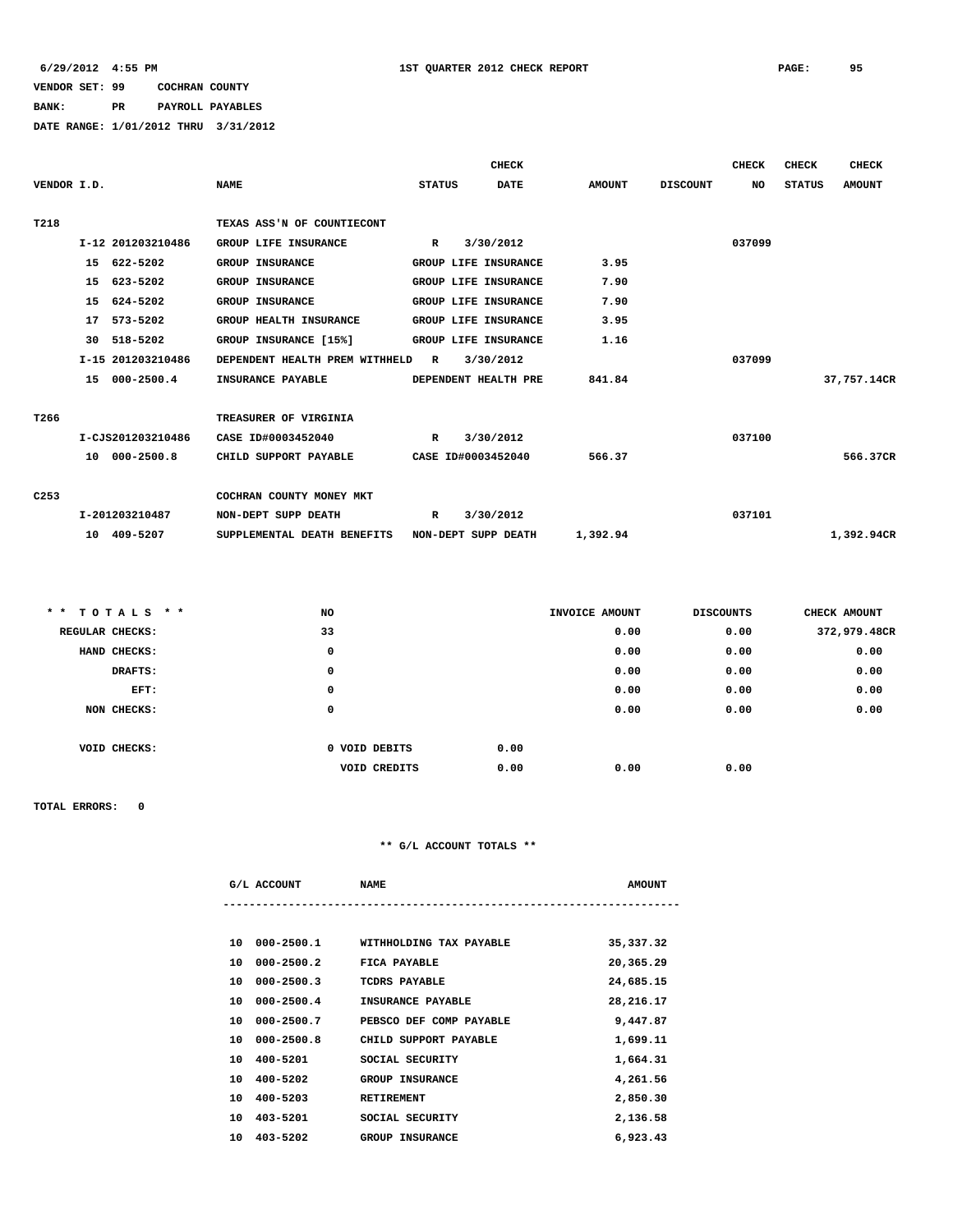## **BANK: PR PAYROLL PAYABLES**

**DATE RANGE: 1/01/2012 THRU 3/31/2012**

|                  |                   |                                          |                      | <b>CHECK</b>                 |               |                 | <b>CHECK</b> | <b>CHECK</b>  | <b>CHECK</b>  |
|------------------|-------------------|------------------------------------------|----------------------|------------------------------|---------------|-----------------|--------------|---------------|---------------|
| VENDOR I.D.      |                   | <b>NAME</b>                              | <b>STATUS</b>        | <b>DATE</b>                  | <b>AMOUNT</b> | <b>DISCOUNT</b> | NO           | <b>STATUS</b> | <b>AMOUNT</b> |
|                  |                   |                                          |                      |                              |               |                 |              |               |               |
| T218             |                   | TEXAS ASS'N OF COUNTIECONT               |                      |                              |               |                 |              |               |               |
|                  | I-12 201203210486 | GROUP LIFE INSURANCE                     | $\mathbb{R}$         | 3/30/2012                    |               |                 | 037099       |               |               |
|                  | 15 622-5202       | <b>GROUP INSURANCE</b>                   | GROUP LIFE INSURANCE |                              | 3.95          |                 |              |               |               |
|                  | 15 623-5202       | <b>GROUP INSURANCE</b>                   | GROUP LIFE INSURANCE |                              | 7.90          |                 |              |               |               |
|                  | 15 624-5202       | <b>GROUP INSURANCE</b>                   | GROUP LIFE INSURANCE |                              | 7.90          |                 |              |               |               |
|                  | 17 573-5202       | GROUP HEALTH INSURANCE                   | GROUP LIFE INSURANCE |                              | 3.95          |                 |              |               |               |
|                  | 30 518-5202       | GROUP INSURANCE [15%]                    | GROUP LIFE INSURANCE |                              | 1.16          |                 |              |               |               |
|                  | I-15 201203210486 | DEPENDENT HEALTH PREM WITHHELD R         |                      | 3/30/2012                    |               |                 | 037099       |               |               |
|                  | 15 000-2500.4     | <b>INSURANCE PAYABLE</b>                 | DEPENDENT HEALTH PRE |                              | 841.84        |                 |              |               | 37,757.14CR   |
|                  |                   |                                          |                      |                              |               |                 |              |               |               |
| T266             |                   | TREASURER OF VIRGINIA                    |                      |                              |               |                 |              |               |               |
|                  | I-CJS201203210486 | CASE ID#0003452040                       | $\mathbb{R}$         | 3/30/2012                    |               |                 | 037100       |               |               |
|                  | 10 000-2500.8     | CHILD SUPPORT PAYABLE CASE ID#0003452040 |                      |                              | 566.37        |                 |              |               | 566.37CR      |
|                  |                   |                                          |                      |                              |               |                 |              |               |               |
| C <sub>253</sub> |                   | COCHRAN COUNTY MONEY MKT                 |                      |                              |               |                 |              |               |               |
|                  | I-201203210487    | NON-DEPT SUPP DEATH                      | R                    | 3/30/2012                    |               |                 | 037101       |               |               |
|                  | 10 409-5207       | SUPPLEMENTAL DEATH BENEFITS              |                      | NON-DEPT SUPP DEATH 1,392.94 |               |                 |              |               | 1,392.94CR    |

| ** TOTALS **    | <b>NO</b>           |      | INVOICE AMOUNT | <b>DISCOUNTS</b> | CHECK AMOUNT |
|-----------------|---------------------|------|----------------|------------------|--------------|
| REGULAR CHECKS: | 33                  |      | 0.00           | 0.00             | 372,979.48CR |
| HAND CHECKS:    | 0                   |      | 0.00           | 0.00             | 0.00         |
| DRAFTS:         | 0                   |      | 0.00           | 0.00             | 0.00         |
| EFT:            | 0                   |      | 0.00           | 0.00             | 0.00         |
| NON CHECKS:     | 0                   |      | 0.00           | 0.00             | 0.00         |
|                 |                     |      |                |                  |              |
| VOID CHECKS:    | 0 VOID DEBITS       | 0.00 |                |                  |              |
|                 | <b>VOID CREDITS</b> | 0.00 | 0.00           | 0.00             |              |

**TOTAL ERRORS: 0**

|                 | G/L ACCOUNT    | <b>NAME</b>             | <b>AMOUNT</b> |
|-----------------|----------------|-------------------------|---------------|
|                 |                |                         |               |
| 10              | 000-2500.1     | WITHHOLDING TAX PAYABLE | 35, 337.32    |
| 10              | $000 - 2500.2$ | FICA PAYABLE            | 20,365.29     |
| 10              | $000 - 2500.3$ | TCDRS PAYABLE           | 24,685.15     |
| 10              | $000 - 2500.4$ | INSURANCE PAYABLE       | 28,216.17     |
| 10              | $000 - 2500.7$ | PEBSCO DEF COMP PAYABLE | 9,447.87      |
| 10              | $000 - 2500.8$ | CHILD SUPPORT PAYABLE   | 1,699.11      |
| 10              | 400-5201       | SOCIAL SECURITY         | 1,664.31      |
| 10              | 400-5202       | <b>GROUP INSURANCE</b>  | 4,261.56      |
| 10              | 400-5203       | <b>RETIREMENT</b>       | 2,850.30      |
| 10              | 403-5201       | SOCIAL SECURITY         | 2,136.58      |
| 10 <sup>1</sup> | 403-5202       | <b>GROUP INSURANCE</b>  | 6,923.43      |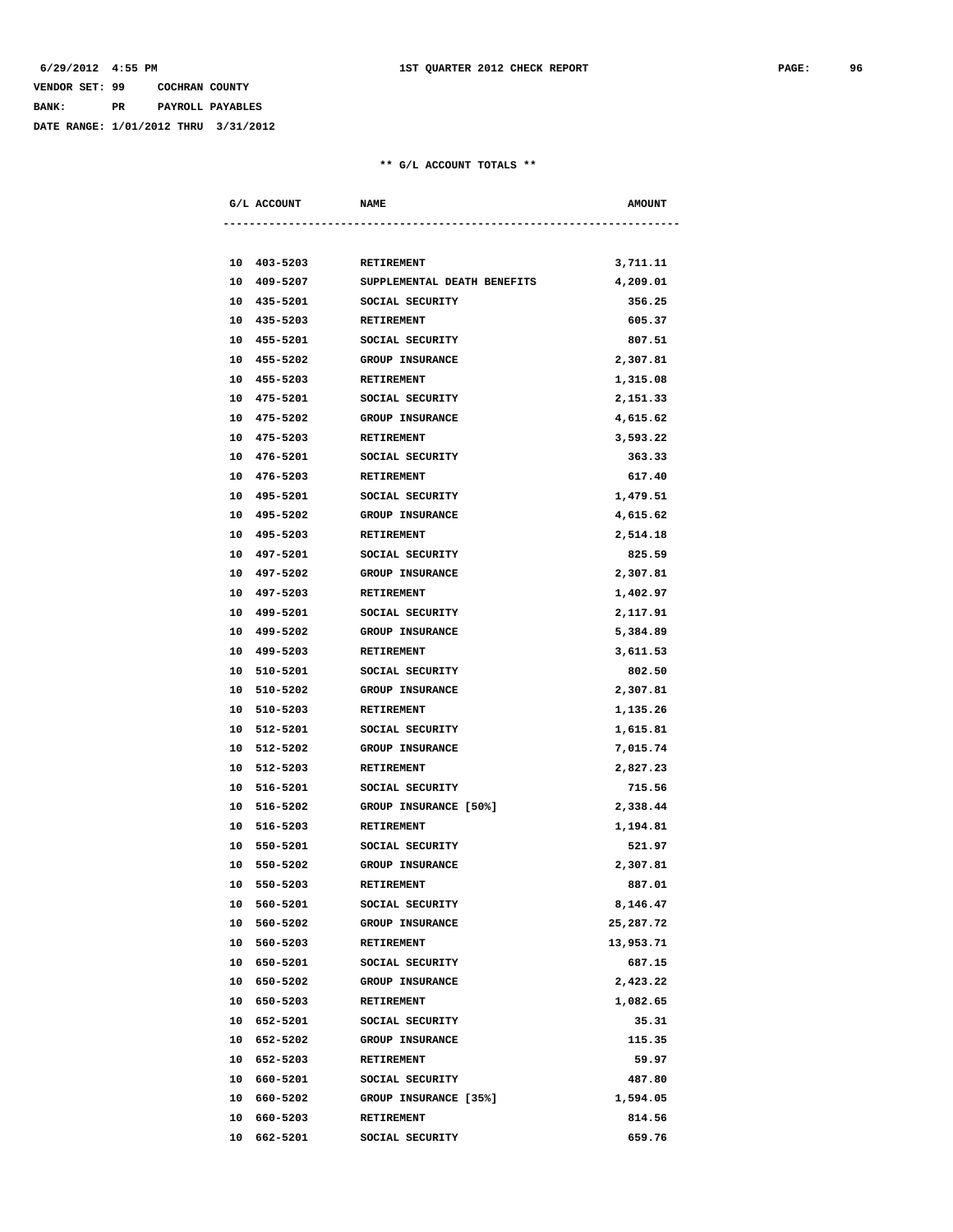| VENDOR SET: 99 |    | COCHRAN COUNTY |                  |
|----------------|----|----------------|------------------|
| <b>BANK:</b>   | РR |                | PAYROLL PAYABLES |

**DATE RANGE: 1/01/2012 THRU 3/31/2012**

|    | G/L ACCOUNT | <b>NAME</b>                 | <b>AMOUNT</b> |
|----|-------------|-----------------------------|---------------|
|    |             |                             |               |
|    |             |                             |               |
|    | 10 403-5203 | <b>RETIREMENT</b>           | 3,711.11      |
|    | 10 409-5207 | SUPPLEMENTAL DEATH BENEFITS | 4,209.01      |
|    | 10 435-5201 | SOCIAL SECURITY             | 356.25        |
|    | 10 435-5203 | <b>RETIREMENT</b>           | 605.37        |
|    | 10 455-5201 | SOCIAL SECURITY             | 807.51        |
|    | 10 455-5202 | <b>GROUP INSURANCE</b>      | 2,307.81      |
|    | 10 455-5203 | <b>RETIREMENT</b>           | 1,315.08      |
|    | 10 475-5201 | SOCIAL SECURITY             | 2,151.33      |
|    | 10 475-5202 | <b>GROUP INSURANCE</b>      | 4,615.62      |
|    | 10 475-5203 | <b>RETIREMENT</b>           | 3,593.22      |
|    | 10 476-5201 | SOCIAL SECURITY             | 363.33        |
|    | 10 476-5203 | RETIREMENT                  | 617.40        |
|    | 10 495-5201 | SOCIAL SECURITY             | 1,479.51      |
|    | 10 495-5202 | <b>GROUP INSURANCE</b>      | 4,615.62      |
|    | 10 495-5203 | <b>RETIREMENT</b>           | 2,514.18      |
|    | 10 497-5201 | SOCIAL SECURITY             | 825.59        |
|    | 10 497-5202 | <b>GROUP INSURANCE</b>      | 2,307.81      |
|    | 10 497-5203 | <b>RETIREMENT</b>           | 1,402.97      |
|    | 10 499-5201 | SOCIAL SECURITY             | 2,117.91      |
|    | 10 499-5202 | <b>GROUP INSURANCE</b>      | 5,384.89      |
|    | 10 499-5203 | <b>RETIREMENT</b>           | 3,611.53      |
| 10 | 510-5201    | SOCIAL SECURITY             | 802.50        |
| 10 | 510-5202    | <b>GROUP INSURANCE</b>      | 2,307.81      |
| 10 | 510-5203    | RETIREMENT                  | 1,135.26      |
|    | 10 512-5201 | SOCIAL SECURITY             | 1,615.81      |
|    | 10 512-5202 | GROUP INSURANCE             | 7,015.74      |
|    | 10 512-5203 | RETIREMENT                  | 2,827.23      |
| 10 | 516-5201    | SOCIAL SECURITY             | 715.56        |
|    | 10 516-5202 | GROUP INSURANCE [50%]       | 2,338.44      |
|    | 10 516-5203 | RETIREMENT                  | 1,194.81      |
|    | 10 550-5201 | SOCIAL SECURITY             | 521.97        |
|    | 10 550-5202 | GROUP INSURANCE             | 2,307.81      |
| 10 | 550-5203    | <b>RETIREMENT</b>           | 887.01        |
| 10 | 560-5201    | SOCIAL SECURITY             | 8,146.47      |
| 10 | 560-5202    | GROUP INSURANCE             | 25,287.72     |
|    | 10 560-5203 | RETIREMENT                  | 13,953.71     |
|    | 10 650-5201 | SOCIAL SECURITY             | 687.15        |
|    | 10 650-5202 | GROUP INSURANCE             | 2,423.22      |
|    | 10 650-5203 | RETIREMENT                  | 1,082.65      |
|    | 10 652-5201 | SOCIAL SECURITY             | 35.31         |
|    | 10 652-5202 | GROUP INSURANCE             | 115.35        |
|    | 10 652-5203 | RETIREMENT                  | 59.97         |
|    | 10 660-5201 | SOCIAL SECURITY             | 487.80        |
|    | 10 660-5202 | GROUP INSURANCE [35%]       | 1,594.05      |
|    | 10 660-5203 | RETIREMENT                  | 814.56        |
| 10 | 662-5201    | SOCIAL SECURITY             | 659.76        |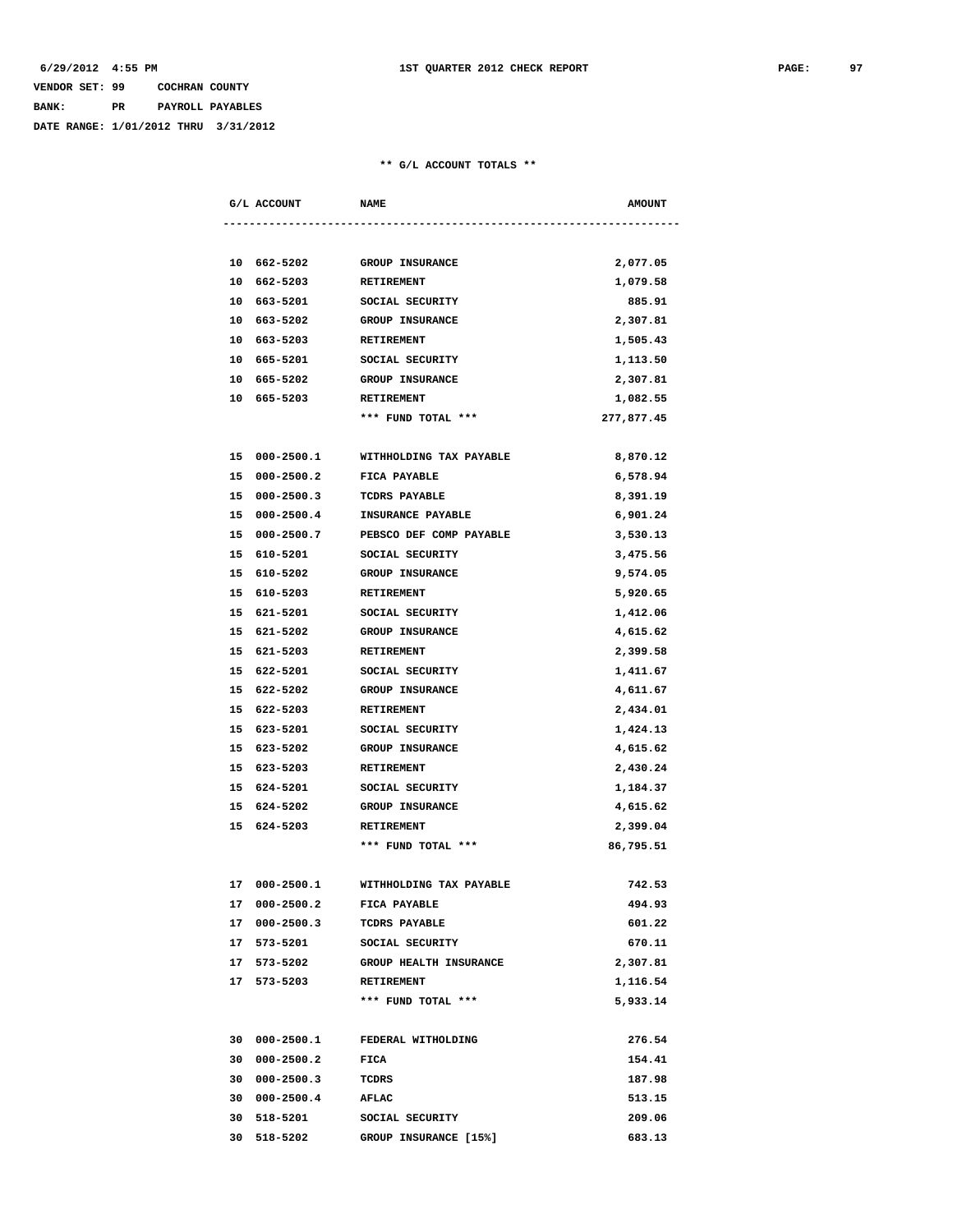## **VENDOR SET: 99 COCHRAN COUNTY BANK: PR PAYROLL PAYABLES**

**DATE RANGE: 1/01/2012 THRU 3/31/2012**

| G/L ACCOUNT |               | <b>NAME</b>              | <b>AMOUNT</b> |
|-------------|---------------|--------------------------|---------------|
|             |               |                          |               |
|             | 10 662-5202   | <b>GROUP INSURANCE</b>   | 2,077.05      |
|             | 10 662-5203   | <b>RETIREMENT</b>        | 1,079.58      |
|             | 10 663-5201   | SOCIAL SECURITY          | 885.91        |
|             | 10 663-5202   | <b>GROUP INSURANCE</b>   | 2,307.81      |
|             | 10 663-5203   | RETIREMENT               | 1,505.43      |
|             | 10 665-5201   | SOCIAL SECURITY          | 1,113.50      |
|             | 10 665-5202   | <b>GROUP INSURANCE</b>   | 2,307.81      |
|             | 10 665-5203   | RETIREMENT               | 1,082.55      |
|             |               | *** FUND TOTAL ***       | 277,877.45    |
|             | 15 000-2500.1 | WITHHOLDING TAX PAYABLE  | 8,870.12      |
|             | 15 000-2500.2 | <b>FICA PAYABLE</b>      | 6,578.94      |
|             | 15 000-2500.3 | <b>TCDRS PAYABLE</b>     | 8,391.19      |
|             | 15 000-2500.4 | <b>INSURANCE PAYABLE</b> | 6,901.24      |
|             | 15 000-2500.7 | PEBSCO DEF COMP PAYABLE  | 3,530.13      |
|             | 15 610-5201   | SOCIAL SECURITY          | 3,475.56      |
|             | 15 610-5202   | <b>GROUP INSURANCE</b>   | 9,574.05      |
|             | 15 610-5203   | <b>RETIREMENT</b>        | 5,920.65      |
|             | 15 621-5201   | SOCIAL SECURITY          | 1,412.06      |
|             | 15 621-5202   | <b>GROUP INSURANCE</b>   | 4,615.62      |
|             | 15 621-5203   | RETIREMENT               | 2,399.58      |
|             | 15 622-5201   | SOCIAL SECURITY          | 1,411.67      |
|             | 15 622-5202   | <b>GROUP INSURANCE</b>   | 4,611.67      |
|             | 15 622-5203   | <b>RETIREMENT</b>        | 2,434.01      |
|             | 15 623-5201   | SOCIAL SECURITY          | 1,424.13      |
|             | 15 623-5202   | <b>GROUP INSURANCE</b>   | 4,615.62      |
|             | 15 623-5203   | RETIREMENT               | 2,430.24      |
|             | 15 624-5201   | SOCIAL SECURITY          | 1,184.37      |
|             | 15 624-5202   | <b>GROUP INSURANCE</b>   | 4,615.62      |
|             | 15 624-5203   | <b>RETIREMENT</b>        | 2,399.04      |
|             |               | *** FUND TOTAL ***       | 86,795.51     |
|             | 17 000-2500.1 | WITHHOLDING TAX PAYABLE  | 742.53        |
|             | 17 000-2500.2 | FICA PAYABLE             | 494.93        |
|             | 17 000-2500.3 | TCDRS PAYABLE            | 601.22        |
|             | 17 573-5201   | SOCIAL SECURITY          | 670.11        |
|             | 17 573-5202   | GROUP HEALTH INSURANCE   | 2,307.81      |
|             | 17 573-5203   | RETIREMENT               | 1,116.54      |
|             |               | *** FUND TOTAL ***       | 5,933.14      |
|             | 30 000-2500.1 | FEDERAL WITHOLDING       | 276.54        |
|             | 30 000-2500.2 | FICA                     | 154.41        |
|             | 30 000-2500.3 | <b>TCDRS</b>             | 187.98        |
|             | 30 000-2500.4 | AFLAC                    | 513.15        |
|             | 30 518-5201   | SOCIAL SECURITY          | 209.06        |
|             | 30 518-5202   | GROUP INSURANCE [15%]    | 683.13        |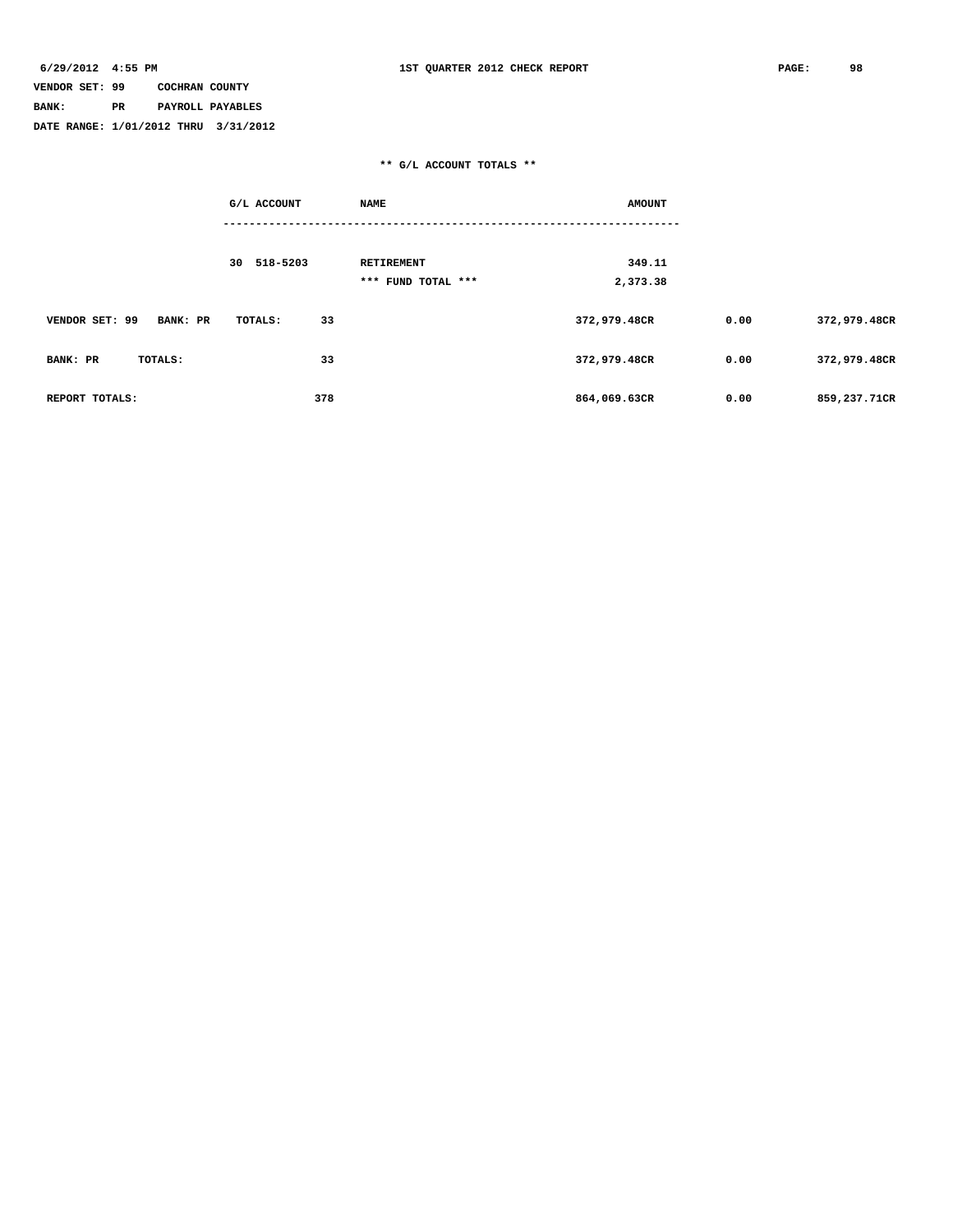**BANK: PR PAYROLL PAYABLES**

**DATE RANGE: 1/01/2012 THRU 3/31/2012**

|                            | G/L ACCOUNT    | <b>NAME</b>                             | <b>AMOUNT</b>      |      |              |  |  |
|----------------------------|----------------|-----------------------------------------|--------------------|------|--------------|--|--|
|                            | 518-5203<br>30 | <b>RETIREMENT</b><br>*** FUND TOTAL *** | 349.11<br>2,373.38 |      |              |  |  |
| VENDOR SET: 99<br>BANK: PR | 33<br>TOTALS:  |                                         | 372,979.48CR       | 0.00 | 372,979.48CR |  |  |
| <b>BANK: PR</b><br>TOTALS: | 33             |                                         | 372,979.48CR       | 0.00 | 372,979.48CR |  |  |
| REPORT TOTALS:             | 378            |                                         | 864,069.63CR       | 0.00 | 859,237.71CR |  |  |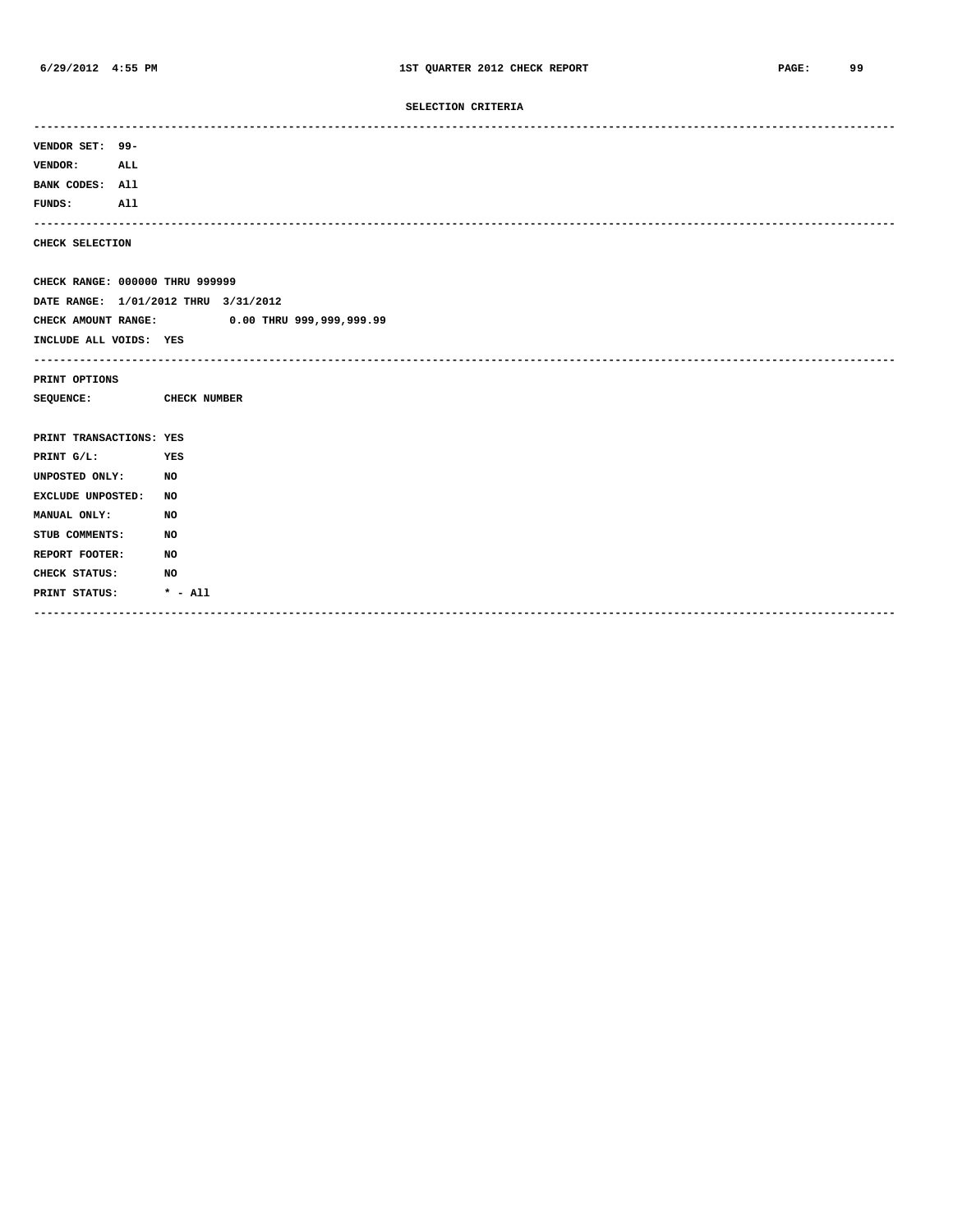### **SELECTION CRITERIA**

| VENDOR SET: 99-         |                                              |
|-------------------------|----------------------------------------------|
| <b>VENDOR:</b>          | ALL                                          |
| BANK CODES: All         |                                              |
| <b>FUNDS:</b>           | All                                          |
| CHECK SELECTION         |                                              |
|                         | CHECK RANGE: 000000 THRU 999999              |
|                         | DATE RANGE: 1/01/2012 THRU 3/31/2012         |
|                         | CHECK AMOUNT RANGE: 0.00 THRU 999,999,999.99 |
| INCLUDE ALL VOIDS: YES  |                                              |
|                         | --------------------------------------       |
| PRINT OPTIONS           |                                              |
| SEQUENCE:               | CHECK NUMBER                                 |
|                         |                                              |
| PRINT TRANSACTIONS: YES |                                              |
| PRINT G/L:              | YES                                          |
| UNPOSTED ONLY:          | NO                                           |
| EXCLUDE UNPOSTED:       | NO                                           |
| MANUAL ONLY:            | NO                                           |
| STUB COMMENTS:          | NO                                           |
| REPORT FOOTER:          | NO                                           |
| CHECK STATUS:           | NO                                           |
| PRINT STATUS:           | $* - \text{all}$                             |
|                         |                                              |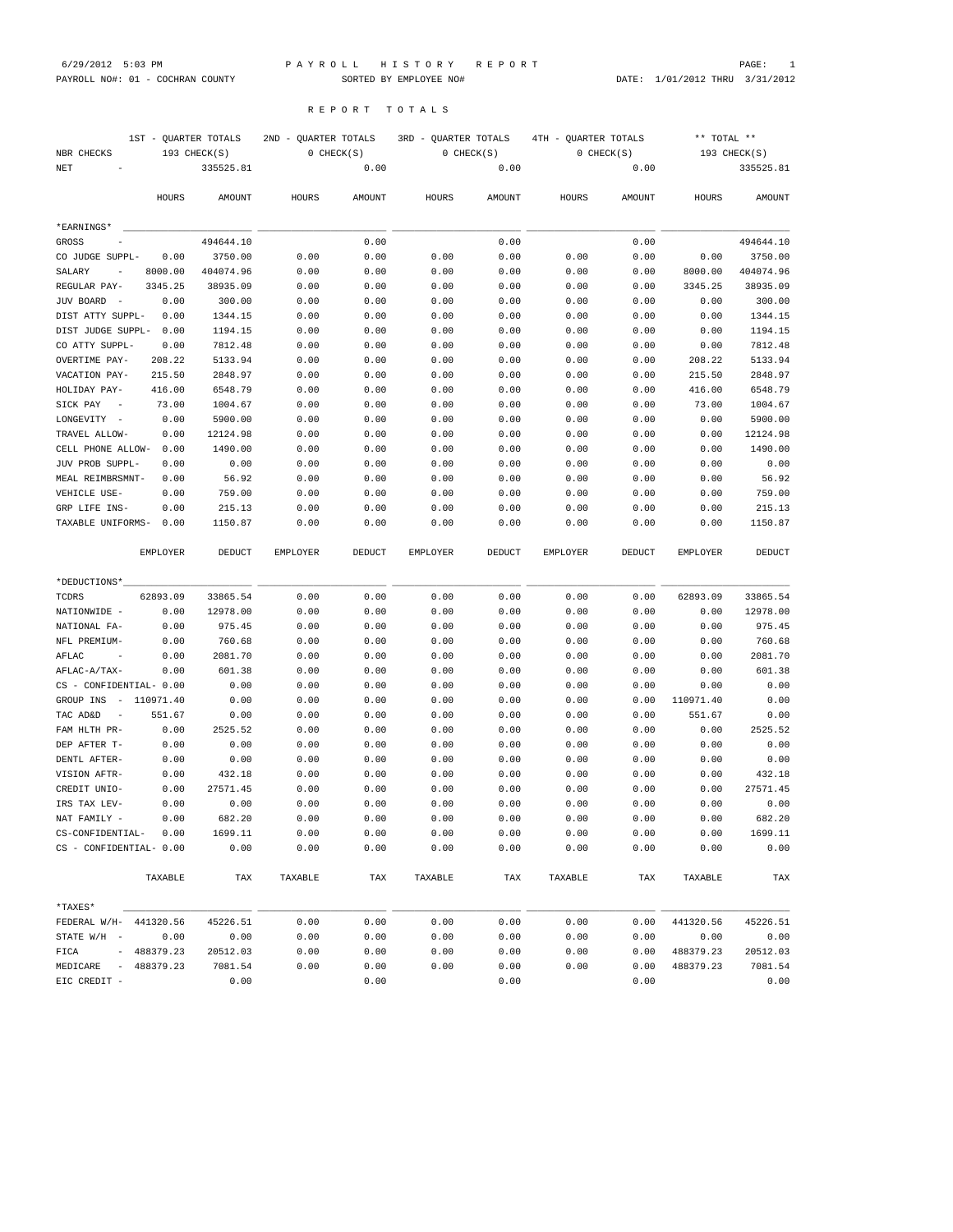# PAYROLL NO#: 01 - COCHRAN COUNTY SORTED BY EMPLOYEE NO# DATE: 1/01/2012 THRU 3/31/2012

## R E P O R T T O T A L S

| 1ST - OUARTER TOTALS<br>NBR CHECKS             | 193 CHECK(S) | 2ND - QUARTER TOTALS<br>0 CHECK(S) |               | 3RD - OUARTER TOTALS<br>0 CHECK(S) |        | 4TH - QUARTER TOTALS<br>0 CHECK(S) |        | ** TOTAL **<br>193 CHECK(S) |           |
|------------------------------------------------|--------------|------------------------------------|---------------|------------------------------------|--------|------------------------------------|--------|-----------------------------|-----------|
| $_{\rm NET}$                                   | 335525.81    |                                    | 0.00          |                                    | 0.00   |                                    | 0.00   |                             | 335525.81 |
| HOURS                                          | AMOUNT       | HOURS                              | <b>AMOUNT</b> | HOURS                              | AMOUNT | HOURS                              | AMOUNT | HOURS                       | AMOUNT    |
| *EARNINGS*                                     |              |                                    |               |                                    |        |                                    |        |                             |           |
| GROSS                                          | 494644.10    |                                    | 0.00          |                                    | 0.00   |                                    | 0.00   |                             | 494644.10 |
| 0.00<br>CO JUDGE SUPPL-                        | 3750.00      | 0.00                               | 0.00          | 0.00                               | 0.00   | 0.00                               | 0.00   | 0.00                        | 3750.00   |
| 8000.00<br>SALARY<br>$\overline{\phantom{a}}$  | 404074.96    | 0.00                               | 0.00          | 0.00                               | 0.00   | 0.00                               | 0.00   | 8000.00                     | 404074.96 |
| REGULAR PAY-<br>3345.25                        | 38935.09     | 0.00                               | 0.00          | 0.00                               | 0.00   | 0.00                               | 0.00   | 3345.25                     | 38935.09  |
| JUV BOARD<br>0.00<br>$\sim$                    | 300.00       | 0.00                               | 0.00          | 0.00                               | 0.00   | 0.00                               | 0.00   | 0.00                        | 300.00    |
| DIST ATTY SUPPL-<br>0.00                       | 1344.15      | 0.00                               | 0.00          | 0.00                               | 0.00   | 0.00                               | 0.00   | 0.00                        | 1344.15   |
| DIST JUDGE SUPPL-<br>0.00                      | 1194.15      | 0.00                               | 0.00          | 0.00                               | 0.00   | 0.00                               | 0.00   | 0.00                        | 1194.15   |
| CO ATTY SUPPL-<br>0.00                         | 7812.48      | 0.00                               | 0.00          | 0.00                               | 0.00   | 0.00                               | 0.00   | 0.00                        | 7812.48   |
| OVERTIME PAY-<br>208.22                        | 5133.94      | 0.00                               | 0.00          | 0.00                               | 0.00   | 0.00                               | 0.00   | 208.22                      | 5133.94   |
| VACATION PAY-<br>215.50                        | 2848.97      | 0.00                               | 0.00          | 0.00                               | 0.00   | 0.00                               | 0.00   | 215.50                      | 2848.97   |
| 416.00<br>HOLIDAY PAY-                         | 6548.79      | 0.00                               | 0.00          | 0.00                               | 0.00   | 0.00                               | 0.00   | 416.00                      | 6548.79   |
| SICK PAY<br>73.00<br>$\overline{\phantom{a}}$  | 1004.67      | 0.00                               | 0.00          | 0.00                               | 0.00   | 0.00                               | 0.00   | 73.00                       | 1004.67   |
| LONGEVITY<br>0.00                              | 5900.00      | 0.00                               | 0.00          | 0.00                               | 0.00   | 0.00                               | 0.00   | 0.00                        | 5900.00   |
| TRAVEL ALLOW-<br>0.00                          | 12124.98     | 0.00                               | 0.00          | 0.00                               | 0.00   | 0.00                               | 0.00   | 0.00                        | 12124.98  |
| CELL PHONE ALLOW-<br>0.00                      | 1490.00      | 0.00                               | 0.00          | 0.00                               | 0.00   | 0.00                               | 0.00   | 0.00                        | 1490.00   |
| JUV PROB SUPPL-<br>0.00                        | 0.00         | 0.00                               | 0.00          | 0.00                               | 0.00   | 0.00                               | 0.00   | 0.00                        | 0.00      |
| MEAL REIMBRSMNT-<br>0.00                       | 56.92        | 0.00                               | 0.00          | 0.00                               | 0.00   | 0.00                               | 0.00   | 0.00                        | 56.92     |
| VEHICLE USE-<br>0.00                           | 759.00       | 0.00                               | 0.00          | 0.00                               | 0.00   | 0.00                               | 0.00   | 0.00                        | 759.00    |
| GRP LIFE INS-<br>0.00                          | 215.13       | 0.00                               | 0.00          | 0.00                               | 0.00   | 0.00                               | 0.00   | 0.00                        | 215.13    |
| TAXABLE UNIFORMS-<br>0.00                      | 1150.87      | 0.00                               | 0.00          | 0.00                               | 0.00   | 0.00                               | 0.00   | 0.00                        | 1150.87   |
| <b>EMPLOYER</b>                                | DEDUCT       | EMPLOYER                           | <b>DEDUCT</b> | EMPLOYER                           | DEDUCT | <b>EMPLOYER</b>                    | DEDUCT | EMPLOYER                    | DEDUCT    |
| *DEDUCTIONS*                                   |              |                                    |               |                                    |        |                                    |        |                             |           |
| TCDRS<br>62893.09                              | 33865.54     | 0.00                               | 0.00          | 0.00                               | 0.00   | 0.00                               | 0.00   | 62893.09                    | 33865.54  |
| 0.00<br>NATIONWIDE -                           | 12978.00     | 0.00                               | 0.00          | 0.00                               | 0.00   | 0.00                               | 0.00   | 0.00                        | 12978.00  |
| 0.00<br>NATIONAL FA-                           | 975.45       | 0.00                               | 0.00          | 0.00                               | 0.00   | 0.00                               | 0.00   | 0.00                        | 975.45    |
| NFL PREMIUM-<br>0.00                           | 760.68       | 0.00                               | 0.00          | 0.00                               | 0.00   | 0.00                               | 0.00   | 0.00                        | 760.68    |
| AFLAC<br>0.00                                  | 2081.70      | 0.00                               | 0.00          | 0.00                               | 0.00   | 0.00                               | 0.00   | 0.00                        | 2081.70   |
| AFLAC-A/TAX-<br>0.00                           | 601.38       | 0.00                               | 0.00          | 0.00                               | 0.00   | 0.00                               | 0.00   | 0.00                        | 601.38    |
| CS - CONFIDENTIAL- 0.00                        | 0.00         | 0.00                               | 0.00          | 0.00                               | 0.00   | 0.00                               | 0.00   | 0.00                        | 0.00      |
| GROUP INS -<br>110971.40                       | 0.00         | 0.00                               | 0.00          | 0.00                               | 0.00   | 0.00                               | 0.00   | 110971.40                   | 0.00      |
| 551.67<br>TAC AD&D<br>$\overline{\phantom{m}}$ | 0.00         | 0.00                               | 0.00          | 0.00                               | 0.00   | 0.00                               | 0.00   | 551.67                      | 0.00      |
| FAM HLTH PR-<br>0.00                           | 2525.52      | 0.00                               | 0.00          | 0.00                               | 0.00   | 0.00                               | 0.00   | 0.00                        | 2525.52   |
| DEP AFTER T-<br>0.00                           | 0.00         | 0.00                               | 0.00          | 0.00                               | 0.00   | 0.00                               | 0.00   | 0.00                        | 0.00      |
| DENTL AFTER-<br>0.00                           | 0.00         | 0.00                               | 0.00          | 0.00                               | 0.00   | 0.00                               | 0.00   | 0.00                        | 0.00      |
| VISION AFTR-<br>0.00                           | 432.18       | 0.00                               | 0.00          | 0.00                               | 0.00   | 0.00                               | 0.00   | 0.00                        | 432.18    |
| CREDIT UNIO-<br>0.00                           | 27571.45     | 0.00                               | 0.00          | 0.00                               | 0.00   | 0.00                               | 0.00   | 0.00                        | 27571.45  |
| IRS TAX LEV-<br>0.00                           | 0.00         | 0.00                               | 0.00          | 0.00                               | 0.00   | 0.00                               | 0.00   | 0.00                        | 0.00      |
| NAT FAMILY -<br>0.00                           | 682.20       | 0.00                               | 0.00          | 0.00                               | 0.00   | 0.00                               | 0.00   | 0.00                        | 682.20    |
| CS-CONFIDENTIAL- 0.00                          | 1699.11      | 0.00                               | 0.00          | 0.00                               | 0.00   | 0.00                               | 0.00   | 0.00                        | 1699.11   |
| CS - CONFIDENTIAL- 0.00                        | 0.00         | 0.00                               | 0.00          | 0.00                               | 0.00   | 0.00                               | 0.00   | 0.00                        | 0.00      |
| TAXABLE                                        | TAX          | TAXABLE                            | TAX           | TAXABLE                            | TAX    | TAXABLE                            | TAX    | TAXABLE                     | TAX       |
| $*$ TAXES $*$                                  |              |                                    |               |                                    |        |                                    |        |                             |           |
| FEDERAL W/H- 441320.56                         | 45226.51     | 0.00                               | 0.00          | 0.00                               | 0.00   | 0.00                               | 0.00   | 441320.56                   | 45226.51  |
| STATE W/H -<br>0.00                            | 0.00         | 0.00                               | 0.00          | 0.00                               | 0.00   | 0.00                               | 0.00   | 0.00                        | 0.00      |
| FICA - 488379.23                               | 20512.03     | 0.00                               | 0.00          | 0.00                               | 0.00   | 0.00                               | 0.00   | 488379.23                   | 20512.03  |
| MEDICARE - 488379.23                           | 7081.54      | 0.00                               | 0.00          | 0.00                               | 0.00   | 0.00                               | 0.00   | 488379.23                   | 7081.54   |
| EIC CREDIT -                                   | 0.00         |                                    | 0.00          |                                    | 0.00   |                                    | 0.00   |                             | 0.00      |